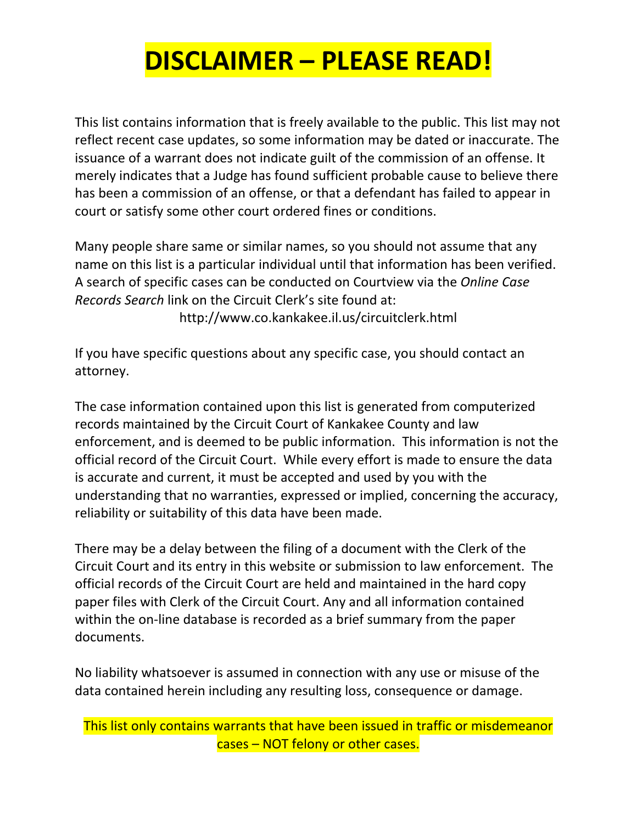## **DISCLAIMER – PLEASE READ!**

This list contains information that is freely available to the public. This list may not reflect recent case updates, so some information may be dated or inaccurate. The issuance of a warrant does not indicate guilt of the commission of an offense. It merely indicates that a Judge has found sufficient probable cause to believe there has been a commission of an offense, or that a defendant has failed to appear in court or satisfy some other court ordered fines or conditions.

Many people share same or similar names, so you should not assume that any name on this list is a particular individual until that information has been verified. A search of specific cases can be conducted on Courtview via the *Online Case Records Search* link on the Circuit Clerk's site found at: http://www.co.kankakee.il.us/circuitclerk.html

If you have specific questions about any specific case, you should contact an attorney.

The case information contained upon this list is generated from computerized records maintained by the Circuit Court of Kankakee County and law enforcement, and is deemed to be public information. This information is not the official record of the Circuit Court. While every effort is made to ensure the data is accurate and current, it must be accepted and used by you with the understanding that no warranties, expressed or implied, concerning the accuracy, reliability or suitability of this data have been made.

There may be a delay between the filing of a document with the Clerk of the Circuit Court and its entry in this website or submission to law enforcement. The official records of the Circuit Court are held and maintained in the hard copy paper files with Clerk of the Circuit Court. Any and all information contained within the on-line database is recorded as a brief summary from the paper documents.

No liability whatsoever is assumed in connection with any use or misuse of the data contained herein including any resulting loss, consequence or damage.

This list only contains warrants that have been issued in traffic or misdemeanor cases – NOT felony or other cases.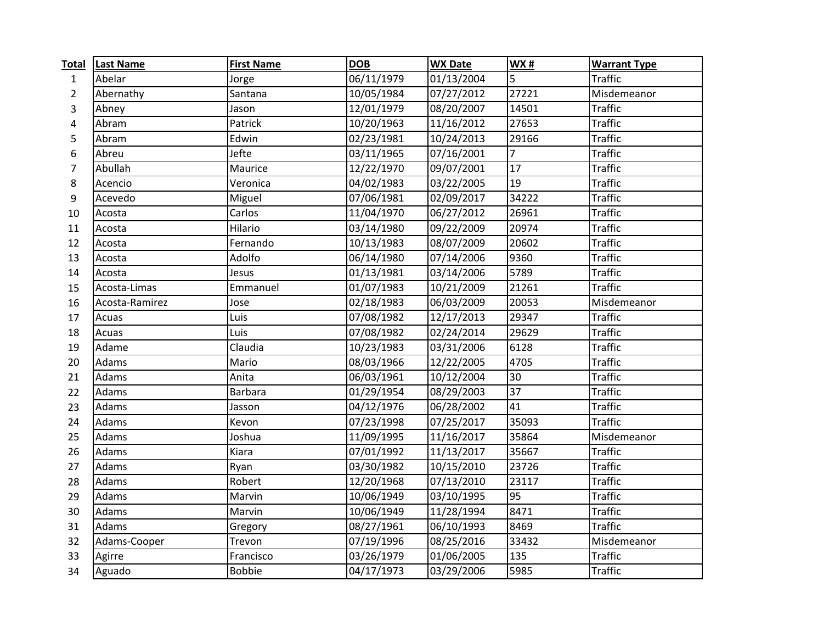| <b>Total</b>   | <b>Last Name</b> | <b>First Name</b> | <b>DOB</b> | <b>WX Date</b> | <b>WX#</b>     | <b>Warrant Type</b> |
|----------------|------------------|-------------------|------------|----------------|----------------|---------------------|
| $\mathbf{1}$   | Abelar           | Jorge             | 06/11/1979 | 01/13/2004     | 5              | <b>Traffic</b>      |
| $\overline{2}$ | Abernathy        | Santana           | 10/05/1984 | 07/27/2012     | 27221          | Misdemeanor         |
| 3              | Abney            | Jason             | 12/01/1979 | 08/20/2007     | 14501          | <b>Traffic</b>      |
| 4              | Abram            | Patrick           | 10/20/1963 | 11/16/2012     | 27653          | <b>Traffic</b>      |
| 5              | Abram            | Edwin             | 02/23/1981 | 10/24/2013     | 29166          | <b>Traffic</b>      |
| 6              | Abreu            | Jefte             | 03/11/1965 | 07/16/2001     | $\overline{7}$ | <b>Traffic</b>      |
| 7              | Abullah          | Maurice           | 12/22/1970 | 09/07/2001     | 17             | <b>Traffic</b>      |
| 8              | Acencio          | Veronica          | 04/02/1983 | 03/22/2005     | 19             | <b>Traffic</b>      |
| 9              | Acevedo          | Miguel            | 07/06/1981 | 02/09/2017     | 34222          | <b>Traffic</b>      |
| 10             | Acosta           | Carlos            | 11/04/1970 | 06/27/2012     | 26961          | <b>Traffic</b>      |
| 11             | Acosta           | Hilario           | 03/14/1980 | 09/22/2009     | 20974          | <b>Traffic</b>      |
| 12             | Acosta           | Fernando          | 10/13/1983 | 08/07/2009     | 20602          | <b>Traffic</b>      |
| 13             | Acosta           | Adolfo            | 06/14/1980 | 07/14/2006     | 9360           | <b>Traffic</b>      |
| 14             | Acosta           | Jesus             | 01/13/1981 | 03/14/2006     | 5789           | <b>Traffic</b>      |
| 15             | Acosta-Limas     | Emmanuel          | 01/07/1983 | 10/21/2009     | 21261          | <b>Traffic</b>      |
| 16             | Acosta-Ramirez   | Jose              | 02/18/1983 | 06/03/2009     | 20053          | Misdemeanor         |
| 17             | Acuas            | Luis              | 07/08/1982 | 12/17/2013     | 29347          | <b>Traffic</b>      |
| 18             | Acuas            | Luis              | 07/08/1982 | 02/24/2014     | 29629          | <b>Traffic</b>      |
| 19             | Adame            | Claudia           | 10/23/1983 | 03/31/2006     | 6128           | <b>Traffic</b>      |
| 20             | Adams            | Mario             | 08/03/1966 | 12/22/2005     | 4705           | <b>Traffic</b>      |
| 21             | Adams            | Anita             | 06/03/1961 | 10/12/2004     | 30             | <b>Traffic</b>      |
| 22             | Adams            | <b>Barbara</b>    | 01/29/1954 | 08/29/2003     | 37             | <b>Traffic</b>      |
| 23             | Adams            | Jasson            | 04/12/1976 | 06/28/2002     | 41             | <b>Traffic</b>      |
| 24             | Adams            | Kevon             | 07/23/1998 | 07/25/2017     | 35093          | <b>Traffic</b>      |
| 25             | Adams            | Joshua            | 11/09/1995 | 11/16/2017     | 35864          | Misdemeanor         |
| 26             | Adams            | Kiara             | 07/01/1992 | 11/13/2017     | 35667          | <b>Traffic</b>      |
| 27             | Adams            | Ryan              | 03/30/1982 | 10/15/2010     | 23726          | <b>Traffic</b>      |
| 28             | Adams            | Robert            | 12/20/1968 | 07/13/2010     | 23117          | <b>Traffic</b>      |
| 29             | Adams            | Marvin            | 10/06/1949 | 03/10/1995     | 95             | <b>Traffic</b>      |
| 30             | Adams            | Marvin            | 10/06/1949 | 11/28/1994     | 8471           | <b>Traffic</b>      |
| 31             | Adams            | Gregory           | 08/27/1961 | 06/10/1993     | 8469           | <b>Traffic</b>      |
| 32             | Adams-Cooper     | Trevon            | 07/19/1996 | 08/25/2016     | 33432          | Misdemeanor         |
| 33             | Agirre           | Francisco         | 03/26/1979 | 01/06/2005     | 135            | <b>Traffic</b>      |
| 34             | Aguado           | <b>Bobbie</b>     | 04/17/1973 | 03/29/2006     | 5985           | <b>Traffic</b>      |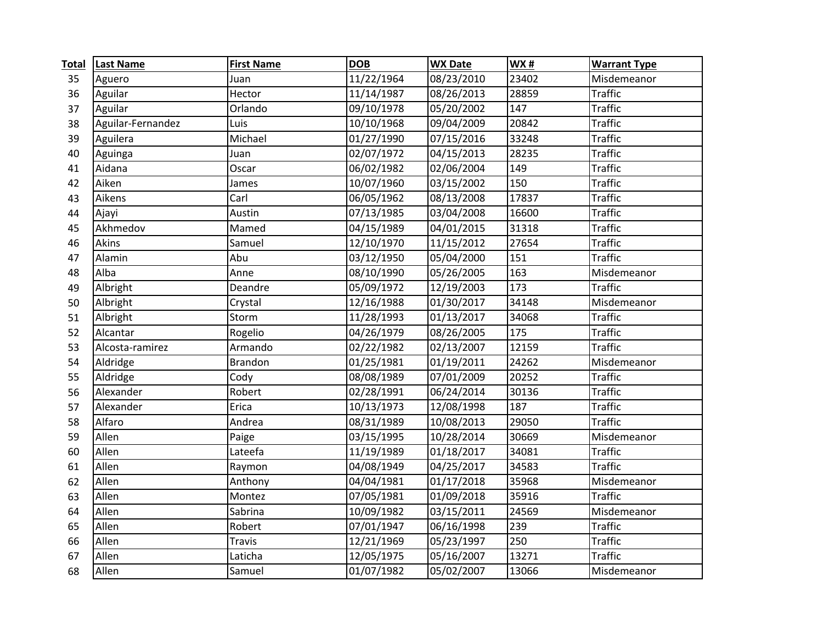| <b>Total</b> | <b>Last Name</b>  | <b>First Name</b> | <b>DOB</b> | <b>WX Date</b> | <b>WX#</b> | <b>Warrant Type</b> |
|--------------|-------------------|-------------------|------------|----------------|------------|---------------------|
| 35           | Aguero            | Juan              | 11/22/1964 | 08/23/2010     | 23402      | Misdemeanor         |
| 36           | Aguilar           | Hector            | 11/14/1987 | 08/26/2013     | 28859      | <b>Traffic</b>      |
| 37           | Aguilar           | Orlando           | 09/10/1978 | 05/20/2002     | 147        | <b>Traffic</b>      |
| 38           | Aguilar-Fernandez | Luis              | 10/10/1968 | 09/04/2009     | 20842      | <b>Traffic</b>      |
| 39           | Aguilera          | Michael           | 01/27/1990 | 07/15/2016     | 33248      | <b>Traffic</b>      |
| 40           | Aguinga           | Juan              | 02/07/1972 | 04/15/2013     | 28235      | <b>Traffic</b>      |
| 41           | Aidana            | Oscar             | 06/02/1982 | 02/06/2004     | 149        | <b>Traffic</b>      |
| 42           | Aiken             | James             | 10/07/1960 | 03/15/2002     | 150        | <b>Traffic</b>      |
| 43           | Aikens            | Carl              | 06/05/1962 | 08/13/2008     | 17837      | <b>Traffic</b>      |
| 44           | Ajayi             | Austin            | 07/13/1985 | 03/04/2008     | 16600      | <b>Traffic</b>      |
| 45           | Akhmedov          | Mamed             | 04/15/1989 | 04/01/2015     | 31318      | <b>Traffic</b>      |
| 46           | Akins             | Samuel            | 12/10/1970 | 11/15/2012     | 27654      | <b>Traffic</b>      |
| 47           | Alamin            | Abu               | 03/12/1950 | 05/04/2000     | 151        | <b>Traffic</b>      |
| 48           | Alba              | Anne              | 08/10/1990 | 05/26/2005     | 163        | Misdemeanor         |
| 49           | Albright          | Deandre           | 05/09/1972 | 12/19/2003     | 173        | <b>Traffic</b>      |
| 50           | Albright          | Crystal           | 12/16/1988 | 01/30/2017     | 34148      | Misdemeanor         |
| 51           | Albright          | Storm             | 11/28/1993 | 01/13/2017     | 34068      | <b>Traffic</b>      |
| 52           | Alcantar          | Rogelio           | 04/26/1979 | 08/26/2005     | 175        | <b>Traffic</b>      |
| 53           | Alcosta-ramirez   | Armando           | 02/22/1982 | 02/13/2007     | 12159      | <b>Traffic</b>      |
| 54           | Aldridge          | <b>Brandon</b>    | 01/25/1981 | 01/19/2011     | 24262      | Misdemeanor         |
| 55           | Aldridge          | Cody              | 08/08/1989 | 07/01/2009     | 20252      | <b>Traffic</b>      |
| 56           | Alexander         | Robert            | 02/28/1991 | 06/24/2014     | 30136      | <b>Traffic</b>      |
| 57           | Alexander         | Erica             | 10/13/1973 | 12/08/1998     | 187        | <b>Traffic</b>      |
| 58           | Alfaro            | Andrea            | 08/31/1989 | 10/08/2013     | 29050      | <b>Traffic</b>      |
| 59           | Allen             | Paige             | 03/15/1995 | 10/28/2014     | 30669      | Misdemeanor         |
| 60           | Allen             | Lateefa           | 11/19/1989 | 01/18/2017     | 34081      | <b>Traffic</b>      |
| 61           | Allen             | Raymon            | 04/08/1949 | 04/25/2017     | 34583      | <b>Traffic</b>      |
| 62           | Allen             | Anthony           | 04/04/1981 | 01/17/2018     | 35968      | Misdemeanor         |
| 63           | Allen             | Montez            | 07/05/1981 | 01/09/2018     | 35916      | <b>Traffic</b>      |
| 64           | Allen             | Sabrina           | 10/09/1982 | 03/15/2011     | 24569      | Misdemeanor         |
| 65           | Allen             | Robert            | 07/01/1947 | 06/16/1998     | 239        | <b>Traffic</b>      |
| 66           | Allen             | <b>Travis</b>     | 12/21/1969 | 05/23/1997     | 250        | <b>Traffic</b>      |
| 67           | Allen             | Laticha           | 12/05/1975 | 05/16/2007     | 13271      | <b>Traffic</b>      |
| 68           | Allen             | Samuel            | 01/07/1982 | 05/02/2007     | 13066      | Misdemeanor         |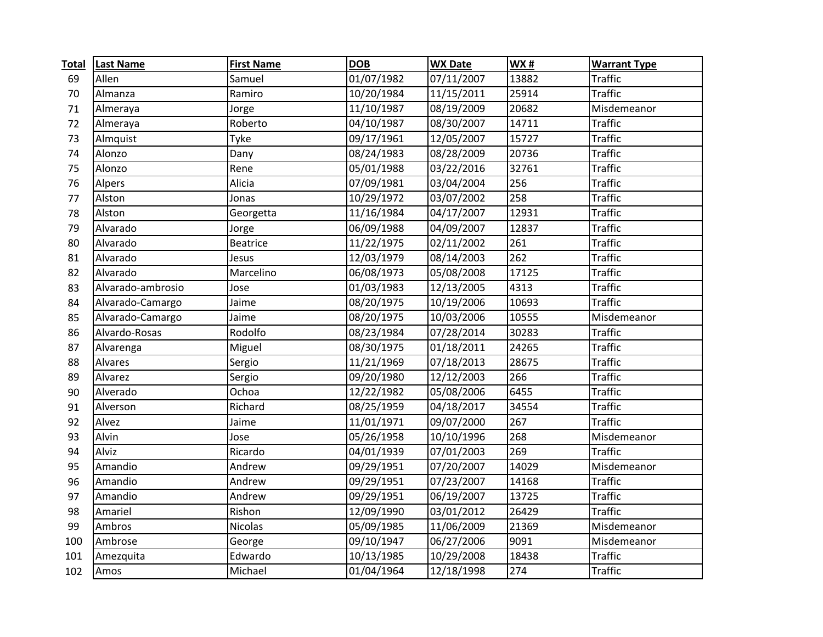| <b>Total</b> | <b>Last Name</b>  | <b>First Name</b> | <b>DOB</b> | <b>WX Date</b> | <b>WX#</b> | <b>Warrant Type</b> |
|--------------|-------------------|-------------------|------------|----------------|------------|---------------------|
| 69           | Allen             | Samuel            | 01/07/1982 | 07/11/2007     | 13882      | <b>Traffic</b>      |
| 70           | Almanza           | Ramiro            | 10/20/1984 | 11/15/2011     | 25914      | <b>Traffic</b>      |
| 71           | Almeraya          | Jorge             | 11/10/1987 | 08/19/2009     | 20682      | Misdemeanor         |
| 72           | Almeraya          | Roberto           | 04/10/1987 | 08/30/2007     | 14711      | <b>Traffic</b>      |
| 73           | Almquist          | Tyke              | 09/17/1961 | 12/05/2007     | 15727      | <b>Traffic</b>      |
| 74           | Alonzo            | Dany              | 08/24/1983 | 08/28/2009     | 20736      | <b>Traffic</b>      |
| 75           | Alonzo            | Rene              | 05/01/1988 | 03/22/2016     | 32761      | <b>Traffic</b>      |
| 76           | Alpers            | Alicia            | 07/09/1981 | 03/04/2004     | 256        | <b>Traffic</b>      |
| 77           | Alston            | Jonas             | 10/29/1972 | 03/07/2002     | 258        | <b>Traffic</b>      |
| 78           | Alston            | Georgetta         | 11/16/1984 | 04/17/2007     | 12931      | <b>Traffic</b>      |
| 79           | Alvarado          | Jorge             | 06/09/1988 | 04/09/2007     | 12837      | <b>Traffic</b>      |
| 80           | Alvarado          | <b>Beatrice</b>   | 11/22/1975 | 02/11/2002     | 261        | <b>Traffic</b>      |
| 81           | Alvarado          | Jesus             | 12/03/1979 | 08/14/2003     | 262        | <b>Traffic</b>      |
| 82           | Alvarado          | Marcelino         | 06/08/1973 | 05/08/2008     | 17125      | <b>Traffic</b>      |
| 83           | Alvarado-ambrosio | Jose              | 01/03/1983 | 12/13/2005     | 4313       | <b>Traffic</b>      |
| 84           | Alvarado-Camargo  | Jaime             | 08/20/1975 | 10/19/2006     | 10693      | <b>Traffic</b>      |
| 85           | Alvarado-Camargo  | Jaime             | 08/20/1975 | 10/03/2006     | 10555      | Misdemeanor         |
| 86           | Alvardo-Rosas     | Rodolfo           | 08/23/1984 | 07/28/2014     | 30283      | <b>Traffic</b>      |
| 87           | Alvarenga         | Miguel            | 08/30/1975 | 01/18/2011     | 24265      | <b>Traffic</b>      |
| 88           | Alvares           | Sergio            | 11/21/1969 | 07/18/2013     | 28675      | <b>Traffic</b>      |
| 89           | Alvarez           | Sergio            | 09/20/1980 | 12/12/2003     | 266        | <b>Traffic</b>      |
| 90           | Alverado          | Ochoa             | 12/22/1982 | 05/08/2006     | 6455       | <b>Traffic</b>      |
| 91           | Alverson          | Richard           | 08/25/1959 | 04/18/2017     | 34554      | <b>Traffic</b>      |
| 92           | Alvez             | Jaime             | 11/01/1971 | 09/07/2000     | 267        | <b>Traffic</b>      |
| 93           | Alvin             | Jose              | 05/26/1958 | 10/10/1996     | 268        | Misdemeanor         |
| 94           | Alviz             | Ricardo           | 04/01/1939 | 07/01/2003     | 269        | <b>Traffic</b>      |
| 95           | Amandio           | Andrew            | 09/29/1951 | 07/20/2007     | 14029      | Misdemeanor         |
| 96           | Amandio           | Andrew            | 09/29/1951 | 07/23/2007     | 14168      | <b>Traffic</b>      |
| 97           | Amandio           | Andrew            | 09/29/1951 | 06/19/2007     | 13725      | <b>Traffic</b>      |
| 98           | Amariel           | Rishon            | 12/09/1990 | 03/01/2012     | 26429      | <b>Traffic</b>      |
| 99           | Ambros            | <b>Nicolas</b>    | 05/09/1985 | 11/06/2009     | 21369      | Misdemeanor         |
| 100          | Ambrose           | George            | 09/10/1947 | 06/27/2006     | 9091       | Misdemeanor         |
| 101          | Amezquita         | Edwardo           | 10/13/1985 | 10/29/2008     | 18438      | <b>Traffic</b>      |
| 102          | Amos              | Michael           | 01/04/1964 | 12/18/1998     | 274        | <b>Traffic</b>      |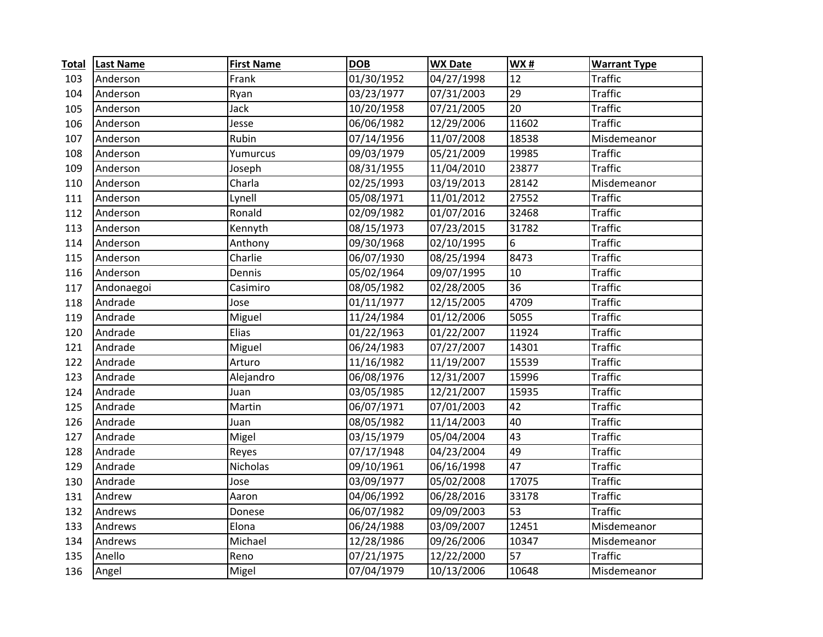| <b>Total</b> | <b>Last Name</b> | <b>First Name</b> | <b>DOB</b> | <b>WX Date</b> | WX#   | <b>Warrant Type</b> |
|--------------|------------------|-------------------|------------|----------------|-------|---------------------|
| 103          | Anderson         | Frank             | 01/30/1952 | 04/27/1998     | 12    | <b>Traffic</b>      |
| 104          | Anderson         | Ryan              | 03/23/1977 | 07/31/2003     | 29    | <b>Traffic</b>      |
| 105          | Anderson         | Jack              | 10/20/1958 | 07/21/2005     | 20    | <b>Traffic</b>      |
| 106          | Anderson         | Jesse             | 06/06/1982 | 12/29/2006     | 11602 | <b>Traffic</b>      |
| 107          | Anderson         | Rubin             | 07/14/1956 | 11/07/2008     | 18538 | Misdemeanor         |
| 108          | Anderson         | Yumurcus          | 09/03/1979 | 05/21/2009     | 19985 | <b>Traffic</b>      |
| 109          | Anderson         | Joseph            | 08/31/1955 | 11/04/2010     | 23877 | <b>Traffic</b>      |
| 110          | Anderson         | Charla            | 02/25/1993 | 03/19/2013     | 28142 | Misdemeanor         |
| 111          | Anderson         | Lynell            | 05/08/1971 | 11/01/2012     | 27552 | <b>Traffic</b>      |
| 112          | Anderson         | Ronald            | 02/09/1982 | 01/07/2016     | 32468 | <b>Traffic</b>      |
| 113          | Anderson         | Kennyth           | 08/15/1973 | 07/23/2015     | 31782 | <b>Traffic</b>      |
| 114          | Anderson         | Anthony           | 09/30/1968 | 02/10/1995     | 6     | <b>Traffic</b>      |
| 115          | Anderson         | Charlie           | 06/07/1930 | 08/25/1994     | 8473  | <b>Traffic</b>      |
| 116          | Anderson         | Dennis            | 05/02/1964 | 09/07/1995     | 10    | <b>Traffic</b>      |
| 117          | Andonaegoi       | Casimiro          | 08/05/1982 | 02/28/2005     | 36    | <b>Traffic</b>      |
| 118          | Andrade          | Jose              | 01/11/1977 | 12/15/2005     | 4709  | <b>Traffic</b>      |
| 119          | Andrade          | Miguel            | 11/24/1984 | 01/12/2006     | 5055  | <b>Traffic</b>      |
| 120          | Andrade          | Elias             | 01/22/1963 | 01/22/2007     | 11924 | <b>Traffic</b>      |
| 121          | Andrade          | Miguel            | 06/24/1983 | 07/27/2007     | 14301 | <b>Traffic</b>      |
| 122          | Andrade          | Arturo            | 11/16/1982 | 11/19/2007     | 15539 | <b>Traffic</b>      |
| 123          | Andrade          | Alejandro         | 06/08/1976 | 12/31/2007     | 15996 | <b>Traffic</b>      |
| 124          | Andrade          | Juan              | 03/05/1985 | 12/21/2007     | 15935 | <b>Traffic</b>      |
| 125          | Andrade          | Martin            | 06/07/1971 | 07/01/2003     | 42    | <b>Traffic</b>      |
| 126          | Andrade          | Juan              | 08/05/1982 | 11/14/2003     | 40    | <b>Traffic</b>      |
| 127          | Andrade          | Migel             | 03/15/1979 | 05/04/2004     | 43    | <b>Traffic</b>      |
| 128          | Andrade          | Reyes             | 07/17/1948 | 04/23/2004     | 49    | <b>Traffic</b>      |
| 129          | Andrade          | Nicholas          | 09/10/1961 | 06/16/1998     | 47    | <b>Traffic</b>      |
| 130          | Andrade          | Jose              | 03/09/1977 | 05/02/2008     | 17075 | <b>Traffic</b>      |
| 131          | Andrew           | Aaron             | 04/06/1992 | 06/28/2016     | 33178 | <b>Traffic</b>      |
| 132          | Andrews          | Donese            | 06/07/1982 | 09/09/2003     | 53    | <b>Traffic</b>      |
| 133          | Andrews          | Elona             | 06/24/1988 | 03/09/2007     | 12451 | Misdemeanor         |
| 134          | Andrews          | Michael           | 12/28/1986 | 09/26/2006     | 10347 | Misdemeanor         |
| 135          | Anello           | Reno              | 07/21/1975 | 12/22/2000     | 57    | <b>Traffic</b>      |
| 136          | Angel            | Migel             | 07/04/1979 | 10/13/2006     | 10648 | Misdemeanor         |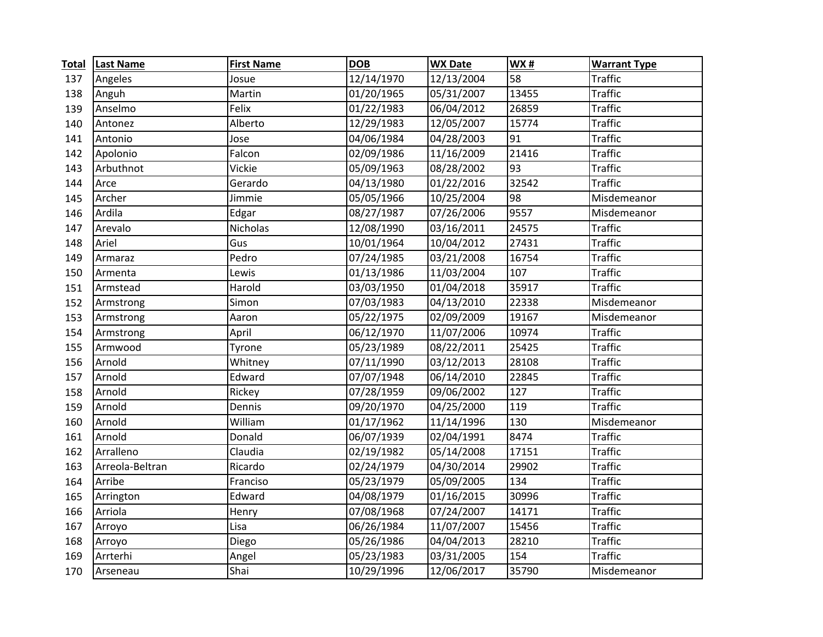| <b>Total</b> | <b>Last Name</b> | <b>First Name</b> | <b>DOB</b> | <b>WX Date</b> | <b>WX#</b>      | <b>Warrant Type</b> |
|--------------|------------------|-------------------|------------|----------------|-----------------|---------------------|
| 137          | Angeles          | Josue             | 12/14/1970 | 12/13/2004     | 58              | <b>Traffic</b>      |
| 138          | Anguh            | Martin            | 01/20/1965 | 05/31/2007     | 13455           | <b>Traffic</b>      |
| 139          | Anselmo          | Felix             | 01/22/1983 | 06/04/2012     | 26859           | <b>Traffic</b>      |
| 140          | Antonez          | Alberto           | 12/29/1983 | 12/05/2007     | 15774           | <b>Traffic</b>      |
| 141          | Antonio          | Jose              | 04/06/1984 | 04/28/2003     | 91              | <b>Traffic</b>      |
| 142          | Apolonio         | Falcon            | 02/09/1986 | 11/16/2009     | 21416           | <b>Traffic</b>      |
| 143          | Arbuthnot        | Vickie            | 05/09/1963 | 08/28/2002     | $\overline{93}$ | <b>Traffic</b>      |
| 144          | Arce             | Gerardo           | 04/13/1980 | 01/22/2016     | 32542           | <b>Traffic</b>      |
| 145          | Archer           | Jimmie            | 05/05/1966 | 10/25/2004     | 98              | Misdemeanor         |
| 146          | Ardila           | Edgar             | 08/27/1987 | 07/26/2006     | 9557            | Misdemeanor         |
| 147          | Arevalo          | Nicholas          | 12/08/1990 | 03/16/2011     | 24575           | <b>Traffic</b>      |
| 148          | Ariel            | Gus               | 10/01/1964 | 10/04/2012     | 27431           | <b>Traffic</b>      |
| 149          | Armaraz          | Pedro             | 07/24/1985 | 03/21/2008     | 16754           | <b>Traffic</b>      |
| 150          | Armenta          | Lewis             | 01/13/1986 | 11/03/2004     | 107             | <b>Traffic</b>      |
| 151          | Armstead         | Harold            | 03/03/1950 | 01/04/2018     | 35917           | <b>Traffic</b>      |
| 152          | Armstrong        | Simon             | 07/03/1983 | 04/13/2010     | 22338           | Misdemeanor         |
| 153          | Armstrong        | Aaron             | 05/22/1975 | 02/09/2009     | 19167           | Misdemeanor         |
| 154          | Armstrong        | April             | 06/12/1970 | 11/07/2006     | 10974           | <b>Traffic</b>      |
| 155          | Armwood          | Tyrone            | 05/23/1989 | 08/22/2011     | 25425           | <b>Traffic</b>      |
| 156          | Arnold           | Whitney           | 07/11/1990 | 03/12/2013     | 28108           | <b>Traffic</b>      |
| 157          | Arnold           | Edward            | 07/07/1948 | 06/14/2010     | 22845           | <b>Traffic</b>      |
| 158          | Arnold           | Rickey            | 07/28/1959 | 09/06/2002     | 127             | <b>Traffic</b>      |
| 159          | Arnold           | Dennis            | 09/20/1970 | 04/25/2000     | 119             | <b>Traffic</b>      |
| 160          | Arnold           | William           | 01/17/1962 | 11/14/1996     | 130             | Misdemeanor         |
| 161          | Arnold           | Donald            | 06/07/1939 | 02/04/1991     | 8474            | <b>Traffic</b>      |
| 162          | Arralleno        | Claudia           | 02/19/1982 | 05/14/2008     | 17151           | <b>Traffic</b>      |
| 163          | Arreola-Beltran  | Ricardo           | 02/24/1979 | 04/30/2014     | 29902           | <b>Traffic</b>      |
| 164          | Arribe           | Franciso          | 05/23/1979 | 05/09/2005     | 134             | <b>Traffic</b>      |
| 165          | Arrington        | Edward            | 04/08/1979 | 01/16/2015     | 30996           | <b>Traffic</b>      |
| 166          | Arriola          | Henry             | 07/08/1968 | 07/24/2007     | 14171           | <b>Traffic</b>      |
| 167          | Arroyo           | Lisa              | 06/26/1984 | 11/07/2007     | 15456           | <b>Traffic</b>      |
| 168          | Arroyo           | Diego             | 05/26/1986 | 04/04/2013     | 28210           | <b>Traffic</b>      |
| 169          | Arrterhi         | Angel             | 05/23/1983 | 03/31/2005     | 154             | <b>Traffic</b>      |
| 170          | Arseneau         | Shai              | 10/29/1996 | 12/06/2017     | 35790           | Misdemeanor         |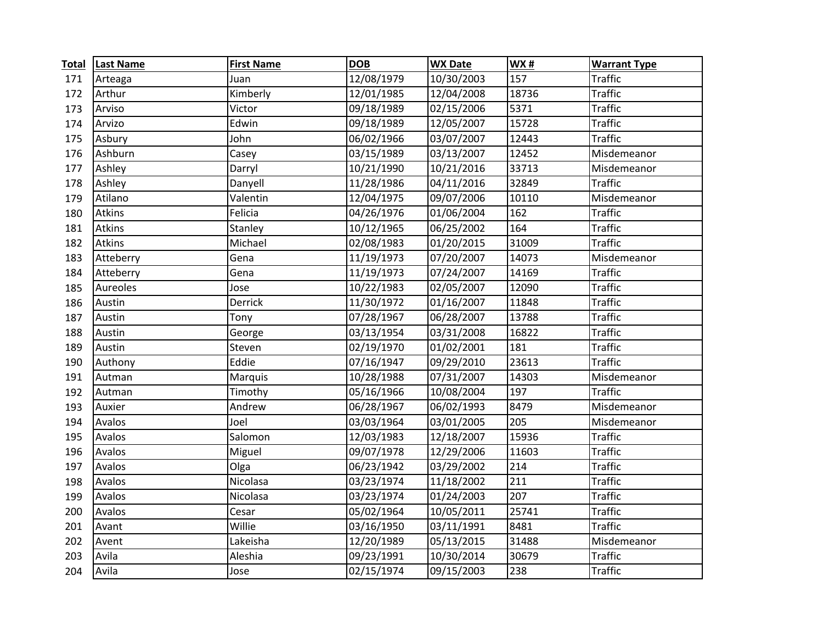| <b>Total</b> | <b>Last Name</b> | <b>First Name</b> | <b>DOB</b> | <b>WX Date</b> | <b>WX#</b> | <b>Warrant Type</b> |
|--------------|------------------|-------------------|------------|----------------|------------|---------------------|
| 171          | Arteaga          | Juan              | 12/08/1979 | 10/30/2003     | 157        | <b>Traffic</b>      |
| 172          | Arthur           | Kimberly          | 12/01/1985 | 12/04/2008     | 18736      | <b>Traffic</b>      |
| 173          | Arviso           | Victor            | 09/18/1989 | 02/15/2006     | 5371       | <b>Traffic</b>      |
| 174          | Arvizo           | Edwin             | 09/18/1989 | 12/05/2007     | 15728      | <b>Traffic</b>      |
| 175          | Asbury           | John              | 06/02/1966 | 03/07/2007     | 12443      | <b>Traffic</b>      |
| 176          | Ashburn          | Casey             | 03/15/1989 | 03/13/2007     | 12452      | Misdemeanor         |
| 177          | Ashley           | Darryl            | 10/21/1990 | 10/21/2016     | 33713      | Misdemeanor         |
| 178          | Ashley           | Danyell           | 11/28/1986 | 04/11/2016     | 32849      | <b>Traffic</b>      |
| 179          | Atilano          | Valentin          | 12/04/1975 | 09/07/2006     | 10110      | Misdemeanor         |
| 180          | <b>Atkins</b>    | Felicia           | 04/26/1976 | 01/06/2004     | 162        | <b>Traffic</b>      |
| 181          | <b>Atkins</b>    | Stanley           | 10/12/1965 | 06/25/2002     | 164        | <b>Traffic</b>      |
| 182          | <b>Atkins</b>    | Michael           | 02/08/1983 | 01/20/2015     | 31009      | <b>Traffic</b>      |
| 183          | Atteberry        | Gena              | 11/19/1973 | 07/20/2007     | 14073      | Misdemeanor         |
| 184          | Atteberry        | Gena              | 11/19/1973 | 07/24/2007     | 14169      | <b>Traffic</b>      |
| 185          | Aureoles         | Jose              | 10/22/1983 | 02/05/2007     | 12090      | <b>Traffic</b>      |
| 186          | Austin           | Derrick           | 11/30/1972 | 01/16/2007     | 11848      | <b>Traffic</b>      |
| 187          | Austin           | Tony              | 07/28/1967 | 06/28/2007     | 13788      | <b>Traffic</b>      |
| 188          | Austin           | George            | 03/13/1954 | 03/31/2008     | 16822      | <b>Traffic</b>      |
| 189          | Austin           | Steven            | 02/19/1970 | 01/02/2001     | 181        | <b>Traffic</b>      |
| 190          | Authony          | Eddie             | 07/16/1947 | 09/29/2010     | 23613      | <b>Traffic</b>      |
| 191          | Autman           | Marquis           | 10/28/1988 | 07/31/2007     | 14303      | Misdemeanor         |
| 192          | Autman           | Timothy           | 05/16/1966 | 10/08/2004     | 197        | <b>Traffic</b>      |
| 193          | Auxier           | Andrew            | 06/28/1967 | 06/02/1993     | 8479       | Misdemeanor         |
| 194          | Avalos           | Joel              | 03/03/1964 | 03/01/2005     | 205        | Misdemeanor         |
| 195          | Avalos           | Salomon           | 12/03/1983 | 12/18/2007     | 15936      | <b>Traffic</b>      |
| 196          | Avalos           | Miguel            | 09/07/1978 | 12/29/2006     | 11603      | <b>Traffic</b>      |
| 197          | Avalos           | Olga              | 06/23/1942 | 03/29/2002     | 214        | <b>Traffic</b>      |
| 198          | Avalos           | Nicolasa          | 03/23/1974 | 11/18/2002     | 211        | <b>Traffic</b>      |
| 199          | Avalos           | Nicolasa          | 03/23/1974 | 01/24/2003     | 207        | <b>Traffic</b>      |
| 200          | Avalos           | Cesar             | 05/02/1964 | 10/05/2011     | 25741      | <b>Traffic</b>      |
| 201          | Avant            | Willie            | 03/16/1950 | 03/11/1991     | 8481       | <b>Traffic</b>      |
| 202          | Avent            | Lakeisha          | 12/20/1989 | 05/13/2015     | 31488      | Misdemeanor         |
| 203          | Avila            | Aleshia           | 09/23/1991 | 10/30/2014     | 30679      | <b>Traffic</b>      |
| 204          | Avila            | Jose              | 02/15/1974 | 09/15/2003     | 238        | <b>Traffic</b>      |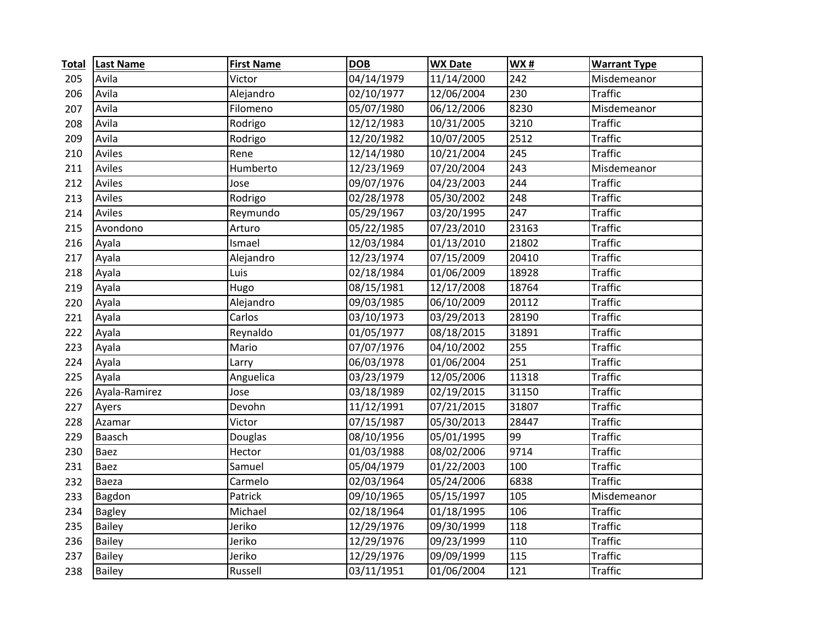| <b>Total</b> | <b>Last Name</b> | <b>First Name</b> | <b>DOB</b> | <b>WX Date</b> | <b>WX#</b> | <b>Warrant Type</b> |
|--------------|------------------|-------------------|------------|----------------|------------|---------------------|
| 205          | Avila            | Victor            | 04/14/1979 | 11/14/2000     | 242        | Misdemeanor         |
| 206          | Avila            | Alejandro         | 02/10/1977 | 12/06/2004     | 230        | <b>Traffic</b>      |
| 207          | Avila            | Filomeno          | 05/07/1980 | 06/12/2006     | 8230       | Misdemeanor         |
| 208          | Avila            | Rodrigo           | 12/12/1983 | 10/31/2005     | 3210       | <b>Traffic</b>      |
| 209          | Avila            | Rodrigo           | 12/20/1982 | 10/07/2005     | 2512       | <b>Traffic</b>      |
| 210          | Aviles           | Rene              | 12/14/1980 | 10/21/2004     | 245        | <b>Traffic</b>      |
| 211          | Aviles           | Humberto          | 12/23/1969 | 07/20/2004     | 243        | Misdemeanor         |
| 212          | Aviles           | Jose              | 09/07/1976 | 04/23/2003     | 244        | <b>Traffic</b>      |
| 213          | Aviles           | Rodrigo           | 02/28/1978 | 05/30/2002     | 248        | <b>Traffic</b>      |
| 214          | Aviles           | Reymundo          | 05/29/1967 | 03/20/1995     | 247        | <b>Traffic</b>      |
| 215          | Avondono         | Arturo            | 05/22/1985 | 07/23/2010     | 23163      | <b>Traffic</b>      |
| 216          | Ayala            | Ismael            | 12/03/1984 | 01/13/2010     | 21802      | <b>Traffic</b>      |
| 217          | Ayala            | Alejandro         | 12/23/1974 | 07/15/2009     | 20410      | <b>Traffic</b>      |
| 218          | Ayala            | Luis              | 02/18/1984 | 01/06/2009     | 18928      | <b>Traffic</b>      |
| 219          | Ayala            | Hugo              | 08/15/1981 | 12/17/2008     | 18764      | <b>Traffic</b>      |
| 220          | Ayala            | Alejandro         | 09/03/1985 | 06/10/2009     | 20112      | <b>Traffic</b>      |
| 221          | Ayala            | Carlos            | 03/10/1973 | 03/29/2013     | 28190      | <b>Traffic</b>      |
| 222          | Ayala            | Reynaldo          | 01/05/1977 | 08/18/2015     | 31891      | <b>Traffic</b>      |
| 223          | Ayala            | Mario             | 07/07/1976 | 04/10/2002     | 255        | <b>Traffic</b>      |
| 224          | Ayala            | Larry             | 06/03/1978 | 01/06/2004     | 251        | <b>Traffic</b>      |
| 225          | Ayala            | Anguelica         | 03/23/1979 | 12/05/2006     | 11318      | <b>Traffic</b>      |
| 226          | Ayala-Ramirez    | Jose              | 03/18/1989 | 02/19/2015     | 31150      | <b>Traffic</b>      |
| 227          | Ayers            | Devohn            | 11/12/1991 | 07/21/2015     | 31807      | <b>Traffic</b>      |
| 228          | Azamar           | Victor            | 07/15/1987 | 05/30/2013     | 28447      | <b>Traffic</b>      |
| 229          | Baasch           | Douglas           | 08/10/1956 | 05/01/1995     | 99         | <b>Traffic</b>      |
| 230          | <b>Baez</b>      | Hector            | 01/03/1988 | 08/02/2006     | 9714       | <b>Traffic</b>      |
| 231          | <b>Baez</b>      | Samuel            | 05/04/1979 | 01/22/2003     | 100        | <b>Traffic</b>      |
| 232          | Baeza            | Carmelo           | 02/03/1964 | 05/24/2006     | 6838       | <b>Traffic</b>      |
| 233          | Bagdon           | Patrick           | 09/10/1965 | 05/15/1997     | 105        | Misdemeanor         |
| 234          | <b>Bagley</b>    | Michael           | 02/18/1964 | 01/18/1995     | 106        | <b>Traffic</b>      |
| 235          | <b>Bailey</b>    | Jeriko            | 12/29/1976 | 09/30/1999     | 118        | <b>Traffic</b>      |
| 236          | Bailey           | Jeriko            | 12/29/1976 | 09/23/1999     | 110        | <b>Traffic</b>      |
| 237          | <b>Bailey</b>    | Jeriko            | 12/29/1976 | 09/09/1999     | 115        | <b>Traffic</b>      |
| 238          | <b>Bailey</b>    | Russell           | 03/11/1951 | 01/06/2004     | 121        | <b>Traffic</b>      |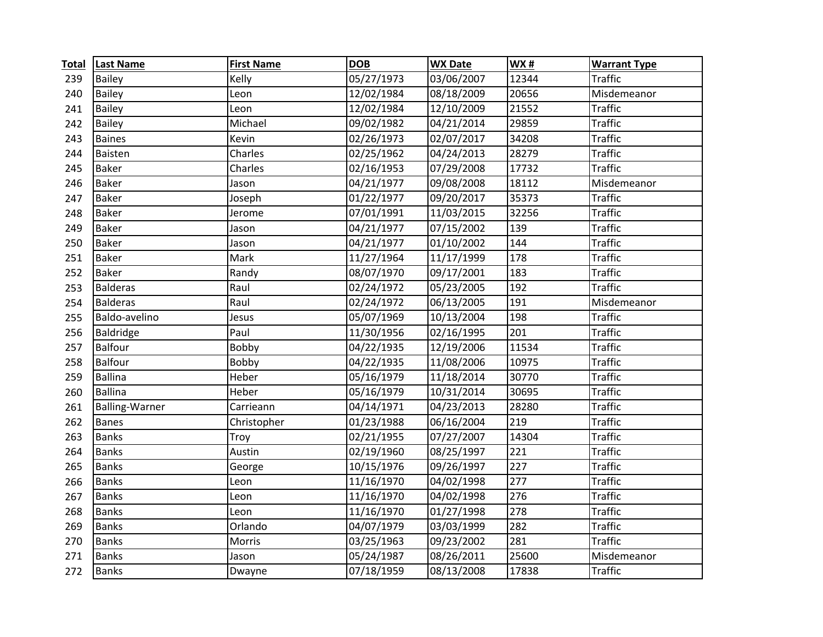| <b>Total</b> | <b>Last Name</b>      | <b>First Name</b> | <b>DOB</b> | <b>WX Date</b> | WX#              | <b>Warrant Type</b> |
|--------------|-----------------------|-------------------|------------|----------------|------------------|---------------------|
| 239          | <b>Bailey</b>         | Kelly             | 05/27/1973 | 03/06/2007     | 12344            | <b>Traffic</b>      |
| 240          | <b>Bailey</b>         | Leon              | 12/02/1984 | 08/18/2009     | 20656            | Misdemeanor         |
| 241          | <b>Bailey</b>         | Leon              | 12/02/1984 | 12/10/2009     | 21552            | <b>Traffic</b>      |
| 242          | Bailey                | Michael           | 09/02/1982 | 04/21/2014     | 29859            | <b>Traffic</b>      |
| 243          | <b>Baines</b>         | Kevin             | 02/26/1973 | 02/07/2017     | 34208            | <b>Traffic</b>      |
| 244          | Baisten               | Charles           | 02/25/1962 | 04/24/2013     | 28279            | <b>Traffic</b>      |
| 245          | <b>Baker</b>          | Charles           | 02/16/1953 | 07/29/2008     | 17732            | <b>Traffic</b>      |
| 246          | <b>Baker</b>          | Jason             | 04/21/1977 | 09/08/2008     | 18112            | Misdemeanor         |
| 247          | <b>Baker</b>          | Joseph            | 01/22/1977 | 09/20/2017     | 35373            | <b>Traffic</b>      |
| 248          | <b>Baker</b>          | Jerome            | 07/01/1991 | 11/03/2015     | 32256            | <b>Traffic</b>      |
| 249          | <b>Baker</b>          | Jason             | 04/21/1977 | 07/15/2002     | 139              | <b>Traffic</b>      |
| 250          | <b>Baker</b>          | Jason             | 04/21/1977 | 01/10/2002     | 144              | <b>Traffic</b>      |
| 251          | <b>Baker</b>          | Mark              | 11/27/1964 | 11/17/1999     | 178              | <b>Traffic</b>      |
| 252          | <b>Baker</b>          | Randy             | 08/07/1970 | 09/17/2001     | 183              | <b>Traffic</b>      |
| 253          | <b>Balderas</b>       | Raul              | 02/24/1972 | 05/23/2005     | 192              | <b>Traffic</b>      |
| 254          | <b>Balderas</b>       | Raul              | 02/24/1972 | 06/13/2005     | 191              | Misdemeanor         |
| 255          | Baldo-avelino         | Jesus             | 05/07/1969 | 10/13/2004     | 198              | <b>Traffic</b>      |
| 256          | Baldridge             | Paul              | 11/30/1956 | 02/16/1995     | 201              | <b>Traffic</b>      |
| 257          | Balfour               | Bobby             | 04/22/1935 | 12/19/2006     | 11534            | <b>Traffic</b>      |
| 258          | <b>Balfour</b>        | Bobby             | 04/22/1935 | 11/08/2006     | 10975            | <b>Traffic</b>      |
| 259          | Ballina               | Heber             | 05/16/1979 | 11/18/2014     | 30770            | <b>Traffic</b>      |
| 260          | Ballina               | Heber             | 05/16/1979 | 10/31/2014     | 30695            | <b>Traffic</b>      |
| 261          | <b>Balling-Warner</b> | Carrieann         | 04/14/1971 | 04/23/2013     | 28280            | <b>Traffic</b>      |
| 262          | <b>Banes</b>          | Christopher       | 01/23/1988 | 06/16/2004     | 219              | <b>Traffic</b>      |
| 263          | <b>Banks</b>          | Troy              | 02/21/1955 | 07/27/2007     | 14304            | <b>Traffic</b>      |
| 264          | <b>Banks</b>          | Austin            | 02/19/1960 | 08/25/1997     | 221              | <b>Traffic</b>      |
| 265          | <b>Banks</b>          | George            | 10/15/1976 | 09/26/1997     | $\overline{227}$ | <b>Traffic</b>      |
| 266          | <b>Banks</b>          | Leon              | 11/16/1970 | 04/02/1998     | $\overline{277}$ | <b>Traffic</b>      |
| 267          | <b>Banks</b>          | Leon              | 11/16/1970 | 04/02/1998     | 276              | <b>Traffic</b>      |
| 268          | <b>Banks</b>          | Leon              | 11/16/1970 | 01/27/1998     | 278              | <b>Traffic</b>      |
| 269          | <b>Banks</b>          | Orlando           | 04/07/1979 | 03/03/1999     | 282              | <b>Traffic</b>      |
| 270          | <b>Banks</b>          | Morris            | 03/25/1963 | 09/23/2002     | 281              | <b>Traffic</b>      |
| 271          | <b>Banks</b>          | Jason             | 05/24/1987 | 08/26/2011     | 25600            | Misdemeanor         |
| 272          | <b>Banks</b>          | Dwayne            | 07/18/1959 | 08/13/2008     | 17838            | <b>Traffic</b>      |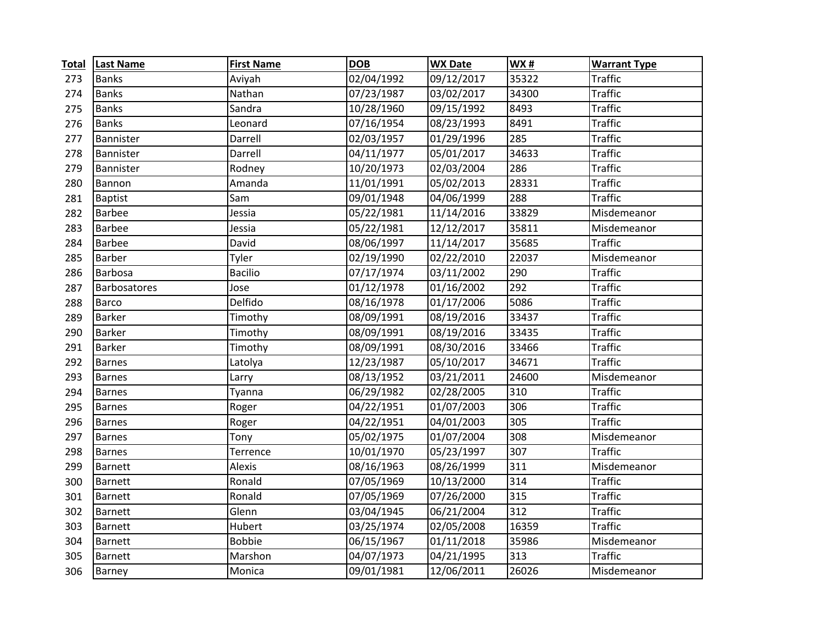| <b>Total</b> | <b>Last Name</b> | <b>First Name</b> | <b>DOB</b> | <b>WX Date</b> | WX#   | <b>Warrant Type</b> |
|--------------|------------------|-------------------|------------|----------------|-------|---------------------|
| 273          | <b>Banks</b>     | Aviyah            | 02/04/1992 | 09/12/2017     | 35322 | <b>Traffic</b>      |
| 274          | <b>Banks</b>     | Nathan            | 07/23/1987 | 03/02/2017     | 34300 | <b>Traffic</b>      |
| 275          | <b>Banks</b>     | Sandra            | 10/28/1960 | 09/15/1992     | 8493  | <b>Traffic</b>      |
| 276          | <b>Banks</b>     | Leonard           | 07/16/1954 | 08/23/1993     | 8491  | <b>Traffic</b>      |
| 277          | Bannister        | Darrell           | 02/03/1957 | 01/29/1996     | 285   | <b>Traffic</b>      |
| 278          | Bannister        | Darrell           | 04/11/1977 | 05/01/2017     | 34633 | <b>Traffic</b>      |
| 279          | Bannister        | Rodney            | 10/20/1973 | 02/03/2004     | 286   | <b>Traffic</b>      |
| 280          | Bannon           | Amanda            | 11/01/1991 | 05/02/2013     | 28331 | <b>Traffic</b>      |
| 281          | <b>Baptist</b>   | Sam               | 09/01/1948 | 04/06/1999     | 288   | <b>Traffic</b>      |
| 282          | <b>Barbee</b>    | Jessia            | 05/22/1981 | 11/14/2016     | 33829 | Misdemeanor         |
| 283          | <b>Barbee</b>    | Jessia            | 05/22/1981 | 12/12/2017     | 35811 | Misdemeanor         |
| 284          | <b>Barbee</b>    | David             | 08/06/1997 | 11/14/2017     | 35685 | <b>Traffic</b>      |
| 285          | Barber           | Tyler             | 02/19/1990 | 02/22/2010     | 22037 | Misdemeanor         |
| 286          | Barbosa          | <b>Bacilio</b>    | 07/17/1974 | 03/11/2002     | 290   | <b>Traffic</b>      |
| 287          | Barbosatores     | Jose              | 01/12/1978 | 01/16/2002     | 292   | <b>Traffic</b>      |
| 288          | Barco            | Delfido           | 08/16/1978 | 01/17/2006     | 5086  | <b>Traffic</b>      |
| 289          | Barker           | Timothy           | 08/09/1991 | 08/19/2016     | 33437 | <b>Traffic</b>      |
| 290          | Barker           | Timothy           | 08/09/1991 | 08/19/2016     | 33435 | <b>Traffic</b>      |
| 291          | Barker           | Timothy           | 08/09/1991 | 08/30/2016     | 33466 | <b>Traffic</b>      |
| 292          | <b>Barnes</b>    | Latolya           | 12/23/1987 | 05/10/2017     | 34671 | <b>Traffic</b>      |
| 293          | <b>Barnes</b>    | Larry             | 08/13/1952 | 03/21/2011     | 24600 | Misdemeanor         |
| 294          | <b>Barnes</b>    | Tyanna            | 06/29/1982 | 02/28/2005     | 310   | <b>Traffic</b>      |
| 295          | <b>Barnes</b>    | Roger             | 04/22/1951 | 01/07/2003     | 306   | <b>Traffic</b>      |
| 296          | <b>Barnes</b>    | Roger             | 04/22/1951 | 04/01/2003     | 305   | <b>Traffic</b>      |
| 297          | <b>Barnes</b>    | Tony              | 05/02/1975 | 01/07/2004     | 308   | Misdemeanor         |
| 298          | <b>Barnes</b>    | Terrence          | 10/01/1970 | 05/23/1997     | 307   | <b>Traffic</b>      |
| 299          | <b>Barnett</b>   | Alexis            | 08/16/1963 | 08/26/1999     | 311   | Misdemeanor         |
| 300          | <b>Barnett</b>   | Ronald            | 07/05/1969 | 10/13/2000     | 314   | <b>Traffic</b>      |
| 301          | <b>Barnett</b>   | Ronald            | 07/05/1969 | 07/26/2000     | 315   | <b>Traffic</b>      |
| 302          | <b>Barnett</b>   | Glenn             | 03/04/1945 | 06/21/2004     | 312   | <b>Traffic</b>      |
| 303          | <b>Barnett</b>   | Hubert            | 03/25/1974 | 02/05/2008     | 16359 | <b>Traffic</b>      |
| 304          | <b>Barnett</b>   | <b>Bobbie</b>     | 06/15/1967 | 01/11/2018     | 35986 | Misdemeanor         |
| 305          | <b>Barnett</b>   | Marshon           | 04/07/1973 | 04/21/1995     | 313   | <b>Traffic</b>      |
| 306          | <b>Barney</b>    | Monica            | 09/01/1981 | 12/06/2011     | 26026 | Misdemeanor         |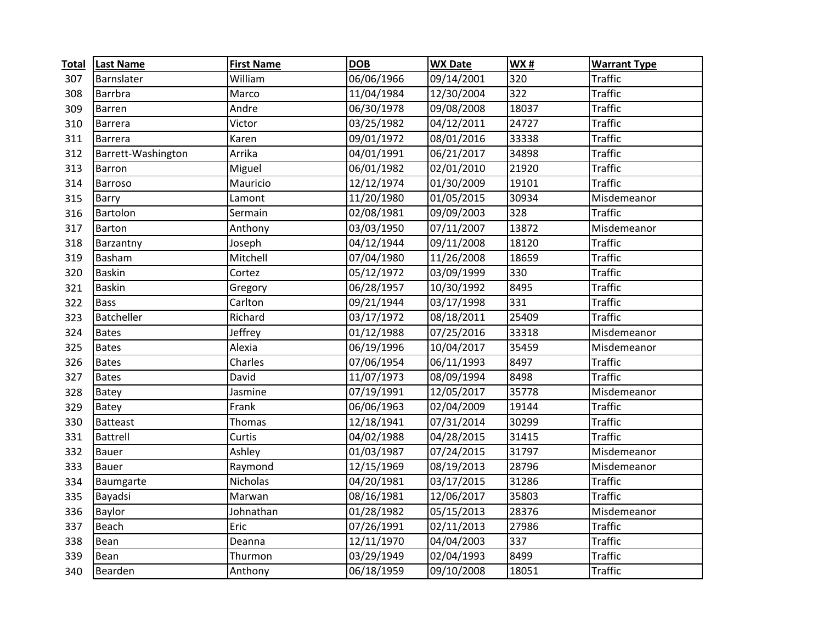| <b>Total</b> | <b>Last Name</b>   | <b>First Name</b> | <b>DOB</b> | <b>WX Date</b> | <b>WX#</b> | <b>Warrant Type</b> |
|--------------|--------------------|-------------------|------------|----------------|------------|---------------------|
| 307          | Barnslater         | William           | 06/06/1966 | 09/14/2001     | 320        | <b>Traffic</b>      |
| 308          | Barrbra            | Marco             | 11/04/1984 | 12/30/2004     | 322        | <b>Traffic</b>      |
| 309          | Barren             | Andre             | 06/30/1978 | 09/08/2008     | 18037      | <b>Traffic</b>      |
| 310          | Barrera            | Victor            | 03/25/1982 | 04/12/2011     | 24727      | <b>Traffic</b>      |
| 311          | Barrera            | Karen             | 09/01/1972 | 08/01/2016     | 33338      | <b>Traffic</b>      |
| 312          | Barrett-Washington | Arrika            | 04/01/1991 | 06/21/2017     | 34898      | <b>Traffic</b>      |
| 313          | Barron             | Miguel            | 06/01/1982 | 02/01/2010     | 21920      | <b>Traffic</b>      |
| 314          | Barroso            | Mauricio          | 12/12/1974 | 01/30/2009     | 19101      | <b>Traffic</b>      |
| 315          | <b>Barry</b>       | Lamont            | 11/20/1980 | 01/05/2015     | 30934      | Misdemeanor         |
| 316          | Bartolon           | Sermain           | 02/08/1981 | 09/09/2003     | 328        | <b>Traffic</b>      |
| 317          | <b>Barton</b>      | Anthony           | 03/03/1950 | 07/11/2007     | 13872      | Misdemeanor         |
| 318          | Barzantny          | Joseph            | 04/12/1944 | 09/11/2008     | 18120      | <b>Traffic</b>      |
| 319          | Basham             | Mitchell          | 07/04/1980 | 11/26/2008     | 18659      | <b>Traffic</b>      |
| 320          | <b>Baskin</b>      | Cortez            | 05/12/1972 | 03/09/1999     | 330        | <b>Traffic</b>      |
| 321          | <b>Baskin</b>      | Gregory           | 06/28/1957 | 10/30/1992     | 8495       | <b>Traffic</b>      |
| 322          | <b>Bass</b>        | Carlton           | 09/21/1944 | 03/17/1998     | 331        | <b>Traffic</b>      |
| 323          | <b>Batcheller</b>  | Richard           | 03/17/1972 | 08/18/2011     | 25409      | <b>Traffic</b>      |
| 324          | <b>Bates</b>       | Jeffrey           | 01/12/1988 | 07/25/2016     | 33318      | Misdemeanor         |
| 325          | <b>Bates</b>       | Alexia            | 06/19/1996 | 10/04/2017     | 35459      | Misdemeanor         |
| 326          | <b>Bates</b>       | Charles           | 07/06/1954 | 06/11/1993     | 8497       | <b>Traffic</b>      |
| 327          | <b>Bates</b>       | David             | 11/07/1973 | 08/09/1994     | 8498       | <b>Traffic</b>      |
| 328          | Batey              | Jasmine           | 07/19/1991 | 12/05/2017     | 35778      | Misdemeanor         |
| 329          | Batey              | Frank             | 06/06/1963 | 02/04/2009     | 19144      | <b>Traffic</b>      |
| 330          | <b>Batteast</b>    | Thomas            | 12/18/1941 | 07/31/2014     | 30299      | <b>Traffic</b>      |
| 331          | Battrell           | Curtis            | 04/02/1988 | 04/28/2015     | 31415      | <b>Traffic</b>      |
| 332          | <b>Bauer</b>       | Ashley            | 01/03/1987 | 07/24/2015     | 31797      | Misdemeanor         |
| 333          | <b>Bauer</b>       | Raymond           | 12/15/1969 | 08/19/2013     | 28796      | Misdemeanor         |
| 334          | Baumgarte          | Nicholas          | 04/20/1981 | 03/17/2015     | 31286      | <b>Traffic</b>      |
| 335          | Bayadsi            | Marwan            | 08/16/1981 | 12/06/2017     | 35803      | <b>Traffic</b>      |
| 336          | Baylor             | Johnathan         | 01/28/1982 | 05/15/2013     | 28376      | Misdemeanor         |
| 337          | Beach              | Eric              | 07/26/1991 | 02/11/2013     | 27986      | <b>Traffic</b>      |
| 338          | Bean               | Deanna            | 12/11/1970 | 04/04/2003     | 337        | <b>Traffic</b>      |
| 339          | Bean               | Thurmon           | 03/29/1949 | 02/04/1993     | 8499       | <b>Traffic</b>      |
| 340          | Bearden            | Anthony           | 06/18/1959 | 09/10/2008     | 18051      | <b>Traffic</b>      |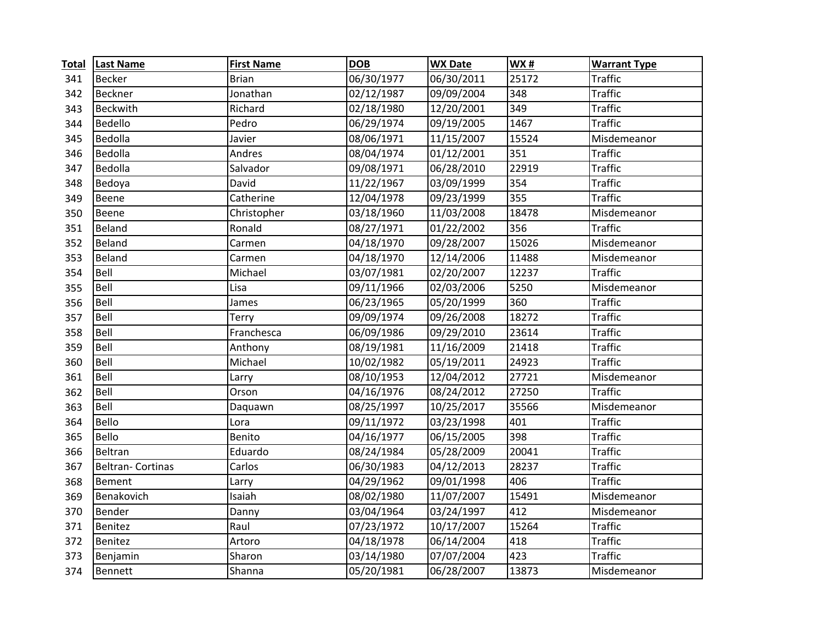| <b>Total</b> | <b>Last Name</b>        | <b>First Name</b> | <b>DOB</b> | <b>WX Date</b> | WX#   | <b>Warrant Type</b> |
|--------------|-------------------------|-------------------|------------|----------------|-------|---------------------|
| 341          | Becker                  | <b>Brian</b>      | 06/30/1977 | 06/30/2011     | 25172 | <b>Traffic</b>      |
| 342          | Beckner                 | Jonathan          | 02/12/1987 | 09/09/2004     | 348   | <b>Traffic</b>      |
| 343          | <b>Beckwith</b>         | Richard           | 02/18/1980 | 12/20/2001     | 349   | <b>Traffic</b>      |
| 344          | Bedello                 | Pedro             | 06/29/1974 | 09/19/2005     | 1467  | <b>Traffic</b>      |
| 345          | Bedolla                 | Javier            | 08/06/1971 | 11/15/2007     | 15524 | Misdemeanor         |
| 346          | Bedolla                 | Andres            | 08/04/1974 | 01/12/2001     | 351   | <b>Traffic</b>      |
| 347          | Bedolla                 | Salvador          | 09/08/1971 | 06/28/2010     | 22919 | <b>Traffic</b>      |
| 348          | Bedoya                  | David             | 11/22/1967 | 03/09/1999     | 354   | <b>Traffic</b>      |
| 349          | Beene                   | Catherine         | 12/04/1978 | 09/23/1999     | 355   | <b>Traffic</b>      |
| 350          | Beene                   | Christopher       | 03/18/1960 | 11/03/2008     | 18478 | Misdemeanor         |
| 351          | Beland                  | Ronald            | 08/27/1971 | 01/22/2002     | 356   | <b>Traffic</b>      |
| 352          | Beland                  | Carmen            | 04/18/1970 | 09/28/2007     | 15026 | Misdemeanor         |
| 353          | Beland                  | Carmen            | 04/18/1970 | 12/14/2006     | 11488 | Misdemeanor         |
| 354          | Bell                    | Michael           | 03/07/1981 | 02/20/2007     | 12237 | <b>Traffic</b>      |
| 355          | Bell                    | Lisa              | 09/11/1966 | 02/03/2006     | 5250  | Misdemeanor         |
| 356          | Bell                    | James             | 06/23/1965 | 05/20/1999     | 360   | <b>Traffic</b>      |
| 357          | Bell                    | Terry             | 09/09/1974 | 09/26/2008     | 18272 | <b>Traffic</b>      |
| 358          | Bell                    | Franchesca        | 06/09/1986 | 09/29/2010     | 23614 | <b>Traffic</b>      |
| 359          | Bell                    | Anthony           | 08/19/1981 | 11/16/2009     | 21418 | <b>Traffic</b>      |
| 360          | Bell                    | Michael           | 10/02/1982 | 05/19/2011     | 24923 | <b>Traffic</b>      |
| 361          | Bell                    | Larry             | 08/10/1953 | 12/04/2012     | 27721 | Misdemeanor         |
| 362          | Bell                    | Orson             | 04/16/1976 | 08/24/2012     | 27250 | <b>Traffic</b>      |
| 363          | Bell                    | Daquawn           | 08/25/1997 | 10/25/2017     | 35566 | Misdemeanor         |
| 364          | Bello                   | Lora              | 09/11/1972 | 03/23/1998     | 401   | <b>Traffic</b>      |
| 365          | <b>Bello</b>            | Benito            | 04/16/1977 | 06/15/2005     | 398   | <b>Traffic</b>      |
| 366          | <b>Beltran</b>          | Eduardo           | 08/24/1984 | 05/28/2009     | 20041 | <b>Traffic</b>      |
| 367          | <b>Beltran-Cortinas</b> | Carlos            | 06/30/1983 | 04/12/2013     | 28237 | <b>Traffic</b>      |
| 368          | Bement                  | Larry             | 04/29/1962 | 09/01/1998     | 406   | <b>Traffic</b>      |
| 369          | Benakovich              | Isaiah            | 08/02/1980 | 11/07/2007     | 15491 | Misdemeanor         |
| 370          | Bender                  | Danny             | 03/04/1964 | 03/24/1997     | 412   | Misdemeanor         |
| 371          | Benitez                 | Raul              | 07/23/1972 | 10/17/2007     | 15264 | <b>Traffic</b>      |
| 372          | Benitez                 | Artoro            | 04/18/1978 | 06/14/2004     | 418   | <b>Traffic</b>      |
| 373          | Benjamin                | Sharon            | 03/14/1980 | 07/07/2004     | 423   | <b>Traffic</b>      |
| 374          | Bennett                 | Shanna            | 05/20/1981 | 06/28/2007     | 13873 | Misdemeanor         |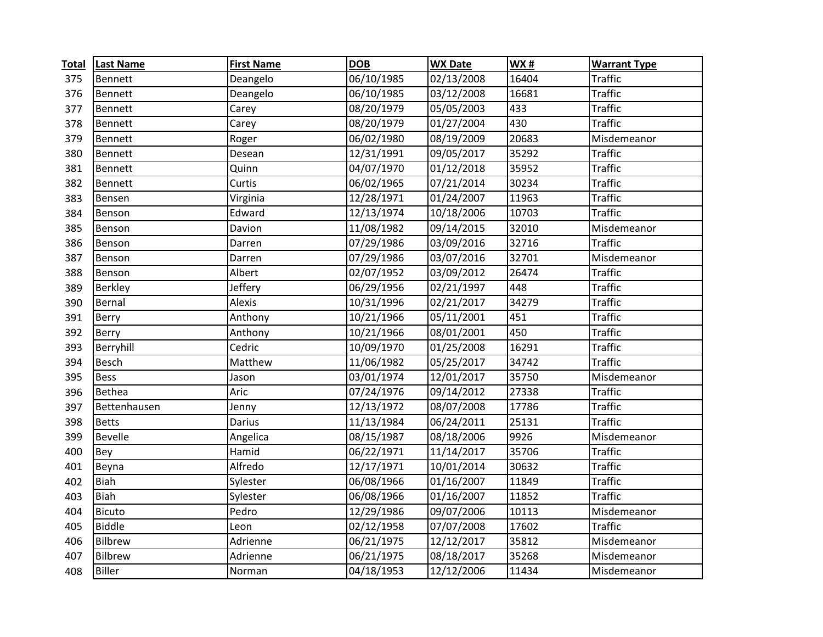| <b>Total</b> | <b>Last Name</b> | <b>First Name</b> | <b>DOB</b> | <b>WX Date</b> | WX#   | <b>Warrant Type</b> |
|--------------|------------------|-------------------|------------|----------------|-------|---------------------|
| 375          | Bennett          | Deangelo          | 06/10/1985 | 02/13/2008     | 16404 | <b>Traffic</b>      |
| 376          | Bennett          | Deangelo          | 06/10/1985 | 03/12/2008     | 16681 | <b>Traffic</b>      |
| 377          | Bennett          | Carey             | 08/20/1979 | 05/05/2003     | 433   | <b>Traffic</b>      |
| 378          | Bennett          | Carey             | 08/20/1979 | 01/27/2004     | 430   | <b>Traffic</b>      |
| 379          | Bennett          | Roger             | 06/02/1980 | 08/19/2009     | 20683 | Misdemeanor         |
| 380          | Bennett          | Desean            | 12/31/1991 | 09/05/2017     | 35292 | <b>Traffic</b>      |
| 381          | Bennett          | Quinn             | 04/07/1970 | 01/12/2018     | 35952 | <b>Traffic</b>      |
| 382          | Bennett          | Curtis            | 06/02/1965 | 07/21/2014     | 30234 | <b>Traffic</b>      |
| 383          | Bensen           | Virginia          | 12/28/1971 | 01/24/2007     | 11963 | <b>Traffic</b>      |
| 384          | Benson           | Edward            | 12/13/1974 | 10/18/2006     | 10703 | <b>Traffic</b>      |
| 385          | Benson           | Davion            | 11/08/1982 | 09/14/2015     | 32010 | Misdemeanor         |
| 386          | Benson           | Darren            | 07/29/1986 | 03/09/2016     | 32716 | <b>Traffic</b>      |
| 387          | Benson           | Darren            | 07/29/1986 | 03/07/2016     | 32701 | Misdemeanor         |
| 388          | Benson           | Albert            | 02/07/1952 | 03/09/2012     | 26474 | <b>Traffic</b>      |
| 389          | Berkley          | Jeffery           | 06/29/1956 | 02/21/1997     | 448   | <b>Traffic</b>      |
| 390          | Bernal           | Alexis            | 10/31/1996 | 02/21/2017     | 34279 | <b>Traffic</b>      |
| 391          | Berry            | Anthony           | 10/21/1966 | 05/11/2001     | 451   | <b>Traffic</b>      |
| 392          | Berry            | Anthony           | 10/21/1966 | 08/01/2001     | 450   | <b>Traffic</b>      |
| 393          | Berryhill        | Cedric            | 10/09/1970 | 01/25/2008     | 16291 | <b>Traffic</b>      |
| 394          | Besch            | Matthew           | 11/06/1982 | 05/25/2017     | 34742 | <b>Traffic</b>      |
| 395          | <b>Bess</b>      | Jason             | 03/01/1974 | 12/01/2017     | 35750 | Misdemeanor         |
| 396          | Bethea           | Aric              | 07/24/1976 | 09/14/2012     | 27338 | <b>Traffic</b>      |
| 397          | Bettenhausen     | Jenny             | 12/13/1972 | 08/07/2008     | 17786 | <b>Traffic</b>      |
| 398          | <b>Betts</b>     | Darius            | 11/13/1984 | 06/24/2011     | 25131 | <b>Traffic</b>      |
| 399          | <b>Bevelle</b>   | Angelica          | 08/15/1987 | 08/18/2006     | 9926  | Misdemeanor         |
| 400          | Bey              | Hamid             | 06/22/1971 | 11/14/2017     | 35706 | <b>Traffic</b>      |
| 401          | Beyna            | Alfredo           | 12/17/1971 | 10/01/2014     | 30632 | <b>Traffic</b>      |
| 402          | Biah             | Sylester          | 06/08/1966 | 01/16/2007     | 11849 | <b>Traffic</b>      |
| 403          | <b>Biah</b>      | Sylester          | 06/08/1966 | 01/16/2007     | 11852 | <b>Traffic</b>      |
| 404          | <b>Bicuto</b>    | Pedro             | 12/29/1986 | 09/07/2006     | 10113 | Misdemeanor         |
| 405          | <b>Biddle</b>    | Leon              | 02/12/1958 | 07/07/2008     | 17602 | <b>Traffic</b>      |
| 406          | Bilbrew          | Adrienne          | 06/21/1975 | 12/12/2017     | 35812 | Misdemeanor         |
| 407          | Bilbrew          | Adrienne          | 06/21/1975 | 08/18/2017     | 35268 | Misdemeanor         |
| 408          | <b>Biller</b>    | Norman            | 04/18/1953 | 12/12/2006     | 11434 | Misdemeanor         |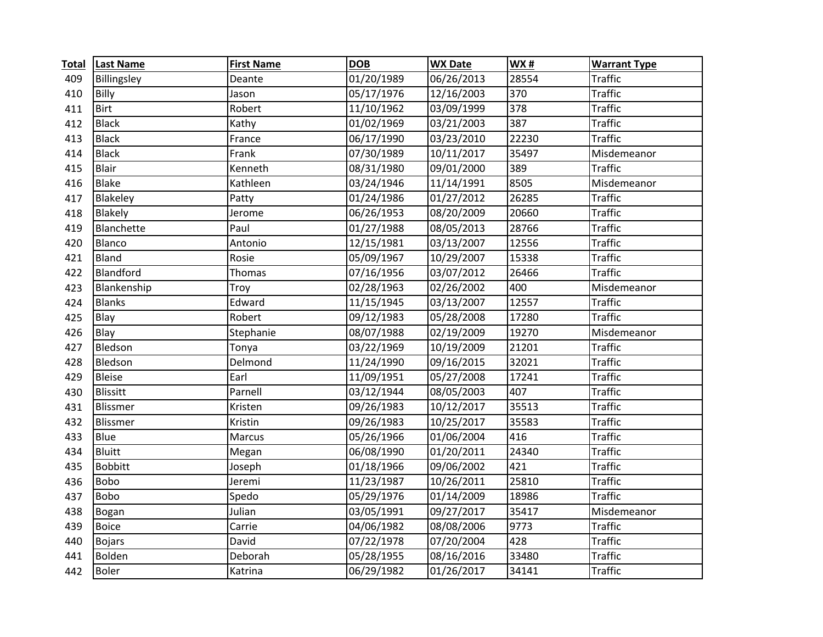| <b>Total</b> | <b>Last Name</b> | <b>First Name</b> | <b>DOB</b> | <b>WX Date</b> | <b>WX#</b> | <b>Warrant Type</b> |
|--------------|------------------|-------------------|------------|----------------|------------|---------------------|
| 409          | Billingsley      | Deante            | 01/20/1989 | 06/26/2013     | 28554      | <b>Traffic</b>      |
| 410          | Billy            | Jason             | 05/17/1976 | 12/16/2003     | 370        | <b>Traffic</b>      |
| 411          | <b>Birt</b>      | Robert            | 11/10/1962 | 03/09/1999     | 378        | <b>Traffic</b>      |
| 412          | <b>Black</b>     | Kathy             | 01/02/1969 | 03/21/2003     | 387        | <b>Traffic</b>      |
| 413          | <b>Black</b>     | France            | 06/17/1990 | 03/23/2010     | 22230      | <b>Traffic</b>      |
| 414          | <b>Black</b>     | Frank             | 07/30/1989 | 10/11/2017     | 35497      | Misdemeanor         |
| 415          | <b>Blair</b>     | Kenneth           | 08/31/1980 | 09/01/2000     | 389        | <b>Traffic</b>      |
| 416          | <b>Blake</b>     | Kathleen          | 03/24/1946 | 11/14/1991     | 8505       | Misdemeanor         |
| 417          | Blakeley         | Patty             | 01/24/1986 | 01/27/2012     | 26285      | <b>Traffic</b>      |
| 418          | Blakely          | Jerome            | 06/26/1953 | 08/20/2009     | 20660      | <b>Traffic</b>      |
| 419          | Blanchette       | Paul              | 01/27/1988 | 08/05/2013     | 28766      | <b>Traffic</b>      |
| 420          | Blanco           | Antonio           | 12/15/1981 | 03/13/2007     | 12556      | <b>Traffic</b>      |
| 421          | <b>Bland</b>     | Rosie             | 05/09/1967 | 10/29/2007     | 15338      | <b>Traffic</b>      |
| 422          | Blandford        | Thomas            | 07/16/1956 | 03/07/2012     | 26466      | <b>Traffic</b>      |
| 423          | Blankenship      | Troy              | 02/28/1963 | 02/26/2002     | 400        | Misdemeanor         |
| 424          | <b>Blanks</b>    | Edward            | 11/15/1945 | 03/13/2007     | 12557      | <b>Traffic</b>      |
| 425          | Blay             | Robert            | 09/12/1983 | 05/28/2008     | 17280      | <b>Traffic</b>      |
| 426          | Blay             | Stephanie         | 08/07/1988 | 02/19/2009     | 19270      | Misdemeanor         |
| 427          | Bledson          | Tonya             | 03/22/1969 | 10/19/2009     | 21201      | <b>Traffic</b>      |
| 428          | Bledson          | Delmond           | 11/24/1990 | 09/16/2015     | 32021      | <b>Traffic</b>      |
| 429          | <b>Bleise</b>    | Earl              | 11/09/1951 | 05/27/2008     | 17241      | <b>Traffic</b>      |
| 430          | <b>Blissitt</b>  | Parnell           | 03/12/1944 | 08/05/2003     | 407        | <b>Traffic</b>      |
| 431          | Blissmer         | Kristen           | 09/26/1983 | 10/12/2017     | 35513      | <b>Traffic</b>      |
| 432          | Blissmer         | Kristin           | 09/26/1983 | 10/25/2017     | 35583      | <b>Traffic</b>      |
| 433          | Blue             | <b>Marcus</b>     | 05/26/1966 | 01/06/2004     | 416        | <b>Traffic</b>      |
| 434          | <b>Bluitt</b>    | Megan             | 06/08/1990 | 01/20/2011     | 24340      | <b>Traffic</b>      |
| 435          | <b>Bobbitt</b>   | Joseph            | 01/18/1966 | 09/06/2002     | 421        | <b>Traffic</b>      |
| 436          | <b>Bobo</b>      | Jeremi            | 11/23/1987 | 10/26/2011     | 25810      | <b>Traffic</b>      |
| 437          | <b>Bobo</b>      | Spedo             | 05/29/1976 | 01/14/2009     | 18986      | <b>Traffic</b>      |
| 438          | Bogan            | Julian            | 03/05/1991 | 09/27/2017     | 35417      | Misdemeanor         |
| 439          | <b>Boice</b>     | Carrie            | 04/06/1982 | 08/08/2006     | 9773       | <b>Traffic</b>      |
| 440          | <b>Bojars</b>    | David             | 07/22/1978 | 07/20/2004     | 428        | <b>Traffic</b>      |
| 441          | Bolden           | Deborah           | 05/28/1955 | 08/16/2016     | 33480      | <b>Traffic</b>      |
| 442          | <b>Boler</b>     | Katrina           | 06/29/1982 | 01/26/2017     | 34141      | <b>Traffic</b>      |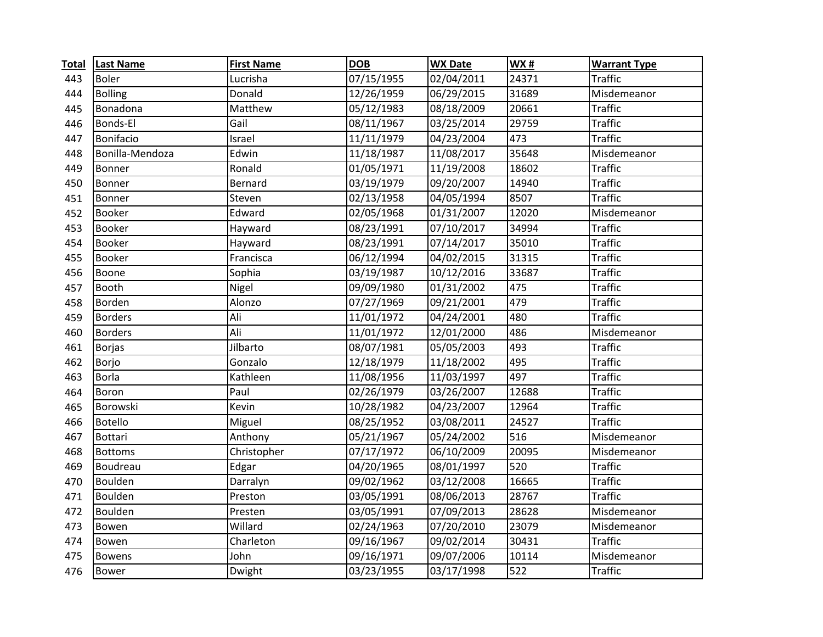| <b>Total</b> | <b>Last Name</b> | <b>First Name</b> | <b>DOB</b> | <b>WX Date</b> | <b>WX#</b> | <b>Warrant Type</b> |
|--------------|------------------|-------------------|------------|----------------|------------|---------------------|
| 443          | <b>Boler</b>     | Lucrisha          | 07/15/1955 | 02/04/2011     | 24371      | <b>Traffic</b>      |
| 444          | <b>Bolling</b>   | Donald            | 12/26/1959 | 06/29/2015     | 31689      | Misdemeanor         |
| 445          | Bonadona         | Matthew           | 05/12/1983 | 08/18/2009     | 20661      | <b>Traffic</b>      |
| 446          | Bonds-El         | Gail              | 08/11/1967 | 03/25/2014     | 29759      | <b>Traffic</b>      |
| 447          | Bonifacio        | Israel            | 11/11/1979 | 04/23/2004     | 473        | <b>Traffic</b>      |
| 448          | Bonilla-Mendoza  | Edwin             | 11/18/1987 | 11/08/2017     | 35648      | Misdemeanor         |
| 449          | Bonner           | Ronald            | 01/05/1971 | 11/19/2008     | 18602      | <b>Traffic</b>      |
| 450          | Bonner           | Bernard           | 03/19/1979 | 09/20/2007     | 14940      | <b>Traffic</b>      |
| 451          | Bonner           | Steven            | 02/13/1958 | 04/05/1994     | 8507       | <b>Traffic</b>      |
| 452          | <b>Booker</b>    | Edward            | 02/05/1968 | 01/31/2007     | 12020      | Misdemeanor         |
| 453          | Booker           | Hayward           | 08/23/1991 | 07/10/2017     | 34994      | <b>Traffic</b>      |
| 454          | Booker           | Hayward           | 08/23/1991 | 07/14/2017     | 35010      | <b>Traffic</b>      |
| 455          | <b>Booker</b>    | Francisca         | 06/12/1994 | 04/02/2015     | 31315      | <b>Traffic</b>      |
| 456          | Boone            | Sophia            | 03/19/1987 | 10/12/2016     | 33687      | <b>Traffic</b>      |
| 457          | Booth            | Nigel             | 09/09/1980 | 01/31/2002     | 475        | <b>Traffic</b>      |
| 458          | Borden           | Alonzo            | 07/27/1969 | 09/21/2001     | 479        | <b>Traffic</b>      |
| 459          | <b>Borders</b>   | Ali               | 11/01/1972 | 04/24/2001     | 480        | <b>Traffic</b>      |
| 460          | <b>Borders</b>   | Ali               | 11/01/1972 | 12/01/2000     | 486        | Misdemeanor         |
| 461          | <b>Borjas</b>    | Jilbarto          | 08/07/1981 | 05/05/2003     | 493        | <b>Traffic</b>      |
| 462          | Borjo            | Gonzalo           | 12/18/1979 | 11/18/2002     | 495        | <b>Traffic</b>      |
| 463          | <b>Borla</b>     | Kathleen          | 11/08/1956 | 11/03/1997     | 497        | <b>Traffic</b>      |
| 464          | Boron            | Paul              | 02/26/1979 | 03/26/2007     | 12688      | <b>Traffic</b>      |
| 465          | Borowski         | Kevin             | 10/28/1982 | 04/23/2007     | 12964      | <b>Traffic</b>      |
| 466          | Botello          | Miguel            | 08/25/1952 | 03/08/2011     | 24527      | <b>Traffic</b>      |
| 467          | <b>Bottari</b>   | Anthony           | 05/21/1967 | 05/24/2002     | 516        | Misdemeanor         |
| 468          | <b>Bottoms</b>   | Christopher       | 07/17/1972 | 06/10/2009     | 20095      | Misdemeanor         |
| 469          | Boudreau         | Edgar             | 04/20/1965 | 08/01/1997     | 520        | <b>Traffic</b>      |
| 470          | Boulden          | Darralyn          | 09/02/1962 | 03/12/2008     | 16665      | <b>Traffic</b>      |
| 471          | Boulden          | Preston           | 03/05/1991 | 08/06/2013     | 28767      | <b>Traffic</b>      |
| 472          | Boulden          | Presten           | 03/05/1991 | 07/09/2013     | 28628      | Misdemeanor         |
| 473          | Bowen            | Willard           | 02/24/1963 | 07/20/2010     | 23079      | Misdemeanor         |
| 474          | Bowen            | Charleton         | 09/16/1967 | 09/02/2014     | 30431      | <b>Traffic</b>      |
| 475          | <b>Bowens</b>    | John              | 09/16/1971 | 09/07/2006     | 10114      | Misdemeanor         |
| 476          | <b>Bower</b>     | Dwight            | 03/23/1955 | 03/17/1998     | 522        | <b>Traffic</b>      |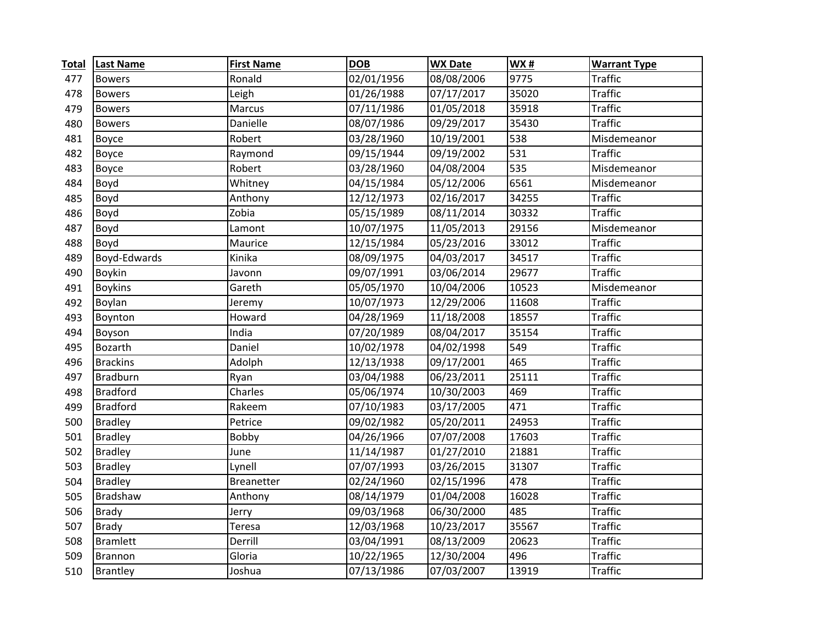| <b>Total</b> | <b>Last Name</b> | <b>First Name</b> | <b>DOB</b> | <b>WX Date</b> | <b>WX#</b> | <b>Warrant Type</b> |
|--------------|------------------|-------------------|------------|----------------|------------|---------------------|
| 477          | <b>Bowers</b>    | Ronald            | 02/01/1956 | 08/08/2006     | 9775       | <b>Traffic</b>      |
| 478          | <b>Bowers</b>    | Leigh             | 01/26/1988 | 07/17/2017     | 35020      | <b>Traffic</b>      |
| 479          | <b>Bowers</b>    | Marcus            | 07/11/1986 | 01/05/2018     | 35918      | <b>Traffic</b>      |
| 480          | <b>Bowers</b>    | Danielle          | 08/07/1986 | 09/29/2017     | 35430      | <b>Traffic</b>      |
| 481          | Boyce            | Robert            | 03/28/1960 | 10/19/2001     | 538        | Misdemeanor         |
| 482          | Boyce            | Raymond           | 09/15/1944 | 09/19/2002     | 531        | <b>Traffic</b>      |
| 483          | <b>Boyce</b>     | Robert            | 03/28/1960 | 04/08/2004     | 535        | Misdemeanor         |
| 484          | Boyd             | Whitney           | 04/15/1984 | 05/12/2006     | 6561       | Misdemeanor         |
| 485          | Boyd             | Anthony           | 12/12/1973 | 02/16/2017     | 34255      | <b>Traffic</b>      |
| 486          | Boyd             | Zobia             | 05/15/1989 | 08/11/2014     | 30332      | <b>Traffic</b>      |
| 487          | Boyd             | Lamont            | 10/07/1975 | 11/05/2013     | 29156      | Misdemeanor         |
| 488          | Boyd             | Maurice           | 12/15/1984 | 05/23/2016     | 33012      | <b>Traffic</b>      |
| 489          | Boyd-Edwards     | Kinika            | 08/09/1975 | 04/03/2017     | 34517      | <b>Traffic</b>      |
| 490          | <b>Boykin</b>    | Javonn            | 09/07/1991 | 03/06/2014     | 29677      | <b>Traffic</b>      |
| 491          | <b>Boykins</b>   | Gareth            | 05/05/1970 | 10/04/2006     | 10523      | Misdemeanor         |
| 492          | Boylan           | Jeremy            | 10/07/1973 | 12/29/2006     | 11608      | <b>Traffic</b>      |
| 493          | Boynton          | Howard            | 04/28/1969 | 11/18/2008     | 18557      | <b>Traffic</b>      |
| 494          | Boyson           | India             | 07/20/1989 | 08/04/2017     | 35154      | <b>Traffic</b>      |
| 495          | Bozarth          | Daniel            | 10/02/1978 | 04/02/1998     | 549        | <b>Traffic</b>      |
| 496          | <b>Brackins</b>  | Adolph            | 12/13/1938 | 09/17/2001     | 465        | <b>Traffic</b>      |
| 497          | Bradburn         | Ryan              | 03/04/1988 | 06/23/2011     | 25111      | <b>Traffic</b>      |
| 498          | <b>Bradford</b>  | Charles           | 05/06/1974 | 10/30/2003     | 469        | <b>Traffic</b>      |
| 499          | <b>Bradford</b>  | Rakeem            | 07/10/1983 | 03/17/2005     | 471        | <b>Traffic</b>      |
| 500          | <b>Bradley</b>   | Petrice           | 09/02/1982 | 05/20/2011     | 24953      | <b>Traffic</b>      |
| 501          | <b>Bradley</b>   | Bobby             | 04/26/1966 | 07/07/2008     | 17603      | <b>Traffic</b>      |
| 502          | <b>Bradley</b>   | June              | 11/14/1987 | 01/27/2010     | 21881      | <b>Traffic</b>      |
| 503          | <b>Bradley</b>   | Lynell            | 07/07/1993 | 03/26/2015     | 31307      | <b>Traffic</b>      |
| 504          | <b>Bradley</b>   | <b>Breanetter</b> | 02/24/1960 | 02/15/1996     | 478        | <b>Traffic</b>      |
| 505          | Bradshaw         | Anthony           | 08/14/1979 | 01/04/2008     | 16028      | <b>Traffic</b>      |
| 506          | <b>Brady</b>     | Jerry             | 09/03/1968 | 06/30/2000     | 485        | <b>Traffic</b>      |
| 507          | <b>Brady</b>     | Teresa            | 12/03/1968 | 10/23/2017     | 35567      | <b>Traffic</b>      |
| 508          | <b>Bramlett</b>  | Derrill           | 03/04/1991 | 08/13/2009     | 20623      | <b>Traffic</b>      |
| 509          | Brannon          | Gloria            | 10/22/1965 | 12/30/2004     | 496        | <b>Traffic</b>      |
| 510          | <b>Brantley</b>  | Joshua            | 07/13/1986 | 07/03/2007     | 13919      | <b>Traffic</b>      |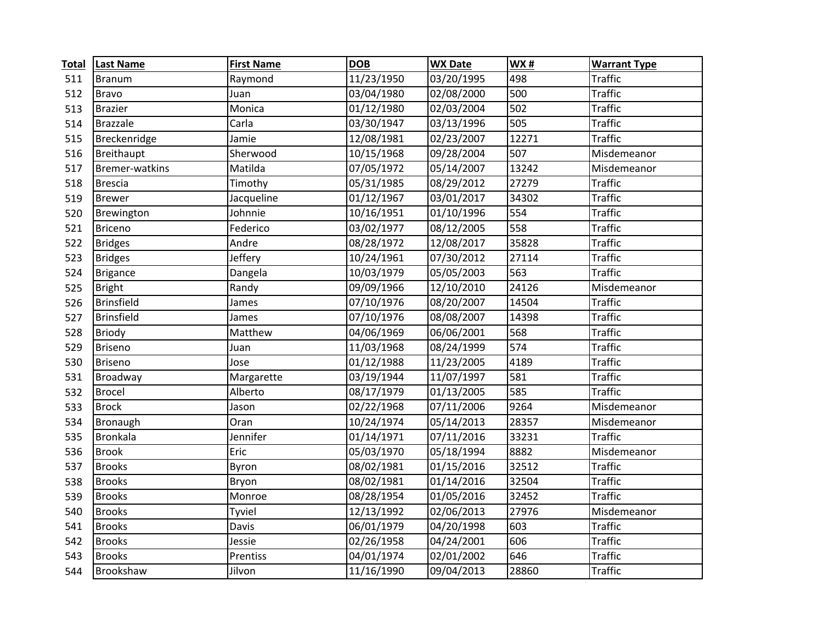| <b>Total</b> | <b>Last Name</b>      | <b>First Name</b> | <b>DOB</b> | <b>WX Date</b> | WX#                | <b>Warrant Type</b> |
|--------------|-----------------------|-------------------|------------|----------------|--------------------|---------------------|
| 511          | <b>Branum</b>         | Raymond           | 11/23/1950 | 03/20/1995     | 498                | <b>Traffic</b>      |
| 512          | <b>Bravo</b>          | Juan              | 03/04/1980 | 02/08/2000     | 500                | <b>Traffic</b>      |
| 513          | <b>Brazier</b>        | Monica            | 01/12/1980 | 02/03/2004     | 502                | <b>Traffic</b>      |
| 514          | <b>Brazzale</b>       | Carla             | 03/30/1947 | 03/13/1996     | 505                | <b>Traffic</b>      |
| 515          | Breckenridge          | Jamie             | 12/08/1981 | 02/23/2007     | 12271              | <b>Traffic</b>      |
| 516          | Breithaupt            | Sherwood          | 10/15/1968 | 09/28/2004     | 507                | Misdemeanor         |
| 517          | <b>Bremer-watkins</b> | Matilda           | 07/05/1972 | 05/14/2007     | $\overline{1}3242$ | Misdemeanor         |
| 518          | <b>Brescia</b>        | Timothy           | 05/31/1985 | 08/29/2012     | 27279              | <b>Traffic</b>      |
| 519          | <b>Brewer</b>         | Jacqueline        | 01/12/1967 | 03/01/2017     | 34302              | <b>Traffic</b>      |
| 520          | Brewington            | Johnnie           | 10/16/1951 | 01/10/1996     | 554                | <b>Traffic</b>      |
| 521          | <b>Briceno</b>        | Federico          | 03/02/1977 | 08/12/2005     | 558                | <b>Traffic</b>      |
| 522          | <b>Bridges</b>        | Andre             | 08/28/1972 | 12/08/2017     | 35828              | <b>Traffic</b>      |
| 523          | <b>Bridges</b>        | Jeffery           | 10/24/1961 | 07/30/2012     | 27114              | <b>Traffic</b>      |
| 524          | <b>Brigance</b>       | Dangela           | 10/03/1979 | 05/05/2003     | $\overline{563}$   | <b>Traffic</b>      |
| 525          | <b>Bright</b>         | Randy             | 09/09/1966 | 12/10/2010     | 24126              | Misdemeanor         |
| 526          | <b>Brinsfield</b>     | James             | 07/10/1976 | 08/20/2007     | 14504              | <b>Traffic</b>      |
| 527          | Brinsfield            | James             | 07/10/1976 | 08/08/2007     | 14398              | <b>Traffic</b>      |
| 528          | <b>Briody</b>         | Matthew           | 04/06/1969 | 06/06/2001     | 568                | <b>Traffic</b>      |
| 529          | <b>Briseno</b>        | Juan              | 11/03/1968 | 08/24/1999     | 574                | <b>Traffic</b>      |
| 530          | <b>Briseno</b>        | Jose              | 01/12/1988 | 11/23/2005     | 4189               | <b>Traffic</b>      |
| 531          | Broadway              | Margarette        | 03/19/1944 | 11/07/1997     | 581                | <b>Traffic</b>      |
| 532          | <b>Brocel</b>         | Alberto           | 08/17/1979 | 01/13/2005     | 585                | <b>Traffic</b>      |
| 533          | <b>Brock</b>          | Jason             | 02/22/1968 | 07/11/2006     | 9264               | Misdemeanor         |
| 534          | Bronaugh              | Oran              | 10/24/1974 | 05/14/2013     | 28357              | Misdemeanor         |
| 535          | Bronkala              | Jennifer          | 01/14/1971 | 07/11/2016     | 33231              | <b>Traffic</b>      |
| 536          | <b>Brook</b>          | Eric              | 05/03/1970 | 05/18/1994     | 8882               | Misdemeanor         |
| 537          | <b>Brooks</b>         | Byron             | 08/02/1981 | 01/15/2016     | 32512              | <b>Traffic</b>      |
| 538          | <b>Brooks</b>         | Bryon             | 08/02/1981 | 01/14/2016     | 32504              | <b>Traffic</b>      |
| 539          | <b>Brooks</b>         | Monroe            | 08/28/1954 | 01/05/2016     | 32452              | <b>Traffic</b>      |
| 540          | <b>Brooks</b>         | Tyviel            | 12/13/1992 | 02/06/2013     | 27976              | Misdemeanor         |
| 541          | <b>Brooks</b>         | Davis             | 06/01/1979 | 04/20/1998     | 603                | <b>Traffic</b>      |
| 542          | <b>Brooks</b>         | Jessie            | 02/26/1958 | 04/24/2001     | 606                | <b>Traffic</b>      |
| 543          | <b>Brooks</b>         | Prentiss          | 04/01/1974 | 02/01/2002     | 646                | <b>Traffic</b>      |
| 544          | Brookshaw             | Jilvon            | 11/16/1990 | 09/04/2013     | 28860              | <b>Traffic</b>      |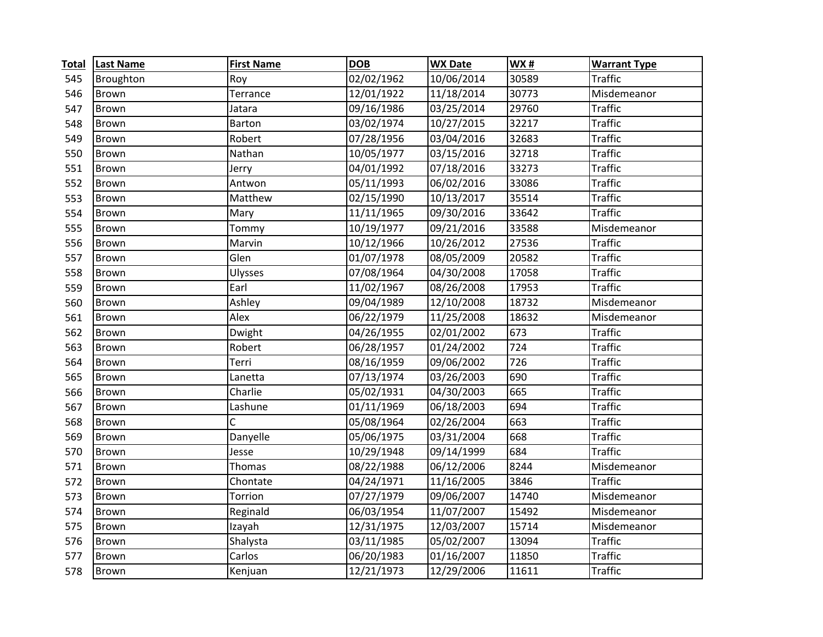| <b>Total</b> | <b>Last Name</b> | <b>First Name</b> | <b>DOB</b> | <b>WX Date</b>          | <b>WX#</b> | <b>Warrant Type</b> |
|--------------|------------------|-------------------|------------|-------------------------|------------|---------------------|
| 545          | Broughton        | Roy               | 02/02/1962 | 10/06/2014              | 30589      | <b>Traffic</b>      |
| 546          | <b>Brown</b>     | Terrance          | 12/01/1922 | 11/18/2014              | 30773      | Misdemeanor         |
| 547          | Brown            | Jatara            | 09/16/1986 | 03/25/2014              | 29760      | <b>Traffic</b>      |
| 548          | <b>Brown</b>     | Barton            | 03/02/1974 | 10/27/2015              | 32217      | <b>Traffic</b>      |
| 549          | <b>Brown</b>     | Robert            | 07/28/1956 | 03/04/2016              | 32683      | <b>Traffic</b>      |
| 550          | <b>Brown</b>     | Nathan            | 10/05/1977 | 03/15/2016              | 32718      | <b>Traffic</b>      |
| 551          | <b>Brown</b>     | Jerry             | 04/01/1992 | $\overline{07}/18/2016$ | 33273      | <b>Traffic</b>      |
| 552          | Brown            | Antwon            | 05/11/1993 | 06/02/2016              | 33086      | <b>Traffic</b>      |
| 553          | Brown            | Matthew           | 02/15/1990 | 10/13/2017              | 35514      | <b>Traffic</b>      |
| 554          | <b>Brown</b>     | Mary              | 11/11/1965 | 09/30/2016              | 33642      | <b>Traffic</b>      |
| 555          | <b>Brown</b>     | Tommy             | 10/19/1977 | 09/21/2016              | 33588      | Misdemeanor         |
| 556          | <b>Brown</b>     | Marvin            | 10/12/1966 | 10/26/2012              | 27536      | <b>Traffic</b>      |
| 557          | Brown            | Glen              | 01/07/1978 | 08/05/2009              | 20582      | <b>Traffic</b>      |
| 558          | Brown            | Ulysses           | 07/08/1964 | 04/30/2008              | 17058      | <b>Traffic</b>      |
| 559          | Brown            | Earl              | 11/02/1967 | 08/26/2008              | 17953      | <b>Traffic</b>      |
| 560          | Brown            | Ashley            | 09/04/1989 | 12/10/2008              | 18732      | Misdemeanor         |
| 561          | Brown            | Alex              | 06/22/1979 | 11/25/2008              | 18632      | Misdemeanor         |
| 562          | Brown            | Dwight            | 04/26/1955 | 02/01/2002              | 673        | <b>Traffic</b>      |
| 563          | Brown            | Robert            | 06/28/1957 | 01/24/2002              | 724        | <b>Traffic</b>      |
| 564          | Brown            | Terri             | 08/16/1959 | 09/06/2002              | 726        | <b>Traffic</b>      |
| 565          | <b>Brown</b>     | Lanetta           | 07/13/1974 | 03/26/2003              | 690        | <b>Traffic</b>      |
| 566          | Brown            | Charlie           | 05/02/1931 | 04/30/2003              | 665        | <b>Traffic</b>      |
| 567          | Brown            | Lashune           | 01/11/1969 | 06/18/2003              | 694        | <b>Traffic</b>      |
| 568          | Brown            | C                 | 05/08/1964 | 02/26/2004              | 663        | <b>Traffic</b>      |
| 569          | <b>Brown</b>     | Danyelle          | 05/06/1975 | 03/31/2004              | 668        | <b>Traffic</b>      |
| 570          | <b>Brown</b>     | Jesse             | 10/29/1948 | 09/14/1999              | 684        | <b>Traffic</b>      |
| 571          | <b>Brown</b>     | Thomas            | 08/22/1988 | 06/12/2006              | 8244       | Misdemeanor         |
| 572          | Brown            | Chontate          | 04/24/1971 | 11/16/2005              | 3846       | <b>Traffic</b>      |
| 573          | Brown            | Torrion           | 07/27/1979 | 09/06/2007              | 14740      | Misdemeanor         |
| 574          | <b>Brown</b>     | Reginald          | 06/03/1954 | 11/07/2007              | 15492      | Misdemeanor         |
| 575          | <b>Brown</b>     | Izayah            | 12/31/1975 | 12/03/2007              | 15714      | Misdemeanor         |
| 576          | Brown            | Shalysta          | 03/11/1985 | 05/02/2007              | 13094      | <b>Traffic</b>      |
| 577          | Brown            | Carlos            | 06/20/1983 | 01/16/2007              | 11850      | <b>Traffic</b>      |
| 578          | Brown            | Kenjuan           | 12/21/1973 | 12/29/2006              | 11611      | <b>Traffic</b>      |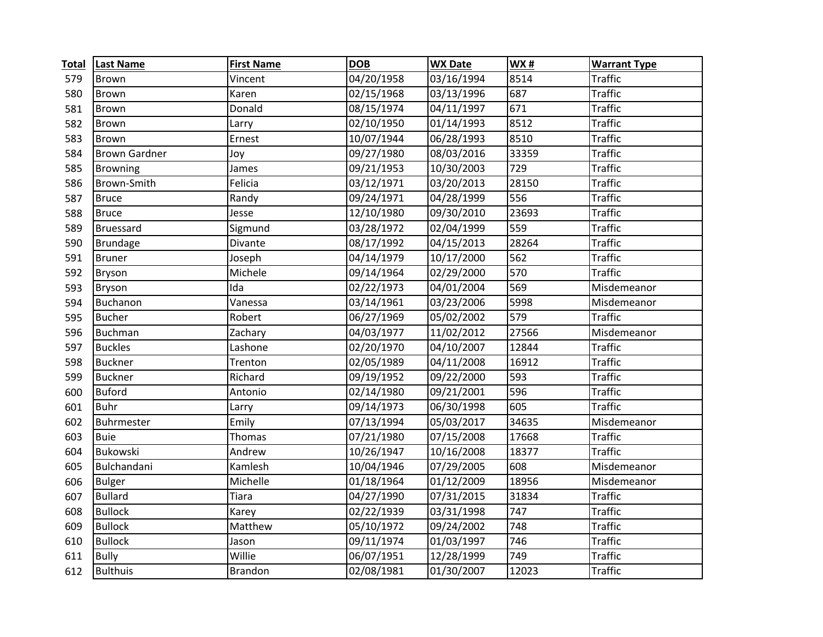| <b>Total</b> | <b>Last Name</b>     | <b>First Name</b> | <b>DOB</b> | <b>WX Date</b> | WX#   | <b>Warrant Type</b> |
|--------------|----------------------|-------------------|------------|----------------|-------|---------------------|
| 579          | Brown                | Vincent           | 04/20/1958 | 03/16/1994     | 8514  | <b>Traffic</b>      |
| 580          | Brown                | Karen             | 02/15/1968 | 03/13/1996     | 687   | <b>Traffic</b>      |
| 581          | <b>Brown</b>         | Donald            | 08/15/1974 | 04/11/1997     | 671   | <b>Traffic</b>      |
| 582          | <b>Brown</b>         | Larry             | 02/10/1950 | 01/14/1993     | 8512  | <b>Traffic</b>      |
| 583          | <b>Brown</b>         | Ernest            | 10/07/1944 | 06/28/1993     | 8510  | <b>Traffic</b>      |
| 584          | <b>Brown Gardner</b> | Joy               | 09/27/1980 | 08/03/2016     | 33359 | <b>Traffic</b>      |
| 585          | <b>Browning</b>      | James             | 09/21/1953 | 10/30/2003     | 729   | <b>Traffic</b>      |
| 586          | Brown-Smith          | Felicia           | 03/12/1971 | 03/20/2013     | 28150 | <b>Traffic</b>      |
| 587          | <b>Bruce</b>         | Randy             | 09/24/1971 | 04/28/1999     | 556   | <b>Traffic</b>      |
| 588          | <b>Bruce</b>         | Jesse             | 12/10/1980 | 09/30/2010     | 23693 | <b>Traffic</b>      |
| 589          | Bruessard            | Sigmund           | 03/28/1972 | 02/04/1999     | 559   | <b>Traffic</b>      |
| 590          | <b>Brundage</b>      | Divante           | 08/17/1992 | 04/15/2013     | 28264 | <b>Traffic</b>      |
| 591          | <b>Bruner</b>        | Joseph            | 04/14/1979 | 10/17/2000     | 562   | <b>Traffic</b>      |
| 592          | <b>Bryson</b>        | Michele           | 09/14/1964 | 02/29/2000     | 570   | <b>Traffic</b>      |
| 593          | Bryson               | Ida               | 02/22/1973 | 04/01/2004     | 569   | Misdemeanor         |
| 594          | Buchanon             | Vanessa           | 03/14/1961 | 03/23/2006     | 5998  | Misdemeanor         |
| 595          | <b>Bucher</b>        | Robert            | 06/27/1969 | 05/02/2002     | 579   | <b>Traffic</b>      |
| 596          | Buchman              | Zachary           | 04/03/1977 | 11/02/2012     | 27566 | Misdemeanor         |
| 597          | <b>Buckles</b>       | Lashone           | 02/20/1970 | 04/10/2007     | 12844 | <b>Traffic</b>      |
| 598          | <b>Buckner</b>       | Trenton           | 02/05/1989 | 04/11/2008     | 16912 | <b>Traffic</b>      |
| 599          | <b>Buckner</b>       | Richard           | 09/19/1952 | 09/22/2000     | 593   | <b>Traffic</b>      |
| 600          | <b>Buford</b>        | Antonio           | 02/14/1980 | 09/21/2001     | 596   | <b>Traffic</b>      |
| 601          | <b>Buhr</b>          | Larry             | 09/14/1973 | 06/30/1998     | 605   | <b>Traffic</b>      |
| 602          | Buhrmester           | Emily             | 07/13/1994 | 05/03/2017     | 34635 | Misdemeanor         |
| 603          | <b>Buie</b>          | Thomas            | 07/21/1980 | 07/15/2008     | 17668 | <b>Traffic</b>      |
| 604          | <b>Bukowski</b>      | Andrew            | 10/26/1947 | 10/16/2008     | 18377 | <b>Traffic</b>      |
| 605          | Bulchandani          | Kamlesh           | 10/04/1946 | 07/29/2005     | 608   | Misdemeanor         |
| 606          | <b>Bulger</b>        | Michelle          | 01/18/1964 | 01/12/2009     | 18956 | Misdemeanor         |
| 607          | <b>Bullard</b>       | <b>Tiara</b>      | 04/27/1990 | 07/31/2015     | 31834 | <b>Traffic</b>      |
| 608          | <b>Bullock</b>       | Karey             | 02/22/1939 | 03/31/1998     | 747   | <b>Traffic</b>      |
| 609          | <b>Bullock</b>       | Matthew           | 05/10/1972 | 09/24/2002     | 748   | <b>Traffic</b>      |
| 610          | <b>Bullock</b>       | Jason             | 09/11/1974 | 01/03/1997     | 746   | <b>Traffic</b>      |
| 611          | <b>Bully</b>         | Willie            | 06/07/1951 | 12/28/1999     | 749   | <b>Traffic</b>      |
| 612          | <b>Bulthuis</b>      | Brandon           | 02/08/1981 | 01/30/2007     | 12023 | <b>Traffic</b>      |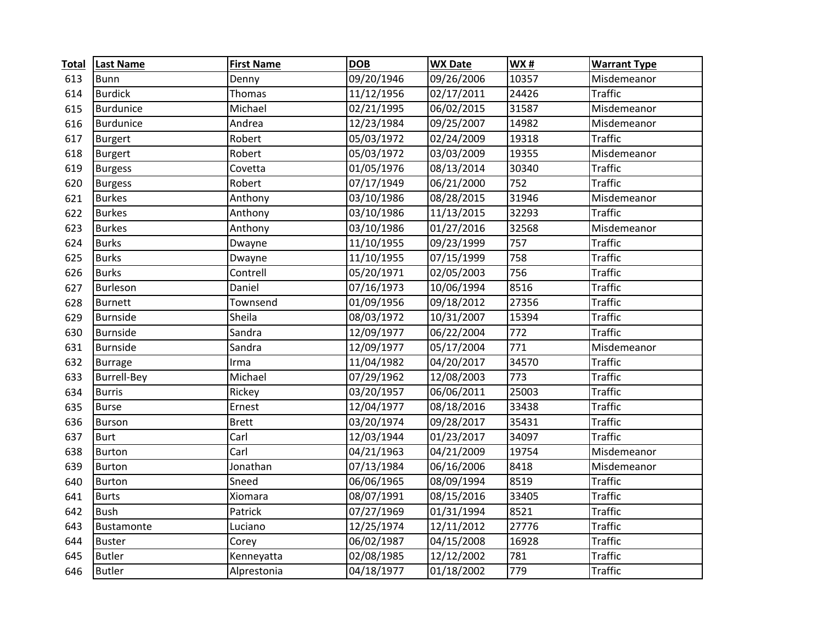| <b>Total</b> | <b>Last Name</b>   | <b>First Name</b> | <b>DOB</b> | <b>WX Date</b> | <b>WX#</b> | <b>Warrant Type</b> |
|--------------|--------------------|-------------------|------------|----------------|------------|---------------------|
| 613          | <b>Bunn</b>        | Denny             | 09/20/1946 | 09/26/2006     | 10357      | Misdemeanor         |
| 614          | <b>Burdick</b>     | Thomas            | 11/12/1956 | 02/17/2011     | 24426      | <b>Traffic</b>      |
| 615          | <b>Burdunice</b>   | Michael           | 02/21/1995 | 06/02/2015     | 31587      | Misdemeanor         |
| 616          | <b>Burdunice</b>   | Andrea            | 12/23/1984 | 09/25/2007     | 14982      | Misdemeanor         |
| 617          | <b>Burgert</b>     | Robert            | 05/03/1972 | 02/24/2009     | 19318      | <b>Traffic</b>      |
| 618          | <b>Burgert</b>     | Robert            | 05/03/1972 | 03/03/2009     | 19355      | Misdemeanor         |
| 619          | <b>Burgess</b>     | Covetta           | 01/05/1976 | 08/13/2014     | 30340      | <b>Traffic</b>      |
| 620          | <b>Burgess</b>     | Robert            | 07/17/1949 | 06/21/2000     | 752        | <b>Traffic</b>      |
| 621          | <b>Burkes</b>      | Anthony           | 03/10/1986 | 08/28/2015     | 31946      | Misdemeanor         |
| 622          | <b>Burkes</b>      | Anthony           | 03/10/1986 | 11/13/2015     | 32293      | <b>Traffic</b>      |
| 623          | <b>Burkes</b>      | Anthony           | 03/10/1986 | 01/27/2016     | 32568      | Misdemeanor         |
| 624          | <b>Burks</b>       | Dwayne            | 11/10/1955 | 09/23/1999     | 757        | <b>Traffic</b>      |
| 625          | <b>Burks</b>       | Dwayne            | 11/10/1955 | 07/15/1999     | 758        | <b>Traffic</b>      |
| 626          | <b>Burks</b>       | Contrell          | 05/20/1971 | 02/05/2003     | 756        | <b>Traffic</b>      |
| 627          | Burleson           | Daniel            | 07/16/1973 | 10/06/1994     | 8516       | <b>Traffic</b>      |
| 628          | <b>Burnett</b>     | Townsend          | 01/09/1956 | 09/18/2012     | 27356      | <b>Traffic</b>      |
| 629          | <b>Burnside</b>    | Sheila            | 08/03/1972 | 10/31/2007     | 15394      | <b>Traffic</b>      |
| 630          | <b>Burnside</b>    | Sandra            | 12/09/1977 | 06/22/2004     | 772        | <b>Traffic</b>      |
| 631          | <b>Burnside</b>    | Sandra            | 12/09/1977 | 05/17/2004     | 771        | Misdemeanor         |
| 632          | <b>Burrage</b>     | Irma              | 11/04/1982 | 04/20/2017     | 34570      | <b>Traffic</b>      |
| 633          | <b>Burrell-Bey</b> | Michael           | 07/29/1962 | 12/08/2003     | 773        | <b>Traffic</b>      |
| 634          | <b>Burris</b>      | Rickey            | 03/20/1957 | 06/06/2011     | 25003      | <b>Traffic</b>      |
| 635          | <b>Burse</b>       | Ernest            | 12/04/1977 | 08/18/2016     | 33438      | <b>Traffic</b>      |
| 636          | <b>Burson</b>      | <b>Brett</b>      | 03/20/1974 | 09/28/2017     | 35431      | <b>Traffic</b>      |
| 637          | <b>Burt</b>        | Carl              | 12/03/1944 | 01/23/2017     | 34097      | <b>Traffic</b>      |
| 638          | <b>Burton</b>      | Carl              | 04/21/1963 | 04/21/2009     | 19754      | Misdemeanor         |
| 639          | <b>Burton</b>      | Jonathan          | 07/13/1984 | 06/16/2006     | 8418       | Misdemeanor         |
| 640          | <b>Burton</b>      | Sneed             | 06/06/1965 | 08/09/1994     | 8519       | <b>Traffic</b>      |
| 641          | <b>Burts</b>       | Xiomara           | 08/07/1991 | 08/15/2016     | 33405      | <b>Traffic</b>      |
| 642          | <b>Bush</b>        | Patrick           | 07/27/1969 | 01/31/1994     | 8521       | <b>Traffic</b>      |
| 643          | Bustamonte         | Luciano           | 12/25/1974 | 12/11/2012     | 27776      | <b>Traffic</b>      |
| 644          | <b>Buster</b>      | Corey             | 06/02/1987 | 04/15/2008     | 16928      | <b>Traffic</b>      |
| 645          | <b>Butler</b>      | Kenneyatta        | 02/08/1985 | 12/12/2002     | 781        | <b>Traffic</b>      |
| 646          | <b>Butler</b>      | Alprestonia       | 04/18/1977 | 01/18/2002     | 779        | <b>Traffic</b>      |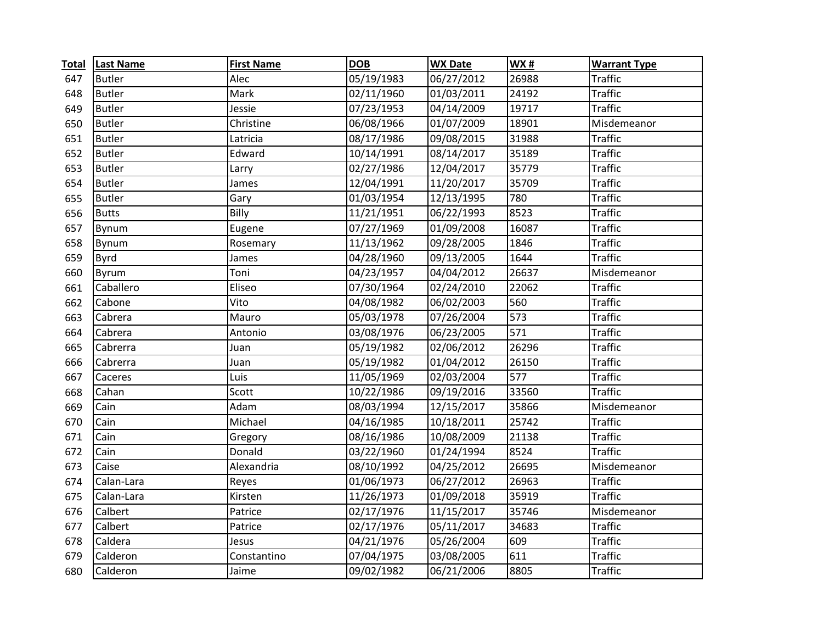| <b>Total</b> | <b>Last Name</b> | <b>First Name</b> | <b>DOB</b> | <b>WX Date</b> | <b>WX#</b>       | <b>Warrant Type</b> |
|--------------|------------------|-------------------|------------|----------------|------------------|---------------------|
| 647          | <b>Butler</b>    | Alec              | 05/19/1983 | 06/27/2012     | 26988            | <b>Traffic</b>      |
| 648          | <b>Butler</b>    | Mark              | 02/11/1960 | 01/03/2011     | 24192            | <b>Traffic</b>      |
| 649          | <b>Butler</b>    | Jessie            | 07/23/1953 | 04/14/2009     | 19717            | <b>Traffic</b>      |
| 650          | <b>Butler</b>    | Christine         | 06/08/1966 | 01/07/2009     | 18901            | Misdemeanor         |
| 651          | <b>Butler</b>    | Latricia          | 08/17/1986 | 09/08/2015     | 31988            | <b>Traffic</b>      |
| 652          | <b>Butler</b>    | Edward            | 10/14/1991 | 08/14/2017     | 35189            | <b>Traffic</b>      |
| 653          | <b>Butler</b>    | Larry             | 02/27/1986 | 12/04/2017     | 35779            | <b>Traffic</b>      |
| 654          | <b>Butler</b>    | James             | 12/04/1991 | 11/20/2017     | 35709            | <b>Traffic</b>      |
| 655          | <b>Butler</b>    | Gary              | 01/03/1954 | 12/13/1995     | 780              | <b>Traffic</b>      |
| 656          | <b>Butts</b>     | Billy             | 11/21/1951 | 06/22/1993     | 8523             | <b>Traffic</b>      |
| 657          | Bynum            | Eugene            | 07/27/1969 | 01/09/2008     | 16087            | <b>Traffic</b>      |
| 658          | Bynum            | Rosemary          | 11/13/1962 | 09/28/2005     | 1846             | <b>Traffic</b>      |
| 659          | <b>Byrd</b>      | James             | 04/28/1960 | 09/13/2005     | 1644             | <b>Traffic</b>      |
| 660          | <b>Byrum</b>     | Toni              | 04/23/1957 | 04/04/2012     | 26637            | Misdemeanor         |
| 661          | Caballero        | Eliseo            | 07/30/1964 | 02/24/2010     | 22062            | <b>Traffic</b>      |
| 662          | Cabone           | Vito              | 04/08/1982 | 06/02/2003     | 560              | <b>Traffic</b>      |
| 663          | Cabrera          | Mauro             | 05/03/1978 | 07/26/2004     | 573              | <b>Traffic</b>      |
| 664          | Cabrera          | Antonio           | 03/08/1976 | 06/23/2005     | $\overline{571}$ | <b>Traffic</b>      |
| 665          | Cabrerra         | Juan              | 05/19/1982 | 02/06/2012     | 26296            | <b>Traffic</b>      |
| 666          | Cabrerra         | Juan              | 05/19/1982 | 01/04/2012     | 26150            | <b>Traffic</b>      |
| 667          | Caceres          | Luis              | 11/05/1969 | 02/03/2004     | 577              | <b>Traffic</b>      |
| 668          | Cahan            | Scott             | 10/22/1986 | 09/19/2016     | 33560            | <b>Traffic</b>      |
| 669          | Cain             | Adam              | 08/03/1994 | 12/15/2017     | 35866            | Misdemeanor         |
| 670          | Cain             | Michael           | 04/16/1985 | 10/18/2011     | 25742            | <b>Traffic</b>      |
| 671          | Cain             | Gregory           | 08/16/1986 | 10/08/2009     | 21138            | <b>Traffic</b>      |
| 672          | Cain             | Donald            | 03/22/1960 | 01/24/1994     | 8524             | <b>Traffic</b>      |
| 673          | Caise            | Alexandria        | 08/10/1992 | 04/25/2012     | 26695            | Misdemeanor         |
| 674          | Calan-Lara       | Reyes             | 01/06/1973 | 06/27/2012     | 26963            | <b>Traffic</b>      |
| 675          | Calan-Lara       | Kirsten           | 11/26/1973 | 01/09/2018     | 35919            | <b>Traffic</b>      |
| 676          | Calbert          | Patrice           | 02/17/1976 | 11/15/2017     | 35746            | Misdemeanor         |
| 677          | Calbert          | Patrice           | 02/17/1976 | 05/11/2017     | 34683            | <b>Traffic</b>      |
| 678          | Caldera          | Jesus             | 04/21/1976 | 05/26/2004     | 609              | <b>Traffic</b>      |
| 679          | Calderon         | Constantino       | 07/04/1975 | 03/08/2005     | 611              | <b>Traffic</b>      |
| 680          | Calderon         | Jaime             | 09/02/1982 | 06/21/2006     | 8805             | <b>Traffic</b>      |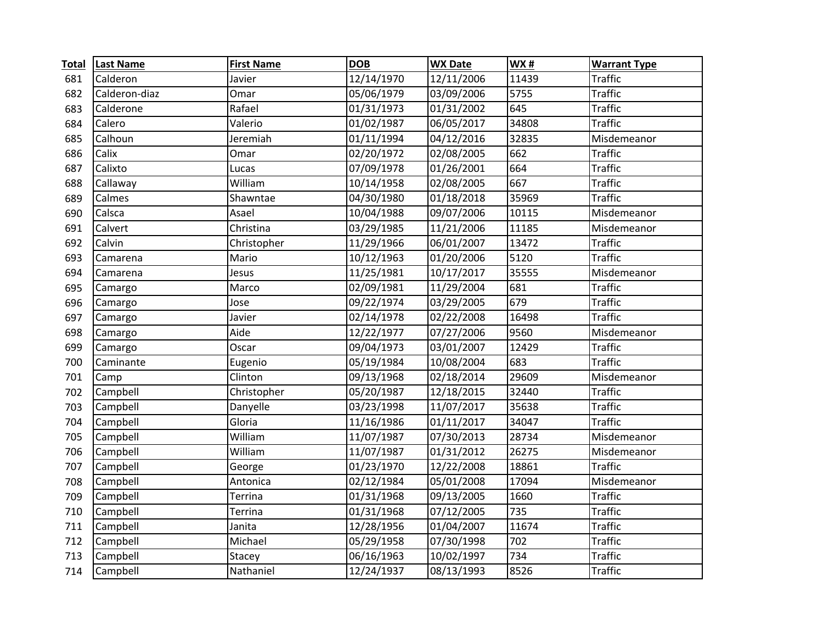| <b>Total</b> | <b>Last Name</b> | <b>First Name</b> | <b>DOB</b> | <b>WX Date</b> | <b>WX#</b>       | <b>Warrant Type</b> |
|--------------|------------------|-------------------|------------|----------------|------------------|---------------------|
| 681          | Calderon         | Javier            | 12/14/1970 | 12/11/2006     | 11439            | <b>Traffic</b>      |
| 682          | Calderon-diaz    | Omar              | 05/06/1979 | 03/09/2006     | 5755             | <b>Traffic</b>      |
| 683          | Calderone        | Rafael            | 01/31/1973 | 01/31/2002     | $\overline{645}$ | <b>Traffic</b>      |
| 684          | Calero           | Valerio           | 01/02/1987 | 06/05/2017     | 34808            | <b>Traffic</b>      |
| 685          | Calhoun          | Jeremiah          | 01/11/1994 | 04/12/2016     | 32835            | Misdemeanor         |
| 686          | Calix            | Omar              | 02/20/1972 | 02/08/2005     | 662              | <b>Traffic</b>      |
| 687          | Calixto          | Lucas             | 07/09/1978 | 01/26/2001     | 664              | <b>Traffic</b>      |
| 688          | Callaway         | William           | 10/14/1958 | 02/08/2005     | 667              | <b>Traffic</b>      |
| 689          | Calmes           | Shawntae          | 04/30/1980 | 01/18/2018     | 35969            | <b>Traffic</b>      |
| 690          | Calsca           | Asael             | 10/04/1988 | 09/07/2006     | 10115            | Misdemeanor         |
| 691          | Calvert          | Christina         | 03/29/1985 | 11/21/2006     | 11185            | Misdemeanor         |
| 692          | Calvin           | Christopher       | 11/29/1966 | 06/01/2007     | 13472            | <b>Traffic</b>      |
| 693          | Camarena         | Mario             | 10/12/1963 | 01/20/2006     | 5120             | <b>Traffic</b>      |
| 694          | Camarena         | Jesus             | 11/25/1981 | 10/17/2017     | 35555            | Misdemeanor         |
| 695          | Camargo          | Marco             | 02/09/1981 | 11/29/2004     | 681              | <b>Traffic</b>      |
| 696          | Camargo          | Jose              | 09/22/1974 | 03/29/2005     | 679              | <b>Traffic</b>      |
| 697          | Camargo          | Javier            | 02/14/1978 | 02/22/2008     | 16498            | <b>Traffic</b>      |
| 698          | Camargo          | Aide              | 12/22/1977 | 07/27/2006     | 9560             | Misdemeanor         |
| 699          | Camargo          | Oscar             | 09/04/1973 | 03/01/2007     | 12429            | <b>Traffic</b>      |
| 700          | Caminante        | Eugenio           | 05/19/1984 | 10/08/2004     | 683              | <b>Traffic</b>      |
| 701          | Camp             | Clinton           | 09/13/1968 | 02/18/2014     | 29609            | Misdemeanor         |
| 702          | Campbell         | Christopher       | 05/20/1987 | 12/18/2015     | 32440            | <b>Traffic</b>      |
| 703          | Campbell         | Danyelle          | 03/23/1998 | 11/07/2017     | 35638            | <b>Traffic</b>      |
| 704          | Campbell         | Gloria            | 11/16/1986 | 01/11/2017     | 34047            | <b>Traffic</b>      |
| 705          | Campbell         | William           | 11/07/1987 | 07/30/2013     | 28734            | Misdemeanor         |
| 706          | Campbell         | William           | 11/07/1987 | 01/31/2012     | 26275            | Misdemeanor         |
| 707          | Campbell         | George            | 01/23/1970 | 12/22/2008     | 18861            | <b>Traffic</b>      |
| 708          | Campbell         | Antonica          | 02/12/1984 | 05/01/2008     | 17094            | Misdemeanor         |
| 709          | Campbell         | Terrina           | 01/31/1968 | 09/13/2005     | 1660             | <b>Traffic</b>      |
| 710          | Campbell         | <b>Terrina</b>    | 01/31/1968 | 07/12/2005     | 735              | <b>Traffic</b>      |
| 711          | Campbell         | Janita            | 12/28/1956 | 01/04/2007     | 11674            | <b>Traffic</b>      |
| 712          | Campbell         | Michael           | 05/29/1958 | 07/30/1998     | 702              | <b>Traffic</b>      |
| 713          | Campbell         | Stacey            | 06/16/1963 | 10/02/1997     | 734              | <b>Traffic</b>      |
| 714          | Campbell         | Nathaniel         | 12/24/1937 | 08/13/1993     | 8526             | <b>Traffic</b>      |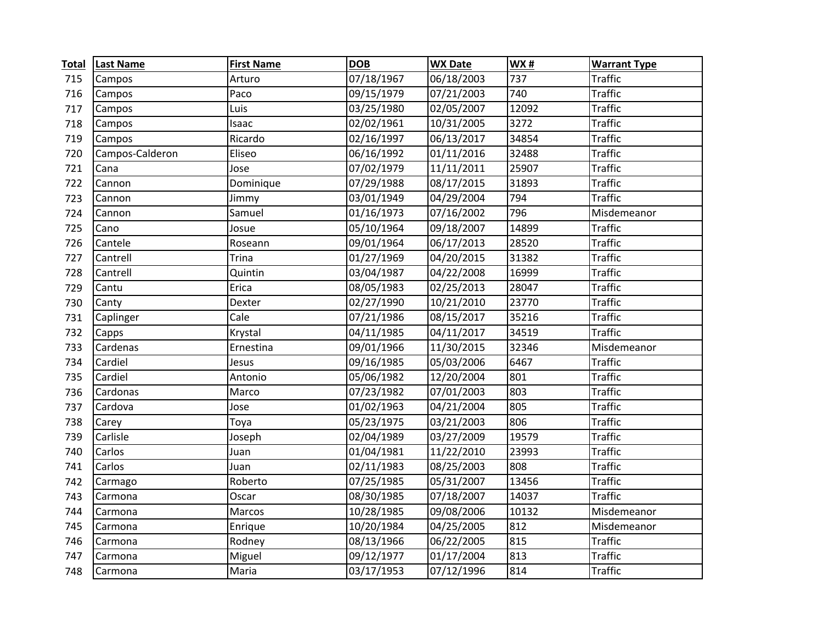| <b>Total</b> | <b>Last Name</b> | <b>First Name</b> | <b>DOB</b> | <b>WX Date</b> | <b>WX#</b> | <b>Warrant Type</b> |
|--------------|------------------|-------------------|------------|----------------|------------|---------------------|
| 715          | Campos           | Arturo            | 07/18/1967 | 06/18/2003     | 737        | <b>Traffic</b>      |
| 716          | Campos           | Paco              | 09/15/1979 | 07/21/2003     | 740        | <b>Traffic</b>      |
| 717          | Campos           | Luis              | 03/25/1980 | 02/05/2007     | 12092      | <b>Traffic</b>      |
| 718          | Campos           | Isaac             | 02/02/1961 | 10/31/2005     | 3272       | <b>Traffic</b>      |
| 719          | Campos           | Ricardo           | 02/16/1997 | 06/13/2017     | 34854      | <b>Traffic</b>      |
| 720          | Campos-Calderon  | Eliseo            | 06/16/1992 | 01/11/2016     | 32488      | <b>Traffic</b>      |
| 721          | Cana             | Jose              | 07/02/1979 | 11/11/2011     | 25907      | <b>Traffic</b>      |
| 722          | Cannon           | Dominique         | 07/29/1988 | 08/17/2015     | 31893      | <b>Traffic</b>      |
| 723          | Cannon           | Jimmy             | 03/01/1949 | 04/29/2004     | 794        | <b>Traffic</b>      |
| 724          | Cannon           | Samuel            | 01/16/1973 | 07/16/2002     | 796        | Misdemeanor         |
| 725          | Cano             | Josue             | 05/10/1964 | 09/18/2007     | 14899      | <b>Traffic</b>      |
| 726          | Cantele          | Roseann           | 09/01/1964 | 06/17/2013     | 28520      | <b>Traffic</b>      |
| 727          | Cantrell         | <b>Trina</b>      | 01/27/1969 | 04/20/2015     | 31382      | <b>Traffic</b>      |
| 728          | Cantrell         | Quintin           | 03/04/1987 | 04/22/2008     | 16999      | <b>Traffic</b>      |
| 729          | Cantu            | Erica             | 08/05/1983 | 02/25/2013     | 28047      | <b>Traffic</b>      |
| 730          | Canty            | Dexter            | 02/27/1990 | 10/21/2010     | 23770      | <b>Traffic</b>      |
| 731          | Caplinger        | Cale              | 07/21/1986 | 08/15/2017     | 35216      | <b>Traffic</b>      |
| 732          | Capps            | Krystal           | 04/11/1985 | 04/11/2017     | 34519      | <b>Traffic</b>      |
| 733          | Cardenas         | Ernestina         | 09/01/1966 | 11/30/2015     | 32346      | Misdemeanor         |
| 734          | Cardiel          | Jesus             | 09/16/1985 | 05/03/2006     | 6467       | <b>Traffic</b>      |
| 735          | Cardiel          | Antonio           | 05/06/1982 | 12/20/2004     | 801        | <b>Traffic</b>      |
| 736          | Cardonas         | Marco             | 07/23/1982 | 07/01/2003     | 803        | <b>Traffic</b>      |
| 737          | Cardova          | Jose              | 01/02/1963 | 04/21/2004     | 805        | <b>Traffic</b>      |
| 738          | Carey            | Toya              | 05/23/1975 | 03/21/2003     | 806        | <b>Traffic</b>      |
| 739          | Carlisle         | Joseph            | 02/04/1989 | 03/27/2009     | 19579      | <b>Traffic</b>      |
| 740          | Carlos           | Juan              | 01/04/1981 | 11/22/2010     | 23993      | <b>Traffic</b>      |
| 741          | Carlos           | Juan              | 02/11/1983 | 08/25/2003     | 808        | <b>Traffic</b>      |
| 742          | Carmago          | Roberto           | 07/25/1985 | 05/31/2007     | 13456      | <b>Traffic</b>      |
| 743          | Carmona          | Oscar             | 08/30/1985 | 07/18/2007     | 14037      | <b>Traffic</b>      |
| 744          | Carmona          | Marcos            | 10/28/1985 | 09/08/2006     | 10132      | Misdemeanor         |
| 745          | Carmona          | Enrique           | 10/20/1984 | 04/25/2005     | 812        | Misdemeanor         |
| 746          | Carmona          | Rodney            | 08/13/1966 | 06/22/2005     | 815        | <b>Traffic</b>      |
| 747          | Carmona          | Miguel            | 09/12/1977 | 01/17/2004     | 813        | <b>Traffic</b>      |
| 748          | Carmona          | Maria             | 03/17/1953 | 07/12/1996     | 814        | <b>Traffic</b>      |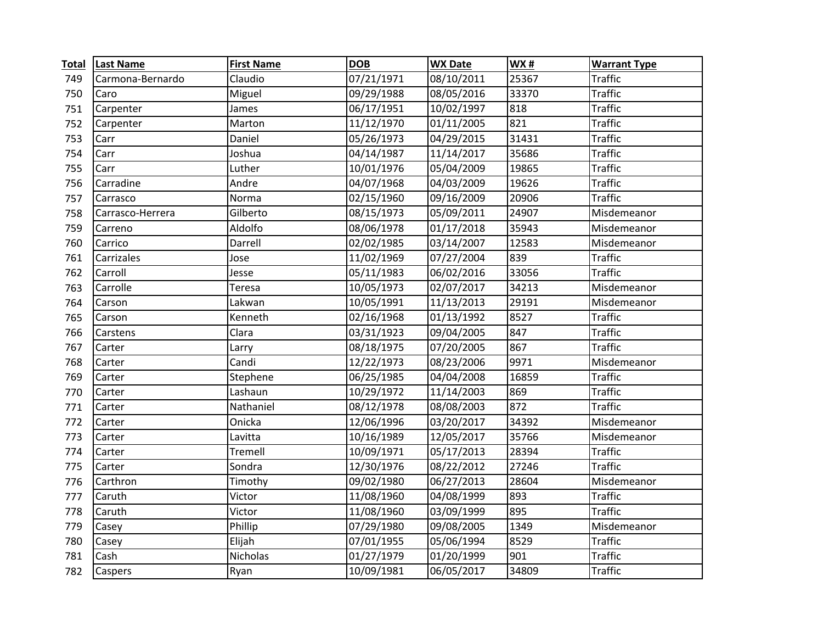| <b>Total</b> | <b>Last Name</b> | <b>First Name</b> | <b>DOB</b> | <b>WX Date</b> | <b>WX#</b> | <b>Warrant Type</b>   |
|--------------|------------------|-------------------|------------|----------------|------------|-----------------------|
| 749          | Carmona-Bernardo | Claudio           | 07/21/1971 | 08/10/2011     | 25367      | <b>Traffic</b>        |
| 750          | Caro             | Miguel            | 09/29/1988 | 08/05/2016     | 33370      | <b>Traffic</b>        |
| 751          | Carpenter        | James             | 06/17/1951 | 10/02/1997     | 818        | <b>Traffic</b>        |
| 752          | Carpenter        | Marton            | 11/12/1970 | 01/11/2005     | 821        | <b>Traffic</b>        |
| 753          | Carr             | Daniel            | 05/26/1973 | 04/29/2015     | 31431      | <b>Traffic</b>        |
| 754          | Carr             | Joshua            | 04/14/1987 | 11/14/2017     | 35686      | <b>Traffic</b>        |
| 755          | Carr             | Luther            | 10/01/1976 | 05/04/2009     | 19865      | <b>Traffic</b>        |
| 756          | Carradine        | Andre             | 04/07/1968 | 04/03/2009     | 19626      | <b>Traffic</b>        |
| 757          | Carrasco         | Norma             | 02/15/1960 | 09/16/2009     | 20906      | <b>Traffic</b>        |
| 758          | Carrasco-Herrera | Gilberto          | 08/15/1973 | 05/09/2011     | 24907      | Misdemeanor           |
| 759          | Carreno          | Aldolfo           | 08/06/1978 | 01/17/2018     | 35943      | Misdemeanor           |
| 760          | Carrico          | Darrell           | 02/02/1985 | 03/14/2007     | 12583      | Misdemeanor           |
| 761          | Carrizales       | Jose              | 11/02/1969 | 07/27/2004     | 839        | <b>Traffic</b>        |
| 762          | Carroll          | Jesse             | 05/11/1983 | 06/02/2016     | 33056      | $\overline{T}$ raffic |
| 763          | Carrolle         | Teresa            | 10/05/1973 | 02/07/2017     | 34213      | Misdemeanor           |
| 764          | Carson           | Lakwan            | 10/05/1991 | 11/13/2013     | 29191      | Misdemeanor           |
| 765          | Carson           | Kenneth           | 02/16/1968 | 01/13/1992     | 8527       | <b>Traffic</b>        |
| 766          | Carstens         | Clara             | 03/31/1923 | 09/04/2005     | 847        | <b>Traffic</b>        |
| 767          | Carter           | Larry             | 08/18/1975 | 07/20/2005     | 867        | <b>Traffic</b>        |
| 768          | Carter           | Candi             | 12/22/1973 | 08/23/2006     | 9971       | Misdemeanor           |
| 769          | Carter           | Stephene          | 06/25/1985 | 04/04/2008     | 16859      | <b>Traffic</b>        |
| 770          | Carter           | Lashaun           | 10/29/1972 | 11/14/2003     | 869        | <b>Traffic</b>        |
| 771          | Carter           | Nathaniel         | 08/12/1978 | 08/08/2003     | 872        | <b>Traffic</b>        |
| 772          | Carter           | Onicka            | 12/06/1996 | 03/20/2017     | 34392      | Misdemeanor           |
| 773          | Carter           | Lavitta           | 10/16/1989 | 12/05/2017     | 35766      | Misdemeanor           |
| 774          | Carter           | Tremell           | 10/09/1971 | 05/17/2013     | 28394      | <b>Traffic</b>        |
| 775          | Carter           | Sondra            | 12/30/1976 | 08/22/2012     | 27246      | <b>Traffic</b>        |
| 776          | Carthron         | Timothy           | 09/02/1980 | 06/27/2013     | 28604      | Misdemeanor           |
| 777          | Caruth           | Victor            | 11/08/1960 | 04/08/1999     | 893        | <b>Traffic</b>        |
| 778          | Caruth           | Victor            | 11/08/1960 | 03/09/1999     | 895        | <b>Traffic</b>        |
| 779          | Casey            | Phillip           | 07/29/1980 | 09/08/2005     | 1349       | Misdemeanor           |
| 780          | Casey            | Elijah            | 07/01/1955 | 05/06/1994     | 8529       | <b>Traffic</b>        |
| 781          | Cash             | Nicholas          | 01/27/1979 | 01/20/1999     | 901        | <b>Traffic</b>        |
| 782          | Caspers          | Ryan              | 10/09/1981 | 06/05/2017     | 34809      | <b>Traffic</b>        |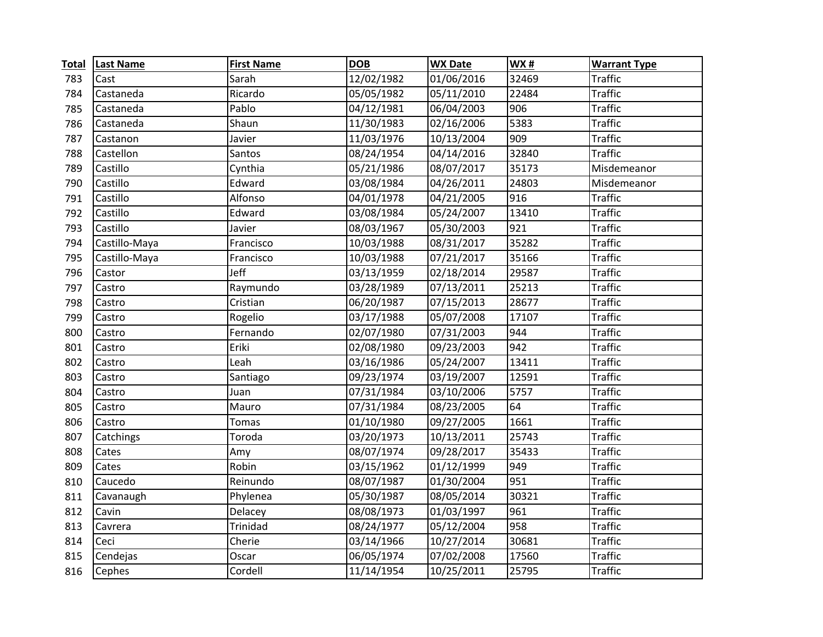| <b>Total</b> | <b>Last Name</b> | <b>First Name</b> | <b>DOB</b> | <b>WX Date</b> | <b>WX#</b> | <b>Warrant Type</b> |
|--------------|------------------|-------------------|------------|----------------|------------|---------------------|
| 783          | Cast             | Sarah             | 12/02/1982 | 01/06/2016     | 32469      | <b>Traffic</b>      |
| 784          | Castaneda        | Ricardo           | 05/05/1982 | 05/11/2010     | 22484      | <b>Traffic</b>      |
| 785          | Castaneda        | Pablo             | 04/12/1981 | 06/04/2003     | 906        | <b>Traffic</b>      |
| 786          | Castaneda        | Shaun             | 11/30/1983 | 02/16/2006     | 5383       | <b>Traffic</b>      |
| 787          | Castanon         | Javier            | 11/03/1976 | 10/13/2004     | 909        | <b>Traffic</b>      |
| 788          | Castellon        | Santos            | 08/24/1954 | 04/14/2016     | 32840      | <b>Traffic</b>      |
| 789          | Castillo         | Cynthia           | 05/21/1986 | 08/07/2017     | 35173      | Misdemeanor         |
| 790          | Castillo         | Edward            | 03/08/1984 | 04/26/2011     | 24803      | Misdemeanor         |
| 791          | Castillo         | Alfonso           | 04/01/1978 | 04/21/2005     | 916        | <b>Traffic</b>      |
| 792          | Castillo         | Edward            | 03/08/1984 | 05/24/2007     | 13410      | <b>Traffic</b>      |
| 793          | Castillo         | Javier            | 08/03/1967 | 05/30/2003     | 921        | <b>Traffic</b>      |
| 794          | Castillo-Maya    | Francisco         | 10/03/1988 | 08/31/2017     | 35282      | <b>Traffic</b>      |
| 795          | Castillo-Maya    | Francisco         | 10/03/1988 | 07/21/2017     | 35166      | <b>Traffic</b>      |
| 796          | Castor           | Jeff              | 03/13/1959 | 02/18/2014     | 29587      | <b>Traffic</b>      |
| 797          | Castro           | Raymundo          | 03/28/1989 | 07/13/2011     | 25213      | <b>Traffic</b>      |
| 798          | Castro           | Cristian          | 06/20/1987 | 07/15/2013     | 28677      | <b>Traffic</b>      |
| 799          | Castro           | Rogelio           | 03/17/1988 | 05/07/2008     | 17107      | <b>Traffic</b>      |
| 800          | Castro           | Fernando          | 02/07/1980 | 07/31/2003     | 944        | <b>Traffic</b>      |
| 801          | Castro           | Eriki             | 02/08/1980 | 09/23/2003     | 942        | <b>Traffic</b>      |
| 802          | Castro           | Leah              | 03/16/1986 | 05/24/2007     | 13411      | <b>Traffic</b>      |
| 803          | Castro           | Santiago          | 09/23/1974 | 03/19/2007     | 12591      | <b>Traffic</b>      |
| 804          | Castro           | Juan              | 07/31/1984 | 03/10/2006     | 5757       | <b>Traffic</b>      |
| 805          | Castro           | Mauro             | 07/31/1984 | 08/23/2005     | 64         | <b>Traffic</b>      |
| 806          | Castro           | Tomas             | 01/10/1980 | 09/27/2005     | 1661       | <b>Traffic</b>      |
| 807          | Catchings        | Toroda            | 03/20/1973 | 10/13/2011     | 25743      | <b>Traffic</b>      |
| 808          | Cates            | Amy               | 08/07/1974 | 09/28/2017     | 35433      | <b>Traffic</b>      |
| 809          | Cates            | Robin             | 03/15/1962 | 01/12/1999     | 949        | <b>Traffic</b>      |
| 810          | Caucedo          | Reinundo          | 08/07/1987 | 01/30/2004     | 951        | <b>Traffic</b>      |
| 811          | Cavanaugh        | Phylenea          | 05/30/1987 | 08/05/2014     | 30321      | <b>Traffic</b>      |
| 812          | Cavin            | Delacey           | 08/08/1973 | 01/03/1997     | 961        | <b>Traffic</b>      |
| 813          | Cavrera          | Trinidad          | 08/24/1977 | 05/12/2004     | 958        | <b>Traffic</b>      |
| 814          | Ceci             | Cherie            | 03/14/1966 | 10/27/2014     | 30681      | <b>Traffic</b>      |
| 815          | Cendejas         | Oscar             | 06/05/1974 | 07/02/2008     | 17560      | <b>Traffic</b>      |
| 816          | Cephes           | Cordell           | 11/14/1954 | 10/25/2011     | 25795      | <b>Traffic</b>      |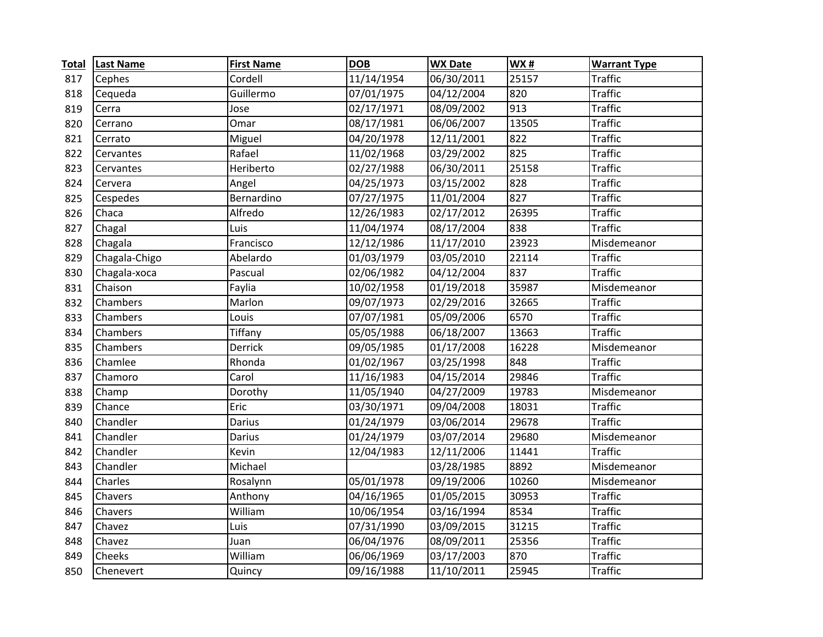| <b>Total</b> | <b>Last Name</b> | <b>First Name</b> | <b>DOB</b> | <b>WX Date</b> | <b>WX#</b> | <b>Warrant Type</b> |
|--------------|------------------|-------------------|------------|----------------|------------|---------------------|
| 817          | Cephes           | Cordell           | 11/14/1954 | 06/30/2011     | 25157      | <b>Traffic</b>      |
| 818          | Cequeda          | Guillermo         | 07/01/1975 | 04/12/2004     | 820        | <b>Traffic</b>      |
| 819          | Cerra            | Jose              | 02/17/1971 | 08/09/2002     | 913        | <b>Traffic</b>      |
| 820          | Cerrano          | Omar              | 08/17/1981 | 06/06/2007     | 13505      | <b>Traffic</b>      |
| 821          | Cerrato          | Miguel            | 04/20/1978 | 12/11/2001     | 822        | <b>Traffic</b>      |
| 822          | Cervantes        | Rafael            | 11/02/1968 | 03/29/2002     | 825        | <b>Traffic</b>      |
| 823          | Cervantes        | Heriberto         | 02/27/1988 | 06/30/2011     | 25158      | <b>Traffic</b>      |
| 824          | Cervera          | Angel             | 04/25/1973 | 03/15/2002     | 828        | <b>Traffic</b>      |
| 825          | Cespedes         | Bernardino        | 07/27/1975 | 11/01/2004     | 827        | <b>Traffic</b>      |
| 826          | Chaca            | Alfredo           | 12/26/1983 | 02/17/2012     | 26395      | <b>Traffic</b>      |
| 827          | Chagal           | Luis              | 11/04/1974 | 08/17/2004     | 838        | <b>Traffic</b>      |
| 828          | Chagala          | Francisco         | 12/12/1986 | 11/17/2010     | 23923      | Misdemeanor         |
| 829          | Chagala-Chigo    | Abelardo          | 01/03/1979 | 03/05/2010     | 22114      | <b>Traffic</b>      |
| 830          | Chagala-xoca     | Pascual           | 02/06/1982 | 04/12/2004     | 837        | <b>Traffic</b>      |
| 831          | Chaison          | Faylia            | 10/02/1958 | 01/19/2018     | 35987      | Misdemeanor         |
| 832          | Chambers         | Marlon            | 09/07/1973 | 02/29/2016     | 32665      | <b>Traffic</b>      |
| 833          | Chambers         | Louis             | 07/07/1981 | 05/09/2006     | 6570       | <b>Traffic</b>      |
| 834          | Chambers         | Tiffany           | 05/05/1988 | 06/18/2007     | 13663      | <b>Traffic</b>      |
| 835          | Chambers         | Derrick           | 09/05/1985 | 01/17/2008     | 16228      | Misdemeanor         |
| 836          | Chamlee          | Rhonda            | 01/02/1967 | 03/25/1998     | 848        | <b>Traffic</b>      |
| 837          | Chamoro          | Carol             | 11/16/1983 | 04/15/2014     | 29846      | <b>Traffic</b>      |
| 838          | Champ            | Dorothy           | 11/05/1940 | 04/27/2009     | 19783      | Misdemeanor         |
| 839          | Chance           | Eric              | 03/30/1971 | 09/04/2008     | 18031      | <b>Traffic</b>      |
| 840          | Chandler         | Darius            | 01/24/1979 | 03/06/2014     | 29678      | <b>Traffic</b>      |
| 841          | Chandler         | Darius            | 01/24/1979 | 03/07/2014     | 29680      | Misdemeanor         |
| 842          | Chandler         | Kevin             | 12/04/1983 | 12/11/2006     | 11441      | <b>Traffic</b>      |
| 843          | Chandler         | Michael           |            | 03/28/1985     | 8892       | Misdemeanor         |
| 844          | Charles          | Rosalynn          | 05/01/1978 | 09/19/2006     | 10260      | Misdemeanor         |
| 845          | Chavers          | Anthony           | 04/16/1965 | 01/05/2015     | 30953      | <b>Traffic</b>      |
| 846          | Chavers          | William           | 10/06/1954 | 03/16/1994     | 8534       | <b>Traffic</b>      |
| 847          | Chavez           | Luis              | 07/31/1990 | 03/09/2015     | 31215      | <b>Traffic</b>      |
| 848          | Chavez           | Juan              | 06/04/1976 | 08/09/2011     | 25356      | <b>Traffic</b>      |
| 849          | Cheeks           | William           | 06/06/1969 | 03/17/2003     | 870        | <b>Traffic</b>      |
| 850          | Chenevert        | Quincy            | 09/16/1988 | 11/10/2011     | 25945      | <b>Traffic</b>      |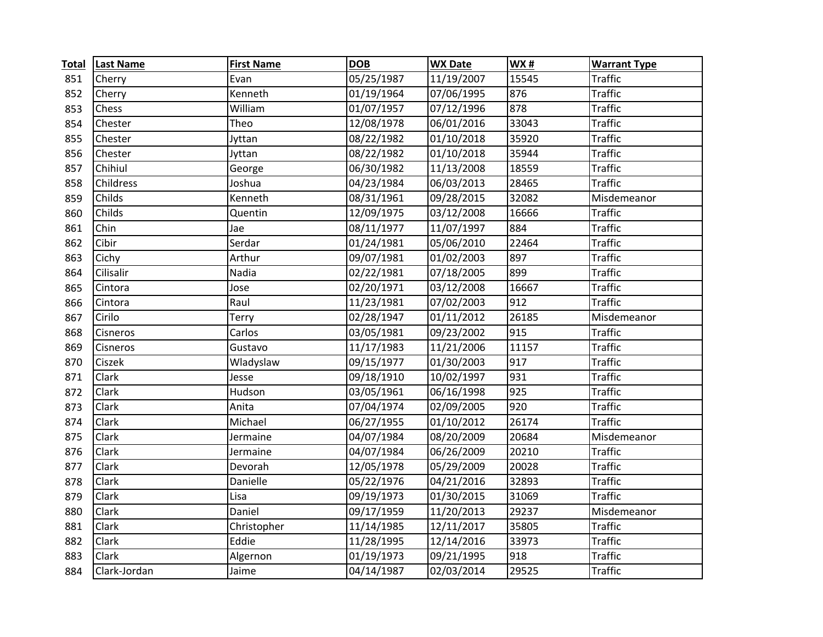| <b>Total</b> | <b>Last Name</b> | <b>First Name</b> | <b>DOB</b> | <b>WX Date</b> | WX#   | <b>Warrant Type</b> |
|--------------|------------------|-------------------|------------|----------------|-------|---------------------|
| 851          | Cherry           | Evan              | 05/25/1987 | 11/19/2007     | 15545 | <b>Traffic</b>      |
| 852          | Cherry           | Kenneth           | 01/19/1964 | 07/06/1995     | 876   | <b>Traffic</b>      |
| 853          | Chess            | William           | 01/07/1957 | 07/12/1996     | 878   | <b>Traffic</b>      |
| 854          | Chester          | Theo              | 12/08/1978 | 06/01/2016     | 33043 | <b>Traffic</b>      |
| 855          | Chester          | Jyttan            | 08/22/1982 | 01/10/2018     | 35920 | <b>Traffic</b>      |
| 856          | Chester          | Jyttan            | 08/22/1982 | 01/10/2018     | 35944 | <b>Traffic</b>      |
| 857          | Chihiul          | George            | 06/30/1982 | 11/13/2008     | 18559 | <b>Traffic</b>      |
| 858          | Childress        | Joshua            | 04/23/1984 | 06/03/2013     | 28465 | <b>Traffic</b>      |
| 859          | Childs           | Kenneth           | 08/31/1961 | 09/28/2015     | 32082 | Misdemeanor         |
| 860          | Childs           | Quentin           | 12/09/1975 | 03/12/2008     | 16666 | <b>Traffic</b>      |
| 861          | Chin             | Jae               | 08/11/1977 | 11/07/1997     | 884   | <b>Traffic</b>      |
| 862          | Cibir            | Serdar            | 01/24/1981 | 05/06/2010     | 22464 | <b>Traffic</b>      |
| 863          | Cichy            | Arthur            | 09/07/1981 | 01/02/2003     | 897   | <b>Traffic</b>      |
| 864          | Cilisalir        | Nadia             | 02/22/1981 | 07/18/2005     | 899   | <b>Traffic</b>      |
| 865          | Cintora          | Jose              | 02/20/1971 | 03/12/2008     | 16667 | <b>Traffic</b>      |
| 866          | Cintora          | Raul              | 11/23/1981 | 07/02/2003     | 912   | <b>Traffic</b>      |
| 867          | Cirilo           | Terry             | 02/28/1947 | 01/11/2012     | 26185 | Misdemeanor         |
| 868          | Cisneros         | Carlos            | 03/05/1981 | 09/23/2002     | 915   | <b>Traffic</b>      |
| 869          | Cisneros         | Gustavo           | 11/17/1983 | 11/21/2006     | 11157 | <b>Traffic</b>      |
| 870          | Ciszek           | Wladyslaw         | 09/15/1977 | 01/30/2003     | 917   | <b>Traffic</b>      |
| 871          | Clark            | Jesse             | 09/18/1910 | 10/02/1997     | 931   | <b>Traffic</b>      |
| 872          | Clark            | Hudson            | 03/05/1961 | 06/16/1998     | 925   | <b>Traffic</b>      |
| 873          | Clark            | Anita             | 07/04/1974 | 02/09/2005     | 920   | <b>Traffic</b>      |
| 874          | Clark            | Michael           | 06/27/1955 | 01/10/2012     | 26174 | <b>Traffic</b>      |
| 875          | Clark            | Jermaine          | 04/07/1984 | 08/20/2009     | 20684 | Misdemeanor         |
| 876          | Clark            | Jermaine          | 04/07/1984 | 06/26/2009     | 20210 | <b>Traffic</b>      |
| 877          | Clark            | Devorah           | 12/05/1978 | 05/29/2009     | 20028 | <b>Traffic</b>      |
| 878          | Clark            | Danielle          | 05/22/1976 | 04/21/2016     | 32893 | <b>Traffic</b>      |
| 879          | Clark            | Lisa              | 09/19/1973 | 01/30/2015     | 31069 | <b>Traffic</b>      |
| 880          | Clark            | Daniel            | 09/17/1959 | 11/20/2013     | 29237 | Misdemeanor         |
| 881          | Clark            | Christopher       | 11/14/1985 | 12/11/2017     | 35805 | <b>Traffic</b>      |
| 882          | Clark            | Eddie             | 11/28/1995 | 12/14/2016     | 33973 | <b>Traffic</b>      |
| 883          | Clark            | Algernon          | 01/19/1973 | 09/21/1995     | 918   | <b>Traffic</b>      |
| 884          | Clark-Jordan     | Jaime             | 04/14/1987 | 02/03/2014     | 29525 | <b>Traffic</b>      |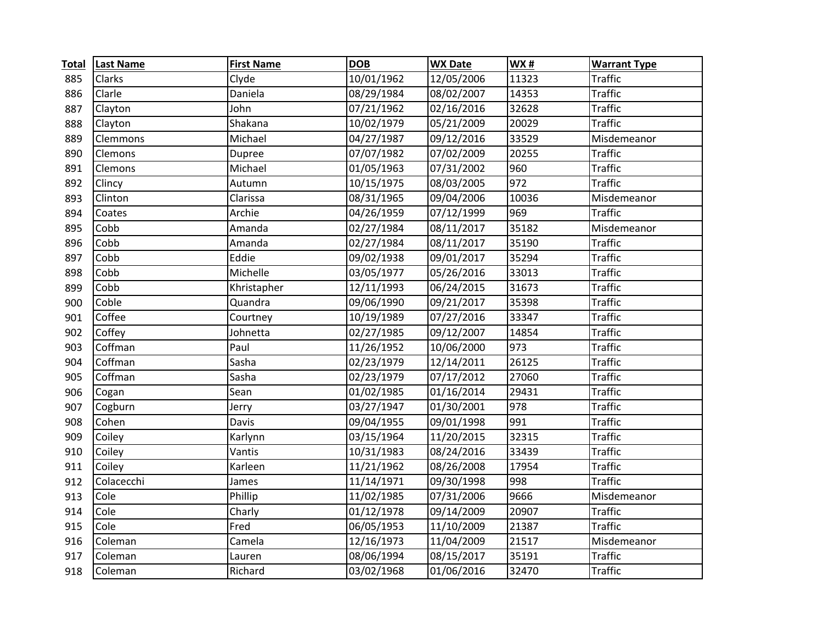| <b>Total</b> | <b>Last Name</b> | <b>First Name</b> | <b>DOB</b> | <b>WX Date</b> | <b>WX#</b> | <b>Warrant Type</b> |
|--------------|------------------|-------------------|------------|----------------|------------|---------------------|
| 885          | Clarks           | Clyde             | 10/01/1962 | 12/05/2006     | 11323      | <b>Traffic</b>      |
| 886          | Clarle           | Daniela           | 08/29/1984 | 08/02/2007     | 14353      | <b>Traffic</b>      |
| 887          | Clayton          | John              | 07/21/1962 | 02/16/2016     | 32628      | <b>Traffic</b>      |
| 888          | Clayton          | Shakana           | 10/02/1979 | 05/21/2009     | 20029      | <b>Traffic</b>      |
| 889          | Clemmons         | Michael           | 04/27/1987 | 09/12/2016     | 33529      | Misdemeanor         |
| 890          | Clemons          | Dupree            | 07/07/1982 | 07/02/2009     | 20255      | <b>Traffic</b>      |
| 891          | Clemons          | Michael           | 01/05/1963 | 07/31/2002     | 960        | <b>Traffic</b>      |
| 892          | Clincy           | Autumn            | 10/15/1975 | 08/03/2005     | 972        | <b>Traffic</b>      |
| 893          | Clinton          | Clarissa          | 08/31/1965 | 09/04/2006     | 10036      | Misdemeanor         |
| 894          | Coates           | Archie            | 04/26/1959 | 07/12/1999     | 969        | <b>Traffic</b>      |
| 895          | Cobb             | Amanda            | 02/27/1984 | 08/11/2017     | 35182      | Misdemeanor         |
| 896          | Cobb             | Amanda            | 02/27/1984 | 08/11/2017     | 35190      | <b>Traffic</b>      |
| 897          | Cobb             | Eddie             | 09/02/1938 | 09/01/2017     | 35294      | <b>Traffic</b>      |
| 898          | Cobb             | Michelle          | 03/05/1977 | 05/26/2016     | 33013      | <b>Traffic</b>      |
| 899          | Cobb             | Khristapher       | 12/11/1993 | 06/24/2015     | 31673      | <b>Traffic</b>      |
| 900          | Coble            | Quandra           | 09/06/1990 | 09/21/2017     | 35398      | <b>Traffic</b>      |
| 901          | Coffee           | Courtney          | 10/19/1989 | 07/27/2016     | 33347      | <b>Traffic</b>      |
| 902          | Coffey           | Johnetta          | 02/27/1985 | 09/12/2007     | 14854      | <b>Traffic</b>      |
| 903          | Coffman          | Paul              | 11/26/1952 | 10/06/2000     | 973        | <b>Traffic</b>      |
| 904          | Coffman          | Sasha             | 02/23/1979 | 12/14/2011     | 26125      | <b>Traffic</b>      |
| 905          | Coffman          | Sasha             | 02/23/1979 | 07/17/2012     | 27060      | <b>Traffic</b>      |
| 906          | Cogan            | Sean              | 01/02/1985 | 01/16/2014     | 29431      | <b>Traffic</b>      |
| 907          | Cogburn          | Jerry             | 03/27/1947 | 01/30/2001     | 978        | <b>Traffic</b>      |
| 908          | Cohen            | Davis             | 09/04/1955 | 09/01/1998     | 991        | <b>Traffic</b>      |
| 909          | Coiley           | Karlynn           | 03/15/1964 | 11/20/2015     | 32315      | <b>Traffic</b>      |
| 910          | Coiley           | Vantis            | 10/31/1983 | 08/24/2016     | 33439      | <b>Traffic</b>      |
| 911          | Coiley           | Karleen           | 11/21/1962 | 08/26/2008     | 17954      | <b>Traffic</b>      |
| 912          | Colacecchi       | James             | 11/14/1971 | 09/30/1998     | 998        | <b>Traffic</b>      |
| 913          | Cole             | Phillip           | 11/02/1985 | 07/31/2006     | 9666       | Misdemeanor         |
| 914          | Cole             | Charly            | 01/12/1978 | 09/14/2009     | 20907      | <b>Traffic</b>      |
| 915          | Cole             | Fred              | 06/05/1953 | 11/10/2009     | 21387      | <b>Traffic</b>      |
| 916          | Coleman          | Camela            | 12/16/1973 | 11/04/2009     | 21517      | Misdemeanor         |
| 917          | Coleman          | Lauren            | 08/06/1994 | 08/15/2017     | 35191      | <b>Traffic</b>      |
| 918          | Coleman          | Richard           | 03/02/1968 | 01/06/2016     | 32470      | <b>Traffic</b>      |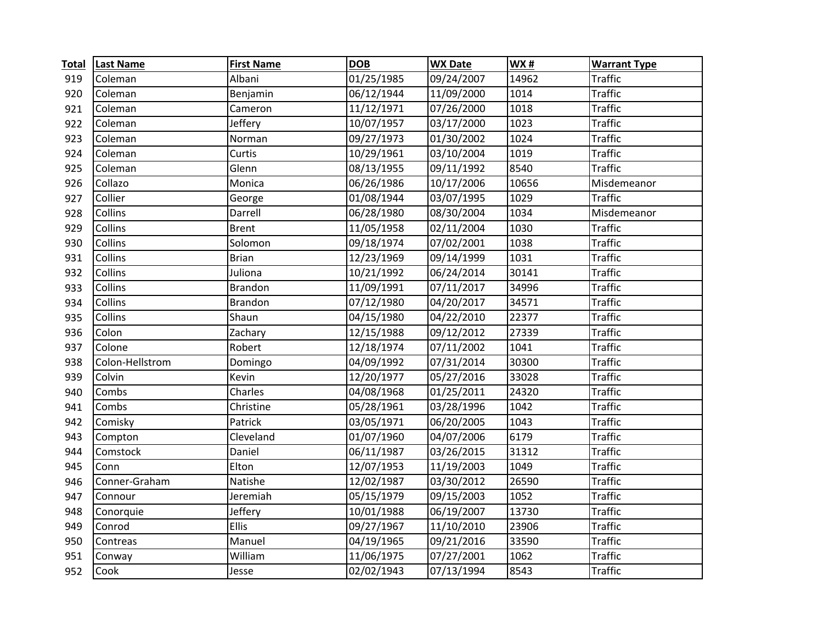| <b>Total</b> | <b>Last Name</b> | <b>First Name</b> | <b>DOB</b> | <b>WX Date</b> | WX#   | <b>Warrant Type</b> |
|--------------|------------------|-------------------|------------|----------------|-------|---------------------|
| 919          | Coleman          | Albani            | 01/25/1985 | 09/24/2007     | 14962 | <b>Traffic</b>      |
| 920          | Coleman          | Benjamin          | 06/12/1944 | 11/09/2000     | 1014  | <b>Traffic</b>      |
| 921          | Coleman          | Cameron           | 11/12/1971 | 07/26/2000     | 1018  | <b>Traffic</b>      |
| 922          | Coleman          | Jeffery           | 10/07/1957 | 03/17/2000     | 1023  | <b>Traffic</b>      |
| 923          | Coleman          | Norman            | 09/27/1973 | 01/30/2002     | 1024  | <b>Traffic</b>      |
| 924          | Coleman          | Curtis            | 10/29/1961 | 03/10/2004     | 1019  | <b>Traffic</b>      |
| 925          | Coleman          | Glenn             | 08/13/1955 | 09/11/1992     | 8540  | <b>Traffic</b>      |
| 926          | Collazo          | Monica            | 06/26/1986 | 10/17/2006     | 10656 | Misdemeanor         |
| 927          | Collier          | George            | 01/08/1944 | 03/07/1995     | 1029  | <b>Traffic</b>      |
| 928          | Collins          | Darrell           | 06/28/1980 | 08/30/2004     | 1034  | Misdemeanor         |
| 929          | Collins          | <b>Brent</b>      | 11/05/1958 | 02/11/2004     | 1030  | <b>Traffic</b>      |
| 930          | Collins          | Solomon           | 09/18/1974 | 07/02/2001     | 1038  | <b>Traffic</b>      |
| 931          | Collins          | <b>Brian</b>      | 12/23/1969 | 09/14/1999     | 1031  | <b>Traffic</b>      |
| 932          | Collins          | Juliona           | 10/21/1992 | 06/24/2014     | 30141 | <b>Traffic</b>      |
| 933          | Collins          | <b>Brandon</b>    | 11/09/1991 | 07/11/2017     | 34996 | <b>Traffic</b>      |
| 934          | Collins          | <b>Brandon</b>    | 07/12/1980 | 04/20/2017     | 34571 | <b>Traffic</b>      |
| 935          | Collins          | Shaun             | 04/15/1980 | 04/22/2010     | 22377 | <b>Traffic</b>      |
| 936          | Colon            | Zachary           | 12/15/1988 | 09/12/2012     | 27339 | <b>Traffic</b>      |
| 937          | Colone           | Robert            | 12/18/1974 | 07/11/2002     | 1041  | <b>Traffic</b>      |
| 938          | Colon-Hellstrom  | Domingo           | 04/09/1992 | 07/31/2014     | 30300 | <b>Traffic</b>      |
| 939          | Colvin           | Kevin             | 12/20/1977 | 05/27/2016     | 33028 | <b>Traffic</b>      |
| 940          | Combs            | Charles           | 04/08/1968 | 01/25/2011     | 24320 | <b>Traffic</b>      |
| 941          | Combs            | Christine         | 05/28/1961 | 03/28/1996     | 1042  | <b>Traffic</b>      |
| 942          | Comisky          | Patrick           | 03/05/1971 | 06/20/2005     | 1043  | <b>Traffic</b>      |
| 943          | Compton          | Cleveland         | 01/07/1960 | 04/07/2006     | 6179  | <b>Traffic</b>      |
| 944          | Comstock         | Daniel            | 06/11/1987 | 03/26/2015     | 31312 | <b>Traffic</b>      |
| 945          | Conn             | Elton             | 12/07/1953 | 11/19/2003     | 1049  | <b>Traffic</b>      |
| 946          | Conner-Graham    | Natishe           | 12/02/1987 | 03/30/2012     | 26590 | <b>Traffic</b>      |
| 947          | Connour          | Jeremiah          | 05/15/1979 | 09/15/2003     | 1052  | <b>Traffic</b>      |
| 948          | Conorquie        | Jeffery           | 10/01/1988 | 06/19/2007     | 13730 | <b>Traffic</b>      |
| 949          | Conrod           | <b>Ellis</b>      | 09/27/1967 | 11/10/2010     | 23906 | <b>Traffic</b>      |
| 950          | Contreas         | Manuel            | 04/19/1965 | 09/21/2016     | 33590 | <b>Traffic</b>      |
| 951          | Conway           | William           | 11/06/1975 | 07/27/2001     | 1062  | <b>Traffic</b>      |
| 952          | Cook             | Jesse             | 02/02/1943 | 07/13/1994     | 8543  | <b>Traffic</b>      |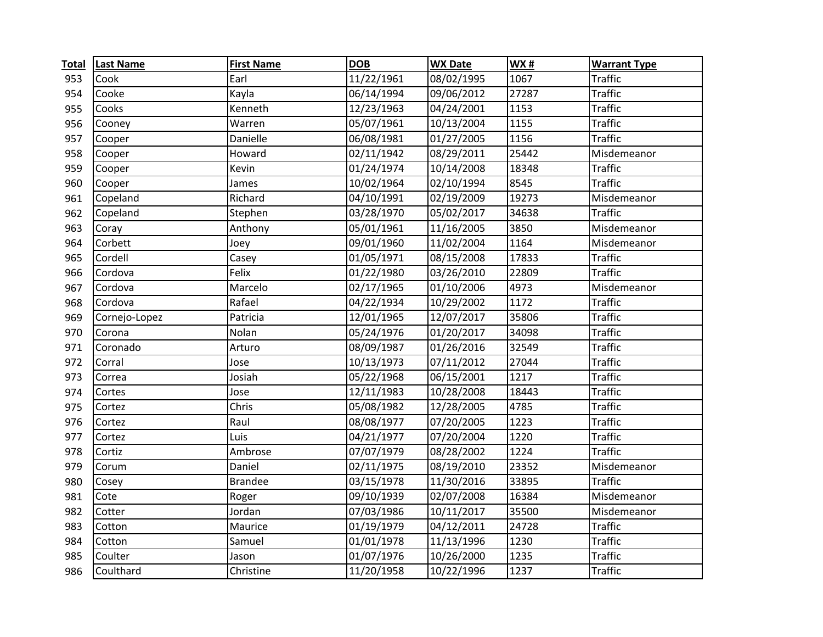| <b>Total</b> | <b>Last Name</b> | <b>First Name</b> | <b>DOB</b> | <b>WX Date</b> | <b>WX#</b> | <b>Warrant Type</b> |
|--------------|------------------|-------------------|------------|----------------|------------|---------------------|
| 953          | Cook             | Earl              | 11/22/1961 | 08/02/1995     | 1067       | <b>Traffic</b>      |
| 954          | Cooke            | Kayla             | 06/14/1994 | 09/06/2012     | 27287      | <b>Traffic</b>      |
| 955          | Cooks            | Kenneth           | 12/23/1963 | 04/24/2001     | 1153       | <b>Traffic</b>      |
| 956          | Cooney           | Warren            | 05/07/1961 | 10/13/2004     | 1155       | <b>Traffic</b>      |
| 957          | Cooper           | Danielle          | 06/08/1981 | 01/27/2005     | 1156       | <b>Traffic</b>      |
| 958          | Cooper           | Howard            | 02/11/1942 | 08/29/2011     | 25442      | Misdemeanor         |
| 959          | Cooper           | Kevin             | 01/24/1974 | 10/14/2008     | 18348      | <b>Traffic</b>      |
| 960          | Cooper           | James             | 10/02/1964 | 02/10/1994     | 8545       | <b>Traffic</b>      |
| 961          | Copeland         | Richard           | 04/10/1991 | 02/19/2009     | 19273      | Misdemeanor         |
| 962          | Copeland         | Stephen           | 03/28/1970 | 05/02/2017     | 34638      | <b>Traffic</b>      |
| 963          | Coray            | Anthony           | 05/01/1961 | 11/16/2005     | 3850       | Misdemeanor         |
| 964          | Corbett          | Joey              | 09/01/1960 | 11/02/2004     | 1164       | Misdemeanor         |
| 965          | Cordell          | Casey             | 01/05/1971 | 08/15/2008     | 17833      | <b>Traffic</b>      |
| 966          | Cordova          | Felix             | 01/22/1980 | 03/26/2010     | 22809      | <b>Traffic</b>      |
| 967          | Cordova          | Marcelo           | 02/17/1965 | 01/10/2006     | 4973       | Misdemeanor         |
| 968          | Cordova          | Rafael            | 04/22/1934 | 10/29/2002     | 1172       | <b>Traffic</b>      |
| 969          | Cornejo-Lopez    | Patricia          | 12/01/1965 | 12/07/2017     | 35806      | <b>Traffic</b>      |
| 970          | Corona           | Nolan             | 05/24/1976 | 01/20/2017     | 34098      | <b>Traffic</b>      |
| 971          | Coronado         | Arturo            | 08/09/1987 | 01/26/2016     | 32549      | <b>Traffic</b>      |
| 972          | Corral           | Jose              | 10/13/1973 | 07/11/2012     | 27044      | <b>Traffic</b>      |
| 973          | Correa           | Josiah            | 05/22/1968 | 06/15/2001     | 1217       | <b>Traffic</b>      |
| 974          | Cortes           | Jose              | 12/11/1983 | 10/28/2008     | 18443      | <b>Traffic</b>      |
| 975          | Cortez           | Chris             | 05/08/1982 | 12/28/2005     | 4785       | <b>Traffic</b>      |
| 976          | Cortez           | Raul              | 08/08/1977 | 07/20/2005     | 1223       | <b>Traffic</b>      |
| 977          | Cortez           | Luis              | 04/21/1977 | 07/20/2004     | 1220       | <b>Traffic</b>      |
| 978          | Cortiz           | Ambrose           | 07/07/1979 | 08/28/2002     | 1224       | <b>Traffic</b>      |
| 979          | Corum            | Daniel            | 02/11/1975 | 08/19/2010     | 23352      | Misdemeanor         |
| 980          | Cosey            | <b>Brandee</b>    | 03/15/1978 | 11/30/2016     | 33895      | <b>Traffic</b>      |
| 981          | Cote             | Roger             | 09/10/1939 | 02/07/2008     | 16384      | Misdemeanor         |
| 982          | Cotter           | Jordan            | 07/03/1986 | 10/11/2017     | 35500      | Misdemeanor         |
| 983          | Cotton           | Maurice           | 01/19/1979 | 04/12/2011     | 24728      | <b>Traffic</b>      |
| 984          | Cotton           | Samuel            | 01/01/1978 | 11/13/1996     | 1230       | <b>Traffic</b>      |
| 985          | Coulter          | Jason             | 01/07/1976 | 10/26/2000     | 1235       | <b>Traffic</b>      |
| 986          | Coulthard        | Christine         | 11/20/1958 | 10/22/1996     | 1237       | <b>Traffic</b>      |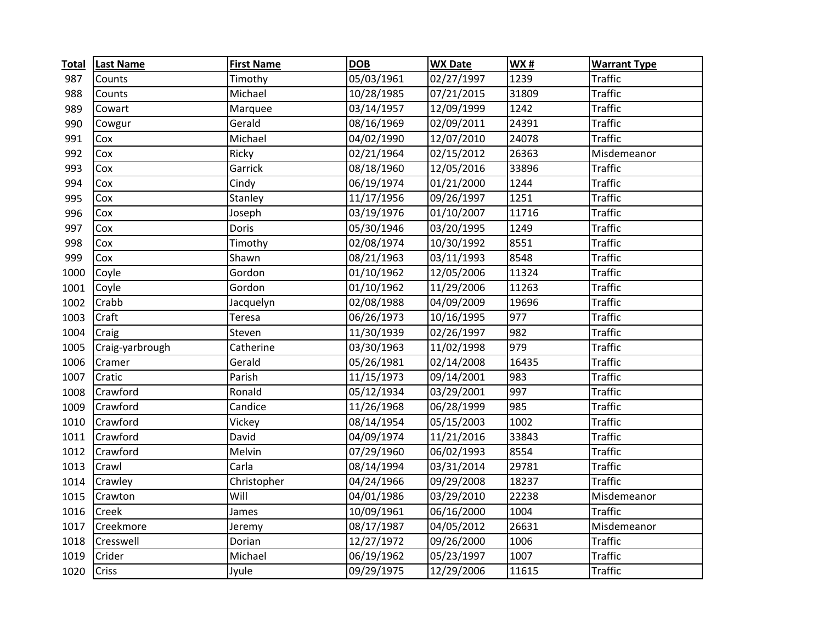| <b>Total</b> | <b>Last Name</b> | <b>First Name</b> | <b>DOB</b> | <b>WX Date</b> | <b>WX#</b> | <b>Warrant Type</b> |
|--------------|------------------|-------------------|------------|----------------|------------|---------------------|
| 987          | Counts           | Timothy           | 05/03/1961 | 02/27/1997     | 1239       | <b>Traffic</b>      |
| 988          | Counts           | Michael           | 10/28/1985 | 07/21/2015     | 31809      | <b>Traffic</b>      |
| 989          | Cowart           | Marquee           | 03/14/1957 | 12/09/1999     | 1242       | <b>Traffic</b>      |
| 990          | Cowgur           | Gerald            | 08/16/1969 | 02/09/2011     | 24391      | <b>Traffic</b>      |
| 991          | Cox              | Michael           | 04/02/1990 | 12/07/2010     | 24078      | <b>Traffic</b>      |
| 992          | Cox              | Ricky             | 02/21/1964 | 02/15/2012     | 26363      | Misdemeanor         |
| 993          | Cox              | Garrick           | 08/18/1960 | 12/05/2016     | 33896      | <b>Traffic</b>      |
| 994          | Cox              | Cindy             | 06/19/1974 | 01/21/2000     | 1244       | <b>Traffic</b>      |
| 995          | Cox              | Stanley           | 11/17/1956 | 09/26/1997     | 1251       | <b>Traffic</b>      |
| 996          | Cox              | Joseph            | 03/19/1976 | 01/10/2007     | 11716      | <b>Traffic</b>      |
| 997          | Cox              | <b>Doris</b>      | 05/30/1946 | 03/20/1995     | 1249       | <b>Traffic</b>      |
| 998          | Cox              | Timothy           | 02/08/1974 | 10/30/1992     | 8551       | <b>Traffic</b>      |
| 999          | Cox              | Shawn             | 08/21/1963 | 03/11/1993     | 8548       | <b>Traffic</b>      |
| 1000         | Coyle            | Gordon            | 01/10/1962 | 12/05/2006     | 11324      | <b>Traffic</b>      |
| 1001         | Coyle            | Gordon            | 01/10/1962 | 11/29/2006     | 11263      | <b>Traffic</b>      |
| 1002         | Crabb            | Jacquelyn         | 02/08/1988 | 04/09/2009     | 19696      | <b>Traffic</b>      |
| 1003         | Craft            | Teresa            | 06/26/1973 | 10/16/1995     | 977        | <b>Traffic</b>      |
| 1004         | Craig            | Steven            | 11/30/1939 | 02/26/1997     | 982        | <b>Traffic</b>      |
| 1005         | Craig-yarbrough  | Catherine         | 03/30/1963 | 11/02/1998     | 979        | <b>Traffic</b>      |
| 1006         | Cramer           | Gerald            | 05/26/1981 | 02/14/2008     | 16435      | <b>Traffic</b>      |
| 1007         | Cratic           | Parish            | 11/15/1973 | 09/14/2001     | 983        | <b>Traffic</b>      |
| 1008         | Crawford         | Ronald            | 05/12/1934 | 03/29/2001     | 997        | <b>Traffic</b>      |
| 1009         | Crawford         | Candice           | 11/26/1968 | 06/28/1999     | 985        | <b>Traffic</b>      |
| 1010         | Crawford         | Vickey            | 08/14/1954 | 05/15/2003     | 1002       | <b>Traffic</b>      |
| 1011         | Crawford         | David             | 04/09/1974 | 11/21/2016     | 33843      | <b>Traffic</b>      |
| 1012         | Crawford         | Melvin            | 07/29/1960 | 06/02/1993     | 8554       | <b>Traffic</b>      |
| 1013         | Crawl            | Carla             | 08/14/1994 | 03/31/2014     | 29781      | <b>Traffic</b>      |
| 1014         | Crawley          | Christopher       | 04/24/1966 | 09/29/2008     | 18237      | <b>Traffic</b>      |
| 1015         | Crawton          | Will              | 04/01/1986 | 03/29/2010     | 22238      | Misdemeanor         |
| 1016         | Creek            | James             | 10/09/1961 | 06/16/2000     | 1004       | <b>Traffic</b>      |
| 1017         | Creekmore        | Jeremy            | 08/17/1987 | 04/05/2012     | 26631      | Misdemeanor         |
| 1018         | Cresswell        | Dorian            | 12/27/1972 | 09/26/2000     | 1006       | <b>Traffic</b>      |
| 1019         | Crider           | Michael           | 06/19/1962 | 05/23/1997     | 1007       | <b>Traffic</b>      |
| 1020         | Criss            | Jyule             | 09/29/1975 | 12/29/2006     | 11615      | <b>Traffic</b>      |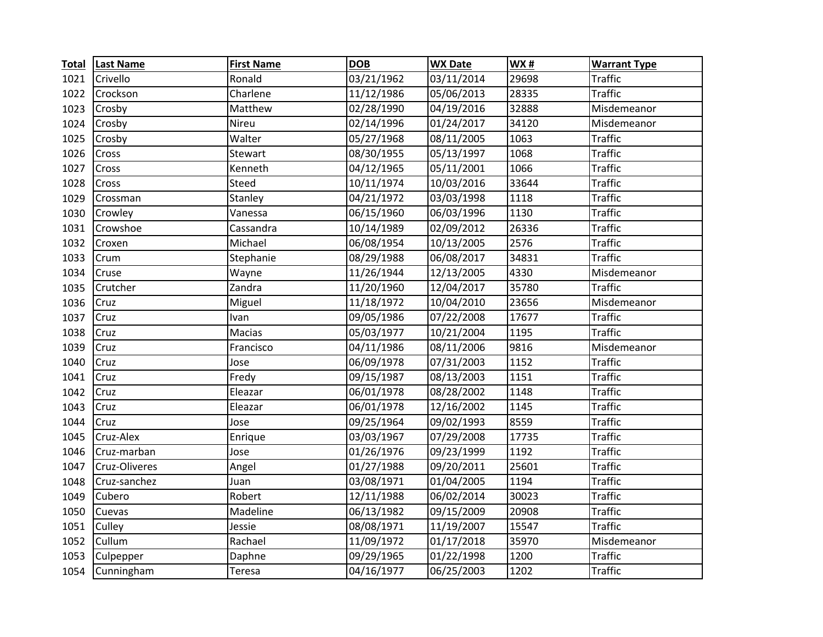| <b>Total</b> | <b>Last Name</b> | <b>First Name</b> | <b>DOB</b> | <b>WX Date</b>      | <b>WX#</b> | <b>Warrant Type</b> |
|--------------|------------------|-------------------|------------|---------------------|------------|---------------------|
| 1021         | Crivello         | Ronald            | 03/21/1962 | 03/11/2014          | 29698      | Traffic             |
| 1022         | Crockson         | Charlene          | 11/12/1986 | 05/06/2013          | 28335      | <b>Traffic</b>      |
| 1023         | Crosby           | Matthew           | 02/28/1990 | 04/19/2016          | 32888      | Misdemeanor         |
| 1024         | Crosby           | Nireu             | 02/14/1996 | 01/24/2017          | 34120      | Misdemeanor         |
| 1025         | Crosby           | Walter            | 05/27/1968 | 08/11/2005          | 1063       | <b>Traffic</b>      |
| 1026         | Cross            | Stewart           | 08/30/1955 | 05/13/1997          | 1068       | <b>Traffic</b>      |
| 1027         | Cross            | Kenneth           | 04/12/1965 | 05/11/2001          | 1066       | <b>Traffic</b>      |
| 1028         | Cross            | Steed             | 10/11/1974 | 10/03/2016          | 33644      | <b>Traffic</b>      |
| 1029         | Crossman         | Stanley           | 04/21/1972 | 03/03/1998          | 1118       | <b>Traffic</b>      |
| 1030         | Crowley          | Vanessa           | 06/15/1960 | 06/03/1996          | 1130       | <b>Traffic</b>      |
| 1031         | Crowshoe         | Cassandra         | 10/14/1989 | 02/09/2012          | 26336      | <b>Traffic</b>      |
| 1032         | Croxen           | Michael           | 06/08/1954 | 10/13/2005          | 2576       | <b>Traffic</b>      |
| 1033         | Crum             | Stephanie         | 08/29/1988 | 06/08/2017          | 34831      | <b>Traffic</b>      |
| 1034         | Cruse            | Wayne             | 11/26/1944 | 12/13/2005          | 4330       | Misdemeanor         |
| 1035         | Crutcher         | Zandra            | 11/20/1960 | 12/04/2017          | 35780      | <b>Traffic</b>      |
| 1036         | Cruz             | Miguel            | 11/18/1972 | 10/04/2010          | 23656      | Misdemeanor         |
| 1037         | Cruz             | Ivan              | 09/05/1986 | 07/22/2008          | 17677      | <b>Traffic</b>      |
| 1038         | Cruz             | Macias            | 05/03/1977 | 10/21/2004          | 1195       | <b>Traffic</b>      |
| 1039         | Cruz             | Francisco         | 04/11/1986 | 08/11/2006          | 9816       | Misdemeanor         |
| 1040         | Cruz             | Jose              | 06/09/1978 | 07/31/2003          | 1152       | <b>Traffic</b>      |
| 1041         | Cruz             | Fredy             | 09/15/1987 | 08/13/2003          | 1151       | <b>Traffic</b>      |
| 1042         | Cruz             | Eleazar           | 06/01/1978 | 08/28/2002          | 1148       | <b>Traffic</b>      |
| 1043         | Cruz             | Eleazar           | 06/01/1978 | 12/16/2002          | 1145       | <b>Traffic</b>      |
| 1044         | Cruz             | Jose              | 09/25/1964 | 09/02/1993          | 8559       | <b>Traffic</b>      |
| 1045         | Cruz-Alex        | Enrique           | 03/03/1967 | 07/29/2008          | 17735      | <b>Traffic</b>      |
| 1046         | Cruz-marban      | Jose              | 01/26/1976 | 09/23/1999          | 1192       | <b>Traffic</b>      |
| 1047         | Cruz-Oliveres    | Angel             | 01/27/1988 | 09/20/2011          | 25601      | <b>Traffic</b>      |
| 1048         | Cruz-sanchez     | Juan              | 03/08/1971 | 01/04/2005          | 1194       | <b>Traffic</b>      |
| 1049         | Cubero           | Robert            | 12/11/1988 | 06/02/2014          | 30023      | <b>Traffic</b>      |
| 1050         | Cuevas           | Madeline          | 06/13/1982 | 09/15/2009          | 20908      | <b>Traffic</b>      |
| 1051         | Culley           | Jessie            | 08/08/1971 | 11/19/2007          | 15547      | <b>Traffic</b>      |
| 1052         | Cullum           | Rachael           | 11/09/1972 | $\sqrt{01/17/2018}$ | 35970      | Misdemeanor         |
| 1053         | Culpepper        | Daphne            | 09/29/1965 | 01/22/1998          | 1200       | <b>Traffic</b>      |
| 1054         | Cunningham       | Teresa            | 04/16/1977 | 06/25/2003          | 1202       | <b>Traffic</b>      |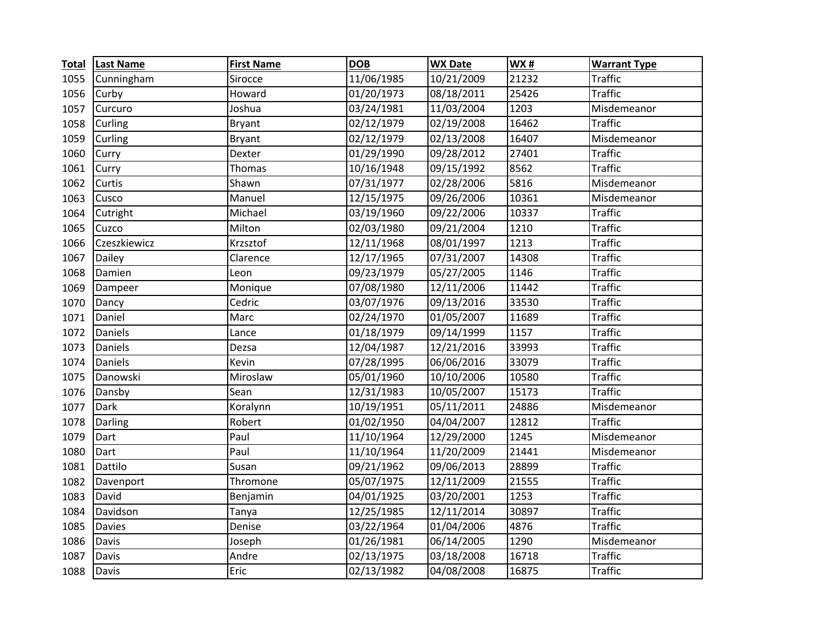| <b>Total</b> | <b>Last Name</b> | <b>First Name</b> | <b>DOB</b>              | <b>WX Date</b> | <b>WX#</b> | <b>Warrant Type</b> |
|--------------|------------------|-------------------|-------------------------|----------------|------------|---------------------|
| 1055         | Cunningham       | Sirocce           | 11/06/1985              | 10/21/2009     | 21232      | <b>Traffic</b>      |
| 1056         | Curby            | Howard            | 01/20/1973              | 08/18/2011     | 25426      | <b>Traffic</b>      |
| 1057         | Curcuro          | Joshua            | 03/24/1981              | 11/03/2004     | 1203       | Misdemeanor         |
| 1058         | Curling          | <b>Bryant</b>     | 02/12/1979              | 02/19/2008     | 16462      | <b>Traffic</b>      |
| 1059         | Curling          | <b>Bryant</b>     | 02/12/1979              | 02/13/2008     | 16407      | Misdemeanor         |
| 1060         | Curry            | Dexter            | 01/29/1990              | 09/28/2012     | 27401      | <b>Traffic</b>      |
| 1061         | Curry            | Thomas            | 10/16/1948              | 09/15/1992     | 8562       | <b>Traffic</b>      |
| 1062         | Curtis           | Shawn             | 07/31/1977              | 02/28/2006     | 5816       | Misdemeanor         |
| 1063         | Cusco            | Manuel            | 12/15/1975              | 09/26/2006     | 10361      | Misdemeanor         |
| 1064         | Cutright         | Michael           | 03/19/1960              | 09/22/2006     | 10337      | <b>Traffic</b>      |
| 1065         | Cuzco            | Milton            | 02/03/1980              | 09/21/2004     | 1210       | <b>Traffic</b>      |
| 1066         | Czeszkiewicz     | Krzsztof          | 12/11/1968              | 08/01/1997     | 1213       | <b>Traffic</b>      |
| 1067         | Dailey           | Clarence          | 12/17/1965              | 07/31/2007     | 14308      | <b>Traffic</b>      |
| 1068         | Damien           | Leon              | 09/23/1979              | 05/27/2005     | 1146       | <b>Traffic</b>      |
| 1069         | Dampeer          | Monique           | 07/08/1980              | 12/11/2006     | 11442      | <b>Traffic</b>      |
| 1070         | Dancy            | Cedric            | 03/07/1976              | 09/13/2016     | 33530      | <b>Traffic</b>      |
| 1071         | Daniel           | Marc              | 02/24/1970              | 01/05/2007     | 11689      | <b>Traffic</b>      |
| 1072         | Daniels          | Lance             | 01/18/1979              | 09/14/1999     | 1157       | <b>Traffic</b>      |
| 1073         | Daniels          | Dezsa             | 12/04/1987              | 12/21/2016     | 33993      | <b>Traffic</b>      |
| 1074         | Daniels          | Kevin             | 07/28/1995              | 06/06/2016     | 33079      | <b>Traffic</b>      |
| 1075         | Danowski         | Miroslaw          | 05/01/1960              | 10/10/2006     | 10580      | <b>Traffic</b>      |
| 1076         | Dansby           | Sean              | 12/31/1983              | 10/05/2007     | 15173      | <b>Traffic</b>      |
| 1077         | Dark             | Koralynn          | 10/19/1951              | 05/11/2011     | 24886      | Misdemeanor         |
| 1078         | Darling          | Robert            | $\frac{0}{0}$ 1/02/1950 | 04/04/2007     | 12812      | <b>Traffic</b>      |
| 1079         | Dart             | Paul              | 11/10/1964              | 12/29/2000     | 1245       | Misdemeanor         |
| 1080         | Dart             | Paul              | 11/10/1964              | 11/20/2009     | 21441      | Misdemeanor         |
| 1081         | Dattilo          | Susan             | 09/21/1962              | 09/06/2013     | 28899      | <b>Traffic</b>      |
| 1082         | Davenport        | Thromone          | 05/07/1975              | 12/11/2009     | 21555      | <b>Traffic</b>      |
| 1083         | David            | Benjamin          | 04/01/1925              | 03/20/2001     | 1253       | <b>Traffic</b>      |
| 1084         | Davidson         | Tanya             | 12/25/1985              | 12/11/2014     | 30897      | <b>Traffic</b>      |
| 1085         | <b>Davies</b>    | Denise            | 03/22/1964              | 01/04/2006     | 4876       | <b>Traffic</b>      |
| 1086         | Davis            | Joseph            | 01/26/1981              | 06/14/2005     | 1290       | Misdemeanor         |
| 1087         | Davis            | Andre             | 02/13/1975              | 03/18/2008     | 16718      | <b>Traffic</b>      |
| 1088         | Davis            | Eric              | 02/13/1982              | 04/08/2008     | 16875      | <b>Traffic</b>      |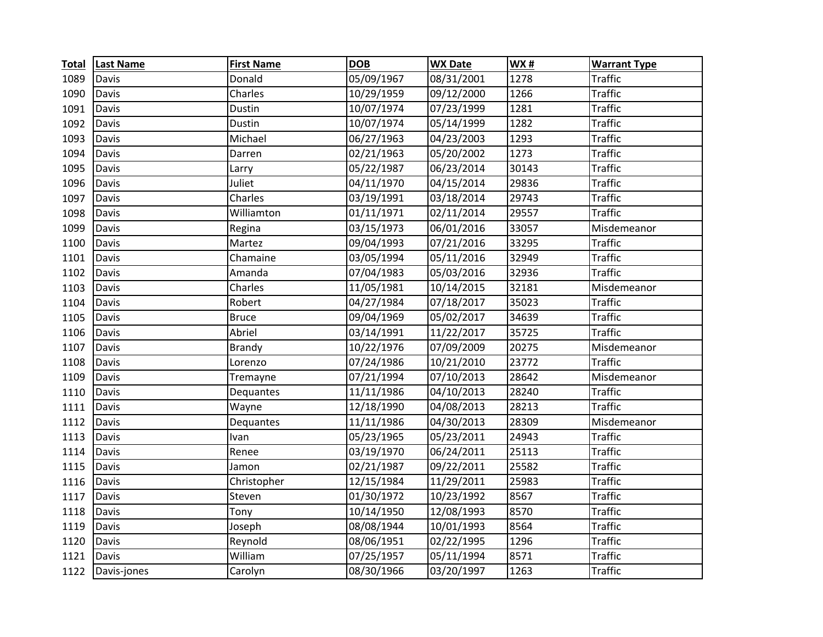| <b>Total</b> | <b>Last Name</b> | <b>First Name</b> | <b>DOB</b> | <b>WX Date</b> | WX#   | <b>Warrant Type</b> |
|--------------|------------------|-------------------|------------|----------------|-------|---------------------|
| 1089         | Davis            | Donald            | 05/09/1967 | 08/31/2001     | 1278  | <b>Traffic</b>      |
| 1090         | Davis            | Charles           | 10/29/1959 | 09/12/2000     | 1266  | <b>Traffic</b>      |
| 1091         | Davis            | Dustin            | 10/07/1974 | 07/23/1999     | 1281  | <b>Traffic</b>      |
| 1092         | Davis            | Dustin            | 10/07/1974 | 05/14/1999     | 1282  | <b>Traffic</b>      |
| 1093         | Davis            | Michael           | 06/27/1963 | 04/23/2003     | 1293  | <b>Traffic</b>      |
| 1094         | Davis            | Darren            | 02/21/1963 | 05/20/2002     | 1273  | <b>Traffic</b>      |
| 1095         | Davis            | Larry             | 05/22/1987 | 06/23/2014     | 30143 | <b>Traffic</b>      |
| 1096         | Davis            | Juliet            | 04/11/1970 | 04/15/2014     | 29836 | <b>Traffic</b>      |
| 1097         | Davis            | Charles           | 03/19/1991 | 03/18/2014     | 29743 | <b>Traffic</b>      |
| 1098         | Davis            | Williamton        | 01/11/1971 | 02/11/2014     | 29557 | <b>Traffic</b>      |
| 1099         | Davis            | Regina            | 03/15/1973 | 06/01/2016     | 33057 | Misdemeanor         |
| 1100         | Davis            | Martez            | 09/04/1993 | 07/21/2016     | 33295 | <b>Traffic</b>      |
| 1101         | Davis            | Chamaine          | 03/05/1994 | 05/11/2016     | 32949 | <b>Traffic</b>      |
| 1102         | Davis            | Amanda            | 07/04/1983 | 05/03/2016     | 32936 | <b>Traffic</b>      |
| 1103         | Davis            | Charles           | 11/05/1981 | 10/14/2015     | 32181 | Misdemeanor         |
| 1104         | Davis            | Robert            | 04/27/1984 | 07/18/2017     | 35023 | <b>Traffic</b>      |
| 1105         | Davis            | <b>Bruce</b>      | 09/04/1969 | 05/02/2017     | 34639 | <b>Traffic</b>      |
| 1106         | Davis            | Abriel            | 03/14/1991 | 11/22/2017     | 35725 | <b>Traffic</b>      |
| 1107         | Davis            | <b>Brandy</b>     | 10/22/1976 | 07/09/2009     | 20275 | Misdemeanor         |
| 1108         | Davis            | Lorenzo           | 07/24/1986 | 10/21/2010     | 23772 | <b>Traffic</b>      |
| 1109         | Davis            | Tremayne          | 07/21/1994 | 07/10/2013     | 28642 | Misdemeanor         |
| 1110         | Davis            | Dequantes         | 11/11/1986 | 04/10/2013     | 28240 | <b>Traffic</b>      |
| 1111         | Davis            | Wayne             | 12/18/1990 | 04/08/2013     | 28213 | <b>Traffic</b>      |
| 1112         | Davis            | Dequantes         | 11/11/1986 | 04/30/2013     | 28309 | Misdemeanor         |
| 1113         | Davis            | Ivan              | 05/23/1965 | 05/23/2011     | 24943 | <b>Traffic</b>      |
| 1114         | Davis            | Renee             | 03/19/1970 | 06/24/2011     | 25113 | <b>Traffic</b>      |
| 1115         | Davis            | Jamon             | 02/21/1987 | 09/22/2011     | 25582 | <b>Traffic</b>      |
| 1116         | Davis            | Christopher       | 12/15/1984 | 11/29/2011     | 25983 | <b>Traffic</b>      |
| 1117         | Davis            | Steven            | 01/30/1972 | 10/23/1992     | 8567  | <b>Traffic</b>      |
| 1118         | Davis            | Tony              | 10/14/1950 | 12/08/1993     | 8570  | <b>Traffic</b>      |
| 1119         | Davis            | Joseph            | 08/08/1944 | 10/01/1993     | 8564  | <b>Traffic</b>      |
| 1120         | Davis            | Reynold           | 08/06/1951 | 02/22/1995     | 1296  | <b>Traffic</b>      |
| 1121         | Davis            | William           | 07/25/1957 | 05/11/1994     | 8571  | <b>Traffic</b>      |
| 1122         | Davis-jones      | Carolyn           | 08/30/1966 | 03/20/1997     | 1263  | <b>Traffic</b>      |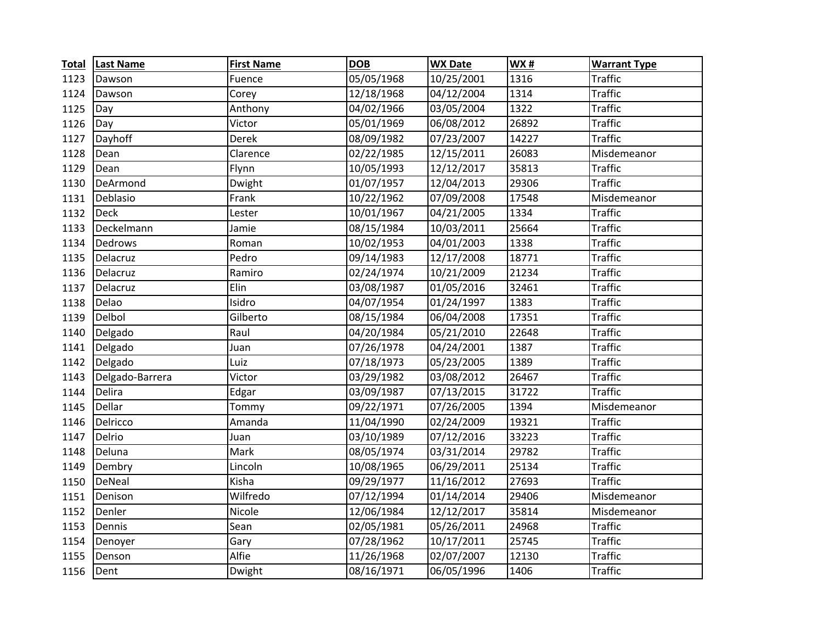| <b>Total</b> | <b>Last Name</b> | <b>First Name</b> | <b>DOB</b> | <b>WX Date</b> | <b>WX#</b> | <b>Warrant Type</b> |
|--------------|------------------|-------------------|------------|----------------|------------|---------------------|
| 1123         | Dawson           | Fuence            | 05/05/1968 | 10/25/2001     | 1316       | Traffic             |
| 1124         | Dawson           | Corey             | 12/18/1968 | 04/12/2004     | 1314       | <b>Traffic</b>      |
| 1125         | Day              | Anthony           | 04/02/1966 | 03/05/2004     | 1322       | <b>Traffic</b>      |
| 1126         | Day              | Victor            | 05/01/1969 | 06/08/2012     | 26892      | <b>Traffic</b>      |
| 1127         | Dayhoff          | Derek             | 08/09/1982 | 07/23/2007     | 14227      | <b>Traffic</b>      |
| 1128         | Dean             | Clarence          | 02/22/1985 | 12/15/2011     | 26083      | Misdemeanor         |
| 1129         | Dean             | Flynn             | 10/05/1993 | 12/12/2017     | 35813      | <b>Traffic</b>      |
| 1130         | DeArmond         | Dwight            | 01/07/1957 | 12/04/2013     | 29306      | <b>Traffic</b>      |
| 1131         | Deblasio         | Frank             | 10/22/1962 | 07/09/2008     | 17548      | Misdemeanor         |
| 1132         | <b>Deck</b>      | Lester            | 10/01/1967 | 04/21/2005     | 1334       | <b>Traffic</b>      |
| 1133         | Deckelmann       | Jamie             | 08/15/1984 | 10/03/2011     | 25664      | <b>Traffic</b>      |
| 1134         | <b>Dedrows</b>   | Roman             | 10/02/1953 | 04/01/2003     | 1338       | <b>Traffic</b>      |
| 1135         | Delacruz         | Pedro             | 09/14/1983 | 12/17/2008     | 18771      | <b>Traffic</b>      |
| 1136         | Delacruz         | Ramiro            | 02/24/1974 | 10/21/2009     | 21234      | <b>Traffic</b>      |
| 1137         | Delacruz         | Elin              | 03/08/1987 | 01/05/2016     | 32461      | <b>Traffic</b>      |
| 1138         | Delao            | Isidro            | 04/07/1954 | 01/24/1997     | 1383       | <b>Traffic</b>      |
| 1139         | Delbol           | Gilberto          | 08/15/1984 | 06/04/2008     | 17351      | <b>Traffic</b>      |
| 1140         | Delgado          | Raul              | 04/20/1984 | 05/21/2010     | 22648      | <b>Traffic</b>      |
| 1141         | Delgado          | Juan              | 07/26/1978 | 04/24/2001     | 1387       | <b>Traffic</b>      |
| 1142         | Delgado          | Luiz              | 07/18/1973 | 05/23/2005     | 1389       | <b>Traffic</b>      |
| 1143         | Delgado-Barrera  | Victor            | 03/29/1982 | 03/08/2012     | 26467      | <b>Traffic</b>      |
| 1144         | Delira           | Edgar             | 03/09/1987 | 07/13/2015     | 31722      | <b>Traffic</b>      |
| 1145         | Dellar           | Tommy             | 09/22/1971 | 07/26/2005     | 1394       | Misdemeanor         |
| 1146         | Delricco         | Amanda            | 11/04/1990 | 02/24/2009     | 19321      | <b>Traffic</b>      |
| 1147         | Delrio           | Juan              | 03/10/1989 | 07/12/2016     | 33223      | <b>Traffic</b>      |
| 1148         | Deluna           | Mark              | 08/05/1974 | 03/31/2014     | 29782      | <b>Traffic</b>      |
| 1149         | Dembry           | Lincoln           | 10/08/1965 | 06/29/2011     | 25134      | <b>Traffic</b>      |
| 1150         | DeNeal           | Kisha             | 09/29/1977 | 11/16/2012     | 27693      | <b>Traffic</b>      |
| 1151         | Denison          | Wilfredo          | 07/12/1994 | 01/14/2014     | 29406      | Misdemeanor         |
| 1152         | Denler           | Nicole            | 12/06/1984 | 12/12/2017     | 35814      | Misdemeanor         |
| 1153         | Dennis           | Sean              | 02/05/1981 | 05/26/2011     | 24968      | <b>Traffic</b>      |
| 1154         | Denoyer          | Gary              | 07/28/1962 | 10/17/2011     | 25745      | <b>Traffic</b>      |
| 1155         | Denson           | Alfie             | 11/26/1968 | 02/07/2007     | 12130      | <b>Traffic</b>      |
| 1156         | Dent             | Dwight            | 08/16/1971 | 06/05/1996     | 1406       | <b>Traffic</b>      |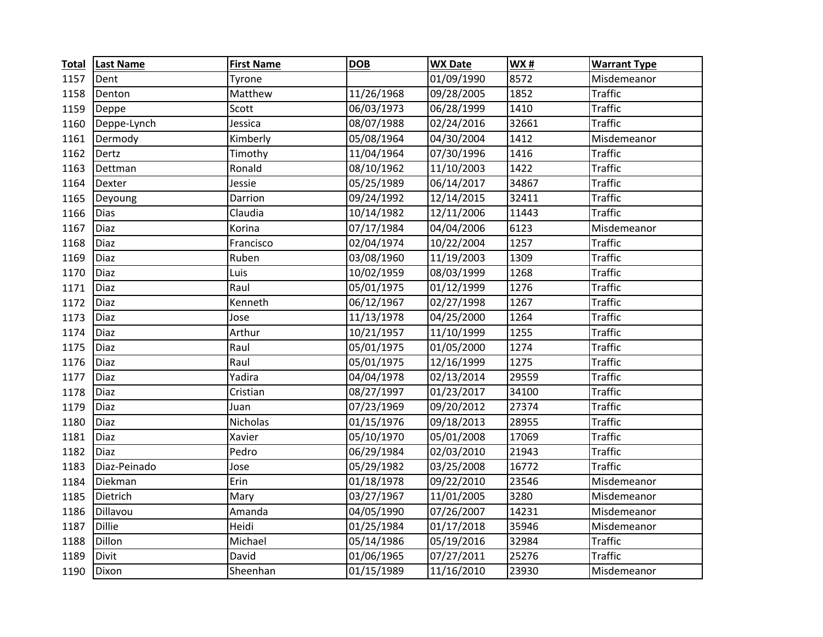| <b>Total</b> | <b>Last Name</b> | <b>First Name</b> | <b>DOB</b> | <b>WX Date</b> | <b>WX#</b> | <b>Warrant Type</b> |
|--------------|------------------|-------------------|------------|----------------|------------|---------------------|
| 1157         | Dent             | Tyrone            |            | 01/09/1990     | 8572       | Misdemeanor         |
| 1158         | Denton           | Matthew           | 11/26/1968 | 09/28/2005     | 1852       | <b>Traffic</b>      |
| 1159         | Deppe            | Scott             | 06/03/1973 | 06/28/1999     | 1410       | <b>Traffic</b>      |
| 1160         | Deppe-Lynch      | Jessica           | 08/07/1988 | 02/24/2016     | 32661      | <b>Traffic</b>      |
| 1161         | Dermody          | Kimberly          | 05/08/1964 | 04/30/2004     | 1412       | Misdemeanor         |
| 1162         | Dertz            | Timothy           | 11/04/1964 | 07/30/1996     | 1416       | <b>Traffic</b>      |
| 1163         | Dettman          | Ronald            | 08/10/1962 | 11/10/2003     | 1422       | <b>Traffic</b>      |
| 1164         | Dexter           | Jessie            | 05/25/1989 | 06/14/2017     | 34867      | <b>Traffic</b>      |
| 1165         | Deyoung          | Darrion           | 09/24/1992 | 12/14/2015     | 32411      | <b>Traffic</b>      |
| 1166         | <b>Dias</b>      | Claudia           | 10/14/1982 | 12/11/2006     | 11443      | <b>Traffic</b>      |
| 1167         | <b>Diaz</b>      | Korina            | 07/17/1984 | 04/04/2006     | 6123       | Misdemeanor         |
| 1168         | Diaz             | Francisco         | 02/04/1974 | 10/22/2004     | 1257       | <b>Traffic</b>      |
| 1169         | <b>Diaz</b>      | Ruben             | 03/08/1960 | 11/19/2003     | 1309       | <b>Traffic</b>      |
| 1170         | <b>Diaz</b>      | Luis              | 10/02/1959 | 08/03/1999     | 1268       | <b>Traffic</b>      |
| 1171         | Diaz             | Raul              | 05/01/1975 | 01/12/1999     | 1276       | <b>Traffic</b>      |
| 1172         | Diaz             | Kenneth           | 06/12/1967 | 02/27/1998     | 1267       | <b>Traffic</b>      |
| 1173         | Diaz             | Jose              | 11/13/1978 | 04/25/2000     | 1264       | <b>Traffic</b>      |
| 1174         | Diaz             | <b>Arthur</b>     | 10/21/1957 | 11/10/1999     | 1255       | <b>Traffic</b>      |
| 1175         | Diaz             | Raul              | 05/01/1975 | 01/05/2000     | 1274       | <b>Traffic</b>      |
| 1176         | <b>Diaz</b>      | Raul              | 05/01/1975 | 12/16/1999     | 1275       | <b>Traffic</b>      |
| 1177         | <b>Diaz</b>      | Yadira            | 04/04/1978 | 02/13/2014     | 29559      | <b>Traffic</b>      |
| 1178         | Diaz             | Cristian          | 08/27/1997 | 01/23/2017     | 34100      | <b>Traffic</b>      |
| 1179         | Diaz             | Juan              | 07/23/1969 | 09/20/2012     | 27374      | <b>Traffic</b>      |
| 1180         | Diaz             | Nicholas          | 01/15/1976 | 09/18/2013     | 28955      | <b>Traffic</b>      |
| 1181         | Diaz             | Xavier            | 05/10/1970 | 05/01/2008     | 17069      | <b>Traffic</b>      |
| 1182         | Diaz             | Pedro             | 06/29/1984 | 02/03/2010     | 21943      | <b>Traffic</b>      |
| 1183         | Diaz-Peinado     | Jose              | 05/29/1982 | 03/25/2008     | 16772      | <b>Traffic</b>      |
| 1184         | Diekman          | Erin              | 01/18/1978 | 09/22/2010     | 23546      | Misdemeanor         |
| 1185         | Dietrich         | Mary              | 03/27/1967 | 11/01/2005     | 3280       | Misdemeanor         |
| 1186         | Dillavou         | Amanda            | 04/05/1990 | 07/26/2007     | 14231      | Misdemeanor         |
| 1187         | <b>Dillie</b>    | Heidi             | 01/25/1984 | 01/17/2018     | 35946      | Misdemeanor         |
| 1188         | Dillon           | Michael           | 05/14/1986 | 05/19/2016     | 32984      | <b>Traffic</b>      |
| 1189         | Divit            | David             | 01/06/1965 | 07/27/2011     | 25276      | <b>Traffic</b>      |
| 1190         | Dixon            | Sheenhan          | 01/15/1989 | 11/16/2010     | 23930      | Misdemeanor         |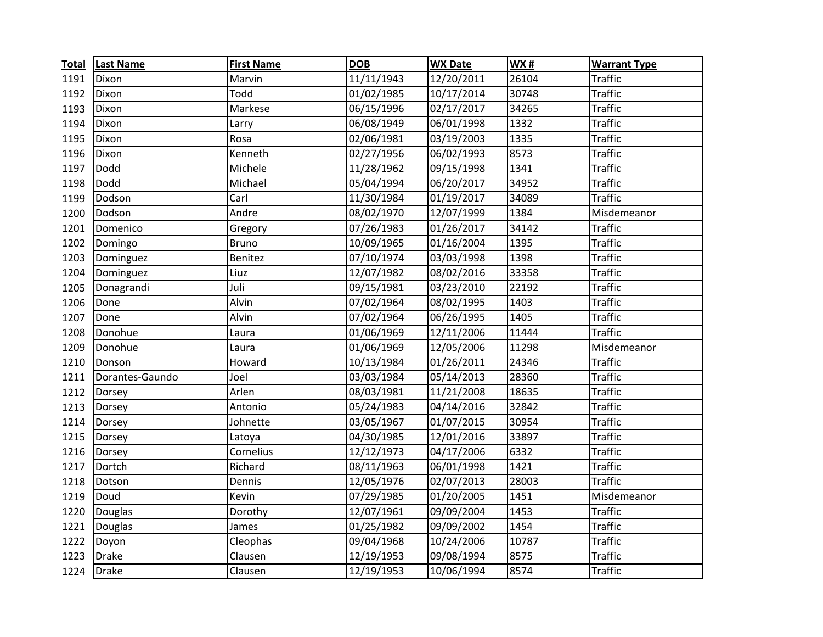| <b>Total</b> | <b>Last Name</b> | <b>First Name</b> | <b>DOB</b>              | <b>WX Date</b> | WX#   | <b>Warrant Type</b> |
|--------------|------------------|-------------------|-------------------------|----------------|-------|---------------------|
| 1191         | Dixon            | Marvin            | 11/11/1943              | 12/20/2011     | 26104 | Traffic             |
| 1192         | Dixon            | Todd              | 01/02/1985              | 10/17/2014     | 30748 | <b>Traffic</b>      |
| 1193         | Dixon            | Markese           | 06/15/1996              | 02/17/2017     | 34265 | <b>Traffic</b>      |
| 1194         | Dixon            | Larry             | 06/08/1949              | 06/01/1998     | 1332  | <b>Traffic</b>      |
| 1195         | Dixon            | Rosa              | 02/06/1981              | 03/19/2003     | 1335  | <b>Traffic</b>      |
| 1196         | Dixon            | Kenneth           | 02/27/1956              | 06/02/1993     | 8573  | <b>Traffic</b>      |
| 1197         | Dodd             | Michele           | 11/28/1962              | 09/15/1998     | 1341  | <b>Traffic</b>      |
| 1198         | Dodd             | Michael           | 05/04/1994              | 06/20/2017     | 34952 | <b>Traffic</b>      |
| 1199         | Dodson           | Carl              | 11/30/1984              | 01/19/2017     | 34089 | <b>Traffic</b>      |
| 1200         | Dodson           | Andre             | 08/02/1970              | 12/07/1999     | 1384  | Misdemeanor         |
| 1201         | Domenico         | Gregory           | 07/26/1983              | 01/26/2017     | 34142 | <b>Traffic</b>      |
| 1202         | Domingo          | <b>Bruno</b>      | 10/09/1965              | 01/16/2004     | 1395  | <b>Traffic</b>      |
| 1203         | Dominguez        | Benitez           | 07/10/1974              | 03/03/1998     | 1398  | <b>Traffic</b>      |
| 1204         | Dominguez        | Liuz              | 12/07/1982              | 08/02/2016     | 33358 | <b>Traffic</b>      |
| 1205         | Donagrandi       | Juli              | 09/15/1981              | 03/23/2010     | 22192 | <b>Traffic</b>      |
| 1206         | Done             | Alvin             | 07/02/1964              | 08/02/1995     | 1403  | <b>Traffic</b>      |
| 1207         | Done             | Alvin             | 07/02/1964              | 06/26/1995     | 1405  | <b>Traffic</b>      |
| 1208         | Donohue          | Laura             | $\overline{01/06/1969}$ | 12/11/2006     | 11444 | <b>Traffic</b>      |
| 1209         | Donohue          | Laura             | 01/06/1969              | 12/05/2006     | 11298 | Misdemeanor         |
| 1210         | Donson           | Howard            | 10/13/1984              | 01/26/2011     | 24346 | <b>Traffic</b>      |
| 1211         | Dorantes-Gaundo  | Joel              | 03/03/1984              | 05/14/2013     | 28360 | <b>Traffic</b>      |
| 1212         | Dorsey           | Arlen             | 08/03/1981              | 11/21/2008     | 18635 | <b>Traffic</b>      |
| 1213         | Dorsey           | Antonio           | 05/24/1983              | 04/14/2016     | 32842 | <b>Traffic</b>      |
| 1214         | Dorsey           | Johnette          | 03/05/1967              | 01/07/2015     | 30954 | <b>Traffic</b>      |
| 1215         | Dorsey           | Latoya            | 04/30/1985              | 12/01/2016     | 33897 | <b>Traffic</b>      |
| 1216         | Dorsey           | Cornelius         | 12/12/1973              | 04/17/2006     | 6332  | <b>Traffic</b>      |
| 1217         | Dortch           | Richard           | 08/11/1963              | 06/01/1998     | 1421  | <b>Traffic</b>      |
| 1218         | Dotson           | Dennis            | 12/05/1976              | 02/07/2013     | 28003 | <b>Traffic</b>      |
| 1219         | Doud             | Kevin             | 07/29/1985              | 01/20/2005     | 1451  | Misdemeanor         |
| 1220         | Douglas          | Dorothy           | 12/07/1961              | 09/09/2004     | 1453  | <b>Traffic</b>      |
| 1221         | Douglas          | James             | 01/25/1982              | 09/09/2002     | 1454  | <b>Traffic</b>      |
| 1222         | Doyon            | Cleophas          | 09/04/1968              | 10/24/2006     | 10787 | <b>Traffic</b>      |
| 1223         | <b>Drake</b>     | Clausen           | 12/19/1953              | 09/08/1994     | 8575  | <b>Traffic</b>      |
| 1224         | <b>Drake</b>     | Clausen           | 12/19/1953              | 10/06/1994     | 8574  | <b>Traffic</b>      |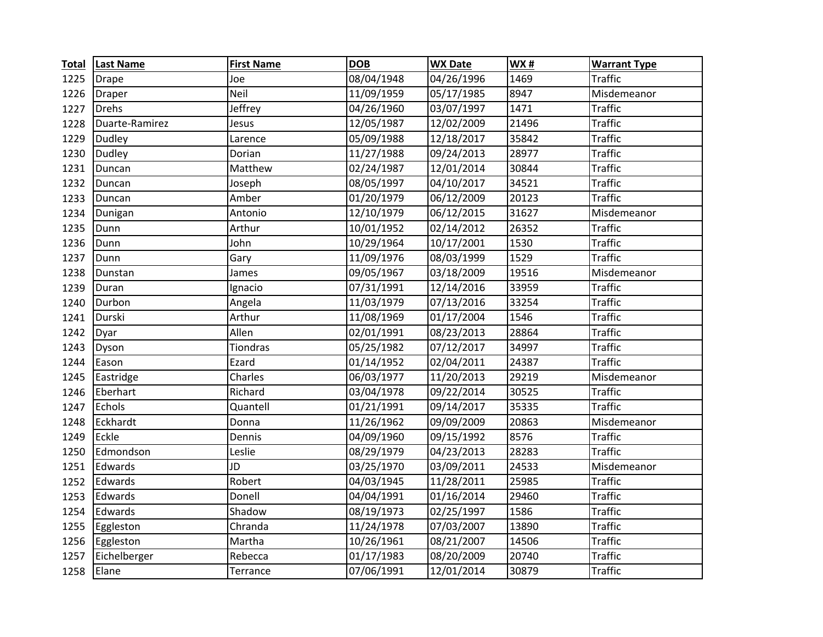| <b>Total</b> | <b>Last Name</b> | <b>First Name</b> | <b>DOB</b> | <b>WX Date</b> | <b>WX#</b> | <b>Warrant Type</b> |
|--------------|------------------|-------------------|------------|----------------|------------|---------------------|
| 1225         | <b>Drape</b>     | Joe               | 08/04/1948 | 04/26/1996     | 1469       | <b>Traffic</b>      |
| 1226         | <b>Draper</b>    | <b>Neil</b>       | 11/09/1959 | 05/17/1985     | 8947       | Misdemeanor         |
| 1227         | Drehs            | Jeffrey           | 04/26/1960 | 03/07/1997     | 1471       | <b>Traffic</b>      |
| 1228         | Duarte-Ramirez   | Jesus             | 12/05/1987 | 12/02/2009     | 21496      | <b>Traffic</b>      |
| 1229         | Dudley           | Larence           | 05/09/1988 | 12/18/2017     | 35842      | <b>Traffic</b>      |
| 1230         | Dudley           | Dorian            | 11/27/1988 | 09/24/2013     | 28977      | <b>Traffic</b>      |
| 1231         | Duncan           | Matthew           | 02/24/1987 | 12/01/2014     | 30844      | <b>Traffic</b>      |
| 1232         | Duncan           | Joseph            | 08/05/1997 | 04/10/2017     | 34521      | <b>Traffic</b>      |
| 1233         | Duncan           | Amber             | 01/20/1979 | 06/12/2009     | 20123      | <b>Traffic</b>      |
| 1234         | Dunigan          | Antonio           | 12/10/1979 | 06/12/2015     | 31627      | Misdemeanor         |
| 1235         | Dunn             | Arthur            | 10/01/1952 | 02/14/2012     | 26352      | <b>Traffic</b>      |
| 1236         | Dunn             | John              | 10/29/1964 | 10/17/2001     | 1530       | <b>Traffic</b>      |
| 1237         | Dunn             | Gary              | 11/09/1976 | 08/03/1999     | 1529       | <b>Traffic</b>      |
| 1238         | Dunstan          | James             | 09/05/1967 | 03/18/2009     | 19516      | Misdemeanor         |
| 1239         | Duran            | Ignacio           | 07/31/1991 | 12/14/2016     | 33959      | <b>Traffic</b>      |
| 1240         | Durbon           | Angela            | 11/03/1979 | 07/13/2016     | 33254      | <b>Traffic</b>      |
| 1241         | Durski           | Arthur            | 11/08/1969 | 01/17/2004     | 1546       | <b>Traffic</b>      |
| 1242         | Dyar             | Allen             | 02/01/1991 | 08/23/2013     | 28864      | <b>Traffic</b>      |
| 1243         | Dyson            | Tiondras          | 05/25/1982 | 07/12/2017     | 34997      | <b>Traffic</b>      |
| 1244         | Eason            | Ezard             | 01/14/1952 | 02/04/2011     | 24387      | <b>Traffic</b>      |
| 1245         | Eastridge        | Charles           | 06/03/1977 | 11/20/2013     | 29219      | Misdemeanor         |
| 1246         | Eberhart         | Richard           | 03/04/1978 | 09/22/2014     | 30525      | <b>Traffic</b>      |
| 1247         | Echols           | Quantell          | 01/21/1991 | 09/14/2017     | 35335      | <b>Traffic</b>      |
| 1248         | Eckhardt         | Donna             | 11/26/1962 | 09/09/2009     | 20863      | Misdemeanor         |
| 1249         | Eckle            | Dennis            | 04/09/1960 | 09/15/1992     | 8576       | <b>Traffic</b>      |
| 1250         | Edmondson        | Leslie            | 08/29/1979 | 04/23/2013     | 28283      | <b>Traffic</b>      |
| 1251         | Edwards          | JD                | 03/25/1970 | 03/09/2011     | 24533      | Misdemeanor         |
| 1252         | Edwards          | Robert            | 04/03/1945 | 11/28/2011     | 25985      | <b>Traffic</b>      |
| 1253         | Edwards          | Donell            | 04/04/1991 | 01/16/2014     | 29460      | <b>Traffic</b>      |
| 1254         | Edwards          | Shadow            | 08/19/1973 | 02/25/1997     | 1586       | <b>Traffic</b>      |
| 1255         | Eggleston        | Chranda           | 11/24/1978 | 07/03/2007     | 13890      | <b>Traffic</b>      |
| 1256         | Eggleston        | Martha            | 10/26/1961 | 08/21/2007     | 14506      | <b>Traffic</b>      |
| 1257         | Eichelberger     | Rebecca           | 01/17/1983 | 08/20/2009     | 20740      | <b>Traffic</b>      |
| 1258         | Elane            | Terrance          | 07/06/1991 | 12/01/2014     | 30879      | <b>Traffic</b>      |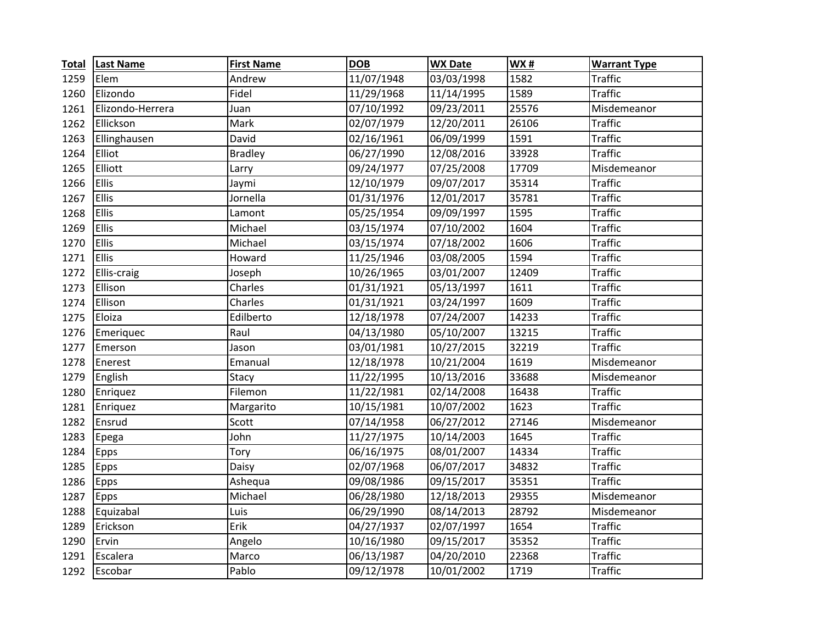| <b>Total</b> | <b>Last Name</b> | <b>First Name</b> | <b>DOB</b> | <b>WX Date</b> | <b>WX#</b> | <b>Warrant Type</b> |
|--------------|------------------|-------------------|------------|----------------|------------|---------------------|
| 1259         | Elem             | Andrew            | 11/07/1948 | 03/03/1998     | 1582       | <b>Traffic</b>      |
| 1260         | Elizondo         | Fidel             | 11/29/1968 | 11/14/1995     | 1589       | <b>Traffic</b>      |
| 1261         | Elizondo-Herrera | Juan              | 07/10/1992 | 09/23/2011     | 25576      | Misdemeanor         |
| 1262         | Ellickson        | Mark              | 02/07/1979 | 12/20/2011     | 26106      | <b>Traffic</b>      |
| 1263         | Ellinghausen     | David             | 02/16/1961 | 06/09/1999     | 1591       | <b>Traffic</b>      |
| 1264         | Elliot           | <b>Bradley</b>    | 06/27/1990 | 12/08/2016     | 33928      | <b>Traffic</b>      |
| 1265         | Elliott          | Larry             | 09/24/1977 | 07/25/2008     | 17709      | Misdemeanor         |
| 1266         | Ellis            | Jaymi             | 12/10/1979 | 09/07/2017     | 35314      | <b>Traffic</b>      |
| 1267         | Ellis            | Jornella          | 01/31/1976 | 12/01/2017     | 35781      | <b>Traffic</b>      |
| 1268         | <b>Ellis</b>     | Lamont            | 05/25/1954 | 09/09/1997     | 1595       | <b>Traffic</b>      |
| 1269         | Ellis            | Michael           | 03/15/1974 | 07/10/2002     | 1604       | <b>Traffic</b>      |
| 1270         | Ellis            | Michael           | 03/15/1974 | 07/18/2002     | 1606       | <b>Traffic</b>      |
| 1271         | Ellis            | Howard            | 11/25/1946 | 03/08/2005     | 1594       | <b>Traffic</b>      |
| 1272         | Ellis-craig      | Joseph            | 10/26/1965 | 03/01/2007     | 12409      | <b>Traffic</b>      |
| 1273         | Ellison          | Charles           | 01/31/1921 | 05/13/1997     | 1611       | <b>Traffic</b>      |
| 1274         | Ellison          | Charles           | 01/31/1921 | 03/24/1997     | 1609       | <b>Traffic</b>      |
| 1275         | Eloiza           | Edilberto         | 12/18/1978 | 07/24/2007     | 14233      | <b>Traffic</b>      |
| 1276         | Emeriquec        | Raul              | 04/13/1980 | 05/10/2007     | 13215      | <b>Traffic</b>      |
| 1277         | Emerson          | Jason             | 03/01/1981 | 10/27/2015     | 32219      | <b>Traffic</b>      |
| 1278         | Enerest          | Emanual           | 12/18/1978 | 10/21/2004     | 1619       | Misdemeanor         |
| 1279         | English          | Stacy             | 11/22/1995 | 10/13/2016     | 33688      | Misdemeanor         |
| 1280         | Enriquez         | Filemon           | 11/22/1981 | 02/14/2008     | 16438      | <b>Traffic</b>      |
| 1281         | Enriquez         | Margarito         | 10/15/1981 | 10/07/2002     | 1623       | <b>Traffic</b>      |
| 1282         | Ensrud           | Scott             | 07/14/1958 | 06/27/2012     | 27146      | Misdemeanor         |
| 1283         | Epega            | John              | 11/27/1975 | 10/14/2003     | 1645       | <b>Traffic</b>      |
| 1284         | Epps             | Tory              | 06/16/1975 | 08/01/2007     | 14334      | <b>Traffic</b>      |
| 1285         | Epps             | Daisy             | 02/07/1968 | 06/07/2017     | 34832      | <b>Traffic</b>      |
| 1286         | Epps             | Ashequa           | 09/08/1986 | 09/15/2017     | 35351      | <b>Traffic</b>      |
| 1287         | <b>Epps</b>      | Michael           | 06/28/1980 | 12/18/2013     | 29355      | Misdemeanor         |
| 1288         | Equizabal        | Luis              | 06/29/1990 | 08/14/2013     | 28792      | Misdemeanor         |
| 1289         | Erickson         | Erik              | 04/27/1937 | 02/07/1997     | 1654       | <b>Traffic</b>      |
| 1290         | Ervin            | Angelo            | 10/16/1980 | 09/15/2017     | 35352      | <b>Traffic</b>      |
| 1291         | Escalera         | Marco             | 06/13/1987 | 04/20/2010     | 22368      | <b>Traffic</b>      |
| 1292         | Escobar          | Pablo             | 09/12/1978 | 10/01/2002     | 1719       | <b>Traffic</b>      |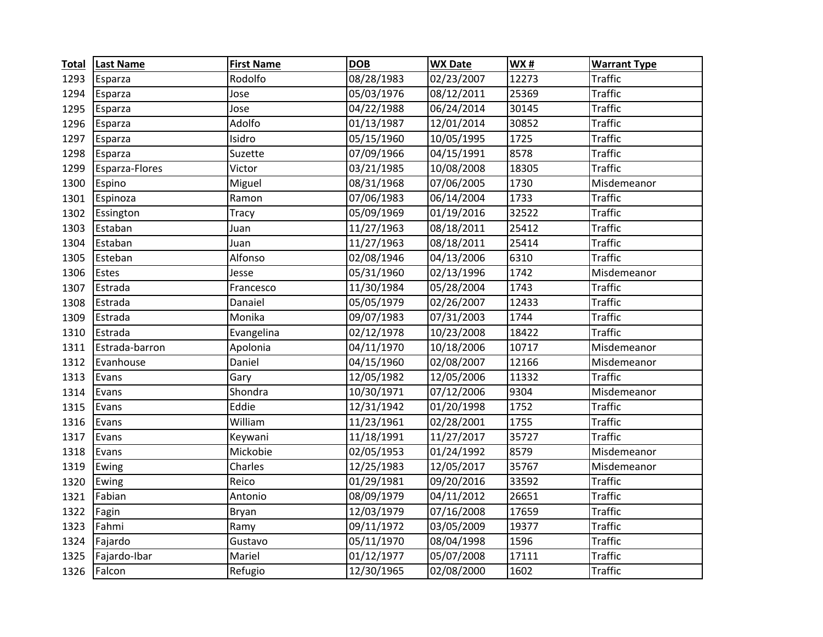| <b>Total</b> | <b>Last Name</b> | <b>First Name</b> | <b>DOB</b> | <b>WX Date</b> | <b>WX#</b> | <b>Warrant Type</b> |
|--------------|------------------|-------------------|------------|----------------|------------|---------------------|
| 1293         | Esparza          | Rodolfo           | 08/28/1983 | 02/23/2007     | 12273      | <b>Traffic</b>      |
| 1294         | Esparza          | Jose              | 05/03/1976 | 08/12/2011     | 25369      | <b>Traffic</b>      |
| 1295         | Esparza          | Jose              | 04/22/1988 | 06/24/2014     | 30145      | <b>Traffic</b>      |
| 1296         | Esparza          | Adolfo            | 01/13/1987 | 12/01/2014     | 30852      | <b>Traffic</b>      |
| 1297         | Esparza          | Isidro            | 05/15/1960 | 10/05/1995     | 1725       | <b>Traffic</b>      |
| 1298         | Esparza          | Suzette           | 07/09/1966 | 04/15/1991     | 8578       | <b>Traffic</b>      |
| 1299         | Esparza-Flores   | Victor            | 03/21/1985 | 10/08/2008     | 18305      | <b>Traffic</b>      |
| 1300         | Espino           | Miguel            | 08/31/1968 | 07/06/2005     | 1730       | Misdemeanor         |
| 1301         | Espinoza         | Ramon             | 07/06/1983 | 06/14/2004     | 1733       | <b>Traffic</b>      |
| 1302         | Essington        | <b>Tracy</b>      | 05/09/1969 | 01/19/2016     | 32522      | <b>Traffic</b>      |
| 1303         | Estaban          | Juan              | 11/27/1963 | 08/18/2011     | 25412      | <b>Traffic</b>      |
| 1304         | Estaban          | Juan              | 11/27/1963 | 08/18/2011     | 25414      | <b>Traffic</b>      |
| 1305         | Esteban          | Alfonso           | 02/08/1946 | 04/13/2006     | 6310       | <b>Traffic</b>      |
| 1306         | Estes            | Jesse             | 05/31/1960 | 02/13/1996     | 1742       | Misdemeanor         |
| 1307         | Estrada          | Francesco         | 11/30/1984 | 05/28/2004     | 1743       | <b>Traffic</b>      |
| 1308         | Estrada          | Danaiel           | 05/05/1979 | 02/26/2007     | 12433      | <b>Traffic</b>      |
| 1309         | Estrada          | Monika            | 09/07/1983 | 07/31/2003     | 1744       | <b>Traffic</b>      |
| 1310         | Estrada          | Evangelina        | 02/12/1978 | 10/23/2008     | 18422      | <b>Traffic</b>      |
| 1311         | Estrada-barron   | Apolonia          | 04/11/1970 | 10/18/2006     | 10717      | Misdemeanor         |
| 1312         | Evanhouse        | Daniel            | 04/15/1960 | 02/08/2007     | 12166      | Misdemeanor         |
| 1313         | Evans            | Gary              | 12/05/1982 | 12/05/2006     | 11332      | <b>Traffic</b>      |
| 1314         | Evans            | Shondra           | 10/30/1971 | 07/12/2006     | 9304       | Misdemeanor         |
| 1315         | Evans            | Eddie             | 12/31/1942 | 01/20/1998     | 1752       | <b>Traffic</b>      |
| 1316         | Evans            | William           | 11/23/1961 | 02/28/2001     | 1755       | <b>Traffic</b>      |
| 1317         | Evans            | Keywani           | 11/18/1991 | 11/27/2017     | 35727      | <b>Traffic</b>      |
| 1318         | Evans            | Mickobie          | 02/05/1953 | 01/24/1992     | 8579       | Misdemeanor         |
| 1319         | Ewing            | Charles           | 12/25/1983 | 12/05/2017     | 35767      | Misdemeanor         |
| 1320         | Ewing            | Reico             | 01/29/1981 | 09/20/2016     | 33592      | <b>Traffic</b>      |
| 1321         | Fabian           | Antonio           | 08/09/1979 | 04/11/2012     | 26651      | <b>Traffic</b>      |
| 1322         | Fagin            | Bryan             | 12/03/1979 | 07/16/2008     | 17659      | <b>Traffic</b>      |
| 1323         | Fahmi            | Ramy              | 09/11/1972 | 03/05/2009     | 19377      | <b>Traffic</b>      |
| 1324         | Fajardo          | Gustavo           | 05/11/1970 | 08/04/1998     | 1596       | <b>Traffic</b>      |
| 1325         | Fajardo-Ibar     | Mariel            | 01/12/1977 | 05/07/2008     | 17111      | <b>Traffic</b>      |
| 1326         | Falcon           | Refugio           | 12/30/1965 | 02/08/2000     | 1602       | <b>Traffic</b>      |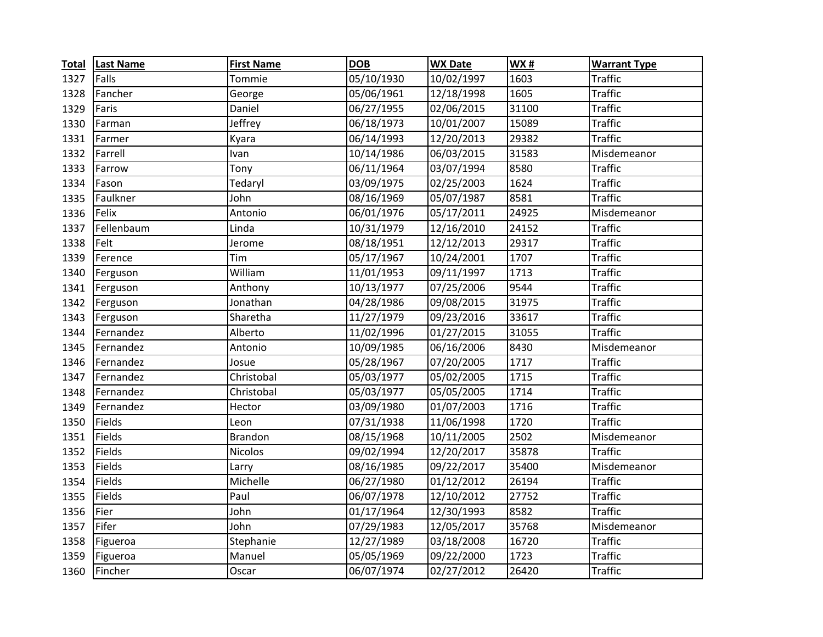| <b>Total</b> | <b>Last Name</b> | <b>First Name</b> | <b>DOB</b>            | <b>WX Date</b> | WX#   | <b>Warrant Type</b> |
|--------------|------------------|-------------------|-----------------------|----------------|-------|---------------------|
| 1327         | Falls            | Tommie            | 05/10/1930            | 10/02/1997     | 1603  | <b>Traffic</b>      |
| 1328         | Fancher          | George            | 05/06/1961            | 12/18/1998     | 1605  | <b>Traffic</b>      |
| 1329         | Faris            | Daniel            | 06/27/1955            | 02/06/2015     | 31100 | <b>Traffic</b>      |
| 1330         | Farman           | Jeffrey           | 06/18/1973            | 10/01/2007     | 15089 | <b>Traffic</b>      |
| 1331         | Farmer           | Kyara             | 06/14/1993            | 12/20/2013     | 29382 | <b>Traffic</b>      |
| 1332         | Farrell          | Ivan              | 10/14/1986            | 06/03/2015     | 31583 | Misdemeanor         |
| 1333         | Farrow           | Tony              | 06/11/1964            | 03/07/1994     | 8580  | <b>Traffic</b>      |
| 1334         | Fason            | Tedaryl           | 03/09/1975            | 02/25/2003     | 1624  | Traffic             |
| 1335         | Faulkner         | John              | 08/16/1969            | 05/07/1987     | 8581  | <b>Traffic</b>      |
| 1336         | Felix            | Antonio           | 06/01/1976            | 05/17/2011     | 24925 | Misdemeanor         |
| 1337         | Fellenbaum       | Linda             | 10/31/1979            | 12/16/2010     | 24152 | <b>Traffic</b>      |
| 1338         | Felt             | Jerome            | 08/18/1951            | 12/12/2013     | 29317 | <b>Traffic</b>      |
| 1339         | Ference          | Tim               | 05/17/1967            | 10/24/2001     | 1707  | <b>Traffic</b>      |
| 1340         | Ferguson         | William           | 11/01/1953            | 09/11/1997     | 1713  | <b>Traffic</b>      |
| 1341         | Ferguson         | Anthony           | 10/13/1977            | 07/25/2006     | 9544  | <b>Traffic</b>      |
| 1342         | Ferguson         | Jonathan          | 04/28/1986            | 09/08/2015     | 31975 | <b>Traffic</b>      |
| 1343         | Ferguson         | Sharetha          | 11/27/1979            | 09/23/2016     | 33617 | <b>Traffic</b>      |
| 1344         | Fernandez        | Alberto           | 11/02/1996            | 01/27/2015     | 31055 | <b>Traffic</b>      |
| 1345         | Fernandez        | Antonio           | 10/09/1985            | 06/16/2006     | 8430  | Misdemeanor         |
| 1346         | Fernandez        | Josue             | 05/28/1967            | 07/20/2005     | 1717  | <b>Traffic</b>      |
| 1347         | Fernandez        | Christobal        | 05/03/1977            | 05/02/2005     | 1715  | <b>Traffic</b>      |
| 1348         | Fernandez        | Christobal        | 05/03/1977            | 05/05/2005     | 1714  | <b>Traffic</b>      |
| 1349         | Fernandez        | Hector            | 03/09/1980            | 01/07/2003     | 1716  | <b>Traffic</b>      |
| 1350         | Fields           | Leon              | 07/31/1938            | 11/06/1998     | 1720  | <b>Traffic</b>      |
| 1351         | Fields           | <b>Brandon</b>    | 08/15/1968            | 10/11/2005     | 2502  | Misdemeanor         |
| 1352         | Fields           | <b>Nicolos</b>    | 09/02/1994            | 12/20/2017     | 35878 | <b>Traffic</b>      |
| 1353         | <b>Fields</b>    | Larry             | 08/16/1985            | 09/22/2017     | 35400 | Misdemeanor         |
| 1354         | <b>Fields</b>    | Michelle          | $\frac{06}{27}$ /1980 | 01/12/2012     | 26194 | <b>Traffic</b>      |
| 1355         | Fields           | Paul              | 06/07/1978            | 12/10/2012     | 27752 | <b>Traffic</b>      |
| 1356         | Fier             | John              | 01/17/1964            | 12/30/1993     | 8582  | <b>Traffic</b>      |
| 1357         | Fifer            | John              | 07/29/1983            | 12/05/2017     | 35768 | Misdemeanor         |
| 1358         | Figueroa         | Stephanie         | 12/27/1989            | 03/18/2008     | 16720 | <b>Traffic</b>      |
| 1359         | Figueroa         | Manuel            | 05/05/1969            | 09/22/2000     | 1723  | <b>Traffic</b>      |
| 1360         | Fincher          | Oscar             | 06/07/1974            | 02/27/2012     | 26420 | <b>Traffic</b>      |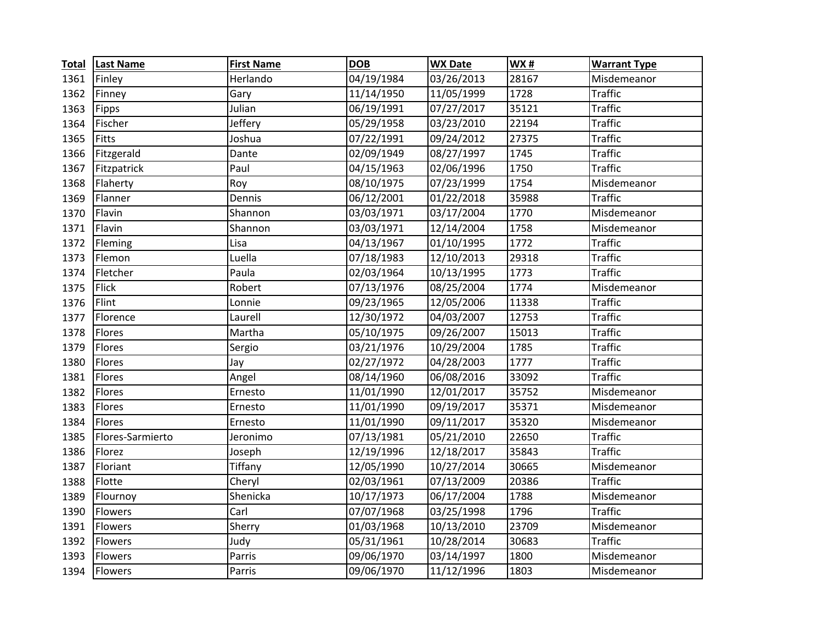| <b>Total</b> | <b>Last Name</b> | <b>First Name</b> | <b>DOB</b> | <b>WX Date</b> | <b>WX#</b> | <b>Warrant Type</b> |
|--------------|------------------|-------------------|------------|----------------|------------|---------------------|
| 1361         | Finley           | Herlando          | 04/19/1984 | 03/26/2013     | 28167      | Misdemeanor         |
| 1362         | Finney           | Gary              | 11/14/1950 | 11/05/1999     | 1728       | <b>Traffic</b>      |
| 1363         | Fipps            | Julian            | 06/19/1991 | 07/27/2017     | 35121      | <b>Traffic</b>      |
| 1364         | Fischer          | Jeffery           | 05/29/1958 | 03/23/2010     | 22194      | <b>Traffic</b>      |
| 1365         | Fitts            | Joshua            | 07/22/1991 | 09/24/2012     | 27375      | <b>Traffic</b>      |
| 1366         | Fitzgerald       | Dante             | 02/09/1949 | 08/27/1997     | 1745       | <b>Traffic</b>      |
| 1367         | Fitzpatrick      | Paul              | 04/15/1963 | 02/06/1996     | 1750       | <b>Traffic</b>      |
| 1368         | Flaherty         | Roy               | 08/10/1975 | 07/23/1999     | 1754       | Misdemeanor         |
| 1369         | Flanner          | Dennis            | 06/12/2001 | 01/22/2018     | 35988      | <b>Traffic</b>      |
| 1370         | Flavin           | Shannon           | 03/03/1971 | 03/17/2004     | 1770       | Misdemeanor         |
| 1371         | Flavin           | Shannon           | 03/03/1971 | 12/14/2004     | 1758       | Misdemeanor         |
| 1372         | Fleming          | Lisa              | 04/13/1967 | 01/10/1995     | 1772       | <b>Traffic</b>      |
| 1373         | Flemon           | Luella            | 07/18/1983 | 12/10/2013     | 29318      | <b>Traffic</b>      |
| 1374         | Fletcher         | Paula             | 02/03/1964 | 10/13/1995     | 1773       | <b>Traffic</b>      |
| 1375         | <b>Flick</b>     | Robert            | 07/13/1976 | 08/25/2004     | 1774       | Misdemeanor         |
| 1376         | Flint            | Lonnie            | 09/23/1965 | 12/05/2006     | 11338      | <b>Traffic</b>      |
| 1377         | Florence         | Laurell           | 12/30/1972 | 04/03/2007     | 12753      | <b>Traffic</b>      |
| 1378         | Flores           | Martha            | 05/10/1975 | 09/26/2007     | 15013      | <b>Traffic</b>      |
| 1379         | Flores           | Sergio            | 03/21/1976 | 10/29/2004     | 1785       | <b>Traffic</b>      |
| 1380         | Flores           | Jay               | 02/27/1972 | 04/28/2003     | 1777       | <b>Traffic</b>      |
| 1381         | Flores           | Angel             | 08/14/1960 | 06/08/2016     | 33092      | <b>Traffic</b>      |
| 1382         | Flores           | Ernesto           | 11/01/1990 | 12/01/2017     | 35752      | Misdemeanor         |
| 1383         | Flores           | Ernesto           | 11/01/1990 | 09/19/2017     | 35371      | Misdemeanor         |
| 1384         | Flores           | Ernesto           | 11/01/1990 | 09/11/2017     | 35320      | Misdemeanor         |
| 1385         | Flores-Sarmierto | Jeronimo          | 07/13/1981 | 05/21/2010     | 22650      | <b>Traffic</b>      |
| 1386         | Florez           | Joseph            | 12/19/1996 | 12/18/2017     | 35843      | <b>Traffic</b>      |
| 1387         | Floriant         | Tiffany           | 12/05/1990 | 10/27/2014     | 30665      | Misdemeanor         |
| 1388         | Flotte           | Cheryl            | 02/03/1961 | 07/13/2009     | 20386      | <b>Traffic</b>      |
| 1389         | Flournoy         | Shenicka          | 10/17/1973 | 06/17/2004     | 1788       | Misdemeanor         |
| 1390         | Flowers          | Carl              | 07/07/1968 | 03/25/1998     | 1796       | <b>Traffic</b>      |
| 1391         | Flowers          | Sherry            | 01/03/1968 | 10/13/2010     | 23709      | Misdemeanor         |
| 1392         | Flowers          | Judy              | 05/31/1961 | 10/28/2014     | 30683      | <b>Traffic</b>      |
| 1393         | Flowers          | Parris            | 09/06/1970 | 03/14/1997     | 1800       | Misdemeanor         |
| 1394         | <b>Flowers</b>   | Parris            | 09/06/1970 | 11/12/1996     | 1803       | Misdemeanor         |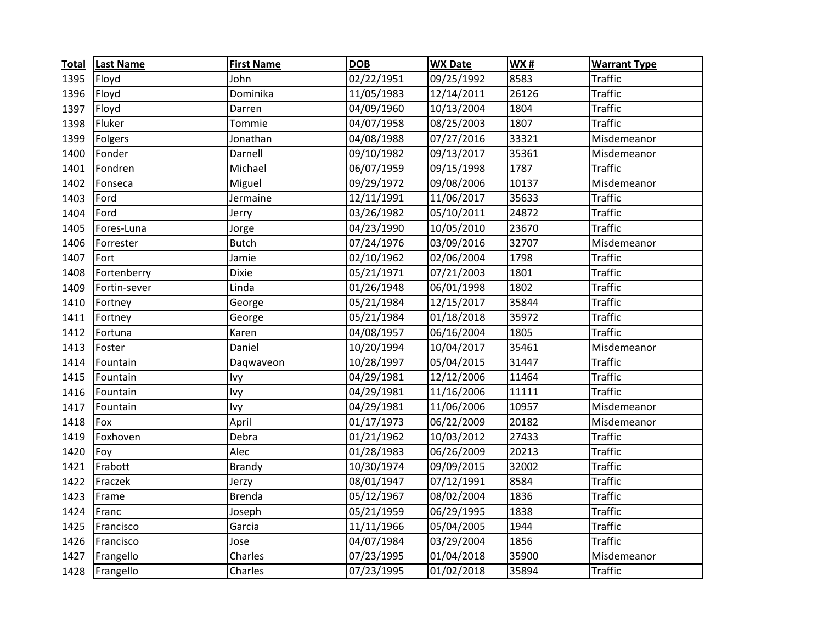| <b>Total</b> | <b>Last Name</b> | <b>First Name</b> | <b>DOB</b> | <b>WX Date</b> | WX#   | <b>Warrant Type</b> |
|--------------|------------------|-------------------|------------|----------------|-------|---------------------|
| 1395         | Floyd            | John              | 02/22/1951 | 09/25/1992     | 8583  | <b>Traffic</b>      |
| 1396         | Floyd            | Dominika          | 11/05/1983 | 12/14/2011     | 26126 | <b>Traffic</b>      |
| 1397         | Floyd            | Darren            | 04/09/1960 | 10/13/2004     | 1804  | <b>Traffic</b>      |
| 1398         | Fluker           | Tommie            | 04/07/1958 | 08/25/2003     | 1807  | <b>Traffic</b>      |
| 1399         | Folgers          | Jonathan          | 04/08/1988 | 07/27/2016     | 33321 | Misdemeanor         |
| 1400         | Fonder           | Darnell           | 09/10/1982 | 09/13/2017     | 35361 | Misdemeanor         |
| 1401         | Fondren          | Michael           | 06/07/1959 | 09/15/1998     | 1787  | <b>Traffic</b>      |
| 1402         | Fonseca          | Miguel            | 09/29/1972 | 09/08/2006     | 10137 | Misdemeanor         |
| 1403         | Ford             | Jermaine          | 12/11/1991 | 11/06/2017     | 35633 | <b>Traffic</b>      |
| 1404         | Ford             | Jerry             | 03/26/1982 | 05/10/2011     | 24872 | <b>Traffic</b>      |
| 1405         | Fores-Luna       | Jorge             | 04/23/1990 | 10/05/2010     | 23670 | <b>Traffic</b>      |
| 1406         | Forrester        | <b>Butch</b>      | 07/24/1976 | 03/09/2016     | 32707 | Misdemeanor         |
| 1407         | Fort             | Jamie             | 02/10/1962 | 02/06/2004     | 1798  | <b>Traffic</b>      |
| 1408         | Fortenberry      | <b>Dixie</b>      | 05/21/1971 | 07/21/2003     | 1801  | <b>Traffic</b>      |
| 1409         | Fortin-sever     | Linda             | 01/26/1948 | 06/01/1998     | 1802  | <b>Traffic</b>      |
| 1410         | Fortney          | George            | 05/21/1984 | 12/15/2017     | 35844 | <b>Traffic</b>      |
| 1411         | Fortney          | George            | 05/21/1984 | 01/18/2018     | 35972 | <b>Traffic</b>      |
| 1412         | Fortuna          | Karen             | 04/08/1957 | 06/16/2004     | 1805  | <b>Traffic</b>      |
| 1413         | Foster           | Daniel            | 10/20/1994 | 10/04/2017     | 35461 | Misdemeanor         |
| 1414         | Fountain         | Daqwaveon         | 10/28/1997 | 05/04/2015     | 31447 | <b>Traffic</b>      |
| 1415         | Fountain         | Ivy               | 04/29/1981 | 12/12/2006     | 11464 | <b>Traffic</b>      |
| 1416         | Fountain         | Ivy               | 04/29/1981 | 11/16/2006     | 11111 | <b>Traffic</b>      |
| 1417         | Fountain         | Ivy               | 04/29/1981 | 11/06/2006     | 10957 | Misdemeanor         |
| 1418         | Fox              | April             | 01/17/1973 | 06/22/2009     | 20182 | Misdemeanor         |
| 1419         | Foxhoven         | Debra             | 01/21/1962 | 10/03/2012     | 27433 | <b>Traffic</b>      |
| 1420         | Foy              | Alec              | 01/28/1983 | 06/26/2009     | 20213 | <b>Traffic</b>      |
| 1421         | Frabott          | <b>Brandy</b>     | 10/30/1974 | 09/09/2015     | 32002 | <b>Traffic</b>      |
| 1422         | Fraczek          | Jerzy             | 08/01/1947 | 07/12/1991     | 8584  | <b>Traffic</b>      |
| 1423         | Frame            | <b>Brenda</b>     | 05/12/1967 | 08/02/2004     | 1836  | <b>Traffic</b>      |
| 1424         | Franc            | Joseph            | 05/21/1959 | 06/29/1995     | 1838  | <b>Traffic</b>      |
| 1425         | Francisco        | Garcia            | 11/11/1966 | 05/04/2005     | 1944  | <b>Traffic</b>      |
| 1426         | Francisco        | Jose              | 04/07/1984 | 03/29/2004     | 1856  | <b>Traffic</b>      |
| 1427         | Frangello        | Charles           | 07/23/1995 | 01/04/2018     | 35900 | Misdemeanor         |
| 1428         | Frangello        | Charles           | 07/23/1995 | 01/02/2018     | 35894 | <b>Traffic</b>      |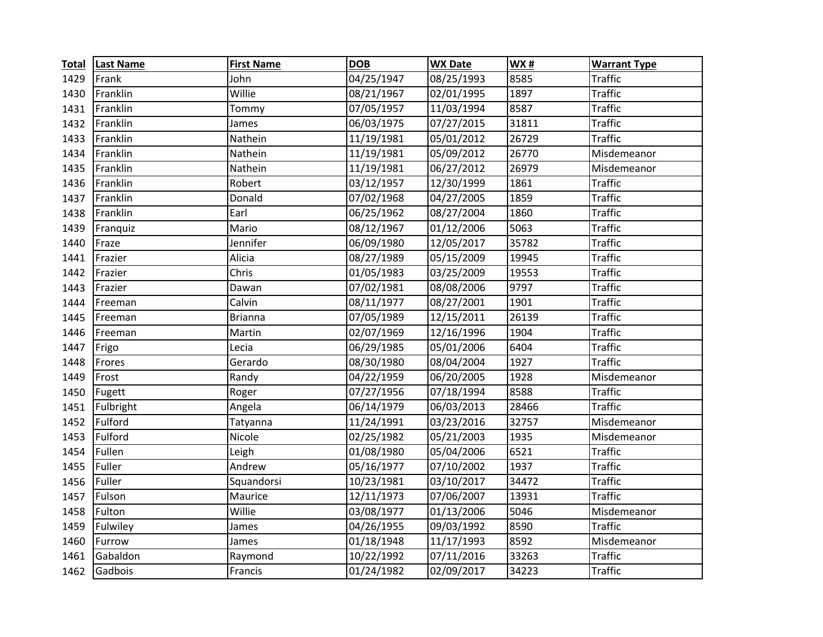| <b>Total</b> | <b>Last Name</b> | <b>First Name</b> | <b>DOB</b> | <b>WX Date</b> | <b>WX#</b> | <b>Warrant Type</b> |
|--------------|------------------|-------------------|------------|----------------|------------|---------------------|
| 1429         | Frank            | John              | 04/25/1947 | 08/25/1993     | 8585       | <b>Traffic</b>      |
| 1430         | Franklin         | Willie            | 08/21/1967 | 02/01/1995     | 1897       | <b>Traffic</b>      |
| 1431         | Franklin         | Tommy             | 07/05/1957 | 11/03/1994     | 8587       | <b>Traffic</b>      |
| 1432         | Franklin         | James             | 06/03/1975 | 07/27/2015     | 31811      | <b>Traffic</b>      |
| 1433         | Franklin         | Nathein           | 11/19/1981 | 05/01/2012     | 26729      | <b>Traffic</b>      |
| 1434         | Franklin         | Nathein           | 11/19/1981 | 05/09/2012     | 26770      | Misdemeanor         |
| 1435         | Franklin         | Nathein           | 11/19/1981 | 06/27/2012     | 26979      | Misdemeanor         |
| 1436         | Franklin         | Robert            | 03/12/1957 | 12/30/1999     | 1861       | <b>Traffic</b>      |
| 1437         | Franklin         | Donald            | 07/02/1968 | 04/27/2005     | 1859       | <b>Traffic</b>      |
| 1438         | Franklin         | Earl              | 06/25/1962 | 08/27/2004     | 1860       | <b>Traffic</b>      |
| 1439         | Franquiz         | Mario             | 08/12/1967 | 01/12/2006     | 5063       | <b>Traffic</b>      |
| 1440         | Fraze            | Jennifer          | 06/09/1980 | 12/05/2017     | 35782      | <b>Traffic</b>      |
| 1441         | Frazier          | Alicia            | 08/27/1989 | 05/15/2009     | 19945      | <b>Traffic</b>      |
| 1442         | Frazier          | Chris             | 01/05/1983 | 03/25/2009     | 19553      | <b>Traffic</b>      |
| 1443         | Frazier          | Dawan             | 07/02/1981 | 08/08/2006     | 9797       | <b>Traffic</b>      |
| 1444         | Freeman          | Calvin            | 08/11/1977 | 08/27/2001     | 1901       | <b>Traffic</b>      |
| 1445         | Freeman          | <b>Brianna</b>    | 07/05/1989 | 12/15/2011     | 26139      | <b>Traffic</b>      |
| 1446         | Freeman          | Martin            | 02/07/1969 | 12/16/1996     | 1904       | <b>Traffic</b>      |
| 1447         | Frigo            | Lecia             | 06/29/1985 | 05/01/2006     | 6404       | <b>Traffic</b>      |
| 1448         | Frores           | Gerardo           | 08/30/1980 | 08/04/2004     | 1927       | <b>Traffic</b>      |
| 1449         | Frost            | Randy             | 04/22/1959 | 06/20/2005     | 1928       | Misdemeanor         |
| 1450         | Fugett           | Roger             | 07/27/1956 | 07/18/1994     | 8588       | <b>Traffic</b>      |
| 1451         | Fulbright        | Angela            | 06/14/1979 | 06/03/2013     | 28466      | <b>Traffic</b>      |
| 1452         | Fulford          | Tatyanna          | 11/24/1991 | 03/23/2016     | 32757      | Misdemeanor         |
| 1453         | Fulford          | Nicole            | 02/25/1982 | 05/21/2003     | 1935       | Misdemeanor         |
| 1454         | Fullen           | Leigh             | 01/08/1980 | 05/04/2006     | 6521       | <b>Traffic</b>      |
| 1455         | Fuller           | Andrew            | 05/16/1977 | 07/10/2002     | 1937       | <b>Traffic</b>      |
| 1456         | Fuller           | Squandorsi        | 10/23/1981 | 03/10/2017     | 34472      | <b>Traffic</b>      |
| 1457         | Fulson           | Maurice           | 12/11/1973 | 07/06/2007     | 13931      | <b>Traffic</b>      |
| 1458         | Fulton           | Willie            | 03/08/1977 | 01/13/2006     | 5046       | Misdemeanor         |
| 1459         | Fulwiley         | James             | 04/26/1955 | 09/03/1992     | 8590       | <b>Traffic</b>      |
| 1460         | Furrow           | James             | 01/18/1948 | 11/17/1993     | 8592       | Misdemeanor         |
| 1461         | Gabaldon         | Raymond           | 10/22/1992 | 07/11/2016     | 33263      | <b>Traffic</b>      |
| 1462         | Gadbois          | Francis           | 01/24/1982 | 02/09/2017     | 34223      | <b>Traffic</b>      |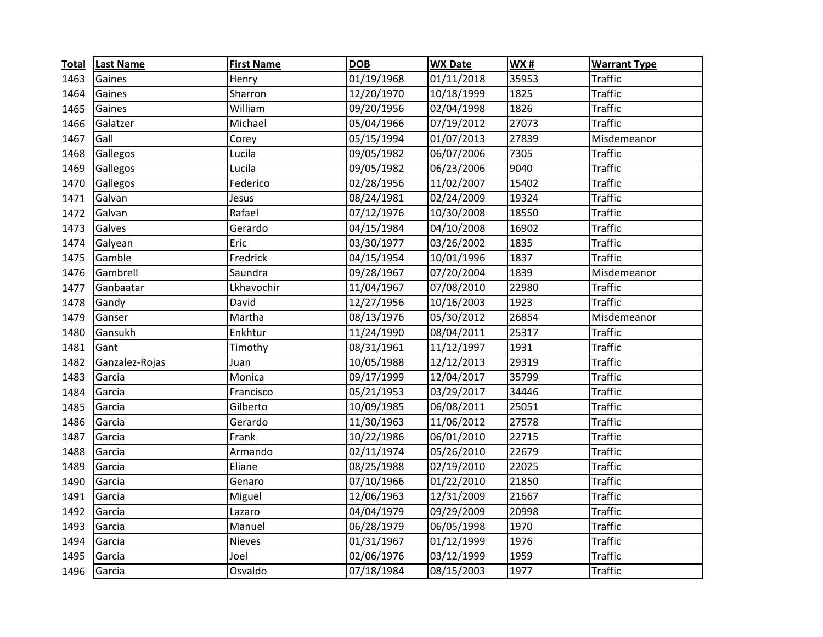| <b>Total</b> | <b>Last Name</b> | <b>First Name</b> | <b>DOB</b> | <b>WX Date</b> | <b>WX#</b> | <b>Warrant Type</b> |
|--------------|------------------|-------------------|------------|----------------|------------|---------------------|
| 1463         | Gaines           | Henry             | 01/19/1968 | 01/11/2018     | 35953      | <b>Traffic</b>      |
| 1464         | Gaines           | Sharron           | 12/20/1970 | 10/18/1999     | 1825       | <b>Traffic</b>      |
| 1465         | Gaines           | William           | 09/20/1956 | 02/04/1998     | 1826       | <b>Traffic</b>      |
| 1466         | Galatzer         | Michael           | 05/04/1966 | 07/19/2012     | 27073      | <b>Traffic</b>      |
| 1467         | Gall             | Corey             | 05/15/1994 | 01/07/2013     | 27839      | Misdemeanor         |
| 1468         | Gallegos         | Lucila            | 09/05/1982 | 06/07/2006     | 7305       | <b>Traffic</b>      |
| 1469         | Gallegos         | Lucila            | 09/05/1982 | 06/23/2006     | 9040       | <b>Traffic</b>      |
| 1470         | Gallegos         | Federico          | 02/28/1956 | 11/02/2007     | 15402      | <b>Traffic</b>      |
| 1471         | Galvan           | Jesus             | 08/24/1981 | 02/24/2009     | 19324      | <b>Traffic</b>      |
| 1472         | Galvan           | Rafael            | 07/12/1976 | 10/30/2008     | 18550      | <b>Traffic</b>      |
| 1473         | Galves           | Gerardo           | 04/15/1984 | 04/10/2008     | 16902      | <b>Traffic</b>      |
| 1474         | Galyean          | Eric              | 03/30/1977 | 03/26/2002     | 1835       | <b>Traffic</b>      |
| 1475         | Gamble           | Fredrick          | 04/15/1954 | 10/01/1996     | 1837       | <b>Traffic</b>      |
| 1476         | Gambrell         | Saundra           | 09/28/1967 | 07/20/2004     | 1839       | Misdemeanor         |
| 1477         | Ganbaatar        | Lkhavochir        | 11/04/1967 | 07/08/2010     | 22980      | <b>Traffic</b>      |
| 1478         | Gandy            | David             | 12/27/1956 | 10/16/2003     | 1923       | <b>Traffic</b>      |
| 1479         | Ganser           | Martha            | 08/13/1976 | 05/30/2012     | 26854      | Misdemeanor         |
| 1480         | Gansukh          | Enkhtur           | 11/24/1990 | 08/04/2011     | 25317      | <b>Traffic</b>      |
| 1481         | Gant             | Timothy           | 08/31/1961 | 11/12/1997     | 1931       | <b>Traffic</b>      |
| 1482         | Ganzalez-Rojas   | Juan              | 10/05/1988 | 12/12/2013     | 29319      | <b>Traffic</b>      |
| 1483         | Garcia           | Monica            | 09/17/1999 | 12/04/2017     | 35799      | <b>Traffic</b>      |
| 1484         | Garcia           | Francisco         | 05/21/1953 | 03/29/2017     | 34446      | <b>Traffic</b>      |
| 1485         | Garcia           | Gilberto          | 10/09/1985 | 06/08/2011     | 25051      | <b>Traffic</b>      |
| 1486         | Garcia           | Gerardo           | 11/30/1963 | 11/06/2012     | 27578      | <b>Traffic</b>      |
| 1487         | Garcia           | Frank             | 10/22/1986 | 06/01/2010     | 22715      | <b>Traffic</b>      |
| 1488         | Garcia           | Armando           | 02/11/1974 | 05/26/2010     | 22679      | <b>Traffic</b>      |
| 1489         | Garcia           | Eliane            | 08/25/1988 | 02/19/2010     | 22025      | <b>Traffic</b>      |
| 1490         | Garcia           | Genaro            | 07/10/1966 | 01/22/2010     | 21850      | <b>Traffic</b>      |
| 1491         | Garcia           | Miguel            | 12/06/1963 | 12/31/2009     | 21667      | <b>Traffic</b>      |
| 1492         | Garcia           | Lazaro            | 04/04/1979 | 09/29/2009     | 20998      | <b>Traffic</b>      |
| 1493         | Garcia           | Manuel            | 06/28/1979 | 06/05/1998     | 1970       | <b>Traffic</b>      |
| 1494         | Garcia           | <b>Nieves</b>     | 01/31/1967 | 01/12/1999     | 1976       | <b>Traffic</b>      |
| 1495         | Garcia           | Joel              | 02/06/1976 | 03/12/1999     | 1959       | <b>Traffic</b>      |
| 1496         | Garcia           | Osvaldo           | 07/18/1984 | 08/15/2003     | 1977       | <b>Traffic</b>      |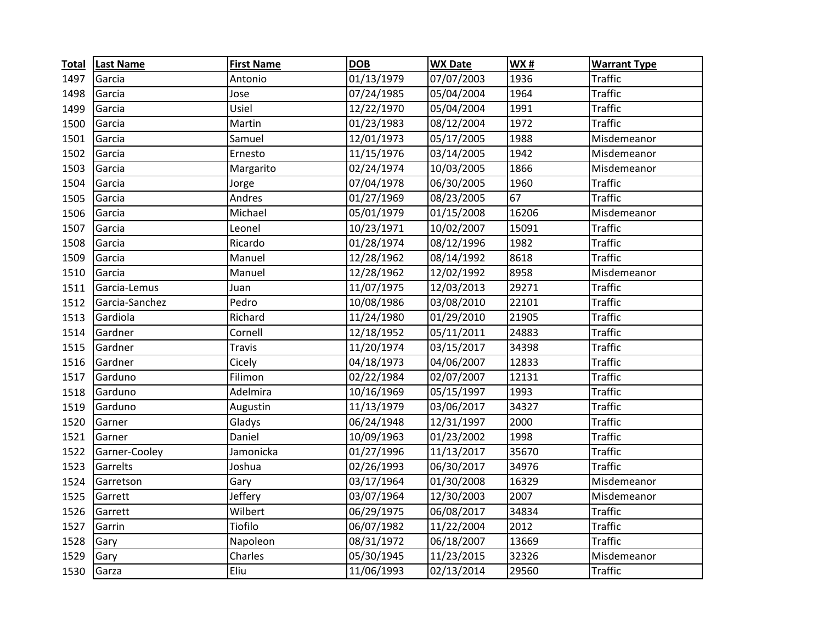| <b>Total</b> | <b>Last Name</b> | <b>First Name</b> | <b>DOB</b> | <b>WX Date</b> | WX#   | <b>Warrant Type</b> |
|--------------|------------------|-------------------|------------|----------------|-------|---------------------|
| 1497         | Garcia           | Antonio           | 01/13/1979 | 07/07/2003     | 1936  | <b>Traffic</b>      |
| 1498         | Garcia           | Jose              | 07/24/1985 | 05/04/2004     | 1964  | <b>Traffic</b>      |
| 1499         | Garcia           | Usiel             | 12/22/1970 | 05/04/2004     | 1991  | <b>Traffic</b>      |
| 1500         | Garcia           | Martin            | 01/23/1983 | 08/12/2004     | 1972  | <b>Traffic</b>      |
| 1501         | Garcia           | Samuel            | 12/01/1973 | 05/17/2005     | 1988  | Misdemeanor         |
| 1502         | Garcia           | Ernesto           | 11/15/1976 | 03/14/2005     | 1942  | Misdemeanor         |
| 1503         | Garcia           | Margarito         | 02/24/1974 | 10/03/2005     | 1866  | Misdemeanor         |
| 1504         | Garcia           | Jorge             | 07/04/1978 | 06/30/2005     | 1960  | <b>Traffic</b>      |
| 1505         | Garcia           | Andres            | 01/27/1969 | 08/23/2005     | 67    | <b>Traffic</b>      |
| 1506         | Garcia           | Michael           | 05/01/1979 | 01/15/2008     | 16206 | Misdemeanor         |
| 1507         | Garcia           | Leonel            | 10/23/1971 | 10/02/2007     | 15091 | <b>Traffic</b>      |
| 1508         | Garcia           | Ricardo           | 01/28/1974 | 08/12/1996     | 1982  | <b>Traffic</b>      |
| 1509         | Garcia           | Manuel            | 12/28/1962 | 08/14/1992     | 8618  | <b>Traffic</b>      |
| 1510         | Garcia           | Manuel            | 12/28/1962 | 12/02/1992     | 8958  | Misdemeanor         |
| 1511         | Garcia-Lemus     | Juan              | 11/07/1975 | 12/03/2013     | 29271 | <b>Traffic</b>      |
| 1512         | Garcia-Sanchez   | Pedro             | 10/08/1986 | 03/08/2010     | 22101 | <b>Traffic</b>      |
| 1513         | Gardiola         | Richard           | 11/24/1980 | 01/29/2010     | 21905 | <b>Traffic</b>      |
| 1514         | Gardner          | Cornell           | 12/18/1952 | 05/11/2011     | 24883 | <b>Traffic</b>      |
| 1515         | Gardner          | <b>Travis</b>     | 11/20/1974 | 03/15/2017     | 34398 | <b>Traffic</b>      |
| 1516         | Gardner          | Cicely            | 04/18/1973 | 04/06/2007     | 12833 | <b>Traffic</b>      |
| 1517         | Garduno          | Filimon           | 02/22/1984 | 02/07/2007     | 12131 | <b>Traffic</b>      |
| 1518         | Garduno          | Adelmira          | 10/16/1969 | 05/15/1997     | 1993  | <b>Traffic</b>      |
| 1519         | Garduno          | Augustin          | 11/13/1979 | 03/06/2017     | 34327 | <b>Traffic</b>      |
| 1520         | Garner           | Gladys            | 06/24/1948 | 12/31/1997     | 2000  | <b>Traffic</b>      |
| 1521         | Garner           | Daniel            | 10/09/1963 | 01/23/2002     | 1998  | <b>Traffic</b>      |
| 1522         | Garner-Cooley    | Jamonicka         | 01/27/1996 | 11/13/2017     | 35670 | <b>Traffic</b>      |
| 1523         | Garrelts         | Joshua            | 02/26/1993 | 06/30/2017     | 34976 | <b>Traffic</b>      |
| 1524         | Garretson        | Gary              | 03/17/1964 | 01/30/2008     | 16329 | Misdemeanor         |
| 1525         | Garrett          | Jeffery           | 03/07/1964 | 12/30/2003     | 2007  | Misdemeanor         |
| 1526         | Garrett          | Wilbert           | 06/29/1975 | 06/08/2017     | 34834 | <b>Traffic</b>      |
| 1527         | Garrin           | Tiofilo           | 06/07/1982 | 11/22/2004     | 2012  | <b>Traffic</b>      |
| 1528         | Gary             | Napoleon          | 08/31/1972 | 06/18/2007     | 13669 | <b>Traffic</b>      |
| 1529         | Gary             | Charles           | 05/30/1945 | 11/23/2015     | 32326 | Misdemeanor         |
| 1530         | Garza            | Eliu              | 11/06/1993 | 02/13/2014     | 29560 | <b>Traffic</b>      |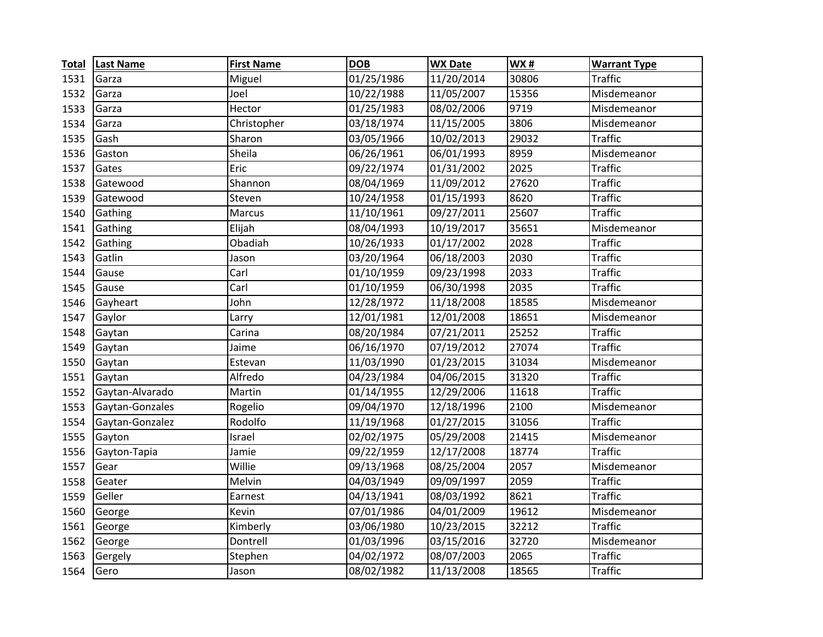| <b>Total</b> | <b>Last Name</b> | <b>First Name</b> | <b>DOB</b> | <b>WX Date</b> | <b>WX#</b> | <b>Warrant Type</b> |
|--------------|------------------|-------------------|------------|----------------|------------|---------------------|
| 1531         | Garza            | Miguel            | 01/25/1986 | 11/20/2014     | 30806      | <b>Traffic</b>      |
| 1532         | Garza            | Joel              | 10/22/1988 | 11/05/2007     | 15356      | Misdemeanor         |
| 1533         | Garza            | Hector            | 01/25/1983 | 08/02/2006     | 9719       | Misdemeanor         |
| 1534         | Garza            | Christopher       | 03/18/1974 | 11/15/2005     | 3806       | Misdemeanor         |
| 1535         | Gash             | Sharon            | 03/05/1966 | 10/02/2013     | 29032      | <b>Traffic</b>      |
| 1536         | Gaston           | Sheila            | 06/26/1961 | 06/01/1993     | 8959       | Misdemeanor         |
| 1537         | Gates            | Eric              | 09/22/1974 | 01/31/2002     | 2025       | <b>Traffic</b>      |
| 1538         | Gatewood         | Shannon           | 08/04/1969 | 11/09/2012     | 27620      | Traffic             |
| 1539         | Gatewood         | Steven            | 10/24/1958 | 01/15/1993     | 8620       | <b>Traffic</b>      |
| 1540         | Gathing          | Marcus            | 11/10/1961 | 09/27/2011     | 25607      | <b>Traffic</b>      |
| 1541         | Gathing          | Elijah            | 08/04/1993 | 10/19/2017     | 35651      | Misdemeanor         |
| 1542         | Gathing          | Obadiah           | 10/26/1933 | 01/17/2002     | 2028       | <b>Traffic</b>      |
| 1543         | Gatlin           | Jason             | 03/20/1964 | 06/18/2003     | 2030       | <b>Traffic</b>      |
| 1544         | Gause            | Carl              | 01/10/1959 | 09/23/1998     | 2033       | <b>Traffic</b>      |
| 1545         | Gause            | Carl              | 01/10/1959 | 06/30/1998     | 2035       | <b>Traffic</b>      |
| 1546         | Gayheart         | John              | 12/28/1972 | 11/18/2008     | 18585      | Misdemeanor         |
| 1547         | Gaylor           | Larry             | 12/01/1981 | 12/01/2008     | 18651      | Misdemeanor         |
| 1548         | Gaytan           | Carina            | 08/20/1984 | 07/21/2011     | 25252      | <b>Traffic</b>      |
| 1549         | Gaytan           | Jaime             | 06/16/1970 | 07/19/2012     | 27074      | <b>Traffic</b>      |
| 1550         | Gaytan           | Estevan           | 11/03/1990 | 01/23/2015     | 31034      | Misdemeanor         |
| 1551         | Gaytan           | Alfredo           | 04/23/1984 | 04/06/2015     | 31320      | <b>Traffic</b>      |
| 1552         | Gaytan-Alvarado  | Martin            | 01/14/1955 | 12/29/2006     | 11618      | <b>Traffic</b>      |
| 1553         | Gaytan-Gonzales  | Rogelio           | 09/04/1970 | 12/18/1996     | 2100       | Misdemeanor         |
| 1554         | Gaytan-Gonzalez  | Rodolfo           | 11/19/1968 | 01/27/2015     | 31056      | <b>Traffic</b>      |
| 1555         | Gayton           | Israel            | 02/02/1975 | 05/29/2008     | 21415      | Misdemeanor         |
| 1556         | Gayton-Tapia     | Jamie             | 09/22/1959 | 12/17/2008     | 18774      | <b>Traffic</b>      |
| 1557         | Gear             | Willie            | 09/13/1968 | 08/25/2004     | 2057       | Misdemeanor         |
| 1558         | Geater           | Melvin            | 04/03/1949 | 09/09/1997     | 2059       | <b>Traffic</b>      |
| 1559         | Geller           | Earnest           | 04/13/1941 | 08/03/1992     | 8621       | <b>Traffic</b>      |
| 1560         | George           | Kevin             | 07/01/1986 | 04/01/2009     | 19612      | Misdemeanor         |
| 1561         | George           | Kimberly          | 03/06/1980 | 10/23/2015     | 32212      | <b>Traffic</b>      |
| 1562         | George           | Dontrell          | 01/03/1996 | 03/15/2016     | 32720      | Misdemeanor         |
| 1563         | Gergely          | Stephen           | 04/02/1972 | 08/07/2003     | 2065       | <b>Traffic</b>      |
| 1564         | Gero             | Jason             | 08/02/1982 | 11/13/2008     | 18565      | <b>Traffic</b>      |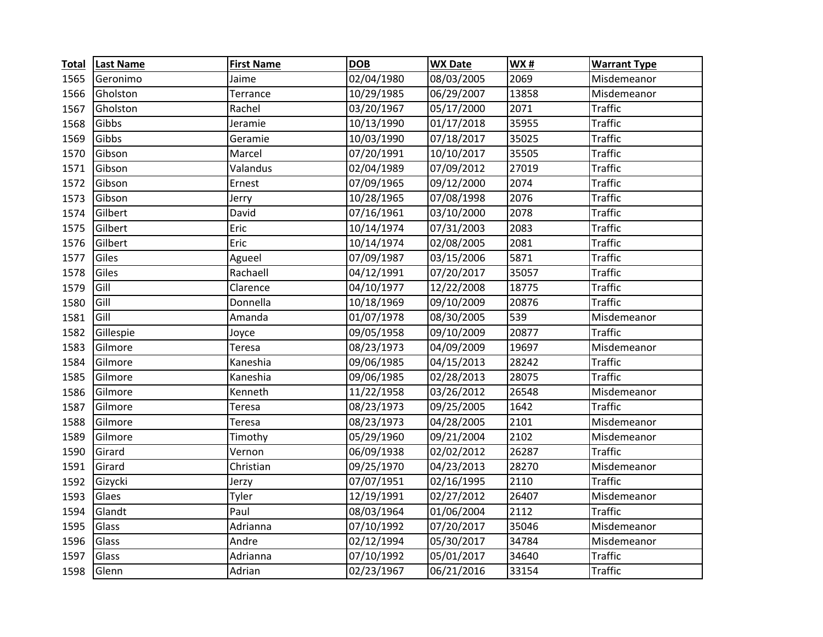| <b>Total</b> | <b>Last Name</b> | <b>First Name</b> | <b>DOB</b> | <b>WX Date</b> | <b>WX#</b> | <b>Warrant Type</b> |
|--------------|------------------|-------------------|------------|----------------|------------|---------------------|
| 1565         | Geronimo         | Jaime             | 02/04/1980 | 08/03/2005     | 2069       | Misdemeanor         |
| 1566         | Gholston         | Terrance          | 10/29/1985 | 06/29/2007     | 13858      | Misdemeanor         |
| 1567         | Gholston         | Rachel            | 03/20/1967 | 05/17/2000     | 2071       | <b>Traffic</b>      |
| 1568         | Gibbs            | Jeramie           | 10/13/1990 | 01/17/2018     | 35955      | <b>Traffic</b>      |
| 1569         | Gibbs            | Geramie           | 10/03/1990 | 07/18/2017     | 35025      | <b>Traffic</b>      |
| 1570         | Gibson           | Marcel            | 07/20/1991 | 10/10/2017     | 35505      | <b>Traffic</b>      |
| 1571         | Gibson           | Valandus          | 02/04/1989 | 07/09/2012     | 27019      | <b>Traffic</b>      |
| 1572         | Gibson           | Ernest            | 07/09/1965 | 09/12/2000     | 2074       | <b>Traffic</b>      |
| 1573         | Gibson           | Jerry             | 10/28/1965 | 07/08/1998     | 2076       | <b>Traffic</b>      |
| 1574         | Gilbert          | David             | 07/16/1961 | 03/10/2000     | 2078       | <b>Traffic</b>      |
| 1575         | Gilbert          | Eric              | 10/14/1974 | 07/31/2003     | 2083       | <b>Traffic</b>      |
| 1576         | Gilbert          | Eric              | 10/14/1974 | 02/08/2005     | 2081       | <b>Traffic</b>      |
| 1577         | Giles            | Agueel            | 07/09/1987 | 03/15/2006     | 5871       | <b>Traffic</b>      |
| 1578         | Giles            | Rachaell          | 04/12/1991 | 07/20/2017     | 35057      | <b>Traffic</b>      |
| 1579         | Gill             | Clarence          | 04/10/1977 | 12/22/2008     | 18775      | <b>Traffic</b>      |
| 1580         | Gill             | Donnella          | 10/18/1969 | 09/10/2009     | 20876      | <b>Traffic</b>      |
| 1581         | Gill             | Amanda            | 01/07/1978 | 08/30/2005     | 539        | Misdemeanor         |
| 1582         | Gillespie        | Joyce             | 09/05/1958 | 09/10/2009     | 20877      | <b>Traffic</b>      |
| 1583         | Gilmore          | Teresa            | 08/23/1973 | 04/09/2009     | 19697      | Misdemeanor         |
| 1584         | Gilmore          | Kaneshia          | 09/06/1985 | 04/15/2013     | 28242      | <b>Traffic</b>      |
| 1585         | Gilmore          | Kaneshia          | 09/06/1985 | 02/28/2013     | 28075      | <b>Traffic</b>      |
| 1586         | Gilmore          | Kenneth           | 11/22/1958 | 03/26/2012     | 26548      | Misdemeanor         |
| 1587         | Gilmore          | Teresa            | 08/23/1973 | 09/25/2005     | 1642       | <b>Traffic</b>      |
| 1588         | Gilmore          | Teresa            | 08/23/1973 | 04/28/2005     | 2101       | Misdemeanor         |
| 1589         | Gilmore          | Timothy           | 05/29/1960 | 09/21/2004     | 2102       | Misdemeanor         |
| 1590         | Girard           | Vernon            | 06/09/1938 | 02/02/2012     | 26287      | <b>Traffic</b>      |
| 1591         | Girard           | Christian         | 09/25/1970 | 04/23/2013     | 28270      | Misdemeanor         |
| 1592         | Gizycki          | Jerzy             | 07/07/1951 | 02/16/1995     | 2110       | <b>Traffic</b>      |
| 1593         | Glaes            | Tyler             | 12/19/1991 | 02/27/2012     | 26407      | Misdemeanor         |
| 1594         | Glandt           | Paul              | 08/03/1964 | 01/06/2004     | 2112       | <b>Traffic</b>      |
| 1595         | Glass            | Adrianna          | 07/10/1992 | 07/20/2017     | 35046      | Misdemeanor         |
| 1596         | Glass            | Andre             | 02/12/1994 | 05/30/2017     | 34784      | Misdemeanor         |
| 1597         | Glass            | Adrianna          | 07/10/1992 | 05/01/2017     | 34640      | <b>Traffic</b>      |
| 1598         | Glenn            | Adrian            | 02/23/1967 | 06/21/2016     | 33154      | <b>Traffic</b>      |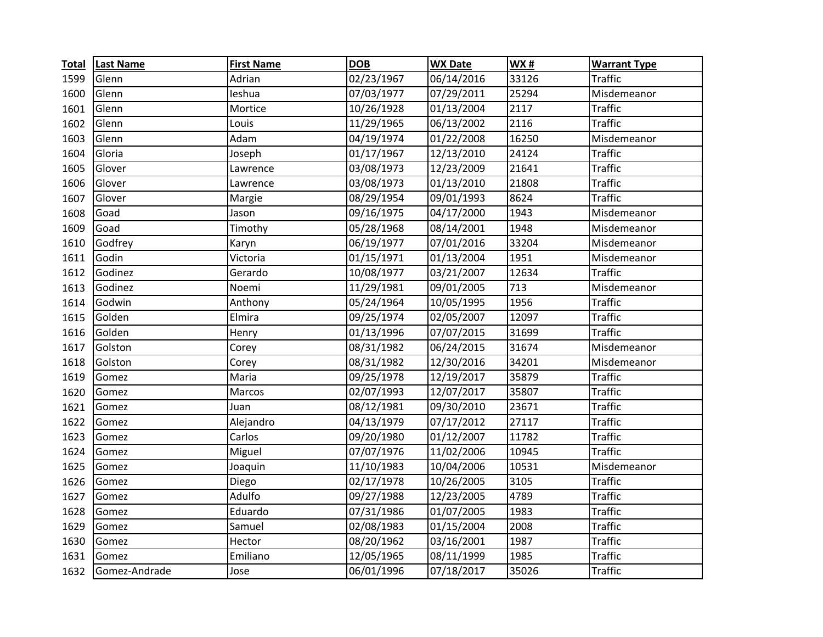| <b>Total</b> | <b>Last Name</b> | <b>First Name</b> | <b>DOB</b> | <b>WX Date</b> | WX#   | <b>Warrant Type</b> |
|--------------|------------------|-------------------|------------|----------------|-------|---------------------|
| 1599         | Glenn            | Adrian            | 02/23/1967 | 06/14/2016     | 33126 | <b>Traffic</b>      |
| 1600         | Glenn            | leshua            | 07/03/1977 | 07/29/2011     | 25294 | Misdemeanor         |
| 1601         | Glenn            | Mortice           | 10/26/1928 | 01/13/2004     | 2117  | <b>Traffic</b>      |
| 1602         | Glenn            | Louis             | 11/29/1965 | 06/13/2002     | 2116  | <b>Traffic</b>      |
| 1603         | Glenn            | Adam              | 04/19/1974 | 01/22/2008     | 16250 | Misdemeanor         |
| 1604         | Gloria           | Joseph            | 01/17/1967 | 12/13/2010     | 24124 | <b>Traffic</b>      |
| 1605         | Glover           | Lawrence          | 03/08/1973 | 12/23/2009     | 21641 | <b>Traffic</b>      |
| 1606         | Glover           | Lawrence          | 03/08/1973 | 01/13/2010     | 21808 | <b>Traffic</b>      |
| 1607         | Glover           | Margie            | 08/29/1954 | 09/01/1993     | 8624  | <b>Traffic</b>      |
| 1608         | Goad             | Jason             | 09/16/1975 | 04/17/2000     | 1943  | Misdemeanor         |
| 1609         | Goad             | Timothy           | 05/28/1968 | 08/14/2001     | 1948  | Misdemeanor         |
| 1610         | Godfrey          | Karyn             | 06/19/1977 | 07/01/2016     | 33204 | Misdemeanor         |
| 1611         | Godin            | Victoria          | 01/15/1971 | 01/13/2004     | 1951  | Misdemeanor         |
| 1612         | Godinez          | Gerardo           | 10/08/1977 | 03/21/2007     | 12634 | <b>Traffic</b>      |
| 1613         | Godinez          | Noemi             | 11/29/1981 | 09/01/2005     | 713   | Misdemeanor         |
| 1614         | Godwin           | Anthony           | 05/24/1964 | 10/05/1995     | 1956  | <b>Traffic</b>      |
| 1615         | Golden           | Elmira            | 09/25/1974 | 02/05/2007     | 12097 | <b>Traffic</b>      |
| 1616         | Golden           | Henry             | 01/13/1996 | 07/07/2015     | 31699 | <b>Traffic</b>      |
| 1617         | Golston          | Corey             | 08/31/1982 | 06/24/2015     | 31674 | Misdemeanor         |
| 1618         | Golston          | Corey             | 08/31/1982 | 12/30/2016     | 34201 | Misdemeanor         |
| 1619         | Gomez            | Maria             | 09/25/1978 | 12/19/2017     | 35879 | <b>Traffic</b>      |
| 1620         | Gomez            | Marcos            | 02/07/1993 | 12/07/2017     | 35807 | <b>Traffic</b>      |
| 1621         | Gomez            | Juan              | 08/12/1981 | 09/30/2010     | 23671 | <b>Traffic</b>      |
| 1622         | Gomez            | Alejandro         | 04/13/1979 | 07/17/2012     | 27117 | <b>Traffic</b>      |
| 1623         | Gomez            | Carlos            | 09/20/1980 | 01/12/2007     | 11782 | <b>Traffic</b>      |
| 1624         | Gomez            | Miguel            | 07/07/1976 | 11/02/2006     | 10945 | <b>Traffic</b>      |
| 1625         | Gomez            | Joaquin           | 11/10/1983 | 10/04/2006     | 10531 | Misdemeanor         |
| 1626         | Gomez            | Diego             | 02/17/1978 | 10/26/2005     | 3105  | Traffic             |
| 1627         | Gomez            | Adulfo            | 09/27/1988 | 12/23/2005     | 4789  | <b>Traffic</b>      |
| 1628         | Gomez            | Eduardo           | 07/31/1986 | 01/07/2005     | 1983  | <b>Traffic</b>      |
| 1629         | Gomez            | Samuel            | 02/08/1983 | 01/15/2004     | 2008  | <b>Traffic</b>      |
| 1630         | Gomez            | Hector            | 08/20/1962 | 03/16/2001     | 1987  | <b>Traffic</b>      |
| 1631         | Gomez            | Emiliano          | 12/05/1965 | 08/11/1999     | 1985  | <b>Traffic</b>      |
| 1632         | Gomez-Andrade    | Jose              | 06/01/1996 | 07/18/2017     | 35026 | <b>Traffic</b>      |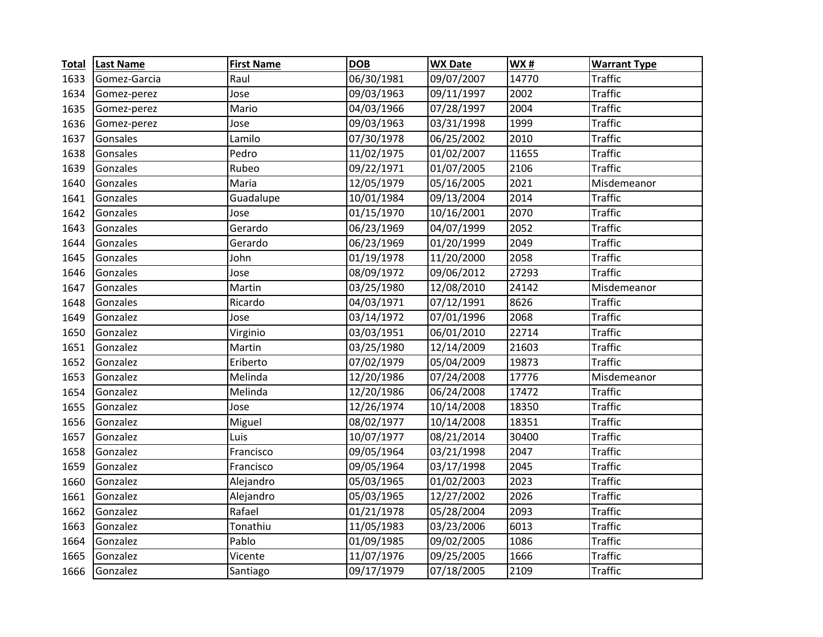| <b>Total</b> | <b>Last Name</b> | <b>First Name</b> | <b>DOB</b> | <b>WX Date</b> | WX#   | <b>Warrant Type</b> |
|--------------|------------------|-------------------|------------|----------------|-------|---------------------|
| 1633         | Gomez-Garcia     | Raul              | 06/30/1981 | 09/07/2007     | 14770 | Traffic             |
| 1634         | Gomez-perez      | Jose              | 09/03/1963 | 09/11/1997     | 2002  | <b>Traffic</b>      |
| 1635         | Gomez-perez      | Mario             | 04/03/1966 | 07/28/1997     | 2004  | <b>Traffic</b>      |
| 1636         | Gomez-perez      | Jose              | 09/03/1963 | 03/31/1998     | 1999  | <b>Traffic</b>      |
| 1637         | Gonsales         | Lamilo            | 07/30/1978 | 06/25/2002     | 2010  | <b>Traffic</b>      |
| 1638         | Gonsales         | Pedro             | 11/02/1975 | 01/02/2007     | 11655 | <b>Traffic</b>      |
| 1639         | Gonzales         | Rubeo             | 09/22/1971 | 01/07/2005     | 2106  | <b>Traffic</b>      |
| 1640         | Gonzales         | Maria             | 12/05/1979 | 05/16/2005     | 2021  | Misdemeanor         |
| 1641         | Gonzales         | Guadalupe         | 10/01/1984 | 09/13/2004     | 2014  | <b>Traffic</b>      |
| 1642         | Gonzales         | Jose              | 01/15/1970 | 10/16/2001     | 2070  | <b>Traffic</b>      |
| 1643         | Gonzales         | Gerardo           | 06/23/1969 | 04/07/1999     | 2052  | <b>Traffic</b>      |
| 1644         | Gonzales         | Gerardo           | 06/23/1969 | 01/20/1999     | 2049  | <b>Traffic</b>      |
| 1645         | Gonzales         | John              | 01/19/1978 | 11/20/2000     | 2058  | <b>Traffic</b>      |
| 1646         | Gonzales         | Jose              | 08/09/1972 | 09/06/2012     | 27293 | <b>Traffic</b>      |
| 1647         | Gonzales         | Martin            | 03/25/1980 | 12/08/2010     | 24142 | Misdemeanor         |
| 1648         | Gonzales         | Ricardo           | 04/03/1971 | 07/12/1991     | 8626  | <b>Traffic</b>      |
| 1649         | Gonzalez         | Jose              | 03/14/1972 | 07/01/1996     | 2068  | <b>Traffic</b>      |
| 1650         | Gonzalez         | Virginio          | 03/03/1951 | 06/01/2010     | 22714 | <b>Traffic</b>      |
| 1651         | Gonzalez         | Martin            | 03/25/1980 | 12/14/2009     | 21603 | <b>Traffic</b>      |
| 1652         | Gonzalez         | Eriberto          | 07/02/1979 | 05/04/2009     | 19873 | <b>Traffic</b>      |
| 1653         | Gonzalez         | Melinda           | 12/20/1986 | 07/24/2008     | 17776 | Misdemeanor         |
| 1654         | Gonzalez         | Melinda           | 12/20/1986 | 06/24/2008     | 17472 | <b>Traffic</b>      |
| 1655         | Gonzalez         | Jose              | 12/26/1974 | 10/14/2008     | 18350 | <b>Traffic</b>      |
| 1656         | Gonzalez         | Miguel            | 08/02/1977 | 10/14/2008     | 18351 | <b>Traffic</b>      |
| 1657         | Gonzalez         | Luis              | 10/07/1977 | 08/21/2014     | 30400 | <b>Traffic</b>      |
| 1658         | Gonzalez         | Francisco         | 09/05/1964 | 03/21/1998     | 2047  | <b>Traffic</b>      |
| 1659         | Gonzalez         | Francisco         | 09/05/1964 | 03/17/1998     | 2045  | <b>Traffic</b>      |
| 1660         | Gonzalez         | Alejandro         | 05/03/1965 | 01/02/2003     | 2023  | <b>Traffic</b>      |
| 1661         | Gonzalez         | Alejandro         | 05/03/1965 | 12/27/2002     | 2026  | <b>Traffic</b>      |
| 1662         | Gonzalez         | Rafael            | 01/21/1978 | 05/28/2004     | 2093  | <b>Traffic</b>      |
| 1663         | Gonzalez         | Tonathiu          | 11/05/1983 | 03/23/2006     | 6013  | <b>Traffic</b>      |
| 1664         | Gonzalez         | Pablo             | 01/09/1985 | 09/02/2005     | 1086  | <b>Traffic</b>      |
| 1665         | Gonzalez         | Vicente           | 11/07/1976 | 09/25/2005     | 1666  | <b>Traffic</b>      |
| 1666         | Gonzalez         | Santiago          | 09/17/1979 | 07/18/2005     | 2109  | <b>Traffic</b>      |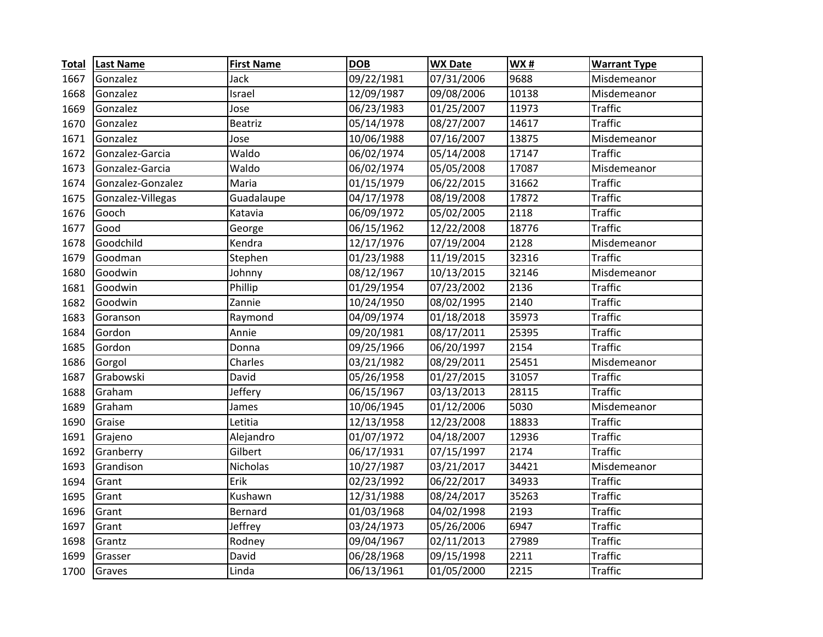| <b>Total</b> | <b>Last Name</b>  | <b>First Name</b> | <b>DOB</b>            | <b>WX Date</b> | <b>WX#</b> | <b>Warrant Type</b> |
|--------------|-------------------|-------------------|-----------------------|----------------|------------|---------------------|
| 1667         | Gonzalez          | Jack              | 09/22/1981            | 07/31/2006     | 9688       | Misdemeanor         |
| 1668         | Gonzalez          | Israel            | 12/09/1987            | 09/08/2006     | 10138      | Misdemeanor         |
| 1669         | Gonzalez          | Jose              | 06/23/1983            | 01/25/2007     | 11973      | <b>Traffic</b>      |
| 1670         | Gonzalez          | Beatriz           | 05/14/1978            | 08/27/2007     | 14617      | <b>Traffic</b>      |
| 1671         | Gonzalez          | Jose              | 10/06/1988            | 07/16/2007     | 13875      | Misdemeanor         |
| 1672         | Gonzalez-Garcia   | Waldo             | 06/02/1974            | 05/14/2008     | 17147      | <b>Traffic</b>      |
| 1673         | Gonzalez-Garcia   | Waldo             | 06/02/1974            | 05/05/2008     | 17087      | Misdemeanor         |
| 1674         | Gonzalez-Gonzalez | Maria             | 01/15/1979            | 06/22/2015     | 31662      | <b>Traffic</b>      |
| 1675         | Gonzalez-Villegas | Guadalaupe        | 04/17/1978            | 08/19/2008     | 17872      | <b>Traffic</b>      |
| 1676         | Gooch             | Katavia           | 06/09/1972            | 05/02/2005     | 2118       | <b>Traffic</b>      |
| 1677         | Good              | George            | 06/15/1962            | 12/22/2008     | 18776      | <b>Traffic</b>      |
| 1678         | Goodchild         | Kendra            | 12/17/1976            | 07/19/2004     | 2128       | Misdemeanor         |
| 1679         | Goodman           | Stephen           | 01/23/1988            | 11/19/2015     | 32316      | <b>Traffic</b>      |
| 1680         | Goodwin           | Johnny            | 08/12/1967            | 10/13/2015     | 32146      | Misdemeanor         |
| 1681         | Goodwin           | Phillip           | 01/29/1954            | 07/23/2002     | 2136       | <b>Traffic</b>      |
| 1682         | Goodwin           | Zannie            | 10/24/1950            | 08/02/1995     | 2140       | <b>Traffic</b>      |
| 1683         | Goranson          | Raymond           | 04/09/1974            | 01/18/2018     | 35973      | <b>Traffic</b>      |
| 1684         | Gordon            | Annie             | 09/20/1981            | 08/17/2011     | 25395      | <b>Traffic</b>      |
| 1685         | Gordon            | Donna             | 09/25/1966            | 06/20/1997     | 2154       | <b>Traffic</b>      |
| 1686         | Gorgol            | Charles           | 03/21/1982            | 08/29/2011     | 25451      | Misdemeanor         |
| 1687         | Grabowski         | David             | 05/26/1958            | 01/27/2015     | 31057      | <b>Traffic</b>      |
| 1688         | Graham            | Jeffery           | 06/15/1967            | 03/13/2013     | 28115      | <b>Traffic</b>      |
| 1689         | Graham            | James             | 10/06/1945            | 01/12/2006     | 5030       | Misdemeanor         |
| 1690         | Graise            | Letitia           | $\frac{1}{2}/13/1958$ | 12/23/2008     | 18833      | <b>Traffic</b>      |
| 1691         | Grajeno           | Alejandro         | 01/07/1972            | 04/18/2007     | 12936      | <b>Traffic</b>      |
| 1692         | Granberry         | Gilbert           | 06/17/1931            | 07/15/1997     | 2174       | <b>Traffic</b>      |
| 1693         | Grandison         | Nicholas          | 10/27/1987            | 03/21/2017     | 34421      | Misdemeanor         |
| 1694         | Grant             | Erik              | 02/23/1992            | 06/22/2017     | 34933      | <b>Traffic</b>      |
| 1695         | Grant             | Kushawn           | 12/31/1988            | 08/24/2017     | 35263      | <b>Traffic</b>      |
| 1696         | Grant             | Bernard           | 01/03/1968            | 04/02/1998     | 2193       | <b>Traffic</b>      |
| 1697         | Grant             | Jeffrey           | 03/24/1973            | 05/26/2006     | 6947       | <b>Traffic</b>      |
| 1698         | Grantz            | Rodney            | 09/04/1967            | 02/11/2013     | 27989      | <b>Traffic</b>      |
| 1699         | Grasser           | David             | 06/28/1968            | 09/15/1998     | 2211       | <b>Traffic</b>      |
| 1700         | Graves            | Linda             | 06/13/1961            | 01/05/2000     | 2215       | <b>Traffic</b>      |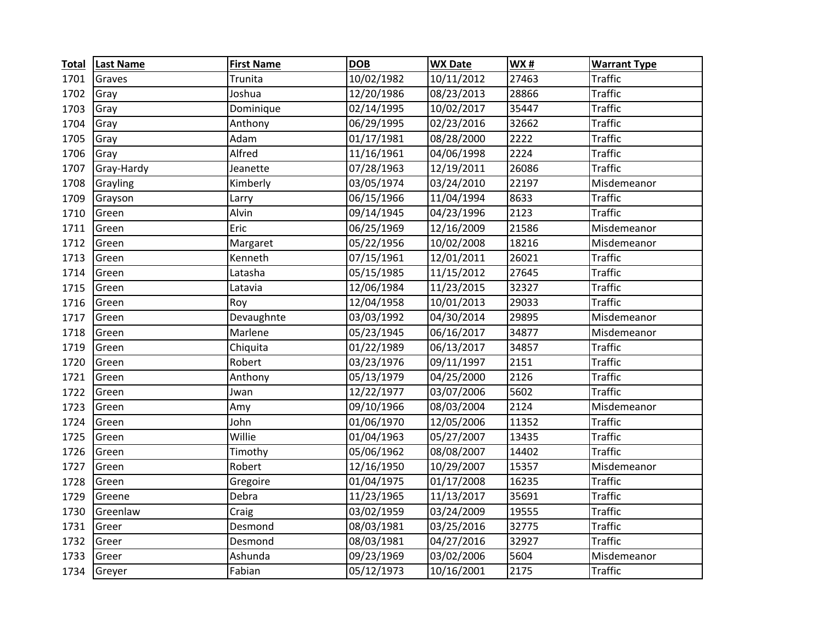| <b>Total</b> | <b>Last Name</b> | <b>First Name</b> | <b>DOB</b> | <b>WX Date</b> | WX#   | <b>Warrant Type</b> |
|--------------|------------------|-------------------|------------|----------------|-------|---------------------|
| 1701         | Graves           | Trunita           | 10/02/1982 | 10/11/2012     | 27463 | <b>Traffic</b>      |
| 1702         | Gray             | Joshua            | 12/20/1986 | 08/23/2013     | 28866 | <b>Traffic</b>      |
| 1703         | Gray             | Dominique         | 02/14/1995 | 10/02/2017     | 35447 | <b>Traffic</b>      |
| 1704         | Gray             | Anthony           | 06/29/1995 | 02/23/2016     | 32662 | <b>Traffic</b>      |
| 1705         | Gray             | Adam              | 01/17/1981 | 08/28/2000     | 2222  | <b>Traffic</b>      |
| 1706         | Gray             | Alfred            | 11/16/1961 | 04/06/1998     | 2224  | <b>Traffic</b>      |
| 1707         | Gray-Hardy       | Jeanette          | 07/28/1963 | 12/19/2011     | 26086 | <b>Traffic</b>      |
| 1708         | Grayling         | Kimberly          | 03/05/1974 | 03/24/2010     | 22197 | Misdemeanor         |
| 1709         | Grayson          | Larry             | 06/15/1966 | 11/04/1994     | 8633  | <b>Traffic</b>      |
| 1710         | Green            | Alvin             | 09/14/1945 | 04/23/1996     | 2123  | <b>Traffic</b>      |
| 1711         | Green            | Eric              | 06/25/1969 | 12/16/2009     | 21586 | Misdemeanor         |
| 1712         | Green            | Margaret          | 05/22/1956 | 10/02/2008     | 18216 | Misdemeanor         |
| 1713         | Green            | Kenneth           | 07/15/1961 | 12/01/2011     | 26021 | <b>Traffic</b>      |
| 1714         | Green            | Latasha           | 05/15/1985 | 11/15/2012     | 27645 | <b>Traffic</b>      |
| 1715         | Green            | Latavia           | 12/06/1984 | 11/23/2015     | 32327 | <b>Traffic</b>      |
| 1716         | Green            | Roy               | 12/04/1958 | 10/01/2013     | 29033 | <b>Traffic</b>      |
| 1717         | Green            | Devaughnte        | 03/03/1992 | 04/30/2014     | 29895 | Misdemeanor         |
| 1718         | Green            | Marlene           | 05/23/1945 | 06/16/2017     | 34877 | Misdemeanor         |
| 1719         | Green            | Chiquita          | 01/22/1989 | 06/13/2017     | 34857 | <b>Traffic</b>      |
| 1720         | Green            | Robert            | 03/23/1976 | 09/11/1997     | 2151  | <b>Traffic</b>      |
| 1721         | Green            | Anthony           | 05/13/1979 | 04/25/2000     | 2126  | <b>Traffic</b>      |
| 1722         | Green            | Jwan              | 12/22/1977 | 03/07/2006     | 5602  | <b>Traffic</b>      |
| 1723         | Green            | Amy               | 09/10/1966 | 08/03/2004     | 2124  | Misdemeanor         |
| 1724         | Green            | John              | 01/06/1970 | 12/05/2006     | 11352 | <b>Traffic</b>      |
| 1725         | Green            | Willie            | 01/04/1963 | 05/27/2007     | 13435 | <b>Traffic</b>      |
| 1726         | Green            | Timothy           | 05/06/1962 | 08/08/2007     | 14402 | <b>Traffic</b>      |
| 1727         | Green            | Robert            | 12/16/1950 | 10/29/2007     | 15357 | Misdemeanor         |
| 1728         | Green            | Gregoire          | 01/04/1975 | 01/17/2008     | 16235 | <b>Traffic</b>      |
| 1729         | Greene           | Debra             | 11/23/1965 | 11/13/2017     | 35691 | <b>Traffic</b>      |
| 1730         | Greenlaw         | Craig             | 03/02/1959 | 03/24/2009     | 19555 | <b>Traffic</b>      |
| 1731         | Greer            | Desmond           | 08/03/1981 | 03/25/2016     | 32775 | <b>Traffic</b>      |
| 1732         | Greer            | Desmond           | 08/03/1981 | 04/27/2016     | 32927 | <b>Traffic</b>      |
| 1733         | Greer            | Ashunda           | 09/23/1969 | 03/02/2006     | 5604  | Misdemeanor         |
| 1734         | Greyer           | Fabian            | 05/12/1973 | 10/16/2001     | 2175  | <b>Traffic</b>      |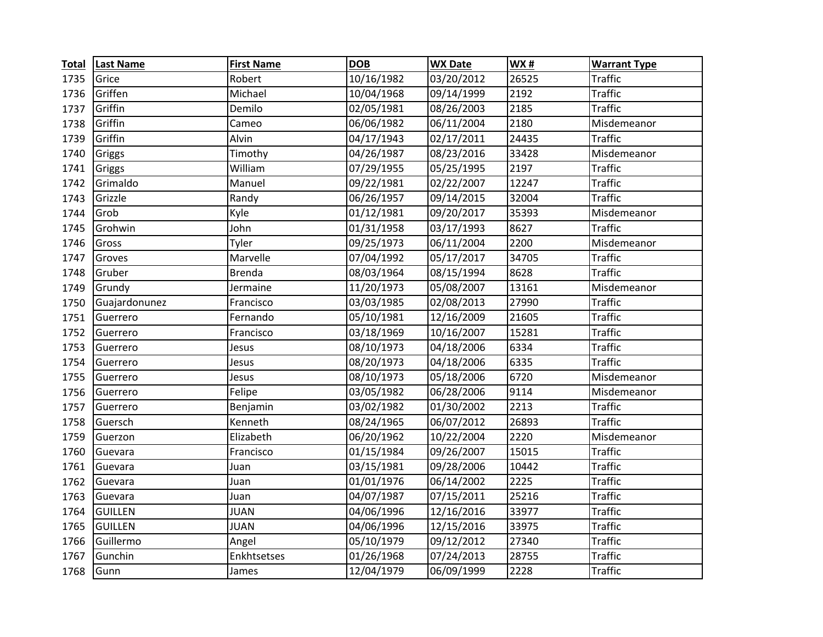| <b>Total</b> | <b>Last Name</b> | <b>First Name</b> | <b>DOB</b> | <b>WX Date</b> | WX#   | <b>Warrant Type</b> |
|--------------|------------------|-------------------|------------|----------------|-------|---------------------|
| 1735         | Grice            | Robert            | 10/16/1982 | 03/20/2012     | 26525 | Traffic             |
| 1736         | Griffen          | Michael           | 10/04/1968 | 09/14/1999     | 2192  | <b>Traffic</b>      |
| 1737         | Griffin          | Demilo            | 02/05/1981 | 08/26/2003     | 2185  | <b>Traffic</b>      |
| 1738         | Griffin          | Cameo             | 06/06/1982 | 06/11/2004     | 2180  | Misdemeanor         |
| 1739         | Griffin          | Alvin             | 04/17/1943 | 02/17/2011     | 24435 | <b>Traffic</b>      |
| 1740         | Griggs           | Timothy           | 04/26/1987 | 08/23/2016     | 33428 | Misdemeanor         |
| 1741         | Griggs           | William           | 07/29/1955 | 05/25/1995     | 2197  | <b>Traffic</b>      |
| 1742         | Grimaldo         | Manuel            | 09/22/1981 | 02/22/2007     | 12247 | <b>Traffic</b>      |
| 1743         | Grizzle          | Randy             | 06/26/1957 | 09/14/2015     | 32004 | <b>Traffic</b>      |
| 1744         | Grob             | Kyle              | 01/12/1981 | 09/20/2017     | 35393 | Misdemeanor         |
| 1745         | Grohwin          | John              | 01/31/1958 | 03/17/1993     | 8627  | <b>Traffic</b>      |
| 1746         | Gross            | Tyler             | 09/25/1973 | 06/11/2004     | 2200  | Misdemeanor         |
| 1747         | Groves           | Marvelle          | 07/04/1992 | 05/17/2017     | 34705 | <b>Traffic</b>      |
| 1748         | Gruber           | <b>Brenda</b>     | 08/03/1964 | 08/15/1994     | 8628  | <b>Traffic</b>      |
| 1749         | Grundy           | Jermaine          | 11/20/1973 | 05/08/2007     | 13161 | Misdemeanor         |
| 1750         | Guajardonunez    | Francisco         | 03/03/1985 | 02/08/2013     | 27990 | <b>Traffic</b>      |
| 1751         | Guerrero         | Fernando          | 05/10/1981 | 12/16/2009     | 21605 | <b>Traffic</b>      |
| 1752         | Guerrero         | Francisco         | 03/18/1969 | 10/16/2007     | 15281 | <b>Traffic</b>      |
| 1753         | Guerrero         | Jesus             | 08/10/1973 | 04/18/2006     | 6334  | <b>Traffic</b>      |
| 1754         | Guerrero         | Jesus             | 08/20/1973 | 04/18/2006     | 6335  | <b>Traffic</b>      |
| 1755         | Guerrero         | Jesus             | 08/10/1973 | 05/18/2006     | 6720  | Misdemeanor         |
| 1756         | Guerrero         | Felipe            | 03/05/1982 | 06/28/2006     | 9114  | Misdemeanor         |
| 1757         | Guerrero         | Benjamin          | 03/02/1982 | 01/30/2002     | 2213  | <b>Traffic</b>      |
| 1758         | Guersch          | Kenneth           | 08/24/1965 | 06/07/2012     | 26893 | <b>Traffic</b>      |
| 1759         | Guerzon          | Elizabeth         | 06/20/1962 | 10/22/2004     | 2220  | Misdemeanor         |
| 1760         | Guevara          | Francisco         | 01/15/1984 | 09/26/2007     | 15015 | <b>Traffic</b>      |
| 1761         | Guevara          | Juan              | 03/15/1981 | 09/28/2006     | 10442 | <b>Traffic</b>      |
| 1762         | Guevara          | Juan              | 01/01/1976 | 06/14/2002     | 2225  | <b>Traffic</b>      |
| 1763         | Guevara          | Juan              | 04/07/1987 | 07/15/2011     | 25216 | <b>Traffic</b>      |
| 1764         | <b>GUILLEN</b>   | <b>JUAN</b>       | 04/06/1996 | 12/16/2016     | 33977 | <b>Traffic</b>      |
| 1765         | <b>GUILLEN</b>   | <b>JUAN</b>       | 04/06/1996 | 12/15/2016     | 33975 | <b>Traffic</b>      |
| 1766         | Guillermo        | Angel             | 05/10/1979 | 09/12/2012     | 27340 | <b>Traffic</b>      |
| 1767         | Gunchin          | Enkhtsetses       | 01/26/1968 | 07/24/2013     | 28755 | <b>Traffic</b>      |
| 1768         | Gunn             | James             | 12/04/1979 | 06/09/1999     | 2228  | <b>Traffic</b>      |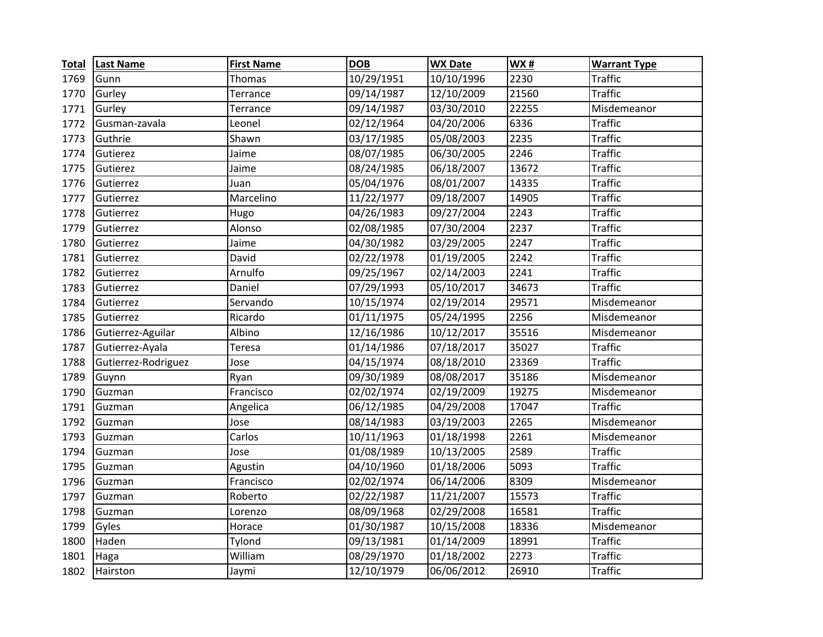| <b>Total</b> | <b>Last Name</b>    | <b>First Name</b> | <b>DOB</b> | <b>WX Date</b>          | WX#   | <b>Warrant Type</b> |
|--------------|---------------------|-------------------|------------|-------------------------|-------|---------------------|
| 1769         | Gunn                | Thomas            | 10/29/1951 | 10/10/1996              | 2230  | Traffic             |
| 1770         | Gurley              | Terrance          | 09/14/1987 | 12/10/2009              | 21560 | <b>Traffic</b>      |
| 1771         | Gurley              | Terrance          | 09/14/1987 | 03/30/2010              | 22255 | Misdemeanor         |
| 1772         | Gusman-zavala       | Leonel            | 02/12/1964 | 04/20/2006              | 6336  | <b>Traffic</b>      |
| 1773         | Guthrie             | Shawn             | 03/17/1985 | 05/08/2003              | 2235  | <b>Traffic</b>      |
| 1774         | Gutierez            | Jaime             | 08/07/1985 | 06/30/2005              | 2246  | <b>Traffic</b>      |
| 1775         | Gutierez            | Jaime             | 08/24/1985 | 06/18/2007              | 13672 | <b>Traffic</b>      |
| 1776         | Gutierrez           | Juan              | 05/04/1976 | 08/01/2007              | 14335 | <b>Traffic</b>      |
| 1777         | Gutierrez           | Marcelino         | 11/22/1977 | 09/18/2007              | 14905 | <b>Traffic</b>      |
| 1778         | Gutierrez           | Hugo              | 04/26/1983 | 09/27/2004              | 2243  | <b>Traffic</b>      |
| 1779         | Gutierrez           | Alonso            | 02/08/1985 | 07/30/2004              | 2237  | <b>Traffic</b>      |
| 1780         | Gutierrez           | Jaime             | 04/30/1982 | 03/29/2005              | 2247  | <b>Traffic</b>      |
| 1781         | Gutierrez           | David             | 02/22/1978 | 01/19/2005              | 2242  | <b>Traffic</b>      |
| 1782         | Gutierrez           | Arnulfo           | 09/25/1967 | 02/14/2003              | 2241  | <b>Traffic</b>      |
| 1783         | Gutierrez           | Daniel            | 07/29/1993 | 05/10/2017              | 34673 | <b>Traffic</b>      |
| 1784         | Gutierrez           | Servando          | 10/15/1974 | 02/19/2014              | 29571 | Misdemeanor         |
| 1785         | Gutierrez           | Ricardo           | 01/11/1975 | 05/24/1995              | 2256  | Misdemeanor         |
| 1786         | Gutierrez-Aguilar   | Albino            | 12/16/1986 | 10/12/2017              | 35516 | Misdemeanor         |
| 1787         | Gutierrez-Ayala     | Teresa            | 01/14/1986 | 07/18/2017              | 35027 | <b>Traffic</b>      |
| 1788         | Gutierrez-Rodriguez | Jose              | 04/15/1974 | 08/18/2010              | 23369 | <b>Traffic</b>      |
| 1789         | Guynn               | Ryan              | 09/30/1989 | 08/08/2017              | 35186 | Misdemeanor         |
| 1790         | Guzman              | Francisco         | 02/02/1974 | 02/19/2009              | 19275 | Misdemeanor         |
| 1791         | Guzman              | Angelica          | 06/12/1985 | 04/29/2008              | 17047 | <b>Traffic</b>      |
| 1792         | Guzman              | Jose              | 08/14/1983 | 03/19/2003              | 2265  | Misdemeanor         |
| 1793         | Guzman              | Carlos            | 10/11/1963 | 01/18/1998              | 2261  | Misdemeanor         |
| 1794         | Guzman              | Jose              | 01/08/1989 | 10/13/2005              | 2589  | <b>Traffic</b>      |
| 1795         | Guzman              | Agustin           | 04/10/1960 | 01/18/2006              | 5093  | <b>Traffic</b>      |
| 1796         | Guzman              | Francisco         | 02/02/1974 | 06/14/2006              | 8309  | Misdemeanor         |
| 1797         | Guzman              | Roberto           | 02/22/1987 | 11/21/2007              | 15573 | <b>Traffic</b>      |
| 1798         | Guzman              | Lorenzo           | 08/09/1968 | 02/29/2008              | 16581 | <b>Traffic</b>      |
| 1799         | Gyles               | Horace            | 01/30/1987 | 10/15/2008              | 18336 | Misdemeanor         |
| 1800         | Haden               | Tylond            | 09/13/1981 | $\overline{01/14/2009}$ | 18991 | <b>Traffic</b>      |
| 1801         | Haga                | William           | 08/29/1970 | 01/18/2002              | 2273  | <b>Traffic</b>      |
| 1802         | Hairston            | Jaymi             | 12/10/1979 | 06/06/2012              | 26910 | <b>Traffic</b>      |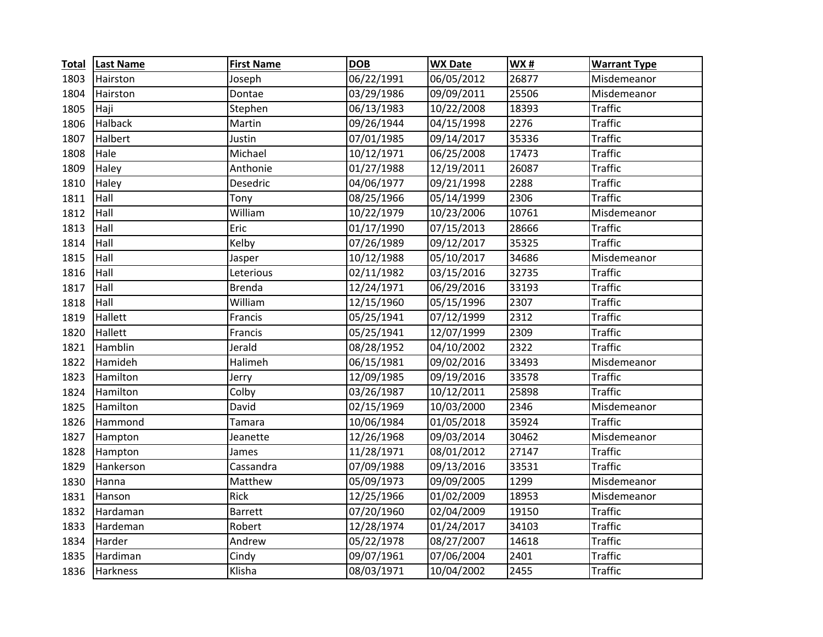| <b>Total</b> | <b>Last Name</b> | <b>First Name</b> | <b>DOB</b> | <b>WX Date</b> | WX#   | <b>Warrant Type</b> |
|--------------|------------------|-------------------|------------|----------------|-------|---------------------|
| 1803         | Hairston         | Joseph            | 06/22/1991 | 06/05/2012     | 26877 | Misdemeanor         |
| 1804         | Hairston         | Dontae            | 03/29/1986 | 09/09/2011     | 25506 | Misdemeanor         |
| 1805         | Haji             | Stephen           | 06/13/1983 | 10/22/2008     | 18393 | <b>Traffic</b>      |
| 1806         | Halback          | Martin            | 09/26/1944 | 04/15/1998     | 2276  | <b>Traffic</b>      |
| 1807         | Halbert          | Justin            | 07/01/1985 | 09/14/2017     | 35336 | <b>Traffic</b>      |
| 1808         | Hale             | Michael           | 10/12/1971 | 06/25/2008     | 17473 | <b>Traffic</b>      |
| 1809         | Haley            | Anthonie          | 01/27/1988 | 12/19/2011     | 26087 | <b>Traffic</b>      |
| 1810         | Haley            | Desedric          | 04/06/1977 | 09/21/1998     | 2288  | <b>Traffic</b>      |
| 1811         | Hall             | Tony              | 08/25/1966 | 05/14/1999     | 2306  | <b>Traffic</b>      |
| 1812         | Hall             | William           | 10/22/1979 | 10/23/2006     | 10761 | Misdemeanor         |
| 1813         | Hall             | Eric              | 01/17/1990 | 07/15/2013     | 28666 | <b>Traffic</b>      |
| 1814         | Hall             | Kelby             | 07/26/1989 | 09/12/2017     | 35325 | <b>Traffic</b>      |
| 1815         | Hall             | Jasper            | 10/12/1988 | 05/10/2017     | 34686 | Misdemeanor         |
| 1816         | Hall             | Leterious         | 02/11/1982 | 03/15/2016     | 32735 | <b>Traffic</b>      |
| 1817         | Hall             | <b>Brenda</b>     | 12/24/1971 | 06/29/2016     | 33193 | <b>Traffic</b>      |
| 1818         | Hall             | William           | 12/15/1960 | 05/15/1996     | 2307  | <b>Traffic</b>      |
| 1819         | Hallett          | Francis           | 05/25/1941 | 07/12/1999     | 2312  | <b>Traffic</b>      |
| 1820         | Hallett          | Francis           | 05/25/1941 | 12/07/1999     | 2309  | <b>Traffic</b>      |
| 1821         | Hamblin          | Jerald            | 08/28/1952 | 04/10/2002     | 2322  | <b>Traffic</b>      |
| 1822         | Hamideh          | Halimeh           | 06/15/1981 | 09/02/2016     | 33493 | Misdemeanor         |
| 1823         | Hamilton         | Jerry             | 12/09/1985 | 09/19/2016     | 33578 | <b>Traffic</b>      |
| 1824         | Hamilton         | Colby             | 03/26/1987 | 10/12/2011     | 25898 | <b>Traffic</b>      |
| 1825         | Hamilton         | David             | 02/15/1969 | 10/03/2000     | 2346  | Misdemeanor         |
| 1826         | Hammond          | Tamara            | 10/06/1984 | 01/05/2018     | 35924 | <b>Traffic</b>      |
| 1827         | Hampton          | Jeanette          | 12/26/1968 | 09/03/2014     | 30462 | Misdemeanor         |
| 1828         | Hampton          | James             | 11/28/1971 | 08/01/2012     | 27147 | <b>Traffic</b>      |
| 1829         | Hankerson        | Cassandra         | 07/09/1988 | 09/13/2016     | 33531 | <b>Traffic</b>      |
| 1830         | Hanna            | Matthew           | 05/09/1973 | 09/09/2005     | 1299  | Misdemeanor         |
| 1831         | Hanson           | Rick              | 12/25/1966 | 01/02/2009     | 18953 | Misdemeanor         |
| 1832         | Hardaman         | <b>Barrett</b>    | 07/20/1960 | 02/04/2009     | 19150 | <b>Traffic</b>      |
| 1833         | Hardeman         | Robert            | 12/28/1974 | 01/24/2017     | 34103 | <b>Traffic</b>      |
| 1834         | Harder           | Andrew            | 05/22/1978 | 08/27/2007     | 14618 | <b>Traffic</b>      |
| 1835         | Hardiman         | Cindy             | 09/07/1961 | 07/06/2004     | 2401  | <b>Traffic</b>      |
| 1836         | Harkness         | Klisha            | 08/03/1971 | 10/04/2002     | 2455  | <b>Traffic</b>      |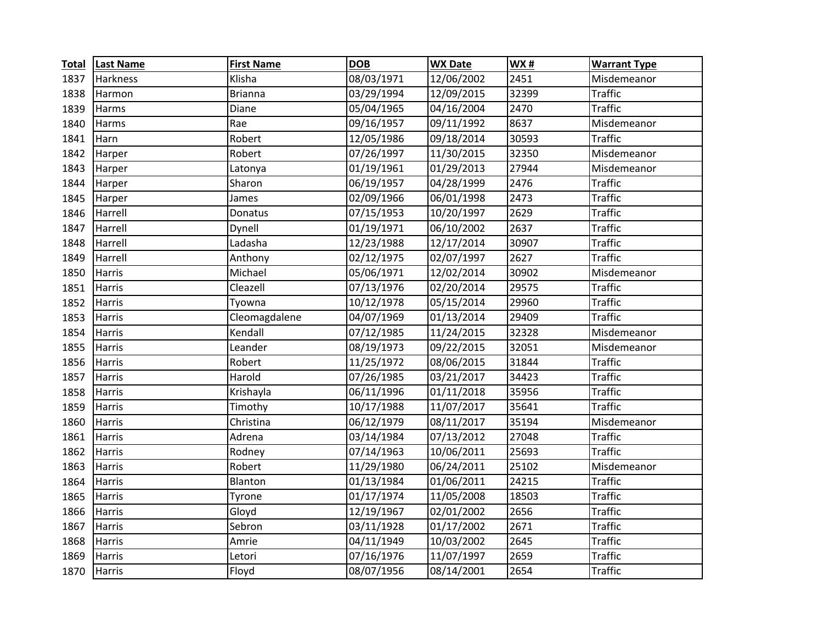| <b>Total</b> | <b>Last Name</b> | <b>First Name</b> | <b>DOB</b> | <b>WX Date</b> | <b>WX#</b> | <b>Warrant Type</b> |
|--------------|------------------|-------------------|------------|----------------|------------|---------------------|
| 1837         | <b>Harkness</b>  | Klisha            | 08/03/1971 | 12/06/2002     | 2451       | Misdemeanor         |
| 1838         | Harmon           | Brianna           | 03/29/1994 | 12/09/2015     | 32399      | <b>Traffic</b>      |
| 1839         | Harms            | Diane             | 05/04/1965 | 04/16/2004     | 2470       | <b>Traffic</b>      |
| 1840         | Harms            | Rae               | 09/16/1957 | 09/11/1992     | 8637       | Misdemeanor         |
| 1841         | Harn             | Robert            | 12/05/1986 | 09/18/2014     | 30593      | <b>Traffic</b>      |
| 1842         | Harper           | Robert            | 07/26/1997 | 11/30/2015     | 32350      | Misdemeanor         |
| 1843         | Harper           | Latonya           | 01/19/1961 | 01/29/2013     | 27944      | Misdemeanor         |
| 1844         | Harper           | Sharon            | 06/19/1957 | 04/28/1999     | 2476       | <b>Traffic</b>      |
| 1845         | Harper           | James             | 02/09/1966 | 06/01/1998     | 2473       | <b>Traffic</b>      |
| 1846         | Harrell          | Donatus           | 07/15/1953 | 10/20/1997     | 2629       | <b>Traffic</b>      |
| 1847         | Harrell          | Dynell            | 01/19/1971 | 06/10/2002     | 2637       | <b>Traffic</b>      |
| 1848         | Harrell          | Ladasha           | 12/23/1988 | 12/17/2014     | 30907      | <b>Traffic</b>      |
| 1849         | Harrell          | Anthony           | 02/12/1975 | 02/07/1997     | 2627       | <b>Traffic</b>      |
| 1850         | Harris           | Michael           | 05/06/1971 | 12/02/2014     | 30902      | Misdemeanor         |
| 1851         | Harris           | Cleazell          | 07/13/1976 | 02/20/2014     | 29575      | <b>Traffic</b>      |
| 1852         | Harris           | Tyowna            | 10/12/1978 | 05/15/2014     | 29960      | <b>Traffic</b>      |
| 1853         | <b>Harris</b>    | Cleomagdalene     | 04/07/1969 | 01/13/2014     | 29409      | <b>Traffic</b>      |
| 1854         | Harris           | Kendall           | 07/12/1985 | 11/24/2015     | 32328      | Misdemeanor         |
| 1855         | Harris           | Leander           | 08/19/1973 | 09/22/2015     | 32051      | Misdemeanor         |
| 1856         | Harris           | Robert            | 11/25/1972 | 08/06/2015     | 31844      | <b>Traffic</b>      |
| 1857         | Harris           | Harold            | 07/26/1985 | 03/21/2017     | 34423      | <b>Traffic</b>      |
| 1858         | Harris           | Krishayla         | 06/11/1996 | 01/11/2018     | 35956      | <b>Traffic</b>      |
| 1859         | Harris           | Timothy           | 10/17/1988 | 11/07/2017     | 35641      | <b>Traffic</b>      |
| 1860         | Harris           | Christina         | 06/12/1979 | 08/11/2017     | 35194      | Misdemeanor         |
| 1861         | <b>Harris</b>    | Adrena            | 03/14/1984 | 07/13/2012     | 27048      | <b>Traffic</b>      |
| 1862         | <b>Harris</b>    | Rodney            | 07/14/1963 | 10/06/2011     | 25693      | <b>Traffic</b>      |
| 1863         | Harris           | Robert            | 11/29/1980 | 06/24/2011     | 25102      | Misdemeanor         |
| 1864         | <b>Harris</b>    | Blanton           | 01/13/1984 | 01/06/2011     | 24215      | <b>Traffic</b>      |
| 1865         | Harris           | Tyrone            | 01/17/1974 | 11/05/2008     | 18503      | <b>Traffic</b>      |
| 1866         | Harris           | Gloyd             | 12/19/1967 | 02/01/2002     | 2656       | <b>Traffic</b>      |
| 1867         | Harris           | Sebron            | 03/11/1928 | 01/17/2002     | 2671       | <b>Traffic</b>      |
| 1868         | Harris           | Amrie             | 04/11/1949 | 10/03/2002     | 2645       | <b>Traffic</b>      |
| 1869         | Harris           | Letori            | 07/16/1976 | 11/07/1997     | 2659       | <b>Traffic</b>      |
| 1870         | <b>Harris</b>    | Floyd             | 08/07/1956 | 08/14/2001     | 2654       | <b>Traffic</b>      |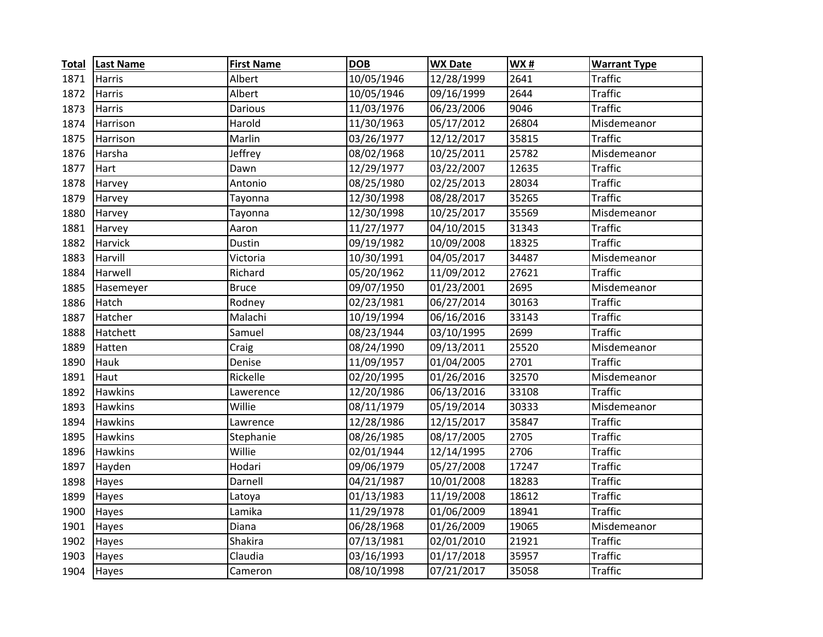| <b>Total</b> | <b>Last Name</b> | <b>First Name</b> | <b>DOB</b> | <b>WX Date</b> | WX#   | <b>Warrant Type</b> |
|--------------|------------------|-------------------|------------|----------------|-------|---------------------|
| 1871         | Harris           | Albert            | 10/05/1946 | 12/28/1999     | 2641  | Traffic             |
| 1872         | Harris           | Albert            | 10/05/1946 | 09/16/1999     | 2644  | <b>Traffic</b>      |
| 1873         | <b>Harris</b>    | Darious           | 11/03/1976 | 06/23/2006     | 9046  | <b>Traffic</b>      |
| 1874         | Harrison         | Harold            | 11/30/1963 | 05/17/2012     | 26804 | Misdemeanor         |
| 1875         | Harrison         | Marlin            | 03/26/1977 | 12/12/2017     | 35815 | <b>Traffic</b>      |
| 1876         | Harsha           | Jeffrey           | 08/02/1968 | 10/25/2011     | 25782 | Misdemeanor         |
| 1877         | Hart             | Dawn              | 12/29/1977 | 03/22/2007     | 12635 | <b>Traffic</b>      |
| 1878         | Harvey           | Antonio           | 08/25/1980 | 02/25/2013     | 28034 | <b>Traffic</b>      |
| 1879         | Harvey           | Tayonna           | 12/30/1998 | 08/28/2017     | 35265 | <b>Traffic</b>      |
| 1880         | Harvey           | Tayonna           | 12/30/1998 | 10/25/2017     | 35569 | Misdemeanor         |
| 1881         | Harvey           | Aaron             | 11/27/1977 | 04/10/2015     | 31343 | <b>Traffic</b>      |
| 1882         | Harvick          | Dustin            | 09/19/1982 | 10/09/2008     | 18325 | <b>Traffic</b>      |
| 1883         | Harvill          | Victoria          | 10/30/1991 | 04/05/2017     | 34487 | Misdemeanor         |
| 1884         | Harwell          | Richard           | 05/20/1962 | 11/09/2012     | 27621 | <b>Traffic</b>      |
| 1885         | Hasemeyer        | <b>Bruce</b>      | 09/07/1950 | 01/23/2001     | 2695  | Misdemeanor         |
| 1886         | Hatch            | Rodney            | 02/23/1981 | 06/27/2014     | 30163 | <b>Traffic</b>      |
| 1887         | Hatcher          | Malachi           | 10/19/1994 | 06/16/2016     | 33143 | <b>Traffic</b>      |
| 1888         | Hatchett         | Samuel            | 08/23/1944 | 03/10/1995     | 2699  | <b>Traffic</b>      |
| 1889         | Hatten           | Craig             | 08/24/1990 | 09/13/2011     | 25520 | Misdemeanor         |
| 1890         | Hauk             | Denise            | 11/09/1957 | 01/04/2005     | 2701  | <b>Traffic</b>      |
| 1891         | Haut             | Rickelle          | 02/20/1995 | 01/26/2016     | 32570 | Misdemeanor         |
| 1892         | <b>Hawkins</b>   | Lawerence         | 12/20/1986 | 06/13/2016     | 33108 | <b>Traffic</b>      |
| 1893         | Hawkins          | Willie            | 08/11/1979 | 05/19/2014     | 30333 | Misdemeanor         |
| 1894         | <b>Hawkins</b>   | Lawrence          | 12/28/1986 | 12/15/2017     | 35847 | <b>Traffic</b>      |
| 1895         | <b>Hawkins</b>   | Stephanie         | 08/26/1985 | 08/17/2005     | 2705  | <b>Traffic</b>      |
| 1896         | <b>Hawkins</b>   | Willie            | 02/01/1944 | 12/14/1995     | 2706  | <b>Traffic</b>      |
| 1897         | Hayden           | Hodari            | 09/06/1979 | 05/27/2008     | 17247 | <b>Traffic</b>      |
| 1898         | Hayes            | Darnell           | 04/21/1987 | 10/01/2008     | 18283 | <b>Traffic</b>      |
| 1899         | Hayes            | Latoya            | 01/13/1983 | 11/19/2008     | 18612 | <b>Traffic</b>      |
| 1900         | Hayes            | Lamika            | 11/29/1978 | 01/06/2009     | 18941 | <b>Traffic</b>      |
| 1901         | Hayes            | Diana             | 06/28/1968 | 01/26/2009     | 19065 | Misdemeanor         |
| 1902         | Hayes            | Shakira           | 07/13/1981 | 02/01/2010     | 21921 | <b>Traffic</b>      |
| 1903         | Hayes            | Claudia           | 03/16/1993 | 01/17/2018     | 35957 | <b>Traffic</b>      |
| 1904         | Hayes            | Cameron           | 08/10/1998 | 07/21/2017     | 35058 | <b>Traffic</b>      |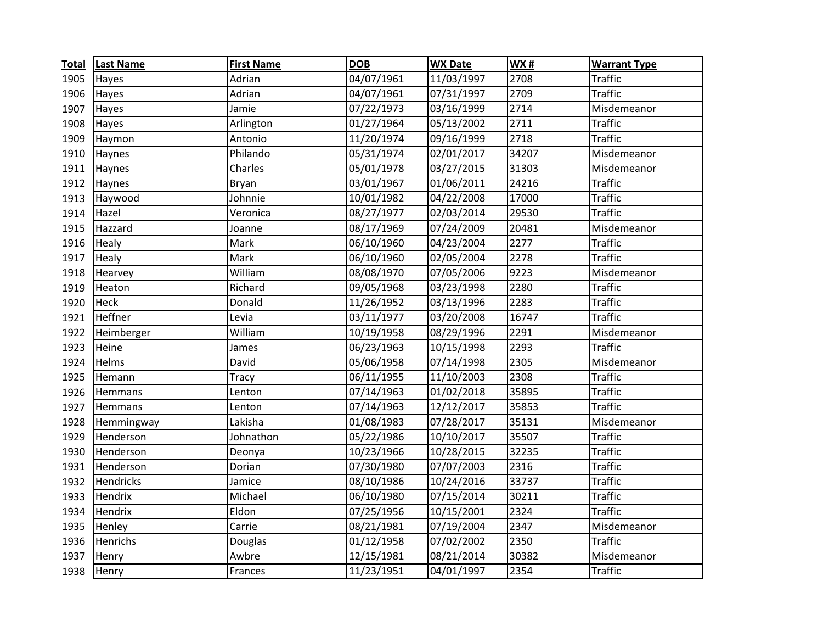| <b>Total</b> | <b>Last Name</b> | <b>First Name</b> | <b>DOB</b> | <b>WX Date</b> | WX#   | <b>Warrant Type</b> |
|--------------|------------------|-------------------|------------|----------------|-------|---------------------|
| 1905         | Hayes            | Adrian            | 04/07/1961 | 11/03/1997     | 2708  | <b>Traffic</b>      |
| 1906         | Hayes            | Adrian            | 04/07/1961 | 07/31/1997     | 2709  | <b>Traffic</b>      |
| 1907         | Hayes            | Jamie             | 07/22/1973 | 03/16/1999     | 2714  | Misdemeanor         |
| 1908         | Hayes            | Arlington         | 01/27/1964 | 05/13/2002     | 2711  | <b>Traffic</b>      |
| 1909         | Haymon           | Antonio           | 11/20/1974 | 09/16/1999     | 2718  | <b>Traffic</b>      |
| 1910         | Haynes           | Philando          | 05/31/1974 | 02/01/2017     | 34207 | Misdemeanor         |
| 1911         | Haynes           | Charles           | 05/01/1978 | 03/27/2015     | 31303 | Misdemeanor         |
| 1912         | Haynes           | Bryan             | 03/01/1967 | 01/06/2011     | 24216 | <b>Traffic</b>      |
| 1913         | Haywood          | Johnnie           | 10/01/1982 | 04/22/2008     | 17000 | <b>Traffic</b>      |
| 1914         | Hazel            | Veronica          | 08/27/1977 | 02/03/2014     | 29530 | <b>Traffic</b>      |
| 1915         | Hazzard          | Joanne            | 08/17/1969 | 07/24/2009     | 20481 | Misdemeanor         |
| 1916         | Healy            | Mark              | 06/10/1960 | 04/23/2004     | 2277  | <b>Traffic</b>      |
| 1917         | Healy            | Mark              | 06/10/1960 | 02/05/2004     | 2278  | <b>Traffic</b>      |
| 1918         | Hearvey          | William           | 08/08/1970 | 07/05/2006     | 9223  | Misdemeanor         |
| 1919         | Heaton           | Richard           | 09/05/1968 | 03/23/1998     | 2280  | <b>Traffic</b>      |
| 1920         | Heck             | Donald            | 11/26/1952 | 03/13/1996     | 2283  | <b>Traffic</b>      |
| 1921         | Heffner          | Levia             | 03/11/1977 | 03/20/2008     | 16747 | <b>Traffic</b>      |
| 1922         | Heimberger       | William           | 10/19/1958 | 08/29/1996     | 2291  | Misdemeanor         |
| 1923         | Heine            | James             | 06/23/1963 | 10/15/1998     | 2293  | <b>Traffic</b>      |
| 1924         | Helms            | David             | 05/06/1958 | 07/14/1998     | 2305  | Misdemeanor         |
| 1925         | Hemann           | Tracy             | 06/11/1955 | 11/10/2003     | 2308  | <b>Traffic</b>      |
| 1926         | Hemmans          | Lenton            | 07/14/1963 | 01/02/2018     | 35895 | <b>Traffic</b>      |
| 1927         | Hemmans          | Lenton            | 07/14/1963 | 12/12/2017     | 35853 | <b>Traffic</b>      |
| 1928         | Hemmingway       | Lakisha           | 01/08/1983 | 07/28/2017     | 35131 | Misdemeanor         |
| 1929         | Henderson        | Johnathon         | 05/22/1986 | 10/10/2017     | 35507 | <b>Traffic</b>      |
| 1930         | Henderson        | Deonya            | 10/23/1966 | 10/28/2015     | 32235 | <b>Traffic</b>      |
| 1931         | Henderson        | Dorian            | 07/30/1980 | 07/07/2003     | 2316  | <b>Traffic</b>      |
| 1932         | Hendricks        | Jamice            | 08/10/1986 | 10/24/2016     | 33737 | <b>Traffic</b>      |
| 1933         | Hendrix          | Michael           | 06/10/1980 | 07/15/2014     | 30211 | <b>Traffic</b>      |
| 1934         | Hendrix          | Eldon             | 07/25/1956 | 10/15/2001     | 2324  | <b>Traffic</b>      |
| 1935         | Henley           | Carrie            | 08/21/1981 | 07/19/2004     | 2347  | Misdemeanor         |
| 1936         | Henrichs         | Douglas           | 01/12/1958 | 07/02/2002     | 2350  | <b>Traffic</b>      |
| 1937         | Henry            | Awbre             | 12/15/1981 | 08/21/2014     | 30382 | Misdemeanor         |
| 1938         | Henry            | Frances           | 11/23/1951 | 04/01/1997     | 2354  | <b>Traffic</b>      |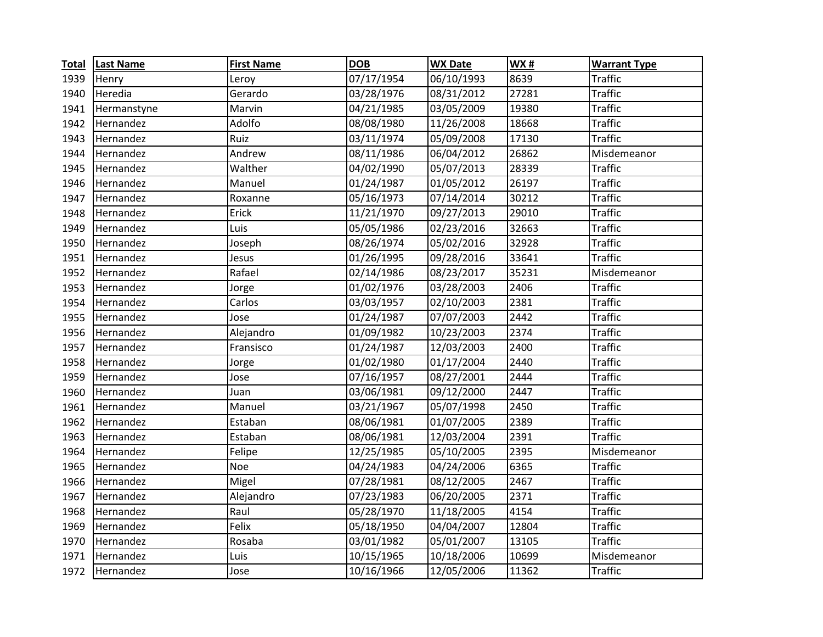| <b>Total</b> | <b>Last Name</b> | <b>First Name</b> | <b>DOB</b> | <b>WX Date</b> | WX#   | <b>Warrant Type</b> |
|--------------|------------------|-------------------|------------|----------------|-------|---------------------|
| 1939         | Henry            | Leroy             | 07/17/1954 | 06/10/1993     | 8639  | <b>Traffic</b>      |
| 1940         | Heredia          | Gerardo           | 03/28/1976 | 08/31/2012     | 27281 | <b>Traffic</b>      |
| 1941         | Hermanstyne      | Marvin            | 04/21/1985 | 03/05/2009     | 19380 | <b>Traffic</b>      |
| 1942         | Hernandez        | Adolfo            | 08/08/1980 | 11/26/2008     | 18668 | <b>Traffic</b>      |
| 1943         | Hernandez        | Ruiz              | 03/11/1974 | 05/09/2008     | 17130 | <b>Traffic</b>      |
| 1944         | Hernandez        | Andrew            | 08/11/1986 | 06/04/2012     | 26862 | Misdemeanor         |
| 1945         | Hernandez        | Walther           | 04/02/1990 | 05/07/2013     | 28339 | <b>Traffic</b>      |
| 1946         | Hernandez        | Manuel            | 01/24/1987 | 01/05/2012     | 26197 | <b>Traffic</b>      |
| 1947         | Hernandez        | Roxanne           | 05/16/1973 | 07/14/2014     | 30212 | <b>Traffic</b>      |
| 1948         | Hernandez        | Erick             | 11/21/1970 | 09/27/2013     | 29010 | <b>Traffic</b>      |
| 1949         | Hernandez        | Luis              | 05/05/1986 | 02/23/2016     | 32663 | <b>Traffic</b>      |
| 1950         | Hernandez        | Joseph            | 08/26/1974 | 05/02/2016     | 32928 | <b>Traffic</b>      |
| 1951         | Hernandez        | Jesus             | 01/26/1995 | 09/28/2016     | 33641 | <b>Traffic</b>      |
| 1952         | Hernandez        | Rafael            | 02/14/1986 | 08/23/2017     | 35231 | Misdemeanor         |
| 1953         | Hernandez        | Jorge             | 01/02/1976 | 03/28/2003     | 2406  | <b>Traffic</b>      |
| 1954         | Hernandez        | Carlos            | 03/03/1957 | 02/10/2003     | 2381  | <b>Traffic</b>      |
| 1955         | Hernandez        | Jose              | 01/24/1987 | 07/07/2003     | 2442  | <b>Traffic</b>      |
| 1956         | Hernandez        | Alejandro         | 01/09/1982 | 10/23/2003     | 2374  | <b>Traffic</b>      |
| 1957         | Hernandez        | Fransisco         | 01/24/1987 | 12/03/2003     | 2400  | <b>Traffic</b>      |
| 1958         | Hernandez        | Jorge             | 01/02/1980 | 01/17/2004     | 2440  | <b>Traffic</b>      |
| 1959         | Hernandez        | Jose              | 07/16/1957 | 08/27/2001     | 2444  | <b>Traffic</b>      |
| 1960         | Hernandez        | Juan              | 03/06/1981 | 09/12/2000     | 2447  | <b>Traffic</b>      |
| 1961         | Hernandez        | Manuel            | 03/21/1967 | 05/07/1998     | 2450  | <b>Traffic</b>      |
| 1962         | Hernandez        | Estaban           | 08/06/1981 | 01/07/2005     | 2389  | <b>Traffic</b>      |
| 1963         | Hernandez        | Estaban           | 08/06/1981 | 12/03/2004     | 2391  | <b>Traffic</b>      |
| 1964         | Hernandez        | Felipe            | 12/25/1985 | 05/10/2005     | 2395  | Misdemeanor         |
| 1965         | Hernandez        | Noe               | 04/24/1983 | 04/24/2006     | 6365  | <b>Traffic</b>      |
| 1966         | Hernandez        | Migel             | 07/28/1981 | 08/12/2005     | 2467  | <b>Traffic</b>      |
| 1967         | Hernandez        | Alejandro         | 07/23/1983 | 06/20/2005     | 2371  | <b>Traffic</b>      |
| 1968         | Hernandez        | Raul              | 05/28/1970 | 11/18/2005     | 4154  | <b>Traffic</b>      |
| 1969         | Hernandez        | Felix             | 05/18/1950 | 04/04/2007     | 12804 | <b>Traffic</b>      |
| 1970         | Hernandez        | Rosaba            | 03/01/1982 | 05/01/2007     | 13105 | <b>Traffic</b>      |
| 1971         | Hernandez        | Luis              | 10/15/1965 | 10/18/2006     | 10699 | Misdemeanor         |
| 1972         | Hernandez        | Jose              | 10/16/1966 | 12/05/2006     | 11362 | <b>Traffic</b>      |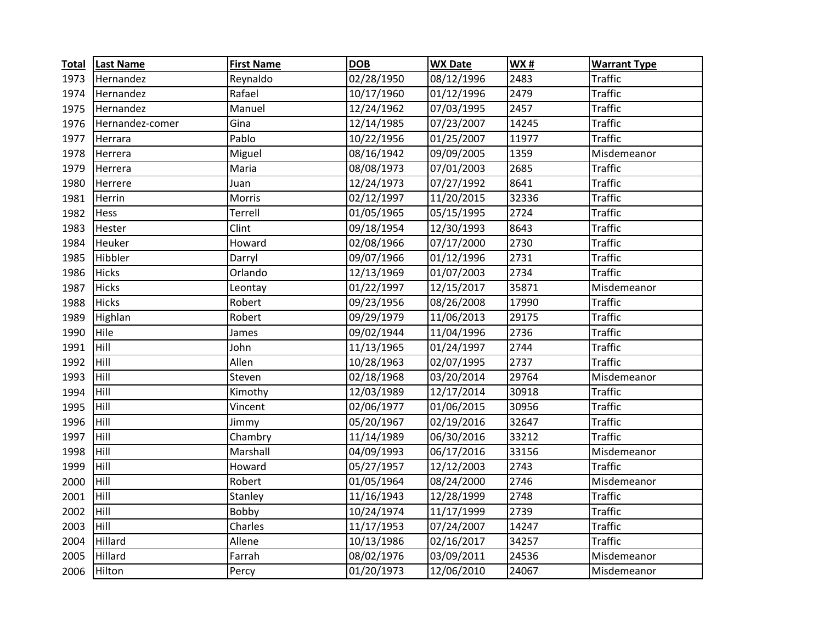| <b>Total</b> | <b>Last Name</b> | <b>First Name</b> | <b>DOB</b> | <b>WX Date</b> | <b>WX#</b> | <b>Warrant Type</b> |
|--------------|------------------|-------------------|------------|----------------|------------|---------------------|
| 1973         | Hernandez        | Reynaldo          | 02/28/1950 | 08/12/1996     | 2483       | <b>Traffic</b>      |
| 1974         | Hernandez        | Rafael            | 10/17/1960 | 01/12/1996     | 2479       | <b>Traffic</b>      |
| 1975         | Hernandez        | Manuel            | 12/24/1962 | 07/03/1995     | 2457       | <b>Traffic</b>      |
| 1976         | Hernandez-comer  | Gina              | 12/14/1985 | 07/23/2007     | 14245      | <b>Traffic</b>      |
| 1977         | Herrara          | Pablo             | 10/22/1956 | 01/25/2007     | 11977      | <b>Traffic</b>      |
| 1978         | Herrera          | Miguel            | 08/16/1942 | 09/09/2005     | 1359       | Misdemeanor         |
| 1979         | Herrera          | Maria             | 08/08/1973 | 07/01/2003     | 2685       | <b>Traffic</b>      |
| 1980         | Herrere          | Juan              | 12/24/1973 | 07/27/1992     | 8641       | <b>Traffic</b>      |
| 1981         | Herrin           | Morris            | 02/12/1997 | 11/20/2015     | 32336      | <b>Traffic</b>      |
| 1982         | Hess             | Terrell           | 01/05/1965 | 05/15/1995     | 2724       | <b>Traffic</b>      |
| 1983         | Hester           | Clint             | 09/18/1954 | 12/30/1993     | 8643       | <b>Traffic</b>      |
| 1984         | Heuker           | Howard            | 02/08/1966 | 07/17/2000     | 2730       | <b>Traffic</b>      |
| 1985         | Hibbler          | Darryl            | 09/07/1966 | 01/12/1996     | 2731       | <b>Traffic</b>      |
| 1986         | <b>Hicks</b>     | Orlando           | 12/13/1969 | 01/07/2003     | 2734       | <b>Traffic</b>      |
| 1987         | <b>Hicks</b>     | Leontay           | 01/22/1997 | 12/15/2017     | 35871      | Misdemeanor         |
| 1988         | Hicks            | Robert            | 09/23/1956 | 08/26/2008     | 17990      | <b>Traffic</b>      |
| 1989         | Highlan          | Robert            | 09/29/1979 | 11/06/2013     | 29175      | <b>Traffic</b>      |
| 1990         | Hile             | James             | 09/02/1944 | 11/04/1996     | 2736       | <b>Traffic</b>      |
| 1991         | Hill             | John              | 11/13/1965 | 01/24/1997     | 2744       | <b>Traffic</b>      |
| 1992         | Hill             | Allen             | 10/28/1963 | 02/07/1995     | 2737       | <b>Traffic</b>      |
| 1993         | Hill             | Steven            | 02/18/1968 | 03/20/2014     | 29764      | Misdemeanor         |
| 1994         | Hill             | Kimothy           | 12/03/1989 | 12/17/2014     | 30918      | <b>Traffic</b>      |
| 1995         | Hill             | Vincent           | 02/06/1977 | 01/06/2015     | 30956      | <b>Traffic</b>      |
| 1996         | Hill             | Jimmy             | 05/20/1967 | 02/19/2016     | 32647      | <b>Traffic</b>      |
| 1997         | Hill             | Chambry           | 11/14/1989 | 06/30/2016     | 33212      | <b>Traffic</b>      |
| 1998         | Hill             | Marshall          | 04/09/1993 | 06/17/2016     | 33156      | Misdemeanor         |
| 1999         | Hill             | Howard            | 05/27/1957 | 12/12/2003     | 2743       | <b>Traffic</b>      |
| 2000         | Hill             | Robert            | 01/05/1964 | 08/24/2000     | 2746       | Misdemeanor         |
| 2001         | Hill             | Stanley           | 11/16/1943 | 12/28/1999     | 2748       | <b>Traffic</b>      |
| 2002         | Hill             | Bobby             | 10/24/1974 | 11/17/1999     | 2739       | <b>Traffic</b>      |
| 2003         | Hill             | Charles           | 11/17/1953 | 07/24/2007     | 14247      | <b>Traffic</b>      |
| 2004         | Hillard          | Allene            | 10/13/1986 | 02/16/2017     | 34257      | <b>Traffic</b>      |
| 2005         | Hillard          | Farrah            | 08/02/1976 | 03/09/2011     | 24536      | Misdemeanor         |
| 2006         | Hilton           | Percy             | 01/20/1973 | 12/06/2010     | 24067      | Misdemeanor         |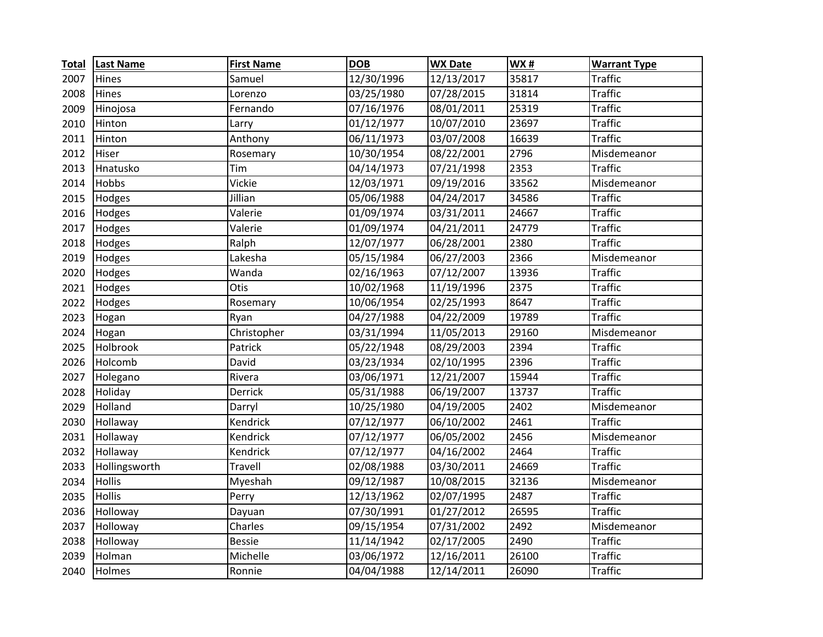| <b>Total</b> | <b>Last Name</b> | <b>First Name</b> | <b>DOB</b> | <b>WX Date</b> | WX#   | <b>Warrant Type</b> |
|--------------|------------------|-------------------|------------|----------------|-------|---------------------|
| 2007         | Hines            | Samuel            | 12/30/1996 | 12/13/2017     | 35817 | Traffic             |
| 2008         | Hines            | Lorenzo           | 03/25/1980 | 07/28/2015     | 31814 | <b>Traffic</b>      |
| 2009         | Hinojosa         | Fernando          | 07/16/1976 | 08/01/2011     | 25319 | <b>Traffic</b>      |
| 2010         | Hinton           | Larry             | 01/12/1977 | 10/07/2010     | 23697 | <b>Traffic</b>      |
| 2011         | Hinton           | Anthony           | 06/11/1973 | 03/07/2008     | 16639 | <b>Traffic</b>      |
| 2012         | Hiser            | Rosemary          | 10/30/1954 | 08/22/2001     | 2796  | Misdemeanor         |
| 2013         | Hnatusko         | Tim               | 04/14/1973 | 07/21/1998     | 2353  | <b>Traffic</b>      |
| 2014         | Hobbs            | Vickie            | 12/03/1971 | 09/19/2016     | 33562 | Misdemeanor         |
| 2015         | Hodges           | Jillian           | 05/06/1988 | 04/24/2017     | 34586 | <b>Traffic</b>      |
| 2016         | Hodges           | Valerie           | 01/09/1974 | 03/31/2011     | 24667 | <b>Traffic</b>      |
| 2017         | Hodges           | Valerie           | 01/09/1974 | 04/21/2011     | 24779 | <b>Traffic</b>      |
| 2018         | Hodges           | Ralph             | 12/07/1977 | 06/28/2001     | 2380  | <b>Traffic</b>      |
| 2019         | Hodges           | Lakesha           | 05/15/1984 | 06/27/2003     | 2366  | Misdemeanor         |
| 2020         | Hodges           | Wanda             | 02/16/1963 | 07/12/2007     | 13936 | <b>Traffic</b>      |
| 2021         | Hodges           | Otis              | 10/02/1968 | 11/19/1996     | 2375  | <b>Traffic</b>      |
| 2022         | Hodges           | Rosemary          | 10/06/1954 | 02/25/1993     | 8647  | <b>Traffic</b>      |
| 2023         | Hogan            | Ryan              | 04/27/1988 | 04/22/2009     | 19789 | <b>Traffic</b>      |
| 2024         | Hogan            | Christopher       | 03/31/1994 | 11/05/2013     | 29160 | Misdemeanor         |
| 2025         | Holbrook         | Patrick           | 05/22/1948 | 08/29/2003     | 2394  | <b>Traffic</b>      |
| 2026         | Holcomb          | David             | 03/23/1934 | 02/10/1995     | 2396  | <b>Traffic</b>      |
| 2027         | Holegano         | Rivera            | 03/06/1971 | 12/21/2007     | 15944 | <b>Traffic</b>      |
| 2028         | Holiday          | Derrick           | 05/31/1988 | 06/19/2007     | 13737 | <b>Traffic</b>      |
| 2029         | Holland          | Darryl            | 10/25/1980 | 04/19/2005     | 2402  | Misdemeanor         |
| 2030         | Hollaway         | Kendrick          | 07/12/1977 | 06/10/2002     | 2461  | <b>Traffic</b>      |
| 2031         | Hollaway         | Kendrick          | 07/12/1977 | 06/05/2002     | 2456  | Misdemeanor         |
| 2032         | Hollaway         | Kendrick          | 07/12/1977 | 04/16/2002     | 2464  | <b>Traffic</b>      |
| 2033         | Hollingsworth    | Travell           | 02/08/1988 | 03/30/2011     | 24669 | <b>Traffic</b>      |
| 2034         | <b>Hollis</b>    | Myeshah           | 09/12/1987 | 10/08/2015     | 32136 | Misdemeanor         |
| 2035         | Hollis           | Perry             | 12/13/1962 | 02/07/1995     | 2487  | <b>Traffic</b>      |
| 2036         | Holloway         | Dayuan            | 07/30/1991 | 01/27/2012     | 26595 | <b>Traffic</b>      |
| 2037         | Holloway         | Charles           | 09/15/1954 | 07/31/2002     | 2492  | Misdemeanor         |
| 2038         | Holloway         | <b>Bessie</b>     | 11/14/1942 | 02/17/2005     | 2490  | <b>Traffic</b>      |
| 2039         | Holman           | Michelle          | 03/06/1972 | 12/16/2011     | 26100 | <b>Traffic</b>      |
| 2040         | Holmes           | Ronnie            | 04/04/1988 | 12/14/2011     | 26090 | <b>Traffic</b>      |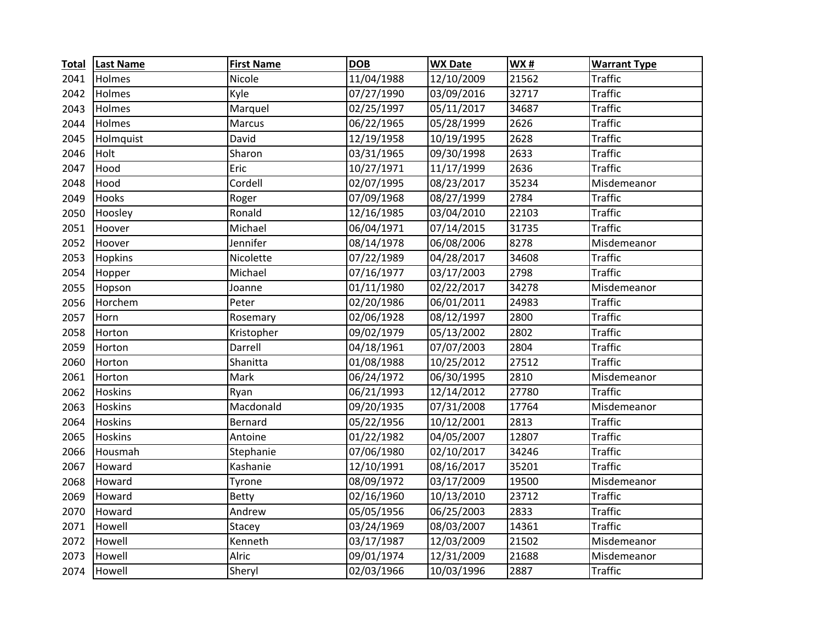| <b>Total</b> | <b>Last Name</b> | <b>First Name</b> | <b>DOB</b> | <b>WX Date</b> | WX#   | <b>Warrant Type</b> |
|--------------|------------------|-------------------|------------|----------------|-------|---------------------|
| 2041         | Holmes           | Nicole            | 11/04/1988 | 12/10/2009     | 21562 | <b>Traffic</b>      |
| 2042         | Holmes           | Kyle              | 07/27/1990 | 03/09/2016     | 32717 | <b>Traffic</b>      |
| 2043         | Holmes           | Marquel           | 02/25/1997 | 05/11/2017     | 34687 | <b>Traffic</b>      |
| 2044         | Holmes           | Marcus            | 06/22/1965 | 05/28/1999     | 2626  | <b>Traffic</b>      |
| 2045         | Holmquist        | David             | 12/19/1958 | 10/19/1995     | 2628  | <b>Traffic</b>      |
| 2046         | Holt             | Sharon            | 03/31/1965 | 09/30/1998     | 2633  | <b>Traffic</b>      |
| 2047         | Hood             | Eric              | 10/27/1971 | 11/17/1999     | 2636  | <b>Traffic</b>      |
| 2048         | Hood             | Cordell           | 02/07/1995 | 08/23/2017     | 35234 | Misdemeanor         |
| 2049         | Hooks            | Roger             | 07/09/1968 | 08/27/1999     | 2784  | <b>Traffic</b>      |
| 2050         | Hoosley          | Ronald            | 12/16/1985 | 03/04/2010     | 22103 | <b>Traffic</b>      |
| 2051         | Hoover           | Michael           | 06/04/1971 | 07/14/2015     | 31735 | <b>Traffic</b>      |
| 2052         | Hoover           | Jennifer          | 08/14/1978 | 06/08/2006     | 8278  | Misdemeanor         |
| 2053         | Hopkins          | Nicolette         | 07/22/1989 | 04/28/2017     | 34608 | <b>Traffic</b>      |
| 2054         | Hopper           | Michael           | 07/16/1977 | 03/17/2003     | 2798  | <b>Traffic</b>      |
| 2055         | Hopson           | Joanne            | 01/11/1980 | 02/22/2017     | 34278 | Misdemeanor         |
| 2056         | Horchem          | Peter             | 02/20/1986 | 06/01/2011     | 24983 | <b>Traffic</b>      |
| 2057         | Horn             | Rosemary          | 02/06/1928 | 08/12/1997     | 2800  | <b>Traffic</b>      |
| 2058         | Horton           | Kristopher        | 09/02/1979 | 05/13/2002     | 2802  | <b>Traffic</b>      |
| 2059         | Horton           | Darrell           | 04/18/1961 | 07/07/2003     | 2804  | <b>Traffic</b>      |
| 2060         | Horton           | Shanitta          | 01/08/1988 | 10/25/2012     | 27512 | <b>Traffic</b>      |
| 2061         | Horton           | Mark              | 06/24/1972 | 06/30/1995     | 2810  | Misdemeanor         |
| 2062         | <b>Hoskins</b>   | Ryan              | 06/21/1993 | 12/14/2012     | 27780 | <b>Traffic</b>      |
| 2063         | <b>Hoskins</b>   | Macdonald         | 09/20/1935 | 07/31/2008     | 17764 | Misdemeanor         |
| 2064         | Hoskins          | Bernard           | 05/22/1956 | 10/12/2001     | 2813  | <b>Traffic</b>      |
| 2065         | Hoskins          | Antoine           | 01/22/1982 | 04/05/2007     | 12807 | <b>Traffic</b>      |
| 2066         | Housmah          | Stephanie         | 07/06/1980 | 02/10/2017     | 34246 | <b>Traffic</b>      |
| 2067         | Howard           | Kashanie          | 12/10/1991 | 08/16/2017     | 35201 | <b>Traffic</b>      |
| 2068         | Howard           | Tyrone            | 08/09/1972 | 03/17/2009     | 19500 | Misdemeanor         |
| 2069         | Howard           | <b>Betty</b>      | 02/16/1960 | 10/13/2010     | 23712 | <b>Traffic</b>      |
| 2070         | Howard           | Andrew            | 05/05/1956 | 06/25/2003     | 2833  | <b>Traffic</b>      |
| 2071         | Howell           | Stacey            | 03/24/1969 | 08/03/2007     | 14361 | <b>Traffic</b>      |
| 2072         | Howell           | Kenneth           | 03/17/1987 | 12/03/2009     | 21502 | Misdemeanor         |
| 2073         | Howell           | Alric             | 09/01/1974 | 12/31/2009     | 21688 | Misdemeanor         |
| 2074         | Howell           | Sheryl            | 02/03/1966 | 10/03/1996     | 2887  | <b>Traffic</b>      |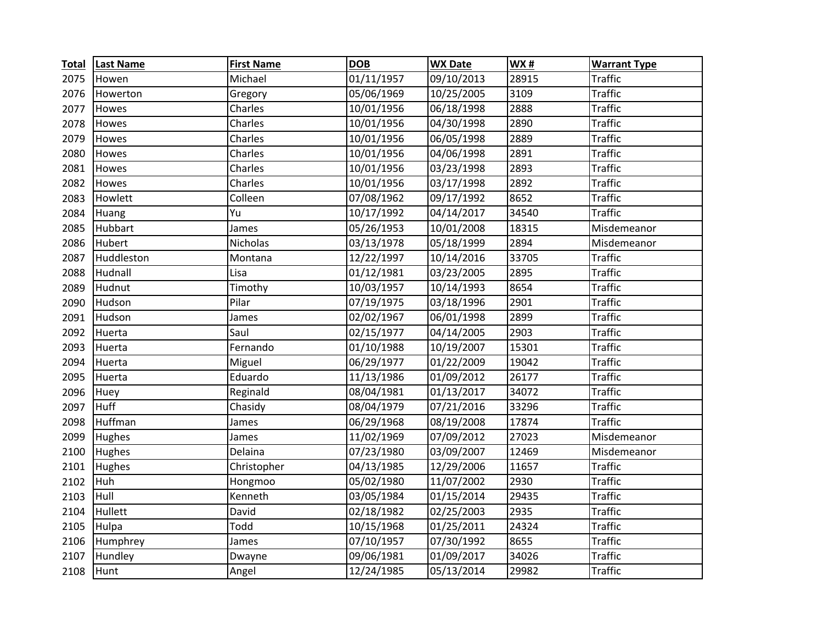| <b>Total</b> | <b>Last Name</b> | <b>First Name</b> | <b>DOB</b> | <b>WX Date</b> | WX#   | <b>Warrant Type</b> |
|--------------|------------------|-------------------|------------|----------------|-------|---------------------|
| 2075         | Howen            | Michael           | 01/11/1957 | 09/10/2013     | 28915 | <b>Traffic</b>      |
| 2076         | Howerton         | Gregory           | 05/06/1969 | 10/25/2005     | 3109  | <b>Traffic</b>      |
| 2077         | Howes            | Charles           | 10/01/1956 | 06/18/1998     | 2888  | <b>Traffic</b>      |
| 2078         | Howes            | Charles           | 10/01/1956 | 04/30/1998     | 2890  | <b>Traffic</b>      |
| 2079         | Howes            | Charles           | 10/01/1956 | 06/05/1998     | 2889  | <b>Traffic</b>      |
| 2080         | Howes            | Charles           | 10/01/1956 | 04/06/1998     | 2891  | <b>Traffic</b>      |
| 2081         | Howes            | Charles           | 10/01/1956 | 03/23/1998     | 2893  | <b>Traffic</b>      |
| 2082         | Howes            | Charles           | 10/01/1956 | 03/17/1998     | 2892  | <b>Traffic</b>      |
| 2083         | Howlett          | Colleen           | 07/08/1962 | 09/17/1992     | 8652  | <b>Traffic</b>      |
| 2084         | Huang            | Yu                | 10/17/1992 | 04/14/2017     | 34540 | <b>Traffic</b>      |
| 2085         | Hubbart          | James             | 05/26/1953 | 10/01/2008     | 18315 | Misdemeanor         |
| 2086         | Hubert           | Nicholas          | 03/13/1978 | 05/18/1999     | 2894  | Misdemeanor         |
| 2087         | Huddleston       | Montana           | 12/22/1997 | 10/14/2016     | 33705 | <b>Traffic</b>      |
| 2088         | Hudnall          | Lisa              | 01/12/1981 | 03/23/2005     | 2895  | <b>Traffic</b>      |
| 2089         | Hudnut           | Timothy           | 10/03/1957 | 10/14/1993     | 8654  | <b>Traffic</b>      |
| 2090         | Hudson           | Pilar             | 07/19/1975 | 03/18/1996     | 2901  | <b>Traffic</b>      |
| 2091         | Hudson           | James             | 02/02/1967 | 06/01/1998     | 2899  | <b>Traffic</b>      |
| 2092         | Huerta           | Saul              | 02/15/1977 | 04/14/2005     | 2903  | <b>Traffic</b>      |
| 2093         | Huerta           | Fernando          | 01/10/1988 | 10/19/2007     | 15301 | <b>Traffic</b>      |
| 2094         | Huerta           | Miguel            | 06/29/1977 | 01/22/2009     | 19042 | <b>Traffic</b>      |
| 2095         | Huerta           | Eduardo           | 11/13/1986 | 01/09/2012     | 26177 | <b>Traffic</b>      |
| 2096         | Huey             | Reginald          | 08/04/1981 | 01/13/2017     | 34072 | <b>Traffic</b>      |
| 2097         | Huff             | Chasidy           | 08/04/1979 | 07/21/2016     | 33296 | <b>Traffic</b>      |
| 2098         | Huffman          | James             | 06/29/1968 | 08/19/2008     | 17874 | <b>Traffic</b>      |
| 2099         | Hughes           | James             | 11/02/1969 | 07/09/2012     | 27023 | Misdemeanor         |
| 2100         | Hughes           | Delaina           | 07/23/1980 | 03/09/2007     | 12469 | Misdemeanor         |
| 2101         | Hughes           | Christopher       | 04/13/1985 | 12/29/2006     | 11657 | <b>Traffic</b>      |
| 2102         | Huh              | Hongmoo           | 05/02/1980 | 11/07/2002     | 2930  | <b>Traffic</b>      |
| 2103         | Hull             | Kenneth           | 03/05/1984 | 01/15/2014     | 29435 | <b>Traffic</b>      |
| 2104         | Hullett          | David             | 02/18/1982 | 02/25/2003     | 2935  | <b>Traffic</b>      |
| 2105         | Hulpa            | Todd              | 10/15/1968 | 01/25/2011     | 24324 | <b>Traffic</b>      |
| 2106         | Humphrey         | James             | 07/10/1957 | 07/30/1992     | 8655  | <b>Traffic</b>      |
| 2107         | Hundley          | Dwayne            | 09/06/1981 | 01/09/2017     | 34026 | <b>Traffic</b>      |
| 2108         | Hunt             | Angel             | 12/24/1985 | 05/13/2014     | 29982 | <b>Traffic</b>      |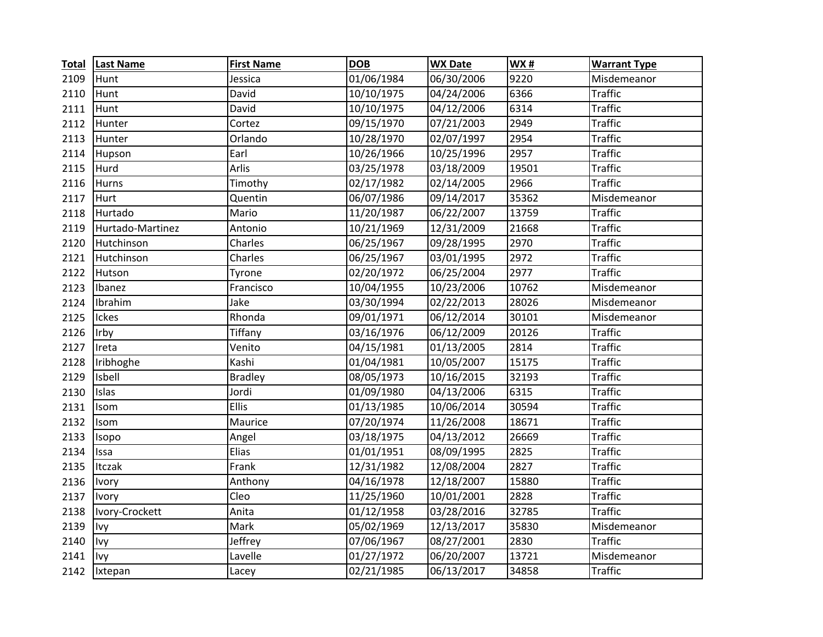| <b>Total</b> | <b>Last Name</b> | <b>First Name</b> | <b>DOB</b> | <b>WX Date</b> | <b>WX#</b>       | <b>Warrant Type</b> |
|--------------|------------------|-------------------|------------|----------------|------------------|---------------------|
| 2109         | Hunt             | Jessica           | 01/06/1984 | 06/30/2006     | 9220             | Misdemeanor         |
| 2110         | Hunt             | David             | 10/10/1975 | 04/24/2006     | 6366             | <b>Traffic</b>      |
| 2111         | Hunt             | David             | 10/10/1975 | 04/12/2006     | $\frac{1}{6314}$ | <b>Traffic</b>      |
| 2112         | Hunter           | Cortez            | 09/15/1970 | 07/21/2003     | 2949             | <b>Traffic</b>      |
| 2113         | Hunter           | Orlando           | 10/28/1970 | 02/07/1997     | 2954             | <b>Traffic</b>      |
| 2114         | Hupson           | Earl              | 10/26/1966 | 10/25/1996     | 2957             | <b>Traffic</b>      |
| 2115         | Hurd             | <b>Arlis</b>      | 03/25/1978 | 03/18/2009     | 19501            | <b>Traffic</b>      |
| 2116         | Hurns            | Timothy           | 02/17/1982 | 02/14/2005     | 2966             | <b>Traffic</b>      |
| 2117         | Hurt             | Quentin           | 06/07/1986 | 09/14/2017     | 35362            | Misdemeanor         |
| 2118         | Hurtado          | Mario             | 11/20/1987 | 06/22/2007     | 13759            | <b>Traffic</b>      |
| 2119         | Hurtado-Martinez | Antonio           | 10/21/1969 | 12/31/2009     | 21668            | <b>Traffic</b>      |
| 2120         | Hutchinson       | Charles           | 06/25/1967 | 09/28/1995     | 2970             | <b>Traffic</b>      |
| 2121         | Hutchinson       | Charles           | 06/25/1967 | 03/01/1995     | 2972             | <b>Traffic</b>      |
| 2122         | Hutson           | Tyrone            | 02/20/1972 | 06/25/2004     | 2977             | <b>Traffic</b>      |
| 2123         | Ibanez           | Francisco         | 10/04/1955 | 10/23/2006     | 10762            | Misdemeanor         |
| 2124         | Ibrahim          | Jake              | 03/30/1994 | 02/22/2013     | 28026            | Misdemeanor         |
| 2125         | Ickes            | Rhonda            | 09/01/1971 | 06/12/2014     | 30101            | Misdemeanor         |
| 2126         | Irby             | Tiffany           | 03/16/1976 | 06/12/2009     | 20126            | <b>Traffic</b>      |
| 2127         | Ireta            | Venito            | 04/15/1981 | 01/13/2005     | 2814             | <b>Traffic</b>      |
| 2128         | Iribhoghe        | Kashi             | 01/04/1981 | 10/05/2007     | 15175            | <b>Traffic</b>      |
| 2129         | Isbell           | <b>Bradley</b>    | 08/05/1973 | 10/16/2015     | 32193            | <b>Traffic</b>      |
| 2130         | Islas            | Jordi             | 01/09/1980 | 04/13/2006     | 6315             | <b>Traffic</b>      |
| 2131         | Isom             | Ellis             | 01/13/1985 | 10/06/2014     | 30594            | <b>Traffic</b>      |
| 2132         | Isom             | Maurice           | 07/20/1974 | 11/26/2008     | 18671            | <b>Traffic</b>      |
| 2133         | Isopo            | Angel             | 03/18/1975 | 04/13/2012     | 26669            | <b>Traffic</b>      |
| 2134         | Issa             | Elias             | 01/01/1951 | 08/09/1995     | 2825             | <b>Traffic</b>      |
| 2135         | Itczak           | Frank             | 12/31/1982 | 12/08/2004     | 2827             | <b>Traffic</b>      |
| 2136         | Ivory            | Anthony           | 04/16/1978 | 12/18/2007     | 15880            | <b>Traffic</b>      |
| 2137         | <b>Ivory</b>     | Cleo              | 11/25/1960 | 10/01/2001     | 2828             | <b>Traffic</b>      |
| 2138         | Ivory-Crockett   | Anita             | 01/12/1958 | 03/28/2016     | 32785            | <b>Traffic</b>      |
| 2139         | Ivy              | Mark              | 05/02/1969 | 12/13/2017     | 35830            | Misdemeanor         |
| 2140         | Ivy              | Jeffrey           | 07/06/1967 | 08/27/2001     | 2830             | <b>Traffic</b>      |
| 2141         | Ivy              | Lavelle           | 01/27/1972 | 06/20/2007     | 13721            | Misdemeanor         |
| 2142         | Ixtepan          | Lacey             | 02/21/1985 | 06/13/2017     | 34858            | <b>Traffic</b>      |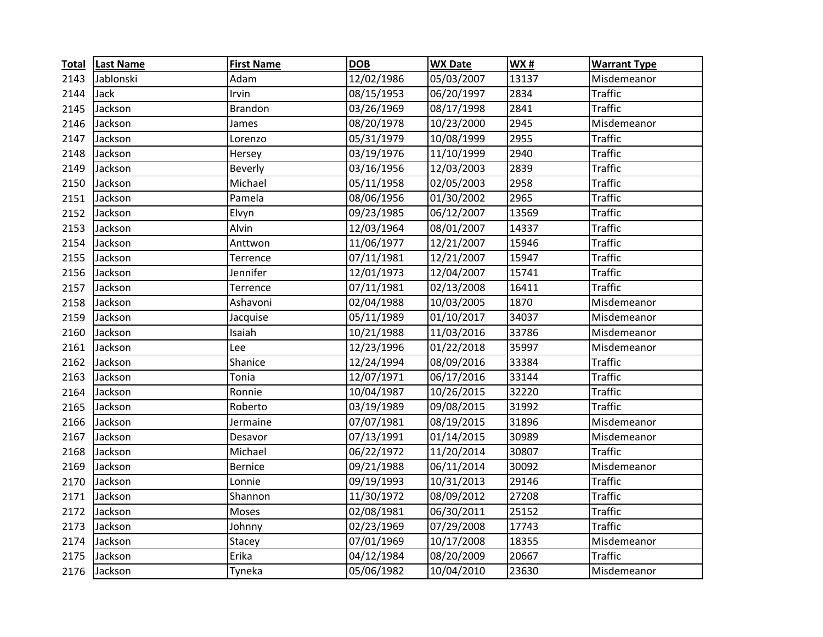| <b>Total</b> | <b>Last Name</b> | <b>First Name</b> | <b>DOB</b> | <b>WX Date</b> | <b>WX#</b> | <b>Warrant Type</b> |
|--------------|------------------|-------------------|------------|----------------|------------|---------------------|
| 2143         | Jablonski        | Adam              | 12/02/1986 | 05/03/2007     | 13137      | Misdemeanor         |
| 2144         | Jack             | Irvin             | 08/15/1953 | 06/20/1997     | 2834       | <b>Traffic</b>      |
| 2145         | Jackson          | <b>Brandon</b>    | 03/26/1969 | 08/17/1998     | 2841       | <b>Traffic</b>      |
| 2146         | Jackson          | James             | 08/20/1978 | 10/23/2000     | 2945       | Misdemeanor         |
| 2147         | Jackson          | Lorenzo           | 05/31/1979 | 10/08/1999     | 2955       | <b>Traffic</b>      |
| 2148         | Jackson          | Hersey            | 03/19/1976 | 11/10/1999     | 2940       | <b>Traffic</b>      |
| 2149         | Jackson          | <b>Beverly</b>    | 03/16/1956 | 12/03/2003     | 2839       | <b>Traffic</b>      |
| 2150         | Jackson          | Michael           | 05/11/1958 | 02/05/2003     | 2958       | <b>Traffic</b>      |
| 2151         | Jackson          | Pamela            | 08/06/1956 | 01/30/2002     | 2965       | <b>Traffic</b>      |
| 2152         | Jackson          | Elvyn             | 09/23/1985 | 06/12/2007     | 13569      | <b>Traffic</b>      |
| 2153         | Jackson          | Alvin             | 12/03/1964 | 08/01/2007     | 14337      | <b>Traffic</b>      |
| 2154         | Jackson          | Anttwon           | 11/06/1977 | 12/21/2007     | 15946      | <b>Traffic</b>      |
| 2155         | Jackson          | Terrence          | 07/11/1981 | 12/21/2007     | 15947      | <b>Traffic</b>      |
| 2156         | Jackson          | Jennifer          | 12/01/1973 | 12/04/2007     | 15741      | <b>Traffic</b>      |
| 2157         | Jackson          | Terrence          | 07/11/1981 | 02/13/2008     | 16411      | <b>Traffic</b>      |
| 2158         | Jackson          | Ashavoni          | 02/04/1988 | 10/03/2005     | 1870       | Misdemeanor         |
| 2159         | Jackson          | Jacquise          | 05/11/1989 | 01/10/2017     | 34037      | Misdemeanor         |
| 2160         | Jackson          | Isaiah            | 10/21/1988 | 11/03/2016     | 33786      | Misdemeanor         |
| 2161         | Jackson          | Lee               | 12/23/1996 | 01/22/2018     | 35997      | Misdemeanor         |
| 2162         | Jackson          | Shanice           | 12/24/1994 | 08/09/2016     | 33384      | <b>Traffic</b>      |
| 2163         | Jackson          | Tonia             | 12/07/1971 | 06/17/2016     | 33144      | <b>Traffic</b>      |
| 2164         | Jackson          | Ronnie            | 10/04/1987 | 10/26/2015     | 32220      | <b>Traffic</b>      |
| 2165         | Jackson          | Roberto           | 03/19/1989 | 09/08/2015     | 31992      | <b>Traffic</b>      |
| 2166         | Jackson          | Jermaine          | 07/07/1981 | 08/19/2015     | 31896      | Misdemeanor         |
| 2167         | Jackson          | Desavor           | 07/13/1991 | 01/14/2015     | 30989      | Misdemeanor         |
| 2168         | Jackson          | Michael           | 06/22/1972 | 11/20/2014     | 30807      | <b>Traffic</b>      |
| 2169         | Jackson          | <b>Bernice</b>    | 09/21/1988 | 06/11/2014     | 30092      | Misdemeanor         |
| 2170         | Jackson          | Lonnie            | 09/19/1993 | 10/31/2013     | 29146      | <b>Traffic</b>      |
| 2171         | Jackson          | Shannon           | 11/30/1972 | 08/09/2012     | 27208      | <b>Traffic</b>      |
| 2172         | Jackson          | Moses             | 02/08/1981 | 06/30/2011     | 25152      | <b>Traffic</b>      |
| 2173         | Jackson          | Johnny            | 02/23/1969 | 07/29/2008     | 17743      | <b>Traffic</b>      |
| 2174         | Jackson          | Stacey            | 07/01/1969 | 10/17/2008     | 18355      | Misdemeanor         |
| 2175         | Jackson          | Erika             | 04/12/1984 | 08/20/2009     | 20667      | <b>Traffic</b>      |
| 2176         | Jackson          | Tyneka            | 05/06/1982 | 10/04/2010     | 23630      | Misdemeanor         |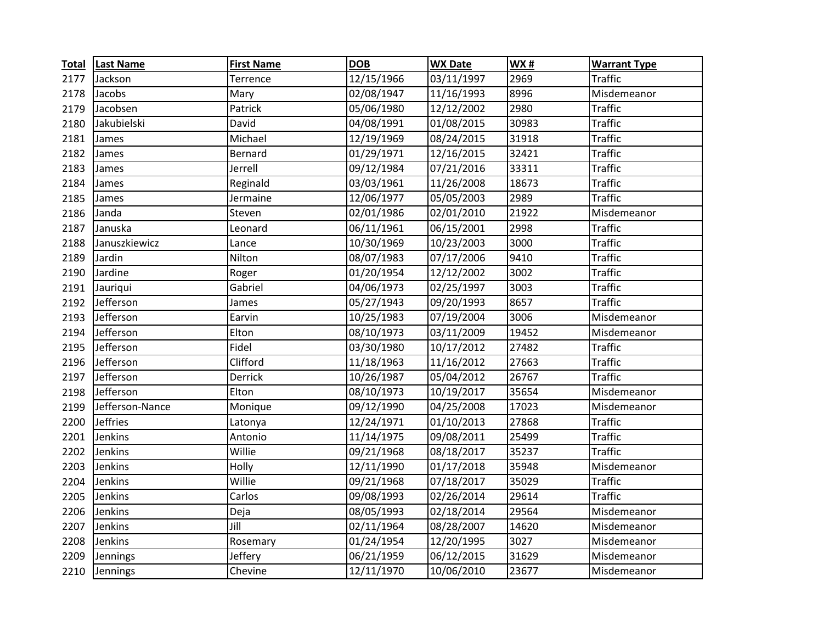| <b>Total</b> | <b>Last Name</b> | <b>First Name</b> | <b>DOB</b> | <b>WX Date</b> | WX#               | <b>Warrant Type</b> |
|--------------|------------------|-------------------|------------|----------------|-------------------|---------------------|
| 2177         | Jackson          | Terrence          | 12/15/1966 | 03/11/1997     | 2969              | <b>Traffic</b>      |
| 2178         | Jacobs           | Mary              | 02/08/1947 | 11/16/1993     | 8996              | Misdemeanor         |
| 2179         | Jacobsen         | Patrick           | 05/06/1980 | 12/12/2002     | 2980              | <b>Traffic</b>      |
| 2180         | Jakubielski      | David             | 04/08/1991 | 01/08/2015     | 30983             | <b>Traffic</b>      |
| 2181         | James            | Michael           | 12/19/1969 | 08/24/2015     | 31918             | <b>Traffic</b>      |
| 2182         | James            | Bernard           | 01/29/1971 | 12/16/2015     | 32421             | <b>Traffic</b>      |
| 2183         | James            | Jerrell           | 09/12/1984 | 07/21/2016     | 33311             | <b>Traffic</b>      |
| 2184         | James            | Reginald          | 03/03/1961 | 11/26/2008     | 18673             | <b>Traffic</b>      |
| 2185         | James            | Jermaine          | 12/06/1977 | 05/05/2003     | 2989              | <b>Traffic</b>      |
| 2186         | Janda            | Steven            | 02/01/1986 | 02/01/2010     | 21922             | Misdemeanor         |
| 2187         | Januska          | Leonard           | 06/11/1961 | 06/15/2001     | 2998              | <b>Traffic</b>      |
| 2188         | Januszkiewicz    | Lance             | 10/30/1969 | 10/23/2003     | 3000              | <b>Traffic</b>      |
| 2189         | Jardin           | Nilton            | 08/07/1983 | 07/17/2006     | 9410              | <b>Traffic</b>      |
| 2190         | Jardine          | Roger             | 01/20/1954 | 12/12/2002     | $\overline{3002}$ | <b>Traffic</b>      |
| 2191         | Jauriqui         | Gabriel           | 04/06/1973 | 02/25/1997     | 3003              | <b>Traffic</b>      |
| 2192         | Jefferson        | James             | 05/27/1943 | 09/20/1993     | 8657              | <b>Traffic</b>      |
| 2193         | Jefferson        | Earvin            | 10/25/1983 | 07/19/2004     | 3006              | Misdemeanor         |
| 2194         | Jefferson        | Elton             | 08/10/1973 | 03/11/2009     | 19452             | Misdemeanor         |
| 2195         | Jefferson        | Fidel             | 03/30/1980 | 10/17/2012     | 27482             | <b>Traffic</b>      |
| 2196         | Jefferson        | Clifford          | 11/18/1963 | 11/16/2012     | 27663             | <b>Traffic</b>      |
| 2197         | Jefferson        | Derrick           | 10/26/1987 | 05/04/2012     | 26767             | <b>Traffic</b>      |
| 2198         | Jefferson        | Elton             | 08/10/1973 | 10/19/2017     | 35654             | Misdemeanor         |
| 2199         | Jefferson-Nance  | Monique           | 09/12/1990 | 04/25/2008     | 17023             | Misdemeanor         |
| 2200         | <b>Jeffries</b>  | Latonya           | 12/24/1971 | 01/10/2013     | 27868             | <b>Traffic</b>      |
| 2201         | Jenkins          | Antonio           | 11/14/1975 | 09/08/2011     | 25499             | <b>Traffic</b>      |
| 2202         | Jenkins          | Willie            | 09/21/1968 | 08/18/2017     | 35237             | <b>Traffic</b>      |
| 2203         | Jenkins          | Holly             | 12/11/1990 | 01/17/2018     | 35948             | Misdemeanor         |
| 2204         | Jenkins          | Willie            | 09/21/1968 | 07/18/2017     | 35029             | <b>Traffic</b>      |
| 2205         | Jenkins          | Carlos            | 09/08/1993 | 02/26/2014     | 29614             | <b>Traffic</b>      |
| 2206         | Jenkins          | Deja              | 08/05/1993 | 02/18/2014     | 29564             | Misdemeanor         |
| 2207         | Jenkins          | Jill              | 02/11/1964 | 08/28/2007     | 14620             | Misdemeanor         |
| 2208         | Jenkins          | Rosemary          | 01/24/1954 | 12/20/1995     | 3027              | Misdemeanor         |
| 2209         | Jennings         | Jeffery           | 06/21/1959 | 06/12/2015     | 31629             | Misdemeanor         |
| 2210         | Jennings         | Chevine           | 12/11/1970 | 10/06/2010     | 23677             | Misdemeanor         |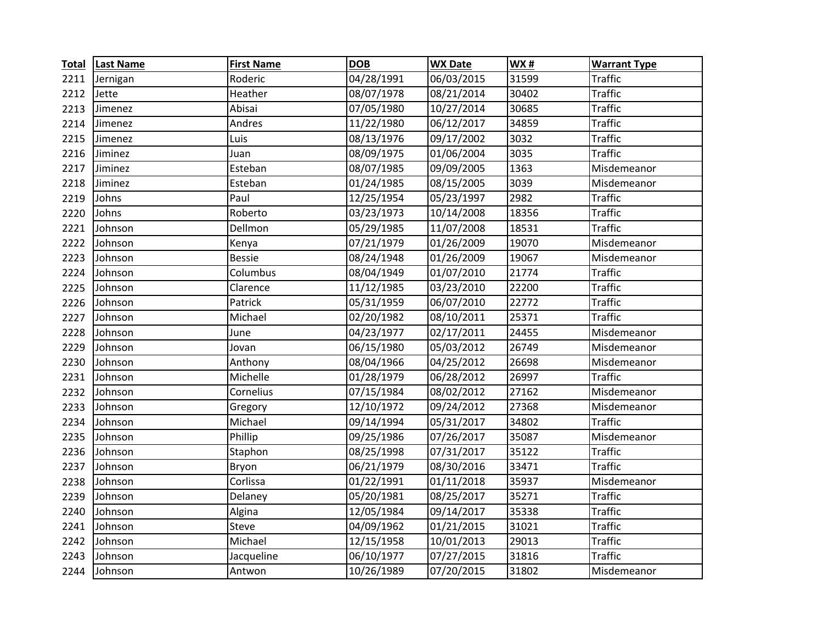| <b>Total</b> | <b>Last Name</b> | <b>First Name</b> | <b>DOB</b> | <b>WX Date</b> | <b>WX#</b> | <b>Warrant Type</b> |
|--------------|------------------|-------------------|------------|----------------|------------|---------------------|
| 2211         | Jernigan         | Roderic           | 04/28/1991 | 06/03/2015     | 31599      | <b>Traffic</b>      |
| 2212         | Jette            | Heather           | 08/07/1978 | 08/21/2014     | 30402      | <b>Traffic</b>      |
| 2213         | Jimenez          | Abisai            | 07/05/1980 | 10/27/2014     | 30685      | <b>Traffic</b>      |
| 2214         | Jimenez          | Andres            | 11/22/1980 | 06/12/2017     | 34859      | <b>Traffic</b>      |
| 2215         | Jimenez          | Luis              | 08/13/1976 | 09/17/2002     | 3032       | <b>Traffic</b>      |
| 2216         | Jiminez          | Juan              | 08/09/1975 | 01/06/2004     | 3035       | <b>Traffic</b>      |
| 2217         | Jiminez          | Esteban           | 08/07/1985 | 09/09/2005     | 1363       | Misdemeanor         |
| 2218         | Jiminez          | Esteban           | 01/24/1985 | 08/15/2005     | 3039       | Misdemeanor         |
| 2219         | Johns            | Paul              | 12/25/1954 | 05/23/1997     | 2982       | <b>Traffic</b>      |
| 2220         | Johns            | Roberto           | 03/23/1973 | 10/14/2008     | 18356      | <b>Traffic</b>      |
| 2221         | Johnson          | Dellmon           | 05/29/1985 | 11/07/2008     | 18531      | <b>Traffic</b>      |
| 2222         | Johnson          | Kenya             | 07/21/1979 | 01/26/2009     | 19070      | Misdemeanor         |
| 2223         | Johnson          | <b>Bessie</b>     | 08/24/1948 | 01/26/2009     | 19067      | Misdemeanor         |
| 2224         | Johnson          | Columbus          | 08/04/1949 | 01/07/2010     | 21774      | <b>Traffic</b>      |
| 2225         | Johnson          | Clarence          | 11/12/1985 | 03/23/2010     | 22200      | <b>Traffic</b>      |
| 2226         | Johnson          | Patrick           | 05/31/1959 | 06/07/2010     | 22772      | <b>Traffic</b>      |
| 2227         | Johnson          | Michael           | 02/20/1982 | 08/10/2011     | 25371      | <b>Traffic</b>      |
| 2228         | Johnson          | June              | 04/23/1977 | 02/17/2011     | 24455      | Misdemeanor         |
| 2229         | Johnson          | Jovan             | 06/15/1980 | 05/03/2012     | 26749      | Misdemeanor         |
| 2230         | Johnson          | Anthony           | 08/04/1966 | 04/25/2012     | 26698      | Misdemeanor         |
| 2231         | Johnson          | Michelle          | 01/28/1979 | 06/28/2012     | 26997      | <b>Traffic</b>      |
| 2232         | Johnson          | Cornelius         | 07/15/1984 | 08/02/2012     | 27162      | Misdemeanor         |
| 2233         | Johnson          | Gregory           | 12/10/1972 | 09/24/2012     | 27368      | Misdemeanor         |
| 2234         | Johnson          | Michael           | 09/14/1994 | 05/31/2017     | 34802      | <b>Traffic</b>      |
| 2235         | Johnson          | Phillip           | 09/25/1986 | 07/26/2017     | 35087      | Misdemeanor         |
| 2236         | Johnson          | Staphon           | 08/25/1998 | 07/31/2017     | 35122      | <b>Traffic</b>      |
| 2237         | Johnson          | Bryon             | 06/21/1979 | 08/30/2016     | 33471      | <b>Traffic</b>      |
| 2238         | Johnson          | Corlissa          | 01/22/1991 | 01/11/2018     | 35937      | Misdemeanor         |
| 2239         | Johnson          | Delaney           | 05/20/1981 | 08/25/2017     | 35271      | <b>Traffic</b>      |
| 2240         | Johnson          | Algina            | 12/05/1984 | 09/14/2017     | 35338      | <b>Traffic</b>      |
| 2241         | Johnson          | Steve             | 04/09/1962 | 01/21/2015     | 31021      | <b>Traffic</b>      |
| 2242         | Johnson          | Michael           | 12/15/1958 | 10/01/2013     | 29013      | <b>Traffic</b>      |
| 2243         | Johnson          | Jacqueline        | 06/10/1977 | 07/27/2015     | 31816      | <b>Traffic</b>      |
| 2244         | Johnson          | Antwon            | 10/26/1989 | 07/20/2015     | 31802      | Misdemeanor         |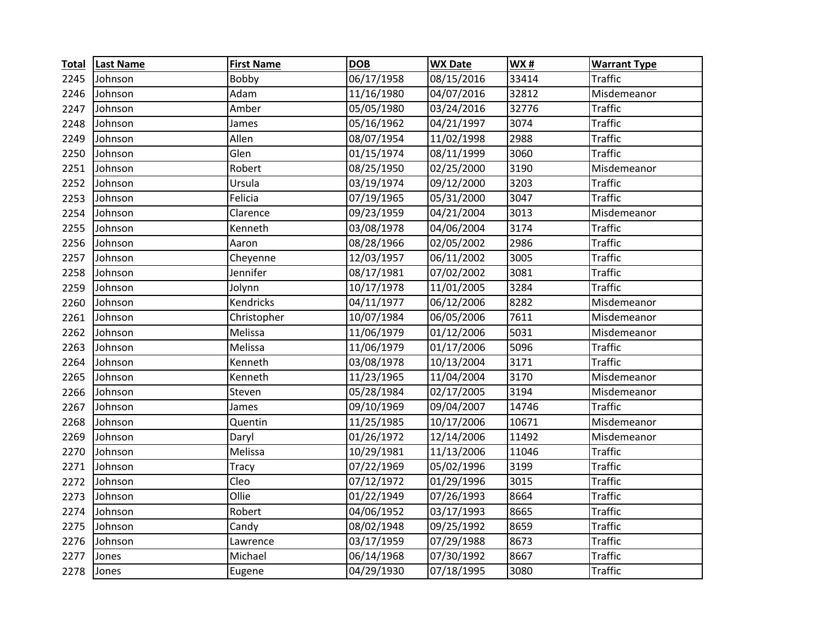| <b>Total</b> | <b>Last Name</b> | <b>First Name</b> | <b>DOB</b> | <b>WX Date</b> | WX#   | <b>Warrant Type</b> |
|--------------|------------------|-------------------|------------|----------------|-------|---------------------|
| 2245         | Johnson          | Bobby             | 06/17/1958 | 08/15/2016     | 33414 | Traffic             |
| 2246         | Johnson          | Adam              | 11/16/1980 | 04/07/2016     | 32812 | Misdemeanor         |
| 2247         | Johnson          | Amber             | 05/05/1980 | 03/24/2016     | 32776 | <b>Traffic</b>      |
| 2248         | Johnson          | James             | 05/16/1962 | 04/21/1997     | 3074  | <b>Traffic</b>      |
| 2249         | Johnson          | Allen             | 08/07/1954 | 11/02/1998     | 2988  | <b>Traffic</b>      |
| 2250         | Johnson          | Glen              | 01/15/1974 | 08/11/1999     | 3060  | <b>Traffic</b>      |
| 2251         | Johnson          | Robert            | 08/25/1950 | 02/25/2000     | 3190  | Misdemeanor         |
| 2252         | Johnson          | Ursula            | 03/19/1974 | 09/12/2000     | 3203  | <b>Traffic</b>      |
| 2253         | Johnson          | Felicia           | 07/19/1965 | 05/31/2000     | 3047  | <b>Traffic</b>      |
| 2254         | Johnson          | Clarence          | 09/23/1959 | 04/21/2004     | 3013  | Misdemeanor         |
| 2255         | Johnson          | Kenneth           | 03/08/1978 | 04/06/2004     | 3174  | <b>Traffic</b>      |
| 2256         | Johnson          | Aaron             | 08/28/1966 | 02/05/2002     | 2986  | <b>Traffic</b>      |
| 2257         | Johnson          | Cheyenne          | 12/03/1957 | 06/11/2002     | 3005  | <b>Traffic</b>      |
| 2258         | Johnson          | Jennifer          | 08/17/1981 | 07/02/2002     | 3081  | <b>Traffic</b>      |
| 2259         | Johnson          | Jolynn            | 10/17/1978 | 11/01/2005     | 3284  | <b>Traffic</b>      |
| 2260         | Johnson          | <b>Kendricks</b>  | 04/11/1977 | 06/12/2006     | 8282  | Misdemeanor         |
| 2261         | Johnson          | Christopher       | 10/07/1984 | 06/05/2006     | 7611  | Misdemeanor         |
| 2262         | Johnson          | Melissa           | 11/06/1979 | 01/12/2006     | 5031  | Misdemeanor         |
| 2263         | Johnson          | Melissa           | 11/06/1979 | 01/17/2006     | 5096  | <b>Traffic</b>      |
| 2264         | Johnson          | Kenneth           | 03/08/1978 | 10/13/2004     | 3171  | <b>Traffic</b>      |
| 2265         | Johnson          | Kenneth           | 11/23/1965 | 11/04/2004     | 3170  | Misdemeanor         |
| 2266         | Johnson          | Steven            | 05/28/1984 | 02/17/2005     | 3194  | Misdemeanor         |
| 2267         | Johnson          | James             | 09/10/1969 | 09/04/2007     | 14746 | <b>Traffic</b>      |
| 2268         | Johnson          | Quentin           | 11/25/1985 | 10/17/2006     | 10671 | Misdemeanor         |
| 2269         | Johnson          | Daryl             | 01/26/1972 | 12/14/2006     | 11492 | Misdemeanor         |
| 2270         | Johnson          | Melissa           | 10/29/1981 | 11/13/2006     | 11046 | <b>Traffic</b>      |
| 2271         | Johnson          | <b>Tracy</b>      | 07/22/1969 | 05/02/1996     | 3199  | <b>Traffic</b>      |
| 2272         | Johnson          | Cleo              | 07/12/1972 | 01/29/1996     | 3015  | <b>Traffic</b>      |
| 2273         | Johnson          | Ollie             | 01/22/1949 | 07/26/1993     | 8664  | <b>Traffic</b>      |
| 2274         | Johnson          | Robert            | 04/06/1952 | 03/17/1993     | 8665  | <b>Traffic</b>      |
| 2275         | Johnson          | Candy             | 08/02/1948 | 09/25/1992     | 8659  | <b>Traffic</b>      |
| 2276         | Johnson          | Lawrence          | 03/17/1959 | 07/29/1988     | 8673  | <b>Traffic</b>      |
| 2277         | Jones            | Michael           | 06/14/1968 | 07/30/1992     | 8667  | <b>Traffic</b>      |
| 2278         | Jones            | Eugene            | 04/29/1930 | 07/18/1995     | 3080  | <b>Traffic</b>      |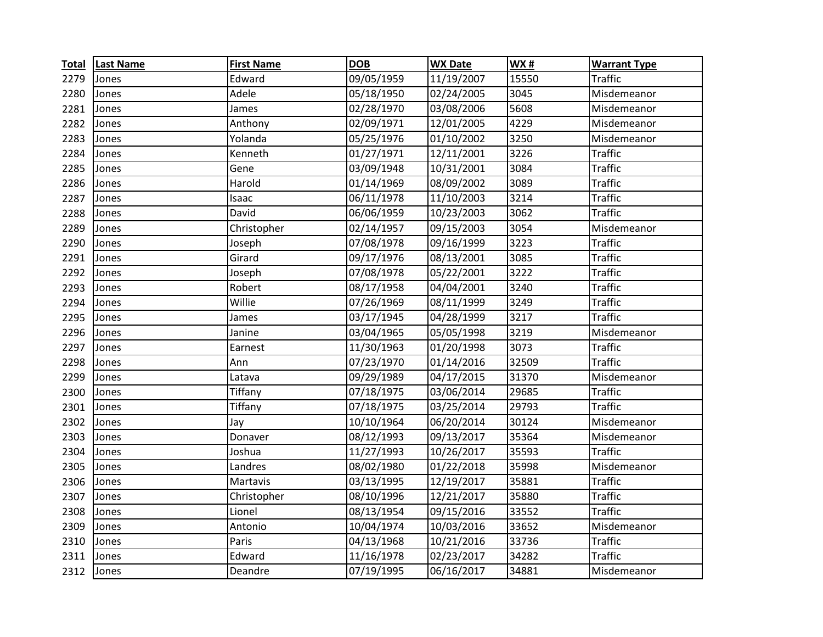| <b>Total</b> | <b>Last Name</b> | <b>First Name</b> | <b>DOB</b> | <b>WX Date</b> | <b>WX#</b> | <b>Warrant Type</b> |
|--------------|------------------|-------------------|------------|----------------|------------|---------------------|
| 2279         | Jones            | Edward            | 09/05/1959 | 11/19/2007     | 15550      | <b>Traffic</b>      |
| 2280         | Jones            | Adele             | 05/18/1950 | 02/24/2005     | 3045       | Misdemeanor         |
| 2281         | Jones            | James             | 02/28/1970 | 03/08/2006     | 5608       | Misdemeanor         |
| 2282         | Jones            | Anthony           | 02/09/1971 | 12/01/2005     | 4229       | Misdemeanor         |
| 2283         | Jones            | Yolanda           | 05/25/1976 | 01/10/2002     | 3250       | Misdemeanor         |
| 2284         | Jones            | Kenneth           | 01/27/1971 | 12/11/2001     | 3226       | <b>Traffic</b>      |
| 2285         | Jones            | Gene              | 03/09/1948 | 10/31/2001     | 3084       | <b>Traffic</b>      |
| 2286         | Jones            | Harold            | 01/14/1969 | 08/09/2002     | 3089       | <b>Traffic</b>      |
| 2287         | Jones            | Isaac             | 06/11/1978 | 11/10/2003     | 3214       | <b>Traffic</b>      |
| 2288         | Jones            | David             | 06/06/1959 | 10/23/2003     | 3062       | <b>Traffic</b>      |
| 2289         | Jones            | Christopher       | 02/14/1957 | 09/15/2003     | 3054       | Misdemeanor         |
| 2290         | Jones            | Joseph            | 07/08/1978 | 09/16/1999     | 3223       | <b>Traffic</b>      |
| 2291         | Jones            | Girard            | 09/17/1976 | 08/13/2001     | 3085       | <b>Traffic</b>      |
| 2292         | Jones            | Joseph            | 07/08/1978 | 05/22/2001     | 3222       | <b>Traffic</b>      |
| 2293         | Jones            | Robert            | 08/17/1958 | 04/04/2001     | 3240       | <b>Traffic</b>      |
| 2294         | Jones            | Willie            | 07/26/1969 | 08/11/1999     | 3249       | <b>Traffic</b>      |
| 2295         | Jones            | James             | 03/17/1945 | 04/28/1999     | 3217       | <b>Traffic</b>      |
| 2296         | Jones            | Janine            | 03/04/1965 | 05/05/1998     | 3219       | Misdemeanor         |
| 2297         | Jones            | Earnest           | 11/30/1963 | 01/20/1998     | 3073       | <b>Traffic</b>      |
| 2298         | Jones            | Ann               | 07/23/1970 | 01/14/2016     | 32509      | <b>Traffic</b>      |
| 2299         | Jones            | Latava            | 09/29/1989 | 04/17/2015     | 31370      | Misdemeanor         |
| 2300         | Jones            | Tiffany           | 07/18/1975 | 03/06/2014     | 29685      | <b>Traffic</b>      |
| 2301         | Jones            | Tiffany           | 07/18/1975 | 03/25/2014     | 29793      | <b>Traffic</b>      |
| 2302         | Jones            | Jay               | 10/10/1964 | 06/20/2014     | 30124      | Misdemeanor         |
| 2303         | Jones            | Donaver           | 08/12/1993 | 09/13/2017     | 35364      | Misdemeanor         |
| 2304         | Jones            | Joshua            | 11/27/1993 | 10/26/2017     | 35593      | <b>Traffic</b>      |
| 2305         | Jones            | Landres           | 08/02/1980 | 01/22/2018     | 35998      | Misdemeanor         |
| 2306         | Jones            | Martavis          | 03/13/1995 | 12/19/2017     | 35881      | <b>Traffic</b>      |
| 2307         | Jones            | Christopher       | 08/10/1996 | 12/21/2017     | 35880      | <b>Traffic</b>      |
| 2308         | Jones            | Lionel            | 08/13/1954 | 09/15/2016     | 33552      | <b>Traffic</b>      |
| 2309         | Jones            | Antonio           | 10/04/1974 | 10/03/2016     | 33652      | Misdemeanor         |
| 2310         | Jones            | Paris             | 04/13/1968 | 10/21/2016     | 33736      | <b>Traffic</b>      |
| 2311         | Jones            | Edward            | 11/16/1978 | 02/23/2017     | 34282      | <b>Traffic</b>      |
| 2312         | Jones            | Deandre           | 07/19/1995 | 06/16/2017     | 34881      | Misdemeanor         |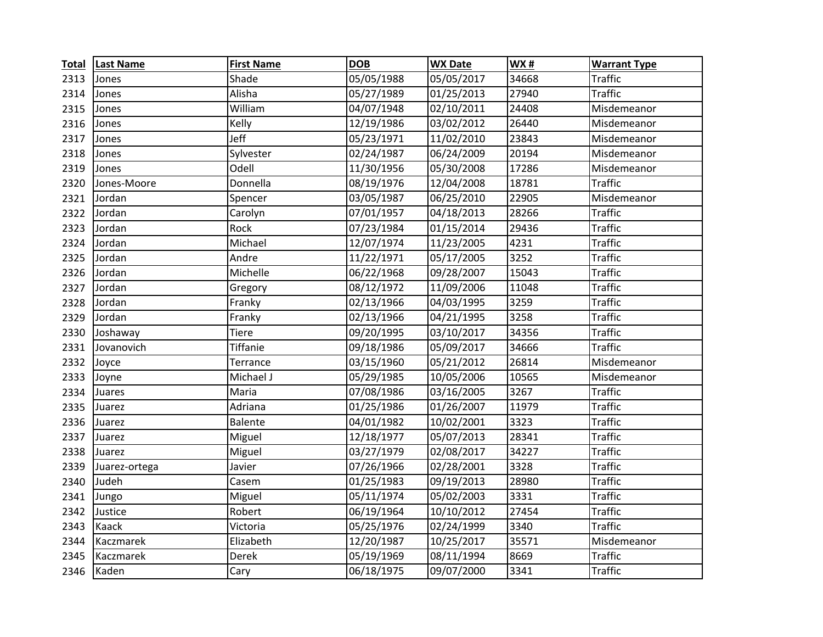| <b>Total</b> | <b>Last Name</b> | <b>First Name</b> | <b>DOB</b> | <b>WX Date</b> | <b>WX#</b> | <b>Warrant Type</b> |
|--------------|------------------|-------------------|------------|----------------|------------|---------------------|
| 2313         | Jones            | Shade             | 05/05/1988 | 05/05/2017     | 34668      | <b>Traffic</b>      |
| 2314         | Jones            | Alisha            | 05/27/1989 | 01/25/2013     | 27940      | <b>Traffic</b>      |
| 2315         | Jones            | William           | 04/07/1948 | 02/10/2011     | 24408      | Misdemeanor         |
| 2316         | Jones            | Kelly             | 12/19/1986 | 03/02/2012     | 26440      | Misdemeanor         |
| 2317         | Jones            | Jeff              | 05/23/1971 | 11/02/2010     | 23843      | Misdemeanor         |
| 2318         | Jones            | Sylvester         | 02/24/1987 | 06/24/2009     | 20194      | Misdemeanor         |
| 2319         | Jones            | Odell             | 11/30/1956 | 05/30/2008     | 17286      | Misdemeanor         |
| 2320         | Jones-Moore      | Donnella          | 08/19/1976 | 12/04/2008     | 18781      | <b>Traffic</b>      |
| 2321         | Jordan           | Spencer           | 03/05/1987 | 06/25/2010     | 22905      | Misdemeanor         |
| 2322         | Jordan           | Carolyn           | 07/01/1957 | 04/18/2013     | 28266      | <b>Traffic</b>      |
| 2323         | Jordan           | Rock              | 07/23/1984 | 01/15/2014     | 29436      | <b>Traffic</b>      |
| 2324         | Jordan           | Michael           | 12/07/1974 | 11/23/2005     | 4231       | <b>Traffic</b>      |
| 2325         | Jordan           | Andre             | 11/22/1971 | 05/17/2005     | 3252       | <b>Traffic</b>      |
| 2326         | Jordan           | Michelle          | 06/22/1968 | 09/28/2007     | 15043      | <b>Traffic</b>      |
| 2327         | Jordan           | Gregory           | 08/12/1972 | 11/09/2006     | 11048      | <b>Traffic</b>      |
| 2328         | Jordan           | Franky            | 02/13/1966 | 04/03/1995     | 3259       | <b>Traffic</b>      |
| 2329         | Jordan           | Franky            | 02/13/1966 | 04/21/1995     | 3258       | <b>Traffic</b>      |
| 2330         | Joshaway         | <b>Tiere</b>      | 09/20/1995 | 03/10/2017     | 34356      | <b>Traffic</b>      |
| 2331         | Jovanovich       | <b>Tiffanie</b>   | 09/18/1986 | 05/09/2017     | 34666      | <b>Traffic</b>      |
| 2332         | Joyce            | Terrance          | 03/15/1960 | 05/21/2012     | 26814      | Misdemeanor         |
| 2333         | Joyne            | Michael J         | 05/29/1985 | 10/05/2006     | 10565      | Misdemeanor         |
| 2334         | Juares           | Maria             | 07/08/1986 | 03/16/2005     | 3267       | <b>Traffic</b>      |
| 2335         | Juarez           | Adriana           | 01/25/1986 | 01/26/2007     | 11979      | <b>Traffic</b>      |
| 2336         | Juarez           | <b>Balente</b>    | 04/01/1982 | 10/02/2001     | 3323       | <b>Traffic</b>      |
| 2337         | Juarez           | Miguel            | 12/18/1977 | 05/07/2013     | 28341      | <b>Traffic</b>      |
| 2338         | Juarez           | Miguel            | 03/27/1979 | 02/08/2017     | 34227      | <b>Traffic</b>      |
| 2339         | Juarez-ortega    | Javier            | 07/26/1966 | 02/28/2001     | 3328       | <b>Traffic</b>      |
| 2340         | Judeh            | Casem             | 01/25/1983 | 09/19/2013     | 28980      | <b>Traffic</b>      |
| 2341         | Jungo            | Miguel            | 05/11/1974 | 05/02/2003     | 3331       | <b>Traffic</b>      |
| 2342         | Justice          | Robert            | 06/19/1964 | 10/10/2012     | 27454      | <b>Traffic</b>      |
| 2343         | Kaack            | Victoria          | 05/25/1976 | 02/24/1999     | 3340       | <b>Traffic</b>      |
| 2344         | Kaczmarek        | Elizabeth         | 12/20/1987 | 10/25/2017     | 35571      | Misdemeanor         |
| 2345         | Kaczmarek        | Derek             | 05/19/1969 | 08/11/1994     | 8669       | <b>Traffic</b>      |
| 2346         | Kaden            | Cary              | 06/18/1975 | 09/07/2000     | 3341       | <b>Traffic</b>      |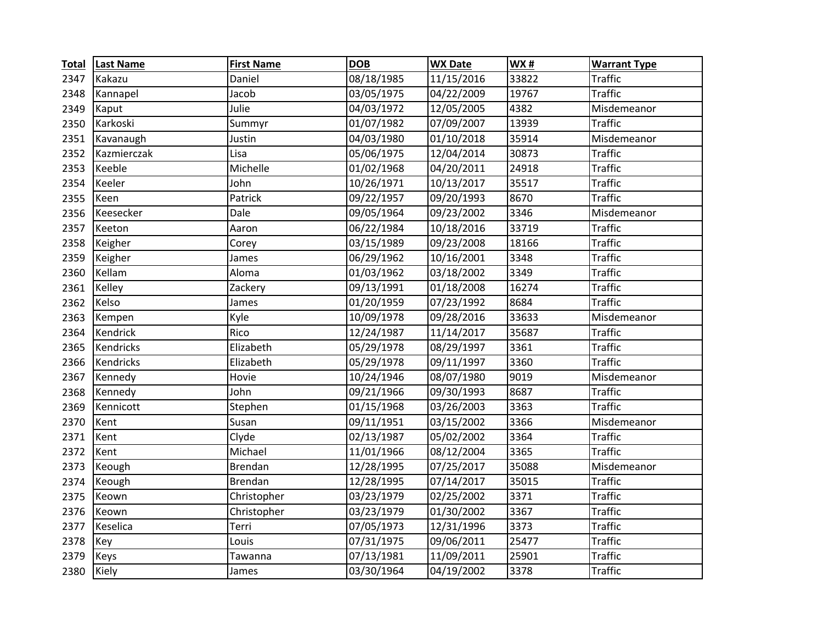| <b>Total</b> | <b>Last Name</b> | <b>First Name</b> | <b>DOB</b> | <b>WX Date</b> | <b>WX#</b> | <b>Warrant Type</b> |
|--------------|------------------|-------------------|------------|----------------|------------|---------------------|
| 2347         | Kakazu           | Daniel            | 08/18/1985 | 11/15/2016     | 33822      | <b>Traffic</b>      |
| 2348         | Kannapel         | Jacob             | 03/05/1975 | 04/22/2009     | 19767      | <b>Traffic</b>      |
| 2349         | Kaput            | Julie             | 04/03/1972 | 12/05/2005     | 4382       | Misdemeanor         |
| 2350         | Karkoski         | Summyr            | 01/07/1982 | 07/09/2007     | 13939      | <b>Traffic</b>      |
| 2351         | Kavanaugh        | Justin            | 04/03/1980 | 01/10/2018     | 35914      | Misdemeanor         |
| 2352         | Kazmierczak      | Lisa              | 05/06/1975 | 12/04/2014     | 30873      | <b>Traffic</b>      |
| 2353         | Keeble           | Michelle          | 01/02/1968 | 04/20/2011     | 24918      | <b>Traffic</b>      |
| 2354         | Keeler           | John              | 10/26/1971 | 10/13/2017     | 35517      | <b>Traffic</b>      |
| 2355         | Keen             | Patrick           | 09/22/1957 | 09/20/1993     | 8670       | <b>Traffic</b>      |
| 2356         | Keesecker        | Dale              | 09/05/1964 | 09/23/2002     | 3346       | Misdemeanor         |
| 2357         | Keeton           | Aaron             | 06/22/1984 | 10/18/2016     | 33719      | <b>Traffic</b>      |
| 2358         | Keigher          | Corey             | 03/15/1989 | 09/23/2008     | 18166      | <b>Traffic</b>      |
| 2359         | Keigher          | James             | 06/29/1962 | 10/16/2001     | 3348       | <b>Traffic</b>      |
| 2360         | Kellam           | Aloma             | 01/03/1962 | 03/18/2002     | 3349       | <b>Traffic</b>      |
| 2361         | Kelley           | Zackery           | 09/13/1991 | 01/18/2008     | 16274      | <b>Traffic</b>      |
| 2362         | Kelso            | James             | 01/20/1959 | 07/23/1992     | 8684       | <b>Traffic</b>      |
| 2363         | Kempen           | Kyle              | 10/09/1978 | 09/28/2016     | 33633      | Misdemeanor         |
| 2364         | Kendrick         | Rico              | 12/24/1987 | 11/14/2017     | 35687      | <b>Traffic</b>      |
| 2365         | Kendricks        | Elizabeth         | 05/29/1978 | 08/29/1997     | 3361       | <b>Traffic</b>      |
| 2366         | Kendricks        | Elizabeth         | 05/29/1978 | 09/11/1997     | 3360       | <b>Traffic</b>      |
| 2367         | Kennedy          | Hovie             | 10/24/1946 | 08/07/1980     | 9019       | Misdemeanor         |
| 2368         | Kennedy          | John              | 09/21/1966 | 09/30/1993     | 8687       | <b>Traffic</b>      |
| 2369         | Kennicott        | Stephen           | 01/15/1968 | 03/26/2003     | 3363       | <b>Traffic</b>      |
| 2370         | Kent             | Susan             | 09/11/1951 | 03/15/2002     | 3366       | Misdemeanor         |
| 2371         | Kent             | Clyde             | 02/13/1987 | 05/02/2002     | 3364       | <b>Traffic</b>      |
| 2372         | Kent             | Michael           | 11/01/1966 | 08/12/2004     | 3365       | <b>Traffic</b>      |
| 2373         | Keough           | <b>Brendan</b>    | 12/28/1995 | 07/25/2017     | 35088      | Misdemeanor         |
| 2374         | Keough           | <b>Brendan</b>    | 12/28/1995 | 07/14/2017     | 35015      | <b>Traffic</b>      |
| 2375         | Keown            | Christopher       | 03/23/1979 | 02/25/2002     | 3371       | <b>Traffic</b>      |
| 2376         | Keown            | Christopher       | 03/23/1979 | 01/30/2002     | 3367       | <b>Traffic</b>      |
| 2377         | Keselica         | Terri             | 07/05/1973 | 12/31/1996     | 3373       | <b>Traffic</b>      |
| 2378         | Key              | Louis             | 07/31/1975 | 09/06/2011     | 25477      | <b>Traffic</b>      |
| 2379         | Keys             | Tawanna           | 07/13/1981 | 11/09/2011     | 25901      | <b>Traffic</b>      |
| 2380         | Kiely            | James             | 03/30/1964 | 04/19/2002     | 3378       | <b>Traffic</b>      |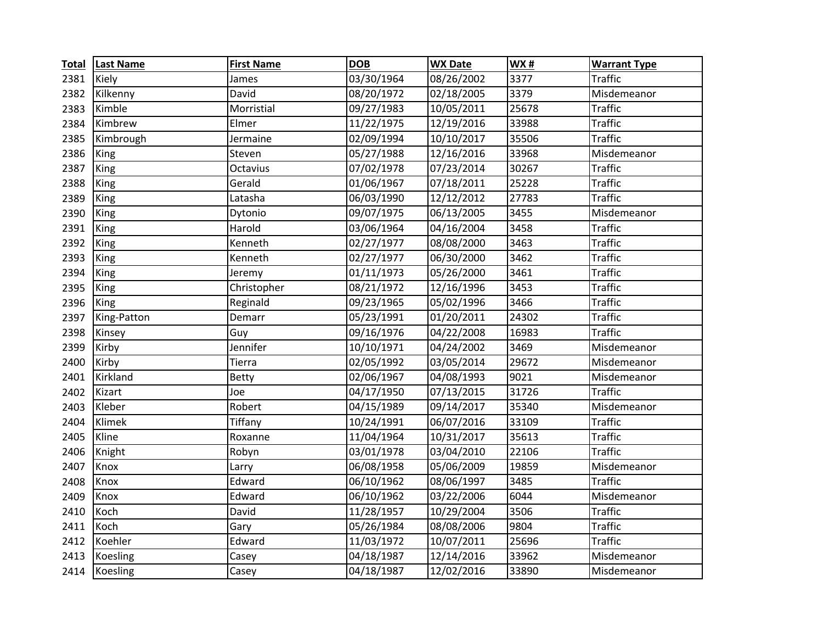| <b>Total</b> | <b>Last Name</b> | <b>First Name</b> | <b>DOB</b> | <b>WX Date</b> | WX#   | <b>Warrant Type</b> |
|--------------|------------------|-------------------|------------|----------------|-------|---------------------|
| 2381         | Kiely            | James             | 03/30/1964 | 08/26/2002     | 3377  | <b>Traffic</b>      |
| 2382         | Kilkenny         | David             | 08/20/1972 | 02/18/2005     | 3379  | Misdemeanor         |
| 2383         | Kimble           | Morristial        | 09/27/1983 | 10/05/2011     | 25678 | <b>Traffic</b>      |
| 2384         | Kimbrew          | Elmer             | 11/22/1975 | 12/19/2016     | 33988 | <b>Traffic</b>      |
| 2385         | Kimbrough        | Jermaine          | 02/09/1994 | 10/10/2017     | 35506 | <b>Traffic</b>      |
| 2386         | King             | Steven            | 05/27/1988 | 12/16/2016     | 33968 | Misdemeanor         |
| 2387         | King             | Octavius          | 07/02/1978 | 07/23/2014     | 30267 | <b>Traffic</b>      |
| 2388         | King             | Gerald            | 01/06/1967 | 07/18/2011     | 25228 | <b>Traffic</b>      |
| 2389         | King             | Latasha           | 06/03/1990 | 12/12/2012     | 27783 | <b>Traffic</b>      |
| 2390         | King             | Dytonio           | 09/07/1975 | 06/13/2005     | 3455  | Misdemeanor         |
| 2391         | King             | Harold            | 03/06/1964 | 04/16/2004     | 3458  | <b>Traffic</b>      |
| 2392         | King             | Kenneth           | 02/27/1977 | 08/08/2000     | 3463  | <b>Traffic</b>      |
| 2393         | King             | Kenneth           | 02/27/1977 | 06/30/2000     | 3462  | <b>Traffic</b>      |
| 2394         | King             | Jeremy            | 01/11/1973 | 05/26/2000     | 3461  | <b>Traffic</b>      |
| 2395         | King             | Christopher       | 08/21/1972 | 12/16/1996     | 3453  | <b>Traffic</b>      |
| 2396         | King             | Reginald          | 09/23/1965 | 05/02/1996     | 3466  | <b>Traffic</b>      |
| 2397         | King-Patton      | Demarr            | 05/23/1991 | 01/20/2011     | 24302 | <b>Traffic</b>      |
| 2398         | Kinsey           | Guy               | 09/16/1976 | 04/22/2008     | 16983 | <b>Traffic</b>      |
| 2399         | Kirby            | Jennifer          | 10/10/1971 | 04/24/2002     | 3469  | Misdemeanor         |
| 2400         | Kirby            | Tierra            | 02/05/1992 | 03/05/2014     | 29672 | Misdemeanor         |
| 2401         | Kirkland         | Betty             | 02/06/1967 | 04/08/1993     | 9021  | Misdemeanor         |
| 2402         | Kizart           | Joe               | 04/17/1950 | 07/13/2015     | 31726 | <b>Traffic</b>      |
| 2403         | Kleber           | Robert            | 04/15/1989 | 09/14/2017     | 35340 | Misdemeanor         |
| 2404         | Klimek           | Tiffany           | 10/24/1991 | 06/07/2016     | 33109 | <b>Traffic</b>      |
| 2405         | Kline            | Roxanne           | 11/04/1964 | 10/31/2017     | 35613 | <b>Traffic</b>      |
| 2406         | Knight           | Robyn             | 03/01/1978 | 03/04/2010     | 22106 | <b>Traffic</b>      |
| 2407         | Knox             | Larry             | 06/08/1958 | 05/06/2009     | 19859 | Misdemeanor         |
| 2408         | Knox             | Edward            | 06/10/1962 | 08/06/1997     | 3485  | <b>Traffic</b>      |
| 2409         | Knox             | Edward            | 06/10/1962 | 03/22/2006     | 6044  | Misdemeanor         |
| 2410         | Koch             | David             | 11/28/1957 | 10/29/2004     | 3506  | <b>Traffic</b>      |
| 2411         | Koch             | Gary              | 05/26/1984 | 08/08/2006     | 9804  | <b>Traffic</b>      |
| 2412         | Koehler          | Edward            | 11/03/1972 | 10/07/2011     | 25696 | <b>Traffic</b>      |
| 2413         | <b>Koesling</b>  | Casey             | 04/18/1987 | 12/14/2016     | 33962 | Misdemeanor         |
| 2414         | Koesling         | Casey             | 04/18/1987 | 12/02/2016     | 33890 | Misdemeanor         |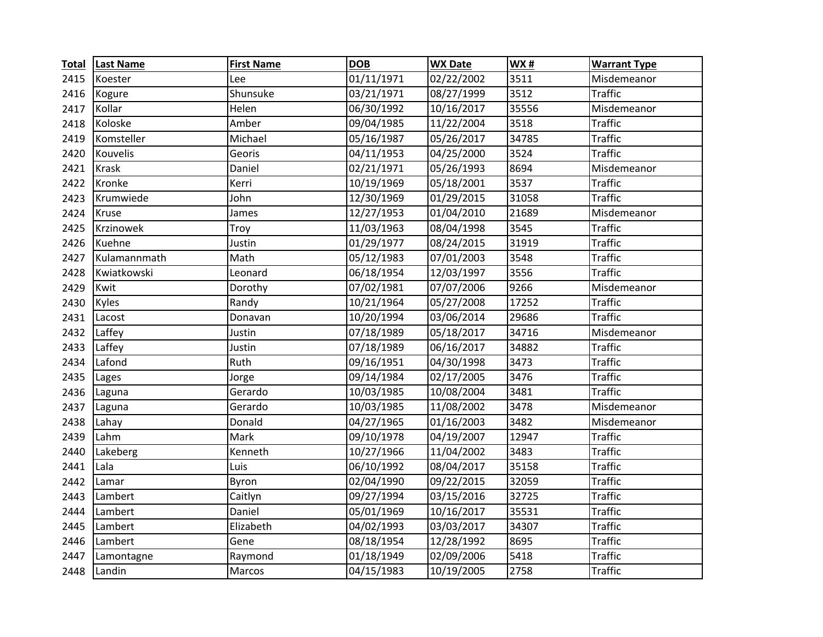| <b>Total</b> | <b>Last Name</b> | <b>First Name</b> | <b>DOB</b> | <b>WX Date</b> | WX#   | <b>Warrant Type</b> |
|--------------|------------------|-------------------|------------|----------------|-------|---------------------|
| 2415         | Koester          | Lee               | 01/11/1971 | 02/22/2002     | 3511  | Misdemeanor         |
| 2416         | Kogure           | Shunsuke          | 03/21/1971 | 08/27/1999     | 3512  | <b>Traffic</b>      |
| 2417         | Kollar           | Helen             | 06/30/1992 | 10/16/2017     | 35556 | Misdemeanor         |
| 2418         | Koloske          | Amber             | 09/04/1985 | 11/22/2004     | 3518  | <b>Traffic</b>      |
| 2419         | Komsteller       | Michael           | 05/16/1987 | 05/26/2017     | 34785 | <b>Traffic</b>      |
| 2420         | Kouvelis         | Georis            | 04/11/1953 | 04/25/2000     | 3524  | <b>Traffic</b>      |
| 2421         | <b>Krask</b>     | Daniel            | 02/21/1971 | 05/26/1993     | 8694  | Misdemeanor         |
| 2422         | Kronke           | Kerri             | 10/19/1969 | 05/18/2001     | 3537  | <b>Traffic</b>      |
| 2423         | Krumwiede        | John              | 12/30/1969 | 01/29/2015     | 31058 | <b>Traffic</b>      |
| 2424         | Kruse            | James             | 12/27/1953 | 01/04/2010     | 21689 | Misdemeanor         |
| 2425         | Krzinowek        | Troy              | 11/03/1963 | 08/04/1998     | 3545  | <b>Traffic</b>      |
| 2426         | Kuehne           | Justin            | 01/29/1977 | 08/24/2015     | 31919 | <b>Traffic</b>      |
| 2427         | Kulamannmath     | Math              | 05/12/1983 | 07/01/2003     | 3548  | <b>Traffic</b>      |
| 2428         | Kwiatkowski      | Leonard           | 06/18/1954 | 12/03/1997     | 3556  | <b>Traffic</b>      |
| 2429         | Kwit             | Dorothy           | 07/02/1981 | 07/07/2006     | 9266  | Misdemeanor         |
| 2430         | Kyles            | Randy             | 10/21/1964 | 05/27/2008     | 17252 | <b>Traffic</b>      |
| 2431         | Lacost           | Donavan           | 10/20/1994 | 03/06/2014     | 29686 | <b>Traffic</b>      |
| 2432         | Laffey           | Justin            | 07/18/1989 | 05/18/2017     | 34716 | Misdemeanor         |
| 2433         | Laffey           | Justin            | 07/18/1989 | 06/16/2017     | 34882 | <b>Traffic</b>      |
| 2434         | Lafond           | Ruth              | 09/16/1951 | 04/30/1998     | 3473  | <b>Traffic</b>      |
| 2435         | Lages            | Jorge             | 09/14/1984 | 02/17/2005     | 3476  | <b>Traffic</b>      |
| 2436         | Laguna           | Gerardo           | 10/03/1985 | 10/08/2004     | 3481  | <b>Traffic</b>      |
| 2437         | Laguna           | Gerardo           | 10/03/1985 | 11/08/2002     | 3478  | Misdemeanor         |
| 2438         | Lahay            | Donald            | 04/27/1965 | 01/16/2003     | 3482  | Misdemeanor         |
| 2439         | Lahm             | Mark              | 09/10/1978 | 04/19/2007     | 12947 | <b>Traffic</b>      |
| 2440         | Lakeberg         | Kenneth           | 10/27/1966 | 11/04/2002     | 3483  | <b>Traffic</b>      |
| 2441         | Lala             | Luis              | 06/10/1992 | 08/04/2017     | 35158 | <b>Traffic</b>      |
| 2442         | Lamar            | Byron             | 02/04/1990 | 09/22/2015     | 32059 | <b>Traffic</b>      |
| 2443         | Lambert          | Caitlyn           | 09/27/1994 | 03/15/2016     | 32725 | <b>Traffic</b>      |
| 2444         | Lambert          | Daniel            | 05/01/1969 | 10/16/2017     | 35531 | <b>Traffic</b>      |
| 2445         | Lambert          | Elizabeth         | 04/02/1993 | 03/03/2017     | 34307 | <b>Traffic</b>      |
| 2446         | Lambert          | Gene              | 08/18/1954 | 12/28/1992     | 8695  | <b>Traffic</b>      |
| 2447         | Lamontagne       | Raymond           | 01/18/1949 | 02/09/2006     | 5418  | <b>Traffic</b>      |
| 2448         | Landin           | Marcos            | 04/15/1983 | 10/19/2005     | 2758  | <b>Traffic</b>      |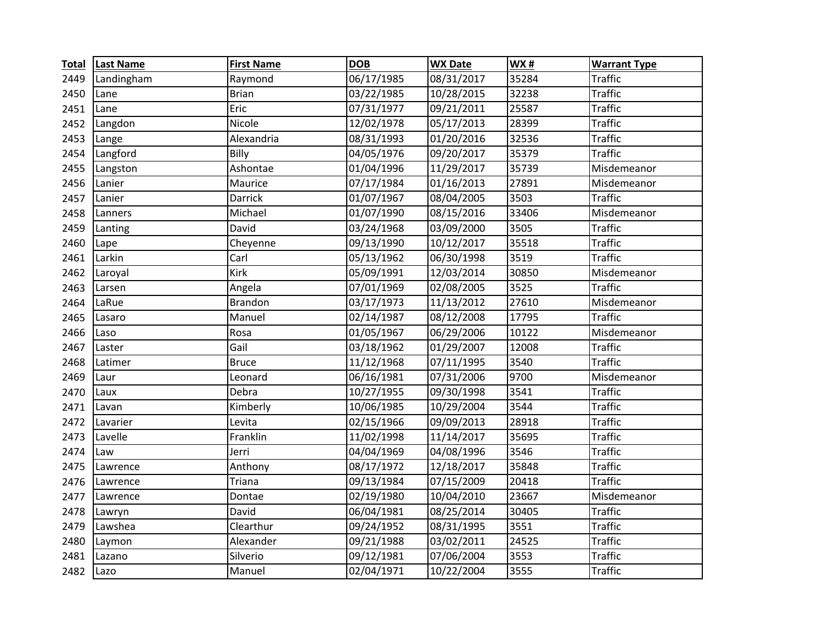| <b>Total</b> | <b>Last Name</b> | <b>First Name</b> | <b>DOB</b> | <b>WX Date</b> | <b>WX#</b> | <b>Warrant Type</b> |
|--------------|------------------|-------------------|------------|----------------|------------|---------------------|
| 2449         | Landingham       | Raymond           | 06/17/1985 | 08/31/2017     | 35284      | <b>Traffic</b>      |
| 2450         | Lane             | <b>Brian</b>      | 03/22/1985 | 10/28/2015     | 32238      | <b>Traffic</b>      |
| 2451         | Lane             | Eric              | 07/31/1977 | 09/21/2011     | 25587      | <b>Traffic</b>      |
| 2452         | Langdon          | Nicole            | 12/02/1978 | 05/17/2013     | 28399      | <b>Traffic</b>      |
| 2453         | Lange            | Alexandria        | 08/31/1993 | 01/20/2016     | 32536      | <b>Traffic</b>      |
| 2454         | Langford         | Billy             | 04/05/1976 | 09/20/2017     | 35379      | <b>Traffic</b>      |
| 2455         | Langston         | Ashontae          | 01/04/1996 | 11/29/2017     | 35739      | Misdemeanor         |
| 2456         | Lanier           | Maurice           | 07/17/1984 | 01/16/2013     | 27891      | Misdemeanor         |
| 2457         | Lanier           | <b>Darrick</b>    | 01/07/1967 | 08/04/2005     | 3503       | <b>Traffic</b>      |
| 2458         | Lanners          | Michael           | 01/07/1990 | 08/15/2016     | 33406      | Misdemeanor         |
| 2459         | Lanting          | David             | 03/24/1968 | 03/09/2000     | 3505       | <b>Traffic</b>      |
| 2460         | Lape             | Cheyenne          | 09/13/1990 | 10/12/2017     | 35518      | <b>Traffic</b>      |
| 2461         | Larkin           | Carl              | 05/13/1962 | 06/30/1998     | 3519       | <b>Traffic</b>      |
| 2462         | Laroyal          | <b>Kirk</b>       | 05/09/1991 | 12/03/2014     | 30850      | Misdemeanor         |
| 2463         | Larsen           | Angela            | 07/01/1969 | 02/08/2005     | 3525       | <b>Traffic</b>      |
| 2464         | LaRue            | <b>Brandon</b>    | 03/17/1973 | 11/13/2012     | 27610      | Misdemeanor         |
| 2465         | Lasaro           | Manuel            | 02/14/1987 | 08/12/2008     | 17795      | <b>Traffic</b>      |
| 2466         | Laso             | Rosa              | 01/05/1967 | 06/29/2006     | 10122      | Misdemeanor         |
| 2467         | Laster           | Gail              | 03/18/1962 | 01/29/2007     | 12008      | <b>Traffic</b>      |
| 2468         | Latimer          | <b>Bruce</b>      | 11/12/1968 | 07/11/1995     | 3540       | <b>Traffic</b>      |
| 2469         | Laur             | Leonard           | 06/16/1981 | 07/31/2006     | 9700       | Misdemeanor         |
| 2470         | Laux             | Debra             | 10/27/1955 | 09/30/1998     | 3541       | <b>Traffic</b>      |
| 2471         | Lavan            | Kimberly          | 10/06/1985 | 10/29/2004     | 3544       | <b>Traffic</b>      |
| 2472         | Lavarier         | Levita            | 02/15/1966 | 09/09/2013     | 28918      | <b>Traffic</b>      |
| 2473         | Lavelle          | Franklin          | 11/02/1998 | 11/14/2017     | 35695      | <b>Traffic</b>      |
| 2474         | Law              | Jerri             | 04/04/1969 | 04/08/1996     | 3546       | <b>Traffic</b>      |
| 2475         | Lawrence         | Anthony           | 08/17/1972 | 12/18/2017     | 35848      | <b>Traffic</b>      |
| 2476         | Lawrence         | Triana            | 09/13/1984 | 07/15/2009     | 20418      | <b>Traffic</b>      |
| 2477         | Lawrence         | Dontae            | 02/19/1980 | 10/04/2010     | 23667      | Misdemeanor         |
| 2478         | Lawryn           | David             | 06/04/1981 | 08/25/2014     | 30405      | <b>Traffic</b>      |
| 2479         | Lawshea          | Clearthur         | 09/24/1952 | 08/31/1995     | 3551       | <b>Traffic</b>      |
| 2480         | Laymon           | Alexander         | 09/21/1988 | 03/02/2011     | 24525      | <b>Traffic</b>      |
| 2481         | Lazano           | Silverio          | 09/12/1981 | 07/06/2004     | 3553       | <b>Traffic</b>      |
| 2482         | Lazo             | Manuel            | 02/04/1971 | 10/22/2004     | 3555       | <b>Traffic</b>      |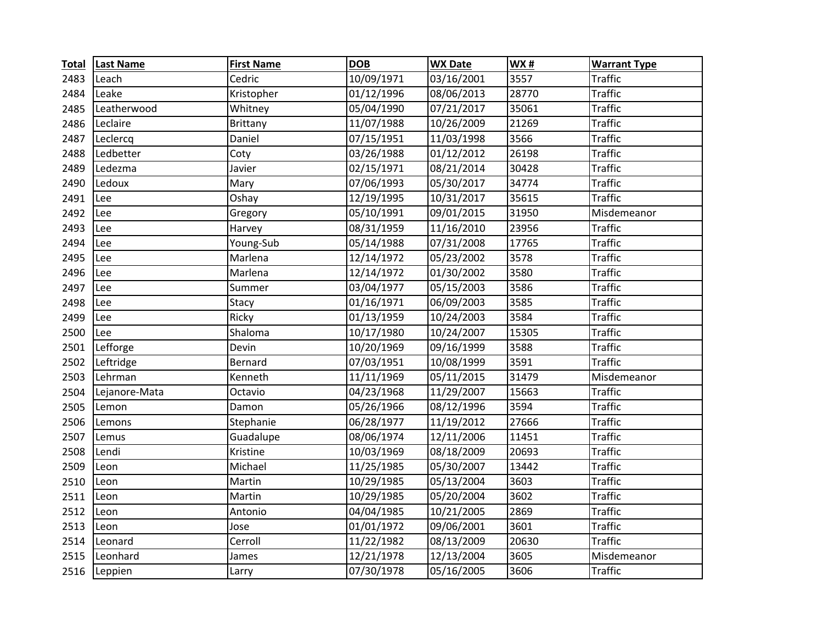| <b>Total</b> | <b>Last Name</b> | <b>First Name</b> | <b>DOB</b> | <b>WX Date</b> | WX#   | <b>Warrant Type</b> |
|--------------|------------------|-------------------|------------|----------------|-------|---------------------|
| 2483         | Leach            | Cedric            | 10/09/1971 | 03/16/2001     | 3557  | <b>Traffic</b>      |
| 2484         | Leake            | Kristopher        | 01/12/1996 | 08/06/2013     | 28770 | <b>Traffic</b>      |
| 2485         | Leatherwood      | Whitney           | 05/04/1990 | 07/21/2017     | 35061 | <b>Traffic</b>      |
| 2486         | Leclaire         | <b>Brittany</b>   | 11/07/1988 | 10/26/2009     | 21269 | <b>Traffic</b>      |
| 2487         | Leclercq         | Daniel            | 07/15/1951 | 11/03/1998     | 3566  | <b>Traffic</b>      |
| 2488         | Ledbetter        | Coty              | 03/26/1988 | 01/12/2012     | 26198 | <b>Traffic</b>      |
| 2489         | Ledezma          | Javier            | 02/15/1971 | 08/21/2014     | 30428 | <b>Traffic</b>      |
| 2490         | Ledoux           | Mary              | 07/06/1993 | 05/30/2017     | 34774 | <b>Traffic</b>      |
| 2491         | Lee              | Oshay             | 12/19/1995 | 10/31/2017     | 35615 | <b>Traffic</b>      |
| 2492         | Lee              | Gregory           | 05/10/1991 | 09/01/2015     | 31950 | Misdemeanor         |
| 2493         | Lee              | Harvey            | 08/31/1959 | 11/16/2010     | 23956 | <b>Traffic</b>      |
| 2494         | Lee              | Young-Sub         | 05/14/1988 | 07/31/2008     | 17765 | <b>Traffic</b>      |
| 2495         | Lee              | Marlena           | 12/14/1972 | 05/23/2002     | 3578  | <b>Traffic</b>      |
| 2496         | Lee              | Marlena           | 12/14/1972 | 01/30/2002     | 3580  | <b>Traffic</b>      |
| 2497         | Lee              | Summer            | 03/04/1977 | 05/15/2003     | 3586  | <b>Traffic</b>      |
| 2498         | Lee              | Stacy             | 01/16/1971 | 06/09/2003     | 3585  | <b>Traffic</b>      |
| 2499         | Lee              | Ricky             | 01/13/1959 | 10/24/2003     | 3584  | <b>Traffic</b>      |
| 2500         | Lee              | Shaloma           | 10/17/1980 | 10/24/2007     | 15305 | <b>Traffic</b>      |
| 2501         | Lefforge         | Devin             | 10/20/1969 | 09/16/1999     | 3588  | <b>Traffic</b>      |
| 2502         | Leftridge        | Bernard           | 07/03/1951 | 10/08/1999     | 3591  | <b>Traffic</b>      |
| 2503         | Lehrman          | Kenneth           | 11/11/1969 | 05/11/2015     | 31479 | Misdemeanor         |
| 2504         | Lejanore-Mata    | Octavio           | 04/23/1968 | 11/29/2007     | 15663 | <b>Traffic</b>      |
| 2505         | Lemon            | Damon             | 05/26/1966 | 08/12/1996     | 3594  | <b>Traffic</b>      |
| 2506         | Lemons           | Stephanie         | 06/28/1977 | 11/19/2012     | 27666 | <b>Traffic</b>      |
| 2507         | Lemus            | Guadalupe         | 08/06/1974 | 12/11/2006     | 11451 | <b>Traffic</b>      |
| 2508         | Lendi            | Kristine          | 10/03/1969 | 08/18/2009     | 20693 | <b>Traffic</b>      |
| 2509         | Leon             | Michael           | 11/25/1985 | 05/30/2007     | 13442 | <b>Traffic</b>      |
| 2510         | Leon             | Martin            | 10/29/1985 | 05/13/2004     | 3603  | <b>Traffic</b>      |
| 2511         | Leon             | Martin            | 10/29/1985 | 05/20/2004     | 3602  | <b>Traffic</b>      |
| 2512         | Leon             | Antonio           | 04/04/1985 | 10/21/2005     | 2869  | <b>Traffic</b>      |
| 2513         | Leon             | Jose              | 01/01/1972 | 09/06/2001     | 3601  | <b>Traffic</b>      |
| 2514         | Leonard          | Cerroll           | 11/22/1982 | 08/13/2009     | 20630 | <b>Traffic</b>      |
| 2515         | Leonhard         | James             | 12/21/1978 | 12/13/2004     | 3605  | Misdemeanor         |
| 2516         | Leppien          | Larry             | 07/30/1978 | 05/16/2005     | 3606  | <b>Traffic</b>      |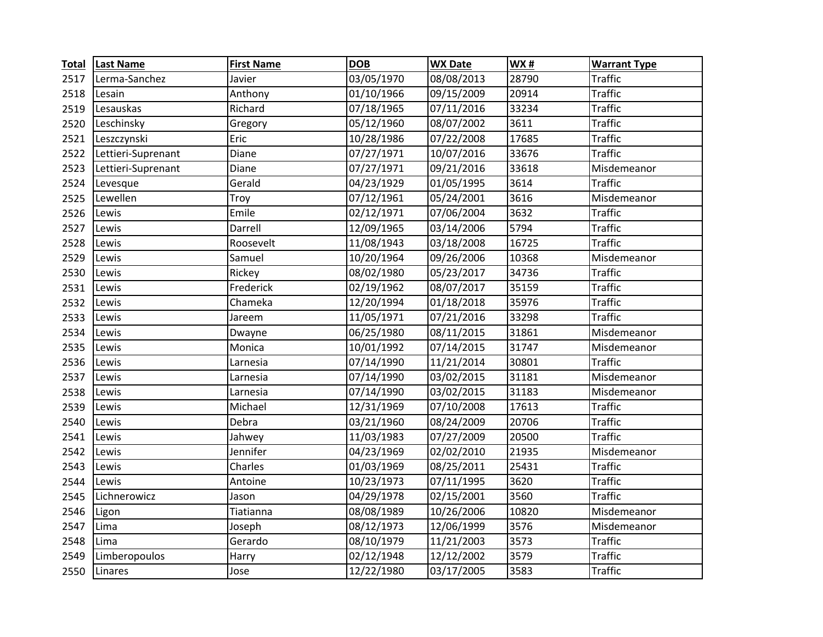| <b>Total</b> | <b>Last Name</b>   | <b>First Name</b> | <b>DOB</b> | <b>WX Date</b> | WX#   | <b>Warrant Type</b> |
|--------------|--------------------|-------------------|------------|----------------|-------|---------------------|
| 2517         | Lerma-Sanchez      | Javier            | 03/05/1970 | 08/08/2013     | 28790 | <b>Traffic</b>      |
| 2518         | Lesain             | Anthony           | 01/10/1966 | 09/15/2009     | 20914 | <b>Traffic</b>      |
| 2519         | Lesauskas          | Richard           | 07/18/1965 | 07/11/2016     | 33234 | <b>Traffic</b>      |
| 2520         | Leschinsky         | Gregory           | 05/12/1960 | 08/07/2002     | 3611  | <b>Traffic</b>      |
| 2521         | Leszczynski        | Eric              | 10/28/1986 | 07/22/2008     | 17685 | <b>Traffic</b>      |
| 2522         | Lettieri-Suprenant | Diane             | 07/27/1971 | 10/07/2016     | 33676 | <b>Traffic</b>      |
| 2523         | Lettieri-Suprenant | Diane             | 07/27/1971 | 09/21/2016     | 33618 | Misdemeanor         |
| 2524         | Levesque           | Gerald            | 04/23/1929 | 01/05/1995     | 3614  | <b>Traffic</b>      |
| 2525         | Lewellen           | Troy              | 07/12/1961 | 05/24/2001     | 3616  | Misdemeanor         |
| 2526         | Lewis              | Emile             | 02/12/1971 | 07/06/2004     | 3632  | <b>Traffic</b>      |
| 2527         | Lewis              | Darrell           | 12/09/1965 | 03/14/2006     | 5794  | <b>Traffic</b>      |
| 2528         | Lewis              | Roosevelt         | 11/08/1943 | 03/18/2008     | 16725 | <b>Traffic</b>      |
| 2529         | Lewis              | Samuel            | 10/20/1964 | 09/26/2006     | 10368 | Misdemeanor         |
| 2530         | Lewis              | Rickey            | 08/02/1980 | 05/23/2017     | 34736 | <b>Traffic</b>      |
| 2531         | Lewis              | Frederick         | 02/19/1962 | 08/07/2017     | 35159 | <b>Traffic</b>      |
| 2532         | Lewis              | Chameka           | 12/20/1994 | 01/18/2018     | 35976 | <b>Traffic</b>      |
| 2533         | Lewis              | Jareem            | 11/05/1971 | 07/21/2016     | 33298 | <b>Traffic</b>      |
| 2534         | Lewis              | Dwayne            | 06/25/1980 | 08/11/2015     | 31861 | Misdemeanor         |
| 2535         | Lewis              | Monica            | 10/01/1992 | 07/14/2015     | 31747 | Misdemeanor         |
| 2536         | Lewis              | Larnesia          | 07/14/1990 | 11/21/2014     | 30801 | <b>Traffic</b>      |
| 2537         | Lewis              | Larnesia          | 07/14/1990 | 03/02/2015     | 31181 | Misdemeanor         |
| 2538         | Lewis              | Larnesia          | 07/14/1990 | 03/02/2015     | 31183 | Misdemeanor         |
| 2539         | Lewis              | Michael           | 12/31/1969 | 07/10/2008     | 17613 | <b>Traffic</b>      |
| 2540         | Lewis              | Debra             | 03/21/1960 | 08/24/2009     | 20706 | <b>Traffic</b>      |
| 2541         | Lewis              | Jahwey            | 11/03/1983 | 07/27/2009     | 20500 | <b>Traffic</b>      |
| 2542         | Lewis              | Jennifer          | 04/23/1969 | 02/02/2010     | 21935 | Misdemeanor         |
| 2543         | Lewis              | Charles           | 01/03/1969 | 08/25/2011     | 25431 | <b>Traffic</b>      |
| 2544         | Lewis              | Antoine           | 10/23/1973 | 07/11/1995     | 3620  | <b>Traffic</b>      |
| 2545         | Lichnerowicz       | Jason             | 04/29/1978 | 02/15/2001     | 3560  | <b>Traffic</b>      |
| 2546         | Ligon              | Tiatianna         | 08/08/1989 | 10/26/2006     | 10820 | Misdemeanor         |
| 2547         | Lima               | Joseph            | 08/12/1973 | 12/06/1999     | 3576  | Misdemeanor         |
| 2548         | Lima               | Gerardo           | 08/10/1979 | 11/21/2003     | 3573  | <b>Traffic</b>      |
| 2549         | Limberopoulos      | Harry             | 02/12/1948 | 12/12/2002     | 3579  | <b>Traffic</b>      |
| 2550         | Linares            | Jose              | 12/22/1980 | 03/17/2005     | 3583  | <b>Traffic</b>      |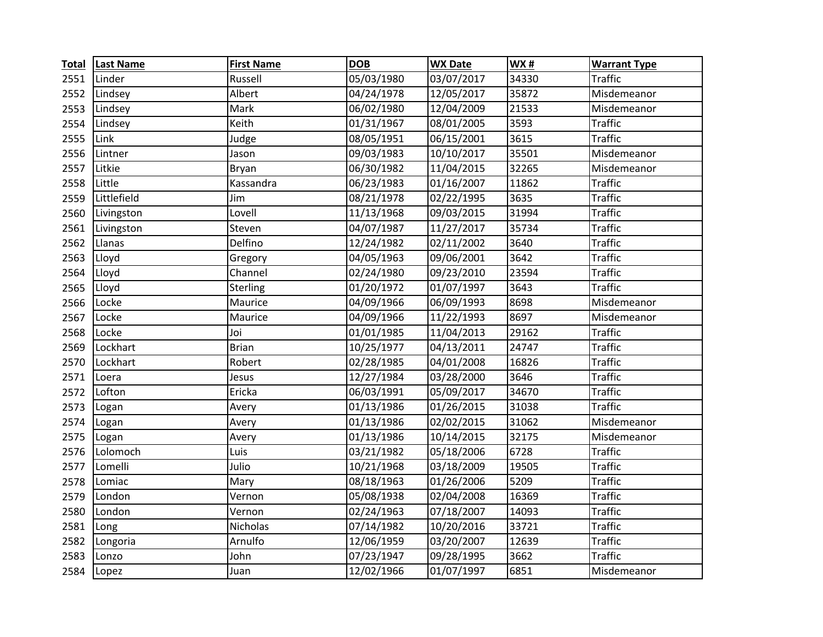| <b>Total</b> | <b>Last Name</b> | <b>First Name</b> | <b>DOB</b> | <b>WX Date</b> | <b>WX#</b> | <b>Warrant Type</b> |
|--------------|------------------|-------------------|------------|----------------|------------|---------------------|
| 2551         | Linder           | Russell           | 05/03/1980 | 03/07/2017     | 34330      | <b>Traffic</b>      |
| 2552         | Lindsey          | Albert            | 04/24/1978 | 12/05/2017     | 35872      | Misdemeanor         |
| 2553         | Lindsey          | Mark              | 06/02/1980 | 12/04/2009     | 21533      | Misdemeanor         |
| 2554         | Lindsey          | Keith             | 01/31/1967 | 08/01/2005     | 3593       | <b>Traffic</b>      |
| 2555         | Link             | Judge             | 08/05/1951 | 06/15/2001     | 3615       | <b>Traffic</b>      |
| 2556         | Lintner          | Jason             | 09/03/1983 | 10/10/2017     | 35501      | Misdemeanor         |
| 2557         | Litkie           | Bryan             | 06/30/1982 | 11/04/2015     | 32265      | Misdemeanor         |
| 2558         | Little           | Kassandra         | 06/23/1983 | 01/16/2007     | 11862      | <b>Traffic</b>      |
| 2559         | Littlefield      | Jim               | 08/21/1978 | 02/22/1995     | 3635       | <b>Traffic</b>      |
| 2560         | Livingston       | Lovell            | 11/13/1968 | 09/03/2015     | 31994      | <b>Traffic</b>      |
| 2561         | Livingston       | Steven            | 04/07/1987 | 11/27/2017     | 35734      | <b>Traffic</b>      |
| 2562         | Llanas           | Delfino           | 12/24/1982 | 02/11/2002     | 3640       | <b>Traffic</b>      |
| 2563         | Lloyd            | Gregory           | 04/05/1963 | 09/06/2001     | 3642       | <b>Traffic</b>      |
| 2564         | Lloyd            | Channel           | 02/24/1980 | 09/23/2010     | 23594      | <b>Traffic</b>      |
| 2565         | Lloyd            | Sterling          | 01/20/1972 | 01/07/1997     | 3643       | <b>Traffic</b>      |
| 2566         | Locke            | Maurice           | 04/09/1966 | 06/09/1993     | 8698       | Misdemeanor         |
| 2567         | Locke            | Maurice           | 04/09/1966 | 11/22/1993     | 8697       | Misdemeanor         |
| 2568         | Locke            | Joi               | 01/01/1985 | 11/04/2013     | 29162      | <b>Traffic</b>      |
| 2569         | Lockhart         | <b>Brian</b>      | 10/25/1977 | 04/13/2011     | 24747      | <b>Traffic</b>      |
| 2570         | Lockhart         | Robert            | 02/28/1985 | 04/01/2008     | 16826      | <b>Traffic</b>      |
| 2571         | Loera            | Jesus             | 12/27/1984 | 03/28/2000     | 3646       | <b>Traffic</b>      |
| 2572         | Lofton           | Ericka            | 06/03/1991 | 05/09/2017     | 34670      | <b>Traffic</b>      |
| 2573         | Logan            | Avery             | 01/13/1986 | 01/26/2015     | 31038      | <b>Traffic</b>      |
| 2574         | Logan            | Avery             | 01/13/1986 | 02/02/2015     | 31062      | Misdemeanor         |
| 2575         | Logan            | Avery             | 01/13/1986 | 10/14/2015     | 32175      | Misdemeanor         |
| 2576         | Lolomoch         | Luis              | 03/21/1982 | 05/18/2006     | 6728       | <b>Traffic</b>      |
| 2577         | Lomelli          | Julio             | 10/21/1968 | 03/18/2009     | 19505      | <b>Traffic</b>      |
| 2578         | Lomiac           | Mary              | 08/18/1963 | 01/26/2006     | 5209       | <b>Traffic</b>      |
| 2579         | London           | Vernon            | 05/08/1938 | 02/04/2008     | 16369      | <b>Traffic</b>      |
| 2580         | London           | Vernon            | 02/24/1963 | 07/18/2007     | 14093      | <b>Traffic</b>      |
| 2581         | Long             | Nicholas          | 07/14/1982 | 10/20/2016     | 33721      | <b>Traffic</b>      |
| 2582         | Longoria         | Arnulfo           | 12/06/1959 | 03/20/2007     | 12639      | <b>Traffic</b>      |
| 2583         | Lonzo            | John              | 07/23/1947 | 09/28/1995     | 3662       | <b>Traffic</b>      |
| 2584         | Lopez            | Juan              | 12/02/1966 | 01/07/1997     | 6851       | Misdemeanor         |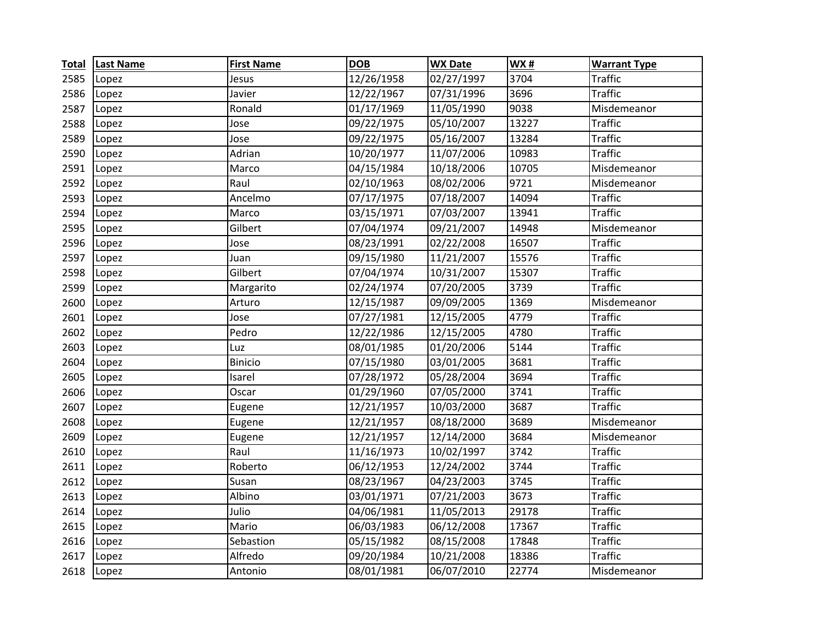| <b>Total</b> | <b>Last Name</b> | <b>First Name</b> | <b>DOB</b> | <b>WX Date</b> | <b>WX#</b> | <b>Warrant Type</b> |
|--------------|------------------|-------------------|------------|----------------|------------|---------------------|
| 2585         | Lopez            | Jesus             | 12/26/1958 | 02/27/1997     | 3704       | <b>Traffic</b>      |
| 2586         | Lopez            | Javier            | 12/22/1967 | 07/31/1996     | 3696       | <b>Traffic</b>      |
| 2587         | Lopez            | Ronald            | 01/17/1969 | 11/05/1990     | 9038       | Misdemeanor         |
| 2588         | Lopez            | Jose              | 09/22/1975 | 05/10/2007     | 13227      | <b>Traffic</b>      |
| 2589         | Lopez            | Jose              | 09/22/1975 | 05/16/2007     | 13284      | <b>Traffic</b>      |
| 2590         | Lopez            | Adrian            | 10/20/1977 | 11/07/2006     | 10983      | <b>Traffic</b>      |
| 2591         | Lopez            | Marco             | 04/15/1984 | 10/18/2006     | 10705      | Misdemeanor         |
| 2592         | Lopez            | Raul              | 02/10/1963 | 08/02/2006     | 9721       | Misdemeanor         |
| 2593         | Lopez            | Ancelmo           | 07/17/1975 | 07/18/2007     | 14094      | <b>Traffic</b>      |
| 2594         | Lopez            | Marco             | 03/15/1971 | 07/03/2007     | 13941      | <b>Traffic</b>      |
| 2595         | Lopez            | Gilbert           | 07/04/1974 | 09/21/2007     | 14948      | Misdemeanor         |
| 2596         | Lopez            | Jose              | 08/23/1991 | 02/22/2008     | 16507      | <b>Traffic</b>      |
| 2597         | Lopez            | Juan              | 09/15/1980 | 11/21/2007     | 15576      | <b>Traffic</b>      |
| 2598         | Lopez            | Gilbert           | 07/04/1974 | 10/31/2007     | 15307      | <b>Traffic</b>      |
| 2599         | Lopez            | Margarito         | 02/24/1974 | 07/20/2005     | 3739       | <b>Traffic</b>      |
| 2600         | Lopez            | Arturo            | 12/15/1987 | 09/09/2005     | 1369       | Misdemeanor         |
| 2601         | Lopez            | Jose              | 07/27/1981 | 12/15/2005     | 4779       | <b>Traffic</b>      |
| 2602         | Lopez            | Pedro             | 12/22/1986 | 12/15/2005     | 4780       | <b>Traffic</b>      |
| 2603         | Lopez            | Luz               | 08/01/1985 | 01/20/2006     | 5144       | <b>Traffic</b>      |
| 2604         | Lopez            | <b>Binicio</b>    | 07/15/1980 | 03/01/2005     | 3681       | <b>Traffic</b>      |
| 2605         | Lopez            | Isarel            | 07/28/1972 | 05/28/2004     | 3694       | <b>Traffic</b>      |
| 2606         | Lopez            | Oscar             | 01/29/1960 | 07/05/2000     | 3741       | <b>Traffic</b>      |
| 2607         | Lopez            | Eugene            | 12/21/1957 | 10/03/2000     | 3687       | <b>Traffic</b>      |
| 2608         | Lopez            | Eugene            | 12/21/1957 | 08/18/2000     | 3689       | Misdemeanor         |
| 2609         | Lopez            | Eugene            | 12/21/1957 | 12/14/2000     | 3684       | Misdemeanor         |
| 2610         | Lopez            | Raul              | 11/16/1973 | 10/02/1997     | 3742       | <b>Traffic</b>      |
| 2611         | Lopez            | Roberto           | 06/12/1953 | 12/24/2002     | 3744       | <b>Traffic</b>      |
| 2612         | Lopez            | Susan             | 08/23/1967 | 04/23/2003     | 3745       | <b>Traffic</b>      |
| 2613         | Lopez            | Albino            | 03/01/1971 | 07/21/2003     | 3673       | <b>Traffic</b>      |
| 2614         | Lopez            | Julio             | 04/06/1981 | 11/05/2013     | 29178      | <b>Traffic</b>      |
| 2615         | Lopez            | Mario             | 06/03/1983 | 06/12/2008     | 17367      | <b>Traffic</b>      |
| 2616         | Lopez            | Sebastion         | 05/15/1982 | 08/15/2008     | 17848      | <b>Traffic</b>      |
| 2617         | Lopez            | Alfredo           | 09/20/1984 | 10/21/2008     | 18386      | <b>Traffic</b>      |
| 2618         | Lopez            | Antonio           | 08/01/1981 | 06/07/2010     | 22774      | Misdemeanor         |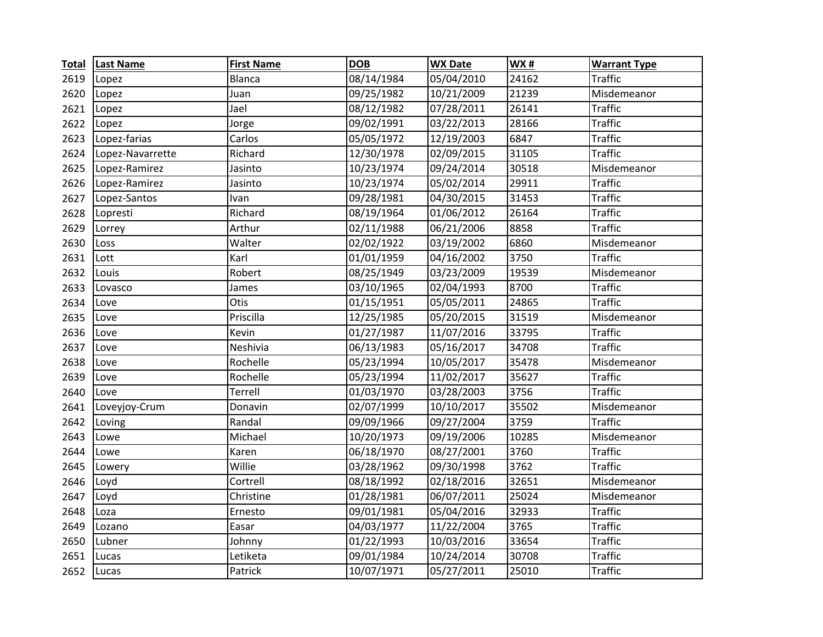| <b>Total</b> | <b>Last Name</b> | <b>First Name</b> | <b>DOB</b> | <b>WX Date</b> | <b>WX#</b> | <b>Warrant Type</b> |
|--------------|------------------|-------------------|------------|----------------|------------|---------------------|
| 2619         | Lopez            | <b>Blanca</b>     | 08/14/1984 | 05/04/2010     | 24162      | <b>Traffic</b>      |
| 2620         | Lopez            | Juan              | 09/25/1982 | 10/21/2009     | 21239      | Misdemeanor         |
| 2621         | Lopez            | Jael              | 08/12/1982 | 07/28/2011     | 26141      | <b>Traffic</b>      |
| 2622         | Lopez            | Jorge             | 09/02/1991 | 03/22/2013     | 28166      | <b>Traffic</b>      |
| 2623         | Lopez-farias     | Carlos            | 05/05/1972 | 12/19/2003     | 6847       | <b>Traffic</b>      |
| 2624         | Lopez-Navarrette | Richard           | 12/30/1978 | 02/09/2015     | 31105      | <b>Traffic</b>      |
| 2625         | Lopez-Ramirez    | Jasinto           | 10/23/1974 | 09/24/2014     | 30518      | Misdemeanor         |
| 2626         | Lopez-Ramirez    | Jasinto           | 10/23/1974 | 05/02/2014     | 29911      | <b>Traffic</b>      |
| 2627         | Lopez-Santos     | Ivan              | 09/28/1981 | 04/30/2015     | 31453      | <b>Traffic</b>      |
| 2628         | Lopresti         | Richard           | 08/19/1964 | 01/06/2012     | 26164      | <b>Traffic</b>      |
| 2629         | Lorrey           | Arthur            | 02/11/1988 | 06/21/2006     | 8858       | <b>Traffic</b>      |
| 2630         | Loss             | Walter            | 02/02/1922 | 03/19/2002     | 6860       | Misdemeanor         |
| 2631         | Lott             | Karl              | 01/01/1959 | 04/16/2002     | 3750       | <b>Traffic</b>      |
| 2632         | Louis            | Robert            | 08/25/1949 | 03/23/2009     | 19539      | Misdemeanor         |
| 2633         | Lovasco          | James             | 03/10/1965 | 02/04/1993     | 8700       | <b>Traffic</b>      |
| 2634         | Love             | Otis              | 01/15/1951 | 05/05/2011     | 24865      | <b>Traffic</b>      |
| 2635         | Love             | Priscilla         | 12/25/1985 | 05/20/2015     | 31519      | Misdemeanor         |
| 2636         | Love             | Kevin             | 01/27/1987 | 11/07/2016     | 33795      | <b>Traffic</b>      |
| 2637         | Love             | Neshivia          | 06/13/1983 | 05/16/2017     | 34708      | <b>Traffic</b>      |
| 2638         | Love             | Rochelle          | 05/23/1994 | 10/05/2017     | 35478      | Misdemeanor         |
| 2639         | Love             | Rochelle          | 05/23/1994 | 11/02/2017     | 35627      | <b>Traffic</b>      |
| 2640         | Love             | Terrell           | 01/03/1970 | 03/28/2003     | 3756       | <b>Traffic</b>      |
| 2641         | Loveyjoy-Crum    | Donavin           | 02/07/1999 | 10/10/2017     | 35502      | Misdemeanor         |
| 2642         | Loving           | Randal            | 09/09/1966 | 09/27/2004     | 3759       | <b>Traffic</b>      |
| 2643         | Lowe             | Michael           | 10/20/1973 | 09/19/2006     | 10285      | Misdemeanor         |
| 2644         | Lowe             | Karen             | 06/18/1970 | 08/27/2001     | 3760       | <b>Traffic</b>      |
| 2645         | Lowery           | Willie            | 03/28/1962 | 09/30/1998     | 3762       | <b>Traffic</b>      |
| 2646         | Loyd             | Cortrell          | 08/18/1992 | 02/18/2016     | 32651      | Misdemeanor         |
| 2647         | Loyd             | Christine         | 01/28/1981 | 06/07/2011     | 25024      | Misdemeanor         |
| 2648         | Loza             | Ernesto           | 09/01/1981 | 05/04/2016     | 32933      | <b>Traffic</b>      |
| 2649         | Lozano           | Easar             | 04/03/1977 | 11/22/2004     | 3765       | <b>Traffic</b>      |
| 2650         | Lubner           | Johnny            | 01/22/1993 | 10/03/2016     | 33654      | <b>Traffic</b>      |
| 2651         | Lucas            | Letiketa          | 09/01/1984 | 10/24/2014     | 30708      | <b>Traffic</b>      |
| 2652         | Lucas            | Patrick           | 10/07/1971 | 05/27/2011     | 25010      | <b>Traffic</b>      |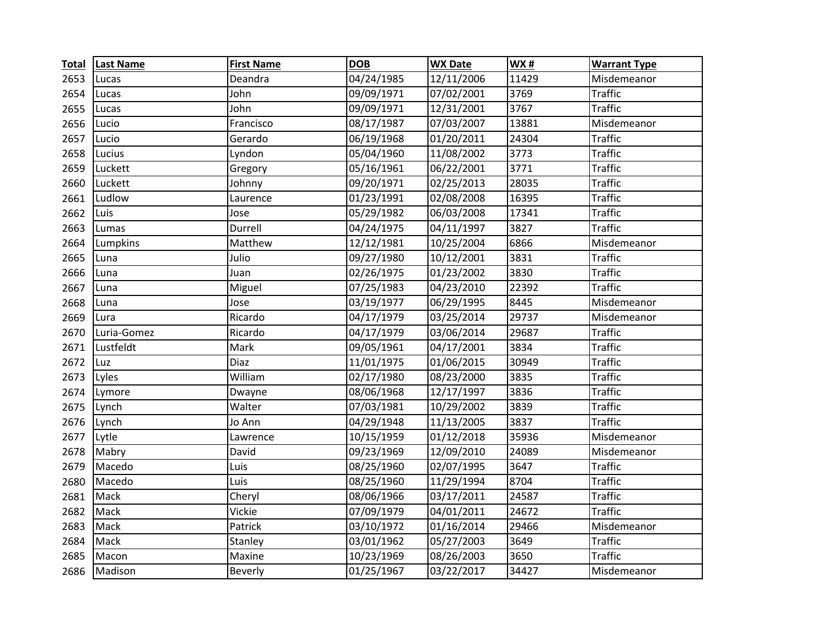| <b>Total</b> | <b>Last Name</b> | <b>First Name</b> | <b>DOB</b> | <b>WX Date</b> | <b>WX#</b> | <b>Warrant Type</b> |
|--------------|------------------|-------------------|------------|----------------|------------|---------------------|
| 2653         | Lucas            | Deandra           | 04/24/1985 | 12/11/2006     | 11429      | Misdemeanor         |
| 2654         | Lucas            | John              | 09/09/1971 | 07/02/2001     | 3769       | <b>Traffic</b>      |
| 2655         | Lucas            | John              | 09/09/1971 | 12/31/2001     | 3767       | <b>Traffic</b>      |
| 2656         | Lucio            | Francisco         | 08/17/1987 | 07/03/2007     | 13881      | Misdemeanor         |
| 2657         | Lucio            | Gerardo           | 06/19/1968 | 01/20/2011     | 24304      | <b>Traffic</b>      |
| 2658         | Lucius           | Lyndon            | 05/04/1960 | 11/08/2002     | 3773       | <b>Traffic</b>      |
| 2659         | Luckett          | Gregory           | 05/16/1961 | 06/22/2001     | 3771       | <b>Traffic</b>      |
| 2660         | Luckett          | Johnny            | 09/20/1971 | 02/25/2013     | 28035      | <b>Traffic</b>      |
| 2661         | Ludlow           | Laurence          | 01/23/1991 | 02/08/2008     | 16395      | <b>Traffic</b>      |
| 2662         | Luis             | Jose              | 05/29/1982 | 06/03/2008     | 17341      | <b>Traffic</b>      |
| 2663         | Lumas            | Durrell           | 04/24/1975 | 04/11/1997     | 3827       | <b>Traffic</b>      |
| 2664         | Lumpkins         | Matthew           | 12/12/1981 | 10/25/2004     | 6866       | Misdemeanor         |
| 2665         | Luna             | Julio             | 09/27/1980 | 10/12/2001     | 3831       | <b>Traffic</b>      |
| 2666         | Luna             | Juan              | 02/26/1975 | 01/23/2002     | 3830       | <b>Traffic</b>      |
| 2667         | Luna             | Miguel            | 07/25/1983 | 04/23/2010     | 22392      | <b>Traffic</b>      |
| 2668         | Luna             | Jose              | 03/19/1977 | 06/29/1995     | 8445       | Misdemeanor         |
| 2669         | Lura             | Ricardo           | 04/17/1979 | 03/25/2014     | 29737      | Misdemeanor         |
| 2670         | Luria-Gomez      | Ricardo           | 04/17/1979 | 03/06/2014     | 29687      | <b>Traffic</b>      |
| 2671         | Lustfeldt        | Mark              | 09/05/1961 | 04/17/2001     | 3834       | <b>Traffic</b>      |
| 2672         | Luz              | Diaz              | 11/01/1975 | 01/06/2015     | 30949      | <b>Traffic</b>      |
| 2673         | Lyles            | William           | 02/17/1980 | 08/23/2000     | 3835       | <b>Traffic</b>      |
| 2674         | Lymore           | Dwayne            | 08/06/1968 | 12/17/1997     | 3836       | <b>Traffic</b>      |
| 2675         | Lynch            | Walter            | 07/03/1981 | 10/29/2002     | 3839       | <b>Traffic</b>      |
| 2676         | Lynch            | Jo Ann            | 04/29/1948 | 11/13/2005     | 3837       | <b>Traffic</b>      |
| 2677         | Lytle            | Lawrence          | 10/15/1959 | 01/12/2018     | 35936      | Misdemeanor         |
| 2678         | Mabry            | David             | 09/23/1969 | 12/09/2010     | 24089      | Misdemeanor         |
| 2679         | Macedo           | Luis              | 08/25/1960 | 02/07/1995     | 3647       | <b>Traffic</b>      |
| 2680         | Macedo           | Luis              | 08/25/1960 | 11/29/1994     | 8704       | <b>Traffic</b>      |
| 2681         | Mack             | Cheryl            | 08/06/1966 | 03/17/2011     | 24587      | <b>Traffic</b>      |
| 2682         | Mack             | Vickie            | 07/09/1979 | 04/01/2011     | 24672      | <b>Traffic</b>      |
| 2683         | Mack             | Patrick           | 03/10/1972 | 01/16/2014     | 29466      | Misdemeanor         |
| 2684         | Mack             | Stanley           | 03/01/1962 | 05/27/2003     | 3649       | <b>Traffic</b>      |
| 2685         | Macon            | Maxine            | 10/23/1969 | 08/26/2003     | 3650       | <b>Traffic</b>      |
| 2686         | Madison          | <b>Beverly</b>    | 01/25/1967 | 03/22/2017     | 34427      | Misdemeanor         |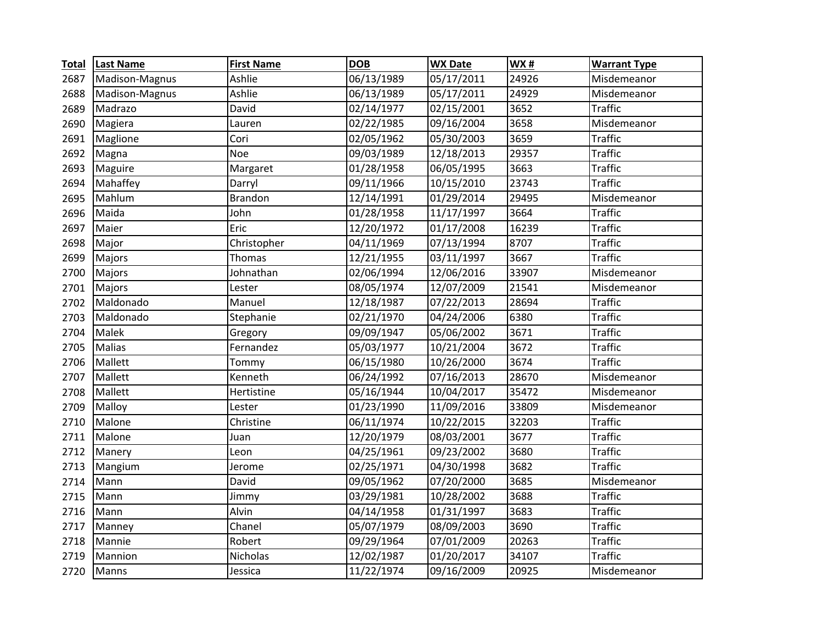| <b>Total</b> | <b>Last Name</b> | <b>First Name</b> | <b>DOB</b> | <b>WX Date</b> | WX#   | <b>Warrant Type</b> |
|--------------|------------------|-------------------|------------|----------------|-------|---------------------|
| 2687         | Madison-Magnus   | Ashlie            | 06/13/1989 | 05/17/2011     | 24926 | Misdemeanor         |
| 2688         | Madison-Magnus   | Ashlie            | 06/13/1989 | 05/17/2011     | 24929 | Misdemeanor         |
| 2689         | Madrazo          | David             | 02/14/1977 | 02/15/2001     | 3652  | <b>Traffic</b>      |
| 2690         | Magiera          | Lauren            | 02/22/1985 | 09/16/2004     | 3658  | Misdemeanor         |
| 2691         | Maglione         | Cori              | 02/05/1962 | 05/30/2003     | 3659  | <b>Traffic</b>      |
| 2692         | Magna            | <b>Noe</b>        | 09/03/1989 | 12/18/2013     | 29357 | <b>Traffic</b>      |
| 2693         | Maguire          | Margaret          | 01/28/1958 | 06/05/1995     | 3663  | <b>Traffic</b>      |
| 2694         | Mahaffey         | Darryl            | 09/11/1966 | 10/15/2010     | 23743 | <b>Traffic</b>      |
| 2695         | Mahlum           | <b>Brandon</b>    | 12/14/1991 | 01/29/2014     | 29495 | Misdemeanor         |
| 2696         | Maida            | John              | 01/28/1958 | 11/17/1997     | 3664  | <b>Traffic</b>      |
| 2697         | Maier            | Eric              | 12/20/1972 | 01/17/2008     | 16239 | <b>Traffic</b>      |
| 2698         | Major            | Christopher       | 04/11/1969 | 07/13/1994     | 8707  | <b>Traffic</b>      |
| 2699         | Majors           | Thomas            | 12/21/1955 | 03/11/1997     | 3667  | <b>Traffic</b>      |
| 2700         | Majors           | Johnathan         | 02/06/1994 | 12/06/2016     | 33907 | Misdemeanor         |
| 2701         | Majors           | Lester            | 08/05/1974 | 12/07/2009     | 21541 | Misdemeanor         |
| 2702         | Maldonado        | Manuel            | 12/18/1987 | 07/22/2013     | 28694 | <b>Traffic</b>      |
| 2703         | Maldonado        | Stephanie         | 02/21/1970 | 04/24/2006     | 6380  | <b>Traffic</b>      |
| 2704         | Malek            | Gregory           | 09/09/1947 | 05/06/2002     | 3671  | <b>Traffic</b>      |
| 2705         | <b>Malias</b>    | Fernandez         | 05/03/1977 | 10/21/2004     | 3672  | <b>Traffic</b>      |
| 2706         | Mallett          | Tommy             | 06/15/1980 | 10/26/2000     | 3674  | <b>Traffic</b>      |
| 2707         | Mallett          | Kenneth           | 06/24/1992 | 07/16/2013     | 28670 | Misdemeanor         |
| 2708         | Mallett          | Hertistine        | 05/16/1944 | 10/04/2017     | 35472 | Misdemeanor         |
| 2709         | Malloy           | Lester            | 01/23/1990 | 11/09/2016     | 33809 | Misdemeanor         |
| 2710         | Malone           | Christine         | 06/11/1974 | 10/22/2015     | 32203 | <b>Traffic</b>      |
| 2711         | Malone           | Juan              | 12/20/1979 | 08/03/2001     | 3677  | <b>Traffic</b>      |
| 2712         | Manery           | Leon              | 04/25/1961 | 09/23/2002     | 3680  | <b>Traffic</b>      |
| 2713         | Mangium          | Jerome            | 02/25/1971 | 04/30/1998     | 3682  | <b>Traffic</b>      |
| 2714         | Mann             | David             | 09/05/1962 | 07/20/2000     | 3685  | Misdemeanor         |
| 2715         | Mann             | Jimmy             | 03/29/1981 | 10/28/2002     | 3688  | <b>Traffic</b>      |
| 2716         | Mann             | Alvin             | 04/14/1958 | 01/31/1997     | 3683  | <b>Traffic</b>      |
| 2717         | Manney           | Chanel            | 05/07/1979 | 08/09/2003     | 3690  | <b>Traffic</b>      |
| 2718         | Mannie           | Robert            | 09/29/1964 | 07/01/2009     | 20263 | <b>Traffic</b>      |
| 2719         | Mannion          | Nicholas          | 12/02/1987 | 01/20/2017     | 34107 | <b>Traffic</b>      |
| 2720         | Manns            | Jessica           | 11/22/1974 | 09/16/2009     | 20925 | Misdemeanor         |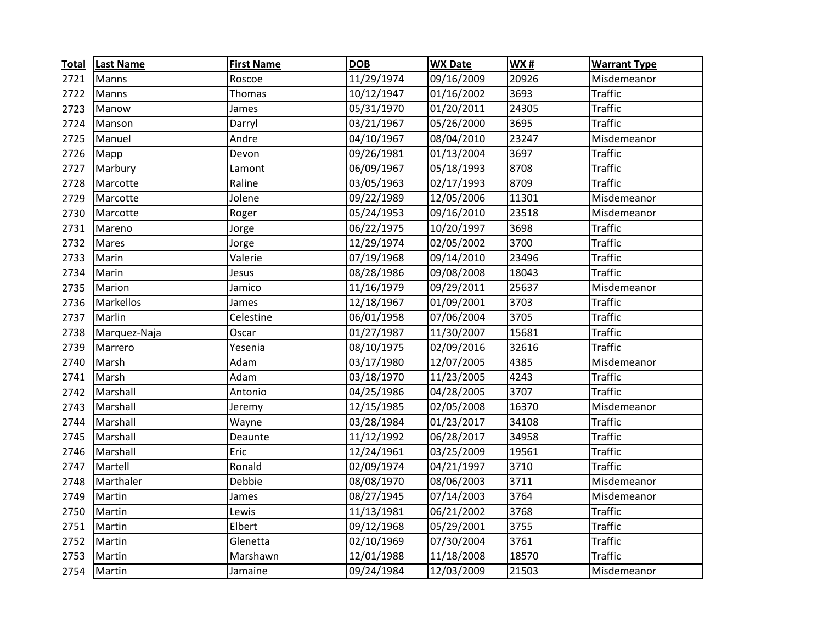| <b>Total</b> | <b>Last Name</b> | <b>First Name</b> | <b>DOB</b> | <b>WX Date</b> | WX#   | <b>Warrant Type</b> |
|--------------|------------------|-------------------|------------|----------------|-------|---------------------|
| 2721         | Manns            | Roscoe            | 11/29/1974 | 09/16/2009     | 20926 | Misdemeanor         |
| 2722         | Manns            | Thomas            | 10/12/1947 | 01/16/2002     | 3693  | <b>Traffic</b>      |
| 2723         | Manow            | James             | 05/31/1970 | 01/20/2011     | 24305 | <b>Traffic</b>      |
| 2724         | Manson           | Darryl            | 03/21/1967 | 05/26/2000     | 3695  | <b>Traffic</b>      |
| 2725         | Manuel           | Andre             | 04/10/1967 | 08/04/2010     | 23247 | Misdemeanor         |
| 2726         | Mapp             | Devon             | 09/26/1981 | 01/13/2004     | 3697  | <b>Traffic</b>      |
| 2727         | Marbury          | Lamont            | 06/09/1967 | 05/18/1993     | 8708  | <b>Traffic</b>      |
| 2728         | Marcotte         | Raline            | 03/05/1963 | 02/17/1993     | 8709  | <b>Traffic</b>      |
| 2729         | Marcotte         | Jolene            | 09/22/1989 | 12/05/2006     | 11301 | Misdemeanor         |
| 2730         | Marcotte         | Roger             | 05/24/1953 | 09/16/2010     | 23518 | Misdemeanor         |
| 2731         | Mareno           | Jorge             | 06/22/1975 | 10/20/1997     | 3698  | <b>Traffic</b>      |
| 2732         | <b>Mares</b>     | Jorge             | 12/29/1974 | 02/05/2002     | 3700  | <b>Traffic</b>      |
| 2733         | Marin            | Valerie           | 07/19/1968 | 09/14/2010     | 23496 | <b>Traffic</b>      |
| 2734         | Marin            | Jesus             | 08/28/1986 | 09/08/2008     | 18043 | <b>Traffic</b>      |
| 2735         | Marion           | Jamico            | 11/16/1979 | 09/29/2011     | 25637 | Misdemeanor         |
| 2736         | Markellos        | James             | 12/18/1967 | 01/09/2001     | 3703  | <b>Traffic</b>      |
| 2737         | Marlin           | Celestine         | 06/01/1958 | 07/06/2004     | 3705  | <b>Traffic</b>      |
| 2738         | Marquez-Naja     | Oscar             | 01/27/1987 | 11/30/2007     | 15681 | <b>Traffic</b>      |
| 2739         | Marrero          | Yesenia           | 08/10/1975 | 02/09/2016     | 32616 | <b>Traffic</b>      |
| 2740         | Marsh            | Adam              | 03/17/1980 | 12/07/2005     | 4385  | Misdemeanor         |
| 2741         | Marsh            | Adam              | 03/18/1970 | 11/23/2005     | 4243  | <b>Traffic</b>      |
| 2742         | Marshall         | Antonio           | 04/25/1986 | 04/28/2005     | 3707  | <b>Traffic</b>      |
| 2743         | Marshall         | Jeremy            | 12/15/1985 | 02/05/2008     | 16370 | Misdemeanor         |
| 2744         | Marshall         | Wayne             | 03/28/1984 | 01/23/2017     | 34108 | <b>Traffic</b>      |
| 2745         | Marshall         | Deaunte           | 11/12/1992 | 06/28/2017     | 34958 | <b>Traffic</b>      |
| 2746         | Marshall         | Eric              | 12/24/1961 | 03/25/2009     | 19561 | <b>Traffic</b>      |
| 2747         | Martell          | Ronald            | 02/09/1974 | 04/21/1997     | 3710  | <b>Traffic</b>      |
| 2748         | Marthaler        | Debbie            | 08/08/1970 | 08/06/2003     | 3711  | Misdemeanor         |
| 2749         | Martin           | James             | 08/27/1945 | 07/14/2003     | 3764  | Misdemeanor         |
| 2750         | Martin           | Lewis             | 11/13/1981 | 06/21/2002     | 3768  | <b>Traffic</b>      |
| 2751         | Martin           | Elbert            | 09/12/1968 | 05/29/2001     | 3755  | <b>Traffic</b>      |
| 2752         | Martin           | Glenetta          | 02/10/1969 | 07/30/2004     | 3761  | <b>Traffic</b>      |
| 2753         | Martin           | Marshawn          | 12/01/1988 | 11/18/2008     | 18570 | <b>Traffic</b>      |
| 2754         | Martin           | Jamaine           | 09/24/1984 | 12/03/2009     | 21503 | Misdemeanor         |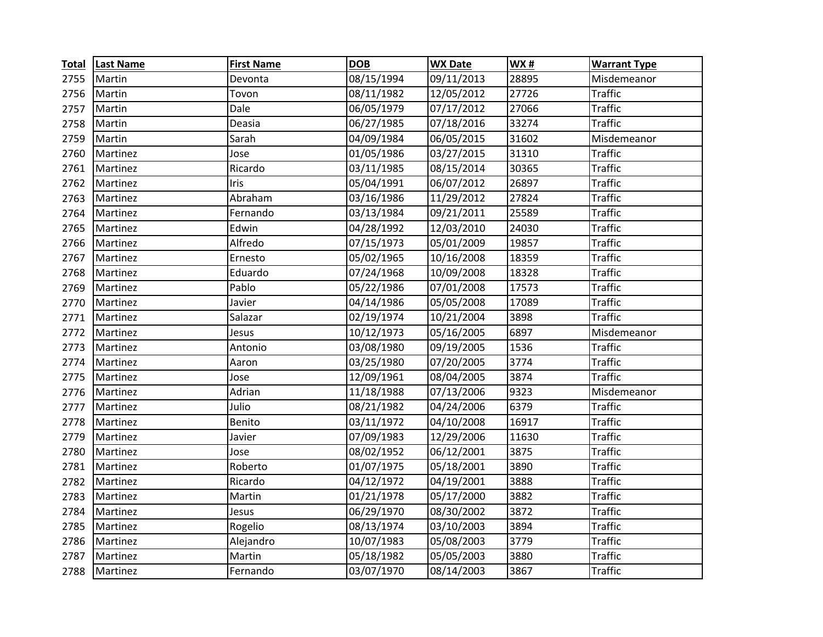| <b>Total</b> | <b>Last Name</b> | <b>First Name</b> | <b>DOB</b> | <b>WX Date</b> | WX#   | <b>Warrant Type</b> |
|--------------|------------------|-------------------|------------|----------------|-------|---------------------|
| 2755         | Martin           | Devonta           | 08/15/1994 | 09/11/2013     | 28895 | Misdemeanor         |
| 2756         | Martin           | Tovon             | 08/11/1982 | 12/05/2012     | 27726 | <b>Traffic</b>      |
| 2757         | Martin           | Dale              | 06/05/1979 | 07/17/2012     | 27066 | <b>Traffic</b>      |
| 2758         | Martin           | Deasia            | 06/27/1985 | 07/18/2016     | 33274 | <b>Traffic</b>      |
| 2759         | Martin           | Sarah             | 04/09/1984 | 06/05/2015     | 31602 | Misdemeanor         |
| 2760         | Martinez         | Jose              | 01/05/1986 | 03/27/2015     | 31310 | <b>Traffic</b>      |
| 2761         | Martinez         | Ricardo           | 03/11/1985 | 08/15/2014     | 30365 | <b>Traffic</b>      |
| 2762         | Martinez         | Iris              | 05/04/1991 | 06/07/2012     | 26897 | <b>Traffic</b>      |
| 2763         | Martinez         | Abraham           | 03/16/1986 | 11/29/2012     | 27824 | <b>Traffic</b>      |
| 2764         | Martinez         | Fernando          | 03/13/1984 | 09/21/2011     | 25589 | <b>Traffic</b>      |
| 2765         | Martinez         | Edwin             | 04/28/1992 | 12/03/2010     | 24030 | <b>Traffic</b>      |
| 2766         | Martinez         | Alfredo           | 07/15/1973 | 05/01/2009     | 19857 | <b>Traffic</b>      |
| 2767         | Martinez         | Ernesto           | 05/02/1965 | 10/16/2008     | 18359 | <b>Traffic</b>      |
| 2768         | Martinez         | Eduardo           | 07/24/1968 | 10/09/2008     | 18328 | <b>Traffic</b>      |
| 2769         | Martinez         | Pablo             | 05/22/1986 | 07/01/2008     | 17573 | <b>Traffic</b>      |
| 2770         | Martinez         | Javier            | 04/14/1986 | 05/05/2008     | 17089 | <b>Traffic</b>      |
| 2771         | Martinez         | Salazar           | 02/19/1974 | 10/21/2004     | 3898  | <b>Traffic</b>      |
| 2772         | Martinez         | Jesus             | 10/12/1973 | 05/16/2005     | 6897  | Misdemeanor         |
| 2773         | Martinez         | Antonio           | 03/08/1980 | 09/19/2005     | 1536  | <b>Traffic</b>      |
| 2774         | Martinez         | Aaron             | 03/25/1980 | 07/20/2005     | 3774  | <b>Traffic</b>      |
| 2775         | Martinez         | Jose              | 12/09/1961 | 08/04/2005     | 3874  | <b>Traffic</b>      |
| 2776         | Martinez         | Adrian            | 11/18/1988 | 07/13/2006     | 9323  | Misdemeanor         |
| 2777         | Martinez         | Julio             | 08/21/1982 | 04/24/2006     | 6379  | <b>Traffic</b>      |
| 2778         | Martinez         | Benito            | 03/11/1972 | 04/10/2008     | 16917 | <b>Traffic</b>      |
| 2779         | Martinez         | Javier            | 07/09/1983 | 12/29/2006     | 11630 | <b>Traffic</b>      |
| 2780         | Martinez         | Jose              | 08/02/1952 | 06/12/2001     | 3875  | <b>Traffic</b>      |
| 2781         | Martinez         | Roberto           | 01/07/1975 | 05/18/2001     | 3890  | <b>Traffic</b>      |
| 2782         | Martinez         | Ricardo           | 04/12/1972 | 04/19/2001     | 3888  | <b>Traffic</b>      |
| 2783         | Martinez         | Martin            | 01/21/1978 | 05/17/2000     | 3882  | <b>Traffic</b>      |
| 2784         | Martinez         | Jesus             | 06/29/1970 | 08/30/2002     | 3872  | <b>Traffic</b>      |
| 2785         | Martinez         | Rogelio           | 08/13/1974 | 03/10/2003     | 3894  | <b>Traffic</b>      |
| 2786         | Martinez         | Alejandro         | 10/07/1983 | 05/08/2003     | 3779  | <b>Traffic</b>      |
| 2787         | Martinez         | Martin            | 05/18/1982 | 05/05/2003     | 3880  | <b>Traffic</b>      |
| 2788         | Martinez         | Fernando          | 03/07/1970 | 08/14/2003     | 3867  | <b>Traffic</b>      |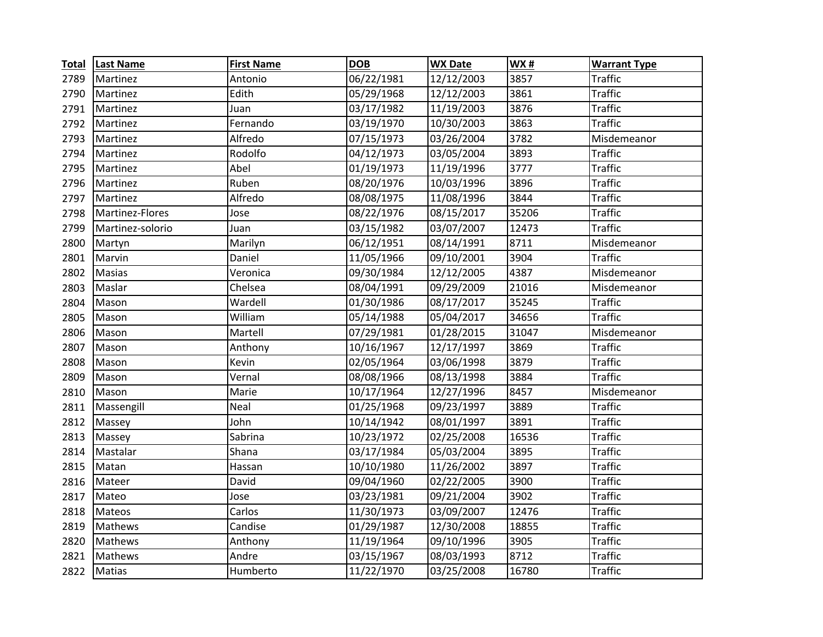| <b>Total</b> | <b>Last Name</b> | <b>First Name</b> | <b>DOB</b> | <b>WX Date</b> | <b>WX#</b> | <b>Warrant Type</b> |
|--------------|------------------|-------------------|------------|----------------|------------|---------------------|
| 2789         | Martinez         | Antonio           | 06/22/1981 | 12/12/2003     | 3857       | Traffic             |
| 2790         | Martinez         | Edith             | 05/29/1968 | 12/12/2003     | 3861       | <b>Traffic</b>      |
| 2791         | Martinez         | Juan              | 03/17/1982 | 11/19/2003     | 3876       | <b>Traffic</b>      |
| 2792         | Martinez         | Fernando          | 03/19/1970 | 10/30/2003     | 3863       | <b>Traffic</b>      |
| 2793         | Martinez         | Alfredo           | 07/15/1973 | 03/26/2004     | 3782       | Misdemeanor         |
| 2794         | Martinez         | Rodolfo           | 04/12/1973 | 03/05/2004     | 3893       | <b>Traffic</b>      |
| 2795         | Martinez         | Abel              | 01/19/1973 | 11/19/1996     | 3777       | <b>Traffic</b>      |
| 2796         | Martinez         | Ruben             | 08/20/1976 | 10/03/1996     | 3896       | Traffic             |
| 2797         | Martinez         | Alfredo           | 08/08/1975 | 11/08/1996     | 3844       | <b>Traffic</b>      |
| 2798         | Martinez-Flores  | Jose              | 08/22/1976 | 08/15/2017     | 35206      | <b>Traffic</b>      |
| 2799         | Martinez-solorio | Juan              | 03/15/1982 | 03/07/2007     | 12473      | <b>Traffic</b>      |
| 2800         | Martyn           | Marilyn           | 06/12/1951 | 08/14/1991     | 8711       | Misdemeanor         |
| 2801         | Marvin           | Daniel            | 11/05/1966 | 09/10/2001     | 3904       | <b>Traffic</b>      |
| 2802         | Masias           | Veronica          | 09/30/1984 | 12/12/2005     | 4387       | Misdemeanor         |
| 2803         | Maslar           | Chelsea           | 08/04/1991 | 09/29/2009     | 21016      | Misdemeanor         |
| 2804         | Mason            | Wardell           | 01/30/1986 | 08/17/2017     | 35245      | <b>Traffic</b>      |
| 2805         | Mason            | William           | 05/14/1988 | 05/04/2017     | 34656      | <b>Traffic</b>      |
| 2806         | Mason            | Martell           | 07/29/1981 | 01/28/2015     | 31047      | Misdemeanor         |
| 2807         | Mason            | Anthony           | 10/16/1967 | 12/17/1997     | 3869       | <b>Traffic</b>      |
| 2808         | Mason            | Kevin             | 02/05/1964 | 03/06/1998     | 3879       | <b>Traffic</b>      |
| 2809         | Mason            | Vernal            | 08/08/1966 | 08/13/1998     | 3884       | <b>Traffic</b>      |
| 2810         | Mason            | Marie             | 10/17/1964 | 12/27/1996     | 8457       | Misdemeanor         |
| 2811         | Massengill       | Neal              | 01/25/1968 | 09/23/1997     | 3889       | <b>Traffic</b>      |
| 2812         | Massey           | John              | 10/14/1942 | 08/01/1997     | 3891       | <b>Traffic</b>      |
| 2813         | Massey           | Sabrina           | 10/23/1972 | 02/25/2008     | 16536      | <b>Traffic</b>      |
| 2814         | Mastalar         | Shana             | 03/17/1984 | 05/03/2004     | 3895       | <b>Traffic</b>      |
| 2815         | Matan            | Hassan            | 10/10/1980 | 11/26/2002     | 3897       | <b>Traffic</b>      |
| 2816         | Mateer           | David             | 09/04/1960 | 02/22/2005     | 3900       | <b>Traffic</b>      |
| 2817         | Mateo            | Jose              | 03/23/1981 | 09/21/2004     | 3902       | <b>Traffic</b>      |
| 2818         | Mateos           | Carlos            | 11/30/1973 | 03/09/2007     | 12476      | <b>Traffic</b>      |
| 2819         | Mathews          | Candise           | 01/29/1987 | 12/30/2008     | 18855      | <b>Traffic</b>      |
| 2820         | Mathews          | Anthony           | 11/19/1964 | 09/10/1996     | 3905       | <b>Traffic</b>      |
| 2821         | Mathews          | Andre             | 03/15/1967 | 08/03/1993     | 8712       | <b>Traffic</b>      |
| 2822         | Matias           | Humberto          | 11/22/1970 | 03/25/2008     | 16780      | <b>Traffic</b>      |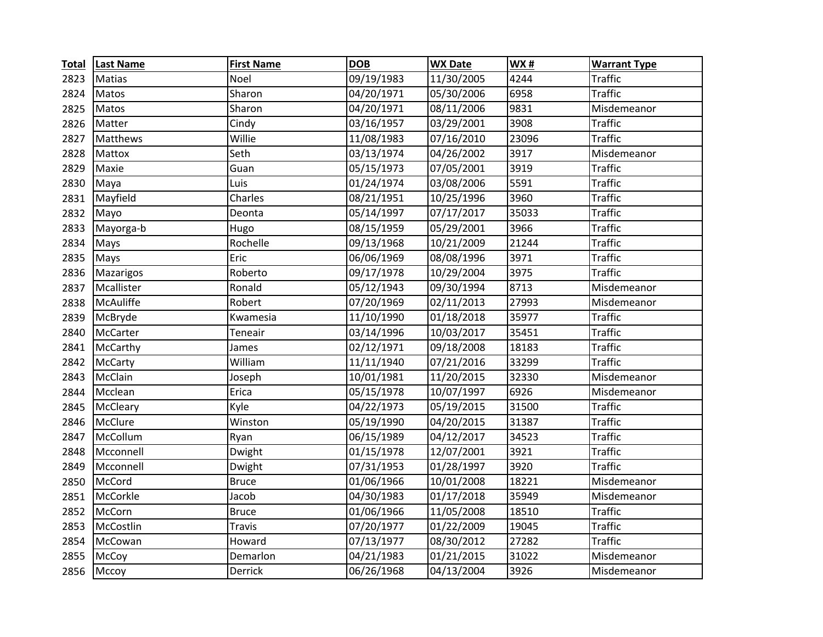| <b>Total</b> | <b>Last Name</b> | <b>First Name</b> | <b>DOB</b> | <b>WX Date</b> | <b>WX#</b>       | <b>Warrant Type</b> |
|--------------|------------------|-------------------|------------|----------------|------------------|---------------------|
| 2823         | Matias           | Noel              | 09/19/1983 | 11/30/2005     | 4244             | <b>Traffic</b>      |
| 2824         | Matos            | Sharon            | 04/20/1971 | 05/30/2006     | 6958             | <b>Traffic</b>      |
| 2825         | Matos            | Sharon            | 04/20/1971 | 08/11/2006     | $\frac{1}{9831}$ | Misdemeanor         |
| 2826         | Matter           | Cindy             | 03/16/1957 | 03/29/2001     | 3908             | <b>Traffic</b>      |
| 2827         | Matthews         | Willie            | 11/08/1983 | 07/16/2010     | 23096            | <b>Traffic</b>      |
| 2828         | Mattox           | Seth              | 03/13/1974 | 04/26/2002     | 3917             | Misdemeanor         |
| 2829         | Maxie            | Guan              | 05/15/1973 | 07/05/2001     | 3919             | <b>Traffic</b>      |
| 2830         | Maya             | Luis              | 01/24/1974 | 03/08/2006     | 5591             | <b>Traffic</b>      |
| 2831         | Mayfield         | Charles           | 08/21/1951 | 10/25/1996     | 3960             | <b>Traffic</b>      |
| 2832         | Mayo             | Deonta            | 05/14/1997 | 07/17/2017     | 35033            | <b>Traffic</b>      |
| 2833         | Mayorga-b        | Hugo              | 08/15/1959 | 05/29/2001     | 3966             | <b>Traffic</b>      |
| 2834         | Mays             | Rochelle          | 09/13/1968 | 10/21/2009     | 21244            | <b>Traffic</b>      |
| 2835         | Mays             | Eric              | 06/06/1969 | 08/08/1996     | 3971             | <b>Traffic</b>      |
| 2836         | Mazarigos        | Roberto           | 09/17/1978 | 10/29/2004     | 3975             | <b>Traffic</b>      |
| 2837         | Mcallister       | Ronald            | 05/12/1943 | 09/30/1994     | 8713             | Misdemeanor         |
| 2838         | McAuliffe        | Robert            | 07/20/1969 | 02/11/2013     | 27993            | Misdemeanor         |
| 2839         | McBryde          | Kwamesia          | 11/10/1990 | 01/18/2018     | 35977            | <b>Traffic</b>      |
| 2840         | McCarter         | Teneair           | 03/14/1996 | 10/03/2017     | 35451            | <b>Traffic</b>      |
| 2841         | McCarthy         | James             | 02/12/1971 | 09/18/2008     | 18183            | <b>Traffic</b>      |
| 2842         | McCarty          | William           | 11/11/1940 | 07/21/2016     | 33299            | <b>Traffic</b>      |
| 2843         | McClain          | Joseph            | 10/01/1981 | 11/20/2015     | 32330            | Misdemeanor         |
| 2844         | Mcclean          | Erica             | 05/15/1978 | 10/07/1997     | 6926             | Misdemeanor         |
| 2845         | McCleary         | Kyle              | 04/22/1973 | 05/19/2015     | 31500            | <b>Traffic</b>      |
| 2846         | McClure          | Winston           | 05/19/1990 | 04/20/2015     | 31387            | <b>Traffic</b>      |
| 2847         | McCollum         | Ryan              | 06/15/1989 | 04/12/2017     | 34523            | <b>Traffic</b>      |
| 2848         | Mcconnell        | Dwight            | 01/15/1978 | 12/07/2001     | 3921             | <b>Traffic</b>      |
| 2849         | Mcconnell        | Dwight            | 07/31/1953 | 01/28/1997     | 3920             | <b>Traffic</b>      |
| 2850         | McCord           | <b>Bruce</b>      | 01/06/1966 | 10/01/2008     | 18221            | Misdemeanor         |
| 2851         | McCorkle         | Jacob             | 04/30/1983 | 01/17/2018     | 35949            | Misdemeanor         |
| 2852         | McCorn           | <b>Bruce</b>      | 01/06/1966 | 11/05/2008     | 18510            | <b>Traffic</b>      |
| 2853         | McCostlin        | Travis            | 07/20/1977 | 01/22/2009     | 19045            | <b>Traffic</b>      |
| 2854         | McCowan          | Howard            | 07/13/1977 | 08/30/2012     | 27282            | <b>Traffic</b>      |
| 2855         | McCoy            | Demarlon          | 04/21/1983 | 01/21/2015     | 31022            | Misdemeanor         |
| 2856         | Mccoy            | Derrick           | 06/26/1968 | 04/13/2004     | 3926             | Misdemeanor         |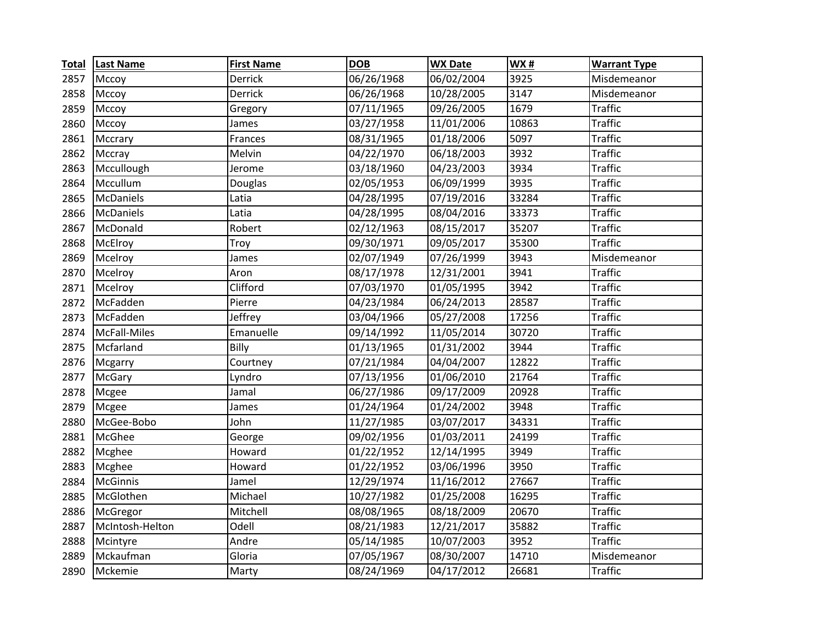| <b>Total</b> | <b>Last Name</b> | <b>First Name</b> | <b>DOB</b> | <b>WX Date</b> | <b>WX#</b> | <b>Warrant Type</b> |
|--------------|------------------|-------------------|------------|----------------|------------|---------------------|
| 2857         | Mccoy            | Derrick           | 06/26/1968 | 06/02/2004     | 3925       | Misdemeanor         |
| 2858         | Mccoy            | Derrick           | 06/26/1968 | 10/28/2005     | 3147       | Misdemeanor         |
| 2859         | Mccoy            | Gregory           | 07/11/1965 | 09/26/2005     | 1679       | <b>Traffic</b>      |
| 2860         | Mccoy            | James             | 03/27/1958 | 11/01/2006     | 10863      | <b>Traffic</b>      |
| 2861         | Mccrary          | Frances           | 08/31/1965 | 01/18/2006     | 5097       | <b>Traffic</b>      |
| 2862         | Mccray           | Melvin            | 04/22/1970 | 06/18/2003     | 3932       | <b>Traffic</b>      |
| 2863         | Mccullough       | Jerome            | 03/18/1960 | 04/23/2003     | 3934       | <b>Traffic</b>      |
| 2864         | Mccullum         | Douglas           | 02/05/1953 | 06/09/1999     | 3935       | <b>Traffic</b>      |
| 2865         | McDaniels        | Latia             | 04/28/1995 | 07/19/2016     | 33284      | <b>Traffic</b>      |
| 2866         | McDaniels        | Latia             | 04/28/1995 | 08/04/2016     | 33373      | <b>Traffic</b>      |
| 2867         | McDonald         | Robert            | 02/12/1963 | 08/15/2017     | 35207      | <b>Traffic</b>      |
| 2868         | McElroy          | Troy              | 09/30/1971 | 09/05/2017     | 35300      | <b>Traffic</b>      |
| 2869         | Mcelroy          | James             | 02/07/1949 | 07/26/1999     | 3943       | Misdemeanor         |
| 2870         | Mcelroy          | Aron              | 08/17/1978 | 12/31/2001     | 3941       | <b>Traffic</b>      |
| 2871         | Mcelroy          | Clifford          | 07/03/1970 | 01/05/1995     | 3942       | <b>Traffic</b>      |
| 2872         | McFadden         | Pierre            | 04/23/1984 | 06/24/2013     | 28587      | <b>Traffic</b>      |
| 2873         | McFadden         | Jeffrey           | 03/04/1966 | 05/27/2008     | 17256      | <b>Traffic</b>      |
| 2874         | McFall-Miles     | Emanuelle         | 09/14/1992 | 11/05/2014     | 30720      | <b>Traffic</b>      |
| 2875         | Mcfarland        | Billy             | 01/13/1965 | 01/31/2002     | 3944       | <b>Traffic</b>      |
| 2876         | Mcgarry          | Courtney          | 07/21/1984 | 04/04/2007     | 12822      | <b>Traffic</b>      |
| 2877         | <b>McGary</b>    | Lyndro            | 07/13/1956 | 01/06/2010     | 21764      | <b>Traffic</b>      |
| 2878         | Mcgee            | Jamal             | 06/27/1986 | 09/17/2009     | 20928      | <b>Traffic</b>      |
| 2879         | Mcgee            | James             | 01/24/1964 | 01/24/2002     | 3948       | <b>Traffic</b>      |
| 2880         | McGee-Bobo       | John              | 11/27/1985 | 03/07/2017     | 34331      | <b>Traffic</b>      |
| 2881         | McGhee           | George            | 09/02/1956 | 01/03/2011     | 24199      | <b>Traffic</b>      |
| 2882         | Mcghee           | Howard            | 01/22/1952 | 12/14/1995     | 3949       | <b>Traffic</b>      |
| 2883         | Mcghee           | Howard            | 01/22/1952 | 03/06/1996     | 3950       | <b>Traffic</b>      |
| 2884         | <b>McGinnis</b>  | Jamel             | 12/29/1974 | 11/16/2012     | 27667      | <b>Traffic</b>      |
| 2885         | McGlothen        | Michael           | 10/27/1982 | 01/25/2008     | 16295      | <b>Traffic</b>      |
| 2886         | McGregor         | Mitchell          | 08/08/1965 | 08/18/2009     | 20670      | <b>Traffic</b>      |
| 2887         | McIntosh-Helton  | Odell             | 08/21/1983 | 12/21/2017     | 35882      | <b>Traffic</b>      |
| 2888         | Mcintyre         | Andre             | 05/14/1985 | 10/07/2003     | 3952       | <b>Traffic</b>      |
| 2889         | Mckaufman        | Gloria            | 07/05/1967 | 08/30/2007     | 14710      | Misdemeanor         |
| 2890         | Mckemie          | Marty             | 08/24/1969 | 04/17/2012     | 26681      | <b>Traffic</b>      |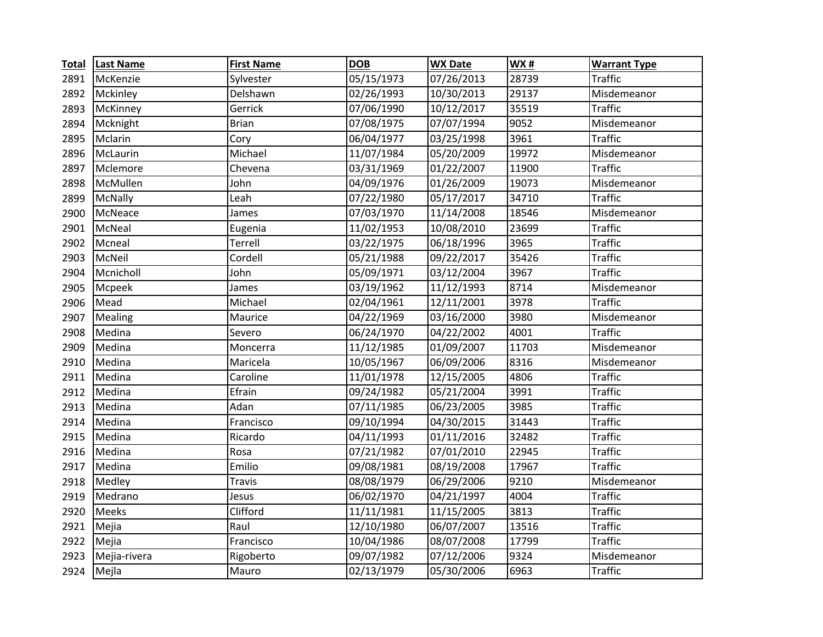| <b>Total</b> | <b>Last Name</b> | <b>First Name</b> | <b>DOB</b> | <b>WX Date</b> | <b>WX#</b> | <b>Warrant Type</b> |
|--------------|------------------|-------------------|------------|----------------|------------|---------------------|
| 2891         | McKenzie         | Sylvester         | 05/15/1973 | 07/26/2013     | 28739      | <b>Traffic</b>      |
| 2892         | Mckinley         | Delshawn          | 02/26/1993 | 10/30/2013     | 29137      | Misdemeanor         |
| 2893         | McKinney         | Gerrick           | 07/06/1990 | 10/12/2017     | 35519      | <b>Traffic</b>      |
| 2894         | Mcknight         | <b>Brian</b>      | 07/08/1975 | 07/07/1994     | 9052       | Misdemeanor         |
| 2895         | Mclarin          | Cory              | 06/04/1977 | 03/25/1998     | 3961       | <b>Traffic</b>      |
| 2896         | McLaurin         | Michael           | 11/07/1984 | 05/20/2009     | 19972      | Misdemeanor         |
| 2897         | Mclemore         | Chevena           | 03/31/1969 | 01/22/2007     | 11900      | <b>Traffic</b>      |
| 2898         | McMullen         | John              | 04/09/1976 | 01/26/2009     | 19073      | Misdemeanor         |
| 2899         | McNally          | Leah              | 07/22/1980 | 05/17/2017     | 34710      | <b>Traffic</b>      |
| 2900         | McNeace          | James             | 07/03/1970 | 11/14/2008     | 18546      | Misdemeanor         |
| 2901         | McNeal           | Eugenia           | 11/02/1953 | 10/08/2010     | 23699      | <b>Traffic</b>      |
| 2902         | Mcneal           | Terrell           | 03/22/1975 | 06/18/1996     | 3965       | <b>Traffic</b>      |
| 2903         | McNeil           | Cordell           | 05/21/1988 | 09/22/2017     | 35426      | <b>Traffic</b>      |
| 2904         | Mcnicholl        | John              | 05/09/1971 | 03/12/2004     | 3967       | <b>Traffic</b>      |
| 2905         | Mcpeek           | James             | 03/19/1962 | 11/12/1993     | 8714       | Misdemeanor         |
| 2906         | Mead             | Michael           | 02/04/1961 | 12/11/2001     | 3978       | <b>Traffic</b>      |
| 2907         | Mealing          | Maurice           | 04/22/1969 | 03/16/2000     | 3980       | Misdemeanor         |
| 2908         | Medina           | Severo            | 06/24/1970 | 04/22/2002     | 4001       | <b>Traffic</b>      |
| 2909         | Medina           | Moncerra          | 11/12/1985 | 01/09/2007     | 11703      | Misdemeanor         |
| 2910         | Medina           | Maricela          | 10/05/1967 | 06/09/2006     | 8316       | Misdemeanor         |
| 2911         | Medina           | Caroline          | 11/01/1978 | 12/15/2005     | 4806       | <b>Traffic</b>      |
| 2912         | Medina           | Efrain            | 09/24/1982 | 05/21/2004     | 3991       | <b>Traffic</b>      |
| 2913         | Medina           | Adan              | 07/11/1985 | 06/23/2005     | 3985       | <b>Traffic</b>      |
| 2914         | Medina           | Francisco         | 09/10/1994 | 04/30/2015     | 31443      | <b>Traffic</b>      |
| 2915         | Medina           | Ricardo           | 04/11/1993 | 01/11/2016     | 32482      | <b>Traffic</b>      |
| 2916         | Medina           | Rosa              | 07/21/1982 | 07/01/2010     | 22945      | <b>Traffic</b>      |
| 2917         | Medina           | Emilio            | 09/08/1981 | 08/19/2008     | 17967      | <b>Traffic</b>      |
| 2918         | Medley           | <b>Travis</b>     | 08/08/1979 | 06/29/2006     | 9210       | Misdemeanor         |
| 2919         | Medrano          | Jesus             | 06/02/1970 | 04/21/1997     | 4004       | <b>Traffic</b>      |
| 2920         | Meeks            | Clifford          | 11/11/1981 | 11/15/2005     | 3813       | <b>Traffic</b>      |
| 2921         | Mejia            | Raul              | 12/10/1980 | 06/07/2007     | 13516      | <b>Traffic</b>      |
| 2922         | Mejia            | Francisco         | 10/04/1986 | 08/07/2008     | 17799      | <b>Traffic</b>      |
| 2923         | Mejia-rivera     | Rigoberto         | 09/07/1982 | 07/12/2006     | 9324       | Misdemeanor         |
| 2924         | Mejla            | Mauro             | 02/13/1979 | 05/30/2006     | 6963       | <b>Traffic</b>      |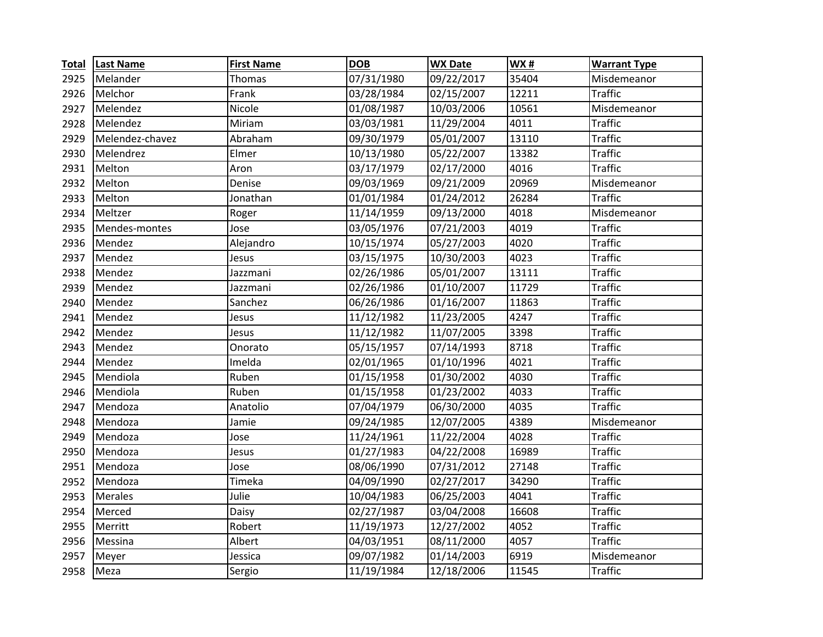| <b>Total</b> | <b>Last Name</b> | <b>First Name</b> | <b>DOB</b> | <b>WX Date</b> | <b>WX#</b> | <b>Warrant Type</b> |
|--------------|------------------|-------------------|------------|----------------|------------|---------------------|
| 2925         | Melander         | Thomas            | 07/31/1980 | 09/22/2017     | 35404      | Misdemeanor         |
| 2926         | Melchor          | Frank             | 03/28/1984 | 02/15/2007     | 12211      | <b>Traffic</b>      |
| 2927         | Melendez         | Nicole            | 01/08/1987 | 10/03/2006     | 10561      | Misdemeanor         |
| 2928         | Melendez         | Miriam            | 03/03/1981 | 11/29/2004     | 4011       | <b>Traffic</b>      |
| 2929         | Melendez-chavez  | Abraham           | 09/30/1979 | 05/01/2007     | 13110      | <b>Traffic</b>      |
| 2930         | Melendrez        | Elmer             | 10/13/1980 | 05/22/2007     | 13382      | <b>Traffic</b>      |
| 2931         | Melton           | Aron              | 03/17/1979 | 02/17/2000     | 4016       | <b>Traffic</b>      |
| 2932         | Melton           | Denise            | 09/03/1969 | 09/21/2009     | 20969      | Misdemeanor         |
| 2933         | Melton           | Jonathan          | 01/01/1984 | 01/24/2012     | 26284      | <b>Traffic</b>      |
| 2934         | Meltzer          | Roger             | 11/14/1959 | 09/13/2000     | 4018       | Misdemeanor         |
| 2935         | Mendes-montes    | Jose              | 03/05/1976 | 07/21/2003     | 4019       | <b>Traffic</b>      |
| 2936         | Mendez           | Alejandro         | 10/15/1974 | 05/27/2003     | 4020       | <b>Traffic</b>      |
| 2937         | Mendez           | Jesus             | 03/15/1975 | 10/30/2003     | 4023       | <b>Traffic</b>      |
| 2938         | Mendez           | Jazzmani          | 02/26/1986 | 05/01/2007     | 13111      | <b>Traffic</b>      |
| 2939         | Mendez           | Jazzmani          | 02/26/1986 | 01/10/2007     | 11729      | <b>Traffic</b>      |
| 2940         | Mendez           | Sanchez           | 06/26/1986 | 01/16/2007     | 11863      | <b>Traffic</b>      |
| 2941         | Mendez           | Jesus             | 11/12/1982 | 11/23/2005     | 4247       | <b>Traffic</b>      |
| 2942         | Mendez           | Jesus             | 11/12/1982 | 11/07/2005     | 3398       | <b>Traffic</b>      |
| 2943         | Mendez           | Onorato           | 05/15/1957 | 07/14/1993     | 8718       | <b>Traffic</b>      |
| 2944         | Mendez           | Imelda            | 02/01/1965 | 01/10/1996     | 4021       | <b>Traffic</b>      |
| 2945         | Mendiola         | Ruben             | 01/15/1958 | 01/30/2002     | 4030       | <b>Traffic</b>      |
| 2946         | Mendiola         | Ruben             | 01/15/1958 | 01/23/2002     | 4033       | <b>Traffic</b>      |
| 2947         | Mendoza          | Anatolio          | 07/04/1979 | 06/30/2000     | 4035       | <b>Traffic</b>      |
| 2948         | Mendoza          | Jamie             | 09/24/1985 | 12/07/2005     | 4389       | Misdemeanor         |
| 2949         | Mendoza          | Jose              | 11/24/1961 | 11/22/2004     | 4028       | <b>Traffic</b>      |
| 2950         | Mendoza          | Jesus             | 01/27/1983 | 04/22/2008     | 16989      | <b>Traffic</b>      |
| 2951         | Mendoza          | Jose              | 08/06/1990 | 07/31/2012     | 27148      | <b>Traffic</b>      |
| 2952         | Mendoza          | Timeka            | 04/09/1990 | 02/27/2017     | 34290      | <b>Traffic</b>      |
| 2953         | Merales          | Julie             | 10/04/1983 | 06/25/2003     | 4041       | <b>Traffic</b>      |
| 2954         | Merced           | Daisy             | 02/27/1987 | 03/04/2008     | 16608      | <b>Traffic</b>      |
| 2955         | Merritt          | Robert            | 11/19/1973 | 12/27/2002     | 4052       | <b>Traffic</b>      |
| 2956         | Messina          | Albert            | 04/03/1951 | 08/11/2000     | 4057       | <b>Traffic</b>      |
| 2957         | Meyer            | Jessica           | 09/07/1982 | 01/14/2003     | 6919       | Misdemeanor         |
| 2958         | Meza             | Sergio            | 11/19/1984 | 12/18/2006     | 11545      | <b>Traffic</b>      |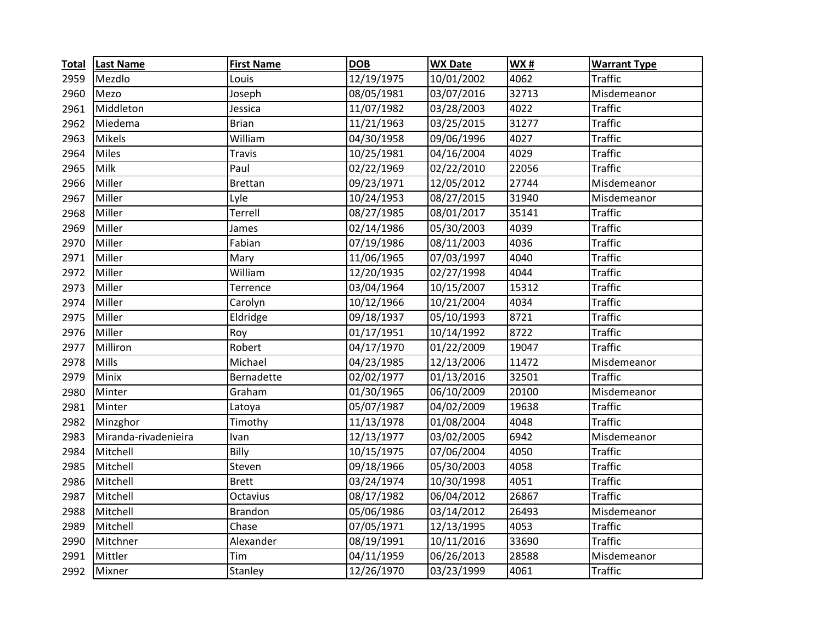| <b>Total</b> | <b>Last Name</b>     | <b>First Name</b> | <b>DOB</b> | <b>WX Date</b> | WX#   | <b>Warrant Type</b> |
|--------------|----------------------|-------------------|------------|----------------|-------|---------------------|
| 2959         | Mezdlo               | Louis             | 12/19/1975 | 10/01/2002     | 4062  | <b>Traffic</b>      |
| 2960         | Mezo                 | Joseph            | 08/05/1981 | 03/07/2016     | 32713 | Misdemeanor         |
| 2961         | Middleton            | Jessica           | 11/07/1982 | 03/28/2003     | 4022  | <b>Traffic</b>      |
| 2962         | Miedema              | <b>Brian</b>      | 11/21/1963 | 03/25/2015     | 31277 | <b>Traffic</b>      |
| 2963         | <b>Mikels</b>        | William           | 04/30/1958 | 09/06/1996     | 4027  | <b>Traffic</b>      |
| 2964         | <b>Miles</b>         | <b>Travis</b>     | 10/25/1981 | 04/16/2004     | 4029  | <b>Traffic</b>      |
| 2965         | Milk                 | Paul              | 02/22/1969 | 02/22/2010     | 22056 | <b>Traffic</b>      |
| 2966         | Miller               | <b>Brettan</b>    | 09/23/1971 | 12/05/2012     | 27744 | Misdemeanor         |
| 2967         | Miller               | Lyle              | 10/24/1953 | 08/27/2015     | 31940 | Misdemeanor         |
| 2968         | Miller               | Terrell           | 08/27/1985 | 08/01/2017     | 35141 | <b>Traffic</b>      |
| 2969         | Miller               | James             | 02/14/1986 | 05/30/2003     | 4039  | <b>Traffic</b>      |
| 2970         | Miller               | Fabian            | 07/19/1986 | 08/11/2003     | 4036  | <b>Traffic</b>      |
| 2971         | Miller               | Mary              | 11/06/1965 | 07/03/1997     | 4040  | <b>Traffic</b>      |
| 2972         | Miller               | William           | 12/20/1935 | 02/27/1998     | 4044  | <b>Traffic</b>      |
| 2973         | Miller               | Terrence          | 03/04/1964 | 10/15/2007     | 15312 | <b>Traffic</b>      |
| 2974         | Miller               | Carolyn           | 10/12/1966 | 10/21/2004     | 4034  | <b>Traffic</b>      |
| 2975         | Miller               | Eldridge          | 09/18/1937 | 05/10/1993     | 8721  | <b>Traffic</b>      |
| 2976         | Miller               | Roy               | 01/17/1951 | 10/14/1992     | 8722  | <b>Traffic</b>      |
| 2977         | Milliron             | Robert            | 04/17/1970 | 01/22/2009     | 19047 | <b>Traffic</b>      |
| 2978         | Mills                | Michael           | 04/23/1985 | 12/13/2006     | 11472 | Misdemeanor         |
| 2979         | Minix                | Bernadette        | 02/02/1977 | 01/13/2016     | 32501 | <b>Traffic</b>      |
| 2980         | Minter               | Graham            | 01/30/1965 | 06/10/2009     | 20100 | Misdemeanor         |
| 2981         | Minter               | Latoya            | 05/07/1987 | 04/02/2009     | 19638 | <b>Traffic</b>      |
| 2982         | Minzghor             | Timothy           | 11/13/1978 | 01/08/2004     | 4048  | <b>Traffic</b>      |
| 2983         | Miranda-rivadenieira | Ivan              | 12/13/1977 | 03/02/2005     | 6942  | Misdemeanor         |
| 2984         | Mitchell             | Billy             | 10/15/1975 | 07/06/2004     | 4050  | <b>Traffic</b>      |
| 2985         | Mitchell             | Steven            | 09/18/1966 | 05/30/2003     | 4058  | <b>Traffic</b>      |
| 2986         | Mitchell             | <b>Brett</b>      | 03/24/1974 | 10/30/1998     | 4051  | <b>Traffic</b>      |
| 2987         | Mitchell             | Octavius          | 08/17/1982 | 06/04/2012     | 26867 | <b>Traffic</b>      |
| 2988         | Mitchell             | <b>Brandon</b>    | 05/06/1986 | 03/14/2012     | 26493 | Misdemeanor         |
| 2989         | Mitchell             | Chase             | 07/05/1971 | 12/13/1995     | 4053  | <b>Traffic</b>      |
| 2990         | Mitchner             | Alexander         | 08/19/1991 | 10/11/2016     | 33690 | <b>Traffic</b>      |
| 2991         | Mittler              | Tim               | 04/11/1959 | 06/26/2013     | 28588 | Misdemeanor         |
| 2992         | Mixner               | Stanley           | 12/26/1970 | 03/23/1999     | 4061  | <b>Traffic</b>      |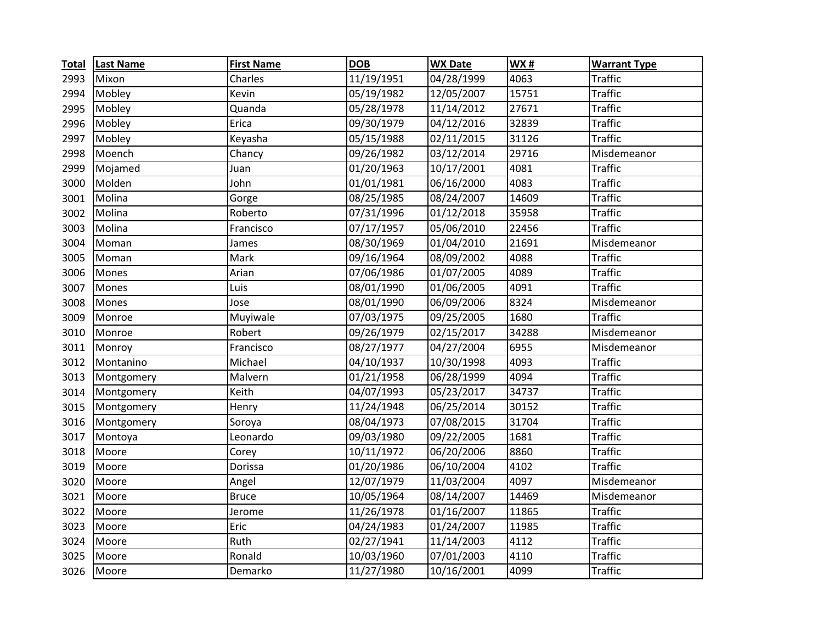| <b>Total</b> | <b>Last Name</b> | <b>First Name</b> | <b>DOB</b> | <b>WX Date</b> | <b>WX#</b> | <b>Warrant Type</b> |
|--------------|------------------|-------------------|------------|----------------|------------|---------------------|
| 2993         | Mixon            | Charles           | 11/19/1951 | 04/28/1999     | 4063       | <b>Traffic</b>      |
| 2994         | Mobley           | Kevin             | 05/19/1982 | 12/05/2007     | 15751      | <b>Traffic</b>      |
| 2995         | Mobley           | Quanda            | 05/28/1978 | 11/14/2012     | 27671      | <b>Traffic</b>      |
| 2996         | Mobley           | Erica             | 09/30/1979 | 04/12/2016     | 32839      | <b>Traffic</b>      |
| 2997         | Mobley           | Keyasha           | 05/15/1988 | 02/11/2015     | 31126      | <b>Traffic</b>      |
| 2998         | Moench           | Chancy            | 09/26/1982 | 03/12/2014     | 29716      | Misdemeanor         |
| 2999         | Mojamed          | Juan              | 01/20/1963 | 10/17/2001     | 4081       | <b>Traffic</b>      |
| 3000         | Molden           | John              | 01/01/1981 | 06/16/2000     | 4083       | <b>Traffic</b>      |
| 3001         | Molina           | Gorge             | 08/25/1985 | 08/24/2007     | 14609      | <b>Traffic</b>      |
| 3002         | Molina           | Roberto           | 07/31/1996 | 01/12/2018     | 35958      | <b>Traffic</b>      |
| 3003         | Molina           | Francisco         | 07/17/1957 | 05/06/2010     | 22456      | <b>Traffic</b>      |
| 3004         | Moman            | James             | 08/30/1969 | 01/04/2010     | 21691      | Misdemeanor         |
| 3005         | Moman            | Mark              | 09/16/1964 | 08/09/2002     | 4088       | <b>Traffic</b>      |
| 3006         | Mones            | Arian             | 07/06/1986 | 01/07/2005     | 4089       | <b>Traffic</b>      |
| 3007         | Mones            | Luis              | 08/01/1990 | 01/06/2005     | 4091       | <b>Traffic</b>      |
| 3008         | Mones            | Jose              | 08/01/1990 | 06/09/2006     | 8324       | Misdemeanor         |
| 3009         | Monroe           | Muyiwale          | 07/03/1975 | 09/25/2005     | 1680       | <b>Traffic</b>      |
| 3010         | Monroe           | Robert            | 09/26/1979 | 02/15/2017     | 34288      | Misdemeanor         |
| 3011         | Monroy           | Francisco         | 08/27/1977 | 04/27/2004     | 6955       | Misdemeanor         |
| 3012         | Montanino        | Michael           | 04/10/1937 | 10/30/1998     | 4093       | <b>Traffic</b>      |
| 3013         | Montgomery       | Malvern           | 01/21/1958 | 06/28/1999     | 4094       | <b>Traffic</b>      |
| 3014         | Montgomery       | Keith             | 04/07/1993 | 05/23/2017     | 34737      | <b>Traffic</b>      |
| 3015         | Montgomery       | Henry             | 11/24/1948 | 06/25/2014     | 30152      | <b>Traffic</b>      |
| 3016         | Montgomery       | Soroya            | 08/04/1973 | 07/08/2015     | 31704      | <b>Traffic</b>      |
| 3017         | Montoya          | Leonardo          | 09/03/1980 | 09/22/2005     | 1681       | <b>Traffic</b>      |
| 3018         | Moore            | Corey             | 10/11/1972 | 06/20/2006     | 8860       | <b>Traffic</b>      |
| 3019         | Moore            | Dorissa           | 01/20/1986 | 06/10/2004     | 4102       | <b>Traffic</b>      |
| 3020         | Moore            | Angel             | 12/07/1979 | 11/03/2004     | 4097       | Misdemeanor         |
| 3021         | Moore            | <b>Bruce</b>      | 10/05/1964 | 08/14/2007     | 14469      | Misdemeanor         |
| 3022         | Moore            | Jerome            | 11/26/1978 | 01/16/2007     | 11865      | <b>Traffic</b>      |
| 3023         | Moore            | Eric              | 04/24/1983 | 01/24/2007     | 11985      | <b>Traffic</b>      |
| 3024         | Moore            | Ruth              | 02/27/1941 | 11/14/2003     | 4112       | <b>Traffic</b>      |
| 3025         | Moore            | Ronald            | 10/03/1960 | 07/01/2003     | 4110       | <b>Traffic</b>      |
| 3026         | Moore            | Demarko           | 11/27/1980 | 10/16/2001     | 4099       | <b>Traffic</b>      |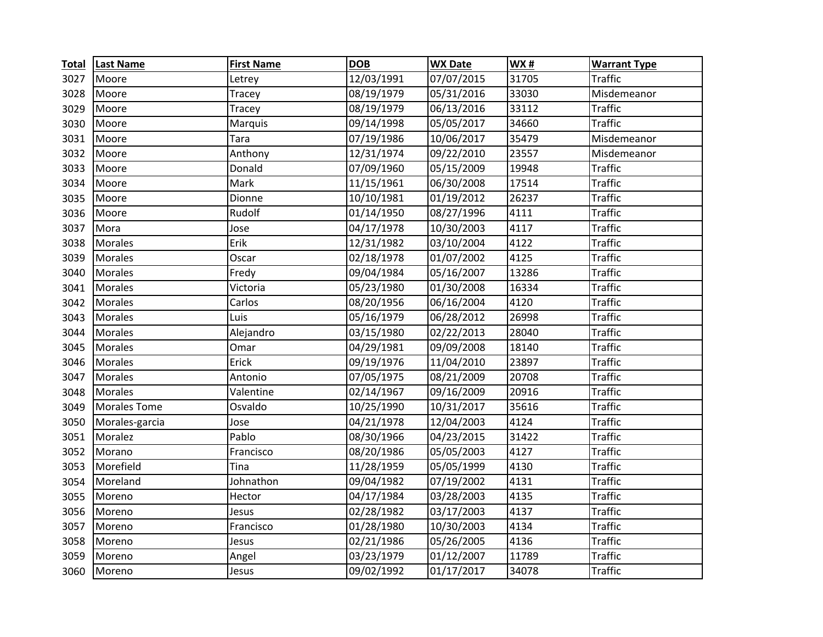| <b>Total</b> | <b>Last Name</b>    | <b>First Name</b> | <b>DOB</b> | <b>WX Date</b> | <b>WX#</b> | <b>Warrant Type</b> |
|--------------|---------------------|-------------------|------------|----------------|------------|---------------------|
| 3027         | Moore               | Letrey            | 12/03/1991 | 07/07/2015     | 31705      | <b>Traffic</b>      |
| 3028         | Moore               | <b>Tracey</b>     | 08/19/1979 | 05/31/2016     | 33030      | Misdemeanor         |
| 3029         | Moore               | Tracey            | 08/19/1979 | 06/13/2016     | 33112      | <b>Traffic</b>      |
| 3030         | Moore               | Marquis           | 09/14/1998 | 05/05/2017     | 34660      | <b>Traffic</b>      |
| 3031         | Moore               | Tara              | 07/19/1986 | 10/06/2017     | 35479      | Misdemeanor         |
| 3032         | Moore               | Anthony           | 12/31/1974 | 09/22/2010     | 23557      | Misdemeanor         |
| 3033         | Moore               | Donald            | 07/09/1960 | 05/15/2009     | 19948      | <b>Traffic</b>      |
| 3034         | Moore               | Mark              | 11/15/1961 | 06/30/2008     | 17514      | <b>Traffic</b>      |
| 3035         | Moore               | Dionne            | 10/10/1981 | 01/19/2012     | 26237      | <b>Traffic</b>      |
| 3036         | Moore               | Rudolf            | 01/14/1950 | 08/27/1996     | 4111       | <b>Traffic</b>      |
| 3037         | Mora                | Jose              | 04/17/1978 | 10/30/2003     | 4117       | <b>Traffic</b>      |
| 3038         | <b>Morales</b>      | Erik              | 12/31/1982 | 03/10/2004     | 4122       | <b>Traffic</b>      |
| 3039         | Morales             | Oscar             | 02/18/1978 | 01/07/2002     | 4125       | <b>Traffic</b>      |
| 3040         | Morales             | Fredy             | 09/04/1984 | 05/16/2007     | 13286      | <b>Traffic</b>      |
| 3041         | Morales             | Victoria          | 05/23/1980 | 01/30/2008     | 16334      | <b>Traffic</b>      |
| 3042         | Morales             | Carlos            | 08/20/1956 | 06/16/2004     | 4120       | <b>Traffic</b>      |
| 3043         | Morales             | Luis              | 05/16/1979 | 06/28/2012     | 26998      | <b>Traffic</b>      |
| 3044         | Morales             | Alejandro         | 03/15/1980 | 02/22/2013     | 28040      | <b>Traffic</b>      |
| 3045         | Morales             | Omar              | 04/29/1981 | 09/09/2008     | 18140      | <b>Traffic</b>      |
| 3046         | Morales             | Erick             | 09/19/1976 | 11/04/2010     | 23897      | <b>Traffic</b>      |
| 3047         | <b>Morales</b>      | Antonio           | 07/05/1975 | 08/21/2009     | 20708      | <b>Traffic</b>      |
| 3048         | Morales             | Valentine         | 02/14/1967 | 09/16/2009     | 20916      | <b>Traffic</b>      |
| 3049         | <b>Morales Tome</b> | Osvaldo           | 10/25/1990 | 10/31/2017     | 35616      | <b>Traffic</b>      |
| 3050         | Morales-garcia      | Jose              | 04/21/1978 | 12/04/2003     | 4124       | <b>Traffic</b>      |
| 3051         | Moralez             | Pablo             | 08/30/1966 | 04/23/2015     | 31422      | <b>Traffic</b>      |
| 3052         | Morano              | Francisco         | 08/20/1986 | 05/05/2003     | 4127       | <b>Traffic</b>      |
| 3053         | Morefield           | Tina              | 11/28/1959 | 05/05/1999     | 4130       | <b>Traffic</b>      |
| 3054         | Moreland            | Johnathon         | 09/04/1982 | 07/19/2002     | 4131       | <b>Traffic</b>      |
| 3055         | Moreno              | Hector            | 04/17/1984 | 03/28/2003     | 4135       | <b>Traffic</b>      |
| 3056         | Moreno              | Jesus             | 02/28/1982 | 03/17/2003     | 4137       | <b>Traffic</b>      |
| 3057         | Moreno              | Francisco         | 01/28/1980 | 10/30/2003     | 4134       | <b>Traffic</b>      |
| 3058         | Moreno              | Jesus             | 02/21/1986 | 05/26/2005     | 4136       | <b>Traffic</b>      |
| 3059         | Moreno              | Angel             | 03/23/1979 | 01/12/2007     | 11789      | <b>Traffic</b>      |
| 3060         | Moreno              | Jesus             | 09/02/1992 | 01/17/2017     | 34078      | <b>Traffic</b>      |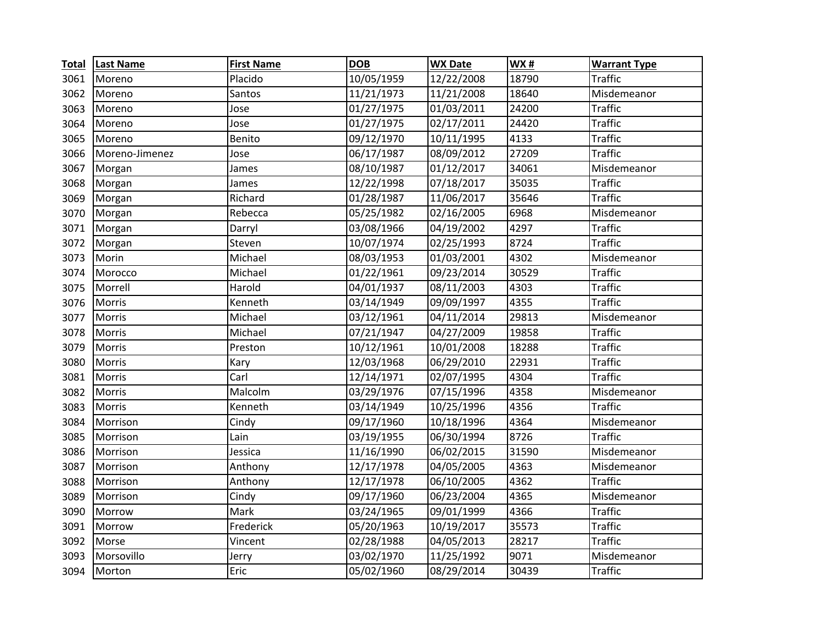| <b>Total</b> | <b>Last Name</b> | <b>First Name</b> | <b>DOB</b> | <b>WX Date</b> | <b>WX#</b> | <b>Warrant Type</b> |
|--------------|------------------|-------------------|------------|----------------|------------|---------------------|
| 3061         | Moreno           | Placido           | 10/05/1959 | 12/22/2008     | 18790      | <b>Traffic</b>      |
| 3062         | Moreno           | Santos            | 11/21/1973 | 11/21/2008     | 18640      | Misdemeanor         |
| 3063         | Moreno           | Jose              | 01/27/1975 | 01/03/2011     | 24200      | <b>Traffic</b>      |
| 3064         | Moreno           | Jose              | 01/27/1975 | 02/17/2011     | 24420      | <b>Traffic</b>      |
| 3065         | Moreno           | Benito            | 09/12/1970 | 10/11/1995     | 4133       | <b>Traffic</b>      |
| 3066         | Moreno-Jimenez   | Jose              | 06/17/1987 | 08/09/2012     | 27209      | <b>Traffic</b>      |
| 3067         | Morgan           | James             | 08/10/1987 | 01/12/2017     | 34061      | Misdemeanor         |
| 3068         | Morgan           | James             | 12/22/1998 | 07/18/2017     | 35035      | <b>Traffic</b>      |
| 3069         | Morgan           | Richard           | 01/28/1987 | 11/06/2017     | 35646      | <b>Traffic</b>      |
| 3070         | Morgan           | Rebecca           | 05/25/1982 | 02/16/2005     | 6968       | Misdemeanor         |
| 3071         | Morgan           | Darryl            | 03/08/1966 | 04/19/2002     | 4297       | <b>Traffic</b>      |
| 3072         | Morgan           | Steven            | 10/07/1974 | 02/25/1993     | 8724       | <b>Traffic</b>      |
| 3073         | Morin            | Michael           | 08/03/1953 | 01/03/2001     | 4302       | Misdemeanor         |
| 3074         | Morocco          | Michael           | 01/22/1961 | 09/23/2014     | 30529      | <b>Traffic</b>      |
| 3075         | Morrell          | Harold            | 04/01/1937 | 08/11/2003     | 4303       | <b>Traffic</b>      |
| 3076         | Morris           | Kenneth           | 03/14/1949 | 09/09/1997     | 4355       | <b>Traffic</b>      |
| 3077         | Morris           | Michael           | 03/12/1961 | 04/11/2014     | 29813      | Misdemeanor         |
| 3078         | Morris           | Michael           | 07/21/1947 | 04/27/2009     | 19858      | <b>Traffic</b>      |
| 3079         | Morris           | Preston           | 10/12/1961 | 10/01/2008     | 18288      | <b>Traffic</b>      |
| 3080         | Morris           | Kary              | 12/03/1968 | 06/29/2010     | 22931      | <b>Traffic</b>      |
| 3081         | Morris           | Carl              | 12/14/1971 | 02/07/1995     | 4304       | <b>Traffic</b>      |
| 3082         | Morris           | Malcolm           | 03/29/1976 | 07/15/1996     | 4358       | Misdemeanor         |
| 3083         | Morris           | Kenneth           | 03/14/1949 | 10/25/1996     | 4356       | <b>Traffic</b>      |
| 3084         | Morrison         | Cindy             | 09/17/1960 | 10/18/1996     | 4364       | Misdemeanor         |
| 3085         | Morrison         | Lain              | 03/19/1955 | 06/30/1994     | 8726       | <b>Traffic</b>      |
| 3086         | Morrison         | Jessica           | 11/16/1990 | 06/02/2015     | 31590      | Misdemeanor         |
| 3087         | Morrison         | Anthony           | 12/17/1978 | 04/05/2005     | 4363       | Misdemeanor         |
| 3088         | Morrison         | Anthony           | 12/17/1978 | 06/10/2005     | 4362       | <b>Traffic</b>      |
| 3089         | Morrison         | Cindy             | 09/17/1960 | 06/23/2004     | 4365       | Misdemeanor         |
| 3090         | Morrow           | Mark              | 03/24/1965 | 09/01/1999     | 4366       | <b>Traffic</b>      |
| 3091         | Morrow           | Frederick         | 05/20/1963 | 10/19/2017     | 35573      | <b>Traffic</b>      |
| 3092         | Morse            | Vincent           | 02/28/1988 | 04/05/2013     | 28217      | <b>Traffic</b>      |
| 3093         | Morsovillo       | Jerry             | 03/02/1970 | 11/25/1992     | 9071       | Misdemeanor         |
| 3094         | Morton           | Eric              | 05/02/1960 | 08/29/2014     | 30439      | <b>Traffic</b>      |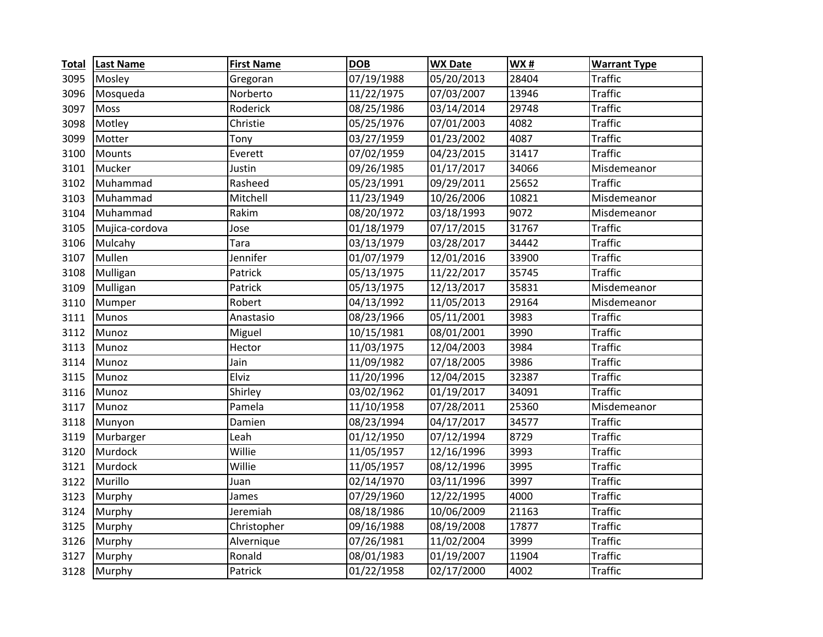| <b>Total</b> | <b>Last Name</b> | <b>First Name</b> | <b>DOB</b> | <b>WX Date</b> | <b>WX#</b> | <b>Warrant Type</b>   |
|--------------|------------------|-------------------|------------|----------------|------------|-----------------------|
| 3095         | Mosley           | Gregoran          | 07/19/1988 | 05/20/2013     | 28404      | Traffic               |
| 3096         | Mosqueda         | Norberto          | 11/22/1975 | 07/03/2007     | 13946      | <b>Traffic</b>        |
| 3097         | Moss             | Roderick          | 08/25/1986 | 03/14/2014     | 29748      | <b>Traffic</b>        |
| 3098         | Motley           | Christie          | 05/25/1976 | 07/01/2003     | 4082       | <b>Traffic</b>        |
| 3099         | Motter           | Tony              | 03/27/1959 | 01/23/2002     | 4087       | <b>Traffic</b>        |
| 3100         | Mounts           | Everett           | 07/02/1959 | 04/23/2015     | 31417      | <b>Traffic</b>        |
| 3101         | Mucker           | Justin            | 09/26/1985 | 01/17/2017     | 34066      | Misdemeanor           |
| 3102         | Muhammad         | Rasheed           | 05/23/1991 | 09/29/2011     | 25652      | <b>Traffic</b>        |
| 3103         | Muhammad         | Mitchell          | 11/23/1949 | 10/26/2006     | 10821      | Misdemeanor           |
| 3104         | Muhammad         | Rakim             | 08/20/1972 | 03/18/1993     | 9072       | Misdemeanor           |
| 3105         | Mujica-cordova   | Jose              | 01/18/1979 | 07/17/2015     | 31767      | <b>Traffic</b>        |
| 3106         | Mulcahy          | Tara              | 03/13/1979 | 03/28/2017     | 34442      | <b>Traffic</b>        |
| 3107         | Mullen           | Jennifer          | 01/07/1979 | 12/01/2016     | 33900      | <b>Traffic</b>        |
| 3108         | Mulligan         | Patrick           | 05/13/1975 | 11/22/2017     | 35745      | $\overline{T}$ raffic |
| 3109         | Mulligan         | Patrick           | 05/13/1975 | 12/13/2017     | 35831      | Misdemeanor           |
| 3110         | Mumper           | Robert            | 04/13/1992 | 11/05/2013     | 29164      | Misdemeanor           |
| 3111         | Munos            | Anastasio         | 08/23/1966 | 05/11/2001     | 3983       | <b>Traffic</b>        |
| 3112         | Munoz            | Miguel            | 10/15/1981 | 08/01/2001     | 3990       | <b>Traffic</b>        |
| 3113         | Munoz            | Hector            | 11/03/1975 | 12/04/2003     | 3984       | <b>Traffic</b>        |
| 3114         | Munoz            | Jain              | 11/09/1982 | 07/18/2005     | 3986       | <b>Traffic</b>        |
| 3115         | Munoz            | Elviz             | 11/20/1996 | 12/04/2015     | 32387      | <b>Traffic</b>        |
| 3116         | Munoz            | Shirley           | 03/02/1962 | 01/19/2017     | 34091      | <b>Traffic</b>        |
| 3117         | Munoz            | Pamela            | 11/10/1958 | 07/28/2011     | 25360      | Misdemeanor           |
| 3118         | Munyon           | Damien            | 08/23/1994 | 04/17/2017     | 34577      | <b>Traffic</b>        |
| 3119         | Murbarger        | Leah              | 01/12/1950 | 07/12/1994     | 8729       | <b>Traffic</b>        |
| 3120         | Murdock          | Willie            | 11/05/1957 | 12/16/1996     | 3993       | <b>Traffic</b>        |
| 3121         | Murdock          | Willie            | 11/05/1957 | 08/12/1996     | 3995       | <b>Traffic</b>        |
| 3122         | Murillo          | Juan              | 02/14/1970 | 03/11/1996     | 3997       | <b>Traffic</b>        |
| 3123         | Murphy           | James             | 07/29/1960 | 12/22/1995     | 4000       | <b>Traffic</b>        |
| 3124         | Murphy           | Jeremiah          | 08/18/1986 | 10/06/2009     | 21163      | <b>Traffic</b>        |
| 3125         | Murphy           | Christopher       | 09/16/1988 | 08/19/2008     | 17877      | <b>Traffic</b>        |
| 3126         | Murphy           | Alvernique        | 07/26/1981 | 11/02/2004     | 3999       | <b>Traffic</b>        |
| 3127         | Murphy           | Ronald            | 08/01/1983 | 01/19/2007     | 11904      | <b>Traffic</b>        |
| 3128         | Murphy           | Patrick           | 01/22/1958 | 02/17/2000     | 4002       | <b>Traffic</b>        |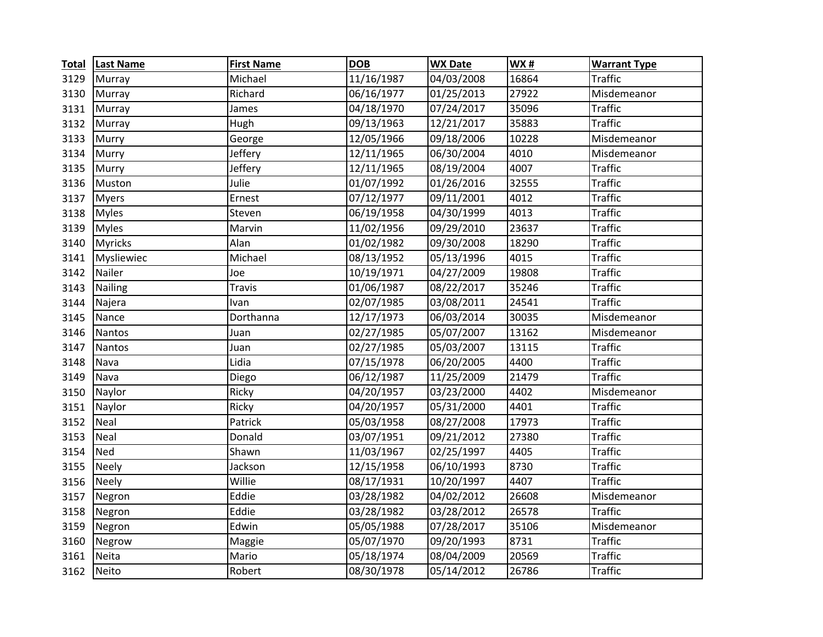| <b>Total</b> | <b>Last Name</b> | <b>First Name</b> | <b>DOB</b> | <b>WX Date</b> | <b>WX#</b> | <b>Warrant Type</b> |
|--------------|------------------|-------------------|------------|----------------|------------|---------------------|
| 3129         | Murray           | Michael           | 11/16/1987 | 04/03/2008     | 16864      | <b>Traffic</b>      |
| 3130         | Murray           | Richard           | 06/16/1977 | 01/25/2013     | 27922      | Misdemeanor         |
| 3131         | Murray           | James             | 04/18/1970 | 07/24/2017     | 35096      | <b>Traffic</b>      |
| 3132         | Murray           | Hugh              | 09/13/1963 | 12/21/2017     | 35883      | <b>Traffic</b>      |
| 3133         | Murry            | George            | 12/05/1966 | 09/18/2006     | 10228      | Misdemeanor         |
| 3134         | Murry            | Jeffery           | 12/11/1965 | 06/30/2004     | 4010       | Misdemeanor         |
| 3135         | Murry            | Jeffery           | 12/11/1965 | 08/19/2004     | 4007       | <b>Traffic</b>      |
| 3136         | Muston           | Julie             | 01/07/1992 | 01/26/2016     | 32555      | <b>Traffic</b>      |
| 3137         | <b>Myers</b>     | Ernest            | 07/12/1977 | 09/11/2001     | 4012       | <b>Traffic</b>      |
| 3138         | <b>Myles</b>     | Steven            | 06/19/1958 | 04/30/1999     | 4013       | <b>Traffic</b>      |
| 3139         | <b>Myles</b>     | Marvin            | 11/02/1956 | 09/29/2010     | 23637      | <b>Traffic</b>      |
| 3140         | <b>Myricks</b>   | Alan              | 01/02/1982 | 09/30/2008     | 18290      | <b>Traffic</b>      |
| 3141         | Mysliewiec       | Michael           | 08/13/1952 | 05/13/1996     | 4015       | <b>Traffic</b>      |
| 3142         | Nailer           | Joe               | 10/19/1971 | 04/27/2009     | 19808      | <b>Traffic</b>      |
| 3143         | Nailing          | <b>Travis</b>     | 01/06/1987 | 08/22/2017     | 35246      | <b>Traffic</b>      |
| 3144         | Najera           | Ivan              | 02/07/1985 | 03/08/2011     | 24541      | <b>Traffic</b>      |
| 3145         | Nance            | Dorthanna         | 12/17/1973 | 06/03/2014     | 30035      | Misdemeanor         |
| 3146         | Nantos           | Juan              | 02/27/1985 | 05/07/2007     | 13162      | Misdemeanor         |
| 3147         | Nantos           | Juan              | 02/27/1985 | 05/03/2007     | 13115      | <b>Traffic</b>      |
| 3148         | Nava             | Lidia             | 07/15/1978 | 06/20/2005     | 4400       | <b>Traffic</b>      |
| 3149         | Nava             | Diego             | 06/12/1987 | 11/25/2009     | 21479      | <b>Traffic</b>      |
| 3150         | Naylor           | Ricky             | 04/20/1957 | 03/23/2000     | 4402       | Misdemeanor         |
| 3151         | Naylor           | Ricky             | 04/20/1957 | 05/31/2000     | 4401       | <b>Traffic</b>      |
| 3152         | Neal             | Patrick           | 05/03/1958 | 08/27/2008     | 17973      | <b>Traffic</b>      |
| 3153         | Neal             | Donald            | 03/07/1951 | 09/21/2012     | 27380      | <b>Traffic</b>      |
| 3154         | Ned              | Shawn             | 11/03/1967 | 02/25/1997     | 4405       | <b>Traffic</b>      |
| 3155         | <b>Neely</b>     | Jackson           | 12/15/1958 | 06/10/1993     | 8730       | <b>Traffic</b>      |
| 3156         | <b>Neely</b>     | Willie            | 08/17/1931 | 10/20/1997     | 4407       | <b>Traffic</b>      |
| 3157         | Negron           | Eddie             | 03/28/1982 | 04/02/2012     | 26608      | Misdemeanor         |
| 3158         | Negron           | Eddie             | 03/28/1982 | 03/28/2012     | 26578      | <b>Traffic</b>      |
| 3159         | Negron           | Edwin             | 05/05/1988 | 07/28/2017     | 35106      | Misdemeanor         |
| 3160         | Negrow           | Maggie            | 05/07/1970 | 09/20/1993     | 8731       | <b>Traffic</b>      |
| 3161         | Neita            | Mario             | 05/18/1974 | 08/04/2009     | 20569      | <b>Traffic</b>      |
| 3162         | <b>Neito</b>     | Robert            | 08/30/1978 | 05/14/2012     | 26786      | <b>Traffic</b>      |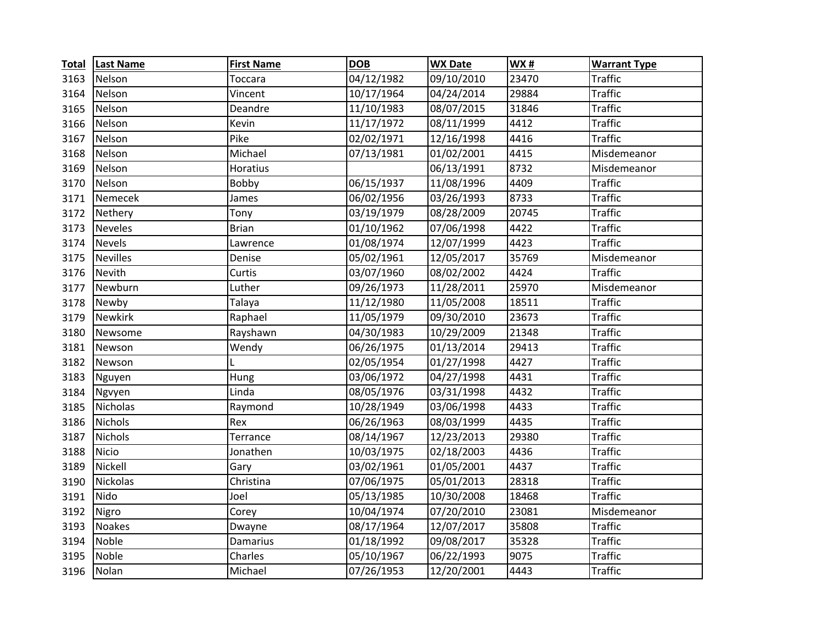| <b>Total</b> | <b>Last Name</b> | <b>First Name</b> | <b>DOB</b> | <b>WX Date</b> | <b>WX#</b> | <b>Warrant Type</b> |
|--------------|------------------|-------------------|------------|----------------|------------|---------------------|
| 3163         | Nelson           | Toccara           | 04/12/1982 | 09/10/2010     | 23470      | Traffic             |
| 3164         | Nelson           | Vincent           | 10/17/1964 | 04/24/2014     | 29884      | <b>Traffic</b>      |
| 3165         | Nelson           | Deandre           | 11/10/1983 | 08/07/2015     | 31846      | <b>Traffic</b>      |
| 3166         | Nelson           | Kevin             | 11/17/1972 | 08/11/1999     | 4412       | <b>Traffic</b>      |
| 3167         | Nelson           | Pike              | 02/02/1971 | 12/16/1998     | 4416       | <b>Traffic</b>      |
| 3168         | Nelson           | Michael           | 07/13/1981 | 01/02/2001     | 4415       | Misdemeanor         |
| 3169         | Nelson           | <b>Horatius</b>   |            | 06/13/1991     | 8732       | Misdemeanor         |
| 3170         | Nelson           | Bobby             | 06/15/1937 | 11/08/1996     | 4409       | <b>Traffic</b>      |
| 3171         | Nemecek          | James             | 06/02/1956 | 03/26/1993     | 8733       | <b>Traffic</b>      |
| 3172         | Nethery          | Tony              | 03/19/1979 | 08/28/2009     | 20745      | <b>Traffic</b>      |
| 3173         | <b>Neveles</b>   | <b>Brian</b>      | 01/10/1962 | 07/06/1998     | 4422       | <b>Traffic</b>      |
| 3174         | <b>Nevels</b>    | Lawrence          | 01/08/1974 | 12/07/1999     | 4423       | <b>Traffic</b>      |
| 3175         | <b>Nevilles</b>  | Denise            | 05/02/1961 | 12/05/2017     | 35769      | Misdemeanor         |
| 3176         | Nevith           | Curtis            | 03/07/1960 | 08/02/2002     | 4424       | <b>Traffic</b>      |
| 3177         | Newburn          | Luther            | 09/26/1973 | 11/28/2011     | 25970      | Misdemeanor         |
| 3178         | Newby            | Talaya            | 11/12/1980 | 11/05/2008     | 18511      | <b>Traffic</b>      |
| 3179         | <b>Newkirk</b>   | Raphael           | 11/05/1979 | 09/30/2010     | 23673      | <b>Traffic</b>      |
| 3180         | Newsome          | Rayshawn          | 04/30/1983 | 10/29/2009     | 21348      | <b>Traffic</b>      |
| 3181         | Newson           | Wendy             | 06/26/1975 | 01/13/2014     | 29413      | <b>Traffic</b>      |
| 3182         | Newson           |                   | 02/05/1954 | 01/27/1998     | 4427       | <b>Traffic</b>      |
| 3183         | Nguyen           | Hung              | 03/06/1972 | 04/27/1998     | 4431       | <b>Traffic</b>      |
| 3184         | Ngvyen           | Linda             | 08/05/1976 | 03/31/1998     | 4432       | <b>Traffic</b>      |
| 3185         | <b>Nicholas</b>  | Raymond           | 10/28/1949 | 03/06/1998     | 4433       | <b>Traffic</b>      |
| 3186         | <b>Nichols</b>   | Rex               | 06/26/1963 | 08/03/1999     | 4435       | <b>Traffic</b>      |
| 3187         | <b>Nichols</b>   | Terrance          | 08/14/1967 | 12/23/2013     | 29380      | <b>Traffic</b>      |
| 3188         | <b>Nicio</b>     | Jonathen          | 10/03/1975 | 02/18/2003     | 4436       | <b>Traffic</b>      |
| 3189         | Nickell          | Gary              | 03/02/1961 | 01/05/2001     | 4437       | <b>Traffic</b>      |
| 3190         | <b>Nickolas</b>  | Christina         | 07/06/1975 | 05/01/2013     | 28318      | <b>Traffic</b>      |
| 3191         | Nido             | Joel              | 05/13/1985 | 10/30/2008     | 18468      | <b>Traffic</b>      |
| 3192         | Nigro            | Corey             | 10/04/1974 | 07/20/2010     | 23081      | Misdemeanor         |
| 3193         | <b>Noakes</b>    | Dwayne            | 08/17/1964 | 12/07/2017     | 35808      | <b>Traffic</b>      |
| 3194         | Noble            | <b>Damarius</b>   | 01/18/1992 | 09/08/2017     | 35328      | <b>Traffic</b>      |
| 3195         | Noble            | Charles           | 05/10/1967 | 06/22/1993     | 9075       | <b>Traffic</b>      |
| 3196         | Nolan            | Michael           | 07/26/1953 | 12/20/2001     | 4443       | <b>Traffic</b>      |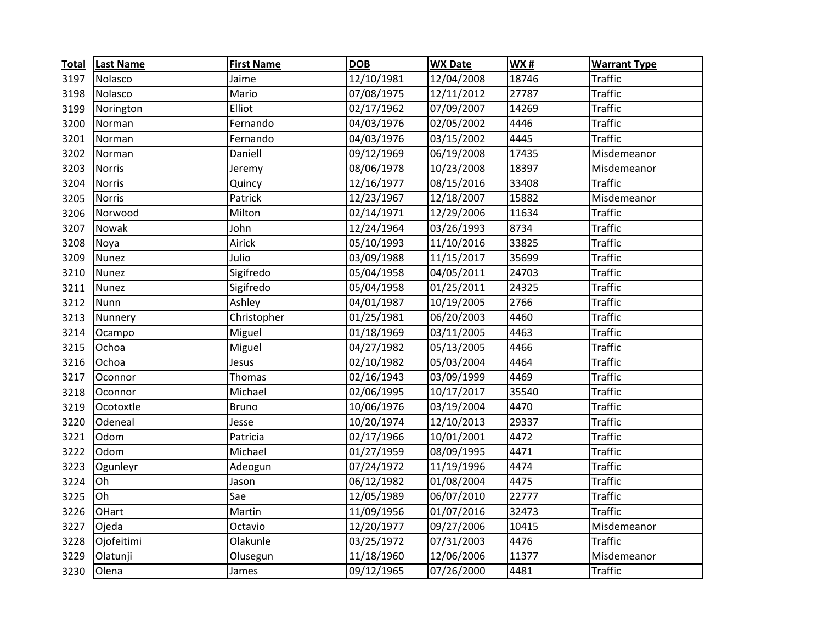| <b>Total</b> | <b>Last Name</b> | <b>First Name</b> | <b>DOB</b> | <b>WX Date</b> | <b>WX#</b> | <b>Warrant Type</b> |
|--------------|------------------|-------------------|------------|----------------|------------|---------------------|
| 3197         | Nolasco          | Jaime             | 12/10/1981 | 12/04/2008     | 18746      | Traffic             |
| 3198         | Nolasco          | Mario             | 07/08/1975 | 12/11/2012     | 27787      | <b>Traffic</b>      |
| 3199         | Norington        | Elliot            | 02/17/1962 | 07/09/2007     | 14269      | <b>Traffic</b>      |
| 3200         | Norman           | Fernando          | 04/03/1976 | 02/05/2002     | 4446       | <b>Traffic</b>      |
| 3201         | Norman           | Fernando          | 04/03/1976 | 03/15/2002     | 4445       | <b>Traffic</b>      |
| 3202         | Norman           | Daniell           | 09/12/1969 | 06/19/2008     | 17435      | Misdemeanor         |
| 3203         | <b>Norris</b>    | Jeremy            | 08/06/1978 | 10/23/2008     | 18397      | Misdemeanor         |
| 3204         | <b>Norris</b>    | Quincy            | 12/16/1977 | 08/15/2016     | 33408      | <b>Traffic</b>      |
| 3205         | <b>Norris</b>    | Patrick           | 12/23/1967 | 12/18/2007     | 15882      | Misdemeanor         |
| 3206         | Norwood          | Milton            | 02/14/1971 | 12/29/2006     | 11634      | <b>Traffic</b>      |
| 3207         | Nowak            | John              | 12/24/1964 | 03/26/1993     | 8734       | <b>Traffic</b>      |
| 3208         | Noya             | Airick            | 05/10/1993 | 11/10/2016     | 33825      | <b>Traffic</b>      |
| 3209         | <b>Nunez</b>     | Julio             | 03/09/1988 | 11/15/2017     | 35699      | <b>Traffic</b>      |
| 3210         | Nunez            | Sigifredo         | 05/04/1958 | 04/05/2011     | 24703      | <b>Traffic</b>      |
| 3211         | <b>Nunez</b>     | Sigifredo         | 05/04/1958 | 01/25/2011     | 24325      | <b>Traffic</b>      |
| 3212         | Nunn             | Ashley            | 04/01/1987 | 10/19/2005     | 2766       | <b>Traffic</b>      |
| 3213         | Nunnery          | Christopher       | 01/25/1981 | 06/20/2003     | 4460       | <b>Traffic</b>      |
| 3214         | Ocampo           | Miguel            | 01/18/1969 | 03/11/2005     | 4463       | <b>Traffic</b>      |
| 3215         | Ochoa            | Miguel            | 04/27/1982 | 05/13/2005     | 4466       | <b>Traffic</b>      |
| 3216         | Ochoa            | Jesus             | 02/10/1982 | 05/03/2004     | 4464       | <b>Traffic</b>      |
| 3217         | Oconnor          | Thomas            | 02/16/1943 | 03/09/1999     | 4469       | <b>Traffic</b>      |
| 3218         | Oconnor          | Michael           | 02/06/1995 | 10/17/2017     | 35540      | <b>Traffic</b>      |
| 3219         | Ocotoxtle        | <b>Bruno</b>      | 10/06/1976 | 03/19/2004     | 4470       | <b>Traffic</b>      |
| 3220         | Odeneal          | Jesse             | 10/20/1974 | 12/10/2013     | 29337      | <b>Traffic</b>      |
| 3221         | Odom             | Patricia          | 02/17/1966 | 10/01/2001     | 4472       | <b>Traffic</b>      |
| 3222         | Odom             | Michael           | 01/27/1959 | 08/09/1995     | 4471       | <b>Traffic</b>      |
| 3223         | Ogunleyr         | Adeogun           | 07/24/1972 | 11/19/1996     | 4474       | <b>Traffic</b>      |
| 3224         | Oh               | Jason             | 06/12/1982 | 01/08/2004     | 4475       | <b>Traffic</b>      |
| 3225         | Oh               | Sae               | 12/05/1989 | 06/07/2010     | 22777      | <b>Traffic</b>      |
| 3226         | OHart            | Martin            | 11/09/1956 | 01/07/2016     | 32473      | <b>Traffic</b>      |
| 3227         | Ojeda            | Octavio           | 12/20/1977 | 09/27/2006     | 10415      | Misdemeanor         |
| 3228         | Ojofeitimi       | Olakunle          | 03/25/1972 | 07/31/2003     | 4476       | <b>Traffic</b>      |
| 3229         | Olatunji         | Olusegun          | 11/18/1960 | 12/06/2006     | 11377      | Misdemeanor         |
| 3230         | Olena            | James             | 09/12/1965 | 07/26/2000     | 4481       | <b>Traffic</b>      |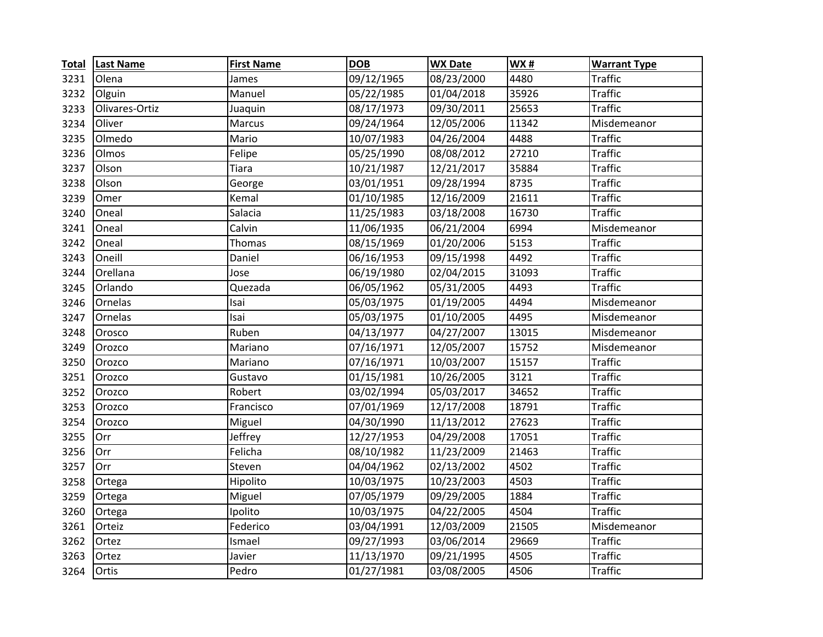| <b>Total</b> | <b>Last Name</b> | <b>First Name</b> | <b>DOB</b> | <b>WX Date</b>      | WX#   | <b>Warrant Type</b> |
|--------------|------------------|-------------------|------------|---------------------|-------|---------------------|
| 3231         | Olena            | James             | 09/12/1965 | 08/23/2000          | 4480  | Traffic             |
| 3232         | Olguin           | Manuel            | 05/22/1985 | 01/04/2018          | 35926 | <b>Traffic</b>      |
| 3233         | Olivares-Ortiz   | Juaquin           | 08/17/1973 | 09/30/2011          | 25653 | <b>Traffic</b>      |
| 3234         | Oliver           | Marcus            | 09/24/1964 | 12/05/2006          | 11342 | Misdemeanor         |
| 3235         | Olmedo           | Mario             | 10/07/1983 | 04/26/2004          | 4488  | <b>Traffic</b>      |
| 3236         | Olmos            | Felipe            | 05/25/1990 | 08/08/2012          | 27210 | <b>Traffic</b>      |
| 3237         | Olson            | <b>Tiara</b>      | 10/21/1987 | 12/21/2017          | 35884 | <b>Traffic</b>      |
| 3238         | Olson            | George            | 03/01/1951 | 09/28/1994          | 8735  | <b>Traffic</b>      |
| 3239         | Omer             | Kemal             | 01/10/1985 | 12/16/2009          | 21611 | <b>Traffic</b>      |
| 3240         | Oneal            | Salacia           | 11/25/1983 | 03/18/2008          | 16730 | <b>Traffic</b>      |
| 3241         | Oneal            | Calvin            | 11/06/1935 | 06/21/2004          | 6994  | Misdemeanor         |
| 3242         | Oneal            | Thomas            | 08/15/1969 | 01/20/2006          | 5153  | <b>Traffic</b>      |
| 3243         | Oneill           | Daniel            | 06/16/1953 | 09/15/1998          | 4492  | <b>Traffic</b>      |
| 3244         | Orellana         | Jose              | 06/19/1980 | 02/04/2015          | 31093 | <b>Traffic</b>      |
| 3245         | Orlando          | Quezada           | 06/05/1962 | 05/31/2005          | 4493  | <b>Traffic</b>      |
| 3246         | Ornelas          | Isai              | 05/03/1975 | $\sqrt{01/19/2005}$ | 4494  | Misdemeanor         |
| 3247         | Ornelas          | Isai              | 05/03/1975 | 01/10/2005          | 4495  | Misdemeanor         |
| 3248         | Orosco           | Ruben             | 04/13/1977 | 04/27/2007          | 13015 | Misdemeanor         |
| 3249         | Orozco           | Mariano           | 07/16/1971 | 12/05/2007          | 15752 | Misdemeanor         |
| 3250         | Orozco           | Mariano           | 07/16/1971 | 10/03/2007          | 15157 | <b>Traffic</b>      |
| 3251         | Orozco           | Gustavo           | 01/15/1981 | 10/26/2005          | 3121  | <b>Traffic</b>      |
| 3252         | Orozco           | Robert            | 03/02/1994 | 05/03/2017          | 34652 | <b>Traffic</b>      |
| 3253         | Orozco           | Francisco         | 07/01/1969 | 12/17/2008          | 18791 | <b>Traffic</b>      |
| 3254         | Orozco           | Miguel            | 04/30/1990 | 11/13/2012          | 27623 | <b>Traffic</b>      |
| 3255         | Orr              | Jeffrey           | 12/27/1953 | 04/29/2008          | 17051 | <b>Traffic</b>      |
| 3256         | Orr              | Felicha           | 08/10/1982 | 11/23/2009          | 21463 | <b>Traffic</b>      |
| 3257         | Orr              | Steven            | 04/04/1962 | 02/13/2002          | 4502  | <b>Traffic</b>      |
| 3258         | Ortega           | Hipolito          | 10/03/1975 | 10/23/2003          | 4503  | <b>Traffic</b>      |
| 3259         | Ortega           | Miguel            | 07/05/1979 | 09/29/2005          | 1884  | <b>Traffic</b>      |
| 3260         | Ortega           | Ipolito           | 10/03/1975 | 04/22/2005          | 4504  | <b>Traffic</b>      |
| 3261         | Orteiz           | Federico          | 03/04/1991 | 12/03/2009          | 21505 | Misdemeanor         |
| 3262         | Ortez            | Ismael            | 09/27/1993 | 03/06/2014          | 29669 | <b>Traffic</b>      |
| 3263         | Ortez            | Javier            | 11/13/1970 | 09/21/1995          | 4505  | <b>Traffic</b>      |
| 3264         | Ortis            | Pedro             | 01/27/1981 | 03/08/2005          | 4506  | <b>Traffic</b>      |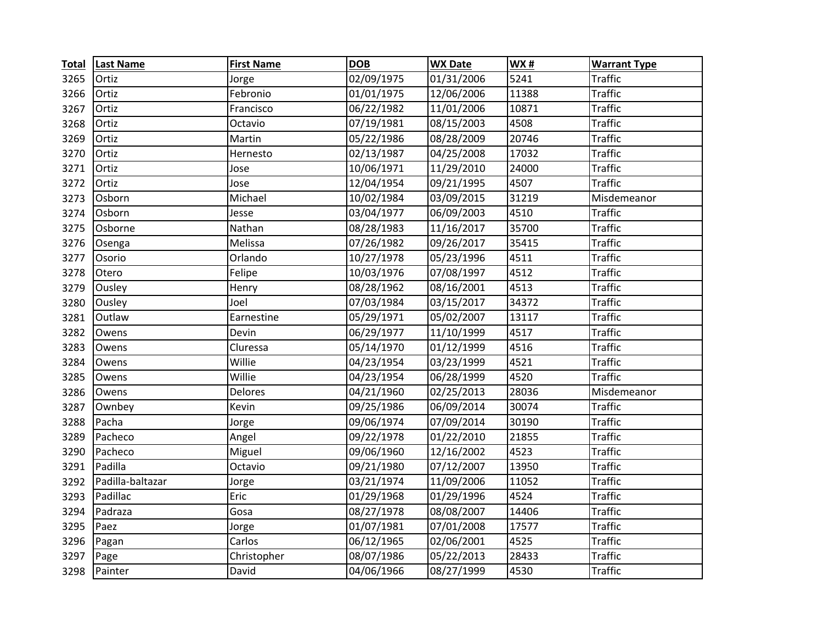| <b>Total</b> | <b>Last Name</b> | <b>First Name</b> | <b>DOB</b> | <b>WX Date</b> | <b>WX#</b> | <b>Warrant Type</b> |
|--------------|------------------|-------------------|------------|----------------|------------|---------------------|
| 3265         | Ortiz            | Jorge             | 02/09/1975 | 01/31/2006     | 5241       | <b>Traffic</b>      |
| 3266         | Ortiz            | Febronio          | 01/01/1975 | 12/06/2006     | 11388      | <b>Traffic</b>      |
| 3267         | Ortiz            | Francisco         | 06/22/1982 | 11/01/2006     | 10871      | <b>Traffic</b>      |
| 3268         | Ortiz            | Octavio           | 07/19/1981 | 08/15/2003     | 4508       | <b>Traffic</b>      |
| 3269         | Ortiz            | Martin            | 05/22/1986 | 08/28/2009     | 20746      | <b>Traffic</b>      |
| 3270         | Ortiz            | Hernesto          | 02/13/1987 | 04/25/2008     | 17032      | <b>Traffic</b>      |
| 3271         | Ortiz            | Jose              | 10/06/1971 | 11/29/2010     | 24000      | <b>Traffic</b>      |
| 3272         | Ortiz            | Jose              | 12/04/1954 | 09/21/1995     | 4507       | <b>Traffic</b>      |
| 3273         | Osborn           | Michael           | 10/02/1984 | 03/09/2015     | 31219      | Misdemeanor         |
| 3274         | Osborn           | Jesse             | 03/04/1977 | 06/09/2003     | 4510       | <b>Traffic</b>      |
| 3275         | Osborne          | Nathan            | 08/28/1983 | 11/16/2017     | 35700      | <b>Traffic</b>      |
| 3276         | Osenga           | Melissa           | 07/26/1982 | 09/26/2017     | 35415      | <b>Traffic</b>      |
| 3277         | Osorio           | Orlando           | 10/27/1978 | 05/23/1996     | 4511       | <b>Traffic</b>      |
| 3278         | Otero            | Felipe            | 10/03/1976 | 07/08/1997     | 4512       | <b>Traffic</b>      |
| 3279         | Ousley           | Henry             | 08/28/1962 | 08/16/2001     | 4513       | <b>Traffic</b>      |
| 3280         | Ousley           | Joel              | 07/03/1984 | 03/15/2017     | 34372      | <b>Traffic</b>      |
| 3281         | Outlaw           | Earnestine        | 05/29/1971 | 05/02/2007     | 13117      | <b>Traffic</b>      |
| 3282         | Owens            | Devin             | 06/29/1977 | 11/10/1999     | 4517       | <b>Traffic</b>      |
| 3283         | Owens            | Cluressa          | 05/14/1970 | 01/12/1999     | 4516       | <b>Traffic</b>      |
| 3284         | Owens            | Willie            | 04/23/1954 | 03/23/1999     | 4521       | <b>Traffic</b>      |
| 3285         | Owens            | Willie            | 04/23/1954 | 06/28/1999     | 4520       | <b>Traffic</b>      |
| 3286         | Owens            | Delores           | 04/21/1960 | 02/25/2013     | 28036      | Misdemeanor         |
| 3287         | Ownbey           | Kevin             | 09/25/1986 | 06/09/2014     | 30074      | <b>Traffic</b>      |
| 3288         | Pacha            | Jorge             | 09/06/1974 | 07/09/2014     | 30190      | <b>Traffic</b>      |
| 3289         | Pacheco          | Angel             | 09/22/1978 | 01/22/2010     | 21855      | <b>Traffic</b>      |
| 3290         | Pacheco          | Miguel            | 09/06/1960 | 12/16/2002     | 4523       | <b>Traffic</b>      |
| 3291         | Padilla          | Octavio           | 09/21/1980 | 07/12/2007     | 13950      | <b>Traffic</b>      |
| 3292         | Padilla-baltazar | Jorge             | 03/21/1974 | 11/09/2006     | 11052      | <b>Traffic</b>      |
| 3293         | Padillac         | Eric              | 01/29/1968 | 01/29/1996     | 4524       | <b>Traffic</b>      |
| 3294         | Padraza          | Gosa              | 08/27/1978 | 08/08/2007     | 14406      | <b>Traffic</b>      |
| 3295         | Paez             | Jorge             | 01/07/1981 | 07/01/2008     | 17577      | <b>Traffic</b>      |
| 3296         | Pagan            | Carlos            | 06/12/1965 | 02/06/2001     | 4525       | <b>Traffic</b>      |
| 3297         | Page             | Christopher       | 08/07/1986 | 05/22/2013     | 28433      | <b>Traffic</b>      |
| 3298         | Painter          | David             | 04/06/1966 | 08/27/1999     | 4530       | <b>Traffic</b>      |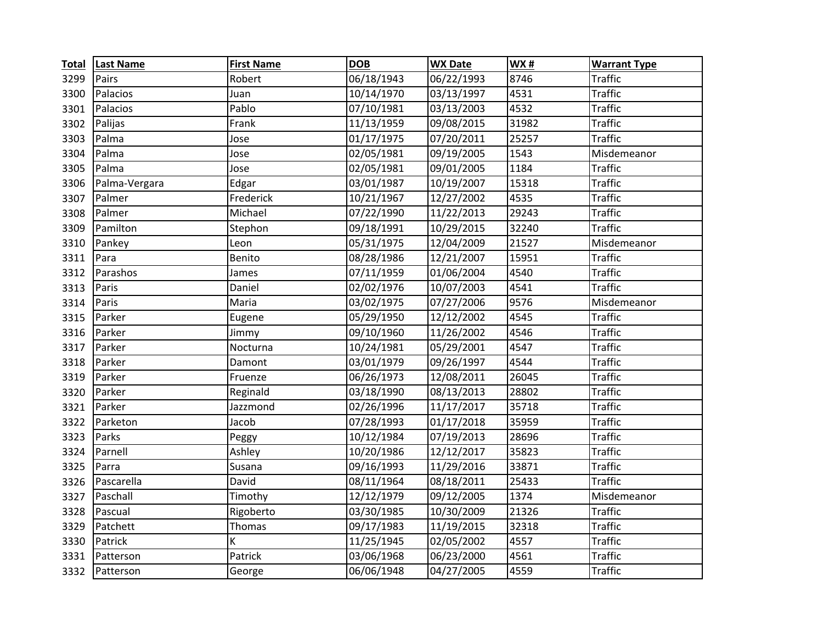| <b>Total</b> | <b>Last Name</b> | <b>First Name</b> | <b>DOB</b> | <b>WX Date</b> | <b>WX#</b> | <b>Warrant Type</b> |
|--------------|------------------|-------------------|------------|----------------|------------|---------------------|
| 3299         | Pairs            | Robert            | 06/18/1943 | 06/22/1993     | 8746       | <b>Traffic</b>      |
| 3300         | Palacios         | Juan              | 10/14/1970 | 03/13/1997     | 4531       | <b>Traffic</b>      |
| 3301         | Palacios         | Pablo             | 07/10/1981 | 03/13/2003     | 4532       | <b>Traffic</b>      |
| 3302         | Palijas          | Frank             | 11/13/1959 | 09/08/2015     | 31982      | <b>Traffic</b>      |
| 3303         | Palma            | Jose              | 01/17/1975 | 07/20/2011     | 25257      | <b>Traffic</b>      |
| 3304         | Palma            | Jose              | 02/05/1981 | 09/19/2005     | 1543       | Misdemeanor         |
| 3305         | Palma            | Jose              | 02/05/1981 | 09/01/2005     | 1184       | <b>Traffic</b>      |
| 3306         | Palma-Vergara    | Edgar             | 03/01/1987 | 10/19/2007     | 15318      | <b>Traffic</b>      |
| 3307         | Palmer           | Frederick         | 10/21/1967 | 12/27/2002     | 4535       | <b>Traffic</b>      |
| 3308         | Palmer           | Michael           | 07/22/1990 | 11/22/2013     | 29243      | <b>Traffic</b>      |
| 3309         | Pamilton         | Stephon           | 09/18/1991 | 10/29/2015     | 32240      | <b>Traffic</b>      |
| 3310         | Pankey           | Leon              | 05/31/1975 | 12/04/2009     | 21527      | Misdemeanor         |
| 3311         | Para             | Benito            | 08/28/1986 | 12/21/2007     | 15951      | <b>Traffic</b>      |
| 3312         | Parashos         | James             | 07/11/1959 | 01/06/2004     | 4540       | <b>Traffic</b>      |
| 3313         | Paris            | Daniel            | 02/02/1976 | 10/07/2003     | 4541       | <b>Traffic</b>      |
| 3314         | Paris            | Maria             | 03/02/1975 | 07/27/2006     | 9576       | Misdemeanor         |
| 3315         | Parker           | Eugene            | 05/29/1950 | 12/12/2002     | 4545       | <b>Traffic</b>      |
| 3316         | Parker           | Jimmy             | 09/10/1960 | 11/26/2002     | 4546       | <b>Traffic</b>      |
| 3317         | Parker           | Nocturna          | 10/24/1981 | 05/29/2001     | 4547       | <b>Traffic</b>      |
| 3318         | Parker           | Damont            | 03/01/1979 | 09/26/1997     | 4544       | <b>Traffic</b>      |
| 3319         | Parker           | Fruenze           | 06/26/1973 | 12/08/2011     | 26045      | <b>Traffic</b>      |
| 3320         | Parker           | Reginald          | 03/18/1990 | 08/13/2013     | 28802      | <b>Traffic</b>      |
| 3321         | Parker           | Jazzmond          | 02/26/1996 | 11/17/2017     | 35718      | <b>Traffic</b>      |
| 3322         | Parketon         | Jacob             | 07/28/1993 | 01/17/2018     | 35959      | <b>Traffic</b>      |
| 3323         | Parks            | Peggy             | 10/12/1984 | 07/19/2013     | 28696      | <b>Traffic</b>      |
| 3324         | Parnell          | Ashley            | 10/20/1986 | 12/12/2017     | 35823      | <b>Traffic</b>      |
| 3325         | Parra            | Susana            | 09/16/1993 | 11/29/2016     | 33871      | <b>Traffic</b>      |
| 3326         | Pascarella       | David             | 08/11/1964 | 08/18/2011     | 25433      | <b>Traffic</b>      |
| 3327         | Paschall         | Timothy           | 12/12/1979 | 09/12/2005     | 1374       | Misdemeanor         |
| 3328         | Pascual          | Rigoberto         | 03/30/1985 | 10/30/2009     | 21326      | <b>Traffic</b>      |
| 3329         | Patchett         | Thomas            | 09/17/1983 | 11/19/2015     | 32318      | <b>Traffic</b>      |
| 3330         | Patrick          | К                 | 11/25/1945 | 02/05/2002     | 4557       | <b>Traffic</b>      |
| 3331         | Patterson        | Patrick           | 03/06/1968 | 06/23/2000     | 4561       | <b>Traffic</b>      |
| 3332         | Patterson        | George            | 06/06/1948 | 04/27/2005     | 4559       | <b>Traffic</b>      |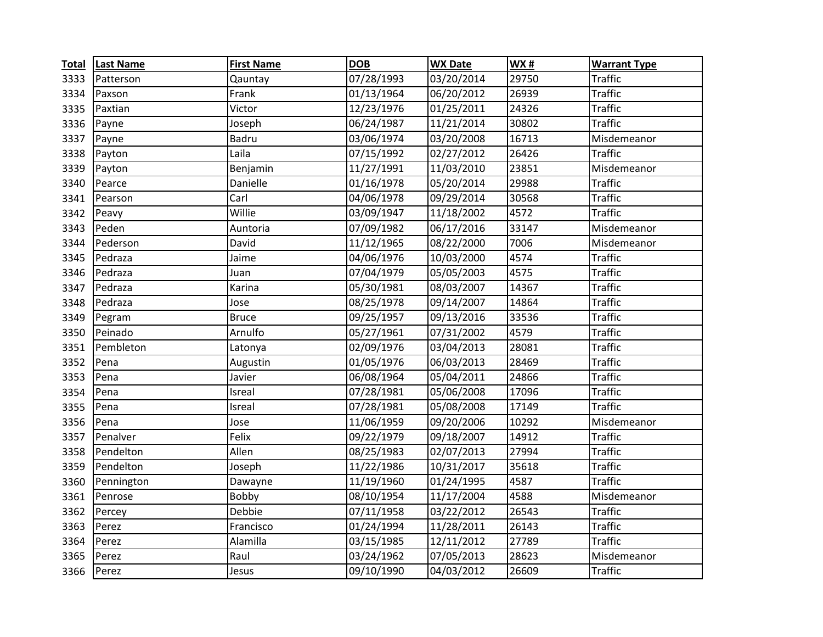| <b>Total</b> | <b>Last Name</b> | <b>First Name</b> | <b>DOB</b> | <b>WX Date</b>        | <b>WX#</b> | <b>Warrant Type</b> |
|--------------|------------------|-------------------|------------|-----------------------|------------|---------------------|
| 3333         | Patterson        | Qauntay           | 07/28/1993 | 03/20/2014            | 29750      | <b>Traffic</b>      |
| 3334         | Paxson           | Frank             | 01/13/1964 | 06/20/2012            | 26939      | <b>Traffic</b>      |
| 3335         | Paxtian          | Victor            | 12/23/1976 | 01/25/2011            | 24326      | <b>Traffic</b>      |
| 3336         | Payne            | Joseph            | 06/24/1987 | 11/21/2014            | 30802      | <b>Traffic</b>      |
| 3337         | Payne            | Badru             | 03/06/1974 | 03/20/2008            | 16713      | Misdemeanor         |
| 3338         | Payton           | Laila             | 07/15/1992 | 02/27/2012            | 26426      | <b>Traffic</b>      |
| 3339         | Payton           | Benjamin          | 11/27/1991 | 11/03/2010            | 23851      | Misdemeanor         |
| 3340         | Pearce           | Danielle          | 01/16/1978 | 05/20/2014            | 29988      | <b>Traffic</b>      |
| 3341         | Pearson          | Carl              | 04/06/1978 | 09/29/2014            | 30568      | <b>Traffic</b>      |
| 3342         | Peavy            | Willie            | 03/09/1947 | 11/18/2002            | 4572       | <b>Traffic</b>      |
| 3343         | Peden            | Auntoria          | 07/09/1982 | 06/17/2016            | 33147      | Misdemeanor         |
| 3344         | Pederson         | David             | 11/12/1965 | 08/22/2000            | 7006       | Misdemeanor         |
| 3345         | Pedraza          | Jaime             | 04/06/1976 | 10/03/2000            | 4574       | <b>Traffic</b>      |
| 3346         | Pedraza          | Juan              | 07/04/1979 | 05/05/2003            | 4575       | <b>Traffic</b>      |
| 3347         | Pedraza          | Karina            | 05/30/1981 | 08/03/2007            | 14367      | <b>Traffic</b>      |
| 3348         | Pedraza          | Jose              | 08/25/1978 | 09/14/2007            | 14864      | <b>Traffic</b>      |
| 3349         | Pegram           | <b>Bruce</b>      | 09/25/1957 | 09/13/2016            | 33536      | <b>Traffic</b>      |
| 3350         | Peinado          | Arnulfo           | 05/27/1961 | 07/31/2002            | 4579       | <b>Traffic</b>      |
| 3351         | Pembleton        | Latonya           | 02/09/1976 | 03/04/2013            | 28081      | <b>Traffic</b>      |
| 3352         | Pena             | Augustin          | 01/05/1976 | 06/03/2013            | 28469      | <b>Traffic</b>      |
| 3353         | Pena             | Javier            | 06/08/1964 | 05/04/2011            | 24866      | <b>Traffic</b>      |
| 3354         | Pena             | Isreal            | 07/28/1981 | 05/06/2008            | 17096      | <b>Traffic</b>      |
| 3355         | Pena             | Isreal            | 07/28/1981 | 05/08/2008            | 17149      | <b>Traffic</b>      |
| 3356         | Pena             | Jose              | 11/06/1959 | 09/20/2006            | 10292      | Misdemeanor         |
| 3357         | Penalver         | Felix             | 09/22/1979 | 09/18/2007            | 14912      | <b>Traffic</b>      |
| 3358         | Pendelton        | Allen             | 08/25/1983 | 02/07/2013            | 27994      | <b>Traffic</b>      |
| 3359         | Pendelton        | Joseph            | 11/22/1986 | 10/31/2017            | 35618      | <b>Traffic</b>      |
| 3360         | Pennington       | Dawayne           | 11/19/1960 | 01/24/1995            | 4587       | <b>Traffic</b>      |
| 3361         | Penrose          | Bobby             | 08/10/1954 | 11/17/2004            | 4588       | Misdemeanor         |
| 3362         | Percey           | Debbie            | 07/11/1958 | 03/22/2012            | 26543      | <b>Traffic</b>      |
| 3363         | Perez            | Francisco         | 01/24/1994 | 11/28/2011            | 26143      | <b>Traffic</b>      |
| 3364         | Perez            | Alamilla          | 03/15/1985 | $\frac{1}{2}/11/2012$ | 27789      | <b>Traffic</b>      |
| 3365         | Perez            | Raul              | 03/24/1962 | 07/05/2013            | 28623      | Misdemeanor         |
| 3366         | Perez            | Jesus             | 09/10/1990 | 04/03/2012            | 26609      | <b>Traffic</b>      |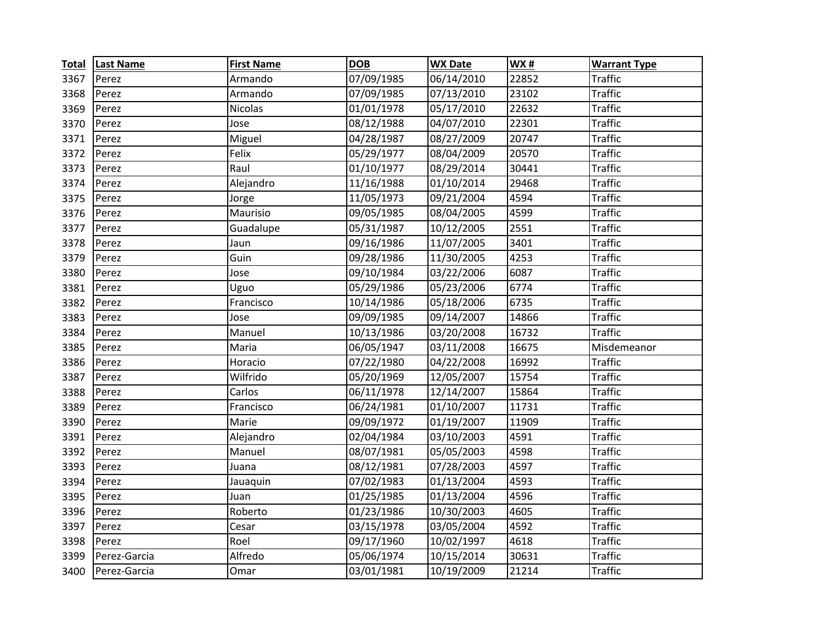| <b>Total</b> | <b>Last Name</b> | <b>First Name</b> | <b>DOB</b> | <b>WX Date</b> | <b>WX#</b> | <b>Warrant Type</b> |
|--------------|------------------|-------------------|------------|----------------|------------|---------------------|
| 3367         | Perez            | Armando           | 07/09/1985 | 06/14/2010     | 22852      | <b>Traffic</b>      |
| 3368         | Perez            | Armando           | 07/09/1985 | 07/13/2010     | 23102      | <b>Traffic</b>      |
| 3369         | Perez            | <b>Nicolas</b>    | 01/01/1978 | 05/17/2010     | 22632      | <b>Traffic</b>      |
| 3370         | Perez            | Jose              | 08/12/1988 | 04/07/2010     | 22301      | <b>Traffic</b>      |
| 3371         | Perez            | Miguel            | 04/28/1987 | 08/27/2009     | 20747      | <b>Traffic</b>      |
| 3372         | Perez            | Felix             | 05/29/1977 | 08/04/2009     | 20570      | <b>Traffic</b>      |
| 3373         | Perez            | Raul              | 01/10/1977 | 08/29/2014     | 30441      | <b>Traffic</b>      |
| 3374         | Perez            | Alejandro         | 11/16/1988 | 01/10/2014     | 29468      | <b>Traffic</b>      |
| 3375         | Perez            | Jorge             | 11/05/1973 | 09/21/2004     | 4594       | <b>Traffic</b>      |
| 3376         | Perez            | Maurisio          | 09/05/1985 | 08/04/2005     | 4599       | <b>Traffic</b>      |
| 3377         | Perez            | Guadalupe         | 05/31/1987 | 10/12/2005     | 2551       | <b>Traffic</b>      |
| 3378         | Perez            | Jaun              | 09/16/1986 | 11/07/2005     | 3401       | <b>Traffic</b>      |
| 3379         | Perez            | Guin              | 09/28/1986 | 11/30/2005     | 4253       | <b>Traffic</b>      |
| 3380         | Perez            | Jose              | 09/10/1984 | 03/22/2006     | 6087       | <b>Traffic</b>      |
| 3381         | Perez            | Uguo              | 05/29/1986 | 05/23/2006     | 6774       | <b>Traffic</b>      |
| 3382         | Perez            | Francisco         | 10/14/1986 | 05/18/2006     | 6735       | <b>Traffic</b>      |
| 3383         | Perez            | Jose              | 09/09/1985 | 09/14/2007     | 14866      | <b>Traffic</b>      |
| 3384         | Perez            | Manuel            | 10/13/1986 | 03/20/2008     | 16732      | <b>Traffic</b>      |
| 3385         | Perez            | Maria             | 06/05/1947 | 03/11/2008     | 16675      | Misdemeanor         |
| 3386         | Perez            | Horacio           | 07/22/1980 | 04/22/2008     | 16992      | <b>Traffic</b>      |
| 3387         | Perez            | Wilfrido          | 05/20/1969 | 12/05/2007     | 15754      | <b>Traffic</b>      |
| 3388         | Perez            | Carlos            | 06/11/1978 | 12/14/2007     | 15864      | <b>Traffic</b>      |
| 3389         | Perez            | Francisco         | 06/24/1981 | 01/10/2007     | 11731      | <b>Traffic</b>      |
| 3390         | Perez            | Marie             | 09/09/1972 | 01/19/2007     | 11909      | <b>Traffic</b>      |
| 3391         | Perez            | Alejandro         | 02/04/1984 | 03/10/2003     | 4591       | <b>Traffic</b>      |
| 3392         | Perez            | Manuel            | 08/07/1981 | 05/05/2003     | 4598       | <b>Traffic</b>      |
| 3393         | Perez            | Juana             | 08/12/1981 | 07/28/2003     | 4597       | <b>Traffic</b>      |
| 3394         | Perez            | Jauaquin          | 07/02/1983 | 01/13/2004     | 4593       | <b>Traffic</b>      |
| 3395         | Perez            | Juan              | 01/25/1985 | 01/13/2004     | 4596       | <b>Traffic</b>      |
| 3396         | Perez            | Roberto           | 01/23/1986 | 10/30/2003     | 4605       | <b>Traffic</b>      |
| 3397         | Perez            | Cesar             | 03/15/1978 | 03/05/2004     | 4592       | <b>Traffic</b>      |
| 3398         | Perez            | Roel              | 09/17/1960 | 10/02/1997     | 4618       | <b>Traffic</b>      |
| 3399         | Perez-Garcia     | Alfredo           | 05/06/1974 | 10/15/2014     | 30631      | <b>Traffic</b>      |
| 3400         | Perez-Garcia     | Omar              | 03/01/1981 | 10/19/2009     | 21214      | <b>Traffic</b>      |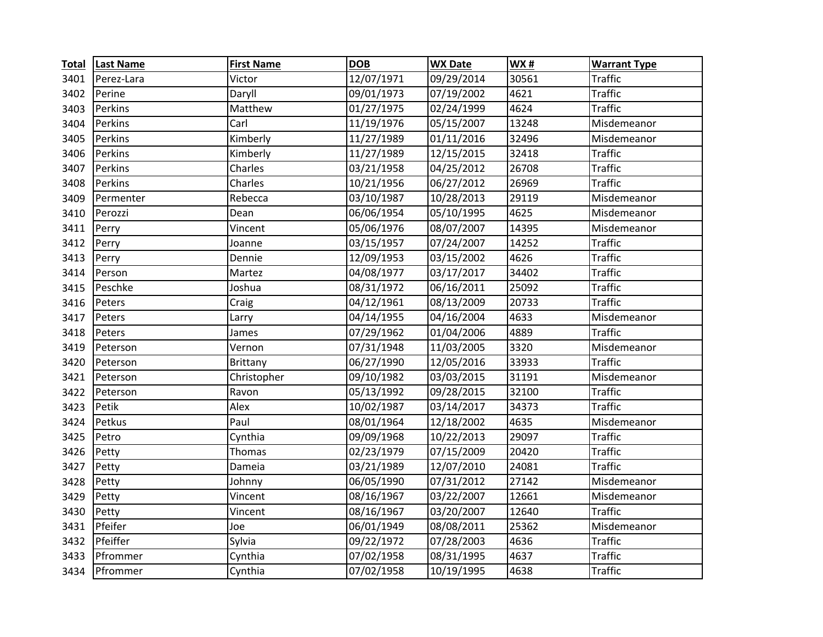| <b>Total</b> | <b>Last Name</b> | <b>First Name</b> | <b>DOB</b> | <b>WX Date</b> | <b>WX#</b> | <b>Warrant Type</b> |
|--------------|------------------|-------------------|------------|----------------|------------|---------------------|
| 3401         | Perez-Lara       | Victor            | 12/07/1971 | 09/29/2014     | 30561      | <b>Traffic</b>      |
| 3402         | Perine           | Daryll            | 09/01/1973 | 07/19/2002     | 4621       | <b>Traffic</b>      |
| 3403         | Perkins          | Matthew           | 01/27/1975 | 02/24/1999     | 4624       | <b>Traffic</b>      |
| 3404         | Perkins          | Carl              | 11/19/1976 | 05/15/2007     | 13248      | Misdemeanor         |
| 3405         | Perkins          | Kimberly          | 11/27/1989 | 01/11/2016     | 32496      | Misdemeanor         |
| 3406         | Perkins          | Kimberly          | 11/27/1989 | 12/15/2015     | 32418      | <b>Traffic</b>      |
| 3407         | Perkins          | Charles           | 03/21/1958 | 04/25/2012     | 26708      | <b>Traffic</b>      |
| 3408         | Perkins          | Charles           | 10/21/1956 | 06/27/2012     | 26969      | <b>Traffic</b>      |
| 3409         | Permenter        | Rebecca           | 03/10/1987 | 10/28/2013     | 29119      | Misdemeanor         |
| 3410         | Perozzi          | Dean              | 06/06/1954 | 05/10/1995     | 4625       | Misdemeanor         |
| 3411         | Perry            | Vincent           | 05/06/1976 | 08/07/2007     | 14395      | Misdemeanor         |
| 3412         | Perry            | Joanne            | 03/15/1957 | 07/24/2007     | 14252      | <b>Traffic</b>      |
| 3413         | Perry            | Dennie            | 12/09/1953 | 03/15/2002     | 4626       | <b>Traffic</b>      |
| 3414         | Person           | Martez            | 04/08/1977 | 03/17/2017     | 34402      | <b>Traffic</b>      |
| 3415         | Peschke          | Joshua            | 08/31/1972 | 06/16/2011     | 25092      | <b>Traffic</b>      |
| 3416         | Peters           | Craig             | 04/12/1961 | 08/13/2009     | 20733      | <b>Traffic</b>      |
| 3417         | Peters           | Larry             | 04/14/1955 | 04/16/2004     | 4633       | Misdemeanor         |
| 3418         | Peters           | James             | 07/29/1962 | 01/04/2006     | 4889       | <b>Traffic</b>      |
| 3419         | Peterson         | Vernon            | 07/31/1948 | 11/03/2005     | 3320       | Misdemeanor         |
| 3420         | Peterson         | <b>Brittany</b>   | 06/27/1990 | 12/05/2016     | 33933      | <b>Traffic</b>      |
| 3421         | Peterson         | Christopher       | 09/10/1982 | 03/03/2015     | 31191      | Misdemeanor         |
| 3422         | Peterson         | Ravon             | 05/13/1992 | 09/28/2015     | 32100      | <b>Traffic</b>      |
| 3423         | Petik            | Alex              | 10/02/1987 | 03/14/2017     | 34373      | <b>Traffic</b>      |
| 3424         | Petkus           | Paul              | 08/01/1964 | 12/18/2002     | 4635       | Misdemeanor         |
| 3425         | Petro            | Cynthia           | 09/09/1968 | 10/22/2013     | 29097      | <b>Traffic</b>      |
| 3426         | Petty            | Thomas            | 02/23/1979 | 07/15/2009     | 20420      | <b>Traffic</b>      |
| 3427         | Petty            | Dameia            | 03/21/1989 | 12/07/2010     | 24081      | <b>Traffic</b>      |
| 3428         | Petty            | Johnny            | 06/05/1990 | 07/31/2012     | 27142      | Misdemeanor         |
| 3429         | Petty            | Vincent           | 08/16/1967 | 03/22/2007     | 12661      | Misdemeanor         |
| 3430         | Petty            | Vincent           | 08/16/1967 | 03/20/2007     | 12640      | <b>Traffic</b>      |
| 3431         | Pfeifer          | Joe               | 06/01/1949 | 08/08/2011     | 25362      | Misdemeanor         |
| 3432         | Pfeiffer         | Sylvia            | 09/22/1972 | 07/28/2003     | 4636       | <b>Traffic</b>      |
| 3433         | Pfrommer         | Cynthia           | 07/02/1958 | 08/31/1995     | 4637       | <b>Traffic</b>      |
| 3434         | Pfrommer         | Cynthia           | 07/02/1958 | 10/19/1995     | 4638       | <b>Traffic</b>      |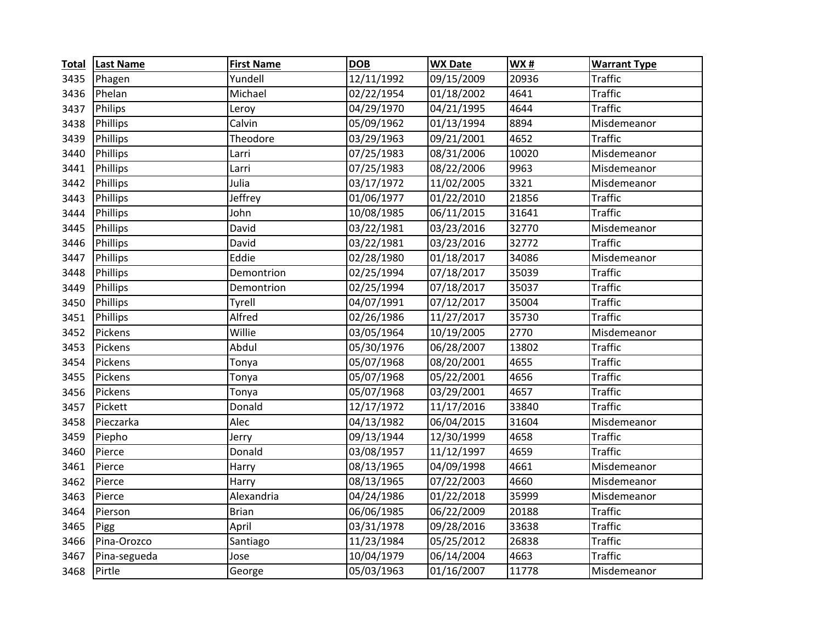| <b>Total</b> | <b>Last Name</b> | <b>First Name</b> | <b>DOB</b> | <b>WX Date</b> | <b>WX#</b> | <b>Warrant Type</b> |
|--------------|------------------|-------------------|------------|----------------|------------|---------------------|
| 3435         | Phagen           | Yundell           | 12/11/1992 | 09/15/2009     | 20936      | <b>Traffic</b>      |
| 3436         | Phelan           | Michael           | 02/22/1954 | 01/18/2002     | 4641       | <b>Traffic</b>      |
| 3437         | Philips          | Leroy             | 04/29/1970 | 04/21/1995     | 4644       | <b>Traffic</b>      |
| 3438         | Phillips         | Calvin            | 05/09/1962 | 01/13/1994     | 8894       | Misdemeanor         |
| 3439         | Phillips         | Theodore          | 03/29/1963 | 09/21/2001     | 4652       | <b>Traffic</b>      |
| 3440         | Phillips         | Larri             | 07/25/1983 | 08/31/2006     | 10020      | Misdemeanor         |
| 3441         | Phillips         | Larri             | 07/25/1983 | 08/22/2006     | 9963       | Misdemeanor         |
| 3442         | Phillips         | Julia             | 03/17/1972 | 11/02/2005     | 3321       | Misdemeanor         |
| 3443         | Phillips         | Jeffrey           | 01/06/1977 | 01/22/2010     | 21856      | <b>Traffic</b>      |
| 3444         | Phillips         | John              | 10/08/1985 | 06/11/2015     | 31641      | <b>Traffic</b>      |
| 3445         | Phillips         | David             | 03/22/1981 | 03/23/2016     | 32770      | Misdemeanor         |
| 3446         | Phillips         | David             | 03/22/1981 | 03/23/2016     | 32772      | <b>Traffic</b>      |
| 3447         | Phillips         | Eddie             | 02/28/1980 | 01/18/2017     | 34086      | Misdemeanor         |
| 3448         | Phillips         | Demontrion        | 02/25/1994 | 07/18/2017     | 35039      | <b>Traffic</b>      |
| 3449         | Phillips         | Demontrion        | 02/25/1994 | 07/18/2017     | 35037      | <b>Traffic</b>      |
| 3450         | Phillips         | Tyrell            | 04/07/1991 | 07/12/2017     | 35004      | <b>Traffic</b>      |
| 3451         | Phillips         | Alfred            | 02/26/1986 | 11/27/2017     | 35730      | <b>Traffic</b>      |
| 3452         | Pickens          | Willie            | 03/05/1964 | 10/19/2005     | 2770       | Misdemeanor         |
| 3453         | Pickens          | Abdul             | 05/30/1976 | 06/28/2007     | 13802      | <b>Traffic</b>      |
| 3454         | Pickens          | Tonya             | 05/07/1968 | 08/20/2001     | 4655       | <b>Traffic</b>      |
| 3455         | Pickens          | Tonya             | 05/07/1968 | 05/22/2001     | 4656       | <b>Traffic</b>      |
| 3456         | Pickens          | Tonya             | 05/07/1968 | 03/29/2001     | 4657       | <b>Traffic</b>      |
| 3457         | Pickett          | Donald            | 12/17/1972 | 11/17/2016     | 33840      | <b>Traffic</b>      |
| 3458         | Pieczarka        | Alec              | 04/13/1982 | 06/04/2015     | 31604      | Misdemeanor         |
| 3459         | Piepho           | Jerry             | 09/13/1944 | 12/30/1999     | 4658       | <b>Traffic</b>      |
| 3460         | Pierce           | Donald            | 03/08/1957 | 11/12/1997     | 4659       | <b>Traffic</b>      |
| 3461         | Pierce           | Harry             | 08/13/1965 | 04/09/1998     | 4661       | Misdemeanor         |
| 3462         | Pierce           | Harry             | 08/13/1965 | 07/22/2003     | 4660       | Misdemeanor         |
| 3463         | Pierce           | Alexandria        | 04/24/1986 | 01/22/2018     | 35999      | Misdemeanor         |
| 3464         | Pierson          | <b>Brian</b>      | 06/06/1985 | 06/22/2009     | 20188      | <b>Traffic</b>      |
| 3465         | Pigg             | April             | 03/31/1978 | 09/28/2016     | 33638      | <b>Traffic</b>      |
| 3466         | Pina-Orozco      | Santiago          | 11/23/1984 | 05/25/2012     | 26838      | <b>Traffic</b>      |
| 3467         | Pina-segueda     | Jose              | 10/04/1979 | 06/14/2004     | 4663       | <b>Traffic</b>      |
| 3468         | Pirtle           | George            | 05/03/1963 | 01/16/2007     | 11778      | Misdemeanor         |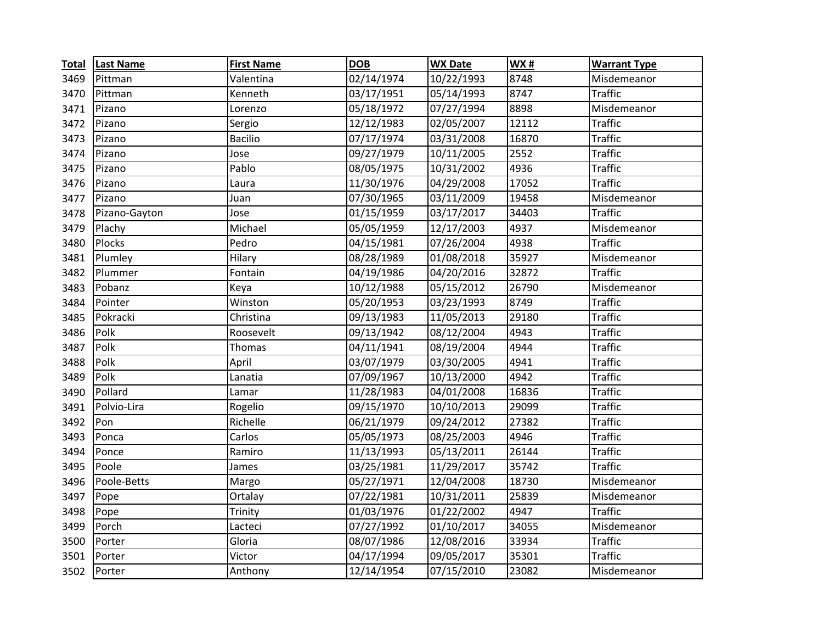| <b>Total</b> | <b>Last Name</b> | <b>First Name</b> | <b>DOB</b> | <b>WX Date</b> | <b>WX#</b> | <b>Warrant Type</b> |
|--------------|------------------|-------------------|------------|----------------|------------|---------------------|
| 3469         | Pittman          | Valentina         | 02/14/1974 | 10/22/1993     | 8748       | Misdemeanor         |
| 3470         | Pittman          | Kenneth           | 03/17/1951 | 05/14/1993     | 8747       | <b>Traffic</b>      |
| 3471         | Pizano           | Lorenzo           | 05/18/1972 | 07/27/1994     | 8898       | Misdemeanor         |
| 3472         | Pizano           | Sergio            | 12/12/1983 | 02/05/2007     | 12112      | <b>Traffic</b>      |
| 3473         | Pizano           | <b>Bacilio</b>    | 07/17/1974 | 03/31/2008     | 16870      | <b>Traffic</b>      |
| 3474         | Pizano           | Jose              | 09/27/1979 | 10/11/2005     | 2552       | <b>Traffic</b>      |
| 3475         | Pizano           | Pablo             | 08/05/1975 | 10/31/2002     | 4936       | <b>Traffic</b>      |
| 3476         | Pizano           | Laura             | 11/30/1976 | 04/29/2008     | 17052      | <b>Traffic</b>      |
| 3477         | Pizano           | Juan              | 07/30/1965 | 03/11/2009     | 19458      | Misdemeanor         |
| 3478         | Pizano-Gayton    | Jose              | 01/15/1959 | 03/17/2017     | 34403      | <b>Traffic</b>      |
| 3479         | Plachy           | Michael           | 05/05/1959 | 12/17/2003     | 4937       | Misdemeanor         |
| 3480         | Plocks           | Pedro             | 04/15/1981 | 07/26/2004     | 4938       | <b>Traffic</b>      |
| 3481         | Plumley          | Hilary            | 08/28/1989 | 01/08/2018     | 35927      | Misdemeanor         |
| 3482         | Plummer          | Fontain           | 04/19/1986 | 04/20/2016     | 32872      | <b>Traffic</b>      |
| 3483         | Pobanz           | Keya              | 10/12/1988 | 05/15/2012     | 26790      | Misdemeanor         |
| 3484         | Pointer          | Winston           | 05/20/1953 | 03/23/1993     | 8749       | <b>Traffic</b>      |
| 3485         | Pokracki         | Christina         | 09/13/1983 | 11/05/2013     | 29180      | <b>Traffic</b>      |
| 3486         | Polk             | Roosevelt         | 09/13/1942 | 08/12/2004     | 4943       | <b>Traffic</b>      |
| 3487         | Polk             | Thomas            | 04/11/1941 | 08/19/2004     | 4944       | <b>Traffic</b>      |
| 3488         | Polk             | April             | 03/07/1979 | 03/30/2005     | 4941       | <b>Traffic</b>      |
| 3489         | Polk             | Lanatia           | 07/09/1967 | 10/13/2000     | 4942       | <b>Traffic</b>      |
| 3490         | Pollard          | Lamar             | 11/28/1983 | 04/01/2008     | 16836      | <b>Traffic</b>      |
| 3491         | Polvio-Lira      | Rogelio           | 09/15/1970 | 10/10/2013     | 29099      | <b>Traffic</b>      |
| 3492         | Pon              | Richelle          | 06/21/1979 | 09/24/2012     | 27382      | <b>Traffic</b>      |
| 3493         | Ponca            | Carlos            | 05/05/1973 | 08/25/2003     | 4946       | <b>Traffic</b>      |
| 3494         | Ponce            | Ramiro            | 11/13/1993 | 05/13/2011     | 26144      | <b>Traffic</b>      |
| 3495         | Poole            | James             | 03/25/1981 | 11/29/2017     | 35742      | <b>Traffic</b>      |
| 3496         | Poole-Betts      | Margo             | 05/27/1971 | 12/04/2008     | 18730      | Misdemeanor         |
| 3497         | Pope             | Ortalay           | 07/22/1981 | 10/31/2011     | 25839      | Misdemeanor         |
| 3498         | Pope             | Trinity           | 01/03/1976 | 01/22/2002     | 4947       | <b>Traffic</b>      |
| 3499         | Porch            | Lacteci           | 07/27/1992 | 01/10/2017     | 34055      | Misdemeanor         |
| 3500         | Porter           | Gloria            | 08/07/1986 | 12/08/2016     | 33934      | <b>Traffic</b>      |
| 3501         | Porter           | Victor            | 04/17/1994 | 09/05/2017     | 35301      | <b>Traffic</b>      |
| 3502         | Porter           | Anthony           | 12/14/1954 | 07/15/2010     | 23082      | Misdemeanor         |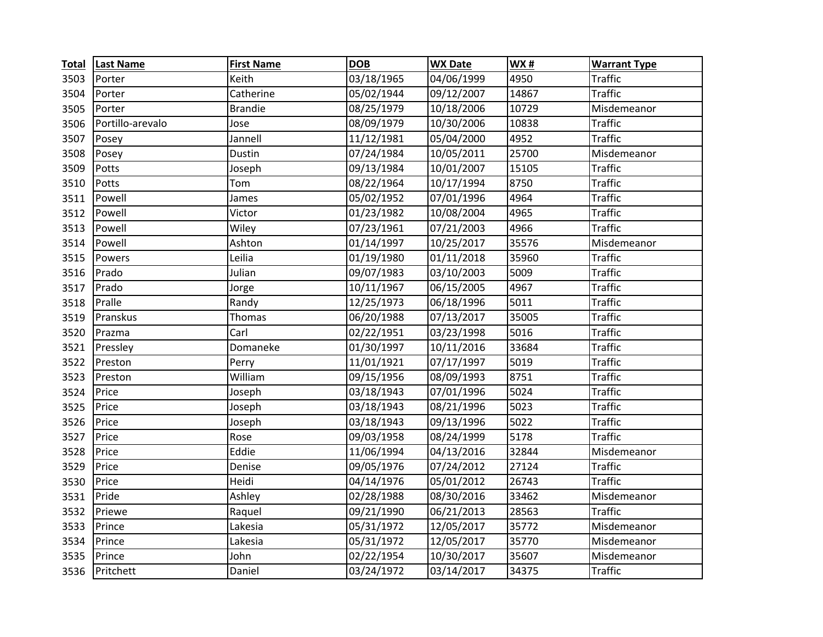| <b>Total</b> | <b>Last Name</b> | <b>First Name</b> | <b>DOB</b> | <b>WX Date</b>          | <b>WX#</b> | <b>Warrant Type</b> |
|--------------|------------------|-------------------|------------|-------------------------|------------|---------------------|
| 3503         | Porter           | Keith             | 03/18/1965 | 04/06/1999              | 4950       | <b>Traffic</b>      |
| 3504         | Porter           | Catherine         | 05/02/1944 | 09/12/2007              | 14867      | <b>Traffic</b>      |
| 3505         | Porter           | <b>Brandie</b>    | 08/25/1979 | 10/18/2006              | 10729      | Misdemeanor         |
| 3506         | Portillo-arevalo | Jose              | 08/09/1979 | 10/30/2006              | 10838      | <b>Traffic</b>      |
| 3507         | Posey            | Jannell           | 11/12/1981 | 05/04/2000              | 4952       | <b>Traffic</b>      |
| 3508         | Posey            | Dustin            | 07/24/1984 | 10/05/2011              | 25700      | Misdemeanor         |
| 3509         | Potts            | Joseph            | 09/13/1984 | 10/01/2007              | 15105      | <b>Traffic</b>      |
| 3510         | Potts            | Tom               | 08/22/1964 | 10/17/1994              | 8750       | <b>Traffic</b>      |
| 3511         | Powell           | James             | 05/02/1952 | 07/01/1996              | 4964       | <b>Traffic</b>      |
| 3512         | Powell           | Victor            | 01/23/1982 | 10/08/2004              | 4965       | <b>Traffic</b>      |
| 3513         | Powell           | Wiley             | 07/23/1961 | $\overline{07/21/2003}$ | 4966       | <b>Traffic</b>      |
| 3514         | Powell           | Ashton            | 01/14/1997 | 10/25/2017              | 35576      | Misdemeanor         |
| 3515         | Powers           | Leilia            | 01/19/1980 | 01/11/2018              | 35960      | <b>Traffic</b>      |
| 3516         | Prado            | Julian            | 09/07/1983 | 03/10/2003              | 5009       | <b>Traffic</b>      |
| 3517         | Prado            | Jorge             | 10/11/1967 | 06/15/2005              | 4967       | <b>Traffic</b>      |
| 3518         | Pralle           | Randy             | 12/25/1973 | 06/18/1996              | 5011       | <b>Traffic</b>      |
| 3519         | Pranskus         | Thomas            | 06/20/1988 | 07/13/2017              | 35005      | <b>Traffic</b>      |
| 3520         | Prazma           | Carl              | 02/22/1951 | 03/23/1998              | 5016       | <b>Traffic</b>      |
| 3521         | Pressley         | Domaneke          | 01/30/1997 | 10/11/2016              | 33684      | <b>Traffic</b>      |
| 3522         | Preston          | Perry             | 11/01/1921 | 07/17/1997              | 5019       | <b>Traffic</b>      |
| 3523         | Preston          | William           | 09/15/1956 | 08/09/1993              | 8751       | <b>Traffic</b>      |
| 3524         | Price            | Joseph            | 03/18/1943 | 07/01/1996              | 5024       | <b>Traffic</b>      |
| 3525         | Price            | Joseph            | 03/18/1943 | 08/21/1996              | 5023       | <b>Traffic</b>      |
| 3526         | Price            | Joseph            | 03/18/1943 | 09/13/1996              | 5022       | <b>Traffic</b>      |
| 3527         | Price            | Rose              | 09/03/1958 | 08/24/1999              | 5178       | <b>Traffic</b>      |
| 3528         | Price            | Eddie             | 11/06/1994 | 04/13/2016              | 32844      | Misdemeanor         |
| 3529         | Price            | Denise            | 09/05/1976 | 07/24/2012              | 27124      | <b>Traffic</b>      |
| 3530         | Price            | Heidi             | 04/14/1976 | 05/01/2012              | 26743      | <b>Traffic</b>      |
| 3531         | Pride            | Ashley            | 02/28/1988 | 08/30/2016              | 33462      | Misdemeanor         |
| 3532         | Priewe           | Raquel            | 09/21/1990 | 06/21/2013              | 28563      | <b>Traffic</b>      |
| 3533         | Prince           | Lakesia           | 05/31/1972 | 12/05/2017              | 35772      | Misdemeanor         |
| 3534         | Prince           | Lakesia           | 05/31/1972 | 12/05/2017              | 35770      | Misdemeanor         |
| 3535         | Prince           | John              | 02/22/1954 | 10/30/2017              | 35607      | Misdemeanor         |
| 3536         | Pritchett        | Daniel            | 03/24/1972 | 03/14/2017              | 34375      | <b>Traffic</b>      |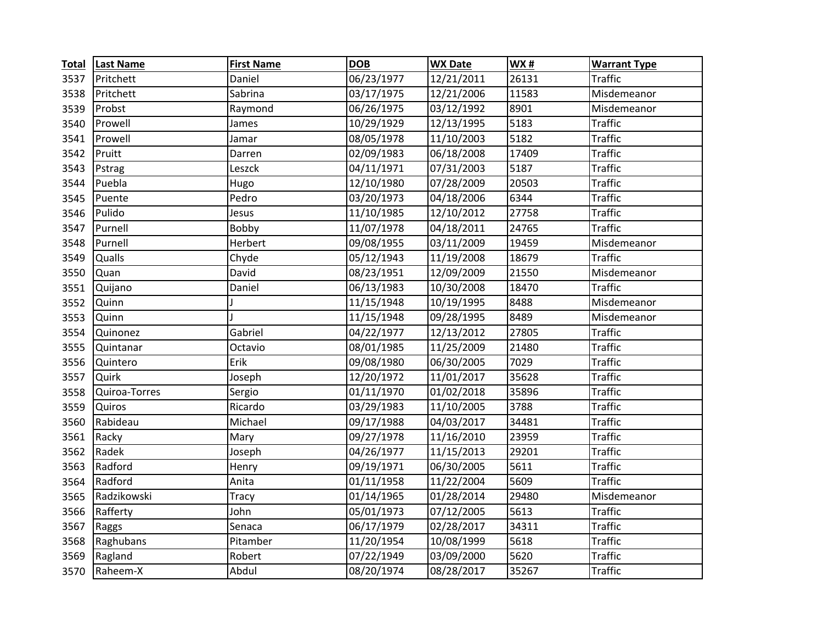| <b>Total</b> | <b>Last Name</b> | <b>First Name</b> | <b>DOB</b> | <b>WX Date</b> | <b>WX#</b> | <b>Warrant Type</b> |
|--------------|------------------|-------------------|------------|----------------|------------|---------------------|
| 3537         | Pritchett        | Daniel            | 06/23/1977 | 12/21/2011     | 26131      | Traffic             |
| 3538         | Pritchett        | Sabrina           | 03/17/1975 | 12/21/2006     | 11583      | Misdemeanor         |
| 3539         | Probst           | Raymond           | 06/26/1975 | 03/12/1992     | 8901       | Misdemeanor         |
| 3540         | Prowell          | James             | 10/29/1929 | 12/13/1995     | 5183       | <b>Traffic</b>      |
| 3541         | Prowell          | Jamar             | 08/05/1978 | 11/10/2003     | 5182       | <b>Traffic</b>      |
| 3542         | Pruitt           | Darren            | 02/09/1983 | 06/18/2008     | 17409      | <b>Traffic</b>      |
| 3543         | Pstrag           | Leszck            | 04/11/1971 | 07/31/2003     | 5187       | <b>Traffic</b>      |
| 3544         | Puebla           | Hugo              | 12/10/1980 | 07/28/2009     | 20503      | <b>Traffic</b>      |
| 3545         | Puente           | Pedro             | 03/20/1973 | 04/18/2006     | 6344       | <b>Traffic</b>      |
| 3546         | Pulido           | Jesus             | 11/10/1985 | 12/10/2012     | 27758      | <b>Traffic</b>      |
| 3547         | Purnell          | Bobby             | 11/07/1978 | 04/18/2011     | 24765      | <b>Traffic</b>      |
| 3548         | Purnell          | Herbert           | 09/08/1955 | 03/11/2009     | 19459      | Misdemeanor         |
| 3549         | <b>Qualls</b>    | Chyde             | 05/12/1943 | 11/19/2008     | 18679      | <b>Traffic</b>      |
| 3550         | Quan             | David             | 08/23/1951 | 12/09/2009     | 21550      | Misdemeanor         |
| 3551         | Quijano          | Daniel            | 06/13/1983 | 10/30/2008     | 18470      | <b>Traffic</b>      |
| 3552         | Quinn            |                   | 11/15/1948 | 10/19/1995     | 8488       | Misdemeanor         |
| 3553         | Quinn            |                   | 11/15/1948 | 09/28/1995     | 8489       | Misdemeanor         |
| 3554         | Quinonez         | Gabriel           | 04/22/1977 | 12/13/2012     | 27805      | <b>Traffic</b>      |
| 3555         | Quintanar        | Octavio           | 08/01/1985 | 11/25/2009     | 21480      | <b>Traffic</b>      |
| 3556         | Quintero         | Erik              | 09/08/1980 | 06/30/2005     | 7029       | <b>Traffic</b>      |
| 3557         | Quirk            | Joseph            | 12/20/1972 | 11/01/2017     | 35628      | <b>Traffic</b>      |
| 3558         | Quiroa-Torres    | Sergio            | 01/11/1970 | 01/02/2018     | 35896      | <b>Traffic</b>      |
| 3559         | Quiros           | Ricardo           | 03/29/1983 | 11/10/2005     | 3788       | <b>Traffic</b>      |
| 3560         | Rabideau         | Michael           | 09/17/1988 | 04/03/2017     | 34481      | <b>Traffic</b>      |
| 3561         | Racky            | Mary              | 09/27/1978 | 11/16/2010     | 23959      | <b>Traffic</b>      |
| 3562         | Radek            | Joseph            | 04/26/1977 | 11/15/2013     | 29201      | <b>Traffic</b>      |
| 3563         | Radford          | Henry             | 09/19/1971 | 06/30/2005     | 5611       | <b>Traffic</b>      |
| 3564         | Radford          | Anita             | 01/11/1958 | 11/22/2004     | 5609       | <b>Traffic</b>      |
| 3565         | Radzikowski      | Tracy             | 01/14/1965 | 01/28/2014     | 29480      | Misdemeanor         |
| 3566         | Rafferty         | John              | 05/01/1973 | 07/12/2005     | 5613       | <b>Traffic</b>      |
| 3567         | Raggs            | Senaca            | 06/17/1979 | 02/28/2017     | 34311      | <b>Traffic</b>      |
| 3568         | Raghubans        | Pitamber          | 11/20/1954 | 10/08/1999     | 5618       | <b>Traffic</b>      |
| 3569         | Ragland          | Robert            | 07/22/1949 | 03/09/2000     | 5620       | <b>Traffic</b>      |
| 3570         | Raheem-X         | Abdul             | 08/20/1974 | 08/28/2017     | 35267      | <b>Traffic</b>      |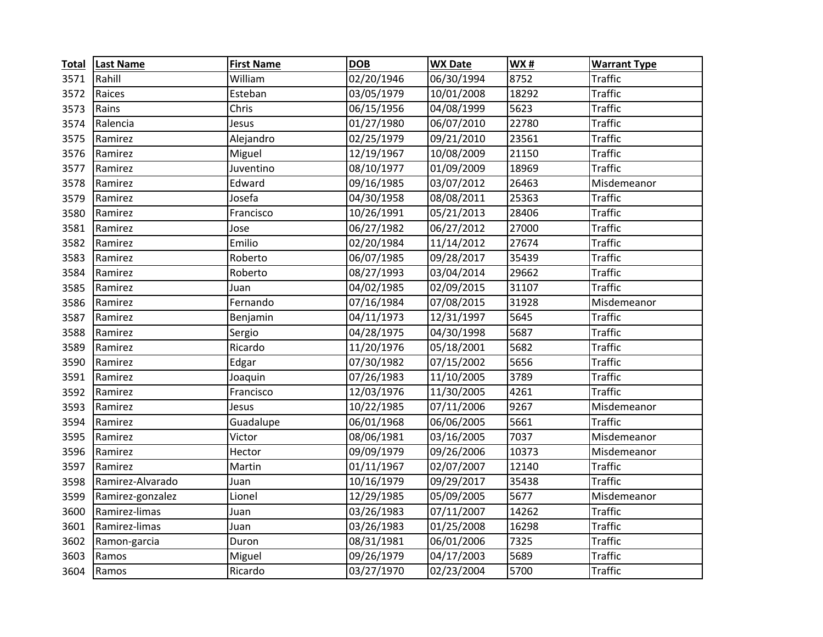| <b>Total</b> | <b>Last Name</b> | <b>First Name</b> | <b>DOB</b> | <b>WX Date</b> | <b>WX#</b> | <b>Warrant Type</b> |
|--------------|------------------|-------------------|------------|----------------|------------|---------------------|
| 3571         | Rahill           | William           | 02/20/1946 | 06/30/1994     | 8752       | Traffic             |
| 3572         | Raices           | Esteban           | 03/05/1979 | 10/01/2008     | 18292      | <b>Traffic</b>      |
| 3573         | Rains            | Chris             | 06/15/1956 | 04/08/1999     | 5623       | <b>Traffic</b>      |
| 3574         | Ralencia         | Jesus             | 01/27/1980 | 06/07/2010     | 22780      | <b>Traffic</b>      |
| 3575         | Ramirez          | Alejandro         | 02/25/1979 | 09/21/2010     | 23561      | <b>Traffic</b>      |
| 3576         | Ramirez          | Miguel            | 12/19/1967 | 10/08/2009     | 21150      | <b>Traffic</b>      |
| 3577         | Ramirez          | Juventino         | 08/10/1977 | 01/09/2009     | 18969      | <b>Traffic</b>      |
| 3578         | Ramirez          | Edward            | 09/16/1985 | 03/07/2012     | 26463      | Misdemeanor         |
| 3579         | Ramirez          | Josefa            | 04/30/1958 | 08/08/2011     | 25363      | <b>Traffic</b>      |
| 3580         | Ramirez          | Francisco         | 10/26/1991 | 05/21/2013     | 28406      | <b>Traffic</b>      |
| 3581         | Ramirez          | Jose              | 06/27/1982 | 06/27/2012     | 27000      | <b>Traffic</b>      |
| 3582         | Ramirez          | Emilio            | 02/20/1984 | 11/14/2012     | 27674      | <b>Traffic</b>      |
| 3583         | Ramirez          | Roberto           | 06/07/1985 | 09/28/2017     | 35439      | <b>Traffic</b>      |
| 3584         | Ramirez          | Roberto           | 08/27/1993 | 03/04/2014     | 29662      | <b>Traffic</b>      |
| 3585         | Ramirez          | Juan              | 04/02/1985 | 02/09/2015     | 31107      | <b>Traffic</b>      |
| 3586         | Ramirez          | Fernando          | 07/16/1984 | 07/08/2015     | 31928      | Misdemeanor         |
| 3587         | Ramirez          | Benjamin          | 04/11/1973 | 12/31/1997     | 5645       | <b>Traffic</b>      |
| 3588         | Ramirez          | Sergio            | 04/28/1975 | 04/30/1998     | 5687       | <b>Traffic</b>      |
| 3589         | Ramirez          | Ricardo           | 11/20/1976 | 05/18/2001     | 5682       | <b>Traffic</b>      |
| 3590         | Ramirez          | Edgar             | 07/30/1982 | 07/15/2002     | 5656       | <b>Traffic</b>      |
| 3591         | Ramirez          | Joaquin           | 07/26/1983 | 11/10/2005     | 3789       | <b>Traffic</b>      |
| 3592         | Ramirez          | Francisco         | 12/03/1976 | 11/30/2005     | 4261       | <b>Traffic</b>      |
| 3593         | Ramirez          | Jesus             | 10/22/1985 | 07/11/2006     | 9267       | Misdemeanor         |
| 3594         | Ramirez          | Guadalupe         | 06/01/1968 | 06/06/2005     | 5661       | <b>Traffic</b>      |
| 3595         | Ramirez          | Victor            | 08/06/1981 | 03/16/2005     | 7037       | Misdemeanor         |
| 3596         | Ramirez          | Hector            | 09/09/1979 | 09/26/2006     | 10373      | Misdemeanor         |
| 3597         | Ramirez          | Martin            | 01/11/1967 | 02/07/2007     | 12140      | <b>Traffic</b>      |
| 3598         | Ramirez-Alvarado | Juan              | 10/16/1979 | 09/29/2017     | 35438      | <b>Traffic</b>      |
| 3599         | Ramirez-gonzalez | Lionel            | 12/29/1985 | 05/09/2005     | 5677       | Misdemeanor         |
| 3600         | Ramirez-limas    | Juan              | 03/26/1983 | 07/11/2007     | 14262      | <b>Traffic</b>      |
| 3601         | Ramirez-limas    | Juan              | 03/26/1983 | 01/25/2008     | 16298      | <b>Traffic</b>      |
| 3602         | Ramon-garcia     | Duron             | 08/31/1981 | 06/01/2006     | 7325       | <b>Traffic</b>      |
| 3603         | Ramos            | Miguel            | 09/26/1979 | 04/17/2003     | 5689       | <b>Traffic</b>      |
| 3604         | Ramos            | Ricardo           | 03/27/1970 | 02/23/2004     | 5700       | <b>Traffic</b>      |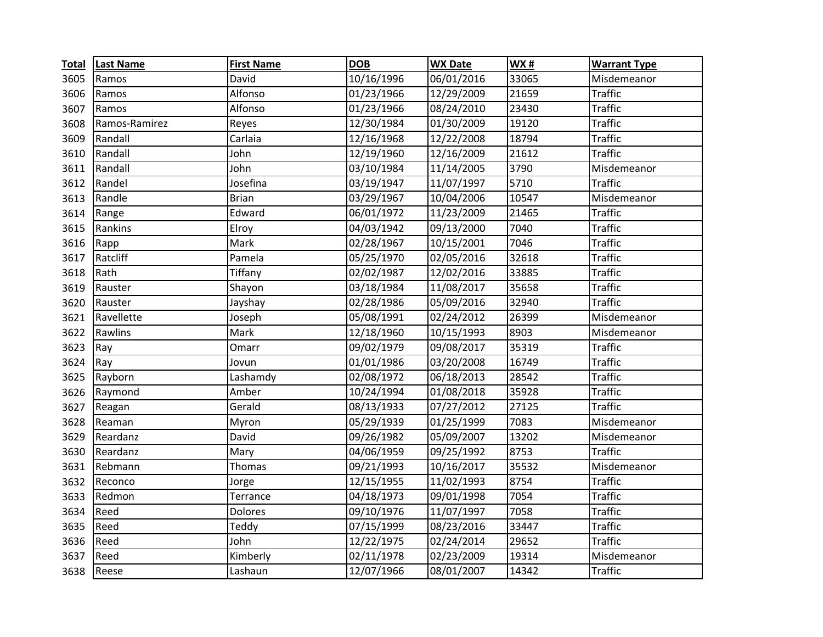| <b>Total</b> | <b>Last Name</b> | <b>First Name</b> | <b>DOB</b> | <b>WX Date</b> | <b>WX#</b> | <b>Warrant Type</b> |
|--------------|------------------|-------------------|------------|----------------|------------|---------------------|
| 3605         | Ramos            | David             | 10/16/1996 | 06/01/2016     | 33065      | Misdemeanor         |
| 3606         | Ramos            | Alfonso           | 01/23/1966 | 12/29/2009     | 21659      | <b>Traffic</b>      |
| 3607         | Ramos            | Alfonso           | 01/23/1966 | 08/24/2010     | 23430      | <b>Traffic</b>      |
| 3608         | Ramos-Ramirez    | Reyes             | 12/30/1984 | 01/30/2009     | 19120      | <b>Traffic</b>      |
| 3609         | Randall          | Carlaia           | 12/16/1968 | 12/22/2008     | 18794      | <b>Traffic</b>      |
| 3610         | Randall          | John              | 12/19/1960 | 12/16/2009     | 21612      | <b>Traffic</b>      |
| 3611         | Randall          | John              | 03/10/1984 | 11/14/2005     | 3790       | Misdemeanor         |
| 3612         | Randel           | Josefina          | 03/19/1947 | 11/07/1997     | 5710       | <b>Traffic</b>      |
| 3613         | Randle           | <b>Brian</b>      | 03/29/1967 | 10/04/2006     | 10547      | Misdemeanor         |
| 3614         | Range            | Edward            | 06/01/1972 | 11/23/2009     | 21465      | <b>Traffic</b>      |
| 3615         | Rankins          | Elroy             | 04/03/1942 | 09/13/2000     | 7040       | <b>Traffic</b>      |
| 3616         | Rapp             | Mark              | 02/28/1967 | 10/15/2001     | 7046       | <b>Traffic</b>      |
| 3617         | Ratcliff         | Pamela            | 05/25/1970 | 02/05/2016     | 32618      | <b>Traffic</b>      |
| 3618         | Rath             | Tiffany           | 02/02/1987 | 12/02/2016     | 33885      | <b>Traffic</b>      |
| 3619         | Rauster          | Shayon            | 03/18/1984 | 11/08/2017     | 35658      | <b>Traffic</b>      |
| 3620         | Rauster          | Jayshay           | 02/28/1986 | 05/09/2016     | 32940      | <b>Traffic</b>      |
| 3621         | Ravellette       | Joseph            | 05/08/1991 | 02/24/2012     | 26399      | Misdemeanor         |
| 3622         | Rawlins          | Mark              | 12/18/1960 | 10/15/1993     | 8903       | Misdemeanor         |
| 3623         | Ray              | Omarr             | 09/02/1979 | 09/08/2017     | 35319      | <b>Traffic</b>      |
| 3624         | Ray              | Jovun             | 01/01/1986 | 03/20/2008     | 16749      | <b>Traffic</b>      |
| 3625         | Rayborn          | Lashamdy          | 02/08/1972 | 06/18/2013     | 28542      | <b>Traffic</b>      |
| 3626         | Raymond          | Amber             | 10/24/1994 | 01/08/2018     | 35928      | <b>Traffic</b>      |
| 3627         | Reagan           | Gerald            | 08/13/1933 | 07/27/2012     | 27125      | <b>Traffic</b>      |
| 3628         | Reaman           | Myron             | 05/29/1939 | 01/25/1999     | 7083       | Misdemeanor         |
| 3629         | Reardanz         | David             | 09/26/1982 | 05/09/2007     | 13202      | Misdemeanor         |
| 3630         | Reardanz         | Mary              | 04/06/1959 | 09/25/1992     | 8753       | <b>Traffic</b>      |
| 3631         | Rebmann          | Thomas            | 09/21/1993 | 10/16/2017     | 35532      | Misdemeanor         |
| 3632         | Reconco          | Jorge             | 12/15/1955 | 11/02/1993     | 8754       | <b>Traffic</b>      |
| 3633         | Redmon           | Terrance          | 04/18/1973 | 09/01/1998     | 7054       | <b>Traffic</b>      |
| 3634         | Reed             | <b>Dolores</b>    | 09/10/1976 | 11/07/1997     | 7058       | <b>Traffic</b>      |
| 3635         | Reed             | Teddy             | 07/15/1999 | 08/23/2016     | 33447      | <b>Traffic</b>      |
| 3636         | Reed             | John              | 12/22/1975 | 02/24/2014     | 29652      | <b>Traffic</b>      |
| 3637         | Reed             | Kimberly          | 02/11/1978 | 02/23/2009     | 19314      | Misdemeanor         |
| 3638         | Reese            | Lashaun           | 12/07/1966 | 08/01/2007     | 14342      | <b>Traffic</b>      |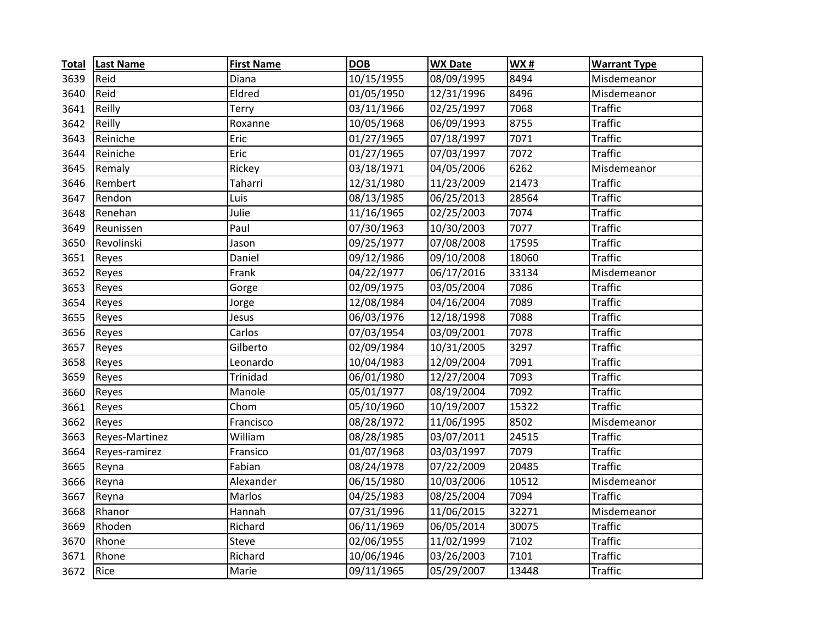| <b>Total</b> | <b>Last Name</b> | <b>First Name</b> | <b>DOB</b> | <b>WX Date</b> | WX#   | <b>Warrant Type</b> |
|--------------|------------------|-------------------|------------|----------------|-------|---------------------|
| 3639         | Reid             | Diana             | 10/15/1955 | 08/09/1995     | 8494  | Misdemeanor         |
| 3640         | Reid             | Eldred            | 01/05/1950 | 12/31/1996     | 8496  | Misdemeanor         |
| 3641         | Reilly           | <b>Terry</b>      | 03/11/1966 | 02/25/1997     | 7068  | <b>Traffic</b>      |
| 3642         | Reilly           | Roxanne           | 10/05/1968 | 06/09/1993     | 8755  | <b>Traffic</b>      |
| 3643         | Reiniche         | Eric              | 01/27/1965 | 07/18/1997     | 7071  | <b>Traffic</b>      |
| 3644         | Reiniche         | Eric              | 01/27/1965 | 07/03/1997     | 7072  | <b>Traffic</b>      |
| 3645         | Remaly           | Rickey            | 03/18/1971 | 04/05/2006     | 6262  | Misdemeanor         |
| 3646         | Rembert          | Taharri           | 12/31/1980 | 11/23/2009     | 21473 | <b>Traffic</b>      |
| 3647         | Rendon           | Luis              | 08/13/1985 | 06/25/2013     | 28564 | <b>Traffic</b>      |
| 3648         | Renehan          | Julie             | 11/16/1965 | 02/25/2003     | 7074  | <b>Traffic</b>      |
| 3649         | Reunissen        | Paul              | 07/30/1963 | 10/30/2003     | 7077  | <b>Traffic</b>      |
| 3650         | Revolinski       | Jason             | 09/25/1977 | 07/08/2008     | 17595 | <b>Traffic</b>      |
| 3651         | Reyes            | Daniel            | 09/12/1986 | 09/10/2008     | 18060 | <b>Traffic</b>      |
| 3652         | Reyes            | Frank             | 04/22/1977 | 06/17/2016     | 33134 | Misdemeanor         |
| 3653         | Reyes            | Gorge             | 02/09/1975 | 03/05/2004     | 7086  | <b>Traffic</b>      |
| 3654         | Reyes            | Jorge             | 12/08/1984 | 04/16/2004     | 7089  | <b>Traffic</b>      |
| 3655         | Reyes            | Jesus             | 06/03/1976 | 12/18/1998     | 7088  | <b>Traffic</b>      |
| 3656         | Reyes            | Carlos            | 07/03/1954 | 03/09/2001     | 7078  | <b>Traffic</b>      |
| 3657         | Reyes            | Gilberto          | 02/09/1984 | 10/31/2005     | 3297  | <b>Traffic</b>      |
| 3658         | Reyes            | Leonardo          | 10/04/1983 | 12/09/2004     | 7091  | <b>Traffic</b>      |
| 3659         | Reyes            | Trinidad          | 06/01/1980 | 12/27/2004     | 7093  | <b>Traffic</b>      |
| 3660         | Reyes            | Manole            | 05/01/1977 | 08/19/2004     | 7092  | <b>Traffic</b>      |
| 3661         | Reyes            | Chom              | 05/10/1960 | 10/19/2007     | 15322 | <b>Traffic</b>      |
| 3662         | Reyes            | Francisco         | 08/28/1972 | 11/06/1995     | 8502  | Misdemeanor         |
| 3663         | Reyes-Martinez   | William           | 08/28/1985 | 03/07/2011     | 24515 | <b>Traffic</b>      |
| 3664         | Reyes-ramirez    | Fransico          | 01/07/1968 | 03/03/1997     | 7079  | <b>Traffic</b>      |
| 3665         | Reyna            | Fabian            | 08/24/1978 | 07/22/2009     | 20485 | <b>Traffic</b>      |
| 3666         | Reyna            | Alexander         | 06/15/1980 | 10/03/2006     | 10512 | Misdemeanor         |
| 3667         | Reyna            | Marlos            | 04/25/1983 | 08/25/2004     | 7094  | <b>Traffic</b>      |
| 3668         | Rhanor           | Hannah            | 07/31/1996 | 11/06/2015     | 32271 | Misdemeanor         |
| 3669         | Rhoden           | Richard           | 06/11/1969 | 06/05/2014     | 30075 | <b>Traffic</b>      |
| 3670         | Rhone            | Steve             | 02/06/1955 | 11/02/1999     | 7102  | <b>Traffic</b>      |
| 3671         | Rhone            | Richard           | 10/06/1946 | 03/26/2003     | 7101  | <b>Traffic</b>      |
| 3672         | Rice             | Marie             | 09/11/1965 | 05/29/2007     | 13448 | <b>Traffic</b>      |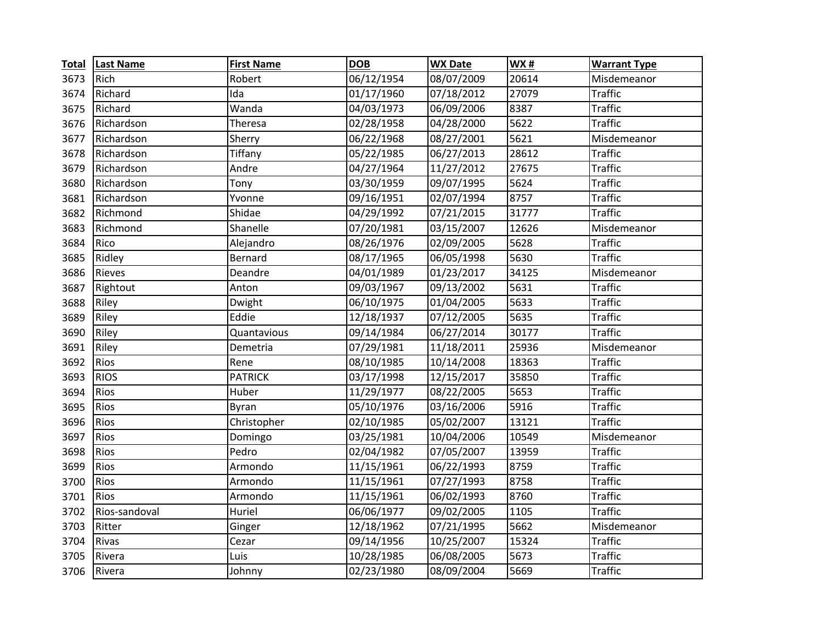| <b>Total</b> | <b>Last Name</b> | <b>First Name</b> | <b>DOB</b> | <b>WX Date</b> | <b>WX#</b> | <b>Warrant Type</b> |
|--------------|------------------|-------------------|------------|----------------|------------|---------------------|
| 3673         | Rich             | Robert            | 06/12/1954 | 08/07/2009     | 20614      | Misdemeanor         |
| 3674         | Richard          | Ida               | 01/17/1960 | 07/18/2012     | 27079      | <b>Traffic</b>      |
| 3675         | Richard          | Wanda             | 04/03/1973 | 06/09/2006     | 8387       | <b>Traffic</b>      |
| 3676         | Richardson       | Theresa           | 02/28/1958 | 04/28/2000     | 5622       | <b>Traffic</b>      |
| 3677         | Richardson       | Sherry            | 06/22/1968 | 08/27/2001     | 5621       | Misdemeanor         |
| 3678         | Richardson       | Tiffany           | 05/22/1985 | 06/27/2013     | 28612      | <b>Traffic</b>      |
| 3679         | Richardson       | Andre             | 04/27/1964 | 11/27/2012     | 27675      | <b>Traffic</b>      |
| 3680         | Richardson       | Tony              | 03/30/1959 | 09/07/1995     | 5624       | <b>Traffic</b>      |
| 3681         | Richardson       | Yvonne            | 09/16/1951 | 02/07/1994     | 8757       | <b>Traffic</b>      |
| 3682         | Richmond         | Shidae            | 04/29/1992 | 07/21/2015     | 31777      | <b>Traffic</b>      |
| 3683         | Richmond         | Shanelle          | 07/20/1981 | 03/15/2007     | 12626      | Misdemeanor         |
| 3684         | Rico             | Alejandro         | 08/26/1976 | 02/09/2005     | 5628       | <b>Traffic</b>      |
| 3685         | Ridley           | Bernard           | 08/17/1965 | 06/05/1998     | 5630       | <b>Traffic</b>      |
| 3686         | Rieves           | Deandre           | 04/01/1989 | 01/23/2017     | 34125      | Misdemeanor         |
| 3687         | Rightout         | Anton             | 09/03/1967 | 09/13/2002     | 5631       | <b>Traffic</b>      |
| 3688         | Riley            | Dwight            | 06/10/1975 | 01/04/2005     | 5633       | <b>Traffic</b>      |
| 3689         | Riley            | Eddie             | 12/18/1937 | 07/12/2005     | 5635       | <b>Traffic</b>      |
| 3690         | Riley            | Quantavious       | 09/14/1984 | 06/27/2014     | 30177      | <b>Traffic</b>      |
| 3691         | Riley            | Demetria          | 07/29/1981 | 11/18/2011     | 25936      | Misdemeanor         |
| 3692         | Rios             | Rene              | 08/10/1985 | 10/14/2008     | 18363      | <b>Traffic</b>      |
| 3693         | <b>RIOS</b>      | <b>PATRICK</b>    | 03/17/1998 | 12/15/2017     | 35850      | <b>Traffic</b>      |
| 3694         | <b>Rios</b>      | Huber             | 11/29/1977 | 08/22/2005     | 5653       | <b>Traffic</b>      |
| 3695         | Rios             | Byran             | 05/10/1976 | 03/16/2006     | 5916       | <b>Traffic</b>      |
| 3696         | Rios             | Christopher       | 02/10/1985 | 05/02/2007     | 13121      | <b>Traffic</b>      |
| 3697         | Rios             | Domingo           | 03/25/1981 | 10/04/2006     | 10549      | Misdemeanor         |
| 3698         | Rios             | Pedro             | 02/04/1982 | 07/05/2007     | 13959      | <b>Traffic</b>      |
| 3699         | Rios             | Armondo           | 11/15/1961 | 06/22/1993     | 8759       | <b>Traffic</b>      |
| 3700         | Rios             | Armondo           | 11/15/1961 | 07/27/1993     | 8758       | <b>Traffic</b>      |
| 3701         | Rios             | Armondo           | 11/15/1961 | 06/02/1993     | 8760       | <b>Traffic</b>      |
| 3702         | Rios-sandoval    | Huriel            | 06/06/1977 | 09/02/2005     | 1105       | <b>Traffic</b>      |
| 3703         | Ritter           | Ginger            | 12/18/1962 | 07/21/1995     | 5662       | Misdemeanor         |
| 3704         | Rivas            | Cezar             | 09/14/1956 | 10/25/2007     | 15324      | <b>Traffic</b>      |
| 3705         | Rivera           | Luis              | 10/28/1985 | 06/08/2005     | 5673       | <b>Traffic</b>      |
| 3706         | Rivera           | Johnny            | 02/23/1980 | 08/09/2004     | 5669       | <b>Traffic</b>      |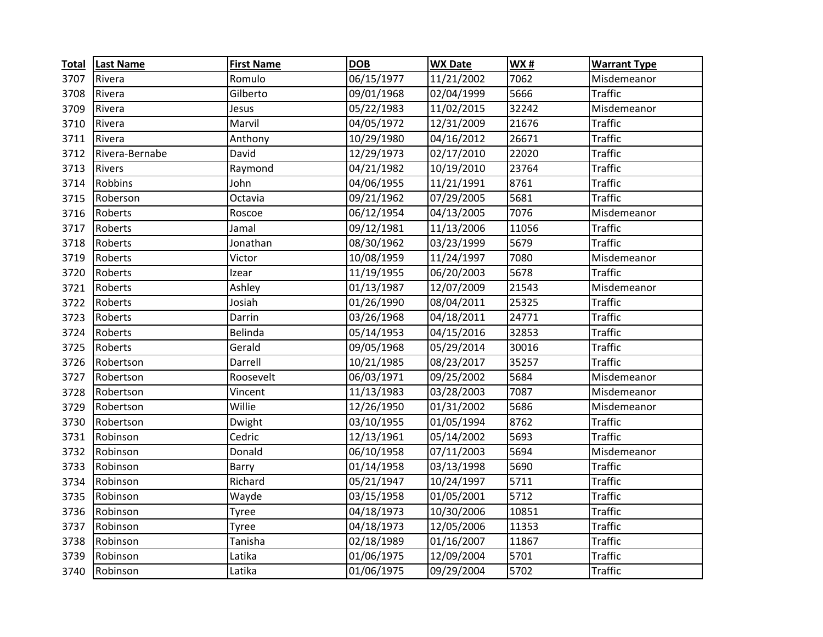| <b>Total</b> | <b>Last Name</b> | <b>First Name</b> | <b>DOB</b> | <b>WX Date</b> | WX#   | <b>Warrant Type</b> |
|--------------|------------------|-------------------|------------|----------------|-------|---------------------|
| 3707         | Rivera           | Romulo            | 06/15/1977 | 11/21/2002     | 7062  | Misdemeanor         |
| 3708         | Rivera           | Gilberto          | 09/01/1968 | 02/04/1999     | 5666  | <b>Traffic</b>      |
| 3709         | Rivera           | Jesus             | 05/22/1983 | 11/02/2015     | 32242 | Misdemeanor         |
| 3710         | Rivera           | Marvil            | 04/05/1972 | 12/31/2009     | 21676 | <b>Traffic</b>      |
| 3711         | Rivera           | Anthony           | 10/29/1980 | 04/16/2012     | 26671 | <b>Traffic</b>      |
| 3712         | Rivera-Bernabe   | David             | 12/29/1973 | 02/17/2010     | 22020 | <b>Traffic</b>      |
| 3713         | Rivers           | Raymond           | 04/21/1982 | 10/19/2010     | 23764 | <b>Traffic</b>      |
| 3714         | Robbins          | John              | 04/06/1955 | 11/21/1991     | 8761  | <b>Traffic</b>      |
| 3715         | Roberson         | Octavia           | 09/21/1962 | 07/29/2005     | 5681  | <b>Traffic</b>      |
| 3716         | Roberts          | Roscoe            | 06/12/1954 | 04/13/2005     | 7076  | Misdemeanor         |
| 3717         | Roberts          | Jamal             | 09/12/1981 | 11/13/2006     | 11056 | <b>Traffic</b>      |
| 3718         | Roberts          | Jonathan          | 08/30/1962 | 03/23/1999     | 5679  | <b>Traffic</b>      |
| 3719         | Roberts          | Victor            | 10/08/1959 | 11/24/1997     | 7080  | Misdemeanor         |
| 3720         | Roberts          | Izear             | 11/19/1955 | 06/20/2003     | 5678  | <b>Traffic</b>      |
| 3721         | Roberts          | Ashley            | 01/13/1987 | 12/07/2009     | 21543 | Misdemeanor         |
| 3722         | Roberts          | Josiah            | 01/26/1990 | 08/04/2011     | 25325 | <b>Traffic</b>      |
| 3723         | Roberts          | Darrin            | 03/26/1968 | 04/18/2011     | 24771 | <b>Traffic</b>      |
| 3724         | Roberts          | Belinda           | 05/14/1953 | 04/15/2016     | 32853 | <b>Traffic</b>      |
| 3725         | Roberts          | Gerald            | 09/05/1968 | 05/29/2014     | 30016 | <b>Traffic</b>      |
| 3726         | Robertson        | Darrell           | 10/21/1985 | 08/23/2017     | 35257 | <b>Traffic</b>      |
| 3727         | Robertson        | Roosevelt         | 06/03/1971 | 09/25/2002     | 5684  | Misdemeanor         |
| 3728         | Robertson        | Vincent           | 11/13/1983 | 03/28/2003     | 7087  | Misdemeanor         |
| 3729         | Robertson        | Willie            | 12/26/1950 | 01/31/2002     | 5686  | Misdemeanor         |
| 3730         | Robertson        | Dwight            | 03/10/1955 | 01/05/1994     | 8762  | <b>Traffic</b>      |
| 3731         | Robinson         | Cedric            | 12/13/1961 | 05/14/2002     | 5693  | <b>Traffic</b>      |
| 3732         | Robinson         | Donald            | 06/10/1958 | 07/11/2003     | 5694  | Misdemeanor         |
| 3733         | Robinson         | Barry             | 01/14/1958 | 03/13/1998     | 5690  | <b>Traffic</b>      |
| 3734         | Robinson         | Richard           | 05/21/1947 | 10/24/1997     | 5711  | <b>Traffic</b>      |
| 3735         | Robinson         | Wayde             | 03/15/1958 | 01/05/2001     | 5712  | <b>Traffic</b>      |
| 3736         | Robinson         | Tyree             | 04/18/1973 | 10/30/2006     | 10851 | <b>Traffic</b>      |
| 3737         | Robinson         | <b>Tyree</b>      | 04/18/1973 | 12/05/2006     | 11353 | <b>Traffic</b>      |
| 3738         | Robinson         | Tanisha           | 02/18/1989 | 01/16/2007     | 11867 | <b>Traffic</b>      |
| 3739         | Robinson         | Latika            | 01/06/1975 | 12/09/2004     | 5701  | <b>Traffic</b>      |
| 3740         | Robinson         | Latika            | 01/06/1975 | 09/29/2004     | 5702  | <b>Traffic</b>      |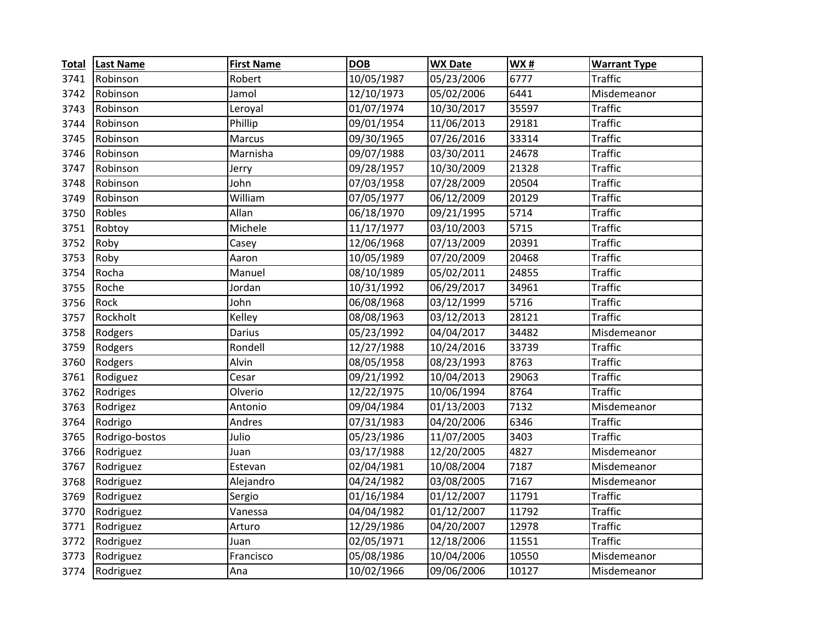| <b>Total</b> | <b>Last Name</b> | <b>First Name</b> | <b>DOB</b> | <b>WX Date</b> | WX#   | <b>Warrant Type</b> |
|--------------|------------------|-------------------|------------|----------------|-------|---------------------|
| 3741         | Robinson         | Robert            | 10/05/1987 | 05/23/2006     | 6777  | <b>Traffic</b>      |
| 3742         | Robinson         | Jamol             | 12/10/1973 | 05/02/2006     | 6441  | Misdemeanor         |
| 3743         | Robinson         | Leroyal           | 01/07/1974 | 10/30/2017     | 35597 | <b>Traffic</b>      |
| 3744         | Robinson         | Phillip           | 09/01/1954 | 11/06/2013     | 29181 | <b>Traffic</b>      |
| 3745         | Robinson         | <b>Marcus</b>     | 09/30/1965 | 07/26/2016     | 33314 | <b>Traffic</b>      |
| 3746         | Robinson         | Marnisha          | 09/07/1988 | 03/30/2011     | 24678 | <b>Traffic</b>      |
| 3747         | Robinson         | Jerry             | 09/28/1957 | 10/30/2009     | 21328 | <b>Traffic</b>      |
| 3748         | Robinson         | John              | 07/03/1958 | 07/28/2009     | 20504 | <b>Traffic</b>      |
| 3749         | Robinson         | William           | 07/05/1977 | 06/12/2009     | 20129 | <b>Traffic</b>      |
| 3750         | Robles           | Allan             | 06/18/1970 | 09/21/1995     | 5714  | <b>Traffic</b>      |
| 3751         | Robtoy           | Michele           | 11/17/1977 | 03/10/2003     | 5715  | <b>Traffic</b>      |
| 3752         | Roby             | Casey             | 12/06/1968 | 07/13/2009     | 20391 | <b>Traffic</b>      |
| 3753         | Roby             | Aaron             | 10/05/1989 | 07/20/2009     | 20468 | <b>Traffic</b>      |
| 3754         | Rocha            | Manuel            | 08/10/1989 | 05/02/2011     | 24855 | <b>Traffic</b>      |
| 3755         | Roche            | Jordan            | 10/31/1992 | 06/29/2017     | 34961 | <b>Traffic</b>      |
| 3756         | Rock             | John              | 06/08/1968 | 03/12/1999     | 5716  | <b>Traffic</b>      |
| 3757         | Rockholt         | Kelley            | 08/08/1963 | 03/12/2013     | 28121 | <b>Traffic</b>      |
| 3758         | Rodgers          | Darius            | 05/23/1992 | 04/04/2017     | 34482 | Misdemeanor         |
| 3759         | Rodgers          | Rondell           | 12/27/1988 | 10/24/2016     | 33739 | <b>Traffic</b>      |
| 3760         | Rodgers          | Alvin             | 08/05/1958 | 08/23/1993     | 8763  | <b>Traffic</b>      |
| 3761         | Rodiguez         | Cesar             | 09/21/1992 | 10/04/2013     | 29063 | <b>Traffic</b>      |
| 3762         | Rodriges         | Olverio           | 12/22/1975 | 10/06/1994     | 8764  | <b>Traffic</b>      |
| 3763         | Rodrigez         | Antonio           | 09/04/1984 | 01/13/2003     | 7132  | Misdemeanor         |
| 3764         | Rodrigo          | Andres            | 07/31/1983 | 04/20/2006     | 6346  | <b>Traffic</b>      |
| 3765         | Rodrigo-bostos   | Julio             | 05/23/1986 | 11/07/2005     | 3403  | <b>Traffic</b>      |
| 3766         | Rodriguez        | Juan              | 03/17/1988 | 12/20/2005     | 4827  | Misdemeanor         |
| 3767         | Rodriguez        | Estevan           | 02/04/1981 | 10/08/2004     | 7187  | Misdemeanor         |
| 3768         | Rodriguez        | Alejandro         | 04/24/1982 | 03/08/2005     | 7167  | Misdemeanor         |
| 3769         | Rodriguez        | Sergio            | 01/16/1984 | 01/12/2007     | 11791 | <b>Traffic</b>      |
| 3770         | Rodriguez        | Vanessa           | 04/04/1982 | 01/12/2007     | 11792 | <b>Traffic</b>      |
| 3771         | Rodriguez        | Arturo            | 12/29/1986 | 04/20/2007     | 12978 | <b>Traffic</b>      |
| 3772         | Rodriguez        | Juan              | 02/05/1971 | 12/18/2006     | 11551 | <b>Traffic</b>      |
| 3773         | Rodriguez        | Francisco         | 05/08/1986 | 10/04/2006     | 10550 | Misdemeanor         |
| 3774         | Rodriguez        | Ana               | 10/02/1966 | 09/06/2006     | 10127 | Misdemeanor         |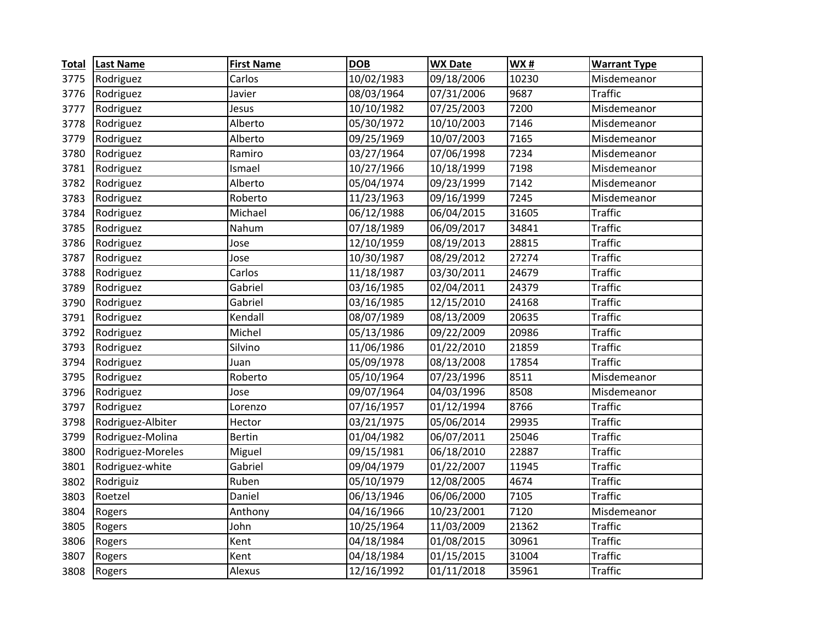| <b>Total</b> | <b>Last Name</b>  | <b>First Name</b> | <b>DOB</b> | <b>WX Date</b>         | WX#   | <b>Warrant Type</b> |
|--------------|-------------------|-------------------|------------|------------------------|-------|---------------------|
| 3775         | Rodriguez         | Carlos            | 10/02/1983 | 09/18/2006             | 10230 | Misdemeanor         |
| 3776         | Rodriguez         | Javier            | 08/03/1964 | 07/31/2006             | 9687  | <b>Traffic</b>      |
| 3777         | Rodriguez         | Jesus             | 10/10/1982 | $\frac{1}{07}/25/2003$ | 7200  | Misdemeanor         |
| 3778         | Rodriguez         | Alberto           | 05/30/1972 | 10/10/2003             | 7146  | Misdemeanor         |
| 3779         | Rodriguez         | Alberto           | 09/25/1969 | 10/07/2003             | 7165  | Misdemeanor         |
| 3780         | Rodriguez         | Ramiro            | 03/27/1964 | 07/06/1998             | 7234  | Misdemeanor         |
| 3781         | Rodriguez         | Ismael            | 10/27/1966 | 10/18/1999             | 7198  | Misdemeanor         |
| 3782         | Rodriguez         | Alberto           | 05/04/1974 | 09/23/1999             | 7142  | Misdemeanor         |
| 3783         | Rodriguez         | Roberto           | 11/23/1963 | 09/16/1999             | 7245  | Misdemeanor         |
| 3784         | Rodriguez         | Michael           | 06/12/1988 | 06/04/2015             | 31605 | <b>Traffic</b>      |
| 3785         | Rodriguez         | Nahum             | 07/18/1989 | 06/09/2017             | 34841 | <b>Traffic</b>      |
| 3786         | Rodriguez         | Jose              | 12/10/1959 | 08/19/2013             | 28815 | <b>Traffic</b>      |
| 3787         | Rodriguez         | Jose              | 10/30/1987 | 08/29/2012             | 27274 | <b>Traffic</b>      |
| 3788         | Rodriguez         | Carlos            | 11/18/1987 | 03/30/2011             | 24679 | <b>Traffic</b>      |
| 3789         | Rodriguez         | Gabriel           | 03/16/1985 | 02/04/2011             | 24379 | <b>Traffic</b>      |
| 3790         | Rodriguez         | Gabriel           | 03/16/1985 | 12/15/2010             | 24168 | <b>Traffic</b>      |
| 3791         | Rodriguez         | Kendall           | 08/07/1989 | 08/13/2009             | 20635 | <b>Traffic</b>      |
| 3792         | Rodriguez         | Michel            | 05/13/1986 | 09/22/2009             | 20986 | <b>Traffic</b>      |
| 3793         | Rodriguez         | Silvino           | 11/06/1986 | 01/22/2010             | 21859 | <b>Traffic</b>      |
| 3794         | Rodriguez         | Juan              | 05/09/1978 | 08/13/2008             | 17854 | <b>Traffic</b>      |
| 3795         | Rodriguez         | Roberto           | 05/10/1964 | 07/23/1996             | 8511  | Misdemeanor         |
| 3796         | Rodriguez         | Jose              | 09/07/1964 | 04/03/1996             | 8508  | Misdemeanor         |
| 3797         | Rodriguez         | Lorenzo           | 07/16/1957 | 01/12/1994             | 8766  | <b>Traffic</b>      |
| 3798         | Rodriguez-Albiter | Hector            | 03/21/1975 | 05/06/2014             | 29935 | <b>Traffic</b>      |
| 3799         | Rodriguez-Molina  | <b>Bertin</b>     | 01/04/1982 | 06/07/2011             | 25046 | <b>Traffic</b>      |
| 3800         | Rodriguez-Moreles | Miguel            | 09/15/1981 | 06/18/2010             | 22887 | <b>Traffic</b>      |
| 3801         | Rodriguez-white   | Gabriel           | 09/04/1979 | 01/22/2007             | 11945 | <b>Traffic</b>      |
| 3802         | Rodriguiz         | Ruben             | 05/10/1979 | 12/08/2005             | 4674  | <b>Traffic</b>      |
| 3803         | Roetzel           | Daniel            | 06/13/1946 | 06/06/2000             | 7105  | <b>Traffic</b>      |
| 3804         | Rogers            | Anthony           | 04/16/1966 | 10/23/2001             | 7120  | Misdemeanor         |
| 3805         | Rogers            | John              | 10/25/1964 | 11/03/2009             | 21362 | <b>Traffic</b>      |
| 3806         | Rogers            | Kent              | 04/18/1984 | 01/08/2015             | 30961 | <b>Traffic</b>      |
| 3807         | Rogers            | Kent              | 04/18/1984 | 01/15/2015             | 31004 | <b>Traffic</b>      |
| 3808         | Rogers            | Alexus            | 12/16/1992 | 01/11/2018             | 35961 | <b>Traffic</b>      |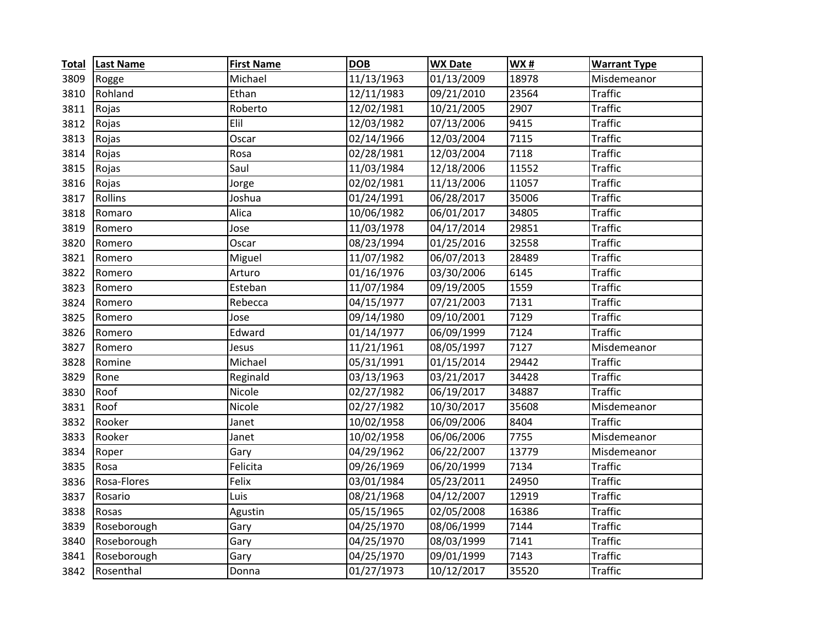| <b>Total</b> | <b>Last Name</b> | <b>First Name</b> | <b>DOB</b> | <b>WX Date</b> | WX#   | <b>Warrant Type</b> |
|--------------|------------------|-------------------|------------|----------------|-------|---------------------|
| 3809         | Rogge            | Michael           | 11/13/1963 | 01/13/2009     | 18978 | Misdemeanor         |
| 3810         | Rohland          | Ethan             | 12/11/1983 | 09/21/2010     | 23564 | <b>Traffic</b>      |
| 3811         | Rojas            | Roberto           | 12/02/1981 | 10/21/2005     | 2907  | <b>Traffic</b>      |
| 3812         | Rojas            | Elil              | 12/03/1982 | 07/13/2006     | 9415  | <b>Traffic</b>      |
| 3813         | Rojas            | Oscar             | 02/14/1966 | 12/03/2004     | 7115  | <b>Traffic</b>      |
| 3814         | Rojas            | Rosa              | 02/28/1981 | 12/03/2004     | 7118  | <b>Traffic</b>      |
| 3815         | Rojas            | Saul              | 11/03/1984 | 12/18/2006     | 11552 | <b>Traffic</b>      |
| 3816         | Rojas            | Jorge             | 02/02/1981 | 11/13/2006     | 11057 | <b>Traffic</b>      |
| 3817         | Rollins          | Joshua            | 01/24/1991 | 06/28/2017     | 35006 | <b>Traffic</b>      |
| 3818         | Romaro           | Alica             | 10/06/1982 | 06/01/2017     | 34805 | <b>Traffic</b>      |
| 3819         | Romero           | Jose              | 11/03/1978 | 04/17/2014     | 29851 | <b>Traffic</b>      |
| 3820         | Romero           | Oscar             | 08/23/1994 | 01/25/2016     | 32558 | <b>Traffic</b>      |
| 3821         | Romero           | Miguel            | 11/07/1982 | 06/07/2013     | 28489 | <b>Traffic</b>      |
| 3822         | Romero           | Arturo            | 01/16/1976 | 03/30/2006     | 6145  | <b>Traffic</b>      |
| 3823         | Romero           | Esteban           | 11/07/1984 | 09/19/2005     | 1559  | <b>Traffic</b>      |
| 3824         | Romero           | Rebecca           | 04/15/1977 | 07/21/2003     | 7131  | <b>Traffic</b>      |
| 3825         | Romero           | Jose              | 09/14/1980 | 09/10/2001     | 7129  | <b>Traffic</b>      |
| 3826         | Romero           | Edward            | 01/14/1977 | 06/09/1999     | 7124  | <b>Traffic</b>      |
| 3827         | Romero           | Jesus             | 11/21/1961 | 08/05/1997     | 7127  | Misdemeanor         |
| 3828         | Romine           | Michael           | 05/31/1991 | 01/15/2014     | 29442 | <b>Traffic</b>      |
| 3829         | Rone             | Reginald          | 03/13/1963 | 03/21/2017     | 34428 | <b>Traffic</b>      |
| 3830         | Roof             | Nicole            | 02/27/1982 | 06/19/2017     | 34887 | <b>Traffic</b>      |
| 3831         | Roof             | Nicole            | 02/27/1982 | 10/30/2017     | 35608 | Misdemeanor         |
| 3832         | Rooker           | Janet             | 10/02/1958 | 06/09/2006     | 8404  | <b>Traffic</b>      |
| 3833         | Rooker           | Janet             | 10/02/1958 | 06/06/2006     | 7755  | Misdemeanor         |
| 3834         | Roper            | Gary              | 04/29/1962 | 06/22/2007     | 13779 | Misdemeanor         |
| 3835         | Rosa             | Felicita          | 09/26/1969 | 06/20/1999     | 7134  | <b>Traffic</b>      |
| 3836         | Rosa-Flores      | Felix             | 03/01/1984 | 05/23/2011     | 24950 | <b>Traffic</b>      |
| 3837         | Rosario          | Luis              | 08/21/1968 | 04/12/2007     | 12919 | <b>Traffic</b>      |
| 3838         | Rosas            | Agustin           | 05/15/1965 | 02/05/2008     | 16386 | <b>Traffic</b>      |
| 3839         | Roseborough      | Gary              | 04/25/1970 | 08/06/1999     | 7144  | <b>Traffic</b>      |
| 3840         | Roseborough      | Gary              | 04/25/1970 | 08/03/1999     | 7141  | <b>Traffic</b>      |
| 3841         | Roseborough      | Gary              | 04/25/1970 | 09/01/1999     | 7143  | <b>Traffic</b>      |
| 3842         | Rosenthal        | Donna             | 01/27/1973 | 10/12/2017     | 35520 | <b>Traffic</b>      |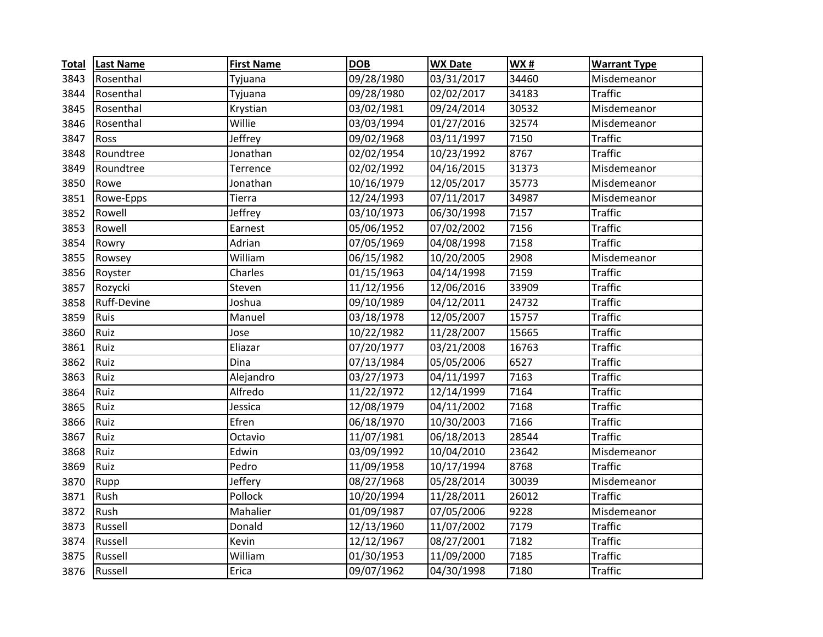| <b>Total</b> | <b>Last Name</b> | <b>First Name</b> | <b>DOB</b> | <b>WX Date</b> | WX#   | <b>Warrant Type</b> |
|--------------|------------------|-------------------|------------|----------------|-------|---------------------|
| 3843         | Rosenthal        | Tyjuana           | 09/28/1980 | 03/31/2017     | 34460 | Misdemeanor         |
| 3844         | Rosenthal        | Tyjuana           | 09/28/1980 | 02/02/2017     | 34183 | <b>Traffic</b>      |
| 3845         | Rosenthal        | Krystian          | 03/02/1981 | 09/24/2014     | 30532 | Misdemeanor         |
| 3846         | Rosenthal        | Willie            | 03/03/1994 | 01/27/2016     | 32574 | Misdemeanor         |
| 3847         | Ross             | Jeffrey           | 09/02/1968 | 03/11/1997     | 7150  | <b>Traffic</b>      |
| 3848         | Roundtree        | Jonathan          | 02/02/1954 | 10/23/1992     | 8767  | <b>Traffic</b>      |
| 3849         | Roundtree        | Terrence          | 02/02/1992 | 04/16/2015     | 31373 | Misdemeanor         |
| 3850         | Rowe             | Jonathan          | 10/16/1979 | 12/05/2017     | 35773 | Misdemeanor         |
| 3851         | Rowe-Epps        | Tierra            | 12/24/1993 | 07/11/2017     | 34987 | Misdemeanor         |
| 3852         | Rowell           | Jeffrey           | 03/10/1973 | 06/30/1998     | 7157  | <b>Traffic</b>      |
| 3853         | Rowell           | Earnest           | 05/06/1952 | 07/02/2002     | 7156  | <b>Traffic</b>      |
| 3854         | Rowry            | Adrian            | 07/05/1969 | 04/08/1998     | 7158  | <b>Traffic</b>      |
| 3855         | Rowsey           | William           | 06/15/1982 | 10/20/2005     | 2908  | Misdemeanor         |
| 3856         | Royster          | Charles           | 01/15/1963 | 04/14/1998     | 7159  | <b>Traffic</b>      |
| 3857         | Rozycki          | Steven            | 11/12/1956 | 12/06/2016     | 33909 | <b>Traffic</b>      |
| 3858         | Ruff-Devine      | Joshua            | 09/10/1989 | 04/12/2011     | 24732 | <b>Traffic</b>      |
| 3859         | Ruis             | Manuel            | 03/18/1978 | 12/05/2007     | 15757 | <b>Traffic</b>      |
| 3860         | Ruiz             | Jose              | 10/22/1982 | 11/28/2007     | 15665 | <b>Traffic</b>      |
| 3861         | Ruiz             | Eliazar           | 07/20/1977 | 03/21/2008     | 16763 | <b>Traffic</b>      |
| 3862         | Ruiz             | Dina              | 07/13/1984 | 05/05/2006     | 6527  | <b>Traffic</b>      |
| 3863         | Ruiz             | Alejandro         | 03/27/1973 | 04/11/1997     | 7163  | <b>Traffic</b>      |
| 3864         | Ruiz             | Alfredo           | 11/22/1972 | 12/14/1999     | 7164  | <b>Traffic</b>      |
| 3865         | Ruiz             | Jessica           | 12/08/1979 | 04/11/2002     | 7168  | <b>Traffic</b>      |
| 3866         | Ruiz             | Efren             | 06/18/1970 | 10/30/2003     | 7166  | <b>Traffic</b>      |
| 3867         | Ruiz             | Octavio           | 11/07/1981 | 06/18/2013     | 28544 | <b>Traffic</b>      |
| 3868         | Ruiz             | Edwin             | 03/09/1992 | 10/04/2010     | 23642 | Misdemeanor         |
| 3869         | Ruiz             | Pedro             | 11/09/1958 | 10/17/1994     | 8768  | <b>Traffic</b>      |
| 3870         | Rupp             | Jeffery           | 08/27/1968 | 05/28/2014     | 30039 | Misdemeanor         |
| 3871         | Rush             | Pollock           | 10/20/1994 | 11/28/2011     | 26012 | <b>Traffic</b>      |
| 3872         | Rush             | Mahalier          | 01/09/1987 | 07/05/2006     | 9228  | Misdemeanor         |
| 3873         | Russell          | Donald            | 12/13/1960 | 11/07/2002     | 7179  | <b>Traffic</b>      |
| 3874         | Russell          | Kevin             | 12/12/1967 | 08/27/2001     | 7182  | <b>Traffic</b>      |
| 3875         | Russell          | William           | 01/30/1953 | 11/09/2000     | 7185  | <b>Traffic</b>      |
| 3876         | Russell          | Erica             | 09/07/1962 | 04/30/1998     | 7180  | <b>Traffic</b>      |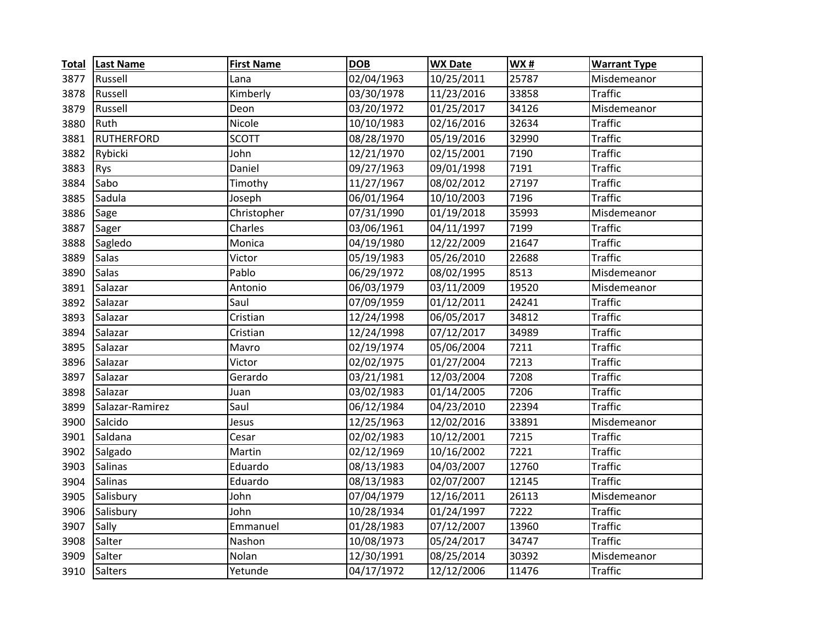| <b>Total</b> | <b>Last Name</b>  | <b>First Name</b> | <b>DOB</b> | <b>WX Date</b> | <b>WX#</b> | <b>Warrant Type</b> |
|--------------|-------------------|-------------------|------------|----------------|------------|---------------------|
| 3877         | Russell           | Lana              | 02/04/1963 | 10/25/2011     | 25787      | Misdemeanor         |
| 3878         | Russell           | Kimberly          | 03/30/1978 | 11/23/2016     | 33858      | <b>Traffic</b>      |
| 3879         | Russell           | Deon              | 03/20/1972 | 01/25/2017     | 34126      | Misdemeanor         |
| 3880         | Ruth              | Nicole            | 10/10/1983 | 02/16/2016     | 32634      | <b>Traffic</b>      |
| 3881         | <b>RUTHERFORD</b> | <b>SCOTT</b>      | 08/28/1970 | 05/19/2016     | 32990      | <b>Traffic</b>      |
| 3882         | Rybicki           | John              | 12/21/1970 | 02/15/2001     | 7190       | <b>Traffic</b>      |
| 3883         | Rys               | Daniel            | 09/27/1963 | 09/01/1998     | 7191       | <b>Traffic</b>      |
| 3884         | Sabo              | Timothy           | 11/27/1967 | 08/02/2012     | 27197      | <b>Traffic</b>      |
| 3885         | Sadula            | Joseph            | 06/01/1964 | 10/10/2003     | 7196       | <b>Traffic</b>      |
| 3886         | Sage              | Christopher       | 07/31/1990 | 01/19/2018     | 35993      | Misdemeanor         |
| 3887         | Sager             | Charles           | 03/06/1961 | 04/11/1997     | 7199       | <b>Traffic</b>      |
| 3888         | Sagledo           | Monica            | 04/19/1980 | 12/22/2009     | 21647      | <b>Traffic</b>      |
| 3889         | Salas             | Victor            | 05/19/1983 | 05/26/2010     | 22688      | <b>Traffic</b>      |
| 3890         | <b>Salas</b>      | Pablo             | 06/29/1972 | 08/02/1995     | 8513       | Misdemeanor         |
| 3891         | Salazar           | Antonio           | 06/03/1979 | 03/11/2009     | 19520      | Misdemeanor         |
| 3892         | Salazar           | Saul              | 07/09/1959 | 01/12/2011     | 24241      | <b>Traffic</b>      |
| 3893         | Salazar           | Cristian          | 12/24/1998 | 06/05/2017     | 34812      | <b>Traffic</b>      |
| 3894         | Salazar           | Cristian          | 12/24/1998 | 07/12/2017     | 34989      | <b>Traffic</b>      |
| 3895         | Salazar           | Mavro             | 02/19/1974 | 05/06/2004     | 7211       | <b>Traffic</b>      |
| 3896         | Salazar           | Victor            | 02/02/1975 | 01/27/2004     | 7213       | <b>Traffic</b>      |
| 3897         | Salazar           | Gerardo           | 03/21/1981 | 12/03/2004     | 7208       | <b>Traffic</b>      |
| 3898         | Salazar           | Juan              | 03/02/1983 | 01/14/2005     | 7206       | <b>Traffic</b>      |
| 3899         | Salazar-Ramirez   | Saul              | 06/12/1984 | 04/23/2010     | 22394      | <b>Traffic</b>      |
| 3900         | Salcido           | Jesus             | 12/25/1963 | 12/02/2016     | 33891      | Misdemeanor         |
| 3901         | Saldana           | Cesar             | 02/02/1983 | 10/12/2001     | 7215       | <b>Traffic</b>      |
| 3902         | Salgado           | Martin            | 02/12/1969 | 10/16/2002     | 7221       | <b>Traffic</b>      |
| 3903         | Salinas           | Eduardo           | 08/13/1983 | 04/03/2007     | 12760      | <b>Traffic</b>      |
| 3904         | <b>Salinas</b>    | Eduardo           | 08/13/1983 | 02/07/2007     | 12145      | <b>Traffic</b>      |
| 3905         | Salisbury         | John              | 07/04/1979 | 12/16/2011     | 26113      | Misdemeanor         |
| 3906         | Salisbury         | John              | 10/28/1934 | 01/24/1997     | 7222       | <b>Traffic</b>      |
| 3907         | Sally             | Emmanuel          | 01/28/1983 | 07/12/2007     | 13960      | <b>Traffic</b>      |
| 3908         | Salter            | Nashon            | 10/08/1973 | 05/24/2017     | 34747      | <b>Traffic</b>      |
| 3909         | Salter            | Nolan             | 12/30/1991 | 08/25/2014     | 30392      | Misdemeanor         |
| 3910         | Salters           | Yetunde           | 04/17/1972 | 12/12/2006     | 11476      | <b>Traffic</b>      |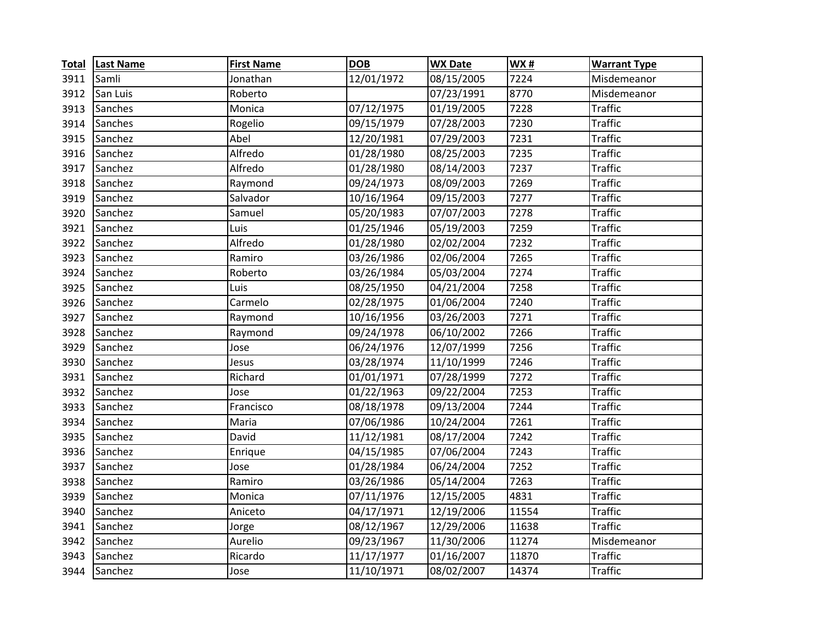| <b>Total</b> | <b>Last Name</b> | <b>First Name</b> | <b>DOB</b> | <b>WX Date</b> | <b>WX#</b> | <b>Warrant Type</b> |
|--------------|------------------|-------------------|------------|----------------|------------|---------------------|
| 3911         | Samli            | Jonathan          | 12/01/1972 | 08/15/2005     | 7224       | Misdemeanor         |
| 3912         | San Luis         | Roberto           |            | 07/23/1991     | 8770       | Misdemeanor         |
| 3913         | Sanches          | Monica            | 07/12/1975 | 01/19/2005     | 7228       | <b>Traffic</b>      |
| 3914         | Sanches          | Rogelio           | 09/15/1979 | 07/28/2003     | 7230       | <b>Traffic</b>      |
| 3915         | Sanchez          | Abel              | 12/20/1981 | 07/29/2003     | 7231       | <b>Traffic</b>      |
| 3916         | Sanchez          | Alfredo           | 01/28/1980 | 08/25/2003     | 7235       | <b>Traffic</b>      |
| 3917         | Sanchez          | Alfredo           | 01/28/1980 | 08/14/2003     | 7237       | <b>Traffic</b>      |
| 3918         | Sanchez          | Raymond           | 09/24/1973 | 08/09/2003     | 7269       | <b>Traffic</b>      |
| 3919         | Sanchez          | Salvador          | 10/16/1964 | 09/15/2003     | 7277       | <b>Traffic</b>      |
| 3920         | Sanchez          | Samuel            | 05/20/1983 | 07/07/2003     | 7278       | <b>Traffic</b>      |
| 3921         | Sanchez          | Luis              | 01/25/1946 | 05/19/2003     | 7259       | <b>Traffic</b>      |
| 3922         | Sanchez          | Alfredo           | 01/28/1980 | 02/02/2004     | 7232       | <b>Traffic</b>      |
| 3923         | Sanchez          | Ramiro            | 03/26/1986 | 02/06/2004     | 7265       | <b>Traffic</b>      |
| 3924         | Sanchez          | Roberto           | 03/26/1984 | 05/03/2004     | 7274       | <b>Traffic</b>      |
| 3925         | Sanchez          | Luis              | 08/25/1950 | 04/21/2004     | 7258       | <b>Traffic</b>      |
| 3926         | Sanchez          | Carmelo           | 02/28/1975 | 01/06/2004     | 7240       | <b>Traffic</b>      |
| 3927         | Sanchez          | Raymond           | 10/16/1956 | 03/26/2003     | 7271       | <b>Traffic</b>      |
| 3928         | Sanchez          | Raymond           | 09/24/1978 | 06/10/2002     | 7266       | <b>Traffic</b>      |
| 3929         | Sanchez          | Jose              | 06/24/1976 | 12/07/1999     | 7256       | <b>Traffic</b>      |
| 3930         | Sanchez          | Jesus             | 03/28/1974 | 11/10/1999     | 7246       | <b>Traffic</b>      |
| 3931         | Sanchez          | Richard           | 01/01/1971 | 07/28/1999     | 7272       | <b>Traffic</b>      |
| 3932         | Sanchez          | Jose              | 01/22/1963 | 09/22/2004     | 7253       | <b>Traffic</b>      |
| 3933         | Sanchez          | Francisco         | 08/18/1978 | 09/13/2004     | 7244       | <b>Traffic</b>      |
| 3934         | Sanchez          | Maria             | 07/06/1986 | 10/24/2004     | 7261       | <b>Traffic</b>      |
| 3935         | Sanchez          | David             | 11/12/1981 | 08/17/2004     | 7242       | <b>Traffic</b>      |
| 3936         | Sanchez          | Enrique           | 04/15/1985 | 07/06/2004     | 7243       | <b>Traffic</b>      |
| 3937         | Sanchez          | Jose              | 01/28/1984 | 06/24/2004     | 7252       | <b>Traffic</b>      |
| 3938         | Sanchez          | Ramiro            | 03/26/1986 | 05/14/2004     | 7263       | <b>Traffic</b>      |
| 3939         | Sanchez          | Monica            | 07/11/1976 | 12/15/2005     | 4831       | <b>Traffic</b>      |
| 3940         | Sanchez          | Aniceto           | 04/17/1971 | 12/19/2006     | 11554      | <b>Traffic</b>      |
| 3941         | Sanchez          | Jorge             | 08/12/1967 | 12/29/2006     | 11638      | <b>Traffic</b>      |
| 3942         | Sanchez          | Aurelio           | 09/23/1967 | 11/30/2006     | 11274      | Misdemeanor         |
| 3943         | Sanchez          | Ricardo           | 11/17/1977 | 01/16/2007     | 11870      | <b>Traffic</b>      |
| 3944         | Sanchez          | Jose              | 11/10/1971 | 08/02/2007     | 14374      | <b>Traffic</b>      |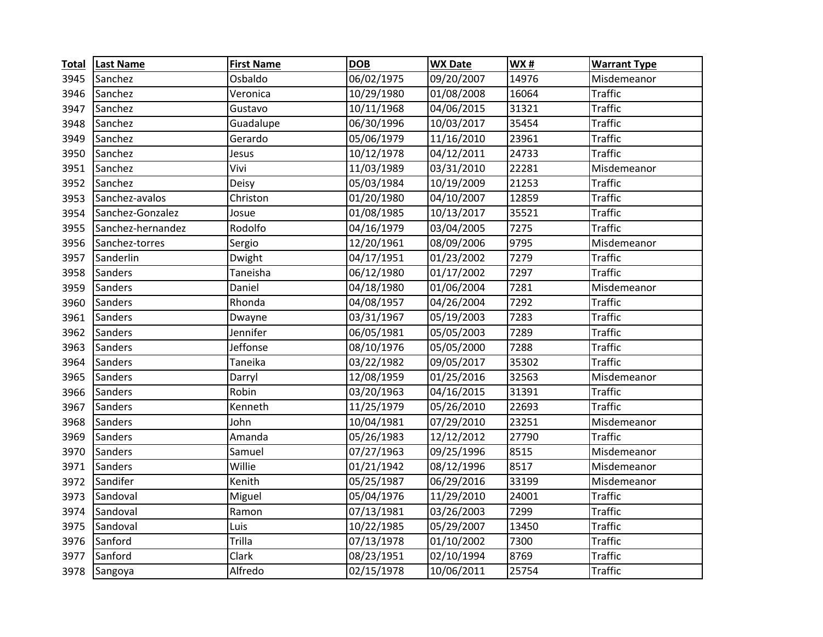| <b>Total</b> | <b>Last Name</b>  | <b>First Name</b> | <b>DOB</b> | <b>WX Date</b> | <b>WX#</b> | <b>Warrant Type</b> |
|--------------|-------------------|-------------------|------------|----------------|------------|---------------------|
| 3945         | Sanchez           | Osbaldo           | 06/02/1975 | 09/20/2007     | 14976      | Misdemeanor         |
| 3946         | Sanchez           | Veronica          | 10/29/1980 | 01/08/2008     | 16064      | <b>Traffic</b>      |
| 3947         | Sanchez           | Gustavo           | 10/11/1968 | 04/06/2015     | 31321      | <b>Traffic</b>      |
| 3948         | Sanchez           | Guadalupe         | 06/30/1996 | 10/03/2017     | 35454      | <b>Traffic</b>      |
| 3949         | Sanchez           | Gerardo           | 05/06/1979 | 11/16/2010     | 23961      | <b>Traffic</b>      |
| 3950         | Sanchez           | Jesus             | 10/12/1978 | 04/12/2011     | 24733      | <b>Traffic</b>      |
| 3951         | Sanchez           | Vivi              | 11/03/1989 | 03/31/2010     | 22281      | Misdemeanor         |
| 3952         | Sanchez           | Deisy             | 05/03/1984 | 10/19/2009     | 21253      | <b>Traffic</b>      |
| 3953         | Sanchez-avalos    | Christon          | 01/20/1980 | 04/10/2007     | 12859      | <b>Traffic</b>      |
| 3954         | Sanchez-Gonzalez  | Josue             | 01/08/1985 | 10/13/2017     | 35521      | <b>Traffic</b>      |
| 3955         | Sanchez-hernandez | Rodolfo           | 04/16/1979 | 03/04/2005     | 7275       | <b>Traffic</b>      |
| 3956         | Sanchez-torres    | Sergio            | 12/20/1961 | 08/09/2006     | 9795       | Misdemeanor         |
| 3957         | Sanderlin         | Dwight            | 04/17/1951 | 01/23/2002     | 7279       | <b>Traffic</b>      |
| 3958         | Sanders           | Taneisha          | 06/12/1980 | 01/17/2002     | 7297       | <b>Traffic</b>      |
| 3959         | Sanders           | Daniel            | 04/18/1980 | 01/06/2004     | 7281       | Misdemeanor         |
| 3960         | Sanders           | Rhonda            | 04/08/1957 | 04/26/2004     | 7292       | <b>Traffic</b>      |
| 3961         | Sanders           | Dwayne            | 03/31/1967 | 05/19/2003     | 7283       | <b>Traffic</b>      |
| 3962         | Sanders           | Jennifer          | 06/05/1981 | 05/05/2003     | 7289       | <b>Traffic</b>      |
| 3963         | Sanders           | Jeffonse          | 08/10/1976 | 05/05/2000     | 7288       | <b>Traffic</b>      |
| 3964         | Sanders           | Taneika           | 03/22/1982 | 09/05/2017     | 35302      | <b>Traffic</b>      |
| 3965         | Sanders           | Darryl            | 12/08/1959 | 01/25/2016     | 32563      | Misdemeanor         |
| 3966         | Sanders           | Robin             | 03/20/1963 | 04/16/2015     | 31391      | <b>Traffic</b>      |
| 3967         | Sanders           | Kenneth           | 11/25/1979 | 05/26/2010     | 22693      | <b>Traffic</b>      |
| 3968         | Sanders           | John              | 10/04/1981 | 07/29/2010     | 23251      | Misdemeanor         |
| 3969         | Sanders           | Amanda            | 05/26/1983 | 12/12/2012     | 27790      | <b>Traffic</b>      |
| 3970         | Sanders           | Samuel            | 07/27/1963 | 09/25/1996     | 8515       | Misdemeanor         |
| 3971         | Sanders           | Willie            | 01/21/1942 | 08/12/1996     | 8517       | Misdemeanor         |
| 3972         | Sandifer          | Kenith            | 05/25/1987 | 06/29/2016     | 33199      | Misdemeanor         |
| 3973         | Sandoval          | Miguel            | 05/04/1976 | 11/29/2010     | 24001      | <b>Traffic</b>      |
| 3974         | Sandoval          | Ramon             | 07/13/1981 | 03/26/2003     | 7299       | <b>Traffic</b>      |
| 3975         | Sandoval          | Luis              | 10/22/1985 | 05/29/2007     | 13450      | <b>Traffic</b>      |
| 3976         | Sanford           | Trilla            | 07/13/1978 | 01/10/2002     | 7300       | <b>Traffic</b>      |
| 3977         | Sanford           | Clark             | 08/23/1951 | 02/10/1994     | 8769       | <b>Traffic</b>      |
| 3978         | Sangoya           | Alfredo           | 02/15/1978 | 10/06/2011     | 25754      | <b>Traffic</b>      |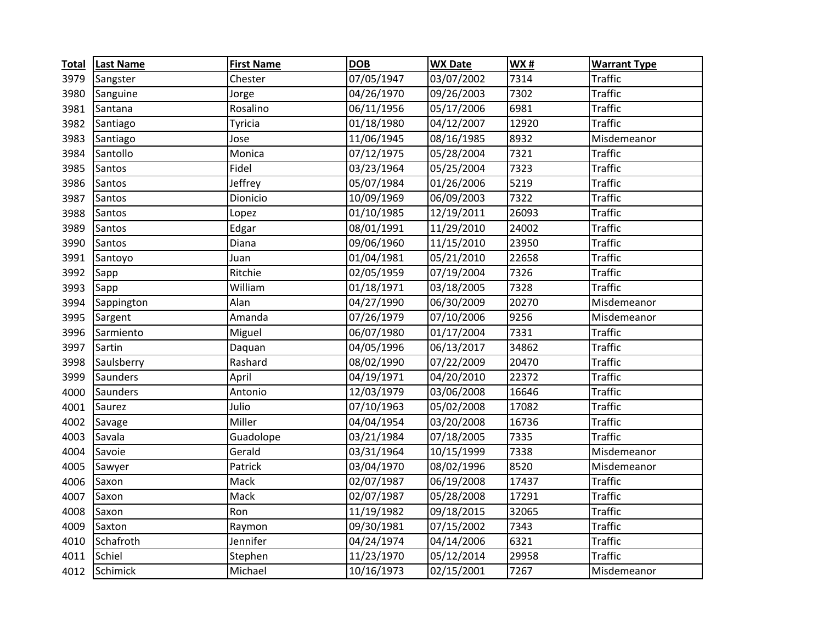| <b>Total</b> | <b>Last Name</b> | <b>First Name</b> | <b>DOB</b> | <b>WX Date</b> | <b>WX#</b> | <b>Warrant Type</b> |
|--------------|------------------|-------------------|------------|----------------|------------|---------------------|
| 3979         | Sangster         | Chester           | 07/05/1947 | 03/07/2002     | 7314       | <b>Traffic</b>      |
| 3980         | Sanguine         | Jorge             | 04/26/1970 | 09/26/2003     | 7302       | <b>Traffic</b>      |
| 3981         | Santana          | Rosalino          | 06/11/1956 | 05/17/2006     | 6981       | <b>Traffic</b>      |
| 3982         | Santiago         | Tyricia           | 01/18/1980 | 04/12/2007     | 12920      | <b>Traffic</b>      |
| 3983         | Santiago         | Jose              | 11/06/1945 | 08/16/1985     | 8932       | Misdemeanor         |
| 3984         | Santollo         | Monica            | 07/12/1975 | 05/28/2004     | 7321       | <b>Traffic</b>      |
| 3985         | Santos           | Fidel             | 03/23/1964 | 05/25/2004     | 7323       | <b>Traffic</b>      |
| 3986         | Santos           | Jeffrey           | 05/07/1984 | 01/26/2006     | 5219       | <b>Traffic</b>      |
| 3987         | Santos           | Dionicio          | 10/09/1969 | 06/09/2003     | 7322       | <b>Traffic</b>      |
| 3988         | Santos           | Lopez             | 01/10/1985 | 12/19/2011     | 26093      | <b>Traffic</b>      |
| 3989         | Santos           | Edgar             | 08/01/1991 | 11/29/2010     | 24002      | <b>Traffic</b>      |
| 3990         | Santos           | Diana             | 09/06/1960 | 11/15/2010     | 23950      | <b>Traffic</b>      |
| 3991         | Santoyo          | Juan              | 01/04/1981 | 05/21/2010     | 22658      | <b>Traffic</b>      |
| 3992         | Sapp             | Ritchie           | 02/05/1959 | 07/19/2004     | 7326       | <b>Traffic</b>      |
| 3993         | Sapp             | William           | 01/18/1971 | 03/18/2005     | 7328       | <b>Traffic</b>      |
| 3994         | Sappington       | Alan              | 04/27/1990 | 06/30/2009     | 20270      | Misdemeanor         |
| 3995         | Sargent          | Amanda            | 07/26/1979 | 07/10/2006     | 9256       | Misdemeanor         |
| 3996         | Sarmiento        | Miguel            | 06/07/1980 | 01/17/2004     | 7331       | <b>Traffic</b>      |
| 3997         | Sartin           | Daquan            | 04/05/1996 | 06/13/2017     | 34862      | <b>Traffic</b>      |
| 3998         | Saulsberry       | Rashard           | 08/02/1990 | 07/22/2009     | 20470      | <b>Traffic</b>      |
| 3999         | Saunders         | April             | 04/19/1971 | 04/20/2010     | 22372      | <b>Traffic</b>      |
| 4000         | Saunders         | Antonio           | 12/03/1979 | 03/06/2008     | 16646      | <b>Traffic</b>      |
| 4001         | Saurez           | Julio             | 07/10/1963 | 05/02/2008     | 17082      | <b>Traffic</b>      |
| 4002         | Savage           | Miller            | 04/04/1954 | 03/20/2008     | 16736      | <b>Traffic</b>      |
| 4003         | Savala           | Guadolope         | 03/21/1984 | 07/18/2005     | 7335       | <b>Traffic</b>      |
| 4004         | Savoie           | Gerald            | 03/31/1964 | 10/15/1999     | 7338       | Misdemeanor         |
| 4005         | Sawyer           | Patrick           | 03/04/1970 | 08/02/1996     | 8520       | Misdemeanor         |
| 4006         | Saxon            | Mack              | 02/07/1987 | 06/19/2008     | 17437      | <b>Traffic</b>      |
| 4007         | Saxon            | Mack              | 02/07/1987 | 05/28/2008     | 17291      | <b>Traffic</b>      |
| 4008         | Saxon            | Ron               | 11/19/1982 | 09/18/2015     | 32065      | <b>Traffic</b>      |
| 4009         | Saxton           | Raymon            | 09/30/1981 | 07/15/2002     | 7343       | <b>Traffic</b>      |
| 4010         | Schafroth        | Jennifer          | 04/24/1974 | 04/14/2006     | 6321       | <b>Traffic</b>      |
| 4011         | Schiel           | Stephen           | 11/23/1970 | 05/12/2014     | 29958      | <b>Traffic</b>      |
| 4012         | Schimick         | Michael           | 10/16/1973 | 02/15/2001     | 7267       | Misdemeanor         |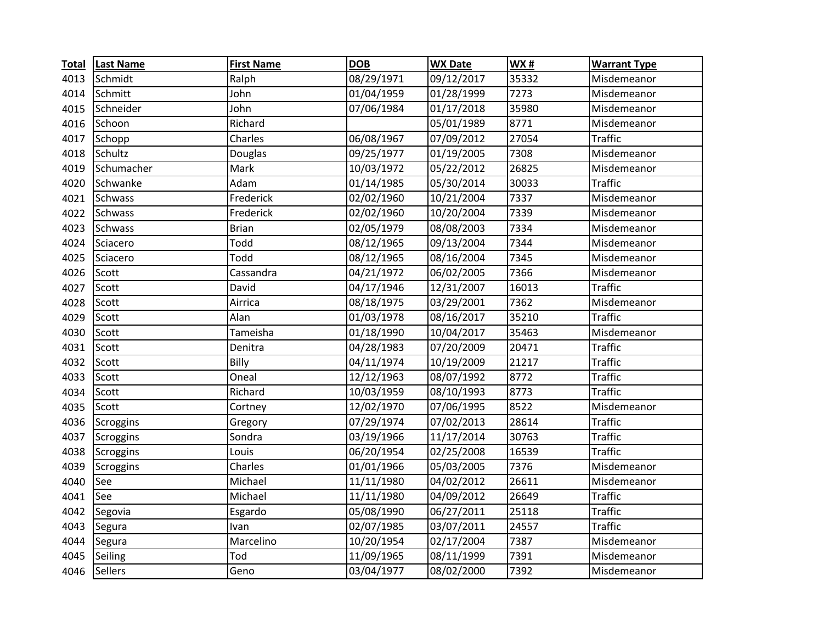| <b>Total</b> | <b>Last Name</b> | <b>First Name</b> | <b>DOB</b> | <b>WX Date</b>          | WX#   | <b>Warrant Type</b> |
|--------------|------------------|-------------------|------------|-------------------------|-------|---------------------|
| 4013         | Schmidt          | Ralph             | 08/29/1971 | 09/12/2017              | 35332 | Misdemeanor         |
| 4014         | Schmitt          | John              | 01/04/1959 | 01/28/1999              | 7273  | Misdemeanor         |
| 4015         | Schneider        | John              | 07/06/1984 | 01/17/2018              | 35980 | Misdemeanor         |
| 4016         | Schoon           | Richard           |            | 05/01/1989              | 8771  | Misdemeanor         |
| 4017         | Schopp           | Charles           | 06/08/1967 | 07/09/2012              | 27054 | <b>Traffic</b>      |
| 4018         | Schultz          | Douglas           | 09/25/1977 | 01/19/2005              | 7308  | Misdemeanor         |
| 4019         | Schumacher       | Mark              | 10/03/1972 | 05/22/2012              | 26825 | Misdemeanor         |
| 4020         | Schwanke         | Adam              | 01/14/1985 | 05/30/2014              | 30033 | <b>Traffic</b>      |
| 4021         | Schwass          | Frederick         | 02/02/1960 | 10/21/2004              | 7337  | Misdemeanor         |
| 4022         | <b>Schwass</b>   | Frederick         | 02/02/1960 | 10/20/2004              | 7339  | Misdemeanor         |
| 4023         | Schwass          | <b>Brian</b>      | 02/05/1979 | 08/08/2003              | 7334  | Misdemeanor         |
| 4024         | Sciacero         | Todd              | 08/12/1965 | 09/13/2004              | 7344  | Misdemeanor         |
| 4025         | Sciacero         | Todd              | 08/12/1965 | 08/16/2004              | 7345  | Misdemeanor         |
| 4026         | Scott            | Cassandra         | 04/21/1972 | 06/02/2005              | 7366  | Misdemeanor         |
| 4027         | Scott            | David             | 04/17/1946 | 12/31/2007              | 16013 | <b>Traffic</b>      |
| 4028         | Scott            | Airrica           | 08/18/1975 | 03/29/2001              | 7362  | Misdemeanor         |
| 4029         | Scott            | Alan              | 01/03/1978 | 08/16/2017              | 35210 | <b>Traffic</b>      |
| 4030         | Scott            | Tameisha          | 01/18/1990 | 10/04/2017              | 35463 | Misdemeanor         |
| 4031         | Scott            | Denitra           | 04/28/1983 | 07/20/2009              | 20471 | <b>Traffic</b>      |
| 4032         | Scott            | Billy             | 04/11/1974 | 10/19/2009              | 21217 | <b>Traffic</b>      |
| 4033         | Scott            | Oneal             | 12/12/1963 | 08/07/1992              | 8772  | <b>Traffic</b>      |
| 4034         | Scott            | Richard           | 10/03/1959 | 08/10/1993              | 8773  | <b>Traffic</b>      |
| 4035         | Scott            | Cortney           | 12/02/1970 | 07/06/1995              | 8522  | Misdemeanor         |
| 4036         | Scroggins        | Gregory           | 07/29/1974 | 07/02/2013              | 28614 | <b>Traffic</b>      |
| 4037         | Scroggins        | Sondra            | 03/19/1966 | 11/17/2014              | 30763 | <b>Traffic</b>      |
| 4038         | Scroggins        | Louis             | 06/20/1954 | 02/25/2008              | 16539 | <b>Traffic</b>      |
| 4039         | Scroggins        | Charles           | 01/01/1966 | 05/03/2005              | 7376  | Misdemeanor         |
| 4040         | See              | Michael           | 11/11/1980 | 04/02/2012              | 26611 | Misdemeanor         |
| 4041         | See              | Michael           | 11/11/1980 | 04/09/2012              | 26649 | <b>Traffic</b>      |
| 4042         | Segovia          | Esgardo           | 05/08/1990 | 06/27/2011              | 25118 | <b>Traffic</b>      |
| 4043         | Segura           | Ivan              | 02/07/1985 | 03/07/2011              | 24557 | <b>Traffic</b>      |
| 4044         | Segura           | Marcelino         | 10/20/1954 | $\frac{1}{02}{17}/2004$ | 7387  | Misdemeanor         |
| 4045         | Seiling          | Tod               | 11/09/1965 | 08/11/1999              | 7391  | Misdemeanor         |
| 4046         | <b>Sellers</b>   | Geno              | 03/04/1977 | 08/02/2000              | 7392  | Misdemeanor         |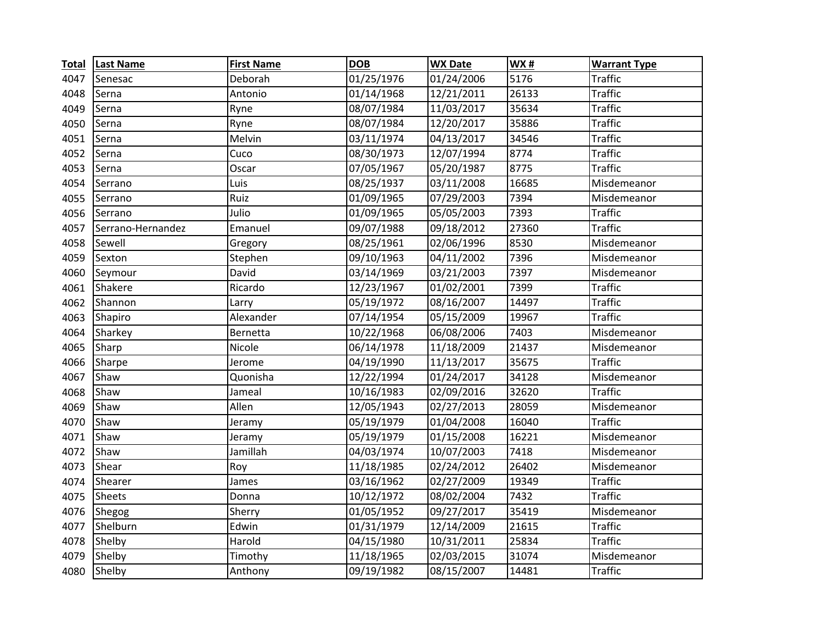| <b>Total</b> | <b>Last Name</b>  | <b>First Name</b> | <b>DOB</b> | <b>WX Date</b> | <b>WX#</b> | <b>Warrant Type</b> |
|--------------|-------------------|-------------------|------------|----------------|------------|---------------------|
| 4047         | Senesac           | Deborah           | 01/25/1976 | 01/24/2006     | 5176       | <b>Traffic</b>      |
| 4048         | Serna             | Antonio           | 01/14/1968 | 12/21/2011     | 26133      | <b>Traffic</b>      |
| 4049         | Serna             | Ryne              | 08/07/1984 | 11/03/2017     | 35634      | <b>Traffic</b>      |
| 4050         | Serna             | Ryne              | 08/07/1984 | 12/20/2017     | 35886      | <b>Traffic</b>      |
| 4051         | Serna             | Melvin            | 03/11/1974 | 04/13/2017     | 34546      | <b>Traffic</b>      |
| 4052         | Serna             | Cuco              | 08/30/1973 | 12/07/1994     | 8774       | <b>Traffic</b>      |
| 4053         | Serna             | Oscar             | 07/05/1967 | 05/20/1987     | 8775       | <b>Traffic</b>      |
| 4054         | Serrano           | Luis              | 08/25/1937 | 03/11/2008     | 16685      | Misdemeanor         |
| 4055         | Serrano           | Ruiz              | 01/09/1965 | 07/29/2003     | 7394       | Misdemeanor         |
| 4056         | Serrano           | Julio             | 01/09/1965 | 05/05/2003     | 7393       | <b>Traffic</b>      |
| 4057         | Serrano-Hernandez | Emanuel           | 09/07/1988 | 09/18/2012     | 27360      | <b>Traffic</b>      |
| 4058         | Sewell            | Gregory           | 08/25/1961 | 02/06/1996     | 8530       | Misdemeanor         |
| 4059         | Sexton            | Stephen           | 09/10/1963 | 04/11/2002     | 7396       | Misdemeanor         |
| 4060         | Seymour           | David             | 03/14/1969 | 03/21/2003     | 7397       | Misdemeanor         |
| 4061         | Shakere           | Ricardo           | 12/23/1967 | 01/02/2001     | 7399       | <b>Traffic</b>      |
| 4062         | Shannon           | Larry             | 05/19/1972 | 08/16/2007     | 14497      | <b>Traffic</b>      |
| 4063         | Shapiro           | Alexander         | 07/14/1954 | 05/15/2009     | 19967      | <b>Traffic</b>      |
| 4064         | Sharkey           | Bernetta          | 10/22/1968 | 06/08/2006     | 7403       | Misdemeanor         |
| 4065         | Sharp             | Nicole            | 06/14/1978 | 11/18/2009     | 21437      | Misdemeanor         |
| 4066         | Sharpe            | Jerome            | 04/19/1990 | 11/13/2017     | 35675      | <b>Traffic</b>      |
| 4067         | Shaw              | Quonisha          | 12/22/1994 | 01/24/2017     | 34128      | Misdemeanor         |
| 4068         | Shaw              | Jameal            | 10/16/1983 | 02/09/2016     | 32620      | <b>Traffic</b>      |
| 4069         | Shaw              | Allen             | 12/05/1943 | 02/27/2013     | 28059      | Misdemeanor         |
| 4070         | Shaw              | Jeramy            | 05/19/1979 | 01/04/2008     | 16040      | <b>Traffic</b>      |
| 4071         | Shaw              | Jeramy            | 05/19/1979 | 01/15/2008     | 16221      | Misdemeanor         |
| 4072         | Shaw              | Jamillah          | 04/03/1974 | 10/07/2003     | 7418       | Misdemeanor         |
| 4073         | Shear             | Roy               | 11/18/1985 | 02/24/2012     | 26402      | Misdemeanor         |
| 4074         | Shearer           | James             | 03/16/1962 | 02/27/2009     | 19349      | <b>Traffic</b>      |
| 4075         | <b>Sheets</b>     | Donna             | 10/12/1972 | 08/02/2004     | 7432       | <b>Traffic</b>      |
| 4076         | Shegog            | Sherry            | 01/05/1952 | 09/27/2017     | 35419      | Misdemeanor         |
| 4077         | Shelburn          | Edwin             | 01/31/1979 | 12/14/2009     | 21615      | <b>Traffic</b>      |
| 4078         | Shelby            | Harold            | 04/15/1980 | 10/31/2011     | 25834      | <b>Traffic</b>      |
| 4079         | Shelby            | Timothy           | 11/18/1965 | 02/03/2015     | 31074      | Misdemeanor         |
| 4080         | Shelby            | Anthony           | 09/19/1982 | 08/15/2007     | 14481      | <b>Traffic</b>      |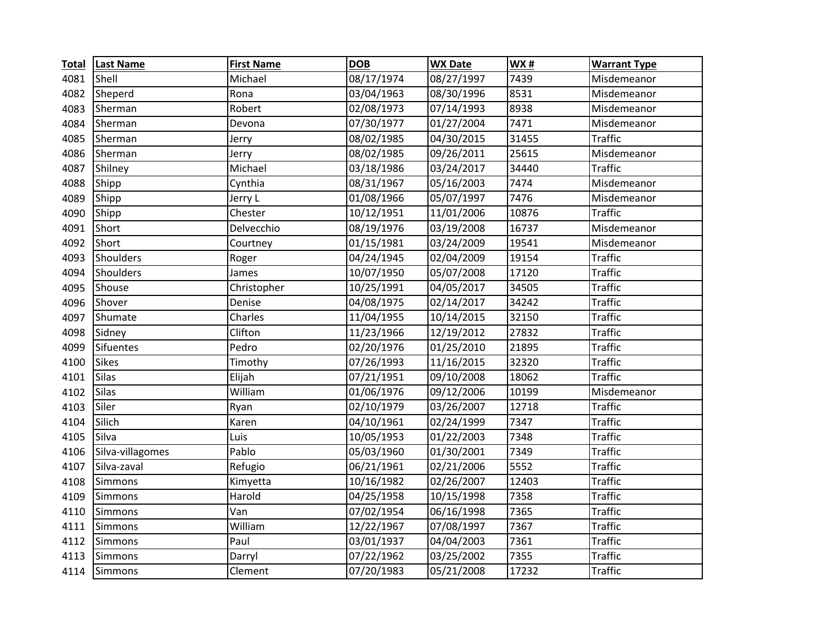| <b>Total</b> | <b>Last Name</b> | <b>First Name</b> | <b>DOB</b> | <b>WX Date</b> | <b>WX#</b> | <b>Warrant Type</b> |
|--------------|------------------|-------------------|------------|----------------|------------|---------------------|
| 4081         | Shell            | Michael           | 08/17/1974 | 08/27/1997     | 7439       | Misdemeanor         |
| 4082         | Sheperd          | Rona              | 03/04/1963 | 08/30/1996     | 8531       | Misdemeanor         |
| 4083         | Sherman          | Robert            | 02/08/1973 | 07/14/1993     | 8938       | Misdemeanor         |
| 4084         | Sherman          | Devona            | 07/30/1977 | 01/27/2004     | 7471       | Misdemeanor         |
| 4085         | Sherman          | Jerry             | 08/02/1985 | 04/30/2015     | 31455      | <b>Traffic</b>      |
| 4086         | Sherman          | Jerry             | 08/02/1985 | 09/26/2011     | 25615      | Misdemeanor         |
| 4087         | Shilney          | Michael           | 03/18/1986 | 03/24/2017     | 34440      | <b>Traffic</b>      |
| 4088         | Shipp            | Cynthia           | 08/31/1967 | 05/16/2003     | 7474       | Misdemeanor         |
| 4089         | Shipp            | Jerry L           | 01/08/1966 | 05/07/1997     | 7476       | Misdemeanor         |
| 4090         | Shipp            | Chester           | 10/12/1951 | 11/01/2006     | 10876      | <b>Traffic</b>      |
| 4091         | Short            | Delvecchio        | 08/19/1976 | 03/19/2008     | 16737      | Misdemeanor         |
| 4092         | Short            | Courtney          | 01/15/1981 | 03/24/2009     | 19541      | Misdemeanor         |
| 4093         | Shoulders        | Roger             | 04/24/1945 | 02/04/2009     | 19154      | <b>Traffic</b>      |
| 4094         | Shoulders        | James             | 10/07/1950 | 05/07/2008     | 17120      | <b>Traffic</b>      |
| 4095         | Shouse           | Christopher       | 10/25/1991 | 04/05/2017     | 34505      | <b>Traffic</b>      |
| 4096         | Shover           | Denise            | 04/08/1975 | 02/14/2017     | 34242      | <b>Traffic</b>      |
| 4097         | Shumate          | Charles           | 11/04/1955 | 10/14/2015     | 32150      | <b>Traffic</b>      |
| 4098         | Sidney           | Clifton           | 11/23/1966 | 12/19/2012     | 27832      | <b>Traffic</b>      |
| 4099         | Sifuentes        | Pedro             | 02/20/1976 | 01/25/2010     | 21895      | <b>Traffic</b>      |
| 4100         | <b>Sikes</b>     | Timothy           | 07/26/1993 | 11/16/2015     | 32320      | <b>Traffic</b>      |
| 4101         | Silas            | Elijah            | 07/21/1951 | 09/10/2008     | 18062      | <b>Traffic</b>      |
| 4102         | Silas            | William           | 01/06/1976 | 09/12/2006     | 10199      | Misdemeanor         |
| 4103         | Siler            | Ryan              | 02/10/1979 | 03/26/2007     | 12718      | <b>Traffic</b>      |
| 4104         | Silich           | Karen             | 04/10/1961 | 02/24/1999     | 7347       | <b>Traffic</b>      |
| 4105         | Silva            | Luis              | 10/05/1953 | 01/22/2003     | 7348       | <b>Traffic</b>      |
| 4106         | Silva-villagomes | Pablo             | 05/03/1960 | 01/30/2001     | 7349       | <b>Traffic</b>      |
| 4107         | Silva-zaval      | Refugio           | 06/21/1961 | 02/21/2006     | 5552       | <b>Traffic</b>      |
| 4108         | Simmons          | Kimyetta          | 10/16/1982 | 02/26/2007     | 12403      | <b>Traffic</b>      |
| 4109         | Simmons          | Harold            | 04/25/1958 | 10/15/1998     | 7358       | <b>Traffic</b>      |
| 4110         | Simmons          | Van               | 07/02/1954 | 06/16/1998     | 7365       | <b>Traffic</b>      |
| 4111         | Simmons          | William           | 12/22/1967 | 07/08/1997     | 7367       | <b>Traffic</b>      |
| 4112         | Simmons          | Paul              | 03/01/1937 | 04/04/2003     | 7361       | <b>Traffic</b>      |
| 4113         | Simmons          | Darryl            | 07/22/1962 | 03/25/2002     | 7355       | <b>Traffic</b>      |
| 4114         | Simmons          | Clement           | 07/20/1983 | 05/21/2008     | 17232      | <b>Traffic</b>      |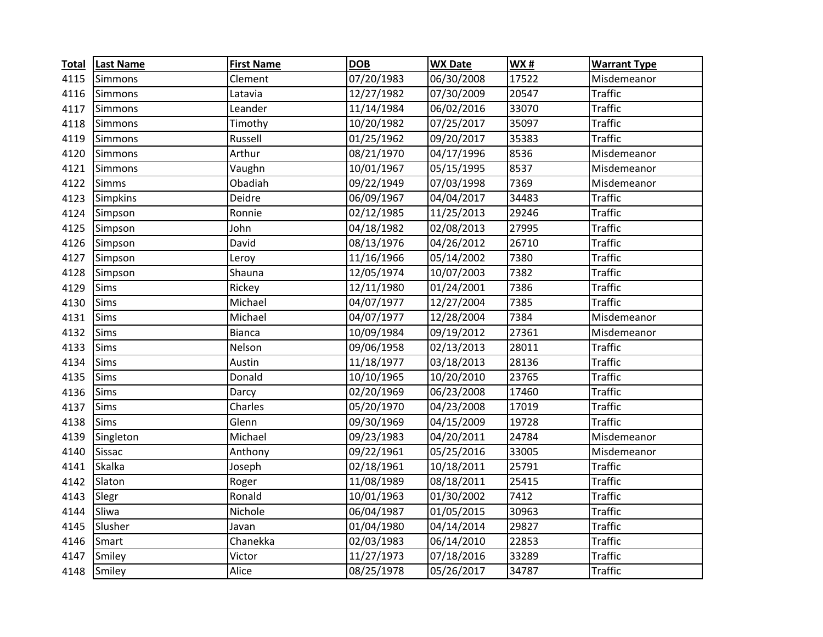| <b>Total</b> | <b>Last Name</b> | <b>First Name</b> | <b>DOB</b> | <b>WX Date</b> | <b>WX#</b> | <b>Warrant Type</b> |
|--------------|------------------|-------------------|------------|----------------|------------|---------------------|
| 4115         | Simmons          | Clement           | 07/20/1983 | 06/30/2008     | 17522      | Misdemeanor         |
| 4116         | <b>Simmons</b>   | Latavia           | 12/27/1982 | 07/30/2009     | 20547      | <b>Traffic</b>      |
| 4117         | <b>Simmons</b>   | Leander           | 11/14/1984 | 06/02/2016     | 33070      | <b>Traffic</b>      |
| 4118         | <b>Simmons</b>   | Timothy           | 10/20/1982 | 07/25/2017     | 35097      | <b>Traffic</b>      |
| 4119         | <b>Simmons</b>   | Russell           | 01/25/1962 | 09/20/2017     | 35383      | <b>Traffic</b>      |
| 4120         | <b>Simmons</b>   | Arthur            | 08/21/1970 | 04/17/1996     | 8536       | Misdemeanor         |
| 4121         | <b>Simmons</b>   | Vaughn            | 10/01/1967 | 05/15/1995     | 8537       | Misdemeanor         |
| 4122         | <b>Simms</b>     | Obadiah           | 09/22/1949 | 07/03/1998     | 7369       | Misdemeanor         |
| 4123         | <b>Simpkins</b>  | Deidre            | 06/09/1967 | 04/04/2017     | 34483      | <b>Traffic</b>      |
| 4124         | Simpson          | Ronnie            | 02/12/1985 | 11/25/2013     | 29246      | <b>Traffic</b>      |
| 4125         | Simpson          | John              | 04/18/1982 | 02/08/2013     | 27995      | <b>Traffic</b>      |
| 4126         | Simpson          | David             | 08/13/1976 | 04/26/2012     | 26710      | <b>Traffic</b>      |
| 4127         | Simpson          | Leroy             | 11/16/1966 | 05/14/2002     | 7380       | <b>Traffic</b>      |
| 4128         | Simpson          | Shauna            | 12/05/1974 | 10/07/2003     | 7382       | <b>Traffic</b>      |
| 4129         | Sims             | Rickey            | 12/11/1980 | 01/24/2001     | 7386       | <b>Traffic</b>      |
| 4130         | <b>Sims</b>      | Michael           | 04/07/1977 | 12/27/2004     | 7385       | <b>Traffic</b>      |
| 4131         | <b>Sims</b>      | Michael           | 04/07/1977 | 12/28/2004     | 7384       | Misdemeanor         |
| 4132         | <b>Sims</b>      | <b>Bianca</b>     | 10/09/1984 | 09/19/2012     | 27361      | Misdemeanor         |
| 4133         | <b>Sims</b>      | Nelson            | 09/06/1958 | 02/13/2013     | 28011      | <b>Traffic</b>      |
| 4134         | <b>Sims</b>      | Austin            | 11/18/1977 | 03/18/2013     | 28136      | <b>Traffic</b>      |
| 4135         | <b>Sims</b>      | Donald            | 10/10/1965 | 10/20/2010     | 23765      | <b>Traffic</b>      |
| 4136         | Sims             | Darcy             | 02/20/1969 | 06/23/2008     | 17460      | <b>Traffic</b>      |
| 4137         | <b>Sims</b>      | Charles           | 05/20/1970 | 04/23/2008     | 17019      | <b>Traffic</b>      |
| 4138         | <b>Sims</b>      | Glenn             | 09/30/1969 | 04/15/2009     | 19728      | <b>Traffic</b>      |
| 4139         | Singleton        | Michael           | 09/23/1983 | 04/20/2011     | 24784      | Misdemeanor         |
| 4140         | <b>Sissac</b>    | Anthony           | 09/22/1961 | 05/25/2016     | 33005      | Misdemeanor         |
| 4141         | <b>Skalka</b>    | Joseph            | 02/18/1961 | 10/18/2011     | 25791      | <b>Traffic</b>      |
| 4142         | Slaton           | Roger             | 11/08/1989 | 08/18/2011     | 25415      | <b>Traffic</b>      |
| 4143         | Slegr            | Ronald            | 10/01/1963 | 01/30/2002     | 7412       | <b>Traffic</b>      |
| 4144         | Sliwa            | Nichole           | 06/04/1987 | 01/05/2015     | 30963      | <b>Traffic</b>      |
| 4145         | Slusher          | Javan             | 01/04/1980 | 04/14/2014     | 29827      | <b>Traffic</b>      |
| 4146         | Smart            | Chanekka          | 02/03/1983 | 06/14/2010     | 22853      | <b>Traffic</b>      |
| 4147         | Smiley           | Victor            | 11/27/1973 | 07/18/2016     | 33289      | <b>Traffic</b>      |
| 4148         | Smiley           | Alice             | 08/25/1978 | 05/26/2017     | 34787      | <b>Traffic</b>      |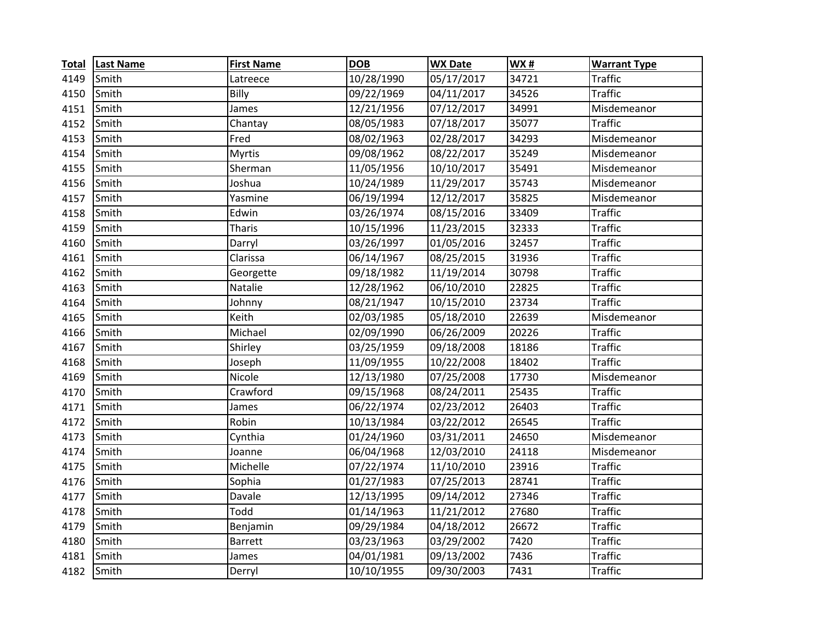| <b>Total</b> | <b>Last Name</b> | <b>First Name</b> | <b>DOB</b> | <b>WX Date</b> | WX#   | <b>Warrant Type</b> |
|--------------|------------------|-------------------|------------|----------------|-------|---------------------|
| 4149         | Smith            | Latreece          | 10/28/1990 | 05/17/2017     | 34721 | <b>Traffic</b>      |
| 4150         | Smith            | Billy             | 09/22/1969 | 04/11/2017     | 34526 | <b>Traffic</b>      |
| 4151         | Smith            | James             | 12/21/1956 | 07/12/2017     | 34991 | Misdemeanor         |
| 4152         | Smith            | Chantay           | 08/05/1983 | 07/18/2017     | 35077 | <b>Traffic</b>      |
| 4153         | Smith            | Fred              | 08/02/1963 | 02/28/2017     | 34293 | Misdemeanor         |
| 4154         | Smith            | <b>Myrtis</b>     | 09/08/1962 | 08/22/2017     | 35249 | Misdemeanor         |
| 4155         | Smith            | Sherman           | 11/05/1956 | 10/10/2017     | 35491 | Misdemeanor         |
| 4156         | Smith            | Joshua            | 10/24/1989 | 11/29/2017     | 35743 | Misdemeanor         |
| 4157         | Smith            | Yasmine           | 06/19/1994 | 12/12/2017     | 35825 | Misdemeanor         |
| 4158         | Smith            | Edwin             | 03/26/1974 | 08/15/2016     | 33409 | <b>Traffic</b>      |
| 4159         | Smith            | <b>Tharis</b>     | 10/15/1996 | 11/23/2015     | 32333 | <b>Traffic</b>      |
| 4160         | Smith            | Darryl            | 03/26/1997 | 01/05/2016     | 32457 | <b>Traffic</b>      |
| 4161         | Smith            | Clarissa          | 06/14/1967 | 08/25/2015     | 31936 | <b>Traffic</b>      |
| 4162         | Smith            | Georgette         | 09/18/1982 | 11/19/2014     | 30798 | <b>Traffic</b>      |
| 4163         | Smith            | Natalie           | 12/28/1962 | 06/10/2010     | 22825 | <b>Traffic</b>      |
| 4164         | Smith            | Johnny            | 08/21/1947 | 10/15/2010     | 23734 | <b>Traffic</b>      |
| 4165         | Smith            | Keith             | 02/03/1985 | 05/18/2010     | 22639 | Misdemeanor         |
| 4166         | Smith            | Michael           | 02/09/1990 | 06/26/2009     | 20226 | <b>Traffic</b>      |
| 4167         | Smith            | Shirley           | 03/25/1959 | 09/18/2008     | 18186 | <b>Traffic</b>      |
| 4168         | Smith            | Joseph            | 11/09/1955 | 10/22/2008     | 18402 | <b>Traffic</b>      |
| 4169         | Smith            | Nicole            | 12/13/1980 | 07/25/2008     | 17730 | Misdemeanor         |
| 4170         | Smith            | Crawford          | 09/15/1968 | 08/24/2011     | 25435 | <b>Traffic</b>      |
| 4171         | Smith            | James             | 06/22/1974 | 02/23/2012     | 26403 | <b>Traffic</b>      |
| 4172         | Smith            | Robin             | 10/13/1984 | 03/22/2012     | 26545 | <b>Traffic</b>      |
| 4173         | Smith            | Cynthia           | 01/24/1960 | 03/31/2011     | 24650 | Misdemeanor         |
| 4174         | Smith            | Joanne            | 06/04/1968 | 12/03/2010     | 24118 | Misdemeanor         |
| 4175         | Smith            | Michelle          | 07/22/1974 | 11/10/2010     | 23916 | <b>Traffic</b>      |
| 4176         | Smith            | Sophia            | 01/27/1983 | 07/25/2013     | 28741 | <b>Traffic</b>      |
| 4177         | Smith            | Davale            | 12/13/1995 | 09/14/2012     | 27346 | <b>Traffic</b>      |
| 4178         | Smith            | Todd              | 01/14/1963 | 11/21/2012     | 27680 | <b>Traffic</b>      |
| 4179         | Smith            | Benjamin          | 09/29/1984 | 04/18/2012     | 26672 | <b>Traffic</b>      |
| 4180         | Smith            | <b>Barrett</b>    | 03/23/1963 | 03/29/2002     | 7420  | <b>Traffic</b>      |
| 4181         | Smith            | James             | 04/01/1981 | 09/13/2002     | 7436  | <b>Traffic</b>      |
|              | 4182 Smith       | Derryl            | 10/10/1955 | 09/30/2003     | 7431  | <b>Traffic</b>      |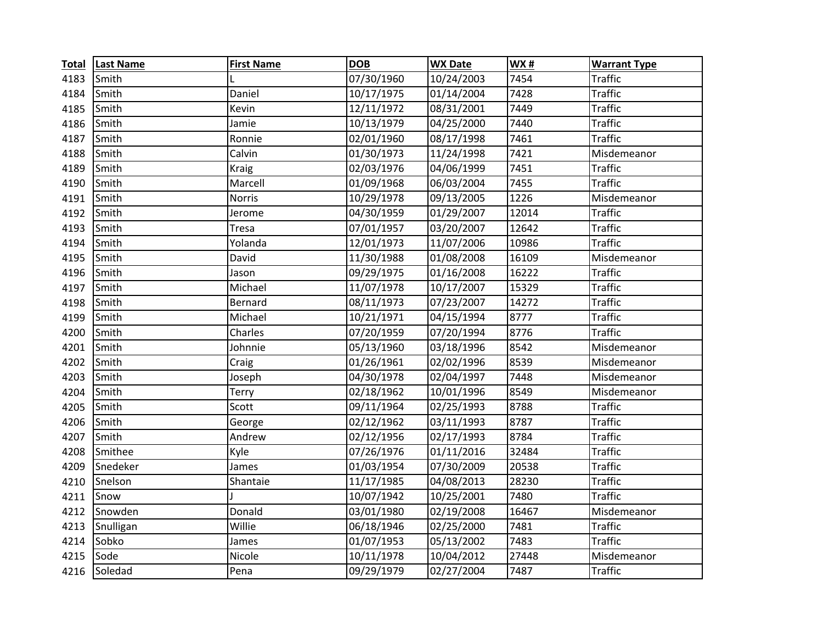| <b>Total</b> | <b>Last Name</b> | <b>First Name</b> | <b>DOB</b> | <b>WX Date</b> | WX#   | <b>Warrant Type</b> |
|--------------|------------------|-------------------|------------|----------------|-------|---------------------|
| 4183         | Smith            |                   | 07/30/1960 | 10/24/2003     | 7454  | <b>Traffic</b>      |
| 4184         | Smith            | Daniel            | 10/17/1975 | 01/14/2004     | 7428  | <b>Traffic</b>      |
| 4185         | Smith            | Kevin             | 12/11/1972 | 08/31/2001     | 7449  | <b>Traffic</b>      |
| 4186         | Smith            | Jamie             | 10/13/1979 | 04/25/2000     | 7440  | <b>Traffic</b>      |
| 4187         | Smith            | Ronnie            | 02/01/1960 | 08/17/1998     | 7461  | <b>Traffic</b>      |
| 4188         | Smith            | Calvin            | 01/30/1973 | 11/24/1998     | 7421  | Misdemeanor         |
| 4189         | Smith            | <b>Kraig</b>      | 02/03/1976 | 04/06/1999     | 7451  | <b>Traffic</b>      |
| 4190         | Smith            | Marcell           | 01/09/1968 | 06/03/2004     | 7455  | <b>Traffic</b>      |
| 4191         | Smith            | <b>Norris</b>     | 10/29/1978 | 09/13/2005     | 1226  | Misdemeanor         |
| 4192         | Smith            | Jerome            | 04/30/1959 | 01/29/2007     | 12014 | <b>Traffic</b>      |
| 4193         | Smith            | <b>Tresa</b>      | 07/01/1957 | 03/20/2007     | 12642 | <b>Traffic</b>      |
| 4194         | Smith            | Yolanda           | 12/01/1973 | 11/07/2006     | 10986 | <b>Traffic</b>      |
| 4195         | Smith            | David             | 11/30/1988 | 01/08/2008     | 16109 | Misdemeanor         |
| 4196         | Smith            | Jason             | 09/29/1975 | 01/16/2008     | 16222 | <b>Traffic</b>      |
| 4197         | Smith            | Michael           | 11/07/1978 | 10/17/2007     | 15329 | <b>Traffic</b>      |
| 4198         | Smith            | Bernard           | 08/11/1973 | 07/23/2007     | 14272 | <b>Traffic</b>      |
| 4199         | Smith            | Michael           | 10/21/1971 | 04/15/1994     | 8777  | <b>Traffic</b>      |
| 4200         | Smith            | Charles           | 07/20/1959 | 07/20/1994     | 8776  | <b>Traffic</b>      |
| 4201         | Smith            | Johnnie           | 05/13/1960 | 03/18/1996     | 8542  | Misdemeanor         |
| 4202         | Smith            | Craig             | 01/26/1961 | 02/02/1996     | 8539  | Misdemeanor         |
| 4203         | Smith            | Joseph            | 04/30/1978 | 02/04/1997     | 7448  | Misdemeanor         |
| 4204         | Smith            | Terry             | 02/18/1962 | 10/01/1996     | 8549  | Misdemeanor         |
| 4205         | Smith            | Scott             | 09/11/1964 | 02/25/1993     | 8788  | <b>Traffic</b>      |
| 4206         | Smith            | George            | 02/12/1962 | 03/11/1993     | 8787  | <b>Traffic</b>      |
| 4207         | Smith            | Andrew            | 02/12/1956 | 02/17/1993     | 8784  | <b>Traffic</b>      |
| 4208         | Smithee          | Kyle              | 07/26/1976 | 01/11/2016     | 32484 | <b>Traffic</b>      |
| 4209         | Snedeker         | James             | 01/03/1954 | 07/30/2009     | 20538 | <b>Traffic</b>      |
| 4210         | Snelson          | Shantaie          | 11/17/1985 | 04/08/2013     | 28230 | <b>Traffic</b>      |
| 4211         | Snow             |                   | 10/07/1942 | 10/25/2001     | 7480  | <b>Traffic</b>      |
| 4212         | Snowden          | Donald            | 03/01/1980 | 02/19/2008     | 16467 | Misdemeanor         |
| 4213         | Snulligan        | Willie            | 06/18/1946 | 02/25/2000     | 7481  | <b>Traffic</b>      |
| 4214         | Sobko            | James             | 01/07/1953 | 05/13/2002     | 7483  | <b>Traffic</b>      |
| 4215         | Sode             | Nicole            | 10/11/1978 | 10/04/2012     | 27448 | Misdemeanor         |
| 4216         | Soledad          | Pena              | 09/29/1979 | 02/27/2004     | 7487  | <b>Traffic</b>      |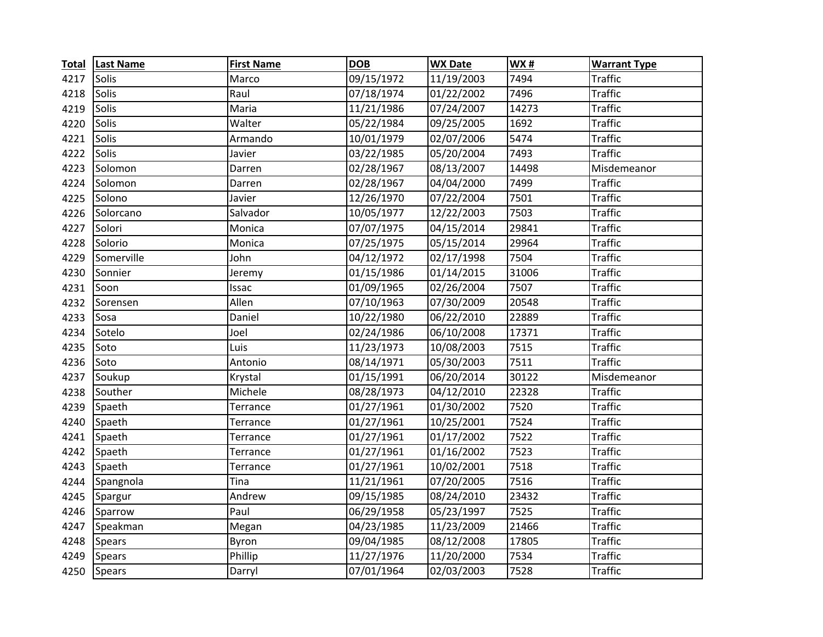| <b>Total</b> | <b>Last Name</b> | <b>First Name</b> | <b>DOB</b> | <b>WX Date</b> | <b>WX#</b> | <b>Warrant Type</b> |
|--------------|------------------|-------------------|------------|----------------|------------|---------------------|
| 4217         | Solis            | Marco             | 09/15/1972 | 11/19/2003     | 7494       | <b>Traffic</b>      |
| 4218         | Solis            | Raul              | 07/18/1974 | 01/22/2002     | 7496       | <b>Traffic</b>      |
| 4219         | <b>Solis</b>     | Maria             | 11/21/1986 | 07/24/2007     | 14273      | <b>Traffic</b>      |
| 4220         | Solis            | Walter            | 05/22/1984 | 09/25/2005     | 1692       | <b>Traffic</b>      |
| 4221         | <b>Solis</b>     | Armando           | 10/01/1979 | 02/07/2006     | 5474       | <b>Traffic</b>      |
| 4222         | Solis            | Javier            | 03/22/1985 | 05/20/2004     | 7493       | <b>Traffic</b>      |
| 4223         | Solomon          | Darren            | 02/28/1967 | 08/13/2007     | 14498      | Misdemeanor         |
| 4224         | Solomon          | Darren            | 02/28/1967 | 04/04/2000     | 7499       | <b>Traffic</b>      |
| 4225         | Solono           | Javier            | 12/26/1970 | 07/22/2004     | 7501       | <b>Traffic</b>      |
| 4226         | Solorcano        | Salvador          | 10/05/1977 | 12/22/2003     | 7503       | <b>Traffic</b>      |
| 4227         | Solori           | Monica            | 07/07/1975 | 04/15/2014     | 29841      | <b>Traffic</b>      |
| 4228         | Solorio          | Monica            | 07/25/1975 | 05/15/2014     | 29964      | <b>Traffic</b>      |
| 4229         | Somerville       | John              | 04/12/1972 | 02/17/1998     | 7504       | <b>Traffic</b>      |
| 4230         | Sonnier          | Jeremy            | 01/15/1986 | 01/14/2015     | 31006      | <b>Traffic</b>      |
| 4231         | Soon             | Issac             | 01/09/1965 | 02/26/2004     | 7507       | <b>Traffic</b>      |
| 4232         | Sorensen         | Allen             | 07/10/1963 | 07/30/2009     | 20548      | <b>Traffic</b>      |
| 4233         | Sosa             | Daniel            | 10/22/1980 | 06/22/2010     | 22889      | <b>Traffic</b>      |
| 4234         | Sotelo           | Joel              | 02/24/1986 | 06/10/2008     | 17371      | <b>Traffic</b>      |
| 4235         | Soto             | Luis              | 11/23/1973 | 10/08/2003     | 7515       | <b>Traffic</b>      |
| 4236         | Soto             | Antonio           | 08/14/1971 | 05/30/2003     | 7511       | <b>Traffic</b>      |
| 4237         | Soukup           | Krystal           | 01/15/1991 | 06/20/2014     | 30122      | Misdemeanor         |
| 4238         | Souther          | Michele           | 08/28/1973 | 04/12/2010     | 22328      | <b>Traffic</b>      |
| 4239         | Spaeth           | Terrance          | 01/27/1961 | 01/30/2002     | 7520       | <b>Traffic</b>      |
| 4240         | Spaeth           | Terrance          | 01/27/1961 | 10/25/2001     | 7524       | <b>Traffic</b>      |
| 4241         | Spaeth           | Terrance          | 01/27/1961 | 01/17/2002     | 7522       | <b>Traffic</b>      |
| 4242         | Spaeth           | Terrance          | 01/27/1961 | 01/16/2002     | 7523       | <b>Traffic</b>      |
| 4243         | Spaeth           | Terrance          | 01/27/1961 | 10/02/2001     | 7518       | <b>Traffic</b>      |
| 4244         | Spangnola        | Tina              | 11/21/1961 | 07/20/2005     | 7516       | <b>Traffic</b>      |
| 4245         | Spargur          | Andrew            | 09/15/1985 | 08/24/2010     | 23432      | <b>Traffic</b>      |
| 4246         | Sparrow          | Paul              | 06/29/1958 | 05/23/1997     | 7525       | <b>Traffic</b>      |
| 4247         | Speakman         | Megan             | 04/23/1985 | 11/23/2009     | 21466      | <b>Traffic</b>      |
| 4248         | <b>Spears</b>    | Byron             | 09/04/1985 | 08/12/2008     | 17805      | <b>Traffic</b>      |
| 4249         | <b>Spears</b>    | Phillip           | 11/27/1976 | 11/20/2000     | 7534       | <b>Traffic</b>      |
| 4250         | <b>Spears</b>    | Darryl            | 07/01/1964 | 02/03/2003     | 7528       | <b>Traffic</b>      |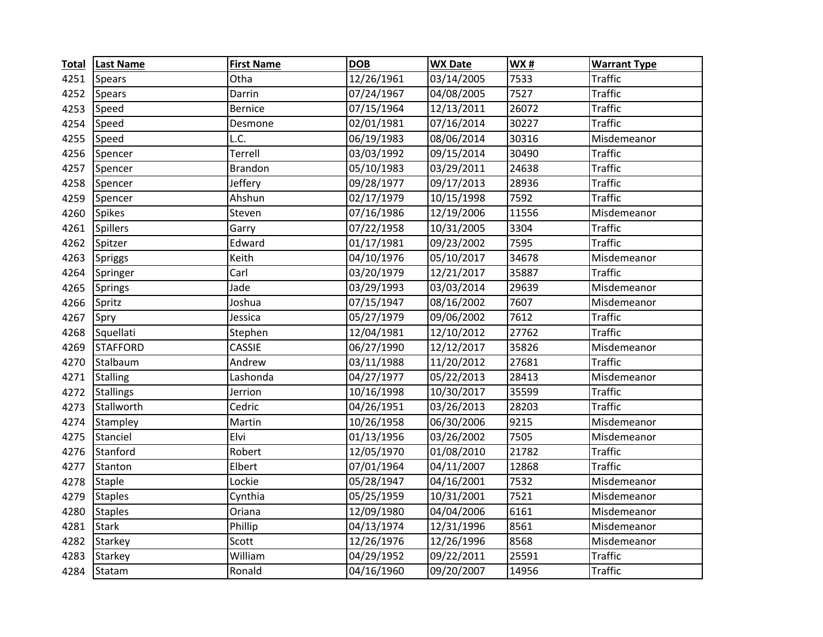| <b>Total</b> | <b>Last Name</b> | <b>First Name</b> | <b>DOB</b> | <b>WX Date</b> | <b>WX#</b> | <b>Warrant Type</b> |
|--------------|------------------|-------------------|------------|----------------|------------|---------------------|
| 4251         | <b>Spears</b>    | Otha              | 12/26/1961 | 03/14/2005     | 7533       | <b>Traffic</b>      |
| 4252         | <b>Spears</b>    | Darrin            | 07/24/1967 | 04/08/2005     | 7527       | <b>Traffic</b>      |
| 4253         | Speed            | <b>Bernice</b>    | 07/15/1964 | 12/13/2011     | 26072      | <b>Traffic</b>      |
| 4254         | Speed            | Desmone           | 02/01/1981 | 07/16/2014     | 30227      | <b>Traffic</b>      |
| 4255         | Speed            | L.C.              | 06/19/1983 | 08/06/2014     | 30316      | Misdemeanor         |
| 4256         | Spencer          | Terrell           | 03/03/1992 | 09/15/2014     | 30490      | <b>Traffic</b>      |
| 4257         | Spencer          | Brandon           | 05/10/1983 | 03/29/2011     | 24638      | <b>Traffic</b>      |
| 4258         | Spencer          | Jeffery           | 09/28/1977 | 09/17/2013     | 28936      | <b>Traffic</b>      |
| 4259         | Spencer          | Ahshun            | 02/17/1979 | 10/15/1998     | 7592       | <b>Traffic</b>      |
| 4260         | <b>Spikes</b>    | Steven            | 07/16/1986 | 12/19/2006     | 11556      | Misdemeanor         |
| 4261         | <b>Spillers</b>  | Garry             | 07/22/1958 | 10/31/2005     | 3304       | <b>Traffic</b>      |
| 4262         | Spitzer          | Edward            | 01/17/1981 | 09/23/2002     | 7595       | <b>Traffic</b>      |
| 4263         | <b>Spriggs</b>   | Keith             | 04/10/1976 | 05/10/2017     | 34678      | Misdemeanor         |
| 4264         | Springer         | Carl              | 03/20/1979 | 12/21/2017     | 35887      | <b>Traffic</b>      |
| 4265         | <b>Springs</b>   | Jade              | 03/29/1993 | 03/03/2014     | 29639      | Misdemeanor         |
| 4266         | Spritz           | Joshua            | 07/15/1947 | 08/16/2002     | 7607       | Misdemeanor         |
| 4267         | Spry             | Jessica           | 05/27/1979 | 09/06/2002     | 7612       | <b>Traffic</b>      |
| 4268         | Squellati        | Stephen           | 12/04/1981 | 12/10/2012     | 27762      | <b>Traffic</b>      |
| 4269         | <b>STAFFORD</b>  | CASSIE            | 06/27/1990 | 12/12/2017     | 35826      | Misdemeanor         |
| 4270         | Stalbaum         | Andrew            | 03/11/1988 | 11/20/2012     | 27681      | <b>Traffic</b>      |
| 4271         | <b>Stalling</b>  | Lashonda          | 04/27/1977 | 05/22/2013     | 28413      | Misdemeanor         |
| 4272         | <b>Stallings</b> | Jerrion           | 10/16/1998 | 10/30/2017     | 35599      | <b>Traffic</b>      |
| 4273         | Stallworth       | Cedric            | 04/26/1951 | 03/26/2013     | 28203      | <b>Traffic</b>      |
| 4274         | Stampley         | Martin            | 10/26/1958 | 06/30/2006     | 9215       | Misdemeanor         |
| 4275         | Stanciel         | Elvi              | 01/13/1956 | 03/26/2002     | 7505       | Misdemeanor         |
| 4276         | Stanford         | Robert            | 12/05/1970 | 01/08/2010     | 21782      | <b>Traffic</b>      |
| 4277         | Stanton          | Elbert            | 07/01/1964 | 04/11/2007     | 12868      | <b>Traffic</b>      |
| 4278         | <b>Staple</b>    | Lockie            | 05/28/1947 | 04/16/2001     | 7532       | Misdemeanor         |
| 4279         | <b>Staples</b>   | Cynthia           | 05/25/1959 | 10/31/2001     | 7521       | Misdemeanor         |
| 4280         | <b>Staples</b>   | Oriana            | 12/09/1980 | 04/04/2006     | 6161       | Misdemeanor         |
| 4281         | <b>Stark</b>     | Phillip           | 04/13/1974 | 12/31/1996     | 8561       | Misdemeanor         |
| 4282         | Starkey          | Scott             | 12/26/1976 | 12/26/1996     | 8568       | Misdemeanor         |
| 4283         | Starkey          | William           | 04/29/1952 | 09/22/2011     | 25591      | <b>Traffic</b>      |
| 4284         | Statam           | Ronald            | 04/16/1960 | 09/20/2007     | 14956      | <b>Traffic</b>      |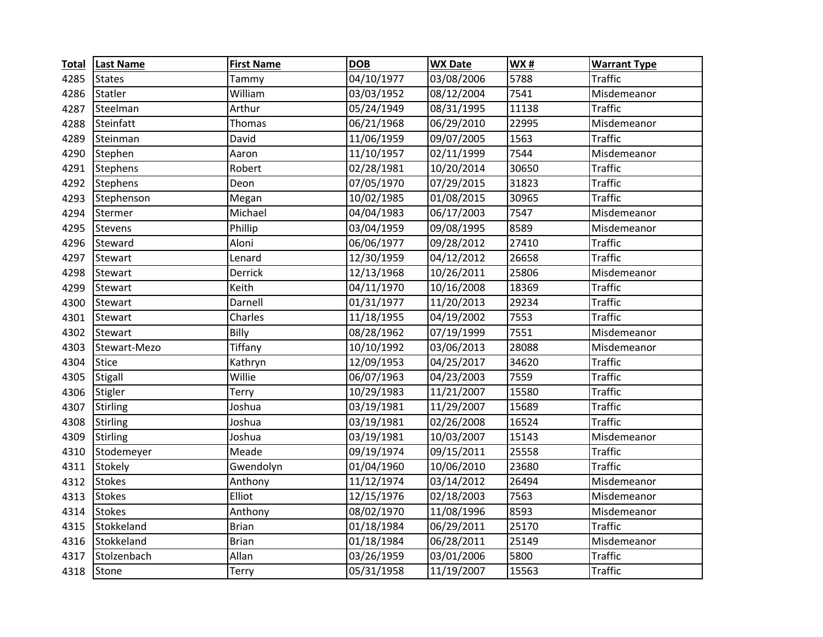| <b>Total</b> | <b>Last Name</b> | <b>First Name</b> | <b>DOB</b> | <b>WX Date</b> | WX#   | <b>Warrant Type</b> |
|--------------|------------------|-------------------|------------|----------------|-------|---------------------|
| 4285         | <b>States</b>    | Tammy             | 04/10/1977 | 03/08/2006     | 5788  | <b>Traffic</b>      |
| 4286         | Statler          | William           | 03/03/1952 | 08/12/2004     | 7541  | Misdemeanor         |
| 4287         | Steelman         | Arthur            | 05/24/1949 | 08/31/1995     | 11138 | <b>Traffic</b>      |
| 4288         | Steinfatt        | Thomas            | 06/21/1968 | 06/29/2010     | 22995 | Misdemeanor         |
| 4289         | Steinman         | David             | 11/06/1959 | 09/07/2005     | 1563  | <b>Traffic</b>      |
| 4290         | Stephen          | Aaron             | 11/10/1957 | 02/11/1999     | 7544  | Misdemeanor         |
| 4291         | Stephens         | Robert            | 02/28/1981 | 10/20/2014     | 30650 | <b>Traffic</b>      |
| 4292         | <b>Stephens</b>  | Deon              | 07/05/1970 | 07/29/2015     | 31823 | <b>Traffic</b>      |
| 4293         | Stephenson       | Megan             | 10/02/1985 | 01/08/2015     | 30965 | <b>Traffic</b>      |
| 4294         | Stermer          | Michael           | 04/04/1983 | 06/17/2003     | 7547  | Misdemeanor         |
| 4295         | Stevens          | Phillip           | 03/04/1959 | 09/08/1995     | 8589  | Misdemeanor         |
| 4296         | Steward          | Aloni             | 06/06/1977 | 09/28/2012     | 27410 | <b>Traffic</b>      |
| 4297         | Stewart          | Lenard            | 12/30/1959 | 04/12/2012     | 26658 | <b>Traffic</b>      |
| 4298         | Stewart          | Derrick           | 12/13/1968 | 10/26/2011     | 25806 | Misdemeanor         |
| 4299         | Stewart          | Keith             | 04/11/1970 | 10/16/2008     | 18369 | <b>Traffic</b>      |
| 4300         | Stewart          | Darnell           | 01/31/1977 | 11/20/2013     | 29234 | <b>Traffic</b>      |
| 4301         | Stewart          | Charles           | 11/18/1955 | 04/19/2002     | 7553  | <b>Traffic</b>      |
| 4302         | Stewart          | Billy             | 08/28/1962 | 07/19/1999     | 7551  | Misdemeanor         |
| 4303         | Stewart-Mezo     | Tiffany           | 10/10/1992 | 03/06/2013     | 28088 | Misdemeanor         |
| 4304         | <b>Stice</b>     | Kathryn           | 12/09/1953 | 04/25/2017     | 34620 | <b>Traffic</b>      |
| 4305         | Stigall          | Willie            | 06/07/1963 | 04/23/2003     | 7559  | <b>Traffic</b>      |
| 4306         | Stigler          | Terry             | 10/29/1983 | 11/21/2007     | 15580 | <b>Traffic</b>      |
| 4307         | <b>Stirling</b>  | Joshua            | 03/19/1981 | 11/29/2007     | 15689 | <b>Traffic</b>      |
| 4308         | Stirling         | Joshua            | 03/19/1981 | 02/26/2008     | 16524 | <b>Traffic</b>      |
| 4309         | Stirling         | Joshua            | 03/19/1981 | 10/03/2007     | 15143 | Misdemeanor         |
| 4310         | Stodemeyer       | Meade             | 09/19/1974 | 09/15/2011     | 25558 | <b>Traffic</b>      |
| 4311         | Stokely          | Gwendolyn         | 01/04/1960 | 10/06/2010     | 23680 | <b>Traffic</b>      |
| 4312         | <b>Stokes</b>    | Anthony           | 11/12/1974 | 03/14/2012     | 26494 | Misdemeanor         |
| 4313         | <b>Stokes</b>    | Elliot            | 12/15/1976 | 02/18/2003     | 7563  | Misdemeanor         |
| 4314         | <b>Stokes</b>    | Anthony           | 08/02/1970 | 11/08/1996     | 8593  | Misdemeanor         |
| 4315         | Stokkeland       | <b>Brian</b>      | 01/18/1984 | 06/29/2011     | 25170 | <b>Traffic</b>      |
| 4316         | Stokkeland       | <b>Brian</b>      | 01/18/1984 | 06/28/2011     | 25149 | Misdemeanor         |
| 4317         | Stolzenbach      | Allan             | 03/26/1959 | 03/01/2006     | 5800  | <b>Traffic</b>      |
| 4318         | Stone            | <b>Terry</b>      | 05/31/1958 | 11/19/2007     | 15563 | <b>Traffic</b>      |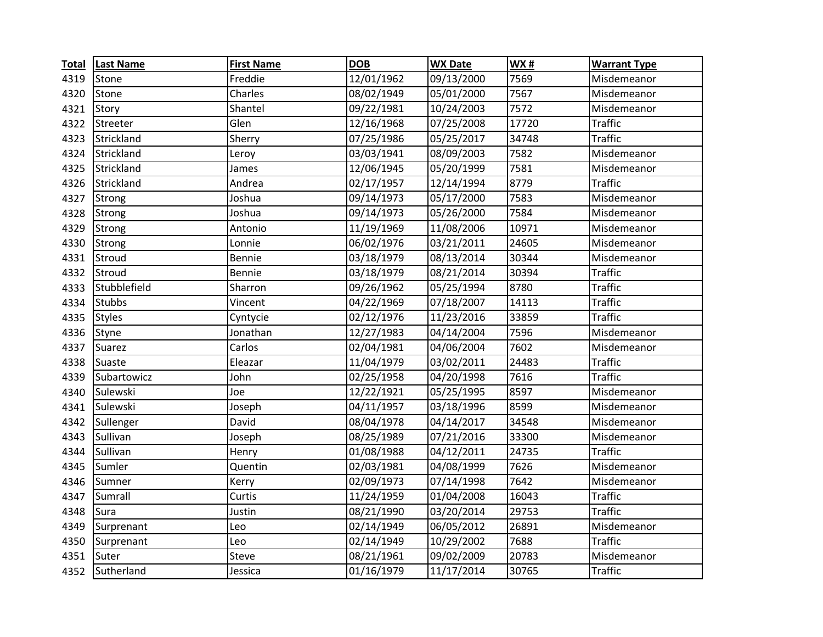| <b>Total</b> | <b>Last Name</b> | <b>First Name</b> | <b>DOB</b> | <b>WX Date</b> | WX#   | <b>Warrant Type</b> |
|--------------|------------------|-------------------|------------|----------------|-------|---------------------|
| 4319         | Stone            | Freddie           | 12/01/1962 | 09/13/2000     | 7569  | Misdemeanor         |
| 4320         | Stone            | Charles           | 08/02/1949 | 05/01/2000     | 7567  | Misdemeanor         |
| 4321         | Story            | Shantel           | 09/22/1981 | 10/24/2003     | 7572  | Misdemeanor         |
| 4322         | Streeter         | Glen              | 12/16/1968 | 07/25/2008     | 17720 | <b>Traffic</b>      |
| 4323         | Strickland       | Sherry            | 07/25/1986 | 05/25/2017     | 34748 | <b>Traffic</b>      |
| 4324         | Strickland       | Leroy             | 03/03/1941 | 08/09/2003     | 7582  | Misdemeanor         |
| 4325         | Strickland       | James             | 12/06/1945 | 05/20/1999     | 7581  | Misdemeanor         |
| 4326         | Strickland       | Andrea            | 02/17/1957 | 12/14/1994     | 8779  | <b>Traffic</b>      |
| 4327         | <b>Strong</b>    | Joshua            | 09/14/1973 | 05/17/2000     | 7583  | Misdemeanor         |
| 4328         | <b>Strong</b>    | Joshua            | 09/14/1973 | 05/26/2000     | 7584  | Misdemeanor         |
| 4329         | Strong           | Antonio           | 11/19/1969 | 11/08/2006     | 10971 | Misdemeanor         |
| 4330         | Strong           | Lonnie            | 06/02/1976 | 03/21/2011     | 24605 | Misdemeanor         |
| 4331         | Stroud           | Bennie            | 03/18/1979 | 08/13/2014     | 30344 | Misdemeanor         |
| 4332         | Stroud           | Bennie            | 03/18/1979 | 08/21/2014     | 30394 | <b>Traffic</b>      |
| 4333         | Stubblefield     | Sharron           | 09/26/1962 | 05/25/1994     | 8780  | <b>Traffic</b>      |
| 4334         | <b>Stubbs</b>    | Vincent           | 04/22/1969 | 07/18/2007     | 14113 | <b>Traffic</b>      |
| 4335         | <b>Styles</b>    | Cyntycie          | 02/12/1976 | 11/23/2016     | 33859 | <b>Traffic</b>      |
| 4336         | Styne            | Jonathan          | 12/27/1983 | 04/14/2004     | 7596  | Misdemeanor         |
| 4337         | Suarez           | Carlos            | 02/04/1981 | 04/06/2004     | 7602  | Misdemeanor         |
| 4338         | Suaste           | Eleazar           | 11/04/1979 | 03/02/2011     | 24483 | <b>Traffic</b>      |
| 4339         | Subartowicz      | John              | 02/25/1958 | 04/20/1998     | 7616  | <b>Traffic</b>      |
| 4340         | Sulewski         | Joe               | 12/22/1921 | 05/25/1995     | 8597  | Misdemeanor         |
| 4341         | Sulewski         | Joseph            | 04/11/1957 | 03/18/1996     | 8599  | Misdemeanor         |
| 4342         | Sullenger        | David             | 08/04/1978 | 04/14/2017     | 34548 | Misdemeanor         |
| 4343         | Sullivan         | Joseph            | 08/25/1989 | 07/21/2016     | 33300 | Misdemeanor         |
| 4344         | Sullivan         | Henry             | 01/08/1988 | 04/12/2011     | 24735 | <b>Traffic</b>      |
| 4345         | Sumler           | Quentin           | 02/03/1981 | 04/08/1999     | 7626  | Misdemeanor         |
| 4346         | Sumner           | Kerry             | 02/09/1973 | 07/14/1998     | 7642  | Misdemeanor         |
| 4347         | Sumrall          | Curtis            | 11/24/1959 | 01/04/2008     | 16043 | <b>Traffic</b>      |
| 4348         | Sura             | Justin            | 08/21/1990 | 03/20/2014     | 29753 | <b>Traffic</b>      |
| 4349         | Surprenant       | Leo               | 02/14/1949 | 06/05/2012     | 26891 | Misdemeanor         |
| 4350         | Surprenant       | Leo               | 02/14/1949 | 10/29/2002     | 7688  | <b>Traffic</b>      |
| 4351         | Suter            | Steve             | 08/21/1961 | 09/02/2009     | 20783 | Misdemeanor         |
|              | 4352 Sutherland  | Jessica           | 01/16/1979 | 11/17/2014     | 30765 | <b>Traffic</b>      |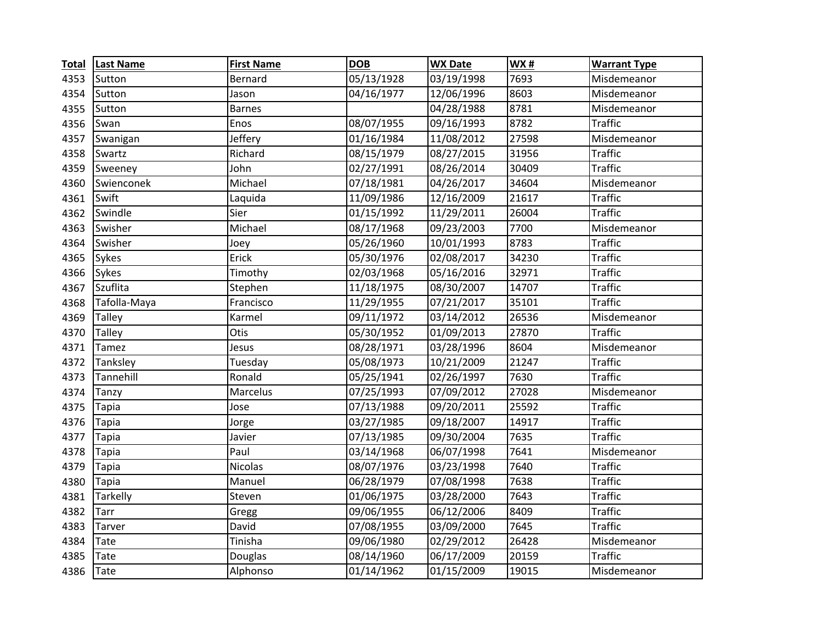| <b>Total</b> | <b>Last Name</b> | <b>First Name</b> | <b>DOB</b>                | <b>WX Date</b> | WX#   | <b>Warrant Type</b> |
|--------------|------------------|-------------------|---------------------------|----------------|-------|---------------------|
| 4353         | Sutton           | Bernard           | 05/13/1928                | 03/19/1998     | 7693  | Misdemeanor         |
| 4354         | Sutton           | Jason             | 04/16/1977                | 12/06/1996     | 8603  | Misdemeanor         |
| 4355         | Sutton           | <b>Barnes</b>     |                           | 04/28/1988     | 8781  | Misdemeanor         |
| 4356         | Swan             | Enos              | 08/07/1955                | 09/16/1993     | 8782  | <b>Traffic</b>      |
| 4357         | Swanigan         | Jeffery           | 01/16/1984                | 11/08/2012     | 27598 | Misdemeanor         |
| 4358         | Swartz           | Richard           | 08/15/1979                | 08/27/2015     | 31956 | <b>Traffic</b>      |
| 4359         | Sweeney          | John              | 02/27/1991                | 08/26/2014     | 30409 | <b>Traffic</b>      |
| 4360         | Swienconek       | Michael           | 07/18/1981                | 04/26/2017     | 34604 | Misdemeanor         |
| 4361         | Swift            | Laquida           | 11/09/1986                | 12/16/2009     | 21617 | <b>Traffic</b>      |
| 4362         | Swindle          | Sier              | 01/15/1992                | 11/29/2011     | 26004 | <b>Traffic</b>      |
| 4363         | Swisher          | Michael           | 08/17/1968                | 09/23/2003     | 7700  | Misdemeanor         |
| 4364         | Swisher          | Joey              | 05/26/1960                | 10/01/1993     | 8783  | <b>Traffic</b>      |
| 4365         | <b>Sykes</b>     | Erick             | 05/30/1976                | 02/08/2017     | 34230 | <b>Traffic</b>      |
| 4366         | Sykes            | Timothy           | 02/03/1968                | 05/16/2016     | 32971 | <b>Traffic</b>      |
| 4367         | Szuflita         | Stephen           | 11/18/1975                | 08/30/2007     | 14707 | <b>Traffic</b>      |
| 4368         | Tafolla-Maya     | Francisco         | $\frac{1}{11}{29}/{1955}$ | 07/21/2017     | 35101 | <b>Traffic</b>      |
| 4369         | <b>Talley</b>    | Karmel            | 09/11/1972                | 03/14/2012     | 26536 | Misdemeanor         |
| 4370         | Talley           | Otis              | 05/30/1952                | 01/09/2013     | 27870 | <b>Traffic</b>      |
| 4371         | Tamez            | Jesus             | 08/28/1971                | 03/28/1996     | 8604  | Misdemeanor         |
| 4372         | Tanksley         | Tuesday           | 05/08/1973                | 10/21/2009     | 21247 | <b>Traffic</b>      |
| 4373         | Tannehill        | Ronald            | 05/25/1941                | 02/26/1997     | 7630  | <b>Traffic</b>      |
| 4374         | Tanzy            | Marcelus          | 07/25/1993                | 07/09/2012     | 27028 | Misdemeanor         |
| 4375         | Tapia            | Jose              | 07/13/1988                | 09/20/2011     | 25592 | <b>Traffic</b>      |
| 4376         | <b>Tapia</b>     | Jorge             | 03/27/1985                | 09/18/2007     | 14917 | <b>Traffic</b>      |
| 4377         | Tapia            | Javier            | 07/13/1985                | 09/30/2004     | 7635  | <b>Traffic</b>      |
| 4378         | <b>Tapia</b>     | Paul              | 03/14/1968                | 06/07/1998     | 7641  | Misdemeanor         |
| 4379         | <b>Tapia</b>     | <b>Nicolas</b>    | 08/07/1976                | 03/23/1998     | 7640  | <b>Traffic</b>      |
| 4380         | Tapia            | Manuel            | 06/28/1979                | 07/08/1998     | 7638  | <b>Traffic</b>      |
| 4381         | Tarkelly         | Steven            | 01/06/1975                | 03/28/2000     | 7643  | <b>Traffic</b>      |
| 4382         | Tarr             | Gregg             | 09/06/1955                | 06/12/2006     | 8409  | <b>Traffic</b>      |
| 4383         | Tarver           | David             | 07/08/1955                | 03/09/2000     | 7645  | <b>Traffic</b>      |
| 4384         | Tate             | Tinisha           | 09/06/1980                | 02/29/2012     | 26428 | Misdemeanor         |
| 4385         | Tate             | Douglas           | 08/14/1960                | 06/17/2009     | 20159 | <b>Traffic</b>      |
| 4386         | <b>Tate</b>      | Alphonso          | 01/14/1962                | 01/15/2009     | 19015 | Misdemeanor         |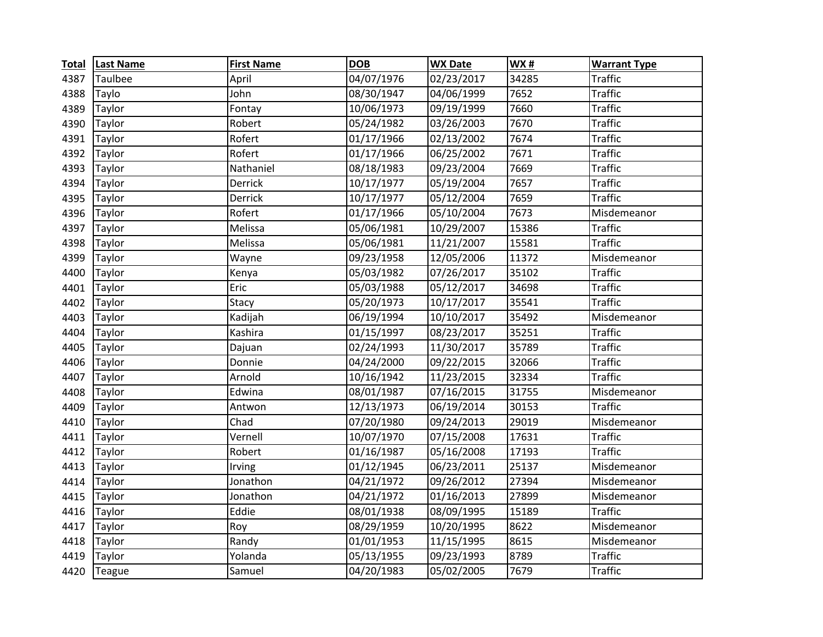| <b>Total</b> | <b>Last Name</b> | <b>First Name</b> | <b>DOB</b> | <b>WX Date</b> | WX#   | <b>Warrant Type</b> |
|--------------|------------------|-------------------|------------|----------------|-------|---------------------|
| 4387         | Taulbee          | April             | 04/07/1976 | 02/23/2017     | 34285 | <b>Traffic</b>      |
| 4388         | Taylo            | John              | 08/30/1947 | 04/06/1999     | 7652  | <b>Traffic</b>      |
| 4389         | Taylor           | Fontay            | 10/06/1973 | 09/19/1999     | 7660  | <b>Traffic</b>      |
| 4390         | Taylor           | Robert            | 05/24/1982 | 03/26/2003     | 7670  | <b>Traffic</b>      |
| 4391         | Taylor           | Rofert            | 01/17/1966 | 02/13/2002     | 7674  | <b>Traffic</b>      |
| 4392         | <b>Taylor</b>    | Rofert            | 01/17/1966 | 06/25/2002     | 7671  | <b>Traffic</b>      |
| 4393         | Taylor           | Nathaniel         | 08/18/1983 | 09/23/2004     | 7669  | <b>Traffic</b>      |
| 4394         | Taylor           | Derrick           | 10/17/1977 | 05/19/2004     | 7657  | <b>Traffic</b>      |
| 4395         | Taylor           | Derrick           | 10/17/1977 | 05/12/2004     | 7659  | <b>Traffic</b>      |
| 4396         | Taylor           | Rofert            | 01/17/1966 | 05/10/2004     | 7673  | Misdemeanor         |
| 4397         | Taylor           | Melissa           | 05/06/1981 | 10/29/2007     | 15386 | <b>Traffic</b>      |
| 4398         | Taylor           | Melissa           | 05/06/1981 | 11/21/2007     | 15581 | <b>Traffic</b>      |
| 4399         | Taylor           | Wayne             | 09/23/1958 | 12/05/2006     | 11372 | Misdemeanor         |
| 4400         | <b>Taylor</b>    | Kenya             | 05/03/1982 | 07/26/2017     | 35102 | <b>Traffic</b>      |
| 4401         | Taylor           | Eric              | 05/03/1988 | 05/12/2017     | 34698 | <b>Traffic</b>      |
| 4402         | Taylor           | Stacy             | 05/20/1973 | 10/17/2017     | 35541 | <b>Traffic</b>      |
| 4403         | Taylor           | Kadijah           | 06/19/1994 | 10/10/2017     | 35492 | Misdemeanor         |
| 4404         | Taylor           | Kashira           | 01/15/1997 | 08/23/2017     | 35251 | <b>Traffic</b>      |
| 4405         | Taylor           | Dajuan            | 02/24/1993 | 11/30/2017     | 35789 | <b>Traffic</b>      |
| 4406         | Taylor           | Donnie            | 04/24/2000 | 09/22/2015     | 32066 | <b>Traffic</b>      |
| 4407         | Taylor           | Arnold            | 10/16/1942 | 11/23/2015     | 32334 | <b>Traffic</b>      |
| 4408         | Taylor           | Edwina            | 08/01/1987 | 07/16/2015     | 31755 | Misdemeanor         |
| 4409         | Taylor           | Antwon            | 12/13/1973 | 06/19/2014     | 30153 | <b>Traffic</b>      |
| 4410         | Taylor           | Chad              | 07/20/1980 | 09/24/2013     | 29019 | Misdemeanor         |
| 4411         | Taylor           | Vernell           | 10/07/1970 | 07/15/2008     | 17631 | <b>Traffic</b>      |
| 4412         | Taylor           | Robert            | 01/16/1987 | 05/16/2008     | 17193 | <b>Traffic</b>      |
| 4413         | Taylor           | Irving            | 01/12/1945 | 06/23/2011     | 25137 | Misdemeanor         |
| 4414         | Taylor           | Jonathon          | 04/21/1972 | 09/26/2012     | 27394 | Misdemeanor         |
| 4415         | Taylor           | Jonathon          | 04/21/1972 | 01/16/2013     | 27899 | Misdemeanor         |
| 4416         | Taylor           | Eddie             | 08/01/1938 | 08/09/1995     | 15189 | <b>Traffic</b>      |
| 4417         | Taylor           | Roy               | 08/29/1959 | 10/20/1995     | 8622  | Misdemeanor         |
| 4418         | Taylor           | Randy             | 01/01/1953 | 11/15/1995     | 8615  | Misdemeanor         |
| 4419         | Taylor           | Yolanda           | 05/13/1955 | 09/23/1993     | 8789  | <b>Traffic</b>      |
| 4420         | Teague           | Samuel            | 04/20/1983 | 05/02/2005     | 7679  | <b>Traffic</b>      |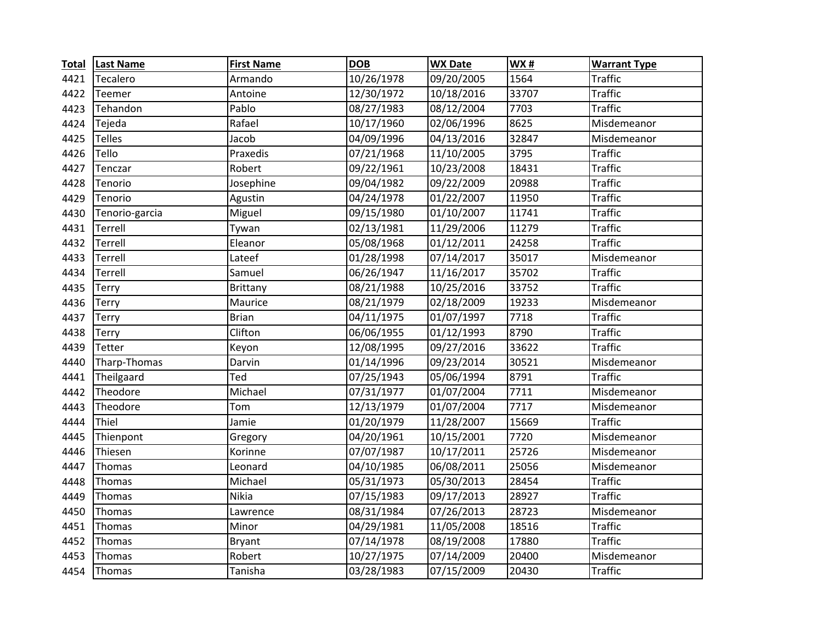| <b>Total</b> | <b>Last Name</b> | <b>First Name</b> | <b>DOB</b> | <b>WX Date</b> | <b>WX#</b> | <b>Warrant Type</b> |
|--------------|------------------|-------------------|------------|----------------|------------|---------------------|
| 4421         | <b>Tecalero</b>  | Armando           | 10/26/1978 | 09/20/2005     | 1564       | <b>Traffic</b>      |
| 4422         | Teemer           | Antoine           | 12/30/1972 | 10/18/2016     | 33707      | <b>Traffic</b>      |
| 4423         | Tehandon         | Pablo             | 08/27/1983 | 08/12/2004     | 7703       | <b>Traffic</b>      |
| 4424         | Tejeda           | Rafael            | 10/17/1960 | 02/06/1996     | 8625       | Misdemeanor         |
| 4425         | <b>Telles</b>    | Jacob             | 04/09/1996 | 04/13/2016     | 32847      | Misdemeanor         |
| 4426         | Tello            | Praxedis          | 07/21/1968 | 11/10/2005     | 3795       | <b>Traffic</b>      |
| 4427         | Tenczar          | Robert            | 09/22/1961 | 10/23/2008     | 18431      | <b>Traffic</b>      |
| 4428         | Tenorio          | Josephine         | 09/04/1982 | 09/22/2009     | 20988      | <b>Traffic</b>      |
| 4429         | Tenorio          | Agustin           | 04/24/1978 | 01/22/2007     | 11950      | <b>Traffic</b>      |
| 4430         | Tenorio-garcia   | Miguel            | 09/15/1980 | 01/10/2007     | 11741      | <b>Traffic</b>      |
| 4431         | Terrell          | Tywan             | 02/13/1981 | 11/29/2006     | 11279      | <b>Traffic</b>      |
| 4432         | Terrell          | Eleanor           | 05/08/1968 | 01/12/2011     | 24258      | <b>Traffic</b>      |
| 4433         | Terrell          | Lateef            | 01/28/1998 | 07/14/2017     | 35017      | Misdemeanor         |
| 4434         | Terrell          | Samuel            | 06/26/1947 | 11/16/2017     | 35702      | <b>Traffic</b>      |
| 4435         | Terry            | <b>Brittany</b>   | 08/21/1988 | 10/25/2016     | 33752      | <b>Traffic</b>      |
| 4436         | Terry            | Maurice           | 08/21/1979 | 02/18/2009     | 19233      | Misdemeanor         |
| 4437         | Terry            | <b>Brian</b>      | 04/11/1975 | 01/07/1997     | 7718       | <b>Traffic</b>      |
| 4438         | <b>Terry</b>     | Clifton           | 06/06/1955 | 01/12/1993     | 8790       | <b>Traffic</b>      |
| 4439         | Tetter           | Keyon             | 12/08/1995 | 09/27/2016     | 33622      | <b>Traffic</b>      |
| 4440         | Tharp-Thomas     | Darvin            | 01/14/1996 | 09/23/2014     | 30521      | Misdemeanor         |
| 4441         | Theilgaard       | Ted               | 07/25/1943 | 05/06/1994     | 8791       | <b>Traffic</b>      |
| 4442         | Theodore         | Michael           | 07/31/1977 | 01/07/2004     | 7711       | Misdemeanor         |
| 4443         | Theodore         | Tom               | 12/13/1979 | 01/07/2004     | 7717       | Misdemeanor         |
| 4444         | Thiel            | Jamie             | 01/20/1979 | 11/28/2007     | 15669      | <b>Traffic</b>      |
| 4445         | Thienpont        | Gregory           | 04/20/1961 | 10/15/2001     | 7720       | Misdemeanor         |
| 4446         | Thiesen          | Korinne           | 07/07/1987 | 10/17/2011     | 25726      | Misdemeanor         |
| 4447         | Thomas           | Leonard           | 04/10/1985 | 06/08/2011     | 25056      | Misdemeanor         |
| 4448         | Thomas           | Michael           | 05/31/1973 | 05/30/2013     | 28454      | <b>Traffic</b>      |
| 4449         | Thomas           | Nikia             | 07/15/1983 | 09/17/2013     | 28927      | <b>Traffic</b>      |
| 4450         | Thomas           | Lawrence          | 08/31/1984 | 07/26/2013     | 28723      | Misdemeanor         |
| 4451         | Thomas           | Minor             | 04/29/1981 | 11/05/2008     | 18516      | <b>Traffic</b>      |
| 4452         | Thomas           | <b>Bryant</b>     | 07/14/1978 | 08/19/2008     | 17880      | <b>Traffic</b>      |
| 4453         | Thomas           | Robert            | 10/27/1975 | 07/14/2009     | 20400      | Misdemeanor         |
| 4454         | Thomas           | Tanisha           | 03/28/1983 | 07/15/2009     | 20430      | <b>Traffic</b>      |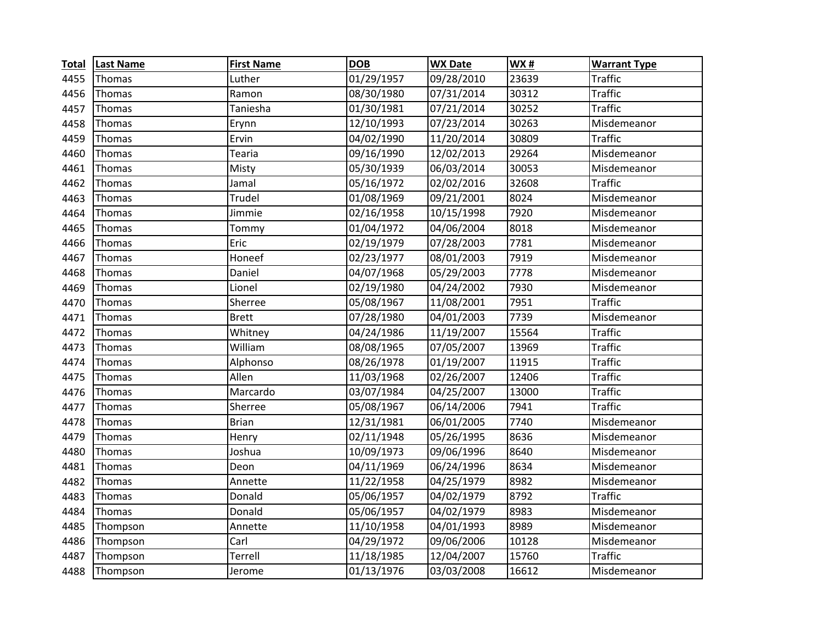| <b>Total</b> | <b>Last Name</b> | <b>First Name</b> | <b>DOB</b> | <b>WX Date</b> | WX#   | <b>Warrant Type</b> |
|--------------|------------------|-------------------|------------|----------------|-------|---------------------|
| 4455         | Thomas           | Luther            | 01/29/1957 | 09/28/2010     | 23639 | <b>Traffic</b>      |
| 4456         | Thomas           | Ramon             | 08/30/1980 | 07/31/2014     | 30312 | <b>Traffic</b>      |
| 4457         | Thomas           | Taniesha          | 01/30/1981 | 07/21/2014     | 30252 | <b>Traffic</b>      |
| 4458         | Thomas           | Erynn             | 12/10/1993 | 07/23/2014     | 30263 | Misdemeanor         |
| 4459         | Thomas           | Ervin             | 04/02/1990 | 11/20/2014     | 30809 | <b>Traffic</b>      |
| 4460         | Thomas           | Tearia            | 09/16/1990 | 12/02/2013     | 29264 | Misdemeanor         |
| 4461         | Thomas           | Misty             | 05/30/1939 | 06/03/2014     | 30053 | Misdemeanor         |
| 4462         | Thomas           | Jamal             | 05/16/1972 | 02/02/2016     | 32608 | <b>Traffic</b>      |
| 4463         | Thomas           | Trudel            | 01/08/1969 | 09/21/2001     | 8024  | Misdemeanor         |
| 4464         | Thomas           | Jimmie            | 02/16/1958 | 10/15/1998     | 7920  | Misdemeanor         |
| 4465         | Thomas           | Tommy             | 01/04/1972 | 04/06/2004     | 8018  | Misdemeanor         |
| 4466         | Thomas           | Eric              | 02/19/1979 | 07/28/2003     | 7781  | Misdemeanor         |
| 4467         | Thomas           | Honeef            | 02/23/1977 | 08/01/2003     | 7919  | Misdemeanor         |
| 4468         | Thomas           | Daniel            | 04/07/1968 | 05/29/2003     | 7778  | Misdemeanor         |
| 4469         | Thomas           | Lionel            | 02/19/1980 | 04/24/2002     | 7930  | Misdemeanor         |
| 4470         | Thomas           | Sherree           | 05/08/1967 | 11/08/2001     | 7951  | <b>Traffic</b>      |
| 4471         | Thomas           | <b>Brett</b>      | 07/28/1980 | 04/01/2003     | 7739  | Misdemeanor         |
| 4472         | Thomas           | Whitney           | 04/24/1986 | 11/19/2007     | 15564 | <b>Traffic</b>      |
| 4473         | Thomas           | William           | 08/08/1965 | 07/05/2007     | 13969 | <b>Traffic</b>      |
| 4474         | Thomas           | Alphonso          | 08/26/1978 | 01/19/2007     | 11915 | <b>Traffic</b>      |
| 4475         | Thomas           | Allen             | 11/03/1968 | 02/26/2007     | 12406 | <b>Traffic</b>      |
| 4476         | Thomas           | Marcardo          | 03/07/1984 | 04/25/2007     | 13000 | <b>Traffic</b>      |
| 4477         | Thomas           | Sherree           | 05/08/1967 | 06/14/2006     | 7941  | <b>Traffic</b>      |
| 4478         | Thomas           | <b>Brian</b>      | 12/31/1981 | 06/01/2005     | 7740  | Misdemeanor         |
| 4479         | Thomas           | Henry             | 02/11/1948 | 05/26/1995     | 8636  | Misdemeanor         |
| 4480         | Thomas           | Joshua            | 10/09/1973 | 09/06/1996     | 8640  | Misdemeanor         |
| 4481         | Thomas           | Deon              | 04/11/1969 | 06/24/1996     | 8634  | Misdemeanor         |
| 4482         | Thomas           | Annette           | 11/22/1958 | 04/25/1979     | 8982  | Misdemeanor         |
| 4483         | Thomas           | Donald            | 05/06/1957 | 04/02/1979     | 8792  | <b>Traffic</b>      |
| 4484         | Thomas           | Donald            | 05/06/1957 | 04/02/1979     | 8983  | Misdemeanor         |
| 4485         | Thompson         | Annette           | 11/10/1958 | 04/01/1993     | 8989  | Misdemeanor         |
| 4486         | Thompson         | Carl              | 04/29/1972 | 09/06/2006     | 10128 | Misdemeanor         |
| 4487         | Thompson         | Terrell           | 11/18/1985 | 12/04/2007     | 15760 | <b>Traffic</b>      |
| 4488         | Thompson         | Jerome            | 01/13/1976 | 03/03/2008     | 16612 | Misdemeanor         |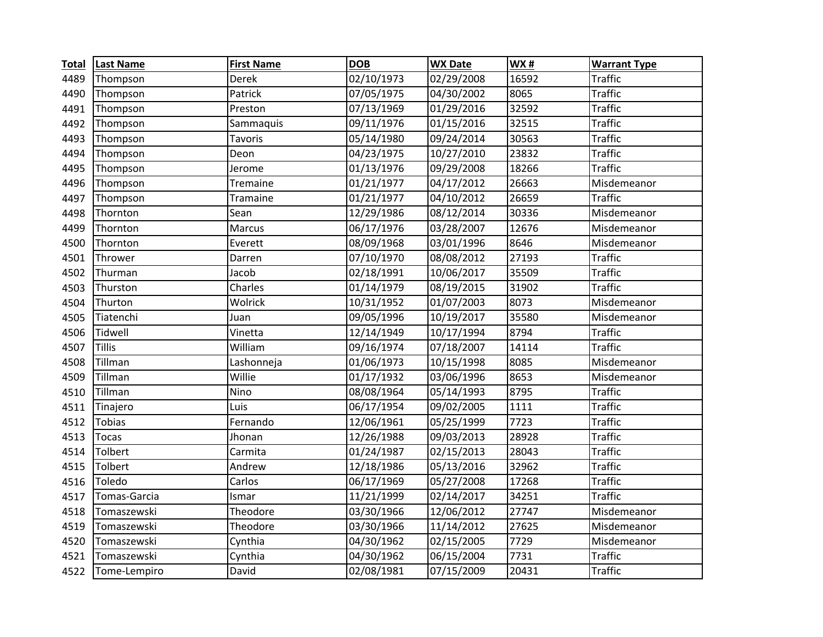| <b>Total</b> | <b>Last Name</b> | <b>First Name</b> | <b>DOB</b> | <b>WX Date</b> | WX#   | <b>Warrant Type</b> |
|--------------|------------------|-------------------|------------|----------------|-------|---------------------|
| 4489         | Thompson         | Derek             | 02/10/1973 | 02/29/2008     | 16592 | Traffic             |
| 4490         | Thompson         | Patrick           | 07/05/1975 | 04/30/2002     | 8065  | <b>Traffic</b>      |
| 4491         | Thompson         | Preston           | 07/13/1969 | 01/29/2016     | 32592 | <b>Traffic</b>      |
| 4492         | Thompson         | Sammaquis         | 09/11/1976 | 01/15/2016     | 32515 | <b>Traffic</b>      |
| 4493         | Thompson         | Tavoris           | 05/14/1980 | 09/24/2014     | 30563 | <b>Traffic</b>      |
| 4494         | Thompson         | Deon              | 04/23/1975 | 10/27/2010     | 23832 | <b>Traffic</b>      |
| 4495         | Thompson         | Jerome            | 01/13/1976 | 09/29/2008     | 18266 | Traffic             |
| 4496         | Thompson         | Tremaine          | 01/21/1977 | 04/17/2012     | 26663 | Misdemeanor         |
| 4497         | Thompson         | Tramaine          | 01/21/1977 | 04/10/2012     | 26659 | <b>Traffic</b>      |
| 4498         | Thornton         | Sean              | 12/29/1986 | 08/12/2014     | 30336 | Misdemeanor         |
| 4499         | Thornton         | Marcus            | 06/17/1976 | 03/28/2007     | 12676 | Misdemeanor         |
| 4500         | Thornton         | Everett           | 08/09/1968 | 03/01/1996     | 8646  | Misdemeanor         |
| 4501         | Thrower          | Darren            | 07/10/1970 | 08/08/2012     | 27193 | <b>Traffic</b>      |
| 4502         | Thurman          | Jacob             | 02/18/1991 | 10/06/2017     | 35509 | <b>Traffic</b>      |
| 4503         | Thurston         | Charles           | 01/14/1979 | 08/19/2015     | 31902 | <b>Traffic</b>      |
| 4504         | Thurton          | Wolrick           | 10/31/1952 | 01/07/2003     | 8073  | Misdemeanor         |
| 4505         | Tiatenchi        | Juan              | 09/05/1996 | 10/19/2017     | 35580 | Misdemeanor         |
| 4506         | Tidwell          | Vinetta           | 12/14/1949 | 10/17/1994     | 8794  | <b>Traffic</b>      |
| 4507         | <b>Tillis</b>    | William           | 09/16/1974 | 07/18/2007     | 14114 | <b>Traffic</b>      |
| 4508         | Tillman          | Lashonneja        | 01/06/1973 | 10/15/1998     | 8085  | Misdemeanor         |
| 4509         | Tillman          | Willie            | 01/17/1932 | 03/06/1996     | 8653  | Misdemeanor         |
| 4510         | Tillman          | Nino              | 08/08/1964 | 05/14/1993     | 8795  | <b>Traffic</b>      |
| 4511         | Tinajero         | Luis              | 06/17/1954 | 09/02/2005     | 1111  | <b>Traffic</b>      |
| 4512         | <b>Tobias</b>    | Fernando          | 12/06/1961 | 05/25/1999     | 7723  | <b>Traffic</b>      |
| 4513         | <b>Tocas</b>     | Jhonan            | 12/26/1988 | 09/03/2013     | 28928 | <b>Traffic</b>      |
| 4514         | Tolbert          | Carmita           | 01/24/1987 | 02/15/2013     | 28043 | <b>Traffic</b>      |
| 4515         | Tolbert          | Andrew            | 12/18/1986 | 05/13/2016     | 32962 | <b>Traffic</b>      |
| 4516         | Toledo           | Carlos            | 06/17/1969 | 05/27/2008     | 17268 | <b>Traffic</b>      |
| 4517         | Tomas-Garcia     | Ismar             | 11/21/1999 | 02/14/2017     | 34251 | <b>Traffic</b>      |
| 4518         | Tomaszewski      | Theodore          | 03/30/1966 | 12/06/2012     | 27747 | Misdemeanor         |
| 4519         | Tomaszewski      | Theodore          | 03/30/1966 | 11/14/2012     | 27625 | Misdemeanor         |
| 4520         | Tomaszewski      | Cynthia           | 04/30/1962 | 02/15/2005     | 7729  | Misdemeanor         |
| 4521         | Tomaszewski      | Cynthia           | 04/30/1962 | 06/15/2004     | 7731  | <b>Traffic</b>      |
| 4522         | Tome-Lempiro     | David             | 02/08/1981 | 07/15/2009     | 20431 | <b>Traffic</b>      |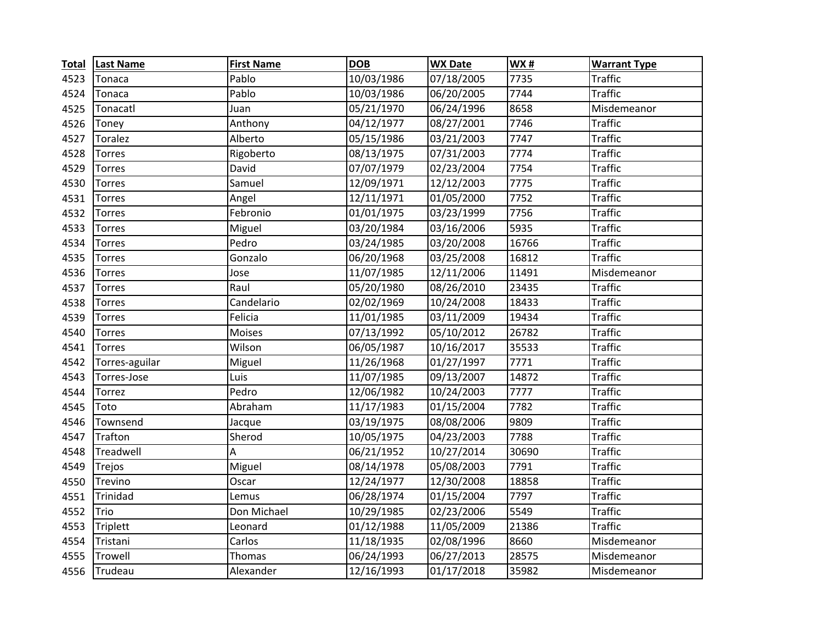| <b>Total</b> | <b>Last Name</b> | <b>First Name</b> | <b>DOB</b> | <b>WX Date</b> | WX#   | <b>Warrant Type</b> |
|--------------|------------------|-------------------|------------|----------------|-------|---------------------|
| 4523         | Tonaca           | Pablo             | 10/03/1986 | 07/18/2005     | 7735  | <b>Traffic</b>      |
| 4524         | Tonaca           | Pablo             | 10/03/1986 | 06/20/2005     | 7744  | <b>Traffic</b>      |
| 4525         | Tonacatl         | Juan              | 05/21/1970 | 06/24/1996     | 8658  | Misdemeanor         |
| 4526         | Toney            | Anthony           | 04/12/1977 | 08/27/2001     | 7746  | <b>Traffic</b>      |
| 4527         | Toralez          | Alberto           | 05/15/1986 | 03/21/2003     | 7747  | <b>Traffic</b>      |
| 4528         | Torres           | Rigoberto         | 08/13/1975 | 07/31/2003     | 7774  | <b>Traffic</b>      |
| 4529         | Torres           | David             | 07/07/1979 | 02/23/2004     | 7754  | <b>Traffic</b>      |
| 4530         | <b>Torres</b>    | Samuel            | 12/09/1971 | 12/12/2003     | 7775  | <b>Traffic</b>      |
| 4531         | <b>Torres</b>    | Angel             | 12/11/1971 | 01/05/2000     | 7752  | <b>Traffic</b>      |
| 4532         | Torres           | Febronio          | 01/01/1975 | 03/23/1999     | 7756  | <b>Traffic</b>      |
| 4533         | <b>Torres</b>    | Miguel            | 03/20/1984 | 03/16/2006     | 5935  | <b>Traffic</b>      |
| 4534         | <b>Torres</b>    | Pedro             | 03/24/1985 | 03/20/2008     | 16766 | <b>Traffic</b>      |
| 4535         | <b>Torres</b>    | Gonzalo           | 06/20/1968 | 03/25/2008     | 16812 | <b>Traffic</b>      |
| 4536         | <b>Torres</b>    | Jose              | 11/07/1985 | 12/11/2006     | 11491 | Misdemeanor         |
| 4537         | Torres           | Raul              | 05/20/1980 | 08/26/2010     | 23435 | <b>Traffic</b>      |
| 4538         | Torres           | Candelario        | 02/02/1969 | 10/24/2008     | 18433 | <b>Traffic</b>      |
| 4539         | <b>Torres</b>    | Felicia           | 11/01/1985 | 03/11/2009     | 19434 | <b>Traffic</b>      |
| 4540         | <b>Torres</b>    | <b>Moises</b>     | 07/13/1992 | 05/10/2012     | 26782 | <b>Traffic</b>      |
| 4541         | <b>Torres</b>    | Wilson            | 06/05/1987 | 10/16/2017     | 35533 | <b>Traffic</b>      |
| 4542         | Torres-aguilar   | Miguel            | 11/26/1968 | 01/27/1997     | 7771  | <b>Traffic</b>      |
| 4543         | Torres-Jose      | Luis              | 11/07/1985 | 09/13/2007     | 14872 | <b>Traffic</b>      |
| 4544         | Torrez           | Pedro             | 12/06/1982 | 10/24/2003     | 7777  | <b>Traffic</b>      |
| 4545         | Toto             | Abraham           | 11/17/1983 | 01/15/2004     | 7782  | <b>Traffic</b>      |
| 4546         | Townsend         | Jacque            | 03/19/1975 | 08/08/2006     | 9809  | <b>Traffic</b>      |
| 4547         | Trafton          | Sherod            | 10/05/1975 | 04/23/2003     | 7788  | <b>Traffic</b>      |
| 4548         | Treadwell        | A                 | 06/21/1952 | 10/27/2014     | 30690 | <b>Traffic</b>      |
| 4549         | Trejos           | Miguel            | 08/14/1978 | 05/08/2003     | 7791  | <b>Traffic</b>      |
| 4550         | Trevino          | Oscar             | 12/24/1977 | 12/30/2008     | 18858 | <b>Traffic</b>      |
| 4551         | Trinidad         | Lemus             | 06/28/1974 | 01/15/2004     | 7797  | <b>Traffic</b>      |
| 4552         | Trio             | Don Michael       | 10/29/1985 | 02/23/2006     | 5549  | <b>Traffic</b>      |
| 4553         | <b>Triplett</b>  | Leonard           | 01/12/1988 | 11/05/2009     | 21386 | <b>Traffic</b>      |
| 4554         | Tristani         | Carlos            | 11/18/1935 | 02/08/1996     | 8660  | Misdemeanor         |
| 4555         | Trowell          | Thomas            | 06/24/1993 | 06/27/2013     | 28575 | Misdemeanor         |
| 4556         | Trudeau          | Alexander         | 12/16/1993 | 01/17/2018     | 35982 | Misdemeanor         |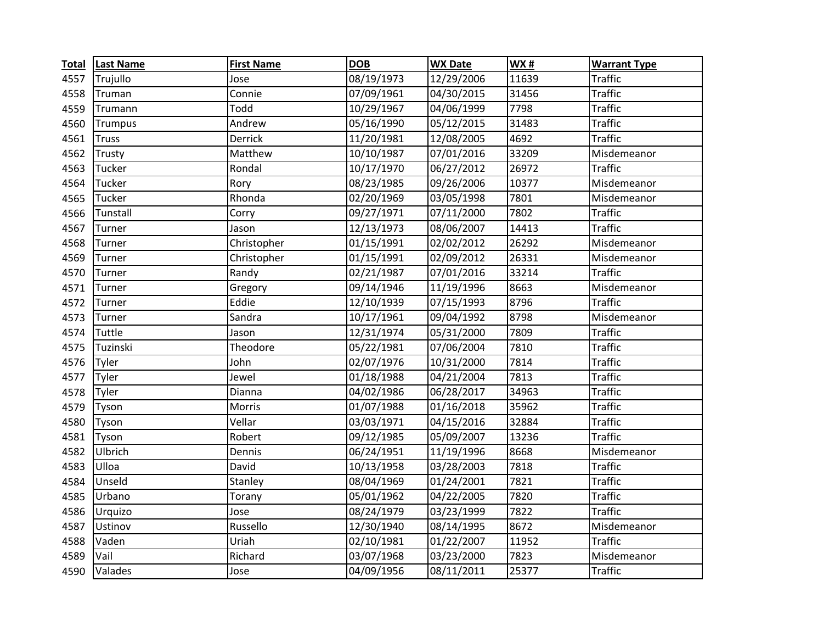| <b>Total</b> | <b>Last Name</b> | <b>First Name</b> | <b>DOB</b> | <b>WX Date</b> | WX#   | <b>Warrant Type</b> |
|--------------|------------------|-------------------|------------|----------------|-------|---------------------|
| 4557         | Trujullo         | Jose              | 08/19/1973 | 12/29/2006     | 11639 | <b>Traffic</b>      |
| 4558         | Truman           | Connie            | 07/09/1961 | 04/30/2015     | 31456 | <b>Traffic</b>      |
| 4559         | Trumann          | Todd              | 10/29/1967 | 04/06/1999     | 7798  | <b>Traffic</b>      |
| 4560         | <b>Trumpus</b>   | Andrew            | 05/16/1990 | 05/12/2015     | 31483 | <b>Traffic</b>      |
| 4561         | <b>Truss</b>     | Derrick           | 11/20/1981 | 12/08/2005     | 4692  | <b>Traffic</b>      |
| 4562         | Trusty           | Matthew           | 10/10/1987 | 07/01/2016     | 33209 | Misdemeanor         |
| 4563         | Tucker           | Rondal            | 10/17/1970 | 06/27/2012     | 26972 | <b>Traffic</b>      |
| 4564         | Tucker           | Rory              | 08/23/1985 | 09/26/2006     | 10377 | Misdemeanor         |
| 4565         | Tucker           | Rhonda            | 02/20/1969 | 03/05/1998     | 7801  | Misdemeanor         |
| 4566         | Tunstall         | Corry             | 09/27/1971 | 07/11/2000     | 7802  | <b>Traffic</b>      |
| 4567         | Turner           | Jason             | 12/13/1973 | 08/06/2007     | 14413 | <b>Traffic</b>      |
| 4568         | Turner           | Christopher       | 01/15/1991 | 02/02/2012     | 26292 | Misdemeanor         |
| 4569         | Turner           | Christopher       | 01/15/1991 | 02/09/2012     | 26331 | Misdemeanor         |
| 4570         | Turner           | Randy             | 02/21/1987 | 07/01/2016     | 33214 | <b>Traffic</b>      |
| 4571         | Turner           | Gregory           | 09/14/1946 | 11/19/1996     | 8663  | Misdemeanor         |
| 4572         | Turner           | Eddie             | 12/10/1939 | 07/15/1993     | 8796  | <b>Traffic</b>      |
| 4573         | Turner           | Sandra            | 10/17/1961 | 09/04/1992     | 8798  | Misdemeanor         |
| 4574         | Tuttle           | Jason             | 12/31/1974 | 05/31/2000     | 7809  | <b>Traffic</b>      |
| 4575         | Tuzinski         | Theodore          | 05/22/1981 | 07/06/2004     | 7810  | <b>Traffic</b>      |
| 4576         | Tyler            | John              | 02/07/1976 | 10/31/2000     | 7814  | <b>Traffic</b>      |
| 4577         | Tyler            | Jewel             | 01/18/1988 | 04/21/2004     | 7813  | <b>Traffic</b>      |
| 4578         | Tyler            | Dianna            | 04/02/1986 | 06/28/2017     | 34963 | <b>Traffic</b>      |
| 4579         | Tyson            | Morris            | 01/07/1988 | 01/16/2018     | 35962 | <b>Traffic</b>      |
| 4580         | Tyson            | Vellar            | 03/03/1971 | 04/15/2016     | 32884 | <b>Traffic</b>      |
| 4581         | Tyson            | Robert            | 09/12/1985 | 05/09/2007     | 13236 | <b>Traffic</b>      |
| 4582         | Ulbrich          | Dennis            | 06/24/1951 | 11/19/1996     | 8668  | Misdemeanor         |
| 4583         | Ulloa            | David             | 10/13/1958 | 03/28/2003     | 7818  | <b>Traffic</b>      |
| 4584         | Unseld           | Stanley           | 08/04/1969 | 01/24/2001     | 7821  | <b>Traffic</b>      |
| 4585         | Urbano           | Torany            | 05/01/1962 | 04/22/2005     | 7820  | <b>Traffic</b>      |
| 4586         | Urquizo          | Jose              | 08/24/1979 | 03/23/1999     | 7822  | <b>Traffic</b>      |
| 4587         | Ustinov          | Russello          | 12/30/1940 | 08/14/1995     | 8672  | Misdemeanor         |
| 4588         | Vaden            | Uriah             | 02/10/1981 | 01/22/2007     | 11952 | <b>Traffic</b>      |
| 4589         | Vail             | Richard           | 03/07/1968 | 03/23/2000     | 7823  | Misdemeanor         |
| 4590         | Valades          | Jose              | 04/09/1956 | 08/11/2011     | 25377 | <b>Traffic</b>      |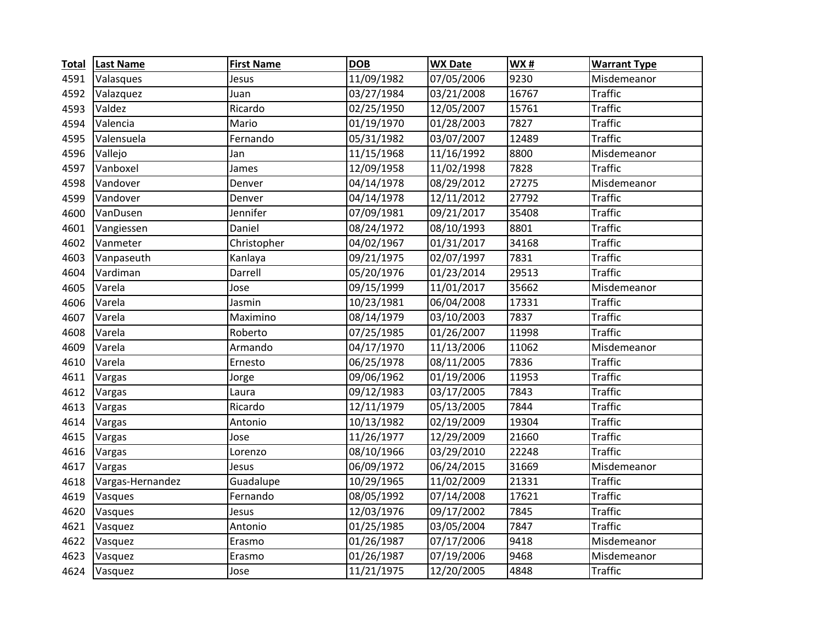| <b>Total</b> | <b>Last Name</b> | <b>First Name</b> | <b>DOB</b> | <b>WX Date</b> | <b>WX#</b> | <b>Warrant Type</b> |
|--------------|------------------|-------------------|------------|----------------|------------|---------------------|
| 4591         | Valasques        | Jesus             | 11/09/1982 | 07/05/2006     | 9230       | Misdemeanor         |
| 4592         | Valazquez        | Juan              | 03/27/1984 | 03/21/2008     | 16767      | <b>Traffic</b>      |
| 4593         | Valdez           | Ricardo           | 02/25/1950 | 12/05/2007     | 15761      | <b>Traffic</b>      |
| 4594         | Valencia         | Mario             | 01/19/1970 | 01/28/2003     | 7827       | <b>Traffic</b>      |
| 4595         | Valensuela       | Fernando          | 05/31/1982 | 03/07/2007     | 12489      | <b>Traffic</b>      |
| 4596         | Vallejo          | Jan               | 11/15/1968 | 11/16/1992     | 8800       | Misdemeanor         |
| 4597         | Vanboxel         | James             | 12/09/1958 | 11/02/1998     | 7828       | <b>Traffic</b>      |
| 4598         | Vandover         | Denver            | 04/14/1978 | 08/29/2012     | 27275      | Misdemeanor         |
| 4599         | Vandover         | Denver            | 04/14/1978 | 12/11/2012     | 27792      | <b>Traffic</b>      |
| 4600         | VanDusen         | Jennifer          | 07/09/1981 | 09/21/2017     | 35408      | <b>Traffic</b>      |
| 4601         | Vangiessen       | Daniel            | 08/24/1972 | 08/10/1993     | 8801       | <b>Traffic</b>      |
| 4602         | Vanmeter         | Christopher       | 04/02/1967 | 01/31/2017     | 34168      | <b>Traffic</b>      |
| 4603         | Vanpaseuth       | Kanlaya           | 09/21/1975 | 02/07/1997     | 7831       | <b>Traffic</b>      |
| 4604         | Vardiman         | Darrell           | 05/20/1976 | 01/23/2014     | 29513      | <b>Traffic</b>      |
| 4605         | Varela           | Jose              | 09/15/1999 | 11/01/2017     | 35662      | Misdemeanor         |
| 4606         | Varela           | Jasmin            | 10/23/1981 | 06/04/2008     | 17331      | <b>Traffic</b>      |
| 4607         | Varela           | Maximino          | 08/14/1979 | 03/10/2003     | 7837       | <b>Traffic</b>      |
| 4608         | Varela           | Roberto           | 07/25/1985 | 01/26/2007     | 11998      | <b>Traffic</b>      |
| 4609         | Varela           | Armando           | 04/17/1970 | 11/13/2006     | 11062      | Misdemeanor         |
| 4610         | Varela           | Ernesto           | 06/25/1978 | 08/11/2005     | 7836       | <b>Traffic</b>      |
| 4611         | Vargas           | Jorge             | 09/06/1962 | 01/19/2006     | 11953      | <b>Traffic</b>      |
| 4612         | Vargas           | Laura             | 09/12/1983 | 03/17/2005     | 7843       | <b>Traffic</b>      |
| 4613         | Vargas           | Ricardo           | 12/11/1979 | 05/13/2005     | 7844       | <b>Traffic</b>      |
| 4614         | Vargas           | Antonio           | 10/13/1982 | 02/19/2009     | 19304      | <b>Traffic</b>      |
| 4615         | Vargas           | Jose              | 11/26/1977 | 12/29/2009     | 21660      | <b>Traffic</b>      |
| 4616         | Vargas           | Lorenzo           | 08/10/1966 | 03/29/2010     | 22248      | <b>Traffic</b>      |
| 4617         | Vargas           | Jesus             | 06/09/1972 | 06/24/2015     | 31669      | Misdemeanor         |
| 4618         | Vargas-Hernandez | Guadalupe         | 10/29/1965 | 11/02/2009     | 21331      | <b>Traffic</b>      |
| 4619         | Vasques          | Fernando          | 08/05/1992 | 07/14/2008     | 17621      | <b>Traffic</b>      |
| 4620         | Vasques          | Jesus             | 12/03/1976 | 09/17/2002     | 7845       | <b>Traffic</b>      |
| 4621         | Vasquez          | Antonio           | 01/25/1985 | 03/05/2004     | 7847       | <b>Traffic</b>      |
| 4622         | Vasquez          | Erasmo            | 01/26/1987 | 07/17/2006     | 9418       | Misdemeanor         |
| 4623         | Vasquez          | Erasmo            | 01/26/1987 | 07/19/2006     | 9468       | Misdemeanor         |
| 4624         | Vasquez          | Jose              | 11/21/1975 | 12/20/2005     | 4848       | <b>Traffic</b>      |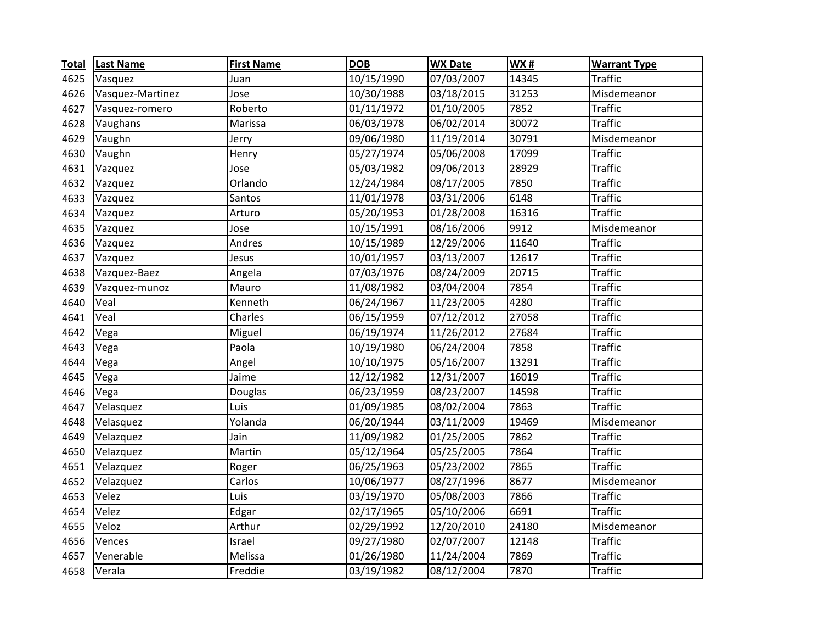| <b>Total</b> | <b>Last Name</b> | <b>First Name</b> | <b>DOB</b> | <b>WX Date</b> | <b>WX#</b> | <b>Warrant Type</b> |
|--------------|------------------|-------------------|------------|----------------|------------|---------------------|
| 4625         | Vasquez          | Juan              | 10/15/1990 | 07/03/2007     | 14345      | <b>Traffic</b>      |
| 4626         | Vasquez-Martinez | Jose              | 10/30/1988 | 03/18/2015     | 31253      | Misdemeanor         |
| 4627         | Vasquez-romero   | Roberto           | 01/11/1972 | 01/10/2005     | 7852       | <b>Traffic</b>      |
| 4628         | Vaughans         | Marissa           | 06/03/1978 | 06/02/2014     | 30072      | <b>Traffic</b>      |
| 4629         | Vaughn           | Jerry             | 09/06/1980 | 11/19/2014     | 30791      | Misdemeanor         |
| 4630         | Vaughn           | Henry             | 05/27/1974 | 05/06/2008     | 17099      | <b>Traffic</b>      |
| 4631         | Vazquez          | Jose              | 05/03/1982 | 09/06/2013     | 28929      | <b>Traffic</b>      |
| 4632         | Vazquez          | Orlando           | 12/24/1984 | 08/17/2005     | 7850       | <b>Traffic</b>      |
| 4633         | Vazquez          | Santos            | 11/01/1978 | 03/31/2006     | 6148       | <b>Traffic</b>      |
| 4634         | Vazquez          | Arturo            | 05/20/1953 | 01/28/2008     | 16316      | <b>Traffic</b>      |
| 4635         | Vazquez          | Jose              | 10/15/1991 | 08/16/2006     | 9912       | Misdemeanor         |
| 4636         | Vazquez          | Andres            | 10/15/1989 | 12/29/2006     | 11640      | <b>Traffic</b>      |
| 4637         | Vazquez          | Jesus             | 10/01/1957 | 03/13/2007     | 12617      | <b>Traffic</b>      |
| 4638         | Vazquez-Baez     | Angela            | 07/03/1976 | 08/24/2009     | 20715      | <b>Traffic</b>      |
| 4639         | Vazquez-munoz    | Mauro             | 11/08/1982 | 03/04/2004     | 7854       | <b>Traffic</b>      |
| 4640         | Veal             | Kenneth           | 06/24/1967 | 11/23/2005     | 4280       | <b>Traffic</b>      |
| 4641         | Veal             | Charles           | 06/15/1959 | 07/12/2012     | 27058      | <b>Traffic</b>      |
| 4642         | Vega             | Miguel            | 06/19/1974 | 11/26/2012     | 27684      | <b>Traffic</b>      |
| 4643         | Vega             | Paola             | 10/19/1980 | 06/24/2004     | 7858       | <b>Traffic</b>      |
| 4644         | Vega             | Angel             | 10/10/1975 | 05/16/2007     | 13291      | <b>Traffic</b>      |
| 4645         | Vega             | Jaime             | 12/12/1982 | 12/31/2007     | 16019      | <b>Traffic</b>      |
| 4646         | Vega             | Douglas           | 06/23/1959 | 08/23/2007     | 14598      | <b>Traffic</b>      |
| 4647         | Velasquez        | Luis              | 01/09/1985 | 08/02/2004     | 7863       | <b>Traffic</b>      |
| 4648         | Velasquez        | Yolanda           | 06/20/1944 | 03/11/2009     | 19469      | Misdemeanor         |
| 4649         | Velazquez        | Jain              | 11/09/1982 | 01/25/2005     | 7862       | <b>Traffic</b>      |
| 4650         | Velazquez        | Martin            | 05/12/1964 | 05/25/2005     | 7864       | <b>Traffic</b>      |
| 4651         | Velazquez        | Roger             | 06/25/1963 | 05/23/2002     | 7865       | <b>Traffic</b>      |
| 4652         | Velazquez        | Carlos            | 10/06/1977 | 08/27/1996     | 8677       | Misdemeanor         |
| 4653         | Velez            | Luis              | 03/19/1970 | 05/08/2003     | 7866       | <b>Traffic</b>      |
| 4654         | Velez            | Edgar             | 02/17/1965 | 05/10/2006     | 6691       | <b>Traffic</b>      |
| 4655         | Veloz            | Arthur            | 02/29/1992 | 12/20/2010     | 24180      | Misdemeanor         |
| 4656         | Vences           | Israel            | 09/27/1980 | 02/07/2007     | 12148      | <b>Traffic</b>      |
| 4657         | Venerable        | Melissa           | 01/26/1980 | 11/24/2004     | 7869       | <b>Traffic</b>      |
| 4658         | Verala           | Freddie           | 03/19/1982 | 08/12/2004     | 7870       | <b>Traffic</b>      |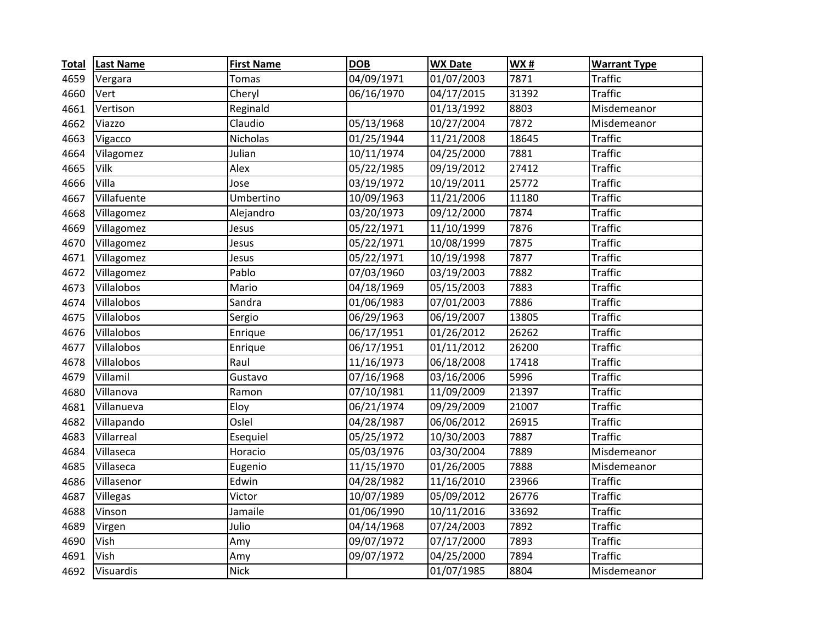| <b>Total</b> | <b>Last Name</b> | <b>First Name</b> | <b>DOB</b>              | <b>WX Date</b>          | <b>WX#</b>         | <b>Warrant Type</b> |
|--------------|------------------|-------------------|-------------------------|-------------------------|--------------------|---------------------|
| 4659         | Vergara          | <b>Tomas</b>      | 04/09/1971              | 01/07/2003              | 7871               | <b>Traffic</b>      |
| 4660         | Vert             | Cheryl            | 06/16/1970              | 04/17/2015              | 31392              | <b>Traffic</b>      |
| 4661         | Vertison         | Reginald          |                         | 01/13/1992              | 8803               | Misdemeanor         |
| 4662         | Viazzo           | Claudio           | 05/13/1968              | 10/27/2004              | 7872               | Misdemeanor         |
| 4663         | Vigacco          | Nicholas          | 01/25/1944              | 11/21/2008              | 18645              | <b>Traffic</b>      |
| 4664         | Vilagomez        | Julian            | 10/11/1974              | 04/25/2000              | 7881               | <b>Traffic</b>      |
| 4665         | Vilk             | Alex              | 05/22/1985              | 09/19/2012              | $\overline{27412}$ | <b>Traffic</b>      |
| 4666         | Villa            | Jose              | 03/19/1972              | 10/19/2011              | 25772              | <b>Traffic</b>      |
| 4667         | Villafuente      | Umbertino         | 10/09/1963              | 11/21/2006              | 11180              | <b>Traffic</b>      |
| 4668         | Villagomez       | Alejandro         | 03/20/1973              | 09/12/2000              | 7874               | <b>Traffic</b>      |
| 4669         | Villagomez       | Jesus             | 05/22/1971              | 11/10/1999              | 7876               | <b>Traffic</b>      |
| 4670         | Villagomez       | Jesus             | 05/22/1971              | 10/08/1999              | 7875               | <b>Traffic</b>      |
| 4671         | Villagomez       | Jesus             | 05/22/1971              | 10/19/1998              | 7877               | <b>Traffic</b>      |
| 4672         | Villagomez       | Pablo             | 07/03/1960              | 03/19/2003              | 7882               | <b>Traffic</b>      |
| 4673         | Villalobos       | Mario             | 04/18/1969              | 05/15/2003              | 7883               | <b>Traffic</b>      |
| 4674         | Villalobos       | Sandra            | $\overline{01}/06/1983$ | 07/01/2003              | 7886               | <b>Traffic</b>      |
| 4675         | Villalobos       | Sergio            | 06/29/1963              | 06/19/2007              | 13805              | <b>Traffic</b>      |
| 4676         | Villalobos       | Enrique           | 06/17/1951              | 01/26/2012              | 26262              | <b>Traffic</b>      |
| 4677         | Villalobos       | Enrique           | 06/17/1951              | 01/11/2012              | 26200              | <b>Traffic</b>      |
| 4678         | Villalobos       | Raul              | 11/16/1973              | 06/18/2008              | 17418              | <b>Traffic</b>      |
| 4679         | Villamil         | Gustavo           | 07/16/1968              | 03/16/2006              | 5996               | <b>Traffic</b>      |
| 4680         | Villanova        | Ramon             | 07/10/1981              | 11/09/2009              | 21397              | <b>Traffic</b>      |
| 4681         | Villanueva       | Eloy              | 06/21/1974              | 09/29/2009              | 21007              | <b>Traffic</b>      |
| 4682         | Villapando       | Oslel             | 04/28/1987              | 06/06/2012              | 26915              | <b>Traffic</b>      |
| 4683         | Villarreal       | Esequiel          | 05/25/1972              | 10/30/2003              | 7887               | <b>Traffic</b>      |
| 4684         | Villaseca        | Horacio           | 05/03/1976              | 03/30/2004              | 7889               | Misdemeanor         |
| 4685         | Villaseca        | Eugenio           | 11/15/1970              | 01/26/2005              | 7888               | Misdemeanor         |
| 4686         | Villasenor       | Edwin             | 04/28/1982              | 11/16/2010              | 23966              | <b>Traffic</b>      |
| 4687         | Villegas         | Victor            | 10/07/1989              | 05/09/2012              | 26776              | <b>Traffic</b>      |
| 4688         | Vinson           | Jamaile           | 01/06/1990              | 10/11/2016              | 33692              | <b>Traffic</b>      |
| 4689         | Virgen           | Julio             | 04/14/1968              | 07/24/2003              | 7892               | <b>Traffic</b>      |
| 4690         | Vish             | Amy               | 09/07/1972              | $\overline{07/17/2000}$ | 7893               | <b>Traffic</b>      |
| 4691         | Vish             | Amy               | 09/07/1972              | 04/25/2000              | 7894               | <b>Traffic</b>      |
| 4692         | Visuardis        | <b>Nick</b>       |                         | 01/07/1985              | 8804               | Misdemeanor         |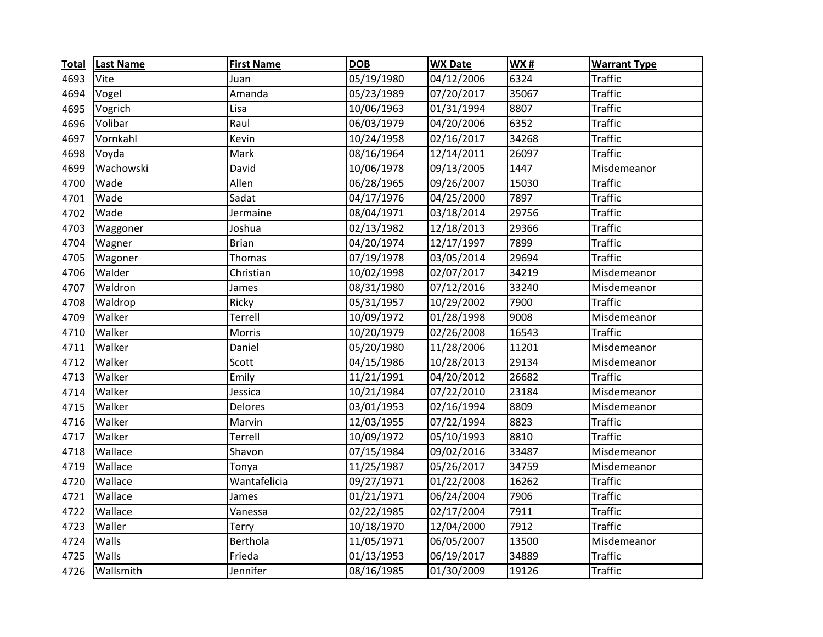| <b>Total</b> | <b>Last Name</b> | <b>First Name</b> | <b>DOB</b> | <b>WX Date</b> | WX#   | <b>Warrant Type</b> |
|--------------|------------------|-------------------|------------|----------------|-------|---------------------|
| 4693         | Vite             | Juan              | 05/19/1980 | 04/12/2006     | 6324  | <b>Traffic</b>      |
| 4694         | Vogel            | Amanda            | 05/23/1989 | 07/20/2017     | 35067 | <b>Traffic</b>      |
| 4695         | Vogrich          | Lisa              | 10/06/1963 | 01/31/1994     | 8807  | <b>Traffic</b>      |
| 4696         | Volibar          | Raul              | 06/03/1979 | 04/20/2006     | 6352  | <b>Traffic</b>      |
| 4697         | Vornkahl         | Kevin             | 10/24/1958 | 02/16/2017     | 34268 | <b>Traffic</b>      |
| 4698         | Voyda            | Mark              | 08/16/1964 | 12/14/2011     | 26097 | <b>Traffic</b>      |
| 4699         | Wachowski        | David             | 10/06/1978 | 09/13/2005     | 1447  | Misdemeanor         |
| 4700         | Wade             | Allen             | 06/28/1965 | 09/26/2007     | 15030 | <b>Traffic</b>      |
| 4701         | Wade             | Sadat             | 04/17/1976 | 04/25/2000     | 7897  | <b>Traffic</b>      |
| 4702         | Wade             | Jermaine          | 08/04/1971 | 03/18/2014     | 29756 | <b>Traffic</b>      |
| 4703         | Waggoner         | Joshua            | 02/13/1982 | 12/18/2013     | 29366 | <b>Traffic</b>      |
| 4704         | Wagner           | <b>Brian</b>      | 04/20/1974 | 12/17/1997     | 7899  | <b>Traffic</b>      |
| 4705         | Wagoner          | Thomas            | 07/19/1978 | 03/05/2014     | 29694 | <b>Traffic</b>      |
| 4706         | Walder           | Christian         | 10/02/1998 | 02/07/2017     | 34219 | Misdemeanor         |
| 4707         | Waldron          | James             | 08/31/1980 | 07/12/2016     | 33240 | Misdemeanor         |
| 4708         | Waldrop          | Ricky             | 05/31/1957 | 10/29/2002     | 7900  | <b>Traffic</b>      |
| 4709         | Walker           | Terrell           | 10/09/1972 | 01/28/1998     | 9008  | Misdemeanor         |
| 4710         | Walker           | Morris            | 10/20/1979 | 02/26/2008     | 16543 | <b>Traffic</b>      |
| 4711         | Walker           | Daniel            | 05/20/1980 | 11/28/2006     | 11201 | Misdemeanor         |
| 4712         | Walker           | Scott             | 04/15/1986 | 10/28/2013     | 29134 | Misdemeanor         |
| 4713         | Walker           | Emily             | 11/21/1991 | 04/20/2012     | 26682 | <b>Traffic</b>      |
| 4714         | Walker           | Jessica           | 10/21/1984 | 07/22/2010     | 23184 | Misdemeanor         |
| 4715         | Walker           | Delores           | 03/01/1953 | 02/16/1994     | 8809  | Misdemeanor         |
| 4716         | Walker           | Marvin            | 12/03/1955 | 07/22/1994     | 8823  | <b>Traffic</b>      |
| 4717         | Walker           | Terrell           | 10/09/1972 | 05/10/1993     | 8810  | <b>Traffic</b>      |
| 4718         | Wallace          | Shavon            | 07/15/1984 | 09/02/2016     | 33487 | Misdemeanor         |
| 4719         | Wallace          | Tonya             | 11/25/1987 | 05/26/2017     | 34759 | Misdemeanor         |
| 4720         | Wallace          | Wantafelicia      | 09/27/1971 | 01/22/2008     | 16262 | <b>Traffic</b>      |
| 4721         | Wallace          | James             | 01/21/1971 | 06/24/2004     | 7906  | <b>Traffic</b>      |
| 4722         | Wallace          | Vanessa           | 02/22/1985 | 02/17/2004     | 7911  | <b>Traffic</b>      |
| 4723         | Waller           | Terry             | 10/18/1970 | 12/04/2000     | 7912  | <b>Traffic</b>      |
| 4724         | Walls            | Berthola          | 11/05/1971 | 06/05/2007     | 13500 | Misdemeanor         |
| 4725         | Walls            | Frieda            | 01/13/1953 | 06/19/2017     | 34889 | <b>Traffic</b>      |
| 4726         | Wallsmith        | Jennifer          | 08/16/1985 | 01/30/2009     | 19126 | <b>Traffic</b>      |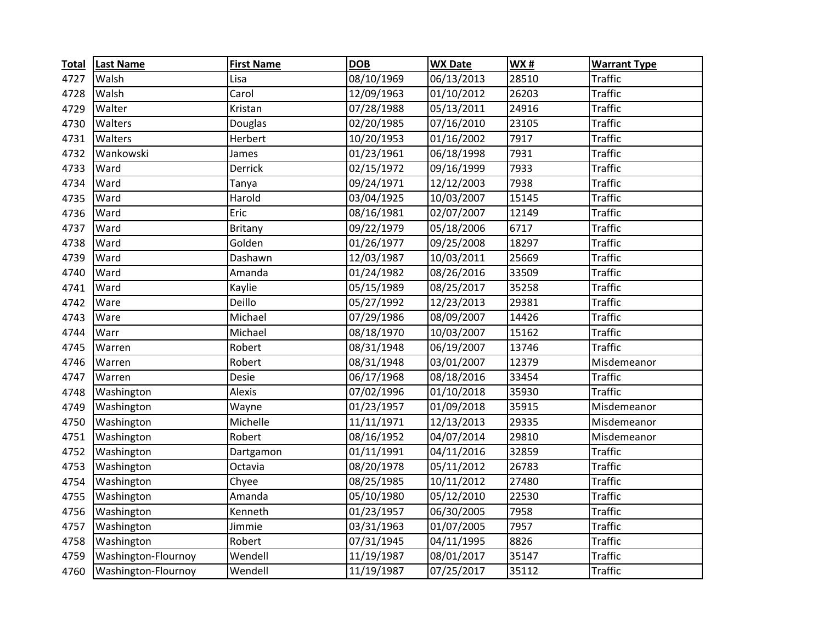| <b>Total</b> | <b>Last Name</b>    | <b>First Name</b> | <b>DOB</b> | <b>WX Date</b>          | WX#   | <b>Warrant Type</b> |
|--------------|---------------------|-------------------|------------|-------------------------|-------|---------------------|
| 4727         | Walsh               | Lisa              | 08/10/1969 | 06/13/2013              | 28510 | <b>Traffic</b>      |
| 4728         | Walsh               | Carol             | 12/09/1963 | 01/10/2012              | 26203 | <b>Traffic</b>      |
| 4729         | Walter              | Kristan           | 07/28/1988 | 05/13/2011              | 24916 | <b>Traffic</b>      |
| 4730         | Walters             | Douglas           | 02/20/1985 | 07/16/2010              | 23105 | <b>Traffic</b>      |
| 4731         | Walters             | Herbert           | 10/20/1953 | 01/16/2002              | 7917  | <b>Traffic</b>      |
| 4732         | Wankowski           | James             | 01/23/1961 | 06/18/1998              | 7931  | <b>Traffic</b>      |
| 4733         | Ward                | Derrick           | 02/15/1972 | 09/16/1999              | 7933  | <b>Traffic</b>      |
| 4734         | Ward                | Tanya             | 09/24/1971 | 12/12/2003              | 7938  | <b>Traffic</b>      |
| 4735         | Ward                | Harold            | 03/04/1925 | 10/03/2007              | 15145 | <b>Traffic</b>      |
| 4736         | Ward                | Eric              | 08/16/1981 | 02/07/2007              | 12149 | <b>Traffic</b>      |
| 4737         | Ward                | Britany           | 09/22/1979 | 05/18/2006              | 6717  | <b>Traffic</b>      |
| 4738         | Ward                | Golden            | 01/26/1977 | 09/25/2008              | 18297 | <b>Traffic</b>      |
| 4739         | Ward                | Dashawn           | 12/03/1987 | 10/03/2011              | 25669 | <b>Traffic</b>      |
| 4740         | Ward                | Amanda            | 01/24/1982 | 08/26/2016              | 33509 | <b>Traffic</b>      |
| 4741         | Ward                | Kaylie            | 05/15/1989 | 08/25/2017              | 35258 | <b>Traffic</b>      |
| 4742         | Ware                | Deillo            | 05/27/1992 | $\overline{12}/23/2013$ | 29381 | <b>Traffic</b>      |
| 4743         | Ware                | Michael           | 07/29/1986 | 08/09/2007              | 14426 | <b>Traffic</b>      |
| 4744         | Warr                | Michael           | 08/18/1970 | 10/03/2007              | 15162 | <b>Traffic</b>      |
| 4745         | Warren              | Robert            | 08/31/1948 | 06/19/2007              | 13746 | <b>Traffic</b>      |
| 4746         | Warren              | Robert            | 08/31/1948 | 03/01/2007              | 12379 | Misdemeanor         |
| 4747         | Warren              | Desie             | 06/17/1968 | 08/18/2016              | 33454 | <b>Traffic</b>      |
| 4748         | Washington          | Alexis            | 07/02/1996 | 01/10/2018              | 35930 | <b>Traffic</b>      |
| 4749         | Washington          | Wayne             | 01/23/1957 | 01/09/2018              | 35915 | Misdemeanor         |
| 4750         | Washington          | Michelle          | 11/11/1971 | 12/13/2013              | 29335 | Misdemeanor         |
| 4751         | Washington          | Robert            | 08/16/1952 | 04/07/2014              | 29810 | Misdemeanor         |
| 4752         | Washington          | Dartgamon         | 01/11/1991 | 04/11/2016              | 32859 | <b>Traffic</b>      |
| 4753         | Washington          | Octavia           | 08/20/1978 | 05/11/2012              | 26783 | <b>Traffic</b>      |
| 4754         | Washington          | Chyee             | 08/25/1985 | 10/11/2012              | 27480 | <b>Traffic</b>      |
| 4755         | Washington          | Amanda            | 05/10/1980 | 05/12/2010              | 22530 | <b>Traffic</b>      |
| 4756         | Washington          | Kenneth           | 01/23/1957 | 06/30/2005              | 7958  | <b>Traffic</b>      |
| 4757         | Washington          | Jimmie            | 03/31/1963 | 01/07/2005              | 7957  | <b>Traffic</b>      |
| 4758         | Washington          | Robert            | 07/31/1945 | 04/11/1995              | 8826  | <b>Traffic</b>      |
| 4759         | Washington-Flournoy | Wendell           | 11/19/1987 | 08/01/2017              | 35147 | <b>Traffic</b>      |
| 4760         | Washington-Flournoy | Wendell           | 11/19/1987 | 07/25/2017              | 35112 | <b>Traffic</b>      |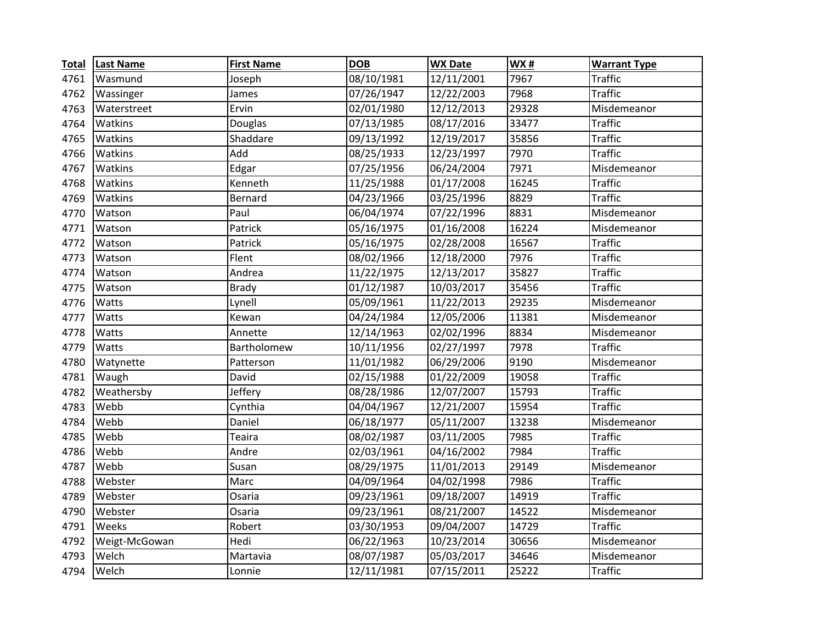| <b>Total</b> | <b>Last Name</b> | <b>First Name</b> | <b>DOB</b> | <b>WX Date</b> | <b>WX#</b> | <b>Warrant Type</b> |
|--------------|------------------|-------------------|------------|----------------|------------|---------------------|
| 4761         | Wasmund          | Joseph            | 08/10/1981 | 12/11/2001     | 7967       | Traffic             |
| 4762         | Wassinger        | James             | 07/26/1947 | 12/22/2003     | 7968       | <b>Traffic</b>      |
| 4763         | Waterstreet      | Ervin             | 02/01/1980 | 12/12/2013     | 29328      | Misdemeanor         |
| 4764         | Watkins          | Douglas           | 07/13/1985 | 08/17/2016     | 33477      | <b>Traffic</b>      |
| 4765         | Watkins          | Shaddare          | 09/13/1992 | 12/19/2017     | 35856      | <b>Traffic</b>      |
| 4766         | Watkins          | Add               | 08/25/1933 | 12/23/1997     | 7970       | <b>Traffic</b>      |
| 4767         | Watkins          | Edgar             | 07/25/1956 | 06/24/2004     | 7971       | Misdemeanor         |
| 4768         | Watkins          | Kenneth           | 11/25/1988 | 01/17/2008     | 16245      | Traffic             |
| 4769         | Watkins          | Bernard           | 04/23/1966 | 03/25/1996     | 8829       | <b>Traffic</b>      |
| 4770         | Watson           | Paul              | 06/04/1974 | 07/22/1996     | 8831       | Misdemeanor         |
| 4771         | Watson           | Patrick           | 05/16/1975 | 01/16/2008     | 16224      | Misdemeanor         |
| 4772         | Watson           | Patrick           | 05/16/1975 | 02/28/2008     | 16567      | <b>Traffic</b>      |
| 4773         | Watson           | Flent             | 08/02/1966 | 12/18/2000     | 7976       | <b>Traffic</b>      |
| 4774         | Watson           | Andrea            | 11/22/1975 | 12/13/2017     | 35827      | <b>Traffic</b>      |
| 4775         | Watson           | <b>Brady</b>      | 01/12/1987 | 10/03/2017     | 35456      | <b>Traffic</b>      |
| 4776         | Watts            | Lynell            | 05/09/1961 | 11/22/2013     | 29235      | Misdemeanor         |
| 4777         | Watts            | Kewan             | 04/24/1984 | 12/05/2006     | 11381      | Misdemeanor         |
| 4778         | Watts            | Annette           | 12/14/1963 | 02/02/1996     | 8834       | Misdemeanor         |
| 4779         | Watts            | Bartholomew       | 10/11/1956 | 02/27/1997     | 7978       | <b>Traffic</b>      |
| 4780         | Watynette        | Patterson         | 11/01/1982 | 06/29/2006     | 9190       | Misdemeanor         |
| 4781         | Waugh            | David             | 02/15/1988 | 01/22/2009     | 19058      | <b>Traffic</b>      |
| 4782         | Weathersby       | Jeffery           | 08/28/1986 | 12/07/2007     | 15793      | <b>Traffic</b>      |
| 4783         | Webb             | Cynthia           | 04/04/1967 | 12/21/2007     | 15954      | <b>Traffic</b>      |
| 4784         | Webb             | Daniel            | 06/18/1977 | 05/11/2007     | 13238      | Misdemeanor         |
| 4785         | Webb             | Teaira            | 08/02/1987 | 03/11/2005     | 7985       | <b>Traffic</b>      |
| 4786         | Webb             | Andre             | 02/03/1961 | 04/16/2002     | 7984       | <b>Traffic</b>      |
| 4787         | Webb             | Susan             | 08/29/1975 | 11/01/2013     | 29149      | Misdemeanor         |
| 4788         | Webster          | Marc              | 04/09/1964 | 04/02/1998     | 7986       | <b>Traffic</b>      |
| 4789         | Webster          | Osaria            | 09/23/1961 | 09/18/2007     | 14919      | <b>Traffic</b>      |
| 4790         | Webster          | Osaria            | 09/23/1961 | 08/21/2007     | 14522      | Misdemeanor         |
| 4791         | Weeks            | Robert            | 03/30/1953 | 09/04/2007     | 14729      | <b>Traffic</b>      |
| 4792         | Weigt-McGowan    | Hedi              | 06/22/1963 | 10/23/2014     | 30656      | Misdemeanor         |
| 4793         | Welch            | Martavia          | 08/07/1987 | 05/03/2017     | 34646      | Misdemeanor         |
| 4794         | Welch            | Lonnie            | 12/11/1981 | 07/15/2011     | 25222      | <b>Traffic</b>      |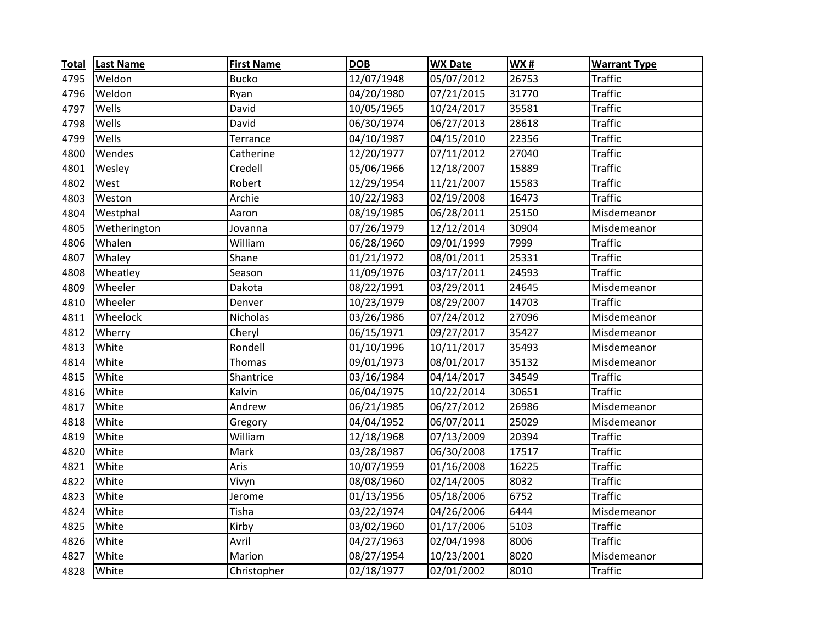| <b>Total</b> | <b>Last Name</b> | <b>First Name</b> | <b>DOB</b> | <b>WX Date</b> | <b>WX#</b> | <b>Warrant Type</b> |
|--------------|------------------|-------------------|------------|----------------|------------|---------------------|
| 4795         | Weldon           | <b>Bucko</b>      | 12/07/1948 | 05/07/2012     | 26753      | Traffic             |
| 4796         | Weldon           | Ryan              | 04/20/1980 | 07/21/2015     | 31770      | <b>Traffic</b>      |
| 4797         | Wells            | David             | 10/05/1965 | 10/24/2017     | 35581      | <b>Traffic</b>      |
| 4798         | Wells            | David             | 06/30/1974 | 06/27/2013     | 28618      | <b>Traffic</b>      |
| 4799         | Wells            | Terrance          | 04/10/1987 | 04/15/2010     | 22356      | <b>Traffic</b>      |
| 4800         | Wendes           | Catherine         | 12/20/1977 | 07/11/2012     | 27040      | <b>Traffic</b>      |
| 4801         | Wesley           | Credell           | 05/06/1966 | 12/18/2007     | 15889      | <b>Traffic</b>      |
| 4802         | West             | Robert            | 12/29/1954 | 11/21/2007     | 15583      | Traffic             |
| 4803         | Weston           | Archie            | 10/22/1983 | 02/19/2008     | 16473      | <b>Traffic</b>      |
| 4804         | Westphal         | Aaron             | 08/19/1985 | 06/28/2011     | 25150      | Misdemeanor         |
| 4805         | Wetherington     | Jovanna           | 07/26/1979 | 12/12/2014     | 30904      | Misdemeanor         |
| 4806         | Whalen           | William           | 06/28/1960 | 09/01/1999     | 7999       | <b>Traffic</b>      |
| 4807         | Whaley           | Shane             | 01/21/1972 | 08/01/2011     | 25331      | <b>Traffic</b>      |
| 4808         | Wheatley         | Season            | 11/09/1976 | 03/17/2011     | 24593      | <b>Traffic</b>      |
| 4809         | Wheeler          | Dakota            | 08/22/1991 | 03/29/2011     | 24645      | Misdemeanor         |
| 4810         | Wheeler          | Denver            | 10/23/1979 | 08/29/2007     | 14703      | <b>Traffic</b>      |
| 4811         | Wheelock         | <b>Nicholas</b>   | 03/26/1986 | 07/24/2012     | 27096      | Misdemeanor         |
| 4812         | Wherry           | Cheryl            | 06/15/1971 | 09/27/2017     | 35427      | Misdemeanor         |
| 4813         | White            | Rondell           | 01/10/1996 | 10/11/2017     | 35493      | Misdemeanor         |
| 4814         | White            | Thomas            | 09/01/1973 | 08/01/2017     | 35132      | Misdemeanor         |
| 4815         | White            | Shantrice         | 03/16/1984 | 04/14/2017     | 34549      | <b>Traffic</b>      |
| 4816         | White            | Kalvin            | 06/04/1975 | 10/22/2014     | 30651      | <b>Traffic</b>      |
| 4817         | White            | Andrew            | 06/21/1985 | 06/27/2012     | 26986      | Misdemeanor         |
| 4818         | White            | Gregory           | 04/04/1952 | 06/07/2011     | 25029      | Misdemeanor         |
| 4819         | White            | William           | 12/18/1968 | 07/13/2009     | 20394      | <b>Traffic</b>      |
| 4820         | White            | Mark              | 03/28/1987 | 06/30/2008     | 17517      | <b>Traffic</b>      |
| 4821         | White            | Aris              | 10/07/1959 | 01/16/2008     | 16225      | <b>Traffic</b>      |
| 4822         | White            | Vivyn             | 08/08/1960 | 02/14/2005     | 8032       | <b>Traffic</b>      |
| 4823         | White            | Jerome            | 01/13/1956 | 05/18/2006     | 6752       | <b>Traffic</b>      |
| 4824         | White            | Tisha             | 03/22/1974 | 04/26/2006     | 6444       | Misdemeanor         |
| 4825         | White            | Kirby             | 03/02/1960 | 01/17/2006     | 5103       | <b>Traffic</b>      |
| 4826         | White            | Avril             | 04/27/1963 | 02/04/1998     | 8006       | <b>Traffic</b>      |
| 4827         | White            | Marion            | 08/27/1954 | 10/23/2001     | 8020       | Misdemeanor         |
| 4828         | White            | Christopher       | 02/18/1977 | 02/01/2002     | 8010       | <b>Traffic</b>      |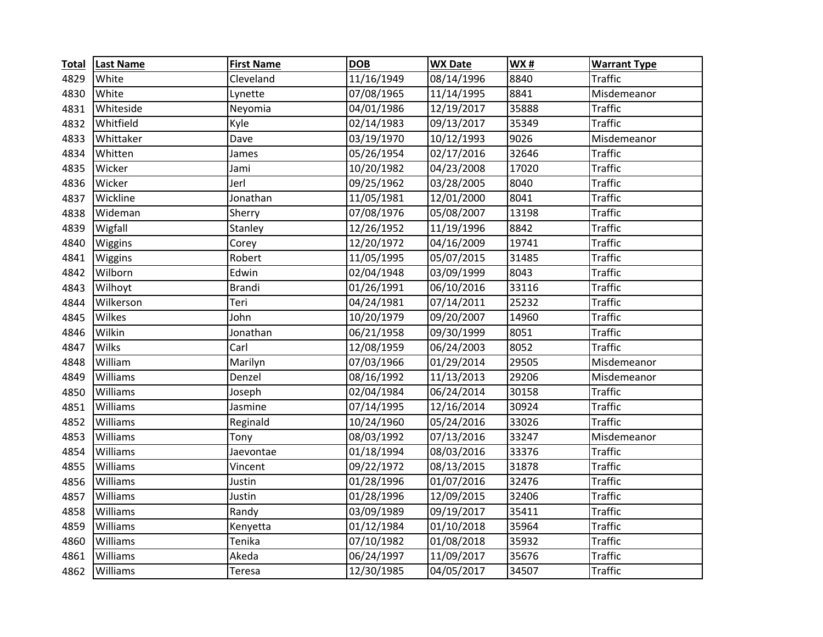| <b>Total</b> | <b>Last Name</b> | <b>First Name</b> | <b>DOB</b> | <b>WX Date</b> | <b>WX#</b> | <b>Warrant Type</b> |
|--------------|------------------|-------------------|------------|----------------|------------|---------------------|
| 4829         | White            | Cleveland         | 11/16/1949 | 08/14/1996     | 8840       | <b>Traffic</b>      |
| 4830         | White            | Lynette           | 07/08/1965 | 11/14/1995     | 8841       | Misdemeanor         |
| 4831         | Whiteside        | Neyomia           | 04/01/1986 | 12/19/2017     | 35888      | <b>Traffic</b>      |
| 4832         | Whitfield        | Kyle              | 02/14/1983 | 09/13/2017     | 35349      | <b>Traffic</b>      |
| 4833         | Whittaker        | Dave              | 03/19/1970 | 10/12/1993     | 9026       | Misdemeanor         |
| 4834         | Whitten          | James             | 05/26/1954 | 02/17/2016     | 32646      | <b>Traffic</b>      |
| 4835         | Wicker           | Jami              | 10/20/1982 | 04/23/2008     | 17020      | <b>Traffic</b>      |
| 4836         | Wicker           | Jerl              | 09/25/1962 | 03/28/2005     | 8040       | <b>Traffic</b>      |
| 4837         | Wickline         | Jonathan          | 11/05/1981 | 12/01/2000     | 8041       | <b>Traffic</b>      |
| 4838         | Wideman          | Sherry            | 07/08/1976 | 05/08/2007     | 13198      | <b>Traffic</b>      |
| 4839         | Wigfall          | Stanley           | 12/26/1952 | 11/19/1996     | 8842       | <b>Traffic</b>      |
| 4840         | Wiggins          | Corey             | 12/20/1972 | 04/16/2009     | 19741      | <b>Traffic</b>      |
| 4841         | Wiggins          | Robert            | 11/05/1995 | 05/07/2015     | 31485      | <b>Traffic</b>      |
| 4842         | Wilborn          | Edwin             | 02/04/1948 | 03/09/1999     | 8043       | <b>Traffic</b>      |
| 4843         | Wilhoyt          | <b>Brandi</b>     | 01/26/1991 | 06/10/2016     | 33116      | <b>Traffic</b>      |
| 4844         | Wilkerson        | Teri              | 04/24/1981 | 07/14/2011     | 25232      | <b>Traffic</b>      |
| 4845         | Wilkes           | John              | 10/20/1979 | 09/20/2007     | 14960      | <b>Traffic</b>      |
| 4846         | Wilkin           | Jonathan          | 06/21/1958 | 09/30/1999     | 8051       | <b>Traffic</b>      |
| 4847         | Wilks            | Carl              | 12/08/1959 | 06/24/2003     | 8052       | <b>Traffic</b>      |
| 4848         | William          | Marilyn           | 07/03/1966 | 01/29/2014     | 29505      | Misdemeanor         |
| 4849         | Williams         | Denzel            | 08/16/1992 | 11/13/2013     | 29206      | Misdemeanor         |
| 4850         | Williams         | Joseph            | 02/04/1984 | 06/24/2014     | 30158      | <b>Traffic</b>      |
| 4851         | Williams         | Jasmine           | 07/14/1995 | 12/16/2014     | 30924      | <b>Traffic</b>      |
| 4852         | Williams         | Reginald          | 10/24/1960 | 05/24/2016     | 33026      | <b>Traffic</b>      |
| 4853         | Williams         | Tony              | 08/03/1992 | 07/13/2016     | 33247      | Misdemeanor         |
| 4854         | Williams         | Jaevontae         | 01/18/1994 | 08/03/2016     | 33376      | <b>Traffic</b>      |
| 4855         | Williams         | Vincent           | 09/22/1972 | 08/13/2015     | 31878      | <b>Traffic</b>      |
| 4856         | Williams         | Justin            | 01/28/1996 | 01/07/2016     | 32476      | <b>Traffic</b>      |
| 4857         | Williams         | Justin            | 01/28/1996 | 12/09/2015     | 32406      | <b>Traffic</b>      |
| 4858         | Williams         | Randy             | 03/09/1989 | 09/19/2017     | 35411      | <b>Traffic</b>      |
| 4859         | Williams         | Kenyetta          | 01/12/1984 | 01/10/2018     | 35964      | <b>Traffic</b>      |
| 4860         | Williams         | Tenika            | 07/10/1982 | 01/08/2018     | 35932      | <b>Traffic</b>      |
| 4861         | Williams         | Akeda             | 06/24/1997 | 11/09/2017     | 35676      | <b>Traffic</b>      |
| 4862         | Williams         | Teresa            | 12/30/1985 | 04/05/2017     | 34507      | <b>Traffic</b>      |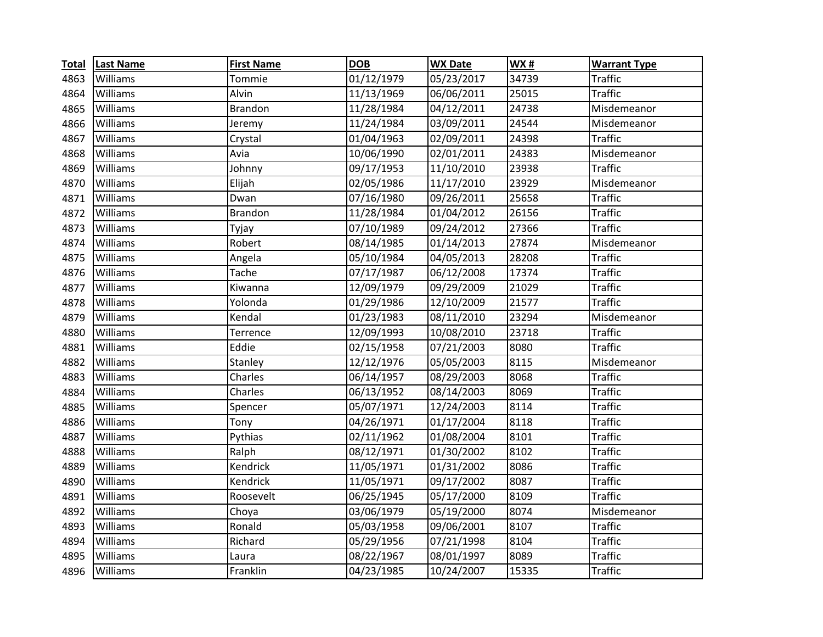| <b>Total</b> | <b>Last Name</b> | <b>First Name</b> | <b>DOB</b> | <b>WX Date</b> | <b>WX#</b> | <b>Warrant Type</b> |
|--------------|------------------|-------------------|------------|----------------|------------|---------------------|
| 4863         | Williams         | Tommie            | 01/12/1979 | 05/23/2017     | 34739      | <b>Traffic</b>      |
| 4864         | Williams         | Alvin             | 11/13/1969 | 06/06/2011     | 25015      | <b>Traffic</b>      |
| 4865         | Williams         | Brandon           | 11/28/1984 | 04/12/2011     | 24738      | Misdemeanor         |
| 4866         | Williams         | Jeremy            | 11/24/1984 | 03/09/2011     | 24544      | Misdemeanor         |
| 4867         | Williams         | Crystal           | 01/04/1963 | 02/09/2011     | 24398      | <b>Traffic</b>      |
| 4868         | Williams         | Avia              | 10/06/1990 | 02/01/2011     | 24383      | Misdemeanor         |
| 4869         | Williams         | Johnny            | 09/17/1953 | 11/10/2010     | 23938      | <b>Traffic</b>      |
| 4870         | Williams         | Elijah            | 02/05/1986 | 11/17/2010     | 23929      | Misdemeanor         |
| 4871         | Williams         | Dwan              | 07/16/1980 | 09/26/2011     | 25658      | <b>Traffic</b>      |
| 4872         | Williams         | <b>Brandon</b>    | 11/28/1984 | 01/04/2012     | 26156      | <b>Traffic</b>      |
| 4873         | Williams         | Tyjay             | 07/10/1989 | 09/24/2012     | 27366      | <b>Traffic</b>      |
| 4874         | Williams         | Robert            | 08/14/1985 | 01/14/2013     | 27874      | Misdemeanor         |
| 4875         | Williams         | Angela            | 05/10/1984 | 04/05/2013     | 28208      | <b>Traffic</b>      |
| 4876         | Williams         | Tache             | 07/17/1987 | 06/12/2008     | 17374      | <b>Traffic</b>      |
| 4877         | Williams         | Kiwanna           | 12/09/1979 | 09/29/2009     | 21029      | <b>Traffic</b>      |
| 4878         | Williams         | Yolonda           | 01/29/1986 | 12/10/2009     | 21577      | <b>Traffic</b>      |
| 4879         | Williams         | Kendal            | 01/23/1983 | 08/11/2010     | 23294      | Misdemeanor         |
| 4880         | Williams         | Terrence          | 12/09/1993 | 10/08/2010     | 23718      | <b>Traffic</b>      |
| 4881         | Williams         | Eddie             | 02/15/1958 | 07/21/2003     | 8080       | <b>Traffic</b>      |
| 4882         | Williams         | Stanley           | 12/12/1976 | 05/05/2003     | 8115       | Misdemeanor         |
| 4883         | Williams         | Charles           | 06/14/1957 | 08/29/2003     | 8068       | <b>Traffic</b>      |
| 4884         | Williams         | Charles           | 06/13/1952 | 08/14/2003     | 8069       | <b>Traffic</b>      |
| 4885         | Williams         | Spencer           | 05/07/1971 | 12/24/2003     | 8114       | <b>Traffic</b>      |
| 4886         | Williams         | Tony              | 04/26/1971 | 01/17/2004     | 8118       | <b>Traffic</b>      |
| 4887         | Williams         | Pythias           | 02/11/1962 | 01/08/2004     | 8101       | <b>Traffic</b>      |
| 4888         | Williams         | Ralph             | 08/12/1971 | 01/30/2002     | 8102       | <b>Traffic</b>      |
| 4889         | Williams         | Kendrick          | 11/05/1971 | 01/31/2002     | 8086       | <b>Traffic</b>      |
| 4890         | Williams         | Kendrick          | 11/05/1971 | 09/17/2002     | 8087       | <b>Traffic</b>      |
| 4891         | Williams         | Roosevelt         | 06/25/1945 | 05/17/2000     | 8109       | <b>Traffic</b>      |
| 4892         | Williams         | Choya             | 03/06/1979 | 05/19/2000     | 8074       | Misdemeanor         |
| 4893         | Williams         | Ronald            | 05/03/1958 | 09/06/2001     | 8107       | <b>Traffic</b>      |
| 4894         | Williams         | Richard           | 05/29/1956 | 07/21/1998     | 8104       | <b>Traffic</b>      |
| 4895         | Williams         | Laura             | 08/22/1967 | 08/01/1997     | 8089       | <b>Traffic</b>      |
| 4896         | Williams         | Franklin          | 04/23/1985 | 10/24/2007     | 15335      | <b>Traffic</b>      |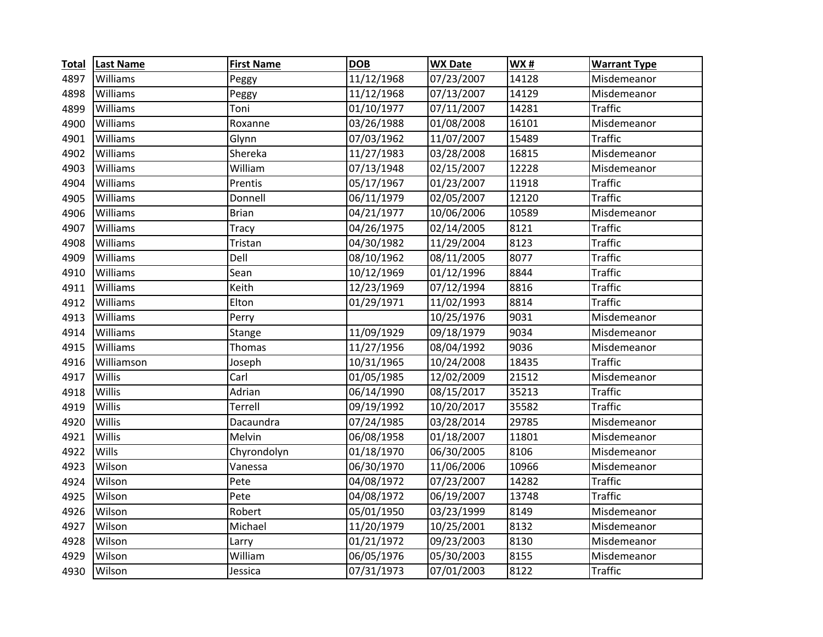| <b>Total</b> | <b>Last Name</b> | <b>First Name</b> | <b>DOB</b> | <b>WX Date</b> | <b>WX#</b> | <b>Warrant Type</b> |
|--------------|------------------|-------------------|------------|----------------|------------|---------------------|
| 4897         | Williams         | Peggy             | 11/12/1968 | 07/23/2007     | 14128      | Misdemeanor         |
| 4898         | Williams         | Peggy             | 11/12/1968 | 07/13/2007     | 14129      | Misdemeanor         |
| 4899         | Williams         | Toni              | 01/10/1977 | 07/11/2007     | 14281      | <b>Traffic</b>      |
| 4900         | Williams         | Roxanne           | 03/26/1988 | 01/08/2008     | 16101      | Misdemeanor         |
| 4901         | Williams         | Glynn             | 07/03/1962 | 11/07/2007     | 15489      | <b>Traffic</b>      |
| 4902         | Williams         | Shereka           | 11/27/1983 | 03/28/2008     | 16815      | Misdemeanor         |
| 4903         | Williams         | William           | 07/13/1948 | 02/15/2007     | 12228      | Misdemeanor         |
| 4904         | Williams         | Prentis           | 05/17/1967 | 01/23/2007     | 11918      | <b>Traffic</b>      |
| 4905         | Williams         | Donnell           | 06/11/1979 | 02/05/2007     | 12120      | <b>Traffic</b>      |
| 4906         | Williams         | <b>Brian</b>      | 04/21/1977 | 10/06/2006     | 10589      | Misdemeanor         |
| 4907         | Williams         | <b>Tracy</b>      | 04/26/1975 | 02/14/2005     | 8121       | <b>Traffic</b>      |
| 4908         | Williams         | Tristan           | 04/30/1982 | 11/29/2004     | 8123       | <b>Traffic</b>      |
| 4909         | Williams         | Dell              | 08/10/1962 | 08/11/2005     | 8077       | <b>Traffic</b>      |
| 4910         | Williams         | Sean              | 10/12/1969 | 01/12/1996     | 8844       | <b>Traffic</b>      |
| 4911         | Williams         | Keith             | 12/23/1969 | 07/12/1994     | 8816       | <b>Traffic</b>      |
| 4912         | Williams         | Elton             | 01/29/1971 | 11/02/1993     | 8814       | <b>Traffic</b>      |
| 4913         | Williams         | Perry             |            | 10/25/1976     | 9031       | Misdemeanor         |
| 4914         | Williams         | Stange            | 11/09/1929 | 09/18/1979     | 9034       | Misdemeanor         |
| 4915         | Williams         | Thomas            | 11/27/1956 | 08/04/1992     | 9036       | Misdemeanor         |
| 4916         | Williamson       | Joseph            | 10/31/1965 | 10/24/2008     | 18435      | <b>Traffic</b>      |
| 4917         | Willis           | Carl              | 01/05/1985 | 12/02/2009     | 21512      | Misdemeanor         |
| 4918         | Willis           | Adrian            | 06/14/1990 | 08/15/2017     | 35213      | <b>Traffic</b>      |
| 4919         | Willis           | Terrell           | 09/19/1992 | 10/20/2017     | 35582      | <b>Traffic</b>      |
| 4920         | Willis           | Dacaundra         | 07/24/1985 | 03/28/2014     | 29785      | Misdemeanor         |
| 4921         | Willis           | Melvin            | 06/08/1958 | 01/18/2007     | 11801      | Misdemeanor         |
| 4922         | Wills            | Chyrondolyn       | 01/18/1970 | 06/30/2005     | 8106       | Misdemeanor         |
| 4923         | Wilson           | Vanessa           | 06/30/1970 | 11/06/2006     | 10966      | Misdemeanor         |
| 4924         | Wilson           | Pete              | 04/08/1972 | 07/23/2007     | 14282      | <b>Traffic</b>      |
| 4925         | Wilson           | Pete              | 04/08/1972 | 06/19/2007     | 13748      | <b>Traffic</b>      |
| 4926         | Wilson           | Robert            | 05/01/1950 | 03/23/1999     | 8149       | Misdemeanor         |
| 4927         | Wilson           | Michael           | 11/20/1979 | 10/25/2001     | 8132       | Misdemeanor         |
| 4928         | Wilson           | Larry             | 01/21/1972 | 09/23/2003     | 8130       | Misdemeanor         |
| 4929         | Wilson           | William           | 06/05/1976 | 05/30/2003     | 8155       | Misdemeanor         |
| 4930         | Wilson           | Jessica           | 07/31/1973 | 07/01/2003     | 8122       | <b>Traffic</b>      |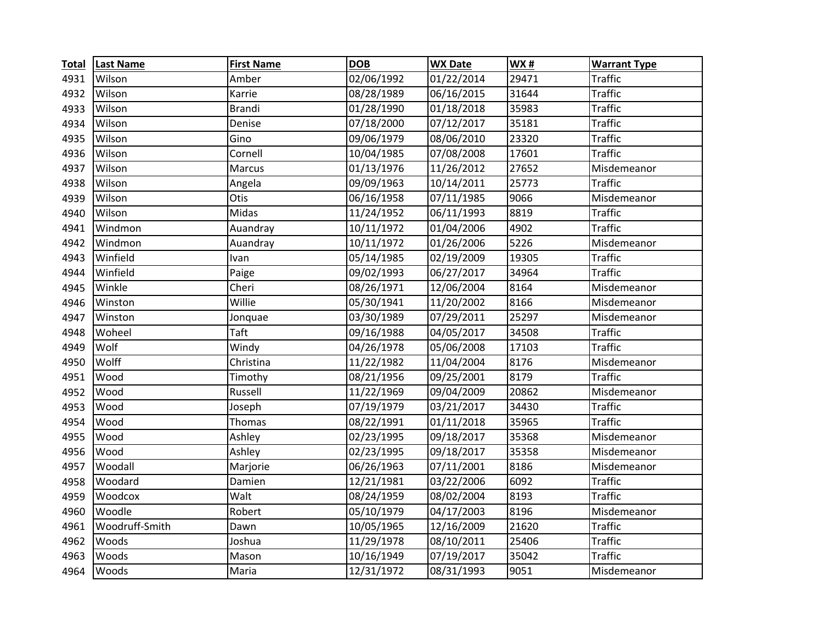| <b>Total</b> | <b>Last Name</b> | <b>First Name</b> | <b>DOB</b> | <b>WX Date</b> | <b>WX#</b> | <b>Warrant Type</b> |
|--------------|------------------|-------------------|------------|----------------|------------|---------------------|
| 4931         | Wilson           | Amber             | 02/06/1992 | 01/22/2014     | 29471      | <b>Traffic</b>      |
| 4932         | Wilson           | Karrie            | 08/28/1989 | 06/16/2015     | 31644      | <b>Traffic</b>      |
| 4933         | Wilson           | <b>Brandi</b>     | 01/28/1990 | 01/18/2018     | 35983      | <b>Traffic</b>      |
| 4934         | Wilson           | Denise            | 07/18/2000 | 07/12/2017     | 35181      | <b>Traffic</b>      |
| 4935         | Wilson           | Gino              | 09/06/1979 | 08/06/2010     | 23320      | <b>Traffic</b>      |
| 4936         | Wilson           | Cornell           | 10/04/1985 | 07/08/2008     | 17601      | <b>Traffic</b>      |
| 4937         | Wilson           | Marcus            | 01/13/1976 | 11/26/2012     | 27652      | Misdemeanor         |
| 4938         | Wilson           | Angela            | 09/09/1963 | 10/14/2011     | 25773      | <b>Traffic</b>      |
| 4939         | Wilson           | Otis              | 06/16/1958 | 07/11/1985     | 9066       | Misdemeanor         |
| 4940         | Wilson           | Midas             | 11/24/1952 | 06/11/1993     | 8819       | <b>Traffic</b>      |
| 4941         | Windmon          | Auandray          | 10/11/1972 | 01/04/2006     | 4902       | <b>Traffic</b>      |
| 4942         | Windmon          | Auandray          | 10/11/1972 | 01/26/2006     | 5226       | Misdemeanor         |
| 4943         | Winfield         | Ivan              | 05/14/1985 | 02/19/2009     | 19305      | <b>Traffic</b>      |
| 4944         | Winfield         | Paige             | 09/02/1993 | 06/27/2017     | 34964      | <b>Traffic</b>      |
| 4945         | Winkle           | Cheri             | 08/26/1971 | 12/06/2004     | 8164       | Misdemeanor         |
| 4946         | Winston          | Willie            | 05/30/1941 | 11/20/2002     | 8166       | Misdemeanor         |
| 4947         | Winston          | Jonquae           | 03/30/1989 | 07/29/2011     | 25297      | Misdemeanor         |
| 4948         | Woheel           | Taft              | 09/16/1988 | 04/05/2017     | 34508      | <b>Traffic</b>      |
| 4949         | Wolf             | Windy             | 04/26/1978 | 05/06/2008     | 17103      | <b>Traffic</b>      |
| 4950         | Wolff            | Christina         | 11/22/1982 | 11/04/2004     | 8176       | Misdemeanor         |
| 4951         | Wood             | Timothy           | 08/21/1956 | 09/25/2001     | 8179       | <b>Traffic</b>      |
| 4952         | Wood             | Russell           | 11/22/1969 | 09/04/2009     | 20862      | Misdemeanor         |
| 4953         | Wood             | Joseph            | 07/19/1979 | 03/21/2017     | 34430      | <b>Traffic</b>      |
| 4954         | Wood             | Thomas            | 08/22/1991 | 01/11/2018     | 35965      | <b>Traffic</b>      |
| 4955         | Wood             | Ashley            | 02/23/1995 | 09/18/2017     | 35368      | Misdemeanor         |
| 4956         | Wood             | Ashley            | 02/23/1995 | 09/18/2017     | 35358      | Misdemeanor         |
| 4957         | Woodall          | Marjorie          | 06/26/1963 | 07/11/2001     | 8186       | Misdemeanor         |
| 4958         | Woodard          | Damien            | 12/21/1981 | 03/22/2006     | 6092       | <b>Traffic</b>      |
| 4959         | Woodcox          | Walt              | 08/24/1959 | 08/02/2004     | 8193       | <b>Traffic</b>      |
| 4960         | Woodle           | Robert            | 05/10/1979 | 04/17/2003     | 8196       | Misdemeanor         |
| 4961         | Woodruff-Smith   | Dawn              | 10/05/1965 | 12/16/2009     | 21620      | <b>Traffic</b>      |
| 4962         | Woods            | Joshua            | 11/29/1978 | 08/10/2011     | 25406      | <b>Traffic</b>      |
| 4963         | Woods            | Mason             | 10/16/1949 | 07/19/2017     | 35042      | <b>Traffic</b>      |
| 4964         | Woods            | Maria             | 12/31/1972 | 08/31/1993     | 9051       | Misdemeanor         |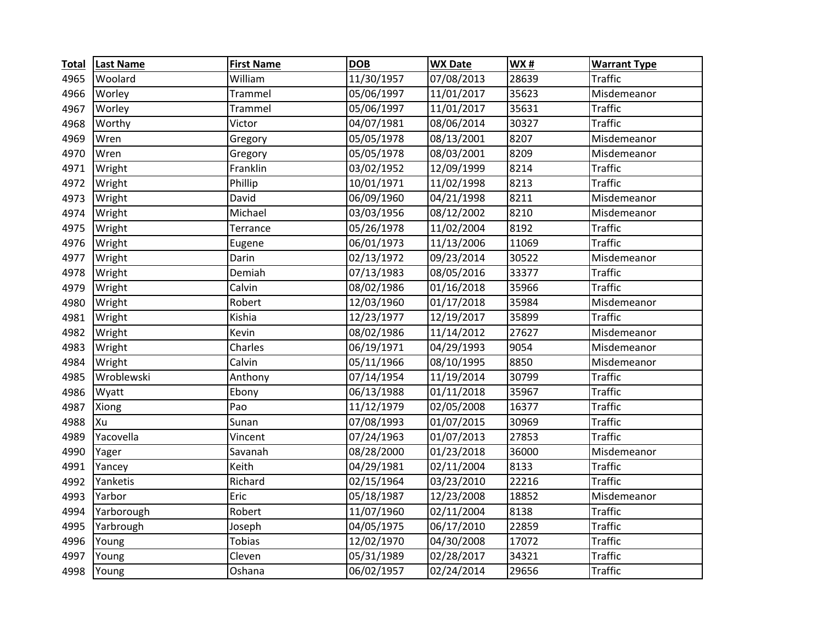| <b>Total</b> | <b>Last Name</b> | <b>First Name</b> | <b>DOB</b> | <b>WX Date</b> | <b>WX#</b> | <b>Warrant Type</b> |
|--------------|------------------|-------------------|------------|----------------|------------|---------------------|
| 4965         | Woolard          | William           | 11/30/1957 | 07/08/2013     | 28639      | <b>Traffic</b>      |
| 4966         | Worley           | Trammel           | 05/06/1997 | 11/01/2017     | 35623      | Misdemeanor         |
| 4967         | Worley           | Trammel           | 05/06/1997 | 11/01/2017     | 35631      | <b>Traffic</b>      |
| 4968         | Worthy           | Victor            | 04/07/1981 | 08/06/2014     | 30327      | <b>Traffic</b>      |
| 4969         | Wren             | Gregory           | 05/05/1978 | 08/13/2001     | 8207       | Misdemeanor         |
| 4970         | Wren             | Gregory           | 05/05/1978 | 08/03/2001     | 8209       | Misdemeanor         |
| 4971         | Wright           | Franklin          | 03/02/1952 | 12/09/1999     | 8214       | <b>Traffic</b>      |
| 4972         | Wright           | Phillip           | 10/01/1971 | 11/02/1998     | 8213       | <b>Traffic</b>      |
| 4973         | Wright           | David             | 06/09/1960 | 04/21/1998     | 8211       | Misdemeanor         |
| 4974         | Wright           | Michael           | 03/03/1956 | 08/12/2002     | 8210       | Misdemeanor         |
| 4975         | Wright           | Terrance          | 05/26/1978 | 11/02/2004     | 8192       | <b>Traffic</b>      |
| 4976         | Wright           | Eugene            | 06/01/1973 | 11/13/2006     | 11069      | <b>Traffic</b>      |
| 4977         | Wright           | Darin             | 02/13/1972 | 09/23/2014     | 30522      | Misdemeanor         |
| 4978         | Wright           | Demiah            | 07/13/1983 | 08/05/2016     | 33377      | <b>Traffic</b>      |
| 4979         | Wright           | Calvin            | 08/02/1986 | 01/16/2018     | 35966      | <b>Traffic</b>      |
| 4980         | Wright           | Robert            | 12/03/1960 | 01/17/2018     | 35984      | Misdemeanor         |
| 4981         | Wright           | Kishia            | 12/23/1977 | 12/19/2017     | 35899      | <b>Traffic</b>      |
| 4982         | Wright           | Kevin             | 08/02/1986 | 11/14/2012     | 27627      | Misdemeanor         |
| 4983         | Wright           | Charles           | 06/19/1971 | 04/29/1993     | 9054       | Misdemeanor         |
| 4984         | Wright           | Calvin            | 05/11/1966 | 08/10/1995     | 8850       | Misdemeanor         |
| 4985         | Wroblewski       | Anthony           | 07/14/1954 | 11/19/2014     | 30799      | <b>Traffic</b>      |
| 4986         | Wyatt            | Ebony             | 06/13/1988 | 01/11/2018     | 35967      | <b>Traffic</b>      |
| 4987         | Xiong            | Pao               | 11/12/1979 | 02/05/2008     | 16377      | <b>Traffic</b>      |
| 4988         | Xu               | Sunan             | 07/08/1993 | 01/07/2015     | 30969      | <b>Traffic</b>      |
| 4989         | Yacovella        | Vincent           | 07/24/1963 | 01/07/2013     | 27853      | <b>Traffic</b>      |
| 4990         | Yager            | Savanah           | 08/28/2000 | 01/23/2018     | 36000      | Misdemeanor         |
| 4991         | Yancey           | Keith             | 04/29/1981 | 02/11/2004     | 8133       | <b>Traffic</b>      |
| 4992         | Yanketis         | Richard           | 02/15/1964 | 03/23/2010     | 22216      | <b>Traffic</b>      |
| 4993         | Yarbor           | Eric              | 05/18/1987 | 12/23/2008     | 18852      | Misdemeanor         |
| 4994         | Yarborough       | Robert            | 11/07/1960 | 02/11/2004     | 8138       | <b>Traffic</b>      |
| 4995         | Yarbrough        | Joseph            | 04/05/1975 | 06/17/2010     | 22859      | <b>Traffic</b>      |
| 4996         | Young            | <b>Tobias</b>     | 12/02/1970 | 04/30/2008     | 17072      | <b>Traffic</b>      |
| 4997         | Young            | Cleven            | 05/31/1989 | 02/28/2017     | 34321      | <b>Traffic</b>      |
| 4998         | Young            | Oshana            | 06/02/1957 | 02/24/2014     | 29656      | <b>Traffic</b>      |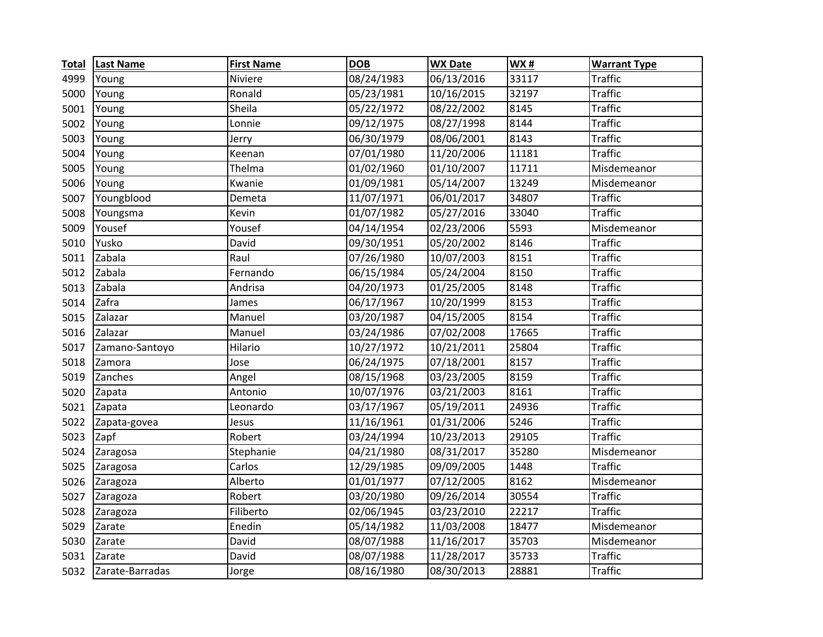| <b>Total</b> | <b>Last Name</b> | <b>First Name</b> | <b>DOB</b> | <b>WX Date</b> | WX#   | <b>Warrant Type</b> |
|--------------|------------------|-------------------|------------|----------------|-------|---------------------|
| 4999         | Young            | Niviere           | 08/24/1983 | 06/13/2016     | 33117 | Traffic             |
| 5000         | Young            | Ronald            | 05/23/1981 | 10/16/2015     | 32197 | <b>Traffic</b>      |
| 5001         | Young            | Sheila            | 05/22/1972 | 08/22/2002     | 8145  | <b>Traffic</b>      |
| 5002         | Young            | Lonnie            | 09/12/1975 | 08/27/1998     | 8144  | <b>Traffic</b>      |
| 5003         | Young            | Jerry             | 06/30/1979 | 08/06/2001     | 8143  | <b>Traffic</b>      |
| 5004         | Young            | Keenan            | 07/01/1980 | 11/20/2006     | 11181 | <b>Traffic</b>      |
| 5005         | Young            | Thelma            | 01/02/1960 | 01/10/2007     | 11711 | Misdemeanor         |
| 5006         | Young            | Kwanie            | 01/09/1981 | 05/14/2007     | 13249 | Misdemeanor         |
| 5007         | Youngblood       | Demeta            | 11/07/1971 | 06/01/2017     | 34807 | <b>Traffic</b>      |
| 5008         | Youngsma         | Kevin             | 01/07/1982 | 05/27/2016     | 33040 | <b>Traffic</b>      |
| 5009         | Yousef           | Yousef            | 04/14/1954 | 02/23/2006     | 5593  | Misdemeanor         |
| 5010         | Yusko            | David             | 09/30/1951 | 05/20/2002     | 8146  | <b>Traffic</b>      |
| 5011         | Zabala           | Raul              | 07/26/1980 | 10/07/2003     | 8151  | <b>Traffic</b>      |
| 5012         | Zabala           | Fernando          | 06/15/1984 | 05/24/2004     | 8150  | <b>Traffic</b>      |
| 5013         | Zabala           | Andrisa           | 04/20/1973 | 01/25/2005     | 8148  | <b>Traffic</b>      |
| 5014         | Zafra            | James             | 06/17/1967 | 10/20/1999     | 8153  | <b>Traffic</b>      |
| 5015         | Zalazar          | Manuel            | 03/20/1987 | 04/15/2005     | 8154  | <b>Traffic</b>      |
| 5016         | Zalazar          | Manuel            | 03/24/1986 | 07/02/2008     | 17665 | <b>Traffic</b>      |
| 5017         | Zamano-Santoyo   | Hilario           | 10/27/1972 | 10/21/2011     | 25804 | <b>Traffic</b>      |
| 5018         | Zamora           | Jose              | 06/24/1975 | 07/18/2001     | 8157  | <b>Traffic</b>      |
| 5019         | Zanches          | Angel             | 08/15/1968 | 03/23/2005     | 8159  | <b>Traffic</b>      |
| 5020         | Zapata           | Antonio           | 10/07/1976 | 03/21/2003     | 8161  | <b>Traffic</b>      |
| 5021         | Zapata           | Leonardo          | 03/17/1967 | 05/19/2011     | 24936 | <b>Traffic</b>      |
| 5022         | Zapata-govea     | Jesus             | 11/16/1961 | 01/31/2006     | 5246  | <b>Traffic</b>      |
| 5023         | Zapf             | Robert            | 03/24/1994 | 10/23/2013     | 29105 | <b>Traffic</b>      |
| 5024         | Zaragosa         | Stephanie         | 04/21/1980 | 08/31/2017     | 35280 | Misdemeanor         |
| 5025         | Zaragosa         | Carlos            | 12/29/1985 | 09/09/2005     | 1448  | <b>Traffic</b>      |
| 5026         | Zaragoza         | Alberto           | 01/01/1977 | 07/12/2005     | 8162  | Misdemeanor         |
| 5027         | Zaragoza         | Robert            | 03/20/1980 | 09/26/2014     | 30554 | <b>Traffic</b>      |
| 5028         | Zaragoza         | Filiberto         | 02/06/1945 | 03/23/2010     | 22217 | <b>Traffic</b>      |
| 5029         | Zarate           | Enedin            | 05/14/1982 | 11/03/2008     | 18477 | Misdemeanor         |
| 5030         | Zarate           | David             | 08/07/1988 | 11/16/2017     | 35703 | Misdemeanor         |
| 5031         | Zarate           | David             | 08/07/1988 | 11/28/2017     | 35733 | <b>Traffic</b>      |
| 5032         | Zarate-Barradas  | Jorge             | 08/16/1980 | 08/30/2013     | 28881 | <b>Traffic</b>      |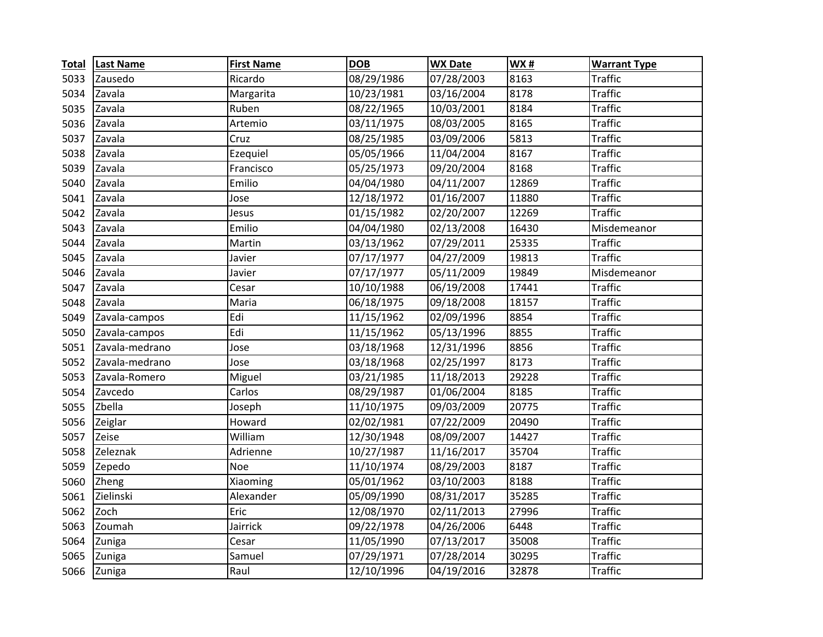| <b>Total</b> | <b>Last Name</b> | <b>First Name</b> | <b>DOB</b> | <b>WX Date</b> | <b>WX#</b> | <b>Warrant Type</b> |
|--------------|------------------|-------------------|------------|----------------|------------|---------------------|
| 5033         | Zausedo          | Ricardo           | 08/29/1986 | 07/28/2003     | 8163       | Traffic             |
| 5034         | Zavala           | Margarita         | 10/23/1981 | 03/16/2004     | 8178       | <b>Traffic</b>      |
| 5035         | Zavala           | Ruben             | 08/22/1965 | 10/03/2001     | 8184       | <b>Traffic</b>      |
| 5036         | Zavala           | Artemio           | 03/11/1975 | 08/03/2005     | 8165       | <b>Traffic</b>      |
| 5037         | Zavala           | Cruz              | 08/25/1985 | 03/09/2006     | 5813       | <b>Traffic</b>      |
| 5038         | Zavala           | Ezequiel          | 05/05/1966 | 11/04/2004     | 8167       | <b>Traffic</b>      |
| 5039         | Zavala           | Francisco         | 05/25/1973 | 09/20/2004     | 8168       | <b>Traffic</b>      |
| 5040         | Zavala           | Emilio            | 04/04/1980 | 04/11/2007     | 12869      | <b>Traffic</b>      |
| 5041         | Zavala           | Jose              | 12/18/1972 | 01/16/2007     | 11880      | <b>Traffic</b>      |
| 5042         | Zavala           | Jesus             | 01/15/1982 | 02/20/2007     | 12269      | <b>Traffic</b>      |
| 5043         | Zavala           | Emilio            | 04/04/1980 | 02/13/2008     | 16430      | Misdemeanor         |
| 5044         | Zavala           | Martin            | 03/13/1962 | 07/29/2011     | 25335      | <b>Traffic</b>      |
| 5045         | Zavala           | Javier            | 07/17/1977 | 04/27/2009     | 19813      | <b>Traffic</b>      |
| 5046         | Zavala           | Javier            | 07/17/1977 | 05/11/2009     | 19849      | Misdemeanor         |
| 5047         | Zavala           | Cesar             | 10/10/1988 | 06/19/2008     | 17441      | <b>Traffic</b>      |
| 5048         | Zavala           | Maria             | 06/18/1975 | 09/18/2008     | 18157      | <b>Traffic</b>      |
| 5049         | Zavala-campos    | Edi               | 11/15/1962 | 02/09/1996     | 8854       | <b>Traffic</b>      |
| 5050         | Zavala-campos    | Edi               | 11/15/1962 | 05/13/1996     | 8855       | <b>Traffic</b>      |
| 5051         | Zavala-medrano   | Jose              | 03/18/1968 | 12/31/1996     | 8856       | <b>Traffic</b>      |
| 5052         | Zavala-medrano   | Jose              | 03/18/1968 | 02/25/1997     | 8173       | <b>Traffic</b>      |
| 5053         | Zavala-Romero    | Miguel            | 03/21/1985 | 11/18/2013     | 29228      | <b>Traffic</b>      |
| 5054         | Zavcedo          | Carlos            | 08/29/1987 | 01/06/2004     | 8185       | <b>Traffic</b>      |
| 5055         | Zbella           | Joseph            | 11/10/1975 | 09/03/2009     | 20775      | <b>Traffic</b>      |
| 5056         | Zeiglar          | Howard            | 02/02/1981 | 07/22/2009     | 20490      | <b>Traffic</b>      |
| 5057         | Zeise            | William           | 12/30/1948 | 08/09/2007     | 14427      | <b>Traffic</b>      |
| 5058         | Zeleznak         | Adrienne          | 10/27/1987 | 11/16/2017     | 35704      | <b>Traffic</b>      |
| 5059         | Zepedo           | <b>Noe</b>        | 11/10/1974 | 08/29/2003     | 8187       | <b>Traffic</b>      |
| 5060         | Zheng            | Xiaoming          | 05/01/1962 | 03/10/2003     | 8188       | <b>Traffic</b>      |
| 5061         | Zielinski        | Alexander         | 05/09/1990 | 08/31/2017     | 35285      | <b>Traffic</b>      |
| 5062         | Zoch             | Eric              | 12/08/1970 | 02/11/2013     | 27996      | <b>Traffic</b>      |
| 5063         | Zoumah           | Jairrick          | 09/22/1978 | 04/26/2006     | 6448       | <b>Traffic</b>      |
| 5064         | Zuniga           | Cesar             | 11/05/1990 | 07/13/2017     | 35008      | <b>Traffic</b>      |
| 5065         | Zuniga           | Samuel            | 07/29/1971 | 07/28/2014     | 30295      | <b>Traffic</b>      |
| 5066         | Zuniga           | Raul              | 12/10/1996 | 04/19/2016     | 32878      | <b>Traffic</b>      |